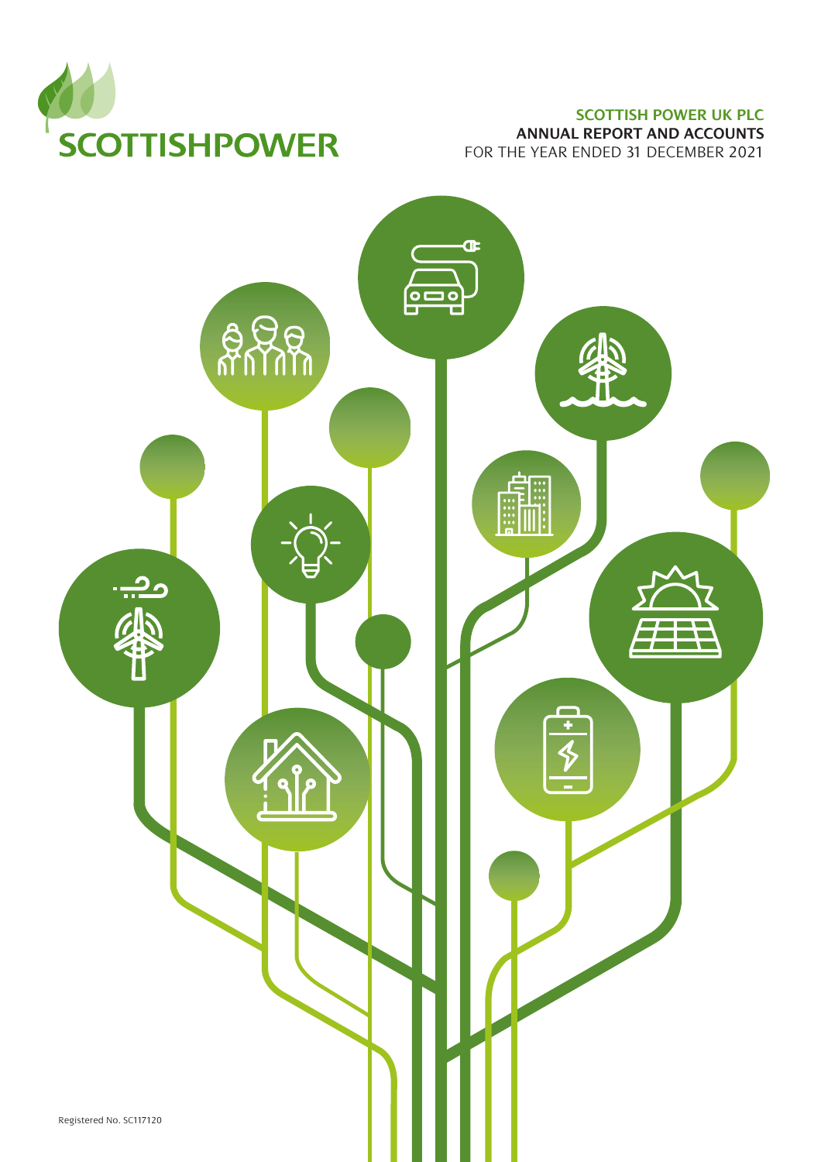

### **SCOTTISH POWER UK PLC**

**ANNUAL REPORT AND ACCOUNTS** FOR THE YEAR ENDED 31 DECEMBER 2021

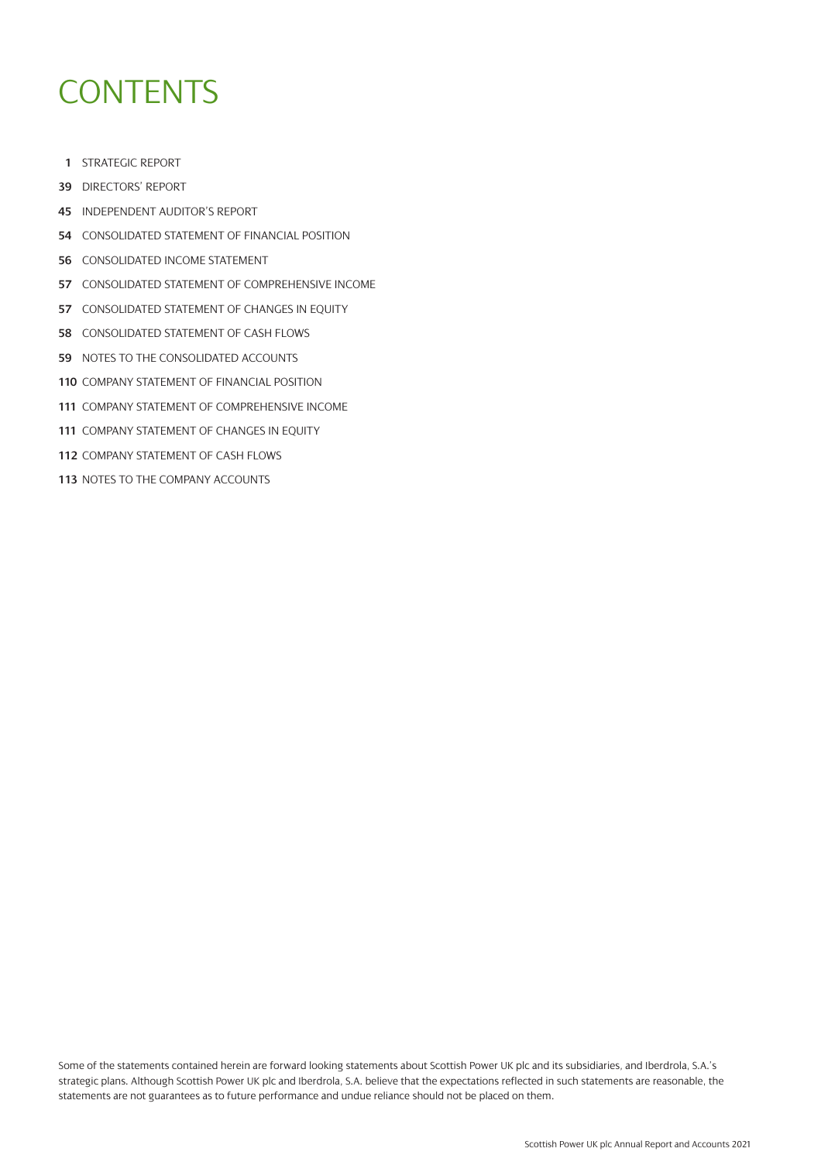# **CONTENTS**

- [STRATEGIC REPORT](#page-2-0)
- [DIRECTORS' REPORT](#page-40-0)
- [INDEPENDENT AUDITOR'S REPORT](#page-46-0)
- [CONSOLIDATED STATEMENT OF FINANCIAL POSITION](#page-55-0)
- [CONSOLIDATED INCOME STATEMENT](#page-57-0)
- [CONSOLIDATED STATEMENT OF COMPREHENSIVE INCOME](#page-58-0)
- [CONSOLIDATED STATEMENT OF CHANGES IN EQUITY](#page-58-0)
- [CONSOLIDATED STATEMENT OF CASH FLOWS](#page-59-0)
- [NOTES TO THE CONSOLIDATED ACCOUNTS](#page-60-0)
- [COMPANY STATEMENT OF FINANCIAL POSITION](#page-111-0)
- [COMPANY STATEMENT OF COMPREHENSIVE INCOME](#page-112-0)
- **[COMPANY STATEMENT OF CHANGES IN EQUITY](#page-112-0)**
- [COMPANY STATEMENT OF CASH FLOWS](#page-113-0)
- [NOTES TO THE COMPANY ACCOUNTS](#page-114-0)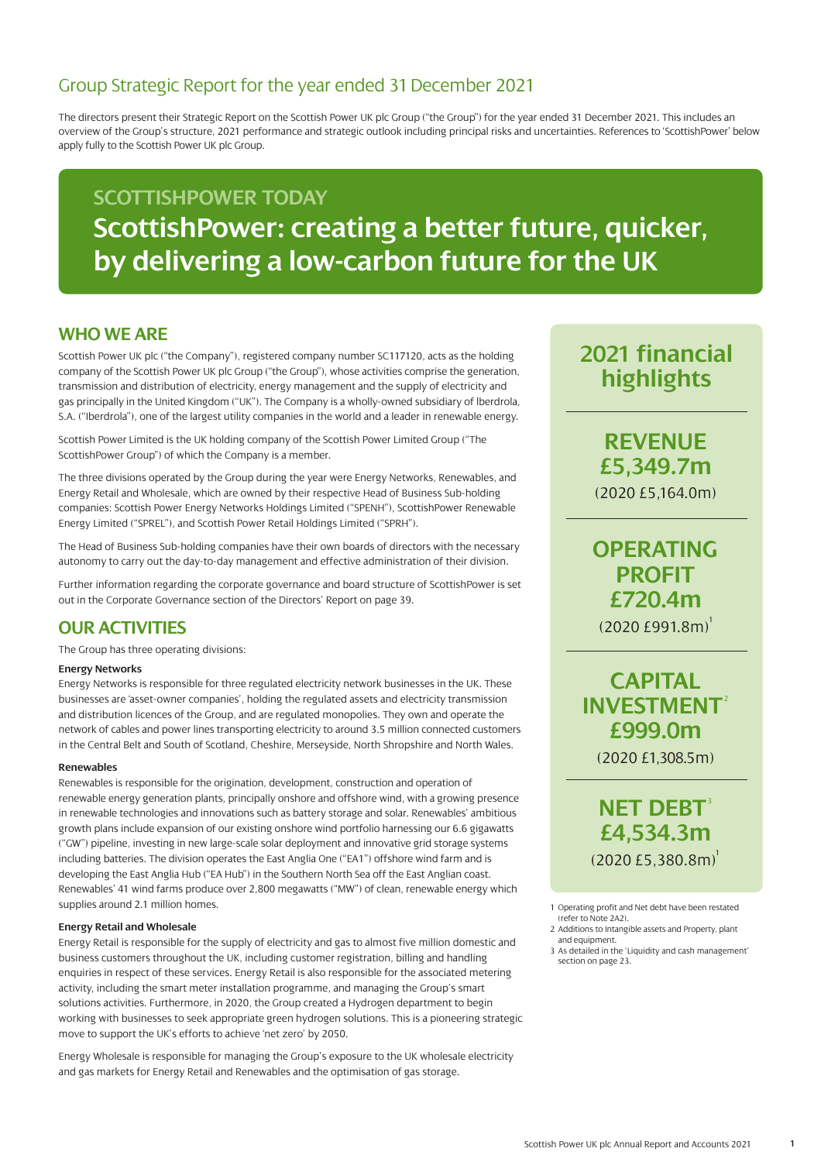<span id="page-2-0"></span>The directors present their Strategic Report on the Scottish Power UK plc Group ("the Group") for the year ended 31 December 2021. This includes an overview of the Group's structure, 2021 performance and strategic outlook including principal risks and uncertainties. References to 'ScottishPower' below apply fully to the Scottish Power UK plc Group.

## **SCOTTISHPOWER TODAY ScottishPower: creating a better future, quicker, by delivering a low-carbon future for the UK**

### **WHO WE ARE**

Scottish Power UK plc ("the Company"), registered company number SC117120, acts as the holding company of the Scottish Power UK plc Group ("the Group"), whose activities comprise the generation, transmission and distribution of electricity, energy management and the supply of electricity and gas principally in the United Kingdom ("UK"). The Company is a wholly-owned subsidiary of lberdrola, S.A. ("Iberdrola"), one of the largest utility companies in the world and a leader in renewable energy.

Scottish Power Limited is the UK holding company of the Scottish Power Limited Group ("The ScottishPower Group") of which the Company is a member.

The three divisions operated by the Group during the year were Energy Networks, Renewables, and Energy Retail and Wholesale, which are owned by their respective Head of Business Sub-holding companies: Scottish Power Energy Networks Holdings Limited ("SPENH"), ScottishPower Renewable Energy Limited ("SPREL"), and Scottish Power Retail Holdings Limited ("SPRH").

The Head of Business Sub-holding companies have their own boards of directors with the necessary autonomy to carry out the day-to-day management and effective administration of their division.

Further information regarding the corporate governance and board structure of ScottishPower is set out in the Corporate Governance section of the Directors' Report on page 39.

### **OUR ACTIVITIES**

The Group has three operating divisions:

#### **Energy Networks**

Energy Networks is responsible for three regulated electricity network businesses in the UK. These businesses are 'asset-owner companies', holding the regulated assets and electricity transmission and distribution licences of the Group, and are regulated monopolies. They own and operate the network of cables and power lines transporting electricity to around 3.5 million connected customers in the Central Belt and South of Scotland, Cheshire, Merseyside, North Shropshire and North Wales.

#### **Renewables**

Renewables is responsible for the origination, development, construction and operation of renewable energy generation plants, principally onshore and offshore wind, with a growing presence in renewable technologies and innovations such as battery storage and solar. Renewables' ambitious growth plans include expansion of our existing onshore wind portfolio harnessing our 6.6 gigawatts ("GW") pipeline, investing in new large-scale solar deployment and innovative grid storage systems including batteries. The division operates the East Anglia One ("EA1") offshore wind farm and is developing the East Anglia Hub ("EA Hub") in the Southern North Sea off the East Anglian coast. Renewables' 41 wind farms produce over 2,800 megawatts ("MW") of clean, renewable energy which supplies around 2.1 million homes.

#### **Energy Retail and Wholesale**

Energy Retail is responsible for the supply of electricity and gas to almost five million domestic and business customers throughout the UK, including customer registration, billing and handling enquiries in respect of these services. Energy Retail is also responsible for the associated metering activity, including the smart meter installation programme, and managing the Group's smart solutions activities. Furthermore, in 2020, the Group created a Hydrogen department to begin working with businesses to seek appropriate green hydrogen solutions. This is a pioneering strategic move to support the UK's efforts to achieve 'net zero' by 2050.

Energy Wholesale is responsible for managing the Group's exposure to the UK wholesale electricity and gas markets for Energy Retail and Renewables and the optimisation of gas storage.

## **2021 financial highlights**

**REVENUE £5,349.7m** (2020 £5,164.0m)

### **OPERATING PROFIT £720.4m**  $(2020 \t{E991.8m})^1$

## **CAPITAL INVESTMENT**<sup>2</sup> **£999.0m**

(2020 £1,308.5m)

**NET DEBT<sup>3</sup> £4,534.3m**  $(2020 \text{ f}5.380.8 \text{m})^1$ 

- 1 Operating profit and Net debt have been restated (refer to Note 2A2).
- 2 Additions to Intangible assets and Property, plant and equipment.
- 3 As detailed in the 'Liquidity and cash management' section on page 23.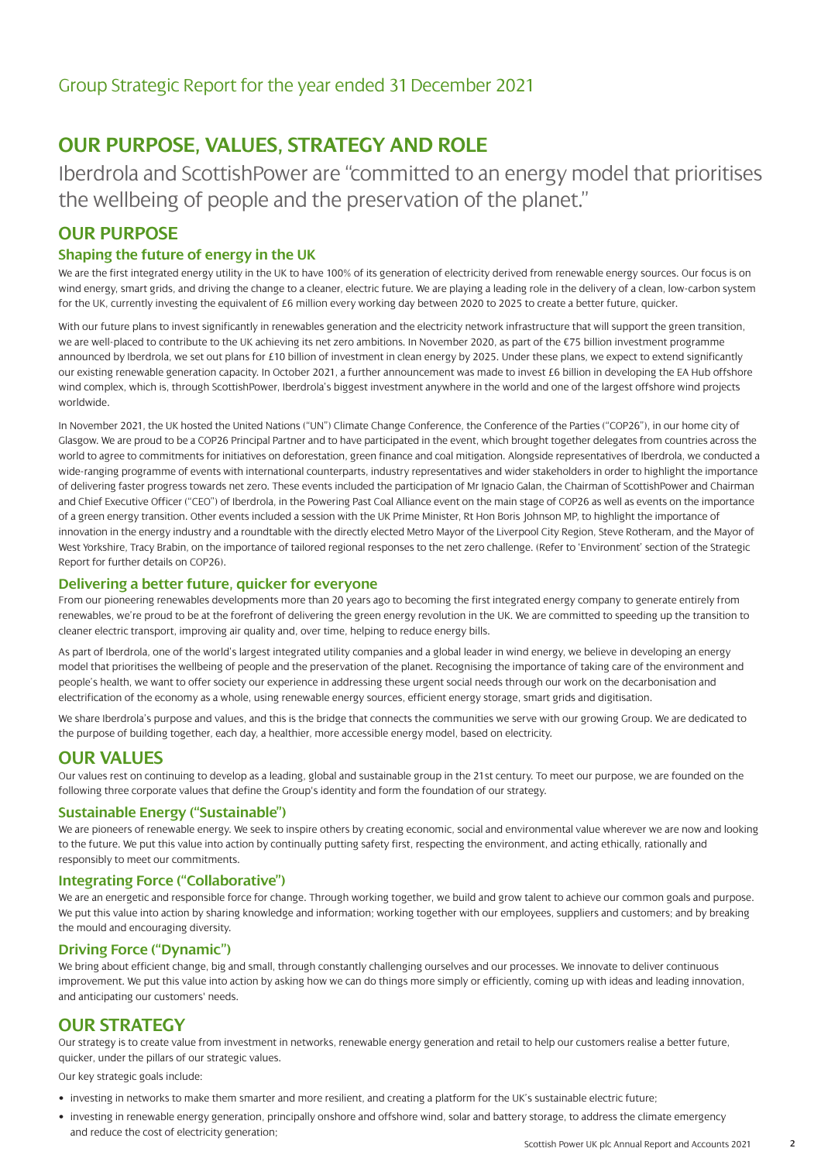### **OUR PURPOSE, VALUES, STRATEGY AND ROLE**

Iberdrola and ScottishPower are "committed to an energy model that prioritises the wellbeing of people and the preservation of the planet."

### **OUR PURPOSE**

### **Shaping the future of energy in the UK**

We are the first integrated energy utility in the UK to have 100% of its generation of electricity derived from renewable energy sources. Our focus is on wind energy, smart grids, and driving the change to a cleaner, electric future. We are playing a leading role in the delivery of a clean, low-carbon system for the UK, currently investing the equivalent of £6 million every working day between 2020 to 2025 to create a better future, quicker.

With our future plans to invest significantly in renewables generation and the electricity network infrastructure that will support the green transition. we are well-placed to contribute to the UK achieving its net zero ambitions. In November 2020, as part of the €75 billion investment programme announced by Iberdrola, we set out plans for £10 billion of investment in clean energy by 2025. Under these plans, we expect to extend significantly our existing renewable generation capacity. In October 2021, a further announcement was made to invest £6 billion in developing the EA Hub offshore wind complex, which is, through ScottishPower, Iberdrola's biggest investment anywhere in the world and one of the largest offshore wind projects worldwide.

In November 2021, the UK hosted the United Nations ("UN") Climate Change Conference, the Conference of the Parties ("COP26"), in our home city of Glasgow. We are proud to be a COP26 Principal Partner and to have participated in the event, which brought together delegates from countries across the world to agree to commitments for initiatives on deforestation, green finance and coal mitigation. Alongside representatives of Iberdrola, we conducted a wide-ranging programme of events with international counterparts, industry representatives and wider stakeholders in order to highlight the importance of delivering faster progress towards net zero. These events included the participation of Mr Ignacio Galan, the Chairman of ScottishPower and Chairman and Chief Executive Officer ("CEO") of Iberdrola, in the Powering Past Coal Alliance event on the main stage of COP26 as well as events on the importance of a green energy transition. Other events included a session with the UK Prime Minister, Rt Hon Boris Johnson MP, to highlight the importance of innovation in the energy industry and a roundtable with the directly elected Metro Mayor of the Liverpool City Region, Steve Rotheram, and the Mayor of West Yorkshire, Tracy Brabin, on the importance of tailored regional responses to the net zero challenge. (Refer to 'Environment' section of the Strategic Report for further details on COP26).

#### **Delivering a better future, quicker for everyone**

From our pioneering renewables developments more than 20 years ago to becoming the first integrated energy company to generate entirely from renewables, we're proud to be at the forefront of delivering the green energy revolution in the UK. We are committed to speeding up the transition to cleaner electric transport, improving air quality and, over time, helping to reduce energy bills.

As part of Iberdrola, one of the world's largest integrated utility companies and a global leader in wind energy, we believe in developing an energy model that prioritises the wellbeing of people and the preservation of the planet. Recognising the importance of taking care of the environment and people's health, we want to offer society our experience in addressing these urgent social needs through our work on the decarbonisation and electrification of the economy as a whole, using renewable energy sources, efficient energy storage, smart grids and digitisation.

We share Iberdrola's purpose and values, and this is the bridge that connects the communities we serve with our growing Group. We are dedicated to the purpose of building together, each day, a healthier, more accessible energy model, based on electricity.

### **OUR VALUES**

Our values rest on continuing to develop as a leading, global and sustainable group in the 21st century. To meet our purpose, we are founded on the following three corporate values that define the Group's identity and form the foundation of our strategy.

#### **Sustainable Energy ("Sustainable")**

We are pioneers of renewable energy. We seek to inspire others by creating economic, social and environmental value wherever we are now and looking to the future. We put this value into action by continually putting safety first, respecting the environment, and acting ethically, rationally and responsibly to meet our commitments.

#### **Integrating Force ("Collaborative")**

We are an energetic and responsible force for change. Through working together, we build and grow talent to achieve our common goals and purpose. We put this value into action by sharing knowledge and information; working together with our employees, suppliers and customers; and by breaking the mould and encouraging diversity.

#### **Driving Force ("Dynamic")**

We bring about efficient change, big and small, through constantly challenging ourselves and our processes. We innovate to deliver continuous improvement. We put this value into action by asking how we can do things more simply or efficiently, coming up with ideas and leading innovation, and anticipating our customers' needs.

### **OUR STRATEGY**

Our strategy is to create value from investment in networks, renewable energy generation and retail to help our customers realise a better future, quicker, under the pillars of our strategic values.

Our key strategic goals include:

- investing in networks to make them smarter and more resilient, and creating a platform for the UK's sustainable electric future;
- investing in renewable energy generation, principally onshore and offshore wind, solar and battery storage, to address the climate emergency and reduce the cost of electricity generation;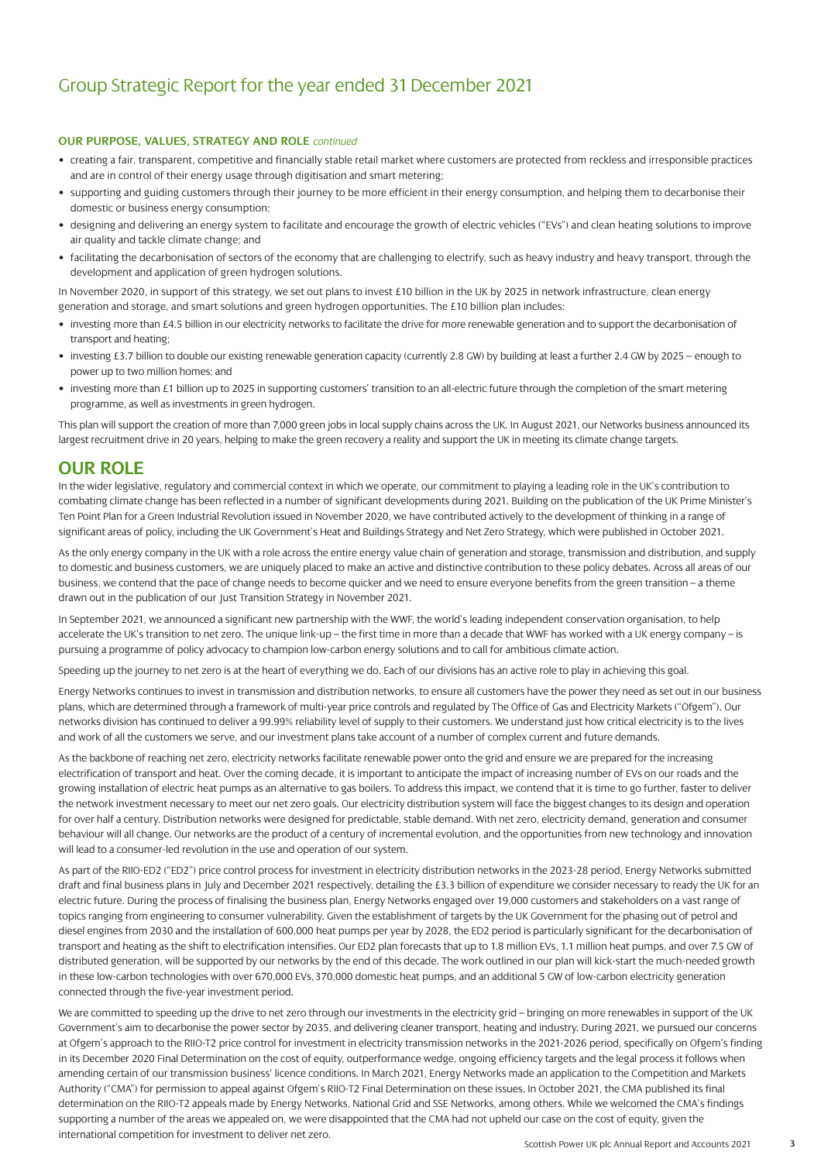#### **OUR PURPOSE, VALUES, STRATEGY AND ROLE** *continued*

- creating a fair, transparent, competitive and financially stable retail market where customers are protected from reckless and irresponsible practices and are in control of their energy usage through digitisation and smart metering;
- supporting and guiding customers through their journey to be more efficient in their energy consumption, and helping them to decarbonise their domestic or business energy consumption;
- designing and delivering an energy system to facilitate and encourage the growth of electric vehicles ("EVs") and clean heating solutions to improve air quality and tackle climate change; and
- facilitating the decarbonisation of sectors of the economy that are challenging to electrify, such as heavy industry and heavy transport, through the development and application of green hydrogen solutions.

In November 2020, in support of this strategy, we set out plans to invest £10 billion in the UK by 2025 in network infrastructure, clean energy generation and storage, and smart solutions and green hydrogen opportunities. The £10 billion plan includes:

- investing more than £4.5 billion in our electricity networks to facilitate the drive for more renewable generation and to support the decarbonisation of transport and heating;
- investing £3.7 billion to double our existing renewable generation capacity (currently 2.8 GW) by building at least a further 2.4 GW by 2025 enough to power up to two million homes; and
- investing more than £1 billion up to 2025 in supporting customers' transition to an all-electric future through the completion of the smart metering programme, as well as investments in green hydrogen.

This plan will support the creation of more than 7,000 green jobs in local supply chains across the UK. In August 2021, our Networks business announced its largest recruitment drive in 20 years, helping to make the green recovery a reality and support the UK in meeting its climate change targets.

### **OUR ROLE**

In the wider legislative, regulatory and commercial context in which we operate, our commitment to playing a leading role in the UK's contribution to combating climate change has been reflected in a number of significant developments during 2021. Building on the publication of the UK Prime Minister's Ten Point Plan for a Green Industrial Revolution issued in November 2020, we have contributed actively to the development of thinking in a range of significant areas of policy, including the UK Government's Heat and Buildings Strategy and Net Zero Strategy, which were published in October 2021.

As the only energy company in the UK with a role across the entire energy value chain of generation and storage, transmission and distribution, and supply to domestic and business customers, we are uniquely placed to make an active and distinctive contribution to these policy debates. Across all areas of our business, we contend that the pace of change needs to become quicker and we need to ensure everyone benefits from the green transition – a theme drawn out in the publication of our Just Transition Strategy in November 2021.

In September 2021, we announced a significant new partnership with the WWF, the world's leading independent conservation organisation, to help accelerate the UK's transition to net zero. The unique link-up – the first time in more than a decade that WWF has worked with a UK energy company – is pursuing a programme of policy advocacy to champion low-carbon energy solutions and to call for ambitious climate action.

Speeding up the journey to net zero is at the heart of everything we do. Each of our divisions has an active role to play in achieving this goal.

Energy Networks continues to invest in transmission and distribution networks, to ensure all customers have the power they need as set out in our business plans, which are determined through a framework of multi-year price controls and regulated by The Office of Gas and Electricity Markets ("Ofgem"). Our networks division has continued to deliver a 99.99% reliability level of supply to their customers. We understand just how critical electricity is to the lives and work of all the customers we serve, and our investment plans take account of a number of complex current and future demands.

As the backbone of reaching net zero, electricity networks facilitate renewable power onto the grid and ensure we are prepared for the increasing electrification of transport and heat. Over the coming decade, it is important to anticipate the impact of increasing number of EVs on our roads and the growing installation of electric heat pumps as an alternative to gas boilers. To address this impact, we contend that it is time to go further, faster to deliver the network investment necessary to meet our net zero goals. Our electricity distribution system will face the biggest changes to its design and operation for over half a century. Distribution networks were designed for predictable, stable demand. With net zero, electricity demand, generation and consumer behaviour will all change. Our networks are the product of a century of incremental evolution, and the opportunities from new technology and innovation will lead to a consumer-led revolution in the use and operation of our system.

As part of the RIIO-ED2 ("ED2") price control process for investment in electricity distribution networks in the 2023-28 period, Energy Networks submitted draft and final business plans in July and December 2021 respectively, detailing the £3.3 billion of expenditure we consider necessary to ready the UK for an electric future. During the process of finalising the business plan, Energy Networks engaged over 19,000 customers and stakeholders on a vast range of topics ranging from engineering to consumer vulnerability. Given the establishment of targets by the UK Government for the phasing out of petrol and diesel engines from 2030 and the installation of 600,000 heat pumps per year by 2028, the ED2 period is particularly significant for the decarbonisation of transport and heating as the shift to electrification intensifies. Our ED2 plan forecasts that up to 1.8 million EVs, 1.1 million heat pumps, and over 7.5 GW of distributed generation, will be supported by our networks by the end of this decade. The work outlined in our plan will kick-start the much-needed growth in these low-carbon technologies with over 670,000 EVs, 370,000 domestic heat pumps, and an additional 5 GW of low-carbon electricity generation connected through the five-year investment period.

We are committed to speeding up the drive to net zero through our investments in the electricity grid - bringing on more renewables in support of the UK Government's aim to decarbonise the power sector by 2035, and delivering cleaner transport, heating and industry. During 2021, we pursued our concerns at Ofgem's approach to the RIIO-T2 price control for investment in electricity transmission networks in the 2021-2026 period, specifically on Ofgem's finding in its December 2020 Final Determination on the cost of equity, outperformance wedge, ongoing efficiency targets and the legal process it follows when amending certain of our transmission business' licence conditions. In March 2021, Energy Networks made an application to the Competition and Markets Authority ("CMA") for permission to appeal against Ofgem's RIIO-T2 Final Determination on these issues. In October 2021, the CMA published its final determination on the RIIO-T2 appeals made by Energy Networks, National Grid and SSE Networks, among others. While we welcomed the CMA's findings supporting a number of the areas we appealed on, we were disappointed that the CMA had not upheld our case on the cost of equity, given the international competition for investment to deliver net zero.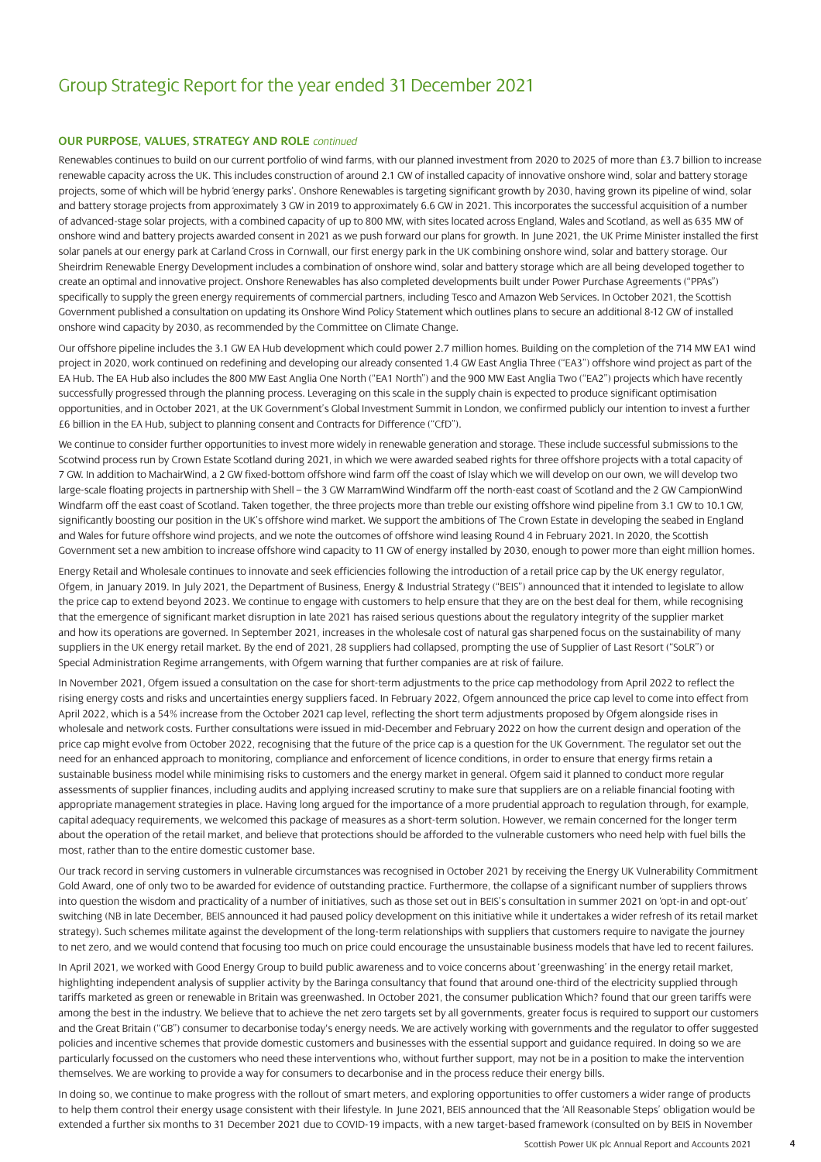#### **OUR PURPOSE, VALUES, STRATEGY AND ROLE** *continued*

Renewables continues to build on our current portfolio of wind farms, with our planned investment from 2020 to 2025 of more than £3.7 billion to increase renewable capacity across the UK. This includes construction of around 2.1 GW of installed capacity of innovative onshore wind, solar and battery storage projects, some of which will be hybrid 'energy parks'. Onshore Renewables is targeting significant growth by 2030, having grown its pipeline of wind, solar and battery storage projects from approximately 3 GW in 2019 to approximately 6.6 GW in 2021. This incorporates the successful acquisition of a number of advanced-stage solar projects, with a combined capacity of up to 800 MW, with sites located across England, Wales and Scotland, as well as 635 MW of onshore wind and battery projects awarded consent in 2021 as we push forward our plans for growth. In June 2021, the UK Prime Minister installed the first solar panels at our energy park at Carland Cross in Cornwall, our first energy park in the UK combining onshore wind, solar and battery storage. Our Sheirdrim Renewable Energy Development includes a combination of onshore wind, solar and battery storage which are all being developed together to create an optimal and innovative project. Onshore Renewables has also completed developments built under Power Purchase Agreements ("PPAs") specifically to supply the green energy requirements of commercial partners, including Tesco and Amazon Web Services. In October 2021, the Scottish Government published a consultation on updating its Onshore Wind Policy Statement which outlines plans to secure an additional 8-12 GW of installed onshore wind capacity by 2030, as recommended by the Committee on Climate Change.

Our offshore pipeline includes the 3.1 GW EA Hub development which could power 2.7 million homes. Building on the completion of the 714 MW EA1 wind project in 2020, work continued on redefining and developing our already consented 1.4 GW East Anglia Three ("EA3") offshore wind project as part of the EA Hub. The EA Hub also includes the 800 MW East Anglia One North ("EA1 North") and the 900 MW East Anglia Two ("EA2") projects which have recently successfully progressed through the planning process. Leveraging on this scale in the supply chain is expected to produce significant optimisation opportunities, and in October 2021, at the UK Government's Global Investment Summit in London, we confirmed publicly our intention to invest a further £6 billion in the EA Hub, subject to planning consent and Contracts for Difference ("CfD").

We continue to consider further opportunities to invest more widely in renewable generation and storage. These include successful submissions to the Scotwind process run by Crown Estate Scotland during 2021, in which we were awarded seabed rights for three offshore projects with a total capacity of 7 GW. In addition to MachairWind, a 2 GW fixed-bottom offshore wind farm off the coast of Islay which we will develop on our own, we will develop two large-scale floating projects in partnership with Shell – the 3 GW MarramWind Windfarm off the north-east coast of Scotland and the 2 GW CampionWind Windfarm off the east coast of Scotland. Taken together, the three projects more than treble our existing offshore wind pipeline from 3.1 GW to 10.1 GW, significantly boosting our position in the UK's offshore wind market. We support the ambitions of The Crown Estate in developing the seabed in England and Wales for future offshore wind projects, and we note the outcomes of offshore wind leasing Round 4 in February 2021. In 2020, the Scottish Government set a new ambition to increase offshore wind capacity to 11 GW of energy installed by 2030, enough to power more than eight million homes.

Energy Retail and Wholesale continues to innovate and seek efficiencies following the introduction of a retail price cap by the UK energy regulator, Ofgem, in January 2019. In July 2021, the Department of Business, Energy & Industrial Strategy ("BEIS") announced that it intended to legislate to allow the price cap to extend beyond 2023. We continue to engage with customers to help ensure that they are on the best deal for them, while recognising that the emergence of significant market disruption in late 2021 has raised serious questions about the regulatory integrity of the supplier market and how its operations are governed. In September 2021, increases in the wholesale cost of natural gas sharpened focus on the sustainability of many suppliers in the UK energy retail market. By the end of 2021, 28 suppliers had collapsed, prompting the use of Supplier of Last Resort ("SoLR") or Special Administration Regime arrangements, with Ofgem warning that further companies are at risk of failure.

In November 2021, Ofgem issued a consultation on the case for short-term adjustments to the price cap methodology from April 2022 to reflect the rising energy costs and risks and uncertainties energy suppliers faced. In February 2022, Ofgem announced the price cap level to come into effect from April 2022, which is a 54% increase from the October 2021 cap level, reflecting the short term adjustments proposed by Ofgem alongside rises in wholesale and network costs. Further consultations were issued in mid-December and February 2022 on how the current design and operation of the price cap might evolve from October 2022, recognising that the future of the price cap is a question for the UK Government. The regulator set out the need for an enhanced approach to monitoring, compliance and enforcement of licence conditions, in order to ensure that energy firms retain a sustainable business model while minimising risks to customers and the energy market in general. Ofgem said it planned to conduct more regular assessments of supplier finances, including audits and applying increased scrutiny to make sure that suppliers are on a reliable financial footing with appropriate management strategies in place. Having long argued for the importance of a more prudential approach to regulation through, for example, capital adequacy requirements, we welcomed this package of measures as a short-term solution. However, we remain concerned for the longer term about the operation of the retail market, and believe that protections should be afforded to the vulnerable customers who need help with fuel bills the most, rather than to the entire domestic customer base.

Our track record in serving customers in vulnerable circumstances was recognised in October 2021 by receiving the Energy UK Vulnerability Commitment Gold Award, one of only two to be awarded for evidence of outstanding practice. Furthermore, the collapse of a significant number of suppliers throws into question the wisdom and practicality of a number of initiatives, such as those set out in BEIS's consultation in summer 2021 on 'opt-in and opt-out' switching (NB in late December, BEIS announced it had paused policy development on this initiative while it undertakes a wider refresh of its retail market strategy). Such schemes militate against the development of the long-term relationships with suppliers that customers require to navigate the journey to net zero, and we would contend that focusing too much on price could encourage the unsustainable business models that have led to recent failures.

In April 2021, we worked with Good Energy Group to build public awareness and to voice concerns about 'greenwashing' in the energy retail market, highlighting independent analysis of supplier activity by the Baringa consultancy that found that around one-third of the electricity supplied through tariffs marketed as green or renewable in Britain was greenwashed. In October 2021, the consumer publication Which? found that our green tariffs were among the best in the industry. We believe that to achieve the net zero targets set by all governments, greater focus is required to support our customers and the Great Britain ("GB") consumer to decarbonise today's energy needs. We are actively working with governments and the regulator to offer suggested policies and incentive schemes that provide domestic customers and businesses with the essential support and guidance required. In doing so we are particularly focussed on the customers who need these interventions who, without further support, may not be in a position to make the intervention themselves. We are working to provide a way for consumers to decarbonise and in the process reduce their energy bills.

In doing so, we continue to make progress with the rollout of smart meters, and exploring opportunities to offer customers a wider range of products to help them control their energy usage consistent with their lifestyle. In June 2021, BEIS announced that the 'All Reasonable Steps' obligation would be extended a further six months to 31 December 2021 due to COVID-19 impacts, with a new target-based framework (consulted on by BEIS in November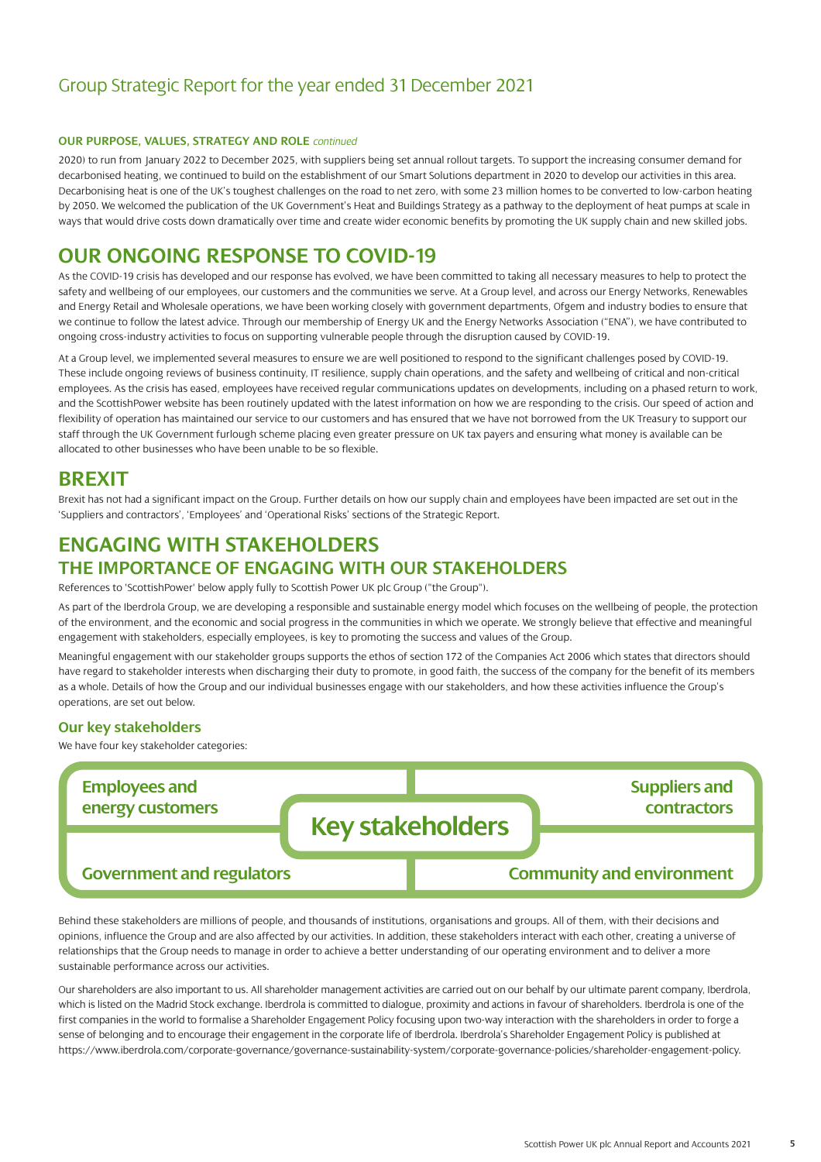#### **OUR PURPOSE, VALUES, STRATEGY AND ROLE** *continued*

2020) to run from January 2022 to December 2025, with suppliers being set annual rollout targets. To support the increasing consumer demand for decarbonised heating, we continued to build on the establishment of our Smart Solutions department in 2020 to develop our activities in this area. Decarbonising heat is one of the UK's toughest challenges on the road to net zero, with some 23 million homes to be converted to low-carbon heating by 2050. We welcomed the publication of the UK Government's Heat and Buildings Strategy as a pathway to the deployment of heat pumps at scale in ways that would drive costs down dramatically over time and create wider economic benefits by promoting the UK supply chain and new skilled jobs.

### **OUR ONGOING RESPONSE TO COVID-19**

As the COVID-19 crisis has developed and our response has evolved, we have been committed to taking all necessary measures to help to protect the safety and wellbeing of our employees, our customers and the communities we serve. At a Group level, and across our Energy Networks, Renewables and Energy Retail and Wholesale operations, we have been working closely with government departments, Ofgem and industry bodies to ensure that we continue to follow the latest advice. Through our membership of Energy UK and the Energy Networks Association ("ENA"), we have contributed to ongoing cross-industry activities to focus on supporting vulnerable people through the disruption caused by COVID-19.

At a Group level, we implemented several measures to ensure we are well positioned to respond to the significant challenges posed by COVID-19. These include ongoing reviews of business continuity, IT resilience, supply chain operations, and the safety and wellbeing of critical and non-critical employees. As the crisis has eased, employees have received regular communications updates on developments, including on a phased return to work, and the ScottishPower website has been routinely updated with the latest information on how we are responding to the crisis. Our speed of action and flexibility of operation has maintained our service to our customers and has ensured that we have not borrowed from the UK Treasury to support our staff through the UK Government furlough scheme placing even greater pressure on UK tax payers and ensuring what money is available can be allocated to other businesses who have been unable to be so flexible.

### **BREXIT**

Brexit has not had a significant impact on the Group. Further details on how our supply chain and employees have been impacted are set out in the 'Suppliers and contractors', 'Employees' and 'Operational Risks' sections of the Strategic Report.

### **ENGAGING WITH STAKEHOLDERS**

### **THE IMPORTANCE OF ENGAGING WITH OUR STAKEHOLDERS**

References to 'ScottishPower' below apply fully to Scottish Power UK plc Group ("the Group").

As part of the Iberdrola Group, we are developing a responsible and sustainable energy model which focuses on the wellbeing of people, the protection of the environment, and the economic and social progress in the communities in which we operate. We strongly believe that effective and meaningful engagement with stakeholders, especially employees, is key to promoting the success and values of the Group.

Meaningful engagement with our stakeholder groups supports the ethos of section 172 of the Companies Act 2006 which states that directors should have regard to stakeholder interests when discharging their duty to promote, in good faith, the success of the company for the benefit of its members as a whole. Details of how the Group and our individual businesses engage with our stakeholders, and how these activities influence the Group's operations, are set out below.

#### **Our key stakeholders**

We have four key stakeholder categories:



Behind these stakeholders are millions of people, and thousands of institutions, organisations and groups. All of them, with their decisions and opinions, influence the Group and are also affected by our activities. In addition, these stakeholders interact with each other, creating a universe of relationships that the Group needs to manage in order to achieve a better understanding of our operating environment and to deliver a more sustainable performance across our activities.

Our shareholders are also important to us. All shareholder management activities are carried out on our behalf by our ultimate parent company, Iberdrola, which is listed on the Madrid Stock exchange. Iberdrola is committed to dialogue, proximity and actions in favour of shareholders. Iberdrola is one of the first companies in the world to formalise a Shareholder Engagement Policy focusing upon two-way interaction with the shareholders in order to forge a sense of belonging and to encourage their engagement in the corporate life of Iberdrola. Iberdrola's Shareholder Engagement Policy is published at [https://www.iberdrola.com/corporate-governance/governance-sustainability-system/corporate-governance-policies/shareholder-engagement-policy.](https://www.iberdrola.com/corporate-governance/governance-sustainability-system/corporate-governance-policies/shareholder-engagement-policy)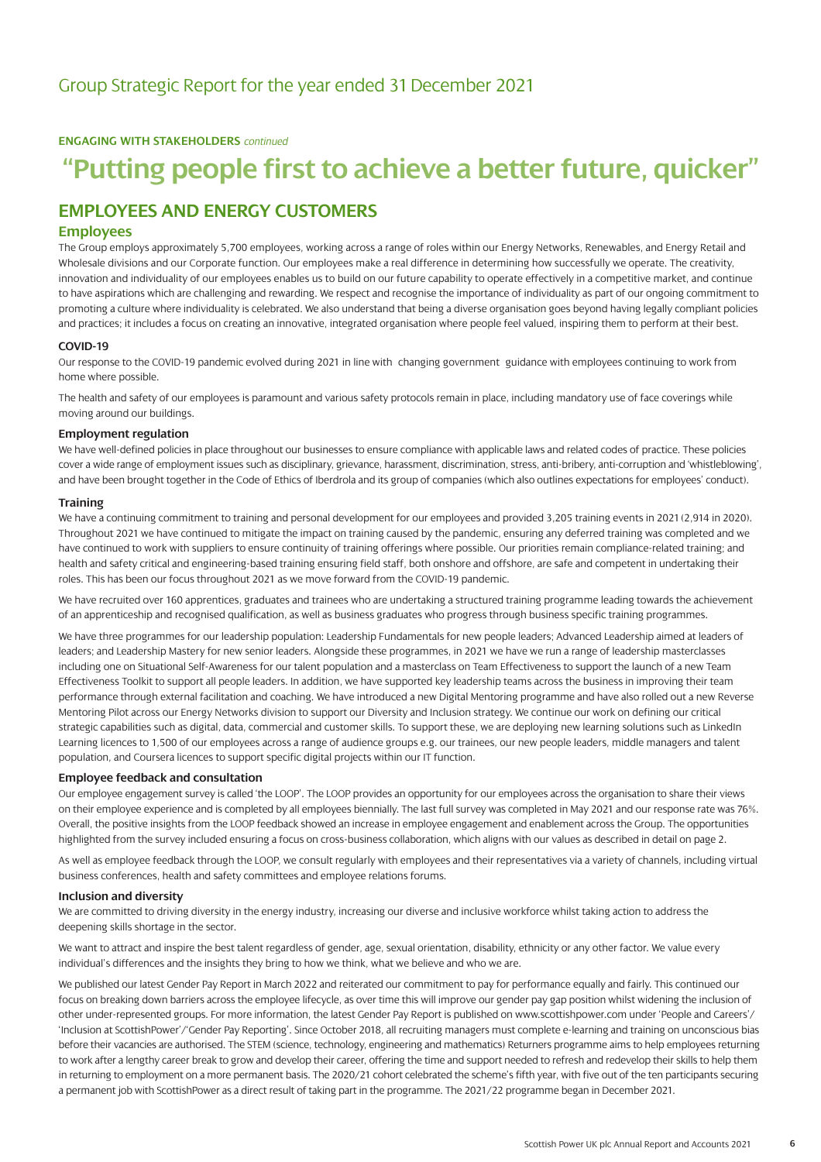**ENGAGING WITH STAKEHOLDERS** *continued*

## **"Putting people first to achieve a better future, quicker"**

### **EMPLOYEES AND ENERGY CUSTOMERS**

#### **Employees**

The Group employs approximately 5,700 employees, working across a range of roles within our Energy Networks, Renewables, and Energy Retail and Wholesale divisions and our Corporate function. Our employees make a real difference in determining how successfully we operate. The creativity, innovation and individuality of our employees enables us to build on our future capability to operate effectively in a competitive market, and continue to have aspirations which are challenging and rewarding. We respect and recognise the importance of individuality as part of our ongoing commitment to promoting a culture where individuality is celebrated. We also understand that being a diverse organisation goes beyond having legally compliant policies and practices; it includes a focus on creating an innovative, integrated organisation where people feel valued, inspiring them to perform at their best.

#### **COVID-19**

Our response to the COVID-19 pandemic evolved during 2021 in line with changing government guidance with employees continuing to work from home where possible.

The health and safety of our employees is paramount and various safety protocols remain in place, including mandatory use of face coverings while moving around our buildings.

#### **Employment regulation**

We have well-defined policies in place throughout our businesses to ensure compliance with applicable laws and related codes of practice. These policies cover a wide range of employment issues such as disciplinary, grievance, harassment, discrimination, stress, anti-bribery, anti-corruption and 'whistleblowing', and have been brought together in the Code of Ethics of Iberdrola and its group of companies (which also outlines expectations for employees' conduct).

#### **Training**

We have a continuing commitment to training and personal development for our employees and provided 3,205 training events in 2021 (2,914 in 2020). Throughout 2021 we have continued to mitigate the impact on training caused by the pandemic, ensuring any deferred training was completed and we have continued to work with suppliers to ensure continuity of training offerings where possible. Our priorities remain compliance-related training; and health and safety critical and engineering-based training ensuring field staff, both onshore and offshore, are safe and competent in undertaking their roles. This has been our focus throughout 2021 as we move forward from the COVID-19 pandemic.

We have recruited over 160 apprentices, graduates and trainees who are undertaking a structured training programme leading towards the achievement of an apprenticeship and recognised qualification, as well as business graduates who progress through business specific training programmes.

We have three programmes for our leadership population: Leadership Fundamentals for new people leaders: Advanced Leadership aimed at leaders of leaders; and Leadership Mastery for new senior leaders. Alongside these programmes, in 2021 we have we run a range of leadership masterclasses including one on Situational Self-Awareness for our talent population and a masterclass on Team Effectiveness to support the launch of a new Team Effectiveness Toolkit to support all people leaders. In addition, we have supported key leadership teams across the business in improving their team performance through external facilitation and coaching. We have introduced a new Digital Mentoring programme and have also rolled out a new Reverse Mentoring Pilot across our Energy Networks division to support our Diversity and Inclusion strategy. We continue our work on defining our critical strategic capabilities such as digital, data, commercial and customer skills. To support these, we are deploying new learning solutions such as LinkedIn Learning licences to 1,500 of our employees across a range of audience groups e.g. our trainees, our new people leaders, middle managers and talent population, and Coursera licences to support specific digital projects within our IT function.

#### **Employee feedback and consultation**

Our employee engagement survey is called 'the LOOP'. The LOOP provides an opportunity for our employees across the organisation to share their views on their employee experience and is completed by all employees biennially. The last full survey was completed in May 2021 and our response rate was 76%. Overall, the positive insights from the LOOP feedback showed an increase in employee engagement and enablement across the Group. The opportunities highlighted from the survey included ensuring a focus on cross-business collaboration, which aligns with our values as described in detail on page 2.

As well as employee feedback through the LOOP, we consult regularly with employees and their representatives via a variety of channels, including virtual business conferences, health and safety committees and employee relations forums.

#### **Inclusion and diversity**

We are committed to driving diversity in the energy industry, increasing our diverse and inclusive workforce whilst taking action to address the deepening skills shortage in the sector.

We want to attract and inspire the best talent regardless of gender, age, sexual orientation, disability, ethnicity or any other factor. We value every individual's differences and the insights they bring to how we think, what we believe and who we are.

We published our latest Gender Pay Report in March 2022 and reiterated our commitment to pay for performance equally and fairly. This continued our focus on breaking down barriers across the employee lifecycle, as over time this will improve our gender pay gap position whilst widening the inclusion of other under-represented groups. For more information, the latest Gender Pay Report is published o[n www.scottishpower.com under 'People and Careers'/](https://www.scottishpower.com/pages/people_careers.aspx) 'Inclusion at ScottishPower'/'Gender Pay Reporting'. Since October 2018, all recruiting managers must complete e-learning and training on unconscious bias before their vacancies are authorised. The STEM (science, technology, engineering and mathematics) Returners programme aims to help employees returning to work after a lengthy career break to grow and develop their career, offering the time and support needed to refresh and redevelop their skills to help them in returning to employment on a more permanent basis. The 2020/21 cohort celebrated the scheme's fifth year, with five out of the ten participants securing a permanent job with ScottishPower as a direct result of taking part in the programme. The 2021/22 programme began in December 2021.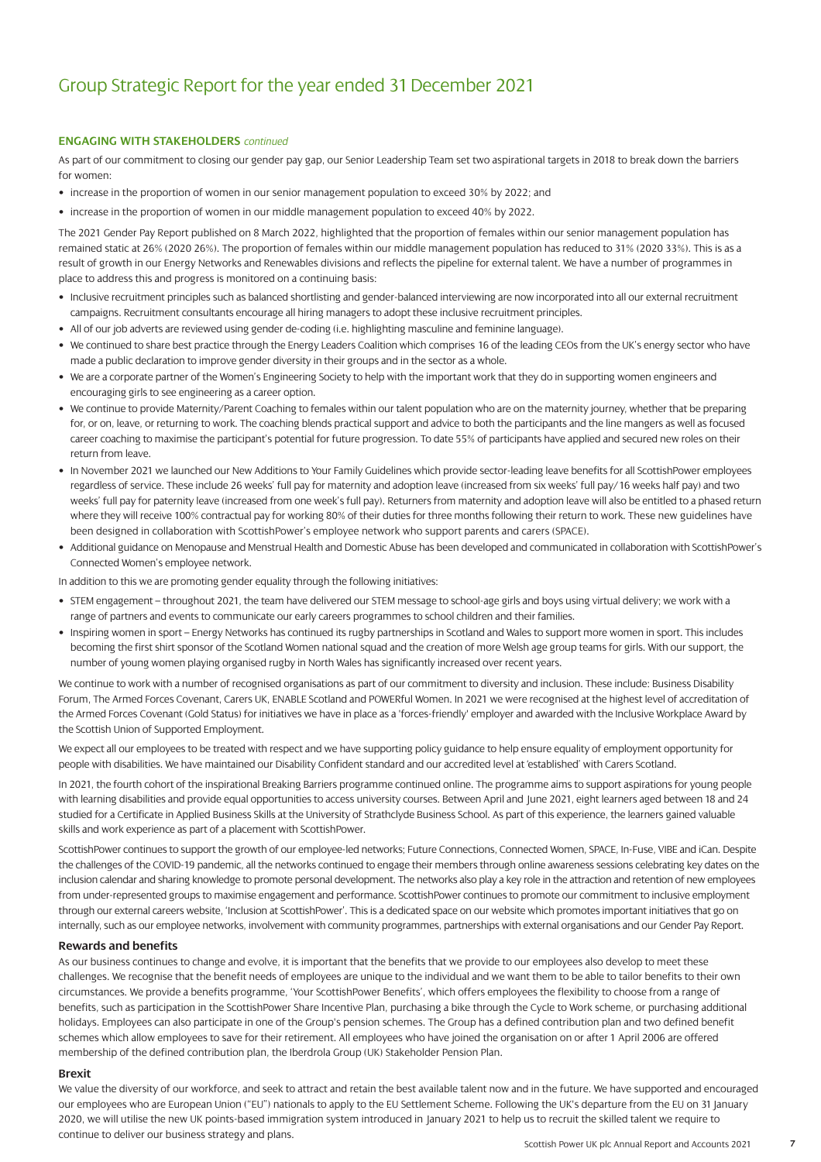#### **ENGAGING WITH STAKEHOLDERS** *continued*

As part of our commitment to closing our gender pay gap, our Senior Leadership Team set two aspirational targets in 2018 to break down the barriers for women:

- increase in the proportion of women in our senior management population to exceed 30% by 2022; and
- increase in the proportion of women in our middle management population to exceed 40% by 2022.

The 2021 Gender Pay Report published on 8 March 2022, highlighted that the proportion of females within our senior management population has remained static at 26% (2020 26%). The proportion of females within our middle management population has reduced to 31% (2020 33%). This is as a result of growth in our Energy Networks and Renewables divisions and reflects the pipeline for external talent. We have a number of programmes in place to address this and progress is monitored on a continuing basis:

- Inclusive recruitment principles such as balanced shortlisting and gender-balanced interviewing are now incorporated into all our external recruitment campaigns. Recruitment consultants encourage all hiring managers to adopt these inclusive recruitment principles.
- All of our job adverts are reviewed using gender de-coding (i.e. highlighting masculine and feminine language).
- We continued to share best practice through the Energy Leaders Coalition which comprises 16 of the leading CEOs from the UK's energy sector who have made a public declaration to improve gender diversity in their groups and in the sector as a whole.
- We are a corporate partner of the Women's Engineering Society to help with the important work that they do in supporting women engineers and encouraging girls to see engineering as a career option.
- We continue to provide Maternity/Parent Coaching to females within our talent population who are on the maternity journey, whether that be preparing for, or on, leave, or returning to work. The coaching blends practical support and advice to both the participants and the line mangers as well as focused career coaching to maximise the participant's potential for future progression. To date 55% of participants have applied and secured new roles on their return from leave.
- In November 2021 we launched our New Additions to Your Family Guidelines which provide sector-leading leave benefits for all ScottishPower employees regardless of service. These include 26 weeks' full pay for maternity and adoption leave (increased from six weeks' full pay/16 weeks half pay) and two weeks' full pay for paternity leave (increased from one week's full pay). Returners from maternity and adoption leave will also be entitled to a phased return where they will receive 100% contractual pay for working 80% of their duties for three months following their return to work. These new guidelines have been designed in collaboration with ScottishPower's employee network who support parents and carers (SPACE).
- Additional guidance on Menopause and Menstrual Health and Domestic Abuse has been developed and communicated in collaboration with ScottishPower's Connected Women's employee network.

In addition to this we are promoting gender equality through the following initiatives:

- STEM engagement throughout 2021, the team have delivered our STEM message to school-age girls and boys using virtual delivery; we work with a range of partners and events to communicate our early careers programmes to school children and their families.
- Inspiring women in sport Energy Networks has continued its rugby partnerships in Scotland and Wales to support more women in sport. This includes becoming the first shirt sponsor of the Scotland Women national squad and the creation of more Welsh age group teams for girls. With our support, the number of young women playing organised rugby in North Wales has significantly increased over recent years.

We continue to work with a number of recognised organisations as part of our commitment to diversity and inclusion. These include: Business Disability Forum, The Armed Forces Covenant, Carers UK, ENABLE Scotland and POWERful Women. In 2021 we were recognised at the highest level of accreditation of the Armed Forces Covenant (Gold Status) for initiatives we have in place as a 'forces-friendly' employer and awarded with the Inclusive Workplace Award by the Scottish Union of Supported Employment.

We expect all our employees to be treated with respect and we have supporting policy guidance to help ensure equality of employment opportunity for people with disabilities. We have maintained our Disability Confident standard and our accredited level at 'established' with Carers Scotland.

In 2021, the fourth cohort of the inspirational Breaking Barriers programme continued online. The programme aims to support aspirations for young people with learning disabilities and provide equal opportunities to access university courses. Between April and June 2021, eight learners aged between 18 and 24 studied for a Certificate in Applied Business Skills at the University of Strathclyde Business School. As part of this experience, the learners gained valuable skills and work experience as part of a placement with ScottishPower.

ScottishPower continues to support the growth of our employee-led networks; Future Connections, Connected Women, SPACE, In-Fuse, VIBE and iCan. Despite the challenges of the COVID-19 pandemic, all the networks continued to engage their members through online awareness sessions celebrating key dates on the inclusion calendar and sharing knowledge to promote personal development. The networks also play a key role in the attraction and retention of new employees from under-represented groups to maximise engagement and performance. ScottishPower continues to promote our commitment to inclusive employment through our external careers website, 'Inclusion at ScottishPower'. This is a dedicated space on our website which promotes important initiatives that go on internally, such as our employee networks, involvement with community programmes, partnerships with external organisations and our Gender Pay Report.

#### **Rewards and benefits**

As our business continues to change and evolve, it is important that the benefits that we provide to our employees also develop to meet these challenges. We recognise that the benefit needs of employees are unique to the individual and we want them to be able to tailor benefits to their own circumstances. We provide a benefits programme, 'Your ScottishPower Benefits', which offers employees the flexibility to choose from a range of benefits, such as participation in the ScottishPower Share Incentive Plan, purchasing a bike through the Cycle to Work scheme, or purchasing additional holidays. Employees can also participate in one of the Group's pension schemes. The Group has a defined contribution plan and two defined benefit schemes which allow employees to save for their retirement. All employees who have joined the organisation on or after 1 April 2006 are offered membership of the defined contribution plan, the Iberdrola Group (UK) Stakeholder Pension Plan.

#### **Brexit**

We value the diversity of our workforce, and seek to attract and retain the best available talent now and in the future. We have supported and encouraged our employees who are European Union ("EU") nationals to apply to the EU Settlement Scheme. Following the UK's departure from the EU on 31 January 2020, we will utilise the new UK points-based immigration system introduced in January 2021 to help us to recruit the skilled talent we require to continue to deliver our business strategy and plans.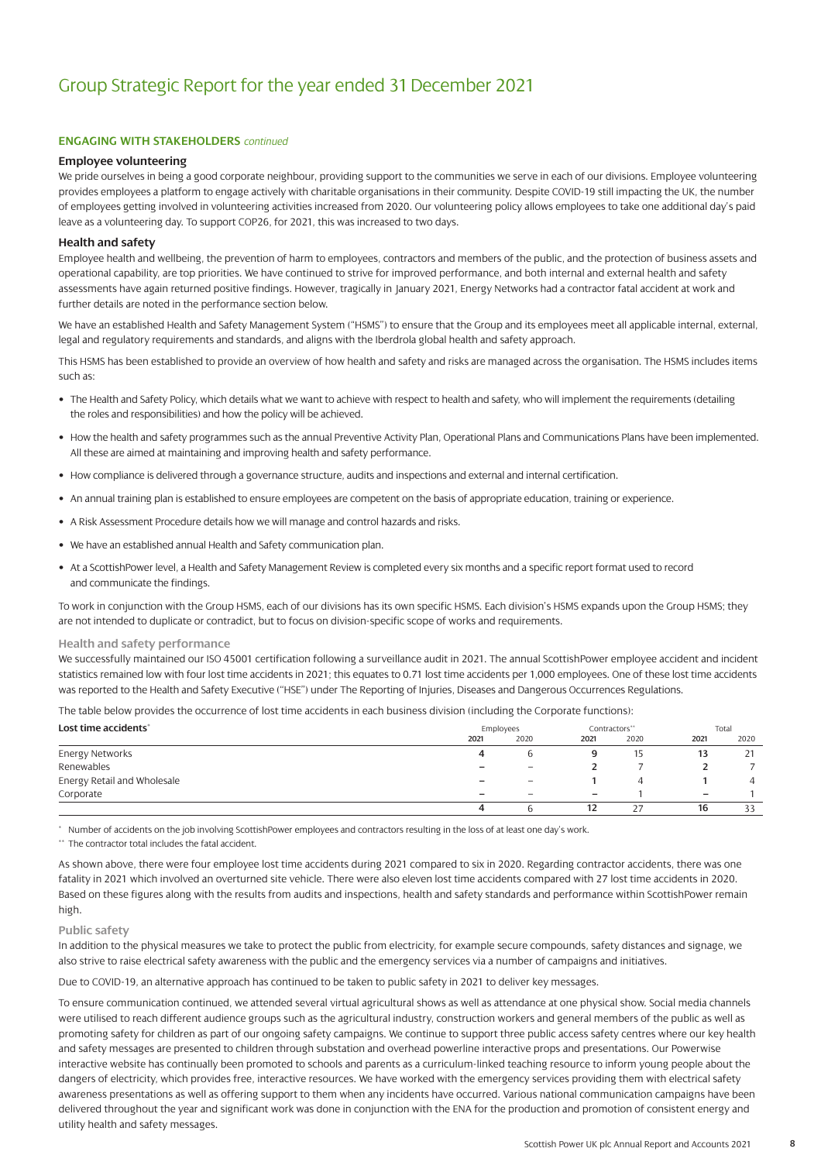#### **ENGAGING WITH STAKEHOLDERS** *continued*

#### **Employee volunteering**

We pride ourselves in being a good corporate neighbour, providing support to the communities we serve in each of our divisions. Employee volunteering provides employees a platform to engage actively with charitable organisations in their community. Despite COVID-19 still impacting the UK, the number of employees getting involved in volunteering activities increased from 2020. Our volunteering policy allows employees to take one additional day's paid leave as a volunteering day. To support COP26, for 2021, this was increased to two days.

#### **Health and safety**

Employee health and wellbeing, the prevention of harm to employees, contractors and members of the public, and the protection of business assets and operational capability, are top priorities. We have continued to strive for improved performance, and both internal and external health and safety assessments have again returned positive findings. However, tragically in January 2021, Energy Networks had a contractor fatal accident at work and further details are noted in the performance section below.

We have an established Health and Safety Management System ("HSMS") to ensure that the Group and its employees meet all applicable internal, external, legal and regulatory requirements and standards, and aligns with the Iberdrola global health and safety approach.

This HSMS has been established to provide an overview of how health and safety and risks are managed across the organisation. The HSMS includes items such as:

- The Health and Safety Policy, which details what we want to achieve with respect to health and safety, who will implement the requirements (detailing the roles and responsibilities) and how the policy will be achieved.
- How the health and safety programmes such as the annual Preventive Activity Plan, Operational Plans and Communications Plans have been implemented. All these are aimed at maintaining and improving health and safety performance.
- How compliance is delivered through a governance structure, audits and inspections and external and internal certification.
- An annual training plan is established to ensure employees are competent on the basis of appropriate education, training or experience.
- A Risk Assessment Procedure details how we will manage and control hazards and risks.
- We have an established annual Health and Safety communication plan.
- At a ScottishPower level, a Health and Safety Management Review is completed every six months and a specific report format used to record and communicate the findings.

To work in conjunction with the Group HSMS, each of our divisions has its own specific HSMS. Each division's HSMS expands upon the Group HSMS; they are not intended to duplicate or contradict, but to focus on division-specific scope of works and requirements.

#### **Health and safety performance**

We successfully maintained our ISO 45001 certification following a surveillance audit in 2021. The annual ScottishPower employee accident and incident statistics remained low with four lost time accidents in 2021; this equates to 0.71 lost time accidents per 1,000 employees. One of these lost time accidents was reported to the Health and Safety Executive ("HSE") under The Reporting of Injuries, Diseases and Dangerous Occurrences Regulations.

The table below provides the occurrence of lost time accidents in each business division (including the Corporate functions):

| Lost time accidents"        |      | Employees                |                          | Contractors** |                          | Total          |  |
|-----------------------------|------|--------------------------|--------------------------|---------------|--------------------------|----------------|--|
|                             | 2021 | 2020                     | 2021                     | 2020          | 2021                     | 2020           |  |
| Energy Networks             |      |                          |                          |               | 13                       | 21             |  |
| Renewables                  | -    |                          |                          |               |                          |                |  |
| Energy Retail and Wholesale | -    | $\overline{\phantom{m}}$ |                          | 4             |                          | $\overline{4}$ |  |
| Corporate                   | -    | $\overline{\phantom{m}}$ | $\overline{\phantom{0}}$ |               | $\overline{\phantom{0}}$ |                |  |
|                             | Д    |                          | 12                       | 27            | 16                       | 33             |  |

Number of accidents on the job involving ScottishPower employees and contractors resulting in the loss of at least one day's work.

\*\* The contractor total includes the fatal accident.

As shown above, there were four employee lost time accidents during 2021 compared to six in 2020. Regarding contractor accidents, there was one fatality in 2021 which involved an overturned site vehicle. There were also eleven lost time accidents compared with 27 lost time accidents in 2020. Based on these figures along with the results from audits and inspections, health and safety standards and performance within ScottishPower remain high.

#### **Public safety**

In addition to the physical measures we take to protect the public from electricity, for example secure compounds, safety distances and signage, we also strive to raise electrical safety awareness with the public and the emergency services via a number of campaigns and initiatives.

Due to COVID-19, an alternative approach has continued to be taken to public safety in 2021 to deliver key messages.

To ensure communication continued, we attended several virtual agricultural shows as well as attendance at one physical show. Social media channels were utilised to reach different audience groups such as the agricultural industry, construction workers and general members of the public as well as promoting safety for children as part of our ongoing safety campaigns. We continue to support three public access safety centres where our key health and safety messages are presented to children through substation and overhead powerline interactive props and presentations. Our Powerwise interactive website has continually been promoted to schools and parents as a curriculum-linked teaching resource to inform young people about the dangers of electricity, which provides free, interactive resources. We have worked with the emergency services providing them with electrical safety awareness presentations as well as offering support to them when any incidents have occurred. Various national communication campaigns have been delivered throughout the year and significant work was done in conjunction with the ENA for the production and promotion of consistent energy and utility health and safety messages.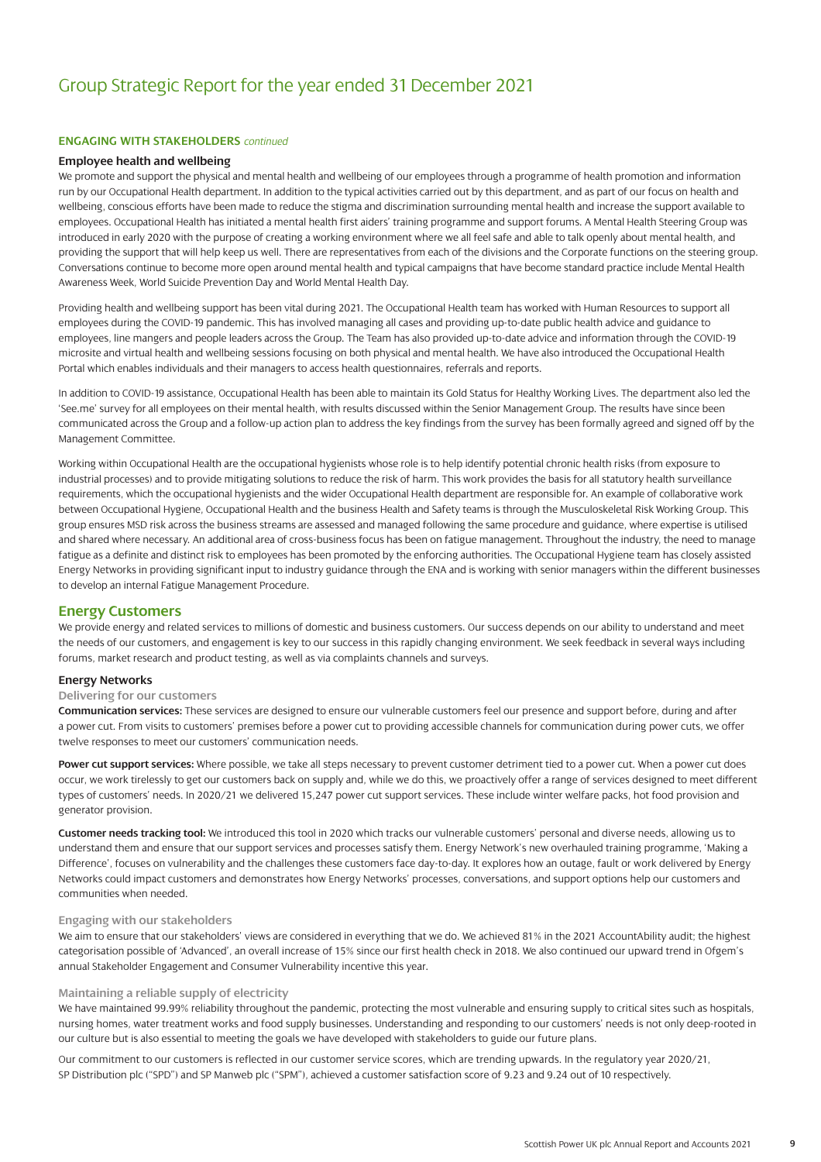#### **ENGAGING WITH STAKEHOLDERS** *continued*

#### **Employee health and wellbeing**

We promote and support the physical and mental health and wellbeing of our employees through a programme of health promotion and information run by our Occupational Health department. In addition to the typical activities carried out by this department, and as part of our focus on health and wellbeing, conscious efforts have been made to reduce the stigma and discrimination surrounding mental health and increase the support available to employees. Occupational Health has initiated a mental health first aiders' training programme and support forums. A Mental Health Steering Group was introduced in early 2020 with the purpose of creating a working environment where we all feel safe and able to talk openly about mental health, and providing the support that will help keep us well. There are representatives from each of the divisions and the Corporate functions on the steering group. Conversations continue to become more open around mental health and typical campaigns that have become standard practice include Mental Health Awareness Week, World Suicide Prevention Day and World Mental Health Day.

Providing health and wellbeing support has been vital during 2021. The Occupational Health team has worked with Human Resources to support all employees during the COVID-19 pandemic. This has involved managing all cases and providing up-to-date public health advice and guidance to employees, line mangers and people leaders across the Group. The Team has also provided up-to-date advice and information through the COVID-19 microsite and virtual health and wellbeing sessions focusing on both physical and mental health. We have also introduced the Occupational Health Portal which enables individuals and their managers to access health questionnaires, referrals and reports.

In addition to COVID-19 assistance, Occupational Health has been able to maintain its Gold Status for Healthy Working Lives. The department also led the 'See.me' survey for all employees on their mental health, with results discussed within the Senior Management Group. The results have since been communicated across the Group and a follow-up action plan to address the key findings from the survey has been formally agreed and signed off by the Management Committee.

Working within Occupational Health are the occupational hygienists whose role is to help identify potential chronic health risks (from exposure to industrial processes) and to provide mitigating solutions to reduce the risk of harm. This work provides the basis for all statutory health surveillance requirements, which the occupational hygienists and the wider Occupational Health department are responsible for. An example of collaborative work between Occupational Hygiene, Occupational Health and the business Health and Safety teams is through the Musculoskeletal Risk Working Group. This group ensures MSD risk across the business streams are assessed and managed following the same procedure and guidance, where expertise is utilised and shared where necessary. An additional area of cross-business focus has been on fatigue management. Throughout the industry, the need to manage fatigue as a definite and distinct risk to employees has been promoted by the enforcing authorities. The Occupational Hygiene team has closely assisted Energy Networks in providing significant input to industry guidance through the ENA and is working with senior managers within the different businesses to develop an internal Fatigue Management Procedure.

#### **Energy Customers**

We provide energy and related services to millions of domestic and business customers. Our success depends on our ability to understand and meet the needs of our customers, and engagement is key to our success in this rapidly changing environment. We seek feedback in several ways including forums, market research and product testing, as well as via complaints channels and surveys.

#### **Energy Networks**

#### **Delivering for our customers**

**Communication services:** These services are designed to ensure our vulnerable customers feel our presence and support before, during and after a power cut. From visits to customers' premises before a power cut to providing accessible channels for communication during power cuts, we offer twelve responses to meet our customers' communication needs.

**Power cut support services:** Where possible, we take all steps necessary to prevent customer detriment tied to a power cut. When a power cut does occur, we work tirelessly to get our customers back on supply and, while we do this, we proactively offer a range of services designed to meet different types of customers' needs. In 2020/21 we delivered 15,247 power cut support services. These include winter welfare packs, hot food provision and generator provision.

**Customer needs tracking tool:** We introduced this tool in 2020 which tracks our vulnerable customers' personal and diverse needs, allowing us to understand them and ensure that our support services and processes satisfy them. Energy Network's new overhauled training programme, 'Making a Difference', focuses on vulnerability and the challenges these customers face day-to-day. It explores how an outage, fault or work delivered by Energy Networks could impact customers and demonstrates how Energy Networks' processes, conversations, and support options help our customers and communities when needed.

#### **Engaging with our stakeholders**

We aim to ensure that our stakeholders' views are considered in everything that we do. We achieved 81% in the 2021 AccountAbility audit; the highest categorisation possible of 'Advanced', an overall increase of 15% since our first health check in 2018. We also continued our upward trend in Ofgem's annual Stakeholder Engagement and Consumer Vulnerability incentive this year.

#### **Maintaining a reliable supply of electricity**

We have maintained 99.99% reliability throughout the pandemic, protecting the most vulnerable and ensuring supply to critical sites such as hospitals, nursing homes, water treatment works and food supply businesses. Understanding and responding to our customers' needs is not only deep-rooted in our culture but is also essential to meeting the goals we have developed with stakeholders to guide our future plans.

Our commitment to our customers is reflected in our customer service scores, which are trending upwards. In the regulatory year 2020/21, SP Distribution plc ("SPD") and SP Manweb plc ("SPM"), achieved a customer satisfaction score of 9.23 and 9.24 out of 10 respectively.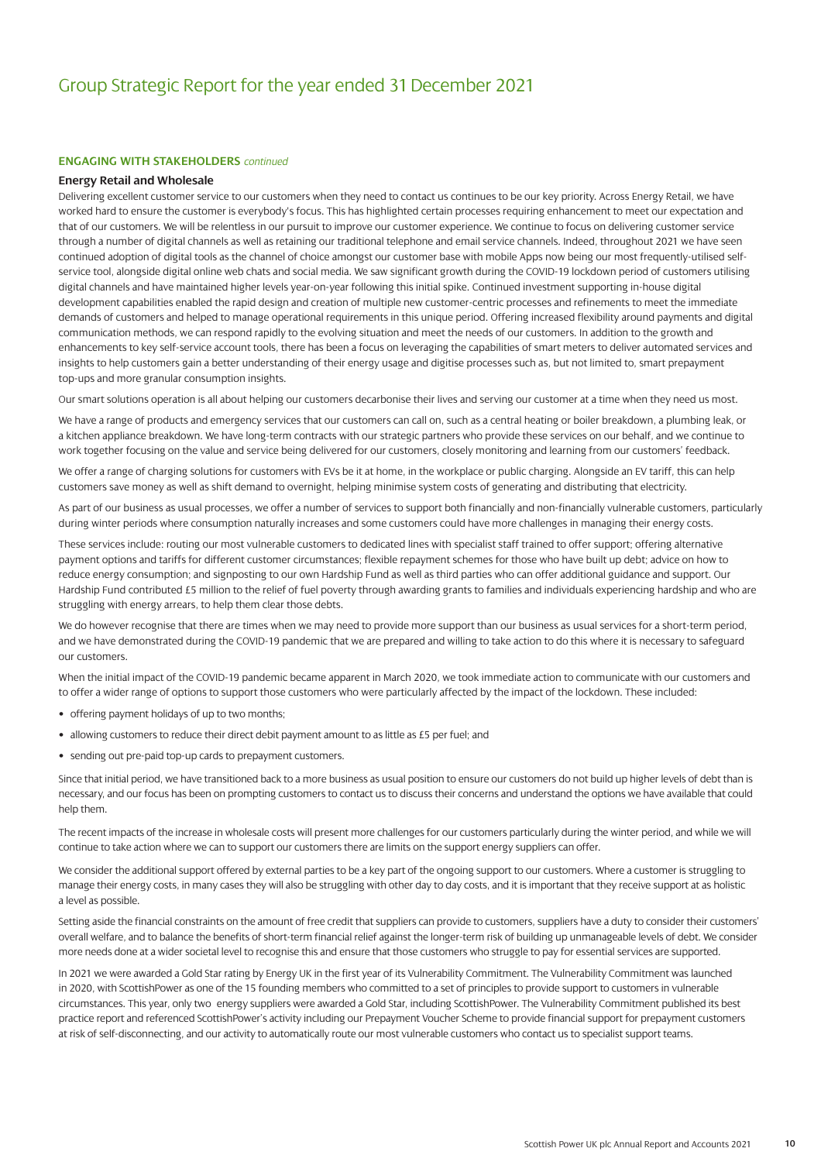#### **ENGAGING WITH STAKEHOLDERS** *continued*

#### **Energy Retail and Wholesale**

Delivering excellent customer service to our customers when they need to contact us continues to be our key priority. Across Energy Retail, we have worked hard to ensure the customer is everybody's focus. This has highlighted certain processes requiring enhancement to meet our expectation and that of our customers. We will be relentless in our pursuit to improve our customer experience. We continue to focus on delivering customer service through a number of digital channels as well as retaining our traditional telephone and email service channels. Indeed, throughout 2021 we have seen continued adoption of digital tools as the channel of choice amongst our customer base with mobile Apps now being our most frequently-utilised selfservice tool, alongside digital online web chats and social media. We saw significant growth during the COVID-19 lockdown period of customers utilising digital channels and have maintained higher levels year-on-year following this initial spike. Continued investment supporting in-house digital development capabilities enabled the rapid design and creation of multiple new customer-centric processes and refinements to meet the immediate demands of customers and helped to manage operational requirements in this unique period. Offering increased flexibility around payments and digital communication methods, we can respond rapidly to the evolving situation and meet the needs of our customers. In addition to the growth and enhancements to key self-service account tools, there has been a focus on leveraging the capabilities of smart meters to deliver automated services and insights to help customers gain a better understanding of their energy usage and digitise processes such as, but not limited to, smart prepayment top-ups and more granular consumption insights.

Our smart solutions operation is all about helping our customers decarbonise their lives and serving our customer at a time when they need us most.

We have a range of products and emergency services that our customers can call on, such as a central heating or boiler breakdown, a plumbing leak, or a kitchen appliance breakdown. We have long-term contracts with our strategic partners who provide these services on our behalf, and we continue to work together focusing on the value and service being delivered for our customers, closely monitoring and learning from our customers' feedback.

We offer a range of charging solutions for customers with EVs be it at home, in the workplace or public charging. Alongside an EV tariff, this can help customers save money as well as shift demand to overnight, helping minimise system costs of generating and distributing that electricity.

As part of our business as usual processes, we offer a number of services to support both financially and non-financially vulnerable customers, particularly during winter periods where consumption naturally increases and some customers could have more challenges in managing their energy costs.

These services include: routing our most vulnerable customers to dedicated lines with specialist staff trained to offer support; offering alternative payment options and tariffs for different customer circumstances; flexible repayment schemes for those who have built up debt; advice on how to reduce energy consumption; and signposting to our own Hardship Fund as well as third parties who can offer additional guidance and support. Our Hardship Fund contributed £5 million to the relief of fuel poverty through awarding grants to families and individuals experiencing hardship and who are struggling with energy arrears, to help them clear those debts.

We do however recognise that there are times when we may need to provide more support than our business as usual services for a short-term period, and we have demonstrated during the COVID-19 pandemic that we are prepared and willing to take action to do this where it is necessary to safeguard our customers.

When the initial impact of the COVID-19 pandemic became apparent in March 2020, we took immediate action to communicate with our customers and to offer a wider range of options to support those customers who were particularly affected by the impact of the lockdown. These included:

- offering payment holidays of up to two months;
- allowing customers to reduce their direct debit payment amount to as little as £5 per fuel; and
- sending out pre-paid top-up cards to prepayment customers.

Since that initial period, we have transitioned back to a more business as usual position to ensure our customers do not build up higher levels of debt than is necessary, and our focus has been on prompting customers to contact us to discuss their concerns and understand the options we have available that could help them.

The recent impacts of the increase in wholesale costs will present more challenges for our customers particularly during the winter period, and while we will continue to take action where we can to support our customers there are limits on the support energy suppliers can offer.

We consider the additional support offered by external parties to be a key part of the ongoing support to our customers. Where a customer is struggling to manage their energy costs, in many cases they will also be struggling with other day to day costs, and it is important that they receive support at as holistic a level as possible.

Setting aside the financial constraints on the amount of free credit that suppliers can provide to customers, suppliers have a duty to consider their customers' overall welfare, and to balance the benefits of short-term financial relief against the longer-term risk of building up unmanageable levels of debt. We consider more needs done at a wider societal level to recognise this and ensure that those customers who struggle to pay for essential services are supported.

In 2021 we were awarded a Gold Star rating by Energy UK in the first year of its Vulnerability Commitment. The Vulnerability Commitment was launched in 2020, with ScottishPower as one of the 15 founding members who committed to a set of principles to provide support to customers in vulnerable circumstances. This year, only two energy suppliers were awarded a Gold Star, including ScottishPower. The Vulnerability Commitment published its best practice report and referenced ScottishPower's activity including our Prepayment Voucher Scheme to provide financial support for prepayment customers at risk of self-disconnecting, and our activity to automatically route our most vulnerable customers who contact us to specialist support teams.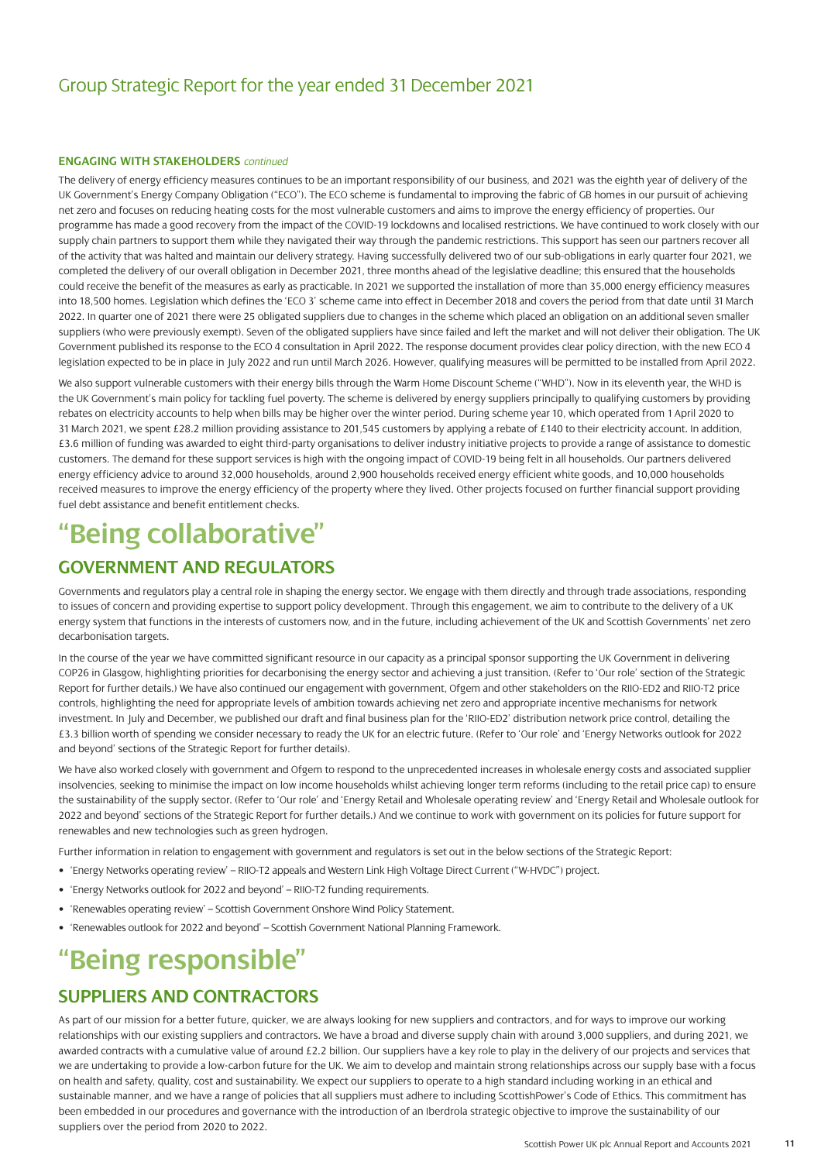#### **ENGAGING WITH STAKEHOLDERS** *continued*

The delivery of energy efficiency measures continues to be an important responsibility of our business, and 2021 was the eighth year of delivery of the UK Government's Energy Company Obligation ("ECO"). The ECO scheme is fundamental to improving the fabric of GB homes in our pursuit of achieving net zero and focuses on reducing heating costs for the most vulnerable customers and aims to improve the energy efficiency of properties. Our programme has made a good recovery from the impact of the COVID-19 lockdowns and localised restrictions. We have continued to work closely with our supply chain partners to support them while they navigated their way through the pandemic restrictions. This support has seen our partners recover all of the activity that was halted and maintain our delivery strategy. Having successfully delivered two of our sub-obligations in early quarter four 2021, we completed the delivery of our overall obligation in December 2021, three months ahead of the legislative deadline; this ensured that the households could receive the benefit of the measures as early as practicable. In 2021 we supported the installation of more than 35,000 energy efficiency measures into 18,500 homes. Legislation which defines the 'ECO 3' scheme came into effect in December 2018 and covers the period from that date until 31 March 2022. In quarter one of 2021 there were 25 obligated suppliers due to changes in the scheme which placed an obligation on an additional seven smaller suppliers (who were previously exempt). Seven of the obligated suppliers have since failed and left the market and will not deliver their obligation. The UK Government published its response to the ECO 4 consultation in April 2022. The response document provides clear policy direction, with the new ECO 4 legislation expected to be in place in July 2022 and run until March 2026. However, qualifying measures will be permitted to be installed from April 2022.

We also support vulnerable customers with their energy bills through the Warm Home Discount Scheme ("WHD"). Now in its eleventh year, the WHD is the UK Government's main policy for tackling fuel poverty. The scheme is delivered by energy suppliers principally to qualifying customers by providing rebates on electricity accounts to help when bills may be higher over the winter period. During scheme year 10, which operated from 1 April 2020 to 31 March 2021, we spent £28.2 million providing assistance to 201,545 customers by applying a rebate of £140 to their electricity account. In addition, £3.6 million of funding was awarded to eight third-party organisations to deliver industry initiative projects to provide a range of assistance to domestic customers. The demand for these support services is high with the ongoing impact of COVID-19 being felt in all households. Our partners delivered energy efficiency advice to around 32,000 households, around 2,900 households received energy efficient white goods, and 10,000 households received measures to improve the energy efficiency of the property where they lived. Other projects focused on further financial support providing fuel debt assistance and benefit entitlement checks.

## **"Being collaborative"**

### **GOVERNMENT AND REGULATORS**

Governments and regulators play a central role in shaping the energy sector. We engage with them directly and through trade associations, responding to issues of concern and providing expertise to support policy development. Through this engagement, we aim to contribute to the delivery of a UK energy system that functions in the interests of customers now, and in the future, including achievement of the UK and Scottish Governments' net zero decarbonisation targets.

In the course of the year we have committed significant resource in our capacity as a principal sponsor supporting the UK Government in delivering COP26 in Glasgow, highlighting priorities for decarbonising the energy sector and achieving a just transition. (Refer to 'Our role' section of the Strategic Report for further details.) We have also continued our engagement with government, Ofgem and other stakeholders on the RIIO-ED2 and RIIO-T2 price controls, highlighting the need for appropriate levels of ambition towards achieving net zero and appropriate incentive mechanisms for network investment. In July and December, we published our draft and final business plan for the 'RIIO-ED2' distribution network price control, detailing the £3.3 billion worth of spending we consider necessary to ready the UK for an electric future. (Refer to 'Our role' and 'Energy Networks outlook for 2022 and beyond' sections of the Strategic Report for further details).

We have also worked closely with government and Ofgem to respond to the unprecedented increases in wholesale energy costs and associated supplier insolvencies, seeking to minimise the impact on low income households whilst achieving longer term reforms (including to the retail price cap) to ensure the sustainability of the supply sector. (Refer to 'Our role' and 'Energy Retail and Wholesale operating review' and 'Energy Retail and Wholesale outlook for 2022 and beyond' sections of the Strategic Report for further details.) And we continue to work with government on its policies for future support for renewables and new technologies such as green hydrogen.

Further information in relation to engagement with government and regulators is set out in the below sections of the Strategic Report:

- 'Energy Networks operating review' RIIO-T2 appeals and Western Link High Voltage Direct Current ("W-HVDC") project.
- 'Energy Networks outlook for 2022 and beyond' RIIO-T2 funding requirements.
- 'Renewables operating review' Scottish Government Onshore Wind Policy Statement.
- 'Renewables outlook for 2022 and beyond' Scottish Government National Planning Framework.

## **"Being responsible"**

### **SUPPLIERS AND CONTRACTORS**

As part of our mission for a better future, quicker, we are always looking for new suppliers and contractors, and for ways to improve our working relationships with our existing suppliers and contractors. We have a broad and diverse supply chain with around 3,000 suppliers, and during 2021, we awarded contracts with a cumulative value of around £2.2 billion. Our suppliers have a key role to play in the delivery of our projects and services that we are undertaking to provide a low-carbon future for the UK. We aim to develop and maintain strong relationships across our supply base with a focus on health and safety, quality, cost and sustainability. We expect our suppliers to operate to a high standard including working in an ethical and sustainable manner, and we have a range of policies that all suppliers must adhere to including ScottishPower's Code of Ethics. This commitment has been embedded in our procedures and governance with the introduction of an Iberdrola strategic objective to improve the sustainability of our suppliers over the period from 2020 to 2022.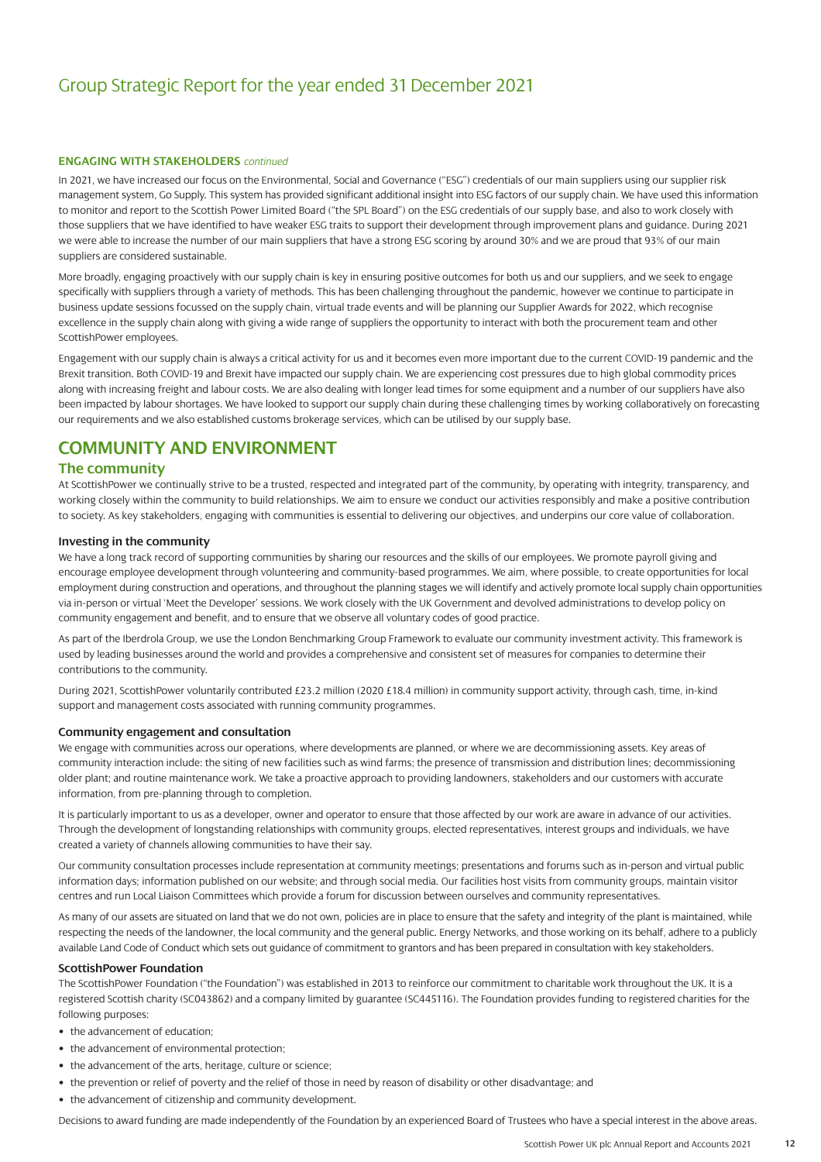#### **ENGAGING WITH STAKEHOLDERS** *continued*

In 2021, we have increased our focus on the Environmental, Social and Governance ("ESG") credentials of our main suppliers using our supplier risk management system, Go Supply. This system has provided significant additional insight into ESG factors of our supply chain. We have used this information to monitor and report to the Scottish Power Limited Board ("the SPL Board") on the ESG credentials of our supply base, and also to work closely with those suppliers that we have identified to have weaker ESG traits to support their development through improvement plans and guidance. During 2021 we were able to increase the number of our main suppliers that have a strong ESG scoring by around 30% and we are proud that 93% of our main suppliers are considered sustainable.

More broadly, engaging proactively with our supply chain is key in ensuring positive outcomes for both us and our suppliers, and we seek to engage specifically with suppliers through a variety of methods. This has been challenging throughout the pandemic, however we continue to participate in business update sessions focussed on the supply chain, virtual trade events and will be planning our Supplier Awards for 2022, which recognise excellence in the supply chain along with giving a wide range of suppliers the opportunity to interact with both the procurement team and other ScottishPower employees.

Engagement with our supply chain is always a critical activity for us and it becomes even more important due to the current COVID-19 pandemic and the Brexit transition. Both COVID-19 and Brexit have impacted our supply chain. We are experiencing cost pressures due to high global commodity prices along with increasing freight and labour costs. We are also dealing with longer lead times for some equipment and a number of our suppliers have also been impacted by labour shortages. We have looked to support our supply chain during these challenging times by working collaboratively on forecasting our requirements and we also established customs brokerage services, which can be utilised by our supply base.

### **COMMUNITY AND ENVIRONMENT**

#### **The community**

At ScottishPower we continually strive to be a trusted, respected and integrated part of the community, by operating with integrity, transparency, and working closely within the community to build relationships. We aim to ensure we conduct our activities responsibly and make a positive contribution to society. As key stakeholders, engaging with communities is essential to delivering our objectives, and underpins our core value of collaboration.

#### **Investing in the community**

We have a long track record of supporting communities by sharing our resources and the skills of our employees. We promote payroll giving and encourage employee development through volunteering and community-based programmes. We aim, where possible, to create opportunities for local employment during construction and operations, and throughout the planning stages we will identify and actively promote local supply chain opportunities via in-person or virtual 'Meet the Developer' sessions. We work closely with the UK Government and devolved administrations to develop policy on community engagement and benefit, and to ensure that we observe all voluntary codes of good practice.

As part of the Iberdrola Group, we use the London Benchmarking Group Framework to evaluate our community investment activity. This framework is used by leading businesses around the world and provides a comprehensive and consistent set of measures for companies to determine their contributions to the community.

During 2021, ScottishPower voluntarily contributed £23.2 million (2020 £18.4 million) in community support activity, through cash, time, in-kind support and management costs associated with running community programmes.

#### **Community engagement and consultation**

We engage with communities across our operations, where developments are planned, or where we are decommissioning assets. Key areas of community interaction include: the siting of new facilities such as wind farms; the presence of transmission and distribution lines; decommissioning older plant; and routine maintenance work. We take a proactive approach to providing landowners, stakeholders and our customers with accurate information, from pre-planning through to completion.

It is particularly important to us as a developer, owner and operator to ensure that those affected by our work are aware in advance of our activities. Through the development of longstanding relationships with community groups, elected representatives, interest groups and individuals, we have created a variety of channels allowing communities to have their say.

Our community consultation processes include representation at community meetings; presentations and forums such as in-person and virtual public information days; information published on our website; and through social media. Our facilities host visits from community groups, maintain visitor centres and run Local Liaison Committees which provide a forum for discussion between ourselves and community representatives.

As many of our assets are situated on land that we do not own, policies are in place to ensure that the safety and integrity of the plant is maintained, while respecting the needs of the landowner, the local community and the general public. Energy Networks, and those working on its behalf, adhere to a publicly available Land Code of Conduct which sets out guidance of commitment to grantors and has been prepared in consultation with key stakeholders.

#### **ScottishPower Foundation**

The ScottishPower Foundation ("the Foundation") was established in 2013 to reinforce our commitment to charitable work throughout the UK. It is a registered Scottish charity (SC043862) and a company limited by guarantee (SC445116). The Foundation provides funding to registered charities for the following purposes:

- the advancement of education:
- the advancement of environmental protection;
- the advancement of the arts, heritage, culture or science;
- the prevention or relief of poverty and the relief of those in need by reason of disability or other disadvantage; and
- the advancement of citizenship and community development.

Decisions to award funding are made independently of the Foundation by an experienced Board of Trustees who have a special interest in the above areas.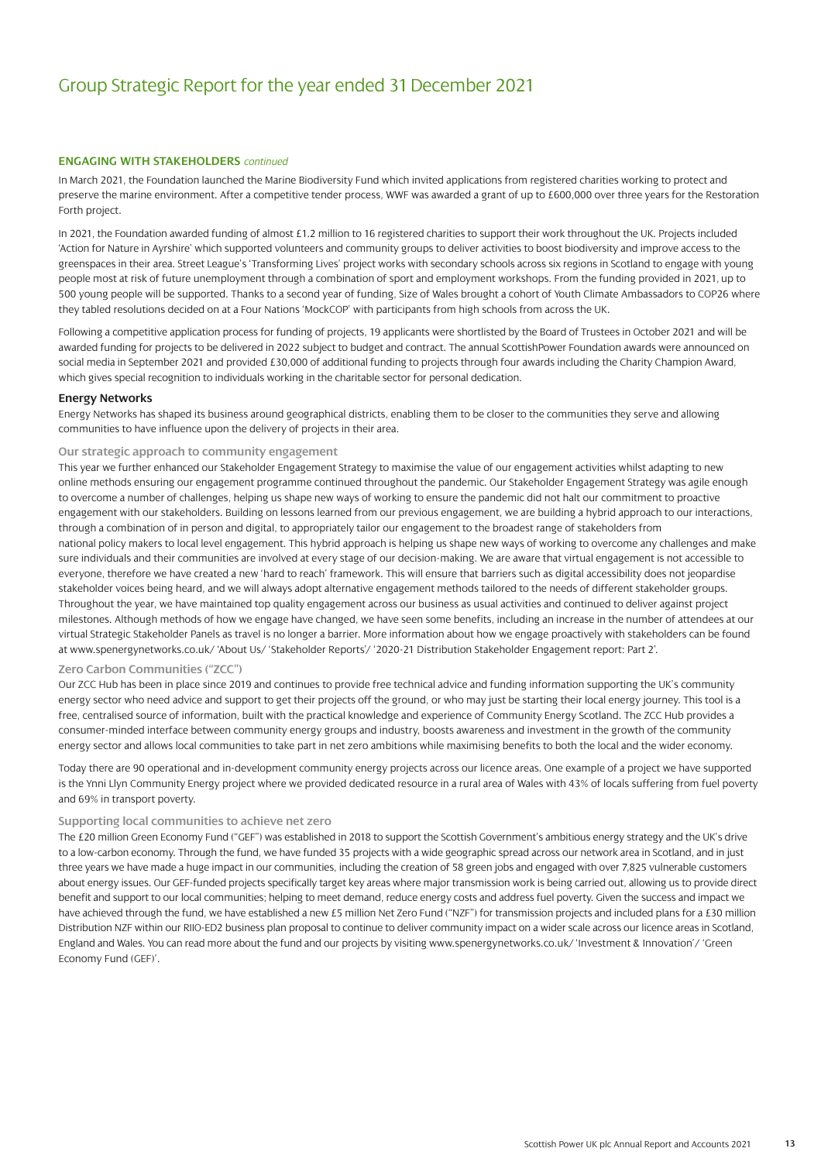#### **ENGAGING WITH STAKEHOLDERS** *continued*

In March 2021, the Foundation launched the Marine Biodiversity Fund which invited applications from registered charities working to protect and preserve the marine environment. After a competitive tender process, WWF was awarded a grant of up to £600,000 over three years for the Restoration Forth project.

In 2021, the Foundation awarded funding of almost £1.2 million to 16 registered charities to support their work throughout the UK. Projects included 'Action for Nature in Ayrshire' which supported volunteers and community groups to deliver activities to boost biodiversity and improve access to the greenspaces in their area. Street League's 'Transforming Lives' project works with secondary schools across six regions in Scotland to engage with young people most at risk of future unemployment through a combination of sport and employment workshops. From the funding provided in 2021, up to 500 young people will be supported. Thanks to a second year of funding, Size of Wales brought a cohort of Youth Climate Ambassadors to COP26 where they tabled resolutions decided on at a Four Nations 'MockCOP' with participants from high schools from across the UK.

Following a competitive application process for funding of projects, 19 applicants were shortlisted by the Board of Trustees in October 2021 and will be awarded funding for projects to be delivered in 2022 subject to budget and contract. The annual ScottishPower Foundation awards were announced on social media in September 2021 and provided £30,000 of additional funding to projects through four awards including the Charity Champion Award, which gives special recognition to individuals working in the charitable sector for personal dedication.

#### **Energy Networks**

Energy Networks has shaped its business around geographical districts, enabling them to be closer to the communities they serve and allowing communities to have influence upon the delivery of projects in their area.

#### **Our strategic approach to community engagement**

This year we further enhanced our Stakeholder Engagement Strategy to maximise the value of our engagement activities whilst adapting to new online methods ensuring our engagement programme continued throughout the pandemic. Our Stakeholder Engagement Strategy was agile enough to overcome a number of challenges, helping us shape new ways of working to ensure the pandemic did not halt our commitment to proactive engagement with our stakeholders. Building on lessons learned from our previous engagement, we are building a hybrid approach to our interactions, through a combination of in person and digital, to appropriately tailor our engagement to the broadest range of stakeholders from national policy makers to local level engagement. This hybrid approach is helping us shape new ways of working to overcome any challenges and make sure individuals and their communities are involved at every stage of our decision-making. We are aware that virtual engagement is not accessible to everyone, therefore we have created a new 'hard to reach' framework. This will ensure that barriers such as digital accessibility does not jeopardise stakeholder voices being heard, and we will always adopt alternative engagement methods tailored to the needs of different stakeholder groups. Throughout the year, we have maintained top quality engagement across our business as usual activities and continued to deliver against project milestones. Although methods of how we engage have changed, we have seen some benefits, including an increase in the number of attendees at our virtual Strategic Stakeholder Panels as travel is no longer a barrier. More information about how we engage proactively with stakeholders can be found [at www.spenergynetworks.co.uk/ 'About Us/ 'Stakeholder Reports'/ '2020-21 Distribution Stakeholder Engagement report: Part 2'.](https://www.spenergynetworks.co.uk/userfiles/file/34326_SPEN_Ofgem-DIST21_PART-TWO_Online.pdf) 

#### **Zero Carbon Communities ("ZCC")**

Our ZCC Hub has been in place since 2019 and continues to provide free technical advice and funding information supporting the UK's community energy sector who need advice and support to get their projects off the ground, or who may just be starting their local energy journey. This tool is a free, centralised source of information, built with the practical knowledge and experience of Community Energy Scotland. The ZCC Hub provides a consumer-minded interface between community energy groups and industry, boosts awareness and investment in the growth of the community energy sector and allows local communities to take part in net zero ambitions while maximising benefits to both the local and the wider economy.

Today there are 90 operational and in-development community energy projects across our licence areas. One example of a project we have supported is the Ynni Llyn Community Energy project where we provided dedicated resource in a rural area of Wales with 43% of locals suffering from fuel poverty and 69% in transport poverty.

#### **Supporting local communities to achieve net zero**

The £20 million Green Economy Fund ("GEF") was established in 2018 to support the Scottish Government's ambitious energy strategy and the UK's drive to a low-carbon economy. Through the fund, we have funded 35 projects with a wide geographic spread across our network area in Scotland, and in just three years we have made a huge impact in our communities, including the creation of 58 green jobs and engaged with over 7,825 vulnerable customers about energy issues. Our GEF-funded projects specifically target key areas where major transmission work is being carried out, allowing us to provide direct benefit and support to our local communities; helping to meet demand, reduce energy costs and address fuel poverty. Given the success and impact we have achieved through the fund, we have established a new £5 million Net Zero Fund ("NZF") for transmission projects and included plans for a £30 million Distribution NZF within our RIIO-ED2 business plan proposal to continue to deliver community impact on a wider scale across our licence areas in Scotland, [England and Wales. You can read more about the fund and our projects by visiting www.spenergynetworks.co.uk/ 'Investment & Innovation'/ 'Green](https://www.spenergynetworks.co.uk/pages/investment_innovation.aspx) Economy Fund (GEF)'.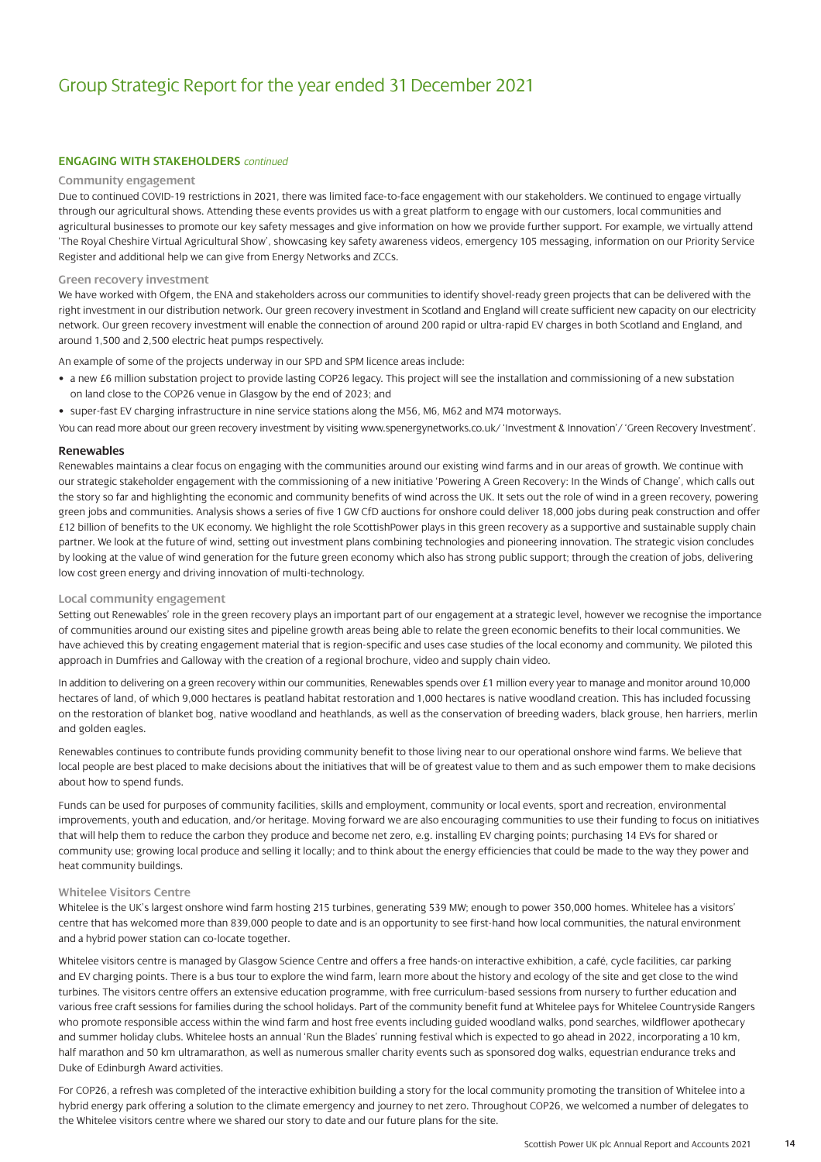#### **ENGAGING WITH STAKEHOLDERS** *continued*

#### **Community engagement**

Due to continued COVID-19 restrictions in 2021, there was limited face-to-face engagement with our stakeholders. We continued to engage virtually through our agricultural shows. Attending these events provides us with a great platform to engage with our customers, local communities and agricultural businesses to promote our key safety messages and give information on how we provide further support. For example, we virtually attend 'The Royal Cheshire Virtual Agricultural Show', showcasing key safety awareness videos, emergency 105 messaging, information on our Priority Service Register and additional help we can give from Energy Networks and ZCCs.

#### **Green recovery investment**

We have worked with Ofgem, the ENA and stakeholders across our communities to identify shovel-ready green projects that can be delivered with the right investment in our distribution network. Our green recovery investment in Scotland and England will create sufficient new capacity on our electricity network. Our green recovery investment will enable the connection of around 200 rapid or ultra-rapid EV charges in both Scotland and England, and around 1,500 and 2,500 electric heat pumps respectively.

An example of some of the projects underway in our SPD and SPM licence areas include:

- a new £6 million substation project to provide lasting COP26 legacy. This project will see the installation and commissioning of a new substation on land close to the COP26 venue in Glasgow by the end of 2023; and
- super-fast EV charging infrastructure in nine service stations along the M56, M6, M62 and M74 motorways.
- You can read more about our green recovery investment by visitin[g www.spenergynetworks.co.uk/ 'Investment & Innovation'/ 'Green Recovery Investment'.](https://www.spenergynetworks.co.uk/pages/green_recovery_investment.aspx)

#### **Renewables**

Renewables maintains a clear focus on engaging with the communities around our existing wind farms and in our areas of growth. We continue with our strategic stakeholder engagement with the commissioning of a new initiative 'Powering A Green Recovery: In the Winds of Change', which calls out the story so far and highlighting the economic and community benefits of wind across the UK. It sets out the role of wind in a green recovery, powering green jobs and communities. Analysis shows a series of five 1 GW CfD auctions for onshore could deliver 18,000 jobs during peak construction and offer £12 billion of benefits to the UK economy. We highlight the role ScottishPower plays in this green recovery as a supportive and sustainable supply chain partner. We look at the future of wind, setting out investment plans combining technologies and pioneering innovation. The strategic vision concludes by looking at the value of wind generation for the future green economy which also has strong public support; through the creation of jobs, delivering low cost green energy and driving innovation of multi-technology.

#### **Local community engagement**

Setting out Renewables' role in the green recovery plays an important part of our engagement at a strategic level, however we recognise the importance of communities around our existing sites and pipeline growth areas being able to relate the green economic benefits to their local communities. We have achieved this by creating engagement material that is region-specific and uses case studies of the local economy and community. We piloted this approach in Dumfries and Galloway with the creation of a regional brochure, video and supply chain video.

In addition to delivering on a green recovery within our communities, Renewables spends over £1 million every year to manage and monitor around 10,000 hectares of land, of which 9,000 hectares is peatland habitat restoration and 1,000 hectares is native woodland creation. This has included focussing on the restoration of blanket bog, native woodland and heathlands, as well as the conservation of breeding waders, black grouse, hen harriers, merlin and golden eagles.

Renewables continues to contribute funds providing community benefit to those living near to our operational onshore wind farms. We believe that local people are best placed to make decisions about the initiatives that will be of greatest value to them and as such empower them to make decisions about how to spend funds.

Funds can be used for purposes of community facilities, skills and employment, community or local events, sport and recreation, environmental improvements, youth and education, and/or heritage. Moving forward we are also encouraging communities to use their funding to focus on initiatives that will help them to reduce the carbon they produce and become net zero, e.g. installing EV charging points; purchasing 14 EVs for shared or community use; growing local produce and selling it locally; and to think about the energy efficiencies that could be made to the way they power and heat community buildings.

#### **Whitelee Visitors Centre**

Whitelee is the UK's largest onshore wind farm hosting 215 turbines, generating 539 MW; enough to power 350,000 homes. Whitelee has a visitors' centre that has welcomed more than 839,000 people to date and is an opportunity to see first-hand how local communities, the natural environment and a hybrid power station can co-locate together.

Whitelee visitors centre is managed by Glasgow Science Centre and offers a free hands-on interactive exhibition, a café, cycle facilities, car parking and EV charging points. There is a bus tour to explore the wind farm, learn more about the history and ecology of the site and get close to the wind turbines. The visitors centre offers an extensive education programme, with free curriculum-based sessions from nursery to further education and various free craft sessions for families during the school holidays. Part of the community benefit fund at Whitelee pays for Whitelee Countryside Rangers who promote responsible access within the wind farm and host free events including guided woodland walks, pond searches, wildflower apothecary and summer holiday clubs. Whitelee hosts an annual 'Run the Blades' running festival which is expected to go ahead in 2022, incorporating a 10 km, half marathon and 50 km ultramarathon, as well as numerous smaller charity events such as sponsored dog walks, equestrian endurance treks and Duke of Edinburgh Award activities.

For COP26, a refresh was completed of the interactive exhibition building a story for the local community promoting the transition of Whitelee into a hybrid energy park offering a solution to the climate emergency and journey to net zero. Throughout COP26, we welcomed a number of delegates to the Whitelee visitors centre where we shared our story to date and our future plans for the site.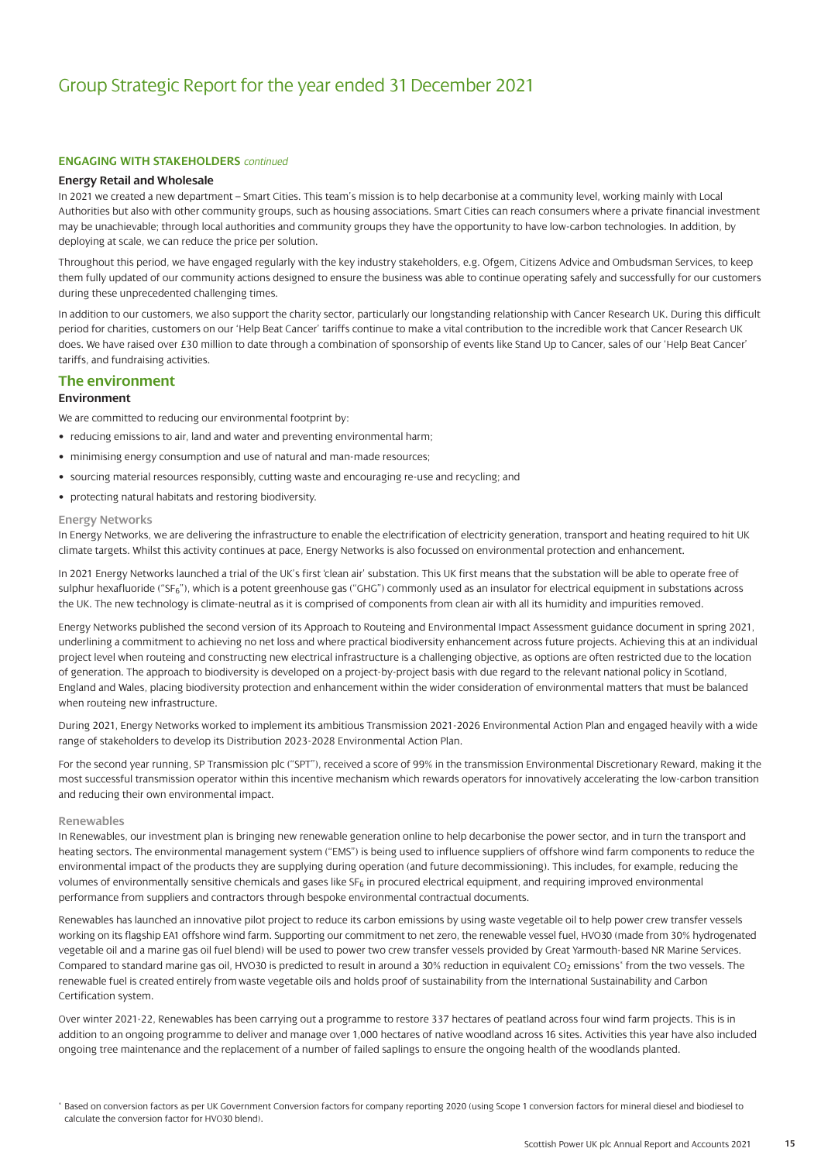#### **ENGAGING WITH STAKEHOLDERS** *continued*

#### **Energy Retail and Wholesale**

In 2021 we created a new department – Smart Cities. This team's mission is to help decarbonise at a community level, working mainly with Local Authorities but also with other community groups, such as housing associations. Smart Cities can reach consumers where a private financial investment may be unachievable; through local authorities and community groups they have the opportunity to have low-carbon technologies. In addition, by deploying at scale, we can reduce the price per solution.

Throughout this period, we have engaged regularly with the key industry stakeholders, e.g. Ofgem, Citizens Advice and Ombudsman Services, to keep them fully updated of our community actions designed to ensure the business was able to continue operating safely and successfully for our customers during these unprecedented challenging times.

In addition to our customers, we also support the charity sector, particularly our longstanding relationship with Cancer Research UK. During this difficult period for charities, customers on our 'Help Beat Cancer' tariffs continue to make a vital contribution to the incredible work that Cancer Research UK does. We have raised over £30 million to date through a combination of sponsorship of events like Stand Up to Cancer, sales of our 'Help Beat Cancer' tariffs, and fundraising activities.

#### **The environment**

#### **Environment**

We are committed to reducing our environmental footprint by:

- reducing emissions to air, land and water and preventing environmental harm;
- minimising energy consumption and use of natural and man-made resources;
- sourcing material resources responsibly, cutting waste and encouraging re-use and recycling; and
- protecting natural habitats and restoring biodiversity.

#### **Energy Networks**

In Energy Networks, we are delivering the infrastructure to enable the electrification of electricity generation, transport and heating required to hit UK climate targets. Whilst this activity continues at pace, Energy Networks is also focussed on environmental protection and enhancement.

In 2021 Energy Networks launched a trial of the UK's first 'clean air' substation. This UK first means that the substation will be able to operate free of sulphur hexafluoride ("SF<sub>6</sub>"), which is a potent greenhouse gas ("GHG") commonly used as an insulator for electrical equipment in substations across the UK. The new technology is climate-neutral as it is comprised of components from clean air with all its humidity and impurities removed.

Energy Networks published the second version of its Approach to Routeing and Environmental Impact Assessment guidance document in spring 2021, underlining a commitment to achieving no net loss and where practical biodiversity enhancement across future projects. Achieving this at an individual project level when routeing and constructing new electrical infrastructure is a challenging objective, as options are often restricted due to the location of generation. The approach to biodiversity is developed on a project-by-project basis with due regard to the relevant national policy in Scotland, England and Wales, placing biodiversity protection and enhancement within the wider consideration of environmental matters that must be balanced when routeing new infrastructure.

During 2021, Energy Networks worked to implement its ambitious Transmission 2021-2026 Environmental Action Plan and engaged heavily with a wide range of stakeholders to develop its Distribution 2023-2028 Environmental Action Plan.

For the second year running, SP Transmission plc ("SPT"), received a score of 99% in the transmission Environmental Discretionary Reward, making it the most successful transmission operator within this incentive mechanism which rewards operators for innovatively accelerating the low-carbon transition and reducing their own environmental impact.

#### **Renewables**

In Renewables, our investment plan is bringing new renewable generation online to help decarbonise the power sector, and in turn the transport and heating sectors. The environmental management system ("EMS") is being used to influence suppliers of offshore wind farm components to reduce the environmental impact of the products they are supplying during operation (and future decommissioning). This includes, for example, reducing the volumes of environmentally sensitive chemicals and gases like SF<sub>6</sub> in procured electrical equipment, and requiring improved environmental performance from suppliers and contractors through bespoke environmental contractual documents.

Renewables has launched an innovative pilot project to reduce its carbon emissions by using waste vegetable oil to help power crew transfer vessels working on its flagship EA1 offshore wind farm. Supporting our commitment to net zero, the renewable vessel fuel, HVO30 (made from 30% hydrogenated vegetable oil and a marine gas oil fuel blend) will be used to power two crew transfer vessels provided by Great Yarmouth-based NR Marine Services. Compared to standard marine gas oil, HVO30 is predicted to result in around a 30% reduction in equivalent CO<sub>2</sub> emissions<sup>\*</sup> from the two vessels. The renewable fuel is created entirely from waste vegetable oils and holds proof of sustainability from the International Sustainability and Carbon Certification system.

Over winter 2021-22, Renewables has been carrying out a programme to restore 337 hectares of peatland across four wind farm projects. This is in addition to an ongoing programme to deliver and manage over 1,000 hectares of native woodland across 16 sites. Activities this year have also included ongoing tree maintenance and the replacement of a number of failed saplings to ensure the ongoing health of the woodlands planted.

\* Based on conversion factors as per UK Government Conversion factors for company reporting 2020 (using Scope 1 conversion factors for mineral diesel and biodiesel to calculate the conversion factor for HVO30 blend).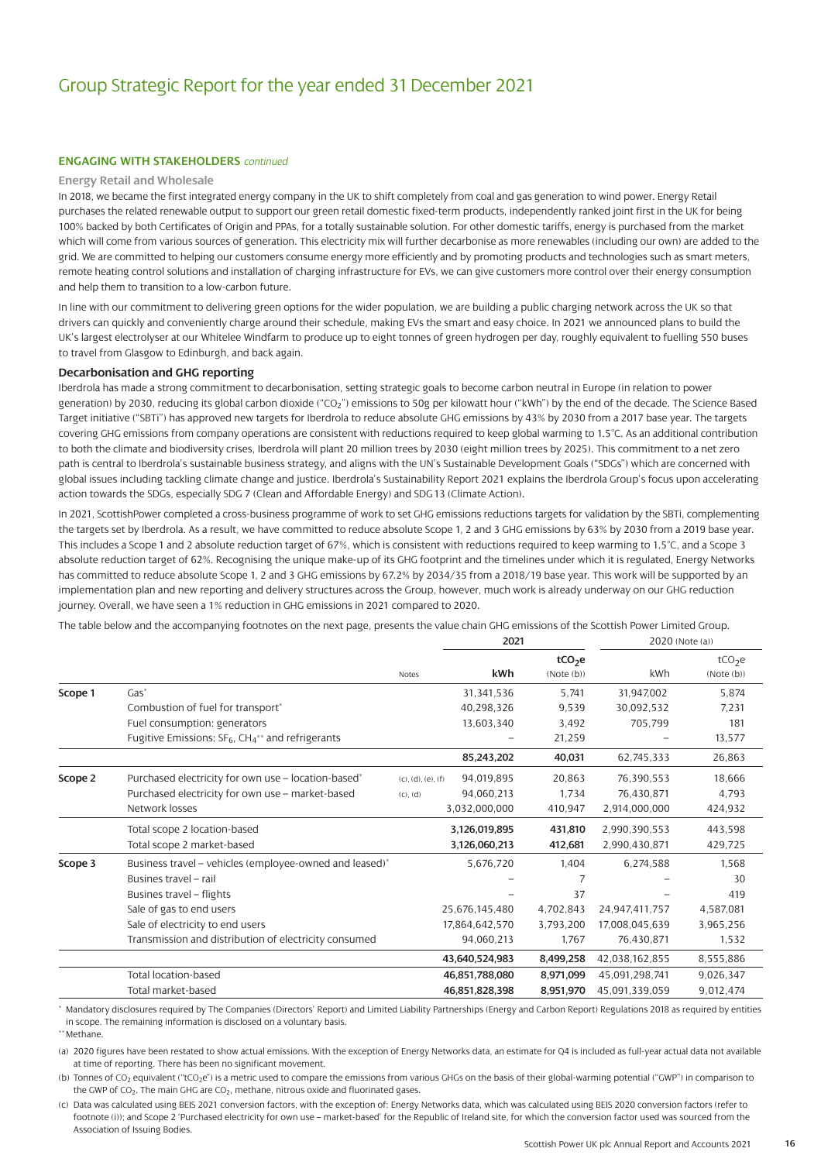#### **ENGAGING WITH STAKEHOLDERS** *continued*

#### **Energy Retail and Wholesale**

In 2018, we became the first integrated energy company in the UK to shift completely from coal and gas generation to wind power. Energy Retail purchases the related renewable output to support our green retail domestic fixed-term products, independently ranked joint first in the UK for being 100% backed by both Certificates of Origin and PPAs, for a totally sustainable solution. For other domestic tariffs, energy is purchased from the market which will come from various sources of generation. This electricity mix will further decarbonise as more renewables (including our own) are added to the grid. We are committed to helping our customers consume energy more efficiently and by promoting products and technologies such as smart meters, remote heating control solutions and installation of charging infrastructure for EVs, we can give customers more control over their energy consumption and help them to transition to a low-carbon future.

In line with our commitment to delivering green options for the wider population, we are building a public charging network across the UK so that drivers can quickly and conveniently charge around their schedule, making EVs the smart and easy choice. In 2021 we announced plans to build the UK's largest electrolyser at our Whitelee Windfarm to produce up to eight tonnes of green hydrogen per day, roughly equivalent to fuelling 550 buses to travel from Glasgow to Edinburgh, and back again.

#### **Decarbonisation and GHG reporting**

Iberdrola has made a strong commitment to decarbonisation, setting strategic goals to become carbon neutral in Europe (in relation to power generation) by 2030, reducing its global carbon dioxide ("CO<sub>2</sub>") emissions to 50g per kilowatt hour ("kWh") by the end of the decade. The Science Based Target initiative ("SBTi") has approved new targets for Iberdrola to reduce absolute GHG emissions by 43% by 2030 from a 2017 base year. The targets covering GHG emissions from company operations are consistent with reductions required to keep global warming to 1.5°C. As an additional contribution to both the climate and biodiversity crises, Iberdrola will plant 20 million trees by 2030 (eight million trees by 2025). This commitment to a net zero path is central to Iberdrola's sustainable business strategy, and aligns with the UN's Sustainable Development Goals ("SDGs") which are concerned with global issues including tackling climate change and justice. Iberdrola's Sustainability Report 2021 explains the Iberdrola Group's focus upon accelerating action towards the SDGs, especially SDG 7 (Clean and Affordable Energy) and SDG 13 (Climate Action).

In 2021, ScottishPower completed a cross-business programme of work to set GHG emissions reductions targets for validation by the SBTi, complementing the targets set by Iberdrola. As a result, we have committed to reduce absolute Scope 1, 2 and 3 GHG emissions by 63% by 2030 from a 2019 base year. This includes a Scope 1 and 2 absolute reduction target of 67%, which is consistent with reductions required to keep warming to 1.5°C, and a Scope 3 absolute reduction target of 62%. Recognising the unique make-up of its GHG footprint and the timelines under which it is regulated, Energy Networks has committed to reduce absolute Scope 1, 2 and 3 GHG emissions by 67.2% by 2034/35 from a 2018/19 base year. This work will be supported by an implementation plan and new reporting and delivery structures across the Group, however, much work is already underway on our GHG reduction journey. Overall, we have seen a 1% reduction in GHG emissions in 2021 compared to 2020.

The table below and the accompanying footnotes on the next page, presents the value chain GHG emissions of the Scottish Power Limited Group.

|         |                                                                           |                    | 2021           |                                 | 2020 (Note (a)) |                                 |  |
|---------|---------------------------------------------------------------------------|--------------------|----------------|---------------------------------|-----------------|---------------------------------|--|
|         |                                                                           | Notes              | kWh            | tCO <sub>2</sub> e<br>(Note(b)) | kWh             | tCO <sub>2</sub> e<br>(Note(b)) |  |
| Scope 1 | $Gas*$                                                                    |                    | 31,341,536     | 5,741                           | 31,947,002      | 5,874                           |  |
|         | Combustion of fuel for transport*                                         |                    | 40,298,326     | 9,539                           | 30.092.532      | 7.231                           |  |
|         | Fuel consumption: generators                                              |                    | 13,603,340     | 3,492                           | 705,799         | 181                             |  |
|         | Fugitive Emissions: SF <sub>6</sub> , CH <sub>4</sub> ** and refrigerants |                    |                | 21,259                          |                 | 13,577                          |  |
|         |                                                                           |                    | 85,243,202     | 40,031                          | 62,745,333      | 26,863                          |  |
| Scope 2 | Purchased electricity for own use - location-based*                       | (c), (d), (e), (f) | 94,019,895     | 20,863                          | 76,390,553      | 18,666                          |  |
|         | Purchased electricity for own use - market-based                          | (C), (d)           | 94,060,213     | 1.734                           | 76,430,871      | 4,793                           |  |
|         | Network losses                                                            |                    | 3,032,000,000  | 410,947                         | 2,914,000,000   | 424,932                         |  |
|         | Total scope 2 location-based                                              |                    | 3,126,019,895  | 431,810                         | 2,990,390,553   | 443,598                         |  |
|         | Total scope 2 market-based                                                |                    | 3,126,060,213  | 412,681                         | 2,990,430,871   | 429,725                         |  |
| Scope 3 | Business travel - vehicles (employee-owned and leased)*                   |                    | 5,676,720      | 1,404                           | 6,274,588       | 1,568                           |  |
|         | Busines travel - rail                                                     |                    |                |                                 |                 | 30                              |  |
|         | Busines travel - flights                                                  |                    |                | 37                              |                 | 419                             |  |
|         | Sale of gas to end users                                                  |                    | 25,676,145,480 | 4,702,843                       | 24,947,411,757  | 4,587,081                       |  |
|         | Sale of electricity to end users                                          |                    | 17,864,642,570 | 3,793,200                       | 17,008,045,639  | 3,965,256                       |  |
|         | Transmission and distribution of electricity consumed                     |                    | 94,060,213     | 1,767                           | 76,430,871      | 1,532                           |  |
|         |                                                                           |                    | 43,640,524,983 | 8,499,258                       | 42,038,162,855  | 8,555,886                       |  |
|         | Total location-based                                                      |                    | 46,851,788,080 | 8,971,099                       | 45,091,298,741  | 9,026,347                       |  |
|         | Total market-based                                                        |                    | 46,851,828,398 | 8,951,970                       | 45.091.339.059  | 9,012,474                       |  |

\* Mandatory disclosures required by The Companies (Directors' Report) and Limited Liability Partnerships (Energy and Carbon Report) Regulations 2018 as required by entities in scope. The remaining information is disclosed on a voluntary basis.

\*\* Methane.

(a) 2020 figures have been restated to show actual emissions. With the exception of Energy Networks data, an estimate for Q4 is included as full-year actual data not available at time of reporting. There has been no significant movement.

(b) Tonnes of CO2 equivalent ("tCO2e") is a metric used to compare the emissions from various GHGs on the basis of their global-warming potential ("GWP") in comparison to the GWP of CO<sub>2</sub>. The main GHG are CO<sub>2</sub>, methane, nitrous oxide and fluorinated gases.

(c) Data was calculated using BEIS 2021 conversion factors, with the exception of: Energy Networks data, which was calculated using BEIS 2020 conversion factors (refer to footnote (i)); and Scope 2 'Purchased electricity for own use – market-based' for the Republic of Ireland site, for which the conversion factor used was sourced from the Association of Issuing Bodies.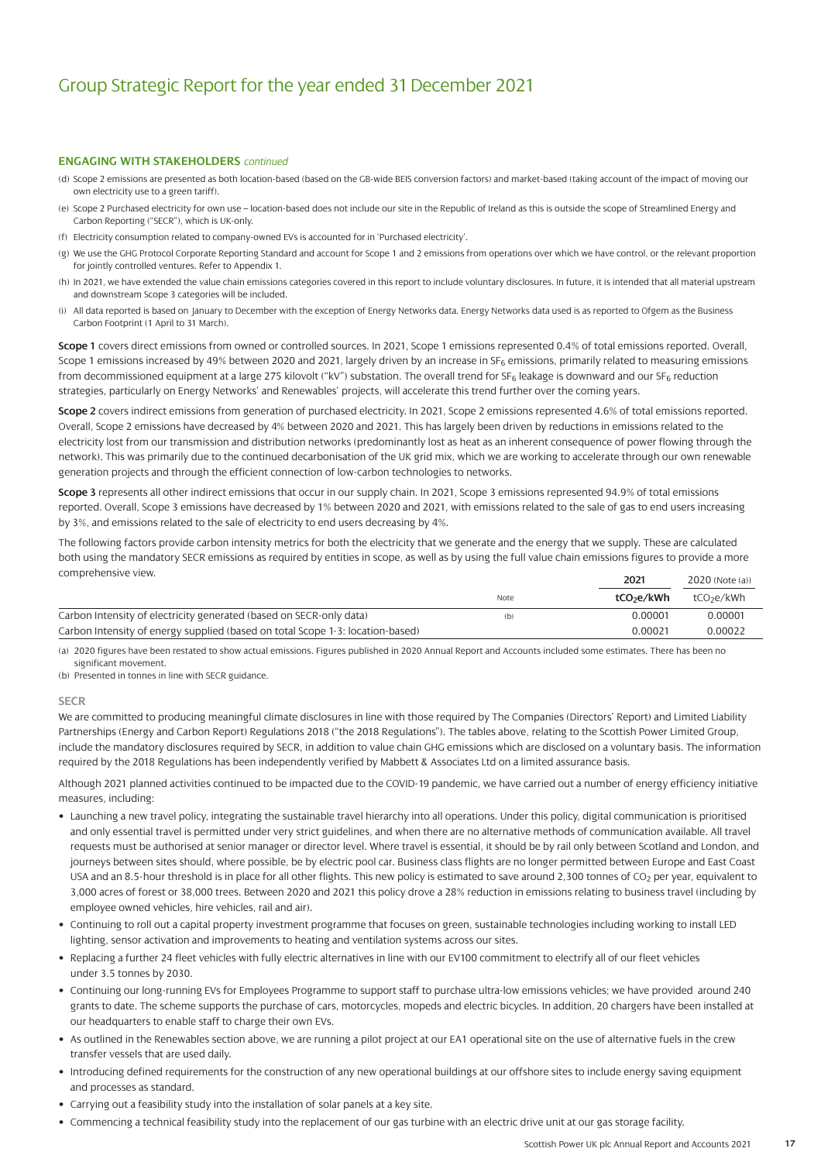#### **ENGAGING WITH STAKEHOLDERS** *continued*

- (d) Scope 2 emissions are presented as both location-based (based on the GB-wide BEIS conversion factors) and market-based (taking account of the impact of moving our own electricity use to a green tariff).
- (e) Scope 2 Purchased electricity for own use location-based does not include our site in the Republic of Ireland as this is outside the scope of Streamlined Energy and Carbon Reporting ("SECR"), which is UK-only.
- (f) Electricity consumption related to company-owned EVs is accounted for in 'Purchased electricity'.
- (g) We use the GHG Protocol Corporate Reporting Standard and account for Scope 1 and 2 emissions from operations over which we have control, or the relevant proportion for jointly controlled ventures. Refer to Appendix 1.
- (h) In 2021, we have extended the value chain emissions categories covered in this report to include voluntary disclosures. In future, it is intended that all material upstream and downstream Scope 3 categories will be included.
- (i) All data reported is based on January to December with the exception of Energy Networks data. Energy Networks data used is as reported to Ofgem as the Business Carbon Footprint (1 April to 31 March).

**Scope 1** covers direct emissions from owned or controlled sources. In 2021, Scope 1 emissions represented 0.4% of total emissions reported. Overall, Scope 1 emissions increased by 49% between 2020 and 2021, largely driven by an increase in SF<sub>6</sub> emissions, primarily related to measuring emissions from decommissioned equipment at a large 275 kilovolt ("kV") substation. The overall trend for SF<sub>6</sub> leakage is downward and our SF<sub>6</sub> reduction strategies, particularly on Energy Networks' and Renewables' projects, will accelerate this trend further over the coming years.

**Scope 2** covers indirect emissions from generation of purchased electricity. In 2021, Scope 2 emissions represented 4.6% of total emissions reported. Overall, Scope 2 emissions have decreased by 4% between 2020 and 2021. This has largely been driven by reductions in emissions related to the electricity lost from our transmission and distribution networks (predominantly lost as heat as an inherent consequence of power flowing through the network). This was primarily due to the continued decarbonisation of the UK grid mix, which we are working to accelerate through our own renewable generation projects and through the efficient connection of low-carbon technologies to networks.

**Scope 3** represents all other indirect emissions that occur in our supply chain. In 2021, Scope 3 emissions represented 94.9% of total emissions reported. Overall, Scope 3 emissions have decreased by 1% between 2020 and 2021, with emissions related to the sale of gas to end users increasing by 3%, and emissions related to the sale of electricity to end users decreasing by 4%.

The following factors provide carbon intensity metrics for both the electricity that we generate and the energy that we supply. These are calculated both using the mandatory SECR emissions as required by entities in scope, as well as by using the full value chain emissions figures to provide a more comprehensive view.

| $\sim$ p. $\sim$                                                               |      | 2021                   | 2020 (Note (a))        |
|--------------------------------------------------------------------------------|------|------------------------|------------------------|
|                                                                                | Note | tCO <sub>2</sub> e/kWh | tCO <sub>2</sub> e/kWh |
| Carbon Intensity of electricity generated (based on SECR-only data)            | (b)  | 0.00001                | 0.00001                |
| Carbon Intensity of energy supplied (based on total Scope 1-3: location-based) |      | 0.00021                | 0.00022                |

(a) 2020 figures have been restated to show actual emissions. Figures published in 2020 Annual Report and Accounts included some estimates. There has been no significant movement.

(b) Presented in tonnes in line with SECR guidance.

#### **SECR**

We are committed to producing meaningful climate disclosures in line with those required by The Companies (Directors' Report) and Limited Liability Partnerships (Energy and Carbon Report) Regulations 2018 ("the 2018 Regulations"). The tables above, relating to the Scottish Power Limited Group, include the mandatory disclosures required by SECR, in addition to value chain GHG emissions which are disclosed on a voluntary basis. The information required by the 2018 Regulations has been independently verified by Mabbett & Associates Ltd on a limited assurance basis.

Although 2021 planned activities continued to be impacted due to the COVID-19 pandemic, we have carried out a number of energy efficiency initiative measures, including:

- Launching a new travel policy, integrating the sustainable travel hierarchy into all operations. Under this policy, digital communication is prioritised and only essential travel is permitted under very strict guidelines, and when there are no alternative methods of communication available. All travel requests must be authorised at senior manager or director level. Where travel is essential, it should be by rail only between Scotland and London, and journeys between sites should, where possible, be by electric pool car. Business class flights are no longer permitted between Europe and East Coast USA and an 8.5-hour threshold is in place for all other flights. This new policy is estimated to save around 2,300 tonnes of CO<sub>2</sub> per year, equivalent to 3,000 acres of forest or 38,000 trees. Between 2020 and 2021 this policy drove a 28% reduction in emissions relating to business travel (including by employee owned vehicles, hire vehicles, rail and air).
- Continuing to roll out a capital property investment programme that focuses on green, sustainable technologies including working to install LED lighting, sensor activation and improvements to heating and ventilation systems across our sites.
- Replacing a further 24 fleet vehicles with fully electric alternatives in line with our EV100 commitment to electrify all of our fleet vehicles under 3.5 tonnes by 2030.
- Continuing our long-running EVs for Employees Programme to support staff to purchase ultra-low emissions vehicles; we have provided around 240 grants to date. The scheme supports the purchase of cars, motorcycles, mopeds and electric bicycles. In addition, 20 chargers have been installed at our headquarters to enable staff to charge their own EVs.
- As outlined in the Renewables section above, we are running a pilot project at our EA1 operational site on the use of alternative fuels in the crew transfer vessels that are used daily.
- Introducing defined requirements for the construction of any new operational buildings at our offshore sites to include energy saving equipment and processes as standard.
- Carrying out a feasibility study into the installation of solar panels at a key site.
- Commencing a technical feasibility study into the replacement of our gas turbine with an electric drive unit at our gas storage facility.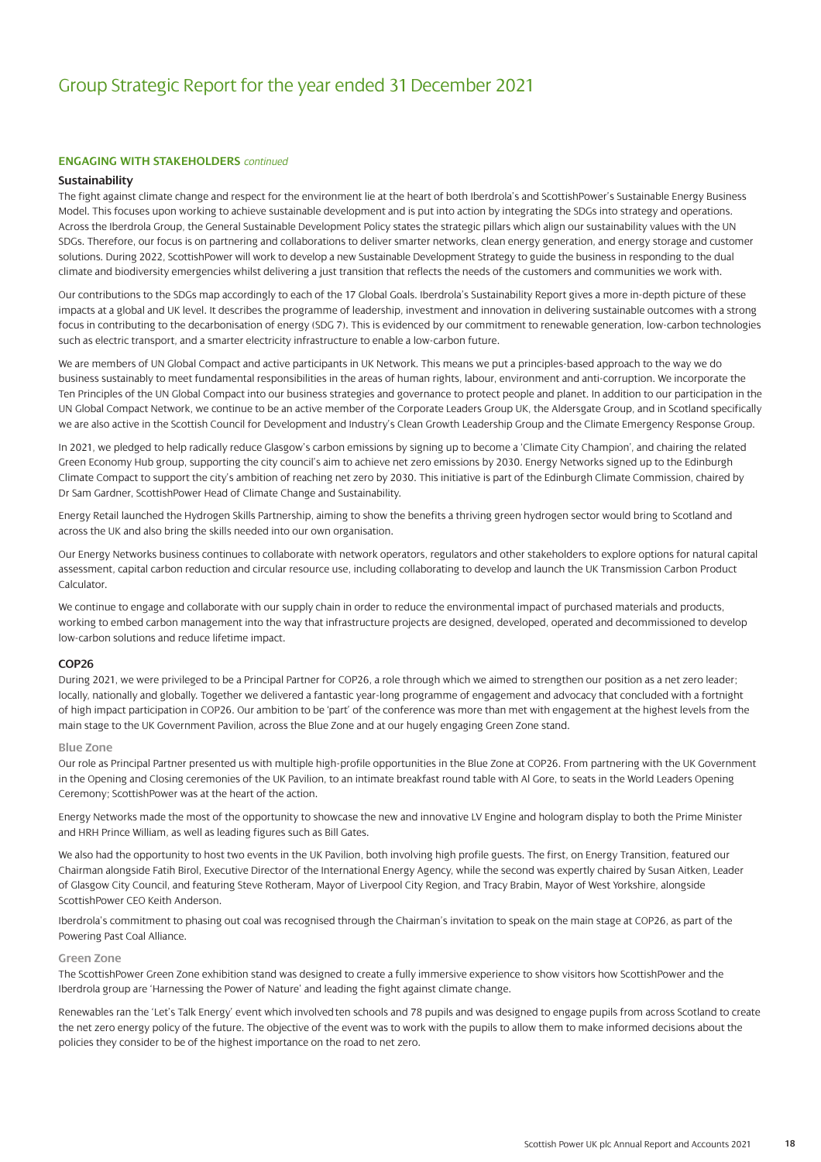#### **ENGAGING WITH STAKEHOLDERS** *continued*

#### **Sustainability**

The fight against climate change and respect for the environment lie at the heart of both Iberdrola's and ScottishPower's Sustainable Energy Business Model. This focuses upon working to achieve sustainable development and is put into action by integrating the SDGs into strategy and operations. Across the Iberdrola Group, the General Sustainable Development Policy states the strategic pillars which align our sustainability values with the UN SDGs. Therefore, our focus is on partnering and collaborations to deliver smarter networks, clean energy generation, and energy storage and customer solutions. During 2022, ScottishPower will work to develop a new Sustainable Development Strategy to guide the business in responding to the dual climate and biodiversity emergencies whilst delivering a just transition that reflects the needs of the customers and communities we work with.

Our contributions to the SDGs map accordingly to each of the 17 Global Goals. Iberdrola's Sustainability Report gives a more in-depth picture of these impacts at a global and UK level. It describes the programme of leadership, investment and innovation in delivering sustainable outcomes with a strong focus in contributing to the decarbonisation of energy (SDG 7). This is evidenced by our commitment to renewable generation, low-carbon technologies such as electric transport, and a smarter electricity infrastructure to enable a low-carbon future.

We are members of UN Global Compact and active participants in UK Network. This means we put a principles-based approach to the way we do business sustainably to meet fundamental responsibilities in the areas of human rights, labour, environment and anti-corruption. We incorporate the Ten Principles of the UN Global Compact into our business strategies and governance to protect people and planet. In addition to our participation in the UN Global Compact Network, we continue to be an active member of the Corporate Leaders Group UK, the Aldersgate Group, and in Scotland specifically we are also active in the Scottish Council for Development and Industry's Clean Growth Leadership Group and the Climate Emergency Response Group.

In 2021, we pledged to help radically reduce Glasgow's carbon emissions by signing up to become a 'Climate City Champion', and chairing the related Green Economy Hub group, supporting the city council's aim to achieve net zero emissions by 2030. Energy Networks signed up to the Edinburgh Climate Compact to support the city's ambition of reaching net zero by 2030. This initiative is part of the Edinburgh Climate Commission, chaired by Dr Sam Gardner, ScottishPower Head of Climate Change and Sustainability.

Energy Retail launched the Hydrogen Skills Partnership, aiming to show the benefits a thriving green hydrogen sector would bring to Scotland and across the UK and also bring the skills needed into our own organisation.

Our Energy Networks business continues to collaborate with network operators, regulators and other stakeholders to explore options for natural capital assessment, capital carbon reduction and circular resource use, including collaborating to develop and launch the UK Transmission Carbon Product Calculator.

We continue to engage and collaborate with our supply chain in order to reduce the environmental impact of purchased materials and products, working to embed carbon management into the way that infrastructure projects are designed, developed, operated and decommissioned to develop low-carbon solutions and reduce lifetime impact.

#### **COP26**

During 2021, we were privileged to be a Principal Partner for COP26, a role through which we aimed to strengthen our position as a net zero leader; locally, nationally and globally. Together we delivered a fantastic year-long programme of engagement and advocacy that concluded with a fortnight of high impact participation in COP26. Our ambition to be 'part' of the conference was more than met with engagement at the highest levels from the main stage to the UK Government Pavilion, across the Blue Zone and at our hugely engaging Green Zone stand.

#### **Blue Zone**

Our role as Principal Partner presented us with multiple high-profile opportunities in the Blue Zone at COP26. From partnering with the UK Government in the Opening and Closing ceremonies of the UK Pavilion, to an intimate breakfast round table with Al Gore, to seats in the World Leaders Opening Ceremony; ScottishPower was at the heart of the action.

Energy Networks made the most of the opportunity to showcase the new and innovative LV Engine and hologram display to both the Prime Minister and HRH Prince William, as well as leading figures such as Bill Gates.

We also had the opportunity to host two events in the UK Pavilion, both involving high profile guests. The first, on Energy Transition, featured our Chairman alongside Fatih Birol, Executive Director of the International Energy Agency, while the second was expertly chaired by Susan Aitken, Leader of Glasgow City Council, and featuring Steve Rotheram, Mayor of Liverpool City Region, and Tracy Brabin, Mayor of West Yorkshire, alongside ScottishPower CEO Keith Anderson.

Iberdrola's commitment to phasing out coal was recognised through the Chairman's invitation to speak on the main stage at COP26, as part of the Powering Past Coal Alliance.

#### **Green Zone**

The ScottishPower Green Zone exhibition stand was designed to create a fully immersive experience to show visitors how ScottishPower and the Iberdrola group are 'Harnessing the Power of Nature' and leading the fight against climate change.

Renewables ran the 'Let's Talk Energy' event which involved ten schools and 78 pupils and was designed to engage pupils from across Scotland to create the net zero energy policy of the future. The objective of the event was to work with the pupils to allow them to make informed decisions about the policies they consider to be of the highest importance on the road to net zero.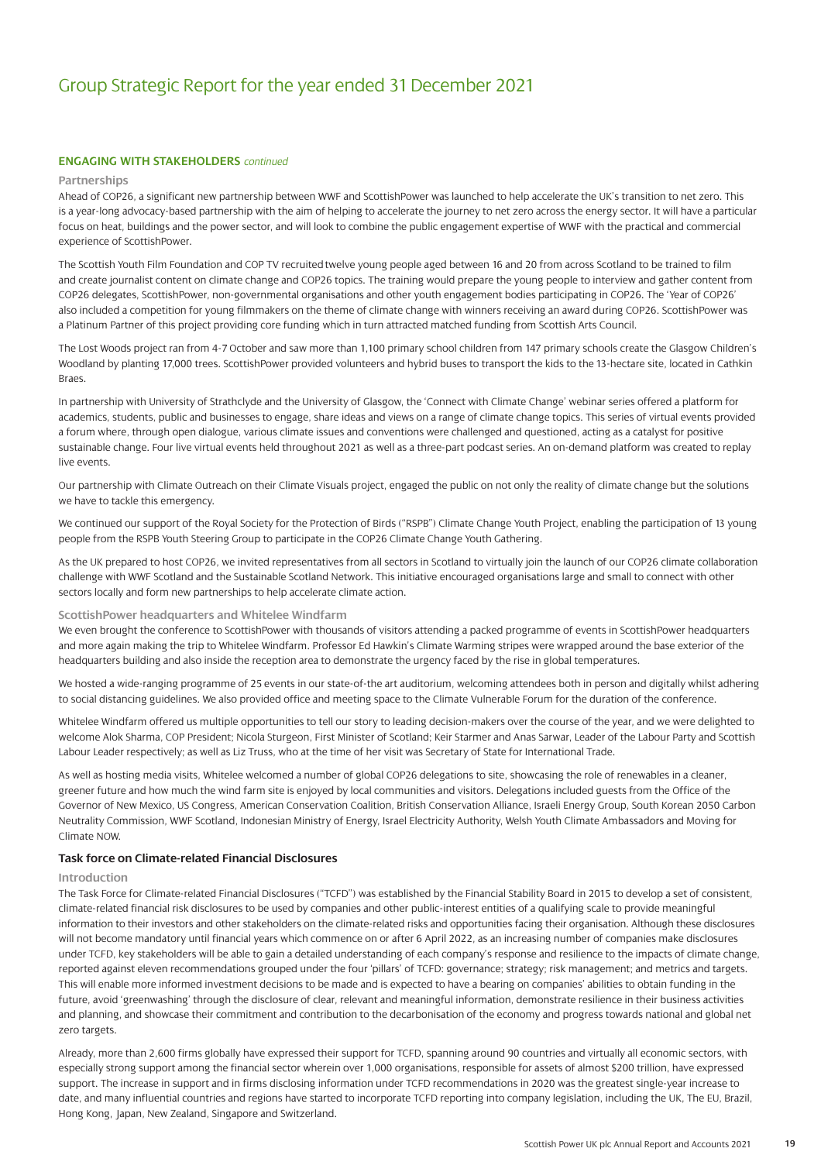#### **ENGAGING WITH STAKEHOLDERS** *continued*

#### **Partnerships**

Ahead of COP26, a significant new partnership between WWF and ScottishPower was launched to help accelerate the UK's transition to net zero. This is a year-long advocacy-based partnership with the aim of helping to accelerate the journey to net zero across the energy sector. It will have a particular focus on heat, buildings and the power sector, and will look to combine the public engagement expertise of WWF with the practical and commercial experience of ScottishPower.

The Scottish Youth Film Foundation and COP TV recruited twelve young people aged between 16 and 20 from across Scotland to be trained to film and create journalist content on climate change and COP26 topics. The training would prepare the young people to interview and gather content from COP26 delegates, ScottishPower, non-governmental organisations and other youth engagement bodies participating in COP26. The 'Year of COP26' also included a competition for young filmmakers on the theme of climate change with winners receiving an award during COP26. ScottishPower was a Platinum Partner of this project providing core funding which in turn attracted matched funding from Scottish Arts Council.

The Lost Woods project ran from 4-7 October and saw more than 1,100 primary school children from 147 primary schools create the Glasgow Children's Woodland by planting 17,000 trees. ScottishPower provided volunteers and hybrid buses to transport the kids to the 13-hectare site, located in Cathkin Braes.

In partnership with University of Strathclyde and the University of Glasgow, the 'Connect with Climate Change' webinar series offered a platform for academics, students, public and businesses to engage, share ideas and views on a range of climate change topics. This series of virtual events provided a forum where, through open dialogue, various climate issues and conventions were challenged and questioned, acting as a catalyst for positive sustainable change. Four live virtual events held throughout 2021 as well as a three-part podcast series. An on-demand platform was created to replay live events.

Our partnership with Climate Outreach on their Climate Visuals project, engaged the public on not only the reality of climate change but the solutions we have to tackle this emergency.

We continued our support of the Royal Society for the Protection of Birds ("RSPB") Climate Change Youth Project, enabling the participation of 13 young people from the RSPB Youth Steering Group to participate in the COP26 Climate Change Youth Gathering.

As the UK prepared to host COP26, we invited representatives from all sectors in Scotland to virtually join the launch of our COP26 climate collaboration challenge with WWF Scotland and the Sustainable Scotland Network. This initiative encouraged organisations large and small to connect with other sectors locally and form new partnerships to help accelerate climate action.

#### **ScottishPower headquarters and Whitelee Windfarm**

We even brought the conference to ScottishPower with thousands of visitors attending a packed programme of events in ScottishPower headquarters and more again making the trip to Whitelee Windfarm. Professor Ed Hawkin's Climate Warming stripes were wrapped around the base exterior of the headquarters building and also inside the reception area to demonstrate the urgency faced by the rise in global temperatures.

We hosted a wide-ranging programme of 25 events in our state-of-the art auditorium, welcoming attendees both in person and digitally whilst adhering to social distancing guidelines. We also provided office and meeting space to the Climate Vulnerable Forum for the duration of the conference.

Whitelee Windfarm offered us multiple opportunities to tell our story to leading decision-makers over the course of the year, and we were delighted to welcome Alok Sharma, COP President; Nicola Sturgeon, First Minister of Scotland; Keir Starmer and Anas Sarwar, Leader of the Labour Party and Scottish Labour Leader respectively; as well as Liz Truss, who at the time of her visit was Secretary of State for International Trade.

As well as hosting media visits, Whitelee welcomed a number of global COP26 delegations to site, showcasing the role of renewables in a cleaner, greener future and how much the wind farm site is enjoyed by local communities and visitors. Delegations included guests from the Office of the Governor of New Mexico, US Congress, American Conservation Coalition, British Conservation Alliance, Israeli Energy Group, South Korean 2050 Carbon Neutrality Commission, WWF Scotland, Indonesian Ministry of Energy, Israel Electricity Authority, Welsh Youth Climate Ambassadors and Moving for Climate NOW.

#### **Task force on Climate-related Financial Disclosures**

#### **Introduction**

The Task Force for Climate-related Financial Disclosures ("TCFD") was established by the Financial Stability Board in 2015 to develop a set of consistent, climate-related financial risk disclosures to be used by companies and other public-interest entities of a qualifying scale to provide meaningful information to their investors and other stakeholders on the climate-related risks and opportunities facing their organisation. Although these disclosures will not become mandatory until financial years which commence on or after 6 April 2022, as an increasing number of companies make disclosures under TCFD, key stakeholders will be able to gain a detailed understanding of each company's response and resilience to the impacts of climate change, reported against eleven recommendations grouped under the four 'pillars' of TCFD: governance; strategy; risk management; and metrics and targets. This will enable more informed investment decisions to be made and is expected to have a bearing on companies' abilities to obtain funding in the future, avoid 'greenwashing' through the disclosure of clear, relevant and meaningful information, demonstrate resilience in their business activities and planning, and showcase their commitment and contribution to the decarbonisation of the economy and progress towards national and global net zero targets.

Already, more than 2,600 firms globally have expressed their support for TCFD, spanning around 90 countries and virtually all economic sectors, with especially strong support among the financial sector wherein over 1,000 organisations, responsible for assets of almost \$200 trillion, have expressed support. The increase in support and in firms disclosing information under TCFD recommendations in 2020 was the greatest single-year increase to date, and many influential countries and regions have started to incorporate TCFD reporting into company legislation, including the UK, The EU, Brazil, Hong Kong, Japan, New Zealand, Singapore and Switzerland.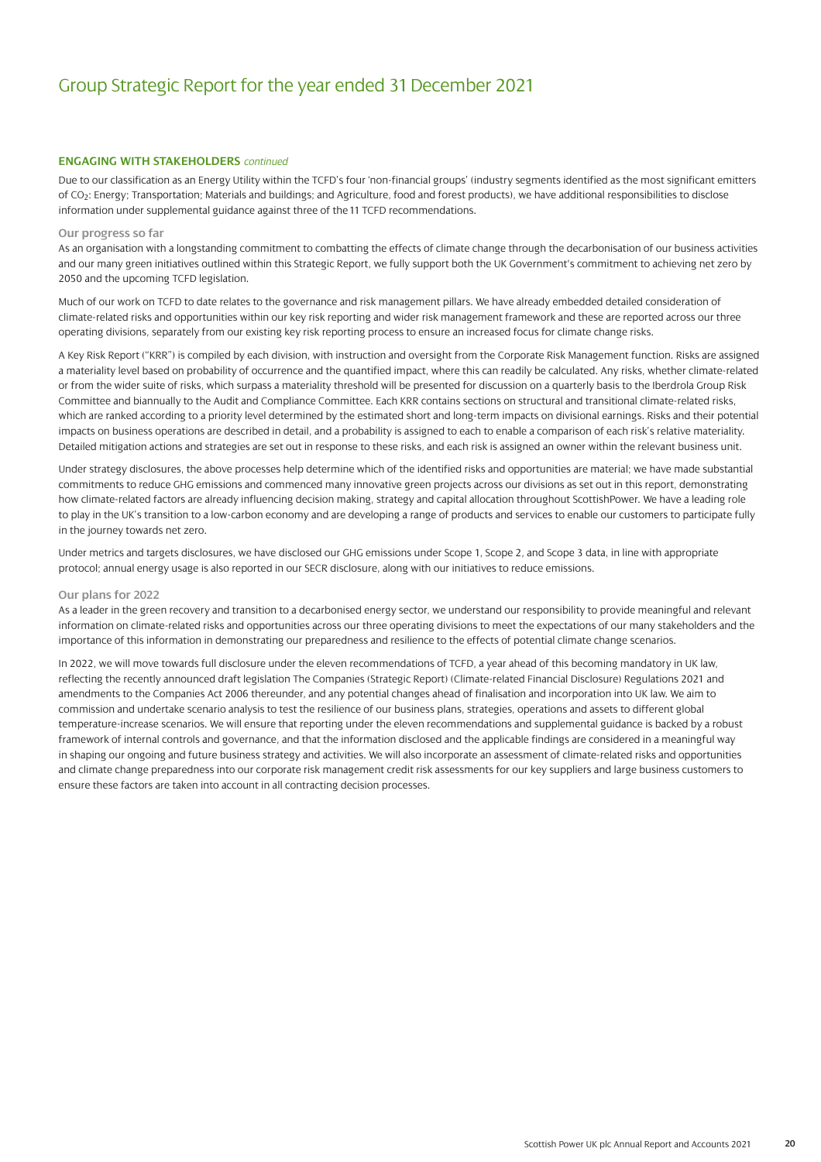#### **ENGAGING WITH STAKEHOLDERS** *continued*

Due to our classification as an Energy Utility within the TCFD's four 'non-financial groups' (industry segments identified as the most significant emitters of CO2: Energy; Transportation; Materials and buildings; and Agriculture, food and forest products), we have additional responsibilities to disclose information under supplemental guidance against three of the 11 TCFD recommendations.

#### **Our progress so far**

As an organisation with a longstanding commitment to combatting the effects of climate change through the decarbonisation of our business activities and our many green initiatives outlined within this Strategic Report, we fully support both the UK Government's commitment to achieving net zero by 2050 and the upcoming TCFD legislation.

Much of our work on TCFD to date relates to the governance and risk management pillars. We have already embedded detailed consideration of climate-related risks and opportunities within our key risk reporting and wider risk management framework and these are reported across our three operating divisions, separately from our existing key risk reporting process to ensure an increased focus for climate change risks.

A Key Risk Report ("KRR") is compiled by each division, with instruction and oversight from the Corporate Risk Management function. Risks are assigned a materiality level based on probability of occurrence and the quantified impact, where this can readily be calculated. Any risks, whether climate-related or from the wider suite of risks, which surpass a materiality threshold will be presented for discussion on a quarterly basis to the Iberdrola Group Risk Committee and biannually to the Audit and Compliance Committee. Each KRR contains sections on structural and transitional climate-related risks, which are ranked according to a priority level determined by the estimated short and long-term impacts on divisional earnings. Risks and their potential impacts on business operations are described in detail, and a probability is assigned to each to enable a comparison of each risk's relative materiality. Detailed mitigation actions and strategies are set out in response to these risks, and each risk is assigned an owner within the relevant business unit.

Under strategy disclosures, the above processes help determine which of the identified risks and opportunities are material; we have made substantial commitments to reduce GHG emissions and commenced many innovative green projects across our divisions as set out in this report, demonstrating how climate-related factors are already influencing decision making, strategy and capital allocation throughout ScottishPower. We have a leading role to play in the UK's transition to a low-carbon economy and are developing a range of products and services to enable our customers to participate fully in the journey towards net zero.

Under metrics and targets disclosures, we have disclosed our GHG emissions under Scope 1, Scope 2, and Scope 3 data, in line with appropriate protocol; annual energy usage is also reported in our SECR disclosure, along with our initiatives to reduce emissions.

#### **Our plans for 2022**

As a leader in the green recovery and transition to a decarbonised energy sector, we understand our responsibility to provide meaningful and relevant information on climate-related risks and opportunities across our three operating divisions to meet the expectations of our many stakeholders and the importance of this information in demonstrating our preparedness and resilience to the effects of potential climate change scenarios.

In 2022, we will move towards full disclosure under the eleven recommendations of TCFD, a year ahead of this becoming mandatory in UK law, reflecting the recently announced draft legislation The Companies (Strategic Report) (Climate-related Financial Disclosure) Regulations 2021 and amendments to the Companies Act 2006 thereunder, and any potential changes ahead of finalisation and incorporation into UK law. We aim to commission and undertake scenario analysis to test the resilience of our business plans, strategies, operations and assets to different global temperature-increase scenarios. We will ensure that reporting under the eleven recommendations and supplemental guidance is backed by a robust framework of internal controls and governance, and that the information disclosed and the applicable findings are considered in a meaningful way in shaping our ongoing and future business strategy and activities. We will also incorporate an assessment of climate-related risks and opportunities and climate change preparedness into our corporate risk management credit risk assessments for our key suppliers and large business customers to ensure these factors are taken into account in all contracting decision processes.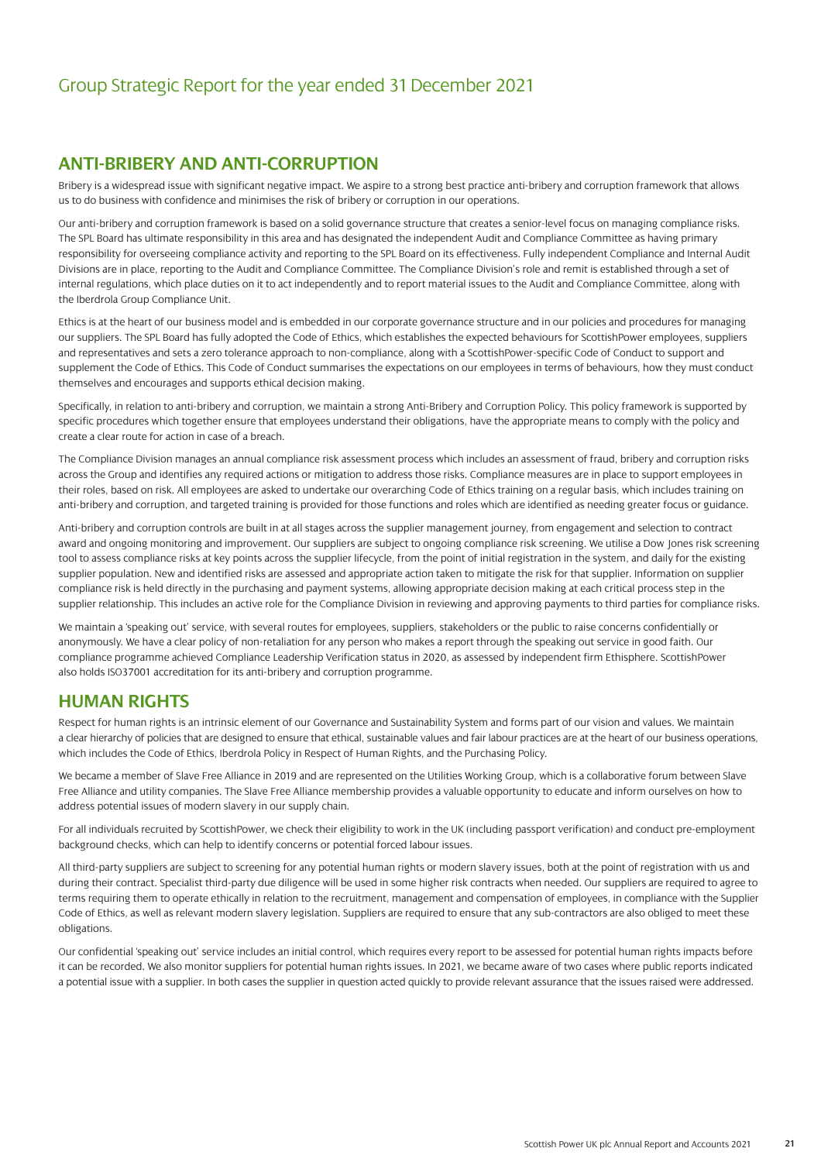### **ANTI-BRIBERY AND ANTI-CORRUPTION**

Bribery is a widespread issue with significant negative impact. We aspire to a strong best practice anti-bribery and corruption framework that allows us to do business with confidence and minimises the risk of bribery or corruption in our operations.

Our anti-bribery and corruption framework is based on a solid governance structure that creates a senior-level focus on managing compliance risks. The SPL Board has ultimate responsibility in this area and has designated the independent Audit and Compliance Committee as having primary responsibility for overseeing compliance activity and reporting to the SPL Board on its effectiveness. Fully independent Compliance and Internal Audit Divisions are in place, reporting to the Audit and Compliance Committee. The Compliance Division's role and remit is established through a set of internal regulations, which place duties on it to act independently and to report material issues to the Audit and Compliance Committee, along with the Iberdrola Group Compliance Unit.

Ethics is at the heart of our business model and is embedded in our corporate governance structure and in our policies and procedures for managing our suppliers. The SPL Board has fully adopted the Code of Ethics, which establishes the expected behaviours for ScottishPower employees, suppliers and representatives and sets a zero tolerance approach to non-compliance, along with a ScottishPower-specific Code of Conduct to support and supplement the Code of Ethics. This Code of Conduct summarises the expectations on our employees in terms of behaviours, how they must conduct themselves and encourages and supports ethical decision making.

Specifically, in relation to anti-bribery and corruption, we maintain a strong Anti-Bribery and Corruption Policy. This policy framework is supported by specific procedures which together ensure that employees understand their obligations, have the appropriate means to comply with the policy and create a clear route for action in case of a breach.

The Compliance Division manages an annual compliance risk assessment process which includes an assessment of fraud, bribery and corruption risks across the Group and identifies any required actions or mitigation to address those risks. Compliance measures are in place to support employees in their roles, based on risk. All employees are asked to undertake our overarching Code of Ethics training on a regular basis, which includes training on anti-bribery and corruption, and targeted training is provided for those functions and roles which are identified as needing greater focus or guidance.

Anti-bribery and corruption controls are built in at all stages across the supplier management journey, from engagement and selection to contract award and ongoing monitoring and improvement. Our suppliers are subject to ongoing compliance risk screening. We utilise a Dow Jones risk screening tool to assess compliance risks at key points across the supplier lifecycle, from the point of initial registration in the system, and daily for the existing supplier population. New and identified risks are assessed and appropriate action taken to mitigate the risk for that supplier. Information on supplier compliance risk is held directly in the purchasing and payment systems, allowing appropriate decision making at each critical process step in the supplier relationship. This includes an active role for the Compliance Division in reviewing and approving payments to third parties for compliance risks.

We maintain a 'speaking out' service, with several routes for employees, suppliers, stakeholders or the public to raise concerns confidentially or anonymously. We have a clear policy of non-retaliation for any person who makes a report through the speaking out service in good faith. Our compliance programme achieved Compliance Leadership Verification status in 2020, as assessed by independent firm Ethisphere. ScottishPower also holds ISO37001 accreditation for its anti-bribery and corruption programme.

### **HUMAN RIGHTS**

Respect for human rights is an intrinsic element of our Governance and Sustainability System and forms part of our vision and values. We maintain a clear hierarchy of policies that are designed to ensure that ethical, sustainable values and fair labour practices are at the heart of our business operations, which includes the Code of Ethics, Iberdrola Policy in Respect of Human Rights, and the Purchasing Policy.

We became a member of Slave Free Alliance in 2019 and are represented on the Utilities Working Group, which is a collaborative forum between Slave Free Alliance and utility companies. The Slave Free Alliance membership provides a valuable opportunity to educate and inform ourselves on how to address potential issues of modern slavery in our supply chain.

For all individuals recruited by ScottishPower, we check their eligibility to work in the UK (including passport verification) and conduct pre-employment background checks, which can help to identify concerns or potential forced labour issues.

All third-party suppliers are subject to screening for any potential human rights or modern slavery issues, both at the point of registration with us and during their contract. Specialist third-party due diligence will be used in some higher risk contracts when needed. Our suppliers are required to agree to terms requiring them to operate ethically in relation to the recruitment, management and compensation of employees, in compliance with the Supplier Code of Ethics, as well as relevant modern slavery legislation. Suppliers are required to ensure that any sub-contractors are also obliged to meet these obligations.

Our confidential 'speaking out' service includes an initial control, which requires every report to be assessed for potential human rights impacts before it can be recorded. We also monitor suppliers for potential human rights issues. In 2021, we became aware of two cases where public reports indicated a potential issue with a supplier. In both cases the supplier in question acted quickly to provide relevant assurance that the issues raised were addressed.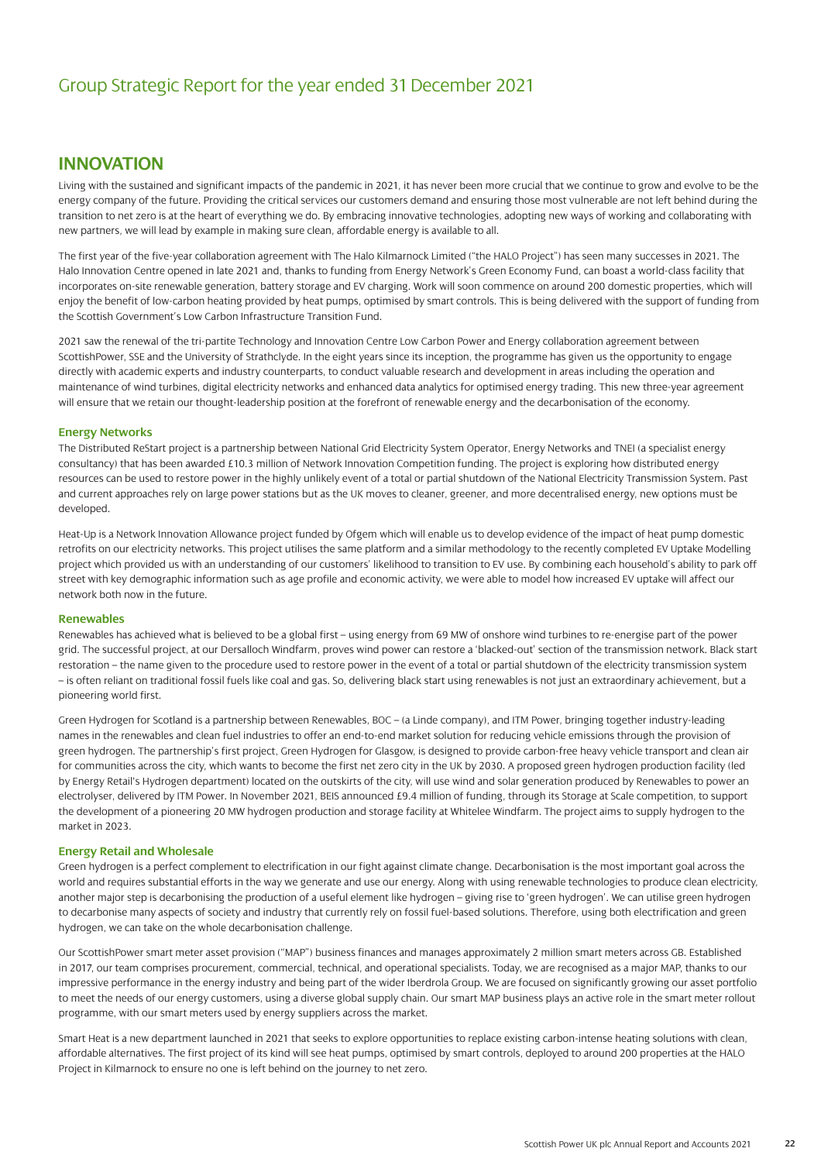### **INNOVATION**

Living with the sustained and significant impacts of the pandemic in 2021, it has never been more crucial that we continue to grow and evolve to be the energy company of the future. Providing the critical services our customers demand and ensuring those most vulnerable are not left behind during the transition to net zero is at the heart of everything we do. By embracing innovative technologies, adopting new ways of working and collaborating with new partners, we will lead by example in making sure clean, affordable energy is available to all.

The first year of the five-year collaboration agreement with The Halo Kilmarnock Limited ("the HALO Project") has seen many successes in 2021. The Halo Innovation Centre opened in late 2021 and, thanks to funding from Energy Network's Green Economy Fund, can boast a world-class facility that incorporates on-site renewable generation, battery storage and EV charging. Work will soon commence on around 200 domestic properties, which will enjoy the benefit of low-carbon heating provided by heat pumps, optimised by smart controls. This is being delivered with the support of funding from the Scottish Government's Low Carbon Infrastructure Transition Fund.

2021 saw the renewal of the tri-partite Technology and Innovation Centre Low Carbon Power and Energy collaboration agreement between ScottishPower, SSE and the University of Strathclyde. In the eight years since its inception, the programme has given us the opportunity to engage directly with academic experts and industry counterparts, to conduct valuable research and development in areas including the operation and maintenance of wind turbines, digital electricity networks and enhanced data analytics for optimised energy trading. This new three-year agreement will ensure that we retain our thought-leadership position at the forefront of renewable energy and the decarbonisation of the economy.

#### **Energy Networks**

The Distributed ReStart project is a partnership between National Grid Electricity System Operator, Energy Networks and TNEI (a specialist energy consultancy) that has been awarded £10.3 million of Network Innovation Competition funding. The project is exploring how distributed energy resources can be used to restore power in the highly unlikely event of a total or partial shutdown of the National Electricity Transmission System. Past and current approaches rely on large power stations but as the UK moves to cleaner, greener, and more decentralised energy, new options must be developed.

Heat-Up is a Network Innovation Allowance project funded by Ofgem which will enable us to develop evidence of the impact of heat pump domestic retrofits on our electricity networks. This project utilises the same platform and a similar methodology to the recently completed EV Uptake Modelling project which provided us with an understanding of our customers' likelihood to transition to EV use. By combining each household's ability to park off street with key demographic information such as age profile and economic activity, we were able to model how increased EV uptake will affect our network both now in the future.

#### **Renewables**

Renewables has achieved what is believed to be a global first – using energy from 69 MW of onshore wind turbines to re-energise part of the power grid. The successful project, at our Dersalloch Windfarm, proves wind power can restore a 'blacked-out' section of the transmission network. Black start restoration – the name given to the procedure used to restore power in the event of a total or partial shutdown of the electricity transmission system – is often reliant on traditional fossil fuels like coal and gas. So, delivering black start using renewables is not just an extraordinary achievement, but a pioneering world first.

Green Hydrogen for Scotland is a partnership between Renewables, BOC – (a Linde company), and ITM Power, bringing together industry-leading names in the renewables and clean fuel industries to offer an end-to-end market solution for reducing vehicle emissions through the provision of green hydrogen. The partnership's first project, Green Hydrogen for Glasgow, is designed to provide carbon-free heavy vehicle transport and clean air for communities across the city, which wants to become the first net zero city in the UK by 2030. A proposed green hydrogen production facility (led by Energy Retail's Hydrogen department) located on the outskirts of the city, will use wind and solar generation produced by Renewables to power an electrolyser, delivered by ITM Power. In November 2021, BEIS announced £9.4 million of funding, through its Storage at Scale competition, to support the development of a pioneering 20 MW hydrogen production and storage facility at Whitelee Windfarm. The project aims to supply hydrogen to the market in 2023.

#### **Energy Retail and Wholesale**

Green hydrogen is a perfect complement to electrification in our fight against climate change. Decarbonisation is the most important goal across the world and requires substantial efforts in the way we generate and use our energy. Along with using renewable technologies to produce clean electricity, another major step is decarbonising the production of a useful element like hydrogen – giving rise to 'green hydrogen'. We can utilise green hydrogen to decarbonise many aspects of society and industry that currently rely on fossil fuel-based solutions. Therefore, using both electrification and green hydrogen, we can take on the whole decarbonisation challenge.

Our ScottishPower smart meter asset provision ("MAP") business finances and manages approximately 2 million smart meters across GB. Established in 2017, our team comprises procurement, commercial, technical, and operational specialists. Today, we are recognised as a major MAP, thanks to our impressive performance in the energy industry and being part of the wider Iberdrola Group. We are focused on significantly growing our asset portfolio to meet the needs of our energy customers, using a diverse global supply chain. Our smart MAP business plays an active role in the smart meter rollout programme, with our smart meters used by energy suppliers across the market.

Smart Heat is a new department launched in 2021 that seeks to explore opportunities to replace existing carbon-intense heating solutions with clean, affordable alternatives. The first project of its kind will see heat pumps, optimised by smart controls, deployed to around 200 properties at the HALO Project in Kilmarnock to ensure no one is left behind on the journey to net zero.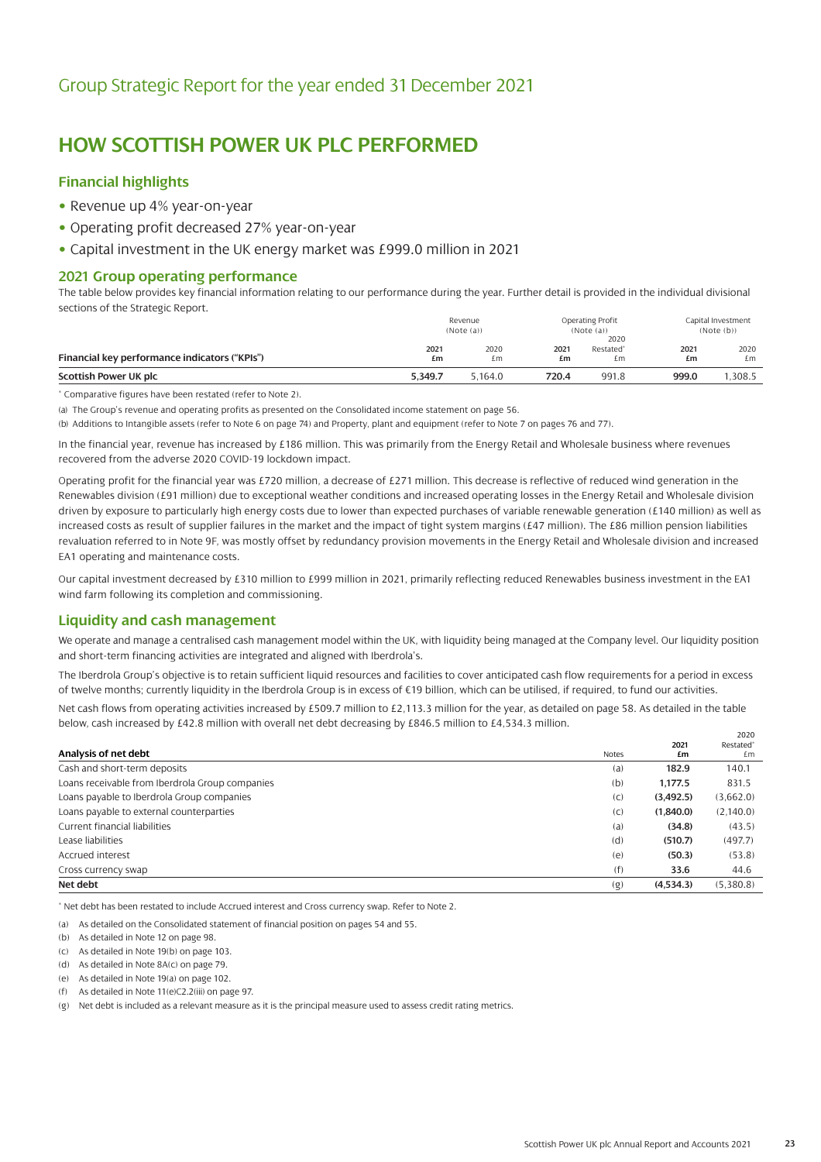### **HOW SCOTTISH POWER UK PLC PERFORMED**

### **Financial highlights**

- Revenue up 4% year-on-year
- Operating profit decreased 27% year-on-year
- Capital investment in the UK energy market was £999.0 million in 2021

#### **2021 Group operating performance**

The table below provides key financial information relating to our performance during the year. Further detail is provided in the individual divisional sections of the Strategic Report.

|                                               |            | Revenue<br>(Note (a)) |            | Operating Profit<br>(Note (a))<br>2020 |            | Capital Investment<br>(Note(b)) |
|-----------------------------------------------|------------|-----------------------|------------|----------------------------------------|------------|---------------------------------|
| Financial key performance indicators ("KPIs") | 2021<br>£m | 2020<br>£m            | 2021<br>£m | Restated <sup>*</sup><br>£m            | 2021<br>£m | 2020<br>£m                      |
| Scottish Power UK plc                         | 5.349.7    | 5.164.0               | 720.4      | 991.8                                  | 999.0      | .308.5                          |

\* Comparative figures have been restated (refer to Note 2).

(a) The Group's revenue and operating profits as presented on the Consolidated income statement on page 56.

(b) Additions to Intangible assets (refer to Note 6 on page 74) and Property, plant and equipment (refer to Note 7 on pages 76 and 77).

In the financial year, revenue has increased by £186 million. This was primarily from the Energy Retail and Wholesale business where revenues recovered from the adverse 2020 COVID-19 lockdown impact.

Operating profit for the financial year was £720 million, a decrease of £271 million. This decrease is reflective of reduced wind generation in the Renewables division (£91 million) due to exceptional weather conditions and increased operating losses in the Energy Retail and Wholesale division driven by exposure to particularly high energy costs due to lower than expected purchases of variable renewable generation (£140 million) as well as increased costs as result of supplier failures in the market and the impact of tight system margins (£47 million). The £86 million pension liabilities revaluation referred to in Note 9F, was mostly offset by redundancy provision movements in the Energy Retail and Wholesale division and increased EA1 operating and maintenance costs.

Our capital investment decreased by £310 million to £999 million in 2021, primarily reflecting reduced Renewables business investment in the EA1 wind farm following its completion and commissioning.

### **Liquidity and cash management**

We operate and manage a centralised cash management model within the UK, with liquidity being managed at the Company level. Our liquidity position and short-term financing activities are integrated and aligned with Iberdrola's.

The Iberdrola Group's objective is to retain sufficient liquid resources and facilities to cover anticipated cash flow requirements for a period in excess of twelve months; currently liquidity in the Iberdrola Group is in excess of €19 billion, which can be utilised, if required, to fund our activities.

Net cash flows from operating activities increased by £509.7 million to £2,113.3 million for the year, as detailed on page 58. As detailed in the table below, cash increased by £42.8 million with overall net debt decreasing by £846.5 million to £4,534.3 million.

|                                                 |       |           | 2020                  |
|-------------------------------------------------|-------|-----------|-----------------------|
|                                                 |       | 2021      | Restated <sup>®</sup> |
| Analysis of net debt                            | Notes | £m        | £m                    |
| Cash and short-term deposits                    | (a)   | 182.9     | 140.1                 |
| Loans receivable from Iberdrola Group companies | (b)   | 1.177.5   | 831.5                 |
| Loans payable to Iberdrola Group companies      | (C)   | (3,492.5) | (3,662.0)             |
| Loans payable to external counterparties        | (C)   | (1,840.0) | (2,140.0)             |
| Current financial liabilities                   | (a)   | (34.8)    | (43.5)                |
| Lease liabilities                               | (d)   | (510.7)   | (497.7)               |
| Accrued interest                                | (e)   | (50.3)    | (53.8)                |
| Cross currency swap                             | (f)   | 33.6      | 44.6                  |
| Net debt                                        | (q)   | (4,534.3) | (5,380.8)             |

\* Net debt has been restated to include Accrued interest and Cross currency swap. Refer to Note 2.

(a) As detailed on the Consolidated statement of financial position on pages 54 and 55.

- (b) As detailed in Note 12 on page 98.
- (c) As detailed in Note 19(b) on page 103.
- (d) As detailed in Note 8A(c) on page 79.
- (e) As detailed in Note 19(a) on page 102.
- (f) As detailed in Note 11(e)C2.2(iii) on page 97.

(g) Net debt is included as a relevant measure as it is the principal measure used to assess credit rating metrics.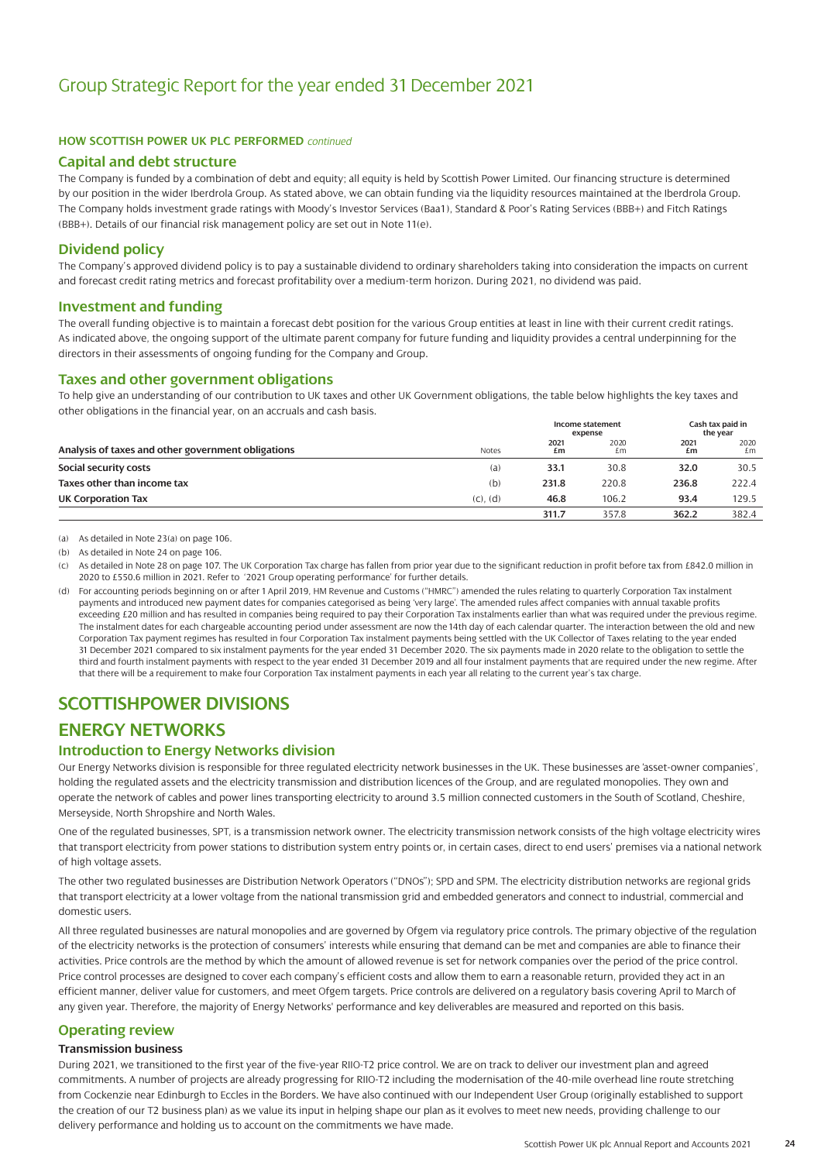#### **HOW SCOTTISH POWER UK PLC PERFORMED** *continued*

#### **Capital and debt structure**

The Company is funded by a combination of debt and equity; all equity is held by Scottish Power Limited. Our financing structure is determined by our position in the wider Iberdrola Group. As stated above, we can obtain funding via the liquidity resources maintained at the Iberdrola Group. The Company holds investment grade ratings with Moody's Investor Services (Baa1), Standard & Poor's Rating Services (BBB+) and Fitch Ratings (BBB+). Details of our financial risk management policy are set out in Note 11(e).

#### **Dividend policy**

The Company's approved dividend policy is to pay a sustainable dividend to ordinary shareholders taking into consideration the impacts on current and forecast credit rating metrics and forecast profitability over a medium-term horizon. During 2021, no dividend was paid.

#### **Investment and funding**

The overall funding objective is to maintain a forecast debt position for the various Group entities at least in line with their current credit ratings. As indicated above, the ongoing support of the ultimate parent company for future funding and liquidity provides a central underpinning for the directors in their assessments of ongoing funding for the Company and Group.

#### **Taxes and other government obligations**

To help give an understanding of our contribution to UK taxes and other UK Government obligations, the table below highlights the key taxes and other obligations in the financial year, on an accruals and cash basis.

|                                                    |               |            | Income statement<br>expense |            | Cash tax paid in<br>the year |  |
|----------------------------------------------------|---------------|------------|-----------------------------|------------|------------------------------|--|
| Analysis of taxes and other government obligations | <b>Notes</b>  | 2021<br>£m | 2020<br>£m                  | 2021<br>£m | 2020<br>£m                   |  |
| Social security costs                              | (a)           | 33.1       | 30.8                        | 32.0       | 30.5                         |  |
| Taxes other than income tax                        | (b)           | 231.8      | 220.8                       | 236.8      | 222.4                        |  |
| UK Corporation Tax                                 | $(C)$ , $(d)$ | 46.8       | 106.2                       | 93.4       | 129.5                        |  |
|                                                    |               | 311.7      | 357.8                       | 362.2      | 382.4                        |  |

(a) As detailed in Note 23(a) on page 106.

(b) As detailed in Note 24 on page 106.

(c) As detailed in Note 28 on page 107. The UK Corporation Tax charge has fallen from prior year due to the significant reduction in profit before tax from £842.0 million in 2020 to £550.6 million in 2021. Refer to '2021 Group operating performance' for further details.

(d) For accounting periods beginning on or after 1 April 2019, HM Revenue and Customs ("HMRC") amended the rules relating to quarterly Corporation Tax instalment payments and introduced new payment dates for companies categorised as being 'very large'. The amended rules affect companies with annual taxable profits exceeding £20 million and has resulted in companies being required to pay their Corporation Tax instalments earlier than what was required under the previous regime. The instalment dates for each chargeable accounting period under assessment are now the 14th day of each calendar quarter. The interaction between the old and new Corporation Tax payment regimes has resulted in four Corporation Tax instalment payments being settled with the UK Collector of Taxes relating to the year ended 31 December 2021 compared to six instalment payments for the year ended 31 December 2020. The six payments made in 2020 relate to the obligation to settle the third and fourth instalment payments with respect to the year ended 31 December 2019 and all four instalment payments that are required under the new regime. After that there will be a requirement to make four Corporation Tax instalment payments in each year all relating to the current year's tax charge.

### **SCOTTISHPOWER DIVISIONS**

### **ENERGY NETWORKS**

#### **Introduction to Energy Networks division**

Our Energy Networks division is responsible for three regulated electricity network businesses in the UK. These businesses are 'asset-owner companies', holding the regulated assets and the electricity transmission and distribution licences of the Group, and are regulated monopolies. They own and operate the network of cables and power lines transporting electricity to around 3.5 million connected customers in the South of Scotland, Cheshire, Merseyside, North Shropshire and North Wales.

One of the regulated businesses, SPT, is a transmission network owner. The electricity transmission network consists of the high voltage electricity wires that transport electricity from power stations to distribution system entry points or, in certain cases, direct to end users' premises via a national network of high voltage assets.

The other two regulated businesses are Distribution Network Operators ("DNOs"); SPD and SPM. The electricity distribution networks are regional grids that transport electricity at a lower voltage from the national transmission grid and embedded generators and connect to industrial, commercial and domestic users.

All three regulated businesses are natural monopolies and are governed by Ofgem via regulatory price controls. The primary objective of the regulation of the electricity networks is the protection of consumers' interests while ensuring that demand can be met and companies are able to finance their activities. Price controls are the method by which the amount of allowed revenue is set for network companies over the period of the price control. Price control processes are designed to cover each company's efficient costs and allow them to earn a reasonable return, provided they act in an efficient manner, deliver value for customers, and meet Ofgem targets. Price controls are delivered on a regulatory basis covering April to March of any given year. Therefore, the majority of Energy Networks' performance and key deliverables are measured and reported on this basis.

#### **Operating review**

#### **Transmission business**

During 2021, we transitioned to the first year of the five-year RIIO-T2 price control. We are on track to deliver our investment plan and agreed commitments. A number of projects are already progressing for RIIO-T2 including the modernisation of the 40-mile overhead line route stretching from Cockenzie near Edinburgh to Eccles in the Borders. We have also continued with our Independent User Group (originally established to support the creation of our T2 business plan) as we value its input in helping shape our plan as it evolves to meet new needs, providing challenge to our delivery performance and holding us to account on the commitments we have made.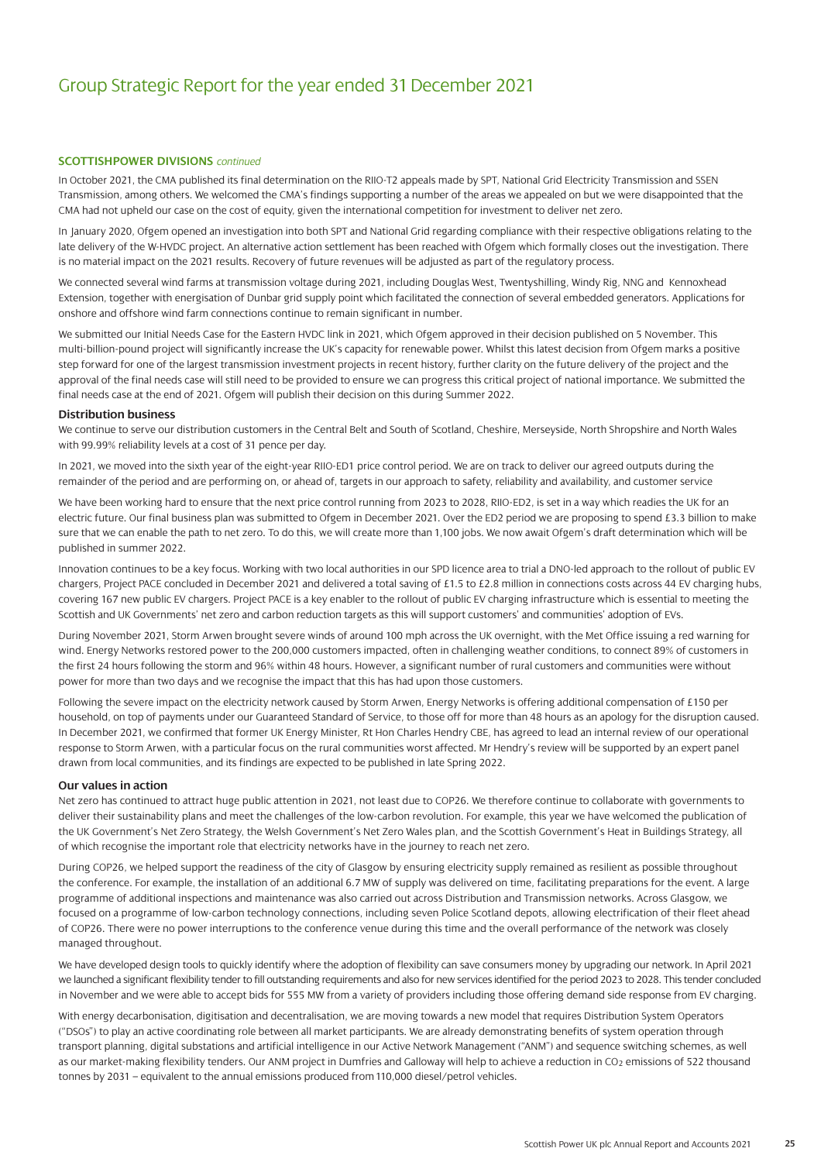#### **SCOTTISHPOWER DIVISIONS** *continued*

In October 2021, the CMA published its final determination on the RIIO-T2 appeals made by SPT, National Grid Electricity Transmission and SSEN Transmission, among others. We welcomed the CMA's findings supporting a number of the areas we appealed on but we were disappointed that the CMA had not upheld our case on the cost of equity, given the international competition for investment to deliver net zero.

In January 2020, Ofgem opened an investigation into both SPT and National Grid regarding compliance with their respective obligations relating to the late delivery of the W-HVDC project. An alternative action settlement has been reached with Ofgem which formally closes out the investigation. There is no material impact on the 2021 results. Recovery of future revenues will be adjusted as part of the regulatory process.

We connected several wind farms at transmission voltage during 2021, including Douglas West, Twentyshilling, Windy Rig, NNG and Kennoxhead Extension, together with energisation of Dunbar grid supply point which facilitated the connection of several embedded generators. Applications for onshore and offshore wind farm connections continue to remain significant in number.

We submitted our Initial Needs Case for the Eastern HVDC link in 2021, which Ofgem approved in their decision published on 5 November. This multi-billion-pound project will significantly increase the UK's capacity for renewable power. Whilst this latest decision from Ofgem marks a positive step forward for one of the largest transmission investment projects in recent history, further clarity on the future delivery of the project and the approval of the final needs case will still need to be provided to ensure we can progress this critical project of national importance. We submitted the final needs case at the end of 2021. Ofgem will publish their decision on this during Summer 2022.

#### **Distribution business**

We continue to serve our distribution customers in the Central Belt and South of Scotland, Cheshire, Merseyside, North Shropshire and North Wales with 99.99% reliability levels at a cost of 31 pence per day.

In 2021, we moved into the sixth year of the eight-year RIIO-ED1 price control period. We are on track to deliver our agreed outputs during the remainder of the period and are performing on, or ahead of, targets in our approach to safety, reliability and availability, and customer service

We have been working hard to ensure that the next price control running from 2023 to 2028, RIIO-ED2, is set in a way which readies the UK for an electric future. Our final business plan was submitted to Ofgem in December 2021. Over the ED2 period we are proposing to spend £3.3 billion to make sure that we can enable the path to net zero. To do this, we will create more than 1,100 jobs. We now await Ofgem's draft determination which will be published in summer 2022.

Innovation continues to be a key focus. Working with two local authorities in our SPD licence area to trial a DNO-led approach to the rollout of public EV chargers, Project PACE concluded in December 2021 and delivered a total saving of £1.5 to £2.8 million in connections costs across 44 EV charging hubs, covering 167 new public EV chargers. Project PACE is a key enabler to the rollout of public EV charging infrastructure which is essential to meeting the Scottish and UK Governments' net zero and carbon reduction targets as this will support customers' and communities' adoption of EVs.

During November 2021, Storm Arwen brought severe winds of around 100 mph across the UK overnight, with the Met Office issuing a red warning for wind. Energy Networks restored power to the 200,000 customers impacted, often in challenging weather conditions, to connect 89% of customers in the first 24 hours following the storm and 96% within 48 hours. However, a significant number of rural customers and communities were without power for more than two days and we recognise the impact that this has had upon those customers.

Following the severe impact on the electricity network caused by Storm Arwen, Energy Networks is offering additional compensation of £150 per household, on top of payments under our Guaranteed Standard of Service, to those off for more than 48 hours as an apology for the disruption caused. In December 2021, we confirmed that former UK Energy Minister, Rt Hon Charles Hendry CBE, has agreed to lead an internal review of our operational response to Storm Arwen, with a particular focus on the rural communities worst affected. Mr Hendry's review will be supported by an expert panel drawn from local communities, and its findings are expected to be published in late Spring 2022.

#### **Our values in action**

Net zero has continued to attract huge public attention in 2021, not least due to COP26. We therefore continue to collaborate with governments to deliver their sustainability plans and meet the challenges of the low-carbon revolution. For example, this year we have welcomed the publication of the UK Government's Net Zero Strategy, the Welsh Government's Net Zero Wales plan, and the Scottish Government's Heat in Buildings Strategy, all of which recognise the important role that electricity networks have in the journey to reach net zero.

During COP26, we helped support the readiness of the city of Glasgow by ensuring electricity supply remained as resilient as possible throughout the conference. For example, the installation of an additional 6.7 MW of supply was delivered on time, facilitating preparations for the event. A large programme of additional inspections and maintenance was also carried out across Distribution and Transmission networks. Across Glasgow, we focused on a programme of low-carbon technology connections, including seven Police Scotland depots, allowing electrification of their fleet ahead of COP26. There were no power interruptions to the conference venue during this time and the overall performance of the network was closely managed throughout.

We have developed design tools to quickly identify where the adoption of flexibility can save consumers money by upgrading our network. In April 2021 we launched a significant flexibility tender to fill outstanding requirements and also for new services identified for the period 2023 to 2028. This tender concluded in November and we were able to accept bids for 555 MW from a variety of providers including those offering demand side response from EV charging.

With energy decarbonisation, digitisation and decentralisation, we are moving towards a new model that requires Distribution System Operators ("DSOs") to play an active coordinating role between all market participants. We are already demonstrating benefits of system operation through transport planning, digital substations and artificial intelligence in our Active Network Management ("ANM") and sequence switching schemes, as well as our market-making flexibility tenders. Our ANM project in Dumfries and Galloway will help to achieve a reduction in CO<sub>2</sub> emissions of 522 thousand tonnes by 2031 – equivalent to the annual emissions produced from 110,000 diesel/petrol vehicles.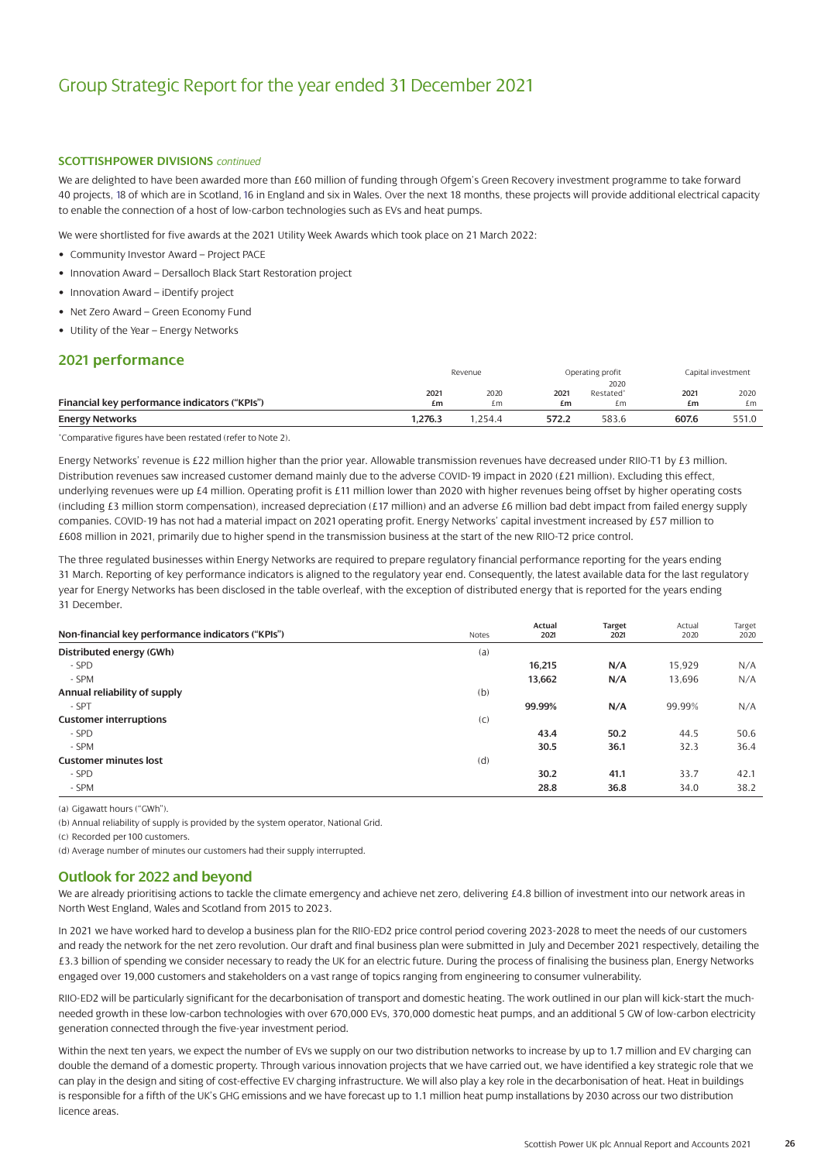#### **SCOTTISHPOWER DIVISIONS** *continued*

We are delighted to have been awarded more than £60 million of funding through Ofgem's Green Recovery investment programme to take forward 40 projects, 18 of which are in Scotland,16 in England and six in Wales. Over the next 18 months, these projects will provide additional electrical capacity to enable the connection of a host of low-carbon technologies such as EVs and heat pumps.

We were shortlisted for five awards at the 2021 Utility Week Awards which took place on 21 March 2022:

- Community Investor Award Project PACE
- Innovation Award Dersalloch Black Start Restoration project
- Innovation Award iDentify project
- Net Zero Award Green Economy Fund
- Utility of the Year Energy Networks

#### **2021 performance**

|                                               | Revenue |        |       | Operating profit      |       | Capital investment |
|-----------------------------------------------|---------|--------|-------|-----------------------|-------|--------------------|
|                                               |         |        |       | 2020                  |       |                    |
|                                               | 2021    | 2020   | 2021  | Restated <sup>*</sup> | 2021  | 2020               |
| Financial key performance indicators ("KPIs") | £m      | £m     | £m    | £m                    | £m    | £m                 |
| <b>Energy Networks</b>                        | 1,276.3 | .254.4 | 572.2 | 583.6                 | 607.6 | 551.0              |

\*Comparative figures have been restated (refer to Note 2).

Energy Networks' revenue is £22 million higher than the prior year. Allowable transmission revenues have decreased under RIIO-T1 by £3 million. Distribution revenues saw increased customer demand mainly due to the adverse COVID-19 impact in 2020 (£21 million). Excluding this effect, underlying revenues were up £4 million. Operating profit is £11 million lower than 2020 with higher revenues being offset by higher operating costs (including £3 million storm compensation), increased depreciation (£17 million) and an adverse £6 million bad debt impact from failed energy supply companies. COVID-19 has not had a material impact on 2021 operating profit. Energy Networks' capital investment increased by £57 million to £608 million in 2021, primarily due to higher spend in the transmission business at the start of the new RIIO-T2 price control.

The three regulated businesses within Energy Networks are required to prepare regulatory financial performance reporting for the years ending 31 March. Reporting of key performance indicators is aligned to the regulatory year end. Consequently, the latest available data for the last regulatory year for Energy Networks has been disclosed in the table overleaf, with the exception of distributed energy that is reported for the years ending 31 December.

| Non-financial key performance indicators ("KPIs") | <b>Notes</b> | <b>Actual</b><br>2021 | <b>Target</b><br>2021 | Actual<br>2020 | Target<br>2020 |
|---------------------------------------------------|--------------|-----------------------|-----------------------|----------------|----------------|
| Distributed energy (GWh)                          | (a)          |                       |                       |                |                |
| - SPD                                             |              | 16,215                | N/A                   | 15,929         | N/A            |
| - SPM                                             |              | 13,662                | N/A                   | 13,696         | N/A            |
| Annual reliability of supply                      | (b)          |                       |                       |                |                |
| - SPT                                             |              | 99.99%                | N/A                   | 99.99%         | N/A            |
| <b>Customer interruptions</b>                     | (C)          |                       |                       |                |                |
| - SPD                                             |              | 43.4                  | 50.2                  | 44.5           | 50.6           |
| - SPM                                             |              | 30.5                  | 36.1                  | 32.3           | 36.4           |
| <b>Customer minutes lost</b>                      | (d)          |                       |                       |                |                |
| - SPD                                             |              | 30.2                  | 41.1                  | 33.7           | 42.1           |
| - SPM                                             |              | 28.8                  | 36.8                  | 34.0           | 38.2           |

(a) Gigawatt hours ("GWh").

(b) Annual reliability of supply is provided by the system operator, National Grid.

(c) Recorded per 100 customers.

(d) Average number of minutes our customers had their supply interrupted.

#### **Outlook for 2022 and beyond**

We are already prioritising actions to tackle the climate emergency and achieve net zero, delivering £4.8 billion of investment into our network areas in North West England, Wales and Scotland from 2015 to 2023.

In 2021 we have worked hard to develop a business plan for the RIIO-ED2 price control period covering 2023-2028 to meet the needs of our customers and ready the network for the net zero revolution. Our draft and final business plan were submitted in July and December 2021 respectively, detailing the £3.3 billion of spending we consider necessary to ready the UK for an electric future. During the process of finalising the business plan, Energy Networks engaged over 19,000 customers and stakeholders on a vast range of topics ranging from engineering to consumer vulnerability.

RIIO-ED2 will be particularly significant for the decarbonisation of transport and domestic heating. The work outlined in our plan will kick-start the muchneeded growth in these low-carbon technologies with over 670,000 EVs, 370,000 domestic heat pumps, and an additional 5 GW of low-carbon electricity generation connected through the five-year investment period.

Within the next ten years, we expect the number of EVs we supply on our two distribution networks to increase by up to 1.7 million and EV charging can double the demand of a domestic property. Through various innovation projects that we have carried out, we have identified a key strategic role that we can play in the design and siting of cost-effective EV charging infrastructure. We will also play a key role in the decarbonisation of heat. Heat in buildings is responsible for a fifth of the UK's GHG emissions and we have forecast up to 1.1 million heat pump installations by 2030 across our two distribution licence areas.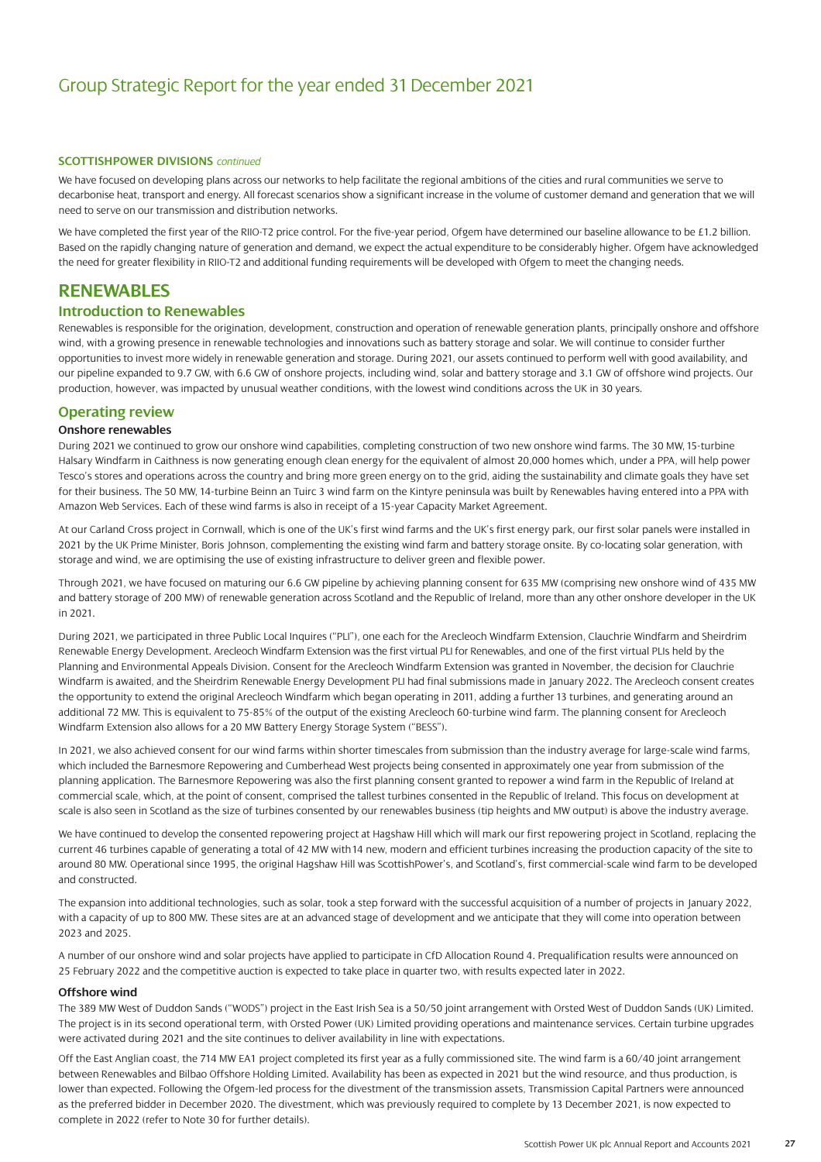#### **SCOTTISHPOWER DIVISIONS** *continued*

We have focused on developing plans across our networks to help facilitate the regional ambitions of the cities and rural communities we serve to decarbonise heat, transport and energy. All forecast scenarios show a significant increase in the volume of customer demand and generation that we will need to serve on our transmission and distribution networks.

We have completed the first year of the RIIO-T2 price control. For the five-year period, Ofgem have determined our baseline allowance to be £1.2 billion. Based on the rapidly changing nature of generation and demand, we expect the actual expenditure to be considerably higher. Ofgem have acknowledged the need for greater flexibility in RIIO-T2 and additional funding requirements will be developed with Ofgem to meet the changing needs.

### **RENEWABLES**

#### **Introduction to Renewables**

Renewables is responsible for the origination, development, construction and operation of renewable generation plants, principally onshore and offshore wind, with a growing presence in renewable technologies and innovations such as battery storage and solar. We will continue to consider further opportunities to invest more widely in renewable generation and storage. During 2021, our assets continued to perform well with good availability, and our pipeline expanded to 9.7 GW, with 6.6 GW of onshore projects, including wind, solar and battery storage and 3.1 GW of offshore wind projects. Our production, however, was impacted by unusual weather conditions, with the lowest wind conditions across the UK in 30 years.

#### **Operating review**

#### **Onshore renewables**

During 2021 we continued to grow our onshore wind capabilities, completing construction of two new onshore wind farms. The 30 MW, 15-turbine Halsary Windfarm in Caithness is now generating enough clean energy for the equivalent of almost 20,000 homes which, under a PPA, will help power Tesco's stores and operations across the country and bring more green energy on to the grid, aiding the sustainability and climate goals they have set for their business. The 50 MW, 14-turbine Beinn an Tuirc 3 wind farm on the Kintyre peninsula was built by Renewables having entered into a PPA with Amazon Web Services. Each of these wind farms is also in receipt of a 15-year Capacity Market Agreement.

At our Carland Cross project in Cornwall, which is one of the UK's first wind farms and the UK's first energy park, our first solar panels were installed in 2021 by the UK Prime Minister, Boris Johnson, complementing the existing wind farm and battery storage onsite. By co-locating solar generation, with storage and wind, we are optimising the use of existing infrastructure to deliver green and flexible power.

Through 2021, we have focused on maturing our 6.6 GW pipeline by achieving planning consent for 635 MW (comprising new onshore wind of 435 MW and battery storage of 200 MW) of renewable generation across Scotland and the Republic of Ireland, more than any other onshore developer in the UK in 2021.

During 2021, we participated in three Public Local Inquires ("PLI"), one each for the Arecleoch Windfarm Extension, Clauchrie Windfarm and Sheirdrim Renewable Energy Development. Arecleoch Windfarm Extension was the first virtual PLI for Renewables, and one of the first virtual PLIs held by the Planning and Environmental Appeals Division. Consent for the Arecleoch Windfarm Extension was granted in November, the decision for Clauchrie Windfarm is awaited, and the Sheirdrim Renewable Energy Development PLI had final submissions made in January 2022. The Arecleoch consent creates the opportunity to extend the original Arecleoch Windfarm which began operating in 2011, adding a further 13 turbines, and generating around an additional 72 MW. This is equivalent to 75-85% of the output of the existing Arecleoch 60-turbine wind farm. The planning consent for Arecleoch Windfarm Extension also allows for a 20 MW Battery Energy Storage System ("BESS").

In 2021, we also achieved consent for our wind farms within shorter timescales from submission than the industry average for large-scale wind farms, which included the Barnesmore Repowering and Cumberhead West projects being consented in approximately one year from submission of the planning application. The Barnesmore Repowering was also the first planning consent granted to repower a wind farm in the Republic of Ireland at commercial scale, which, at the point of consent, comprised the tallest turbines consented in the Republic of Ireland. This focus on development at scale is also seen in Scotland as the size of turbines consented by our renewables business (tip heights and MW output) is above the industry average.

We have continued to develop the consented repowering project at Hagshaw Hill which will mark our first repowering project in Scotland, replacing the current 46 turbines capable of generating a total of 42 MW with14 new, modern and efficient turbines increasing the production capacity of the site to around 80 MW. Operational since 1995, the original Hagshaw Hill was ScottishPower's, and Scotland's, first commercial-scale wind farm to be developed and constructed.

The expansion into additional technologies, such as solar, took a step forward with the successful acquisition of a number of projects in January 2022, with a capacity of up to 800 MW. These sites are at an advanced stage of development and we anticipate that they will come into operation between 2023 and 2025.

A number of our onshore wind and solar projects have applied to participate in CfD Allocation Round 4. Prequalification results were announced on 25 February 2022 and the competitive auction is expected to take place in quarter two, with results expected later in 2022.

#### **Offshore wind**

The 389 MW West of Duddon Sands ("WODS") project in the East Irish Sea is a 50/50 joint arrangement with Orsted West of Duddon Sands (UK) Limited. The project is in its second operational term, with Orsted Power (UK) Limited providing operations and maintenance services. Certain turbine upgrades were activated during 2021 and the site continues to deliver availability in line with expectations.

Off the East Anglian coast, the 714 MW EA1 project completed its first year as a fully commissioned site. The wind farm is a 60/40 joint arrangement between Renewables and Bilbao Offshore Holding Limited. Availability has been as expected in 2021 but the wind resource, and thus production, is lower than expected. Following the Ofgem-led process for the divestment of the transmission assets, Transmission Capital Partners were announced as the preferred bidder in December 2020. The divestment, which was previously required to complete by 13 December 2021, is now expected to complete in 2022 (refer to Note 30 for further details).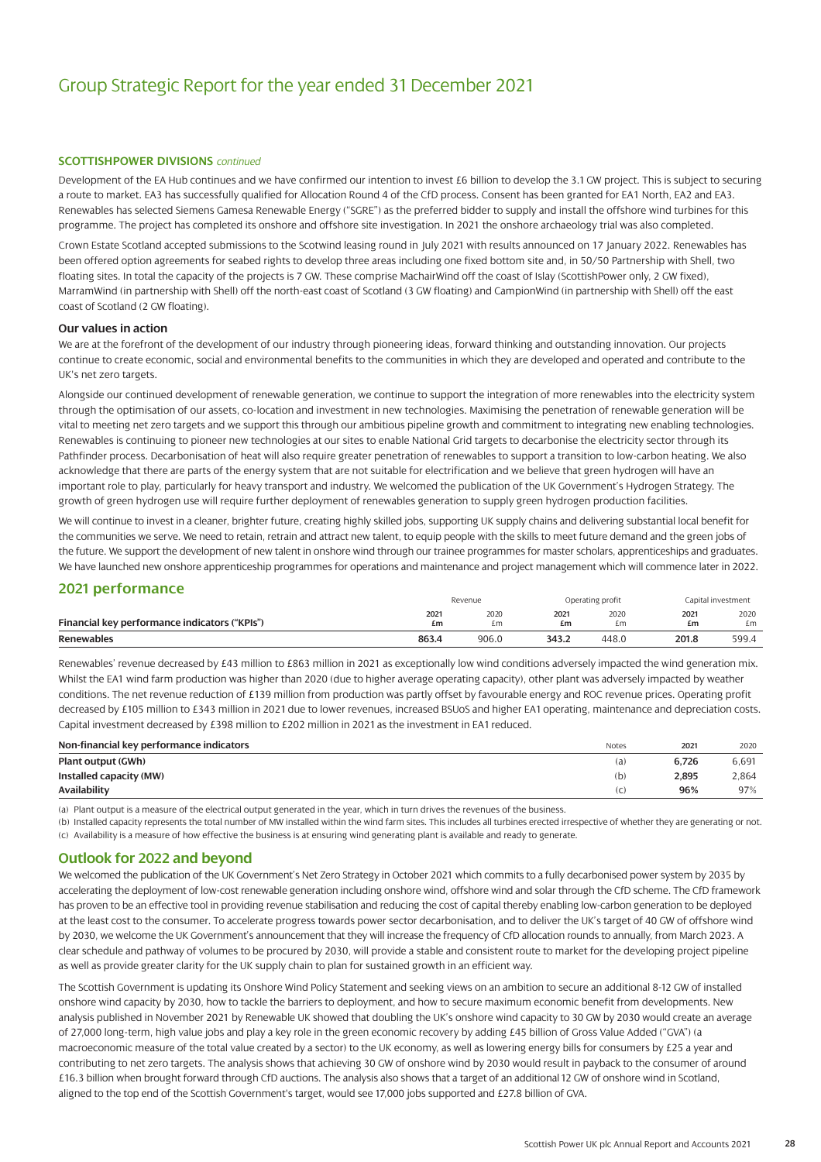#### **SCOTTISHPOWER DIVISIONS** *continued*

Development of the EA Hub continues and we have confirmed our intention to invest £6 billion to develop the 3.1 GW project. This is subject to securing a route to market. EA3 has successfully qualified for Allocation Round 4 of the CfD process. Consent has been granted for EA1 North, EA2 and EA3. Renewables has selected Siemens Gamesa Renewable Energy ("SGRE") as the preferred bidder to supply and install the offshore wind turbines for this programme. The project has completed its onshore and offshore site investigation. In 2021 the onshore archaeology trial was also completed.

Crown Estate Scotland accepted submissions to the Scotwind leasing round in July 2021 with results announced on 17 January 2022. Renewables has been offered option agreements for seabed rights to develop three areas including one fixed bottom site and, in 50/50 Partnership with Shell, two floating sites. In total the capacity of the projects is 7 GW. These comprise MachairWind off the coast of Islay (ScottishPower only, 2 GW fixed), MarramWind (in partnership with Shell) off the north-east coast of Scotland (3 GW floating) and CampionWind (in partnership with Shell) off the east coast of Scotland (2 GW floating).

#### **Our values in action**

We are at the forefront of the development of our industry through pioneering ideas, forward thinking and outstanding innovation. Our projects continue to create economic, social and environmental benefits to the communities in which they are developed and operated and contribute to the UK's net zero targets.

Alongside our continued development of renewable generation, we continue to support the integration of more renewables into the electricity system through the optimisation of our assets, co-location and investment in new technologies. Maximising the penetration of renewable generation will be vital to meeting net zero targets and we support this through our ambitious pipeline growth and commitment to integrating new enabling technologies. Renewables is continuing to pioneer new technologies at our sites to enable National Grid targets to decarbonise the electricity sector through its Pathfinder process. Decarbonisation of heat will also require greater penetration of renewables to support a transition to low-carbon heating. We also acknowledge that there are parts of the energy system that are not suitable for electrification and we believe that green hydrogen will have an important role to play, particularly for heavy transport and industry. We welcomed the publication of the UK Government's Hydrogen Strategy. The growth of green hydrogen use will require further deployment of renewables generation to supply green hydrogen production facilities.

We will continue to invest in a cleaner, brighter future, creating highly skilled jobs, supporting UK supply chains and delivering substantial local benefit for the communities we serve. We need to retain, retrain and attract new talent, to equip people with the skills to meet future demand and the green jobs of the future. We support the development of new talent in onshore wind through our trainee programmes for master scholars, apprenticeships and graduates. We have launched new onshore apprenticeship programmes for operations and maintenance and project management which will commence later in 2022.

#### **2021 performance**

|                                               |            | Revenue    |            | Operating profit |            | Capital investment |
|-----------------------------------------------|------------|------------|------------|------------------|------------|--------------------|
| Financial key performance indicators ("KPIs") | 2021<br>£m | 2020<br>£m | 2021<br>£m | 2020<br>Em       | 2021<br>£m | 2020<br>£m         |
| <b>Renewables</b>                             | 863.4      | 906.0      | 343.2      | 448.0            | 201.8      | 599.4              |

Renewables' revenue decreased by £43 million to £863 million in 2021 as exceptionally low wind conditions adversely impacted the wind generation mix. Whilst the EA1 wind farm production was higher than 2020 (due to higher average operating capacity), other plant was adversely impacted by weather conditions. The net revenue reduction of £139 million from production was partly offset by favourable energy and ROC revenue prices. Operating profit decreased by £105 million to £343 million in 2021 due to lower revenues, increased BSUoS and higher EA1 operating, maintenance and depreciation costs. Capital investment decreased by £398 million to £202 million in 2021 as the investment in EA1 reduced.

#### **Non-financial key performance indicators 2021** 2020 2021 2020 2021 2020 2021 2020 2021 2020 2021 2020 2021 2020 2021 2020 2021 2020 2021 2020 2021 2020 2021 2021 2020 2021 2020 2021 2020 2021 2020 2021 2020 2021 2021 20 **Plant output (GWh)** (a) **6,726** 6,691 **Installed capacity (MW)** (b) **2,895** 2,864 **Availability** (c) **96%** 97%

(a) Plant output is a measure of the electrical output generated in the year, which in turn drives the revenues of the business.

(b) Installed capacity represents the total number of MW installed within the wind farm sites. This includes all turbines erected irrespective of whether they are generating or not. (c) Availability is a measure of how effective the business is at ensuring wind generating plant is available and ready to generate.

#### **Outlook for 2022 and beyond**

We welcomed the publication of the UK Government's Net Zero Strategy in October 2021 which commits to a fully decarbonised power system by 2035 by accelerating the deployment of low-cost renewable generation including onshore wind, offshore wind and solar through the CfD scheme. The CfD framework has proven to be an effective tool in providing revenue stabilisation and reducing the cost of capital thereby enabling low-carbon generation to be deployed at the least cost to the consumer. To accelerate progress towards power sector decarbonisation, and to deliver the UK's target of 40 GW of offshore wind by 2030, we welcome the UK Government's announcement that they will increase the frequency of CfD allocation rounds to annually, from March 2023. A clear schedule and pathway of volumes to be procured by 2030, will provide a stable and consistent route to market for the developing project pipeline as well as provide greater clarity for the UK supply chain to plan for sustained growth in an efficient way.

The Scottish Government is updating its Onshore Wind Policy Statement and seeking views on an ambition to secure an additional 8-12 GW of installed onshore wind capacity by 2030, how to tackle the barriers to deployment, and how to secure maximum economic benefit from developments. New analysis published in November 2021 by Renewable UK showed that doubling the UK's onshore wind capacity to 30 GW by 2030 would create an average of 27,000 long-term, high value jobs and play a key role in the green economic recovery by adding £45 billion of Gross Value Added ("GVA") (a macroeconomic measure of the total value created by a sector) to the UK economy, as well as lowering energy bills for consumers by £25 a year and contributing to net zero targets. The analysis shows that achieving 30 GW of onshore wind by 2030 would result in payback to the consumer of around £16.3 billion when brought forward through CfD auctions. The analysis also shows that a target of an additional 12 GW of onshore wind in Scotland, aligned to the top end of the Scottish Government's target, would see 17,000 jobs supported and £27.8 billion of GVA.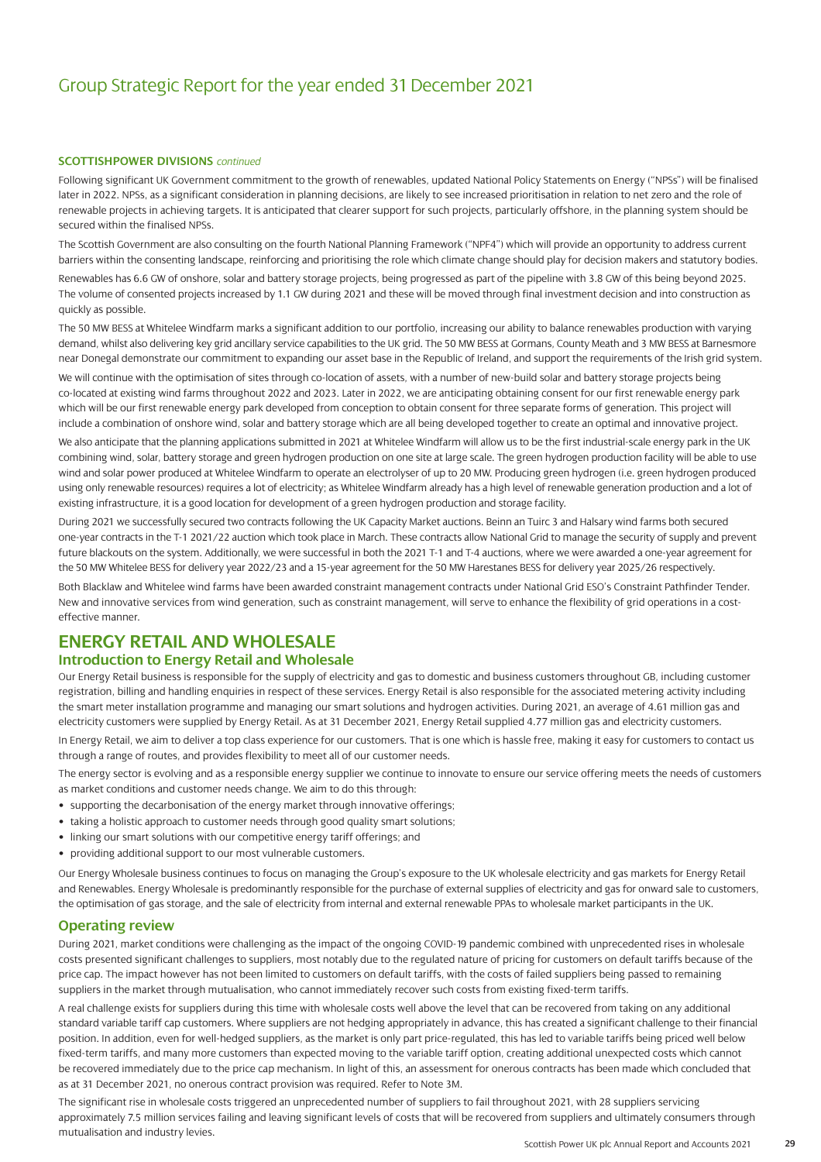#### **SCOTTISHPOWER DIVISIONS** *continued*

Following significant UK Government commitment to the growth of renewables, updated National Policy Statements on Energy ("NPSs") will be finalised later in 2022. NPSs, as a significant consideration in planning decisions, are likely to see increased prioritisation in relation to net zero and the role of renewable projects in achieving targets. It is anticipated that clearer support for such projects, particularly offshore, in the planning system should be secured within the finalised NPSs.

The Scottish Government are also consulting on the fourth National Planning Framework ("NPF4") which will provide an opportunity to address current barriers within the consenting landscape, reinforcing and prioritising the role which climate change should play for decision makers and statutory bodies.

Renewables has 6.6 GW of onshore, solar and battery storage projects, being progressed as part of the pipeline with 3.8 GW of this being beyond 2025. The volume of consented projects increased by 1.1 GW during 2021 and these will be moved through final investment decision and into construction as quickly as possible.

The 50 MW BESS at Whitelee Windfarm marks a significant addition to our portfolio, increasing our ability to balance renewables production with varying demand, whilst also delivering key grid ancillary service capabilities to the UK grid. The 50 MW BESS at Gormans, County Meath and 3 MW BESS at Barnesmore near Donegal demonstrate our commitment to expanding our asset base in the Republic of Ireland, and support the requirements of the Irish grid system.

We will continue with the optimisation of sites through co-location of assets, with a number of new-build solar and battery storage projects being co-located at existing wind farms throughout 2022 and 2023. Later in 2022, we are anticipating obtaining consent for our first renewable energy park which will be our first renewable energy park developed from conception to obtain consent for three separate forms of generation. This project will include a combination of onshore wind, solar and battery storage which are all being developed together to create an optimal and innovative project.

We also anticipate that the planning applications submitted in 2021 at Whitelee Windfarm will allow us to be the first industrial-scale energy park in the UK combining wind, solar, battery storage and green hydrogen production on one site at large scale. The green hydrogen production facility will be able to use wind and solar power produced at Whitelee Windfarm to operate an electrolyser of up to 20 MW. Producing green hydrogen (i.e. green hydrogen produced using only renewable resources) requires a lot of electricity; as Whitelee Windfarm already has a high level of renewable generation production and a lot of existing infrastructure, it is a good location for development of a green hydrogen production and storage facility.

During 2021 we successfully secured two contracts following the UK Capacity Market auctions. Beinn an Tuirc 3 and Halsary wind farms both secured one-year contracts in the T-1 2021/22 auction which took place in March. These contracts allow National Grid to manage the security of supply and prevent future blackouts on the system. Additionally, we were successful in both the 2021 T-1 and T-4 auctions, where we were awarded a one-year agreement for the 50 MW Whitelee BESS for delivery year 2022/23 and a 15-year agreement for the 50 MW Harestanes BESS for delivery year 2025/26 respectively.

Both Blacklaw and Whitelee wind farms have been awarded constraint management contracts under National Grid ESO's Constraint Pathfinder Tender. New and innovative services from wind generation, such as constraint management, will serve to enhance the flexibility of grid operations in a costeffective manner.

### **ENERGY RETAIL AND WHOLESALE**

#### **Introduction to Energy Retail and Wholesale**

Our Energy Retail business is responsible for the supply of electricity and gas to domestic and business customers throughout GB, including customer registration, billing and handling enquiries in respect of these services. Energy Retail is also responsible for the associated metering activity including the smart meter installation programme and managing our smart solutions and hydrogen activities. During 2021, an average of 4.61 million gas and electricity customers were supplied by Energy Retail. As at 31 December 2021, Energy Retail supplied 4.77 million gas and electricity customers.

In Energy Retail, we aim to deliver a top class experience for our customers. That is one which is hassle free, making it easy for customers to contact us through a range of routes, and provides flexibility to meet all of our customer needs.

The energy sector is evolving and as a responsible energy supplier we continue to innovate to ensure our service offering meets the needs of customers as market conditions and customer needs change. We aim to do this through:

- supporting the decarbonisation of the energy market through innovative offerings;
- taking a holistic approach to customer needs through good quality smart solutions;
- linking our smart solutions with our competitive energy tariff offerings; and
- providing additional support to our most vulnerable customers.

Our Energy Wholesale business continues to focus on managing the Group's exposure to the UK wholesale electricity and gas markets for Energy Retail and Renewables. Energy Wholesale is predominantly responsible for the purchase of external supplies of electricity and gas for onward sale to customers, the optimisation of gas storage, and the sale of electricity from internal and external renewable PPAs to wholesale market participants in the UK.

### **Operating review**

During 2021, market conditions were challenging as the impact of the ongoing COVID-19 pandemic combined with unprecedented rises in wholesale costs presented significant challenges to suppliers, most notably due to the regulated nature of pricing for customers on default tariffs because of the price cap. The impact however has not been limited to customers on default tariffs, with the costs of failed suppliers being passed to remaining suppliers in the market through mutualisation, who cannot immediately recover such costs from existing fixed-term tariffs.

A real challenge exists for suppliers during this time with wholesale costs well above the level that can be recovered from taking on any additional standard variable tariff cap customers. Where suppliers are not hedging appropriately in advance, this has created a significant challenge to their financial position. In addition, even for well-hedged suppliers, as the market is only part price-regulated, this has led to variable tariffs being priced well below fixed-term tariffs, and many more customers than expected moving to the variable tariff option, creating additional unexpected costs which cannot be recovered immediately due to the price cap mechanism. In light of this, an assessment for onerous contracts has been made which concluded that as at 31 December 2021, no onerous contract provision was required. Refer to Note 3M.

The significant rise in wholesale costs triggered an unprecedented number of suppliers to fail throughout 2021, with 28 suppliers servicing approximately 7.5 million services failing and leaving significant levels of costs that will be recovered from suppliers and ultimately consumers through mutualisation and industry levies.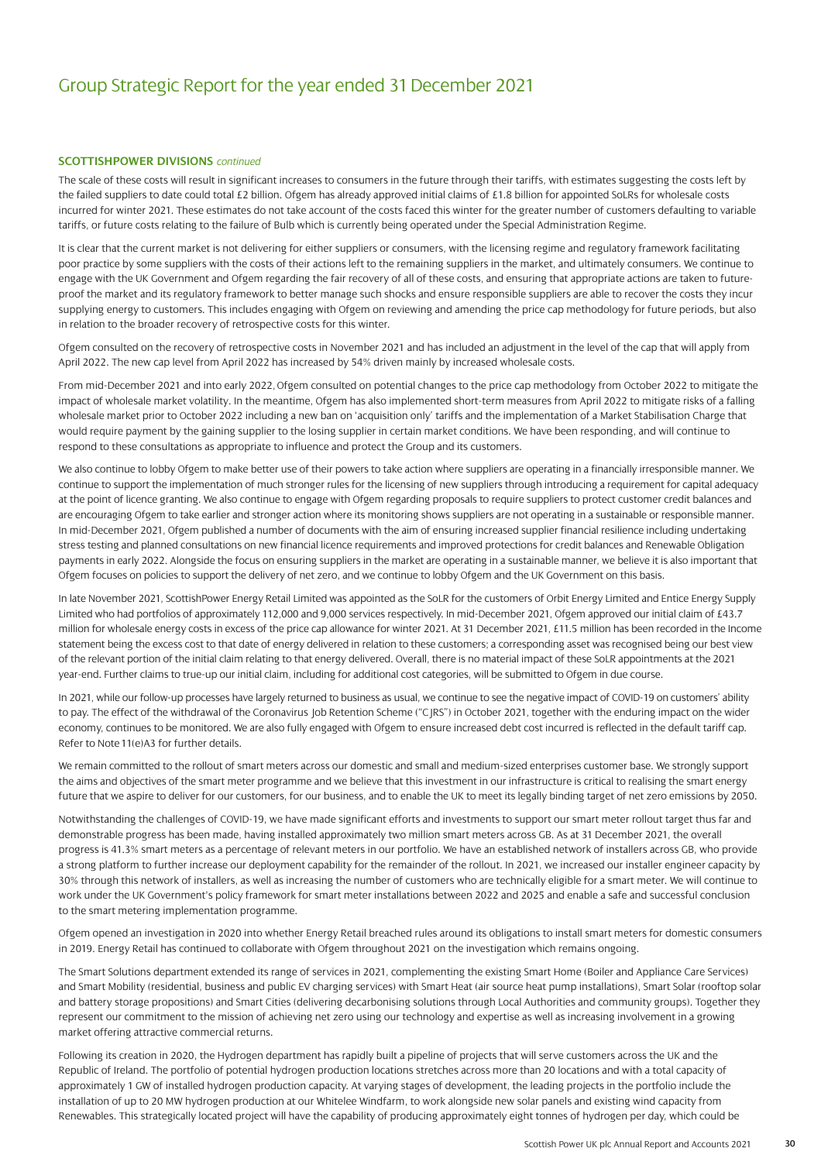#### **SCOTTISHPOWER DIVISIONS** *continued*

The scale of these costs will result in significant increases to consumers in the future through their tariffs, with estimates suggesting the costs left by the failed suppliers to date could total £2 billion. Ofgem has already approved initial claims of £1.8 billion for appointed SoLRs for wholesale costs incurred for winter 2021. These estimates do not take account of the costs faced this winter for the greater number of customers defaulting to variable tariffs, or future costs relating to the failure of Bulb which is currently being operated under the Special Administration Regime.

It is clear that the current market is not delivering for either suppliers or consumers, with the licensing regime and regulatory framework facilitating poor practice by some suppliers with the costs of their actions left to the remaining suppliers in the market, and ultimately consumers. We continue to engage with the UK Government and Ofgem regarding the fair recovery of all of these costs, and ensuring that appropriate actions are taken to futureproof the market and its regulatory framework to better manage such shocks and ensure responsible suppliers are able to recover the costs they incur supplying energy to customers. This includes engaging with Ofgem on reviewing and amending the price cap methodology for future periods, but also in relation to the broader recovery of retrospective costs for this winter.

Ofgem consulted on the recovery of retrospective costs in November 2021 and has included an adjustment in the level of the cap that will apply from April 2022. The new cap level from April 2022 has increased by 54% driven mainly by increased wholesale costs.

From mid-December 2021 and into early 2022, Ofgem consulted on potential changes to the price cap methodology from October 2022 to mitigate the impact of wholesale market volatility. In the meantime, Ofgem has also implemented short-term measures from April 2022 to mitigate risks of a falling wholesale market prior to October 2022 including a new ban on 'acquisition only' tariffs and the implementation of a Market Stabilisation Charge that would require payment by the gaining supplier to the losing supplier in certain market conditions. We have been responding, and will continue to respond to these consultations as appropriate to influence and protect the Group and its customers.

We also continue to lobby Ofgem to make better use of their powers to take action where suppliers are operating in a financially irresponsible manner. We continue to support the implementation of much stronger rules for the licensing of new suppliers through introducing a requirement for capital adequacy at the point of licence granting. We also continue to engage with Ofgem regarding proposals to require suppliers to protect customer credit balances and are encouraging Ofgem to take earlier and stronger action where its monitoring shows suppliers are not operating in a sustainable or responsible manner. In mid-December 2021, Ofgem published a number of documents with the aim of ensuring increased supplier financial resilience including undertaking stress testing and planned consultations on new financial licence requirements and improved protections for credit balances and Renewable Obligation payments in early 2022. Alongside the focus on ensuring suppliers in the market are operating in a sustainable manner, we believe it is also important that Ofgem focuses on policies to support the delivery of net zero, and we continue to lobby Ofgem and the UK Government on this basis.

In late November 2021, ScottishPower Energy Retail Limited was appointed as the SoLR for the customers of Orbit Energy Limited and Entice Energy Supply Limited who had portfolios of approximately 112,000 and 9,000 services respectively. In mid-December 2021, Ofgem approved our initial claim of £43.7 million for wholesale energy costs in excess of the price cap allowance for winter 2021. At 31 December 2021, £11.5 million has been recorded in the Income statement being the excess cost to that date of energy delivered in relation to these customers; a corresponding asset was recognised being our best view of the relevant portion of the initial claim relating to that energy delivered. Overall, there is no material impact of these SoLR appointments at the 2021 year-end. Further claims to true-up our initial claim, including for additional cost categories, will be submitted to Ofgem in due course.

In 2021, while our follow-up processes have largely returned to business as usual, we continue to see the negative impact of COVID-19 on customers' ability to pay. The effect of the withdrawal of the Coronavirus Job Retention Scheme ("C|RS") in October 2021, together with the enduring impact on the wider economy, continues to be monitored. We are also fully engaged with Ofgem to ensure increased debt cost incurred is reflected in the default tariff cap. Refer to Note 11(e)A3 for further details.

We remain committed to the rollout of smart meters across our domestic and small and medium-sized enterprises customer base. We strongly support the aims and objectives of the smart meter programme and we believe that this investment in our infrastructure is critical to realising the smart energy future that we aspire to deliver for our customers, for our business, and to enable the UK to meet its legally binding target of net zero emissions by 2050.

Notwithstanding the challenges of COVID-19, we have made significant efforts and investments to support our smart meter rollout target thus far and demonstrable progress has been made, having installed approximately two million smart meters across GB. As at 31 December 2021, the overall progress is 41.3% smart meters as a percentage of relevant meters in our portfolio. We have an established network of installers across GB, who provide a strong platform to further increase our deployment capability for the remainder of the rollout. In 2021, we increased our installer engineer capacity by 30% through this network of installers, as well as increasing the number of customers who are technically eligible for a smart meter. We will continue to work under the UK Government's policy framework for smart meter installations between 2022 and 2025 and enable a safe and successful conclusion to the smart metering implementation programme.

Ofgem opened an investigation in 2020 into whether Energy Retail breached rules around its obligations to install smart meters for domestic consumers in 2019. Energy Retail has continued to collaborate with Ofgem throughout 2021 on the investigation which remains ongoing.

The Smart Solutions department extended its range of services in 2021, complementing the existing Smart Home (Boiler and Appliance Care Services) and Smart Mobility (residential, business and public EV charging services) with Smart Heat (air source heat pump installations), Smart Solar (rooftop solar and battery storage propositions) and Smart Cities (delivering decarbonising solutions through Local Authorities and community groups). Together they represent our commitment to the mission of achieving net zero using our technology and expertise as well as increasing involvement in a growing market offering attractive commercial returns.

Following its creation in 2020, the Hydrogen department has rapidly built a pipeline of projects that will serve customers across the UK and the Republic of Ireland. The portfolio of potential hydrogen production locations stretches across more than 20 locations and with a total capacity of approximately 1 GW of installed hydrogen production capacity. At varying stages of development, the leading projects in the portfolio include the installation of up to 20 MW hydrogen production at our Whitelee Windfarm, to work alongside new solar panels and existing wind capacity from Renewables. This strategically located project will have the capability of producing approximately eight tonnes of hydrogen per day, which could be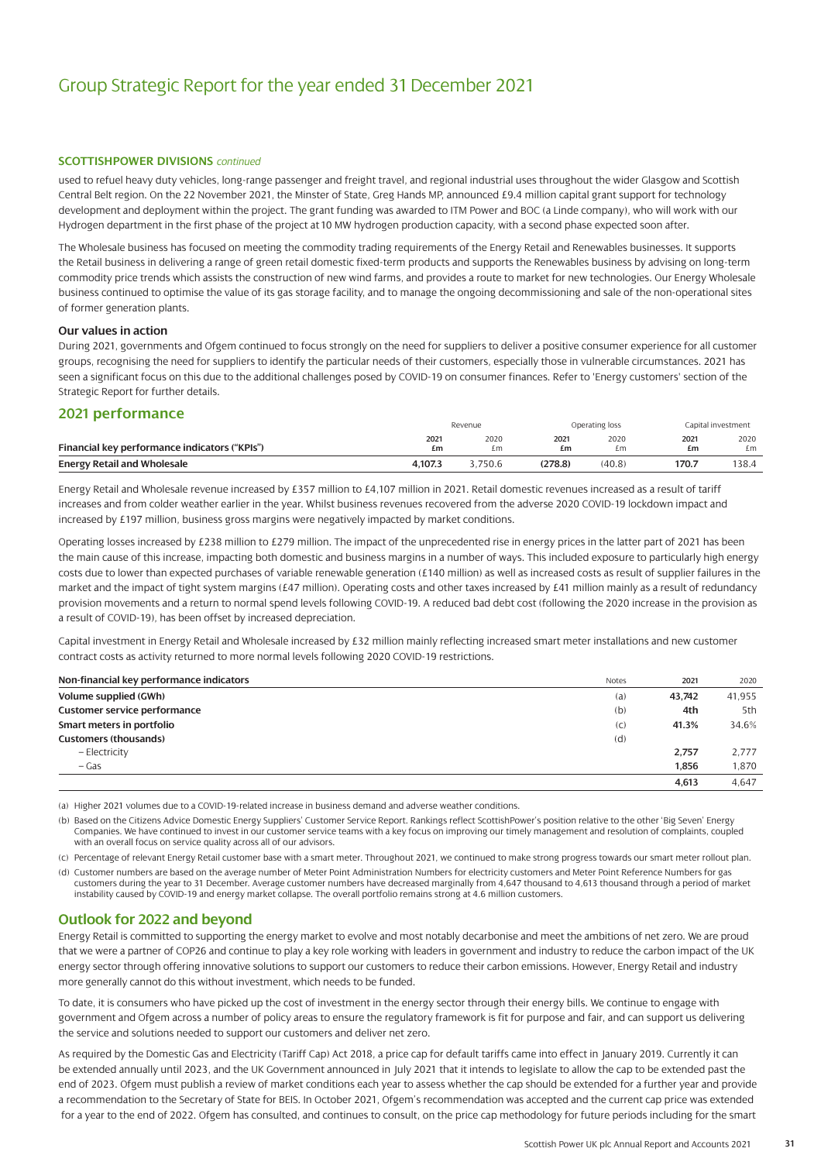#### **SCOTTISHPOWER DIVISIONS** *continued*

used to refuel heavy duty vehicles, long-range passenger and freight travel, and regional industrial uses throughout the wider Glasgow and Scottish Central Belt region. On the 22 November 2021, the Minster of State, Greg Hands MP, announced £9.4 million capital grant support for technology development and deployment within the project. The grant funding was awarded to ITM Power and BOC (a Linde company), who will work with our Hydrogen department in the first phase of the project at 10 MW hydrogen production capacity, with a second phase expected soon after.

The Wholesale business has focused on meeting the commodity trading requirements of the Energy Retail and Renewables businesses. It supports the Retail business in delivering a range of green retail domestic fixed-term products and supports the Renewables business by advising on long-term commodity price trends which assists the construction of new wind farms, and provides a route to market for new technologies. Our Energy Wholesale business continued to optimise the value of its gas storage facility, and to manage the ongoing decommissioning and sale of the non-operational sites of former generation plants.

#### **Our values in action**

During 2021, governments and Ofgem continued to focus strongly on the need for suppliers to deliver a positive consumer experience for all customer groups, recognising the need for suppliers to identify the particular needs of their customers, especially those in vulnerable circumstances. 2021 has seen a significant focus on this due to the additional challenges posed by COVID-19 on consumer finances. Refer to 'Energy customers' section of the Strategic Report for further details.

#### **2021 performance**

|                                               | Revenue |         |         | Operating loss |       | Capital investment |  |
|-----------------------------------------------|---------|---------|---------|----------------|-------|--------------------|--|
|                                               | 2021    | 2020    | 2021    | 2020           | 2021  | 2020               |  |
| Financial key performance indicators ("KPIs") | £m      | £m      | £m      | £m             | £m    | £m                 |  |
| <b>Energy Retail and Wholesale</b>            | 4.107.3 | 3.750.6 | (278.8) | (40.8)         | 170.7 | 138.4              |  |

Energy Retail and Wholesale revenue increased by £357 million to £4,107 million in 2021. Retail domestic revenues increased as a result of tariff increases and from colder weather earlier in the year. Whilst business revenues recovered from the adverse 2020 COVID-19 lockdown impact and increased by £197 million, business gross margins were negatively impacted by market conditions.

Operating losses increased by £238 million to £279 million. The impact of the unprecedented rise in energy prices in the latter part of 2021 has been the main cause of this increase, impacting both domestic and business margins in a number of ways. This included exposure to particularly high energy costs due to lower than expected purchases of variable renewable generation (£140 million) as well as increased costs as result of supplier failures in the market and the impact of tight system margins (£47 million). Operating costs and other taxes increased by £41 million mainly as a result of redundancy provision movements and a return to normal spend levels following COVID-19. A reduced bad debt cost (following the 2020 increase in the provision as a result of COVID-19), has been offset by increased depreciation.

Capital investment in Energy Retail and Wholesale increased by £32 million mainly reflecting increased smart meter installations and new customer contract costs as activity returned to more normal levels following 2020 COVID-19 restrictions.

| Non-financial key performance indicators | <b>Notes</b> | 2021   | 2020   |
|------------------------------------------|--------------|--------|--------|
| Volume supplied (GWh)                    | (a)          | 43.742 | 41,955 |
| <b>Customer service performance</b>      | (b)          | 4th    | 5th    |
| Smart meters in portfolio                | (C)          | 41.3%  | 34.6%  |
| <b>Customers (thousands)</b>             | (d)          |        |        |
| - Electricity                            |              | 2,757  | 2,777  |
| – Gas                                    |              | 1.856  | 1,870  |
|                                          |              | 4,613  | 4,647  |

(a) Higher 2021 volumes due to a COVID-19-related increase in business demand and adverse weather conditions.

- (b) Based on the Citizens Advice Domestic Energy Suppliers' Customer Service Report. Rankings reflect ScottishPower's position relative to the other 'Big Seven' Energy Companies. We have continued to invest in our customer service teams with a key focus on improving our timely management and resolution of complaints, coupled with an overall focus on service quality across all of our advisors.
- (c) Percentage of relevant Energy Retail customer base with a smart meter. Throughout 2021, we continued to make strong progress towards our smart meter rollout plan.
- (d) Customer numbers are based on the average number of Meter Point Administration Numbers for electricity customers and Meter Point Reference Numbers for gas customers during the year to 31 December. Average customer numbers have decreased marginally from 4,647 thousand to 4,613 thousand through a period of market instability caused by COVID-19 and energy market collapse. The overall portfolio remains strong at 4.6 million customers.

#### **Outlook for 2022 and beyond**

Energy Retail is committed to supporting the energy market to evolve and most notably decarbonise and meet the ambitions of net zero. We are proud that we were a partner of COP26 and continue to play a key role working with leaders in government and industry to reduce the carbon impact of the UK energy sector through offering innovative solutions to support our customers to reduce their carbon emissions. However, Energy Retail and industry more generally cannot do this without investment, which needs to be funded.

To date, it is consumers who have picked up the cost of investment in the energy sector through their energy bills. We continue to engage with government and Ofgem across a number of policy areas to ensure the regulatory framework is fit for purpose and fair, and can support us delivering the service and solutions needed to support our customers and deliver net zero.

As required by the Domestic Gas and Electricity (Tariff Cap) Act 2018, a price cap for default tariffs came into effect in January 2019. Currently it can be extended annually until 2023, and the UK Government announced in July 2021 that it intends to legislate to allow the cap to be extended past the end of 2023. Ofgem must publish a review of market conditions each year to assess whether the cap should be extended for a further year and provide a recommendation to the Secretary of State for BEIS. In October 2021, Ofgem's recommendation was accepted and the current cap price was extended for a year to the end of 2022. Ofgem has consulted, and continues to consult, on the price cap methodology for future periods including for the smart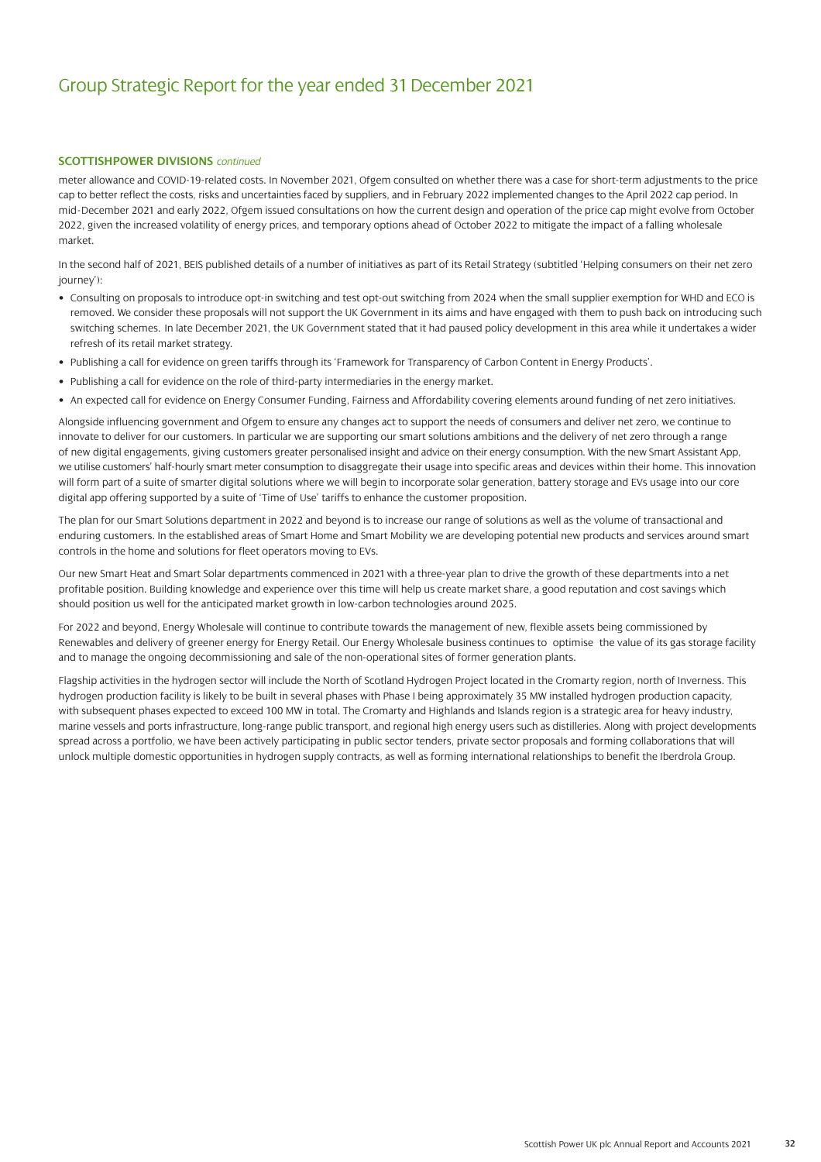#### **SCOTTISHPOWER DIVISIONS** *continued*

meter allowance and COVID-19-related costs. In November 2021, Ofgem consulted on whether there was a case for short-term adjustments to the price cap to better reflect the costs, risks and uncertainties faced by suppliers, and in February 2022 implemented changes to the April 2022 cap period. In mid-December 2021 and early 2022, Ofgem issued consultations on how the current design and operation of the price cap might evolve from October 2022, given the increased volatility of energy prices, and temporary options ahead of October 2022 to mitigate the impact of a falling wholesale market.

In the second half of 2021, BEIS published details of a number of initiatives as part of its Retail Strategy (subtitled 'Helping consumers on their net zero journey'):

- Consulting on proposals to introduce opt-in switching and test opt-out switching from 2024 when the small supplier exemption for WHD and ECO is removed. We consider these proposals will not support the UK Government in its aims and have engaged with them to push back on introducing such switching schemes. In late December 2021, the UK Government stated that it had paused policy development in this area while it undertakes a wider refresh of its retail market strategy.
- Publishing a call for evidence on green tariffs through its 'Framework for Transparency of Carbon Content in Energy Products'.
- Publishing a call for evidence on the role of third-party intermediaries in the energy market.
- An expected call for evidence on Energy Consumer Funding, Fairness and Affordability covering elements around funding of net zero initiatives.

Alongside influencing government and Ofgem to ensure any changes act to support the needs of consumers and deliver net zero, we continue to innovate to deliver for our customers. In particular we are supporting our smart solutions ambitions and the delivery of net zero through a range of new digital engagements, giving customers greater personalised insight and advice on their energy consumption. With the new Smart Assistant App, we utilise customers' half-hourly smart meter consumption to disaggregate their usage into specific areas and devices within their home. This innovation will form part of a suite of smarter digital solutions where we will begin to incorporate solar generation, battery storage and EVs usage into our core digital app offering supported by a suite of 'Time of Use' tariffs to enhance the customer proposition.

The plan for our Smart Solutions department in 2022 and beyond is to increase our range of solutions as well as the volume of transactional and enduring customers. In the established areas of Smart Home and Smart Mobility we are developing potential new products and services around smart controls in the home and solutions for fleet operators moving to EVs.

Our new Smart Heat and Smart Solar departments commenced in 2021 with a three-year plan to drive the growth of these departments into a net profitable position. Building knowledge and experience over this time will help us create market share, a good reputation and cost savings which should position us well for the anticipated market growth in low-carbon technologies around 2025.

For 2022 and beyond, Energy Wholesale will continue to contribute towards the management of new, flexible assets being commissioned by Renewables and delivery of greener energy for Energy Retail. Our Energy Wholesale business continues to optimise the value of its gas storage facility and to manage the ongoing decommissioning and sale of the non-operational sites of former generation plants.

Flagship activities in the hydrogen sector will include the North of Scotland Hydrogen Project located in the Cromarty region, north of Inverness. This hydrogen production facility is likely to be built in several phases with Phase I being approximately 35 MW installed hydrogen production capacity, with subsequent phases expected to exceed 100 MW in total. The Cromarty and Highlands and Islands region is a strategic area for heavy industry, marine vessels and ports infrastructure, long-range public transport, and regional high energy users such as distilleries. Along with project developments spread across a portfolio, we have been actively participating in public sector tenders, private sector proposals and forming collaborations that will unlock multiple domestic opportunities in hydrogen supply contracts, as well as forming international relationships to benefit the Iberdrola Group.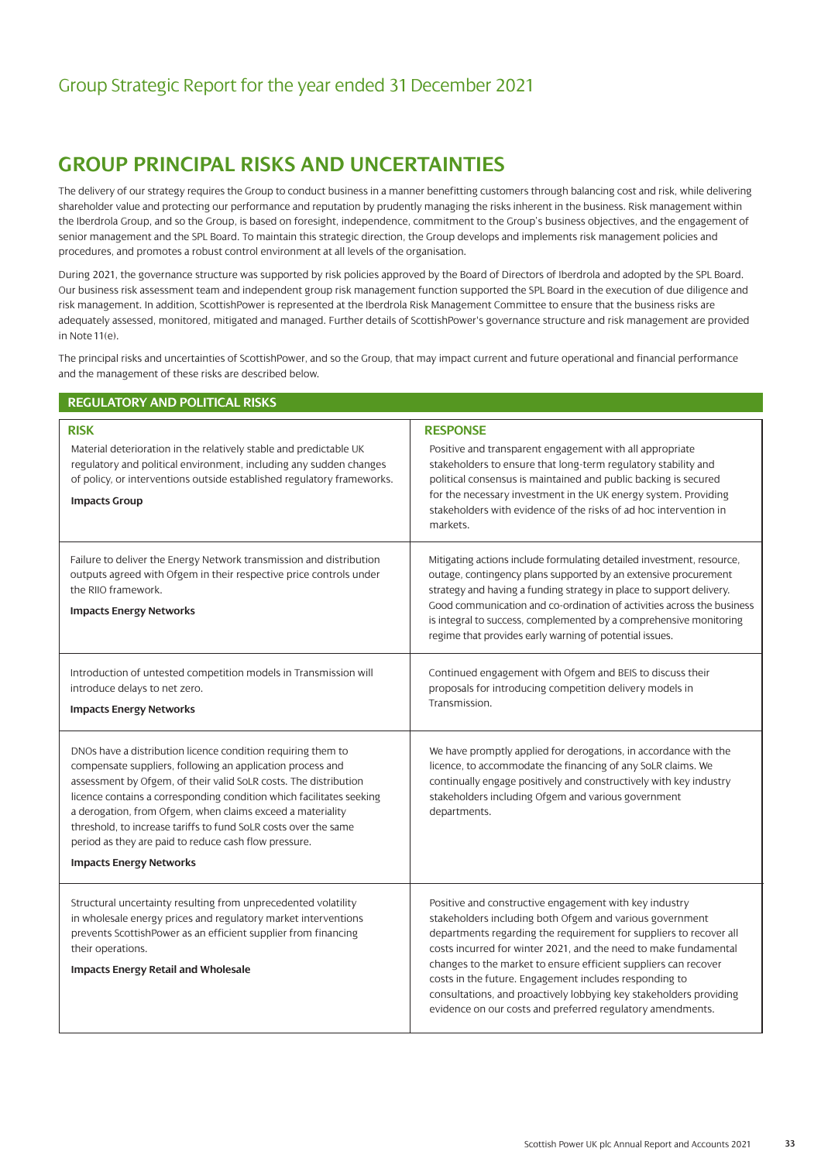### **GROUP PRINCIPAL RISKS AND UNCERTAINTIES**

The delivery of our strategy requires the Group to conduct business in a manner benefitting customers through balancing cost and risk, while delivering shareholder value and protecting our performance and reputation by prudently managing the risks inherent in the business. Risk management within the Iberdrola Group, and so the Group, is based on foresight, independence, commitment to the Group's business objectives, and the engagement of senior management and the SPL Board. To maintain this strategic direction, the Group develops and implements risk management policies and procedures, and promotes a robust control environment at all levels of the organisation.

During 2021, the governance structure was supported by risk policies approved by the Board of Directors of Iberdrola and adopted by the SPL Board. Our business risk assessment team and independent group risk management function supported the SPL Board in the execution of due diligence and risk management. In addition, ScottishPower is represented at the Iberdrola Risk Management Committee to ensure that the business risks are adequately assessed, monitored, mitigated and managed. Further details of ScottishPower's governance structure and risk management are provided in Note 11(e).

The principal risks and uncertainties of ScottishPower, and so the Group, that may impact current and future operational and financial performance and the management of these risks are described below.

| <b>REGULATORY AND POLITICAL RISKS</b>                                                                                                                                                                                                                                                                                                                                                                                                                                                              |                                                                                                                                                                                                                                                                                                                                                                                                                                                                                                                               |
|----------------------------------------------------------------------------------------------------------------------------------------------------------------------------------------------------------------------------------------------------------------------------------------------------------------------------------------------------------------------------------------------------------------------------------------------------------------------------------------------------|-------------------------------------------------------------------------------------------------------------------------------------------------------------------------------------------------------------------------------------------------------------------------------------------------------------------------------------------------------------------------------------------------------------------------------------------------------------------------------------------------------------------------------|
| <b>RISK</b><br>Material deterioration in the relatively stable and predictable UK<br>regulatory and political environment, including any sudden changes<br>of policy, or interventions outside established regulatory frameworks.<br><b>Impacts Group</b>                                                                                                                                                                                                                                          | <b>RESPONSE</b><br>Positive and transparent engagement with all appropriate<br>stakeholders to ensure that long-term regulatory stability and<br>political consensus is maintained and public backing is secured<br>for the necessary investment in the UK energy system. Providing<br>stakeholders with evidence of the risks of ad hoc intervention in<br>markets.                                                                                                                                                          |
| Failure to deliver the Energy Network transmission and distribution<br>outputs agreed with Ofgem in their respective price controls under<br>the RIIO framework.<br><b>Impacts Energy Networks</b>                                                                                                                                                                                                                                                                                                 | Mitigating actions include formulating detailed investment, resource,<br>outage, contingency plans supported by an extensive procurement<br>strategy and having a funding strategy in place to support delivery.<br>Good communication and co-ordination of activities across the business<br>is integral to success, complemented by a comprehensive monitoring<br>regime that provides early warning of potential issues.                                                                                                   |
| Introduction of untested competition models in Transmission will<br>introduce delays to net zero.<br><b>Impacts Energy Networks</b>                                                                                                                                                                                                                                                                                                                                                                | Continued engagement with Ofgem and BEIS to discuss their<br>proposals for introducing competition delivery models in<br>Transmission.                                                                                                                                                                                                                                                                                                                                                                                        |
| DNOs have a distribution licence condition requiring them to<br>compensate suppliers, following an application process and<br>assessment by Ofgem, of their valid SoLR costs. The distribution<br>licence contains a corresponding condition which facilitates seeking<br>a derogation, from Ofgem, when claims exceed a materiality<br>threshold, to increase tariffs to fund SoLR costs over the same<br>period as they are paid to reduce cash flow pressure.<br><b>Impacts Energy Networks</b> | We have promptly applied for derogations, in accordance with the<br>licence, to accommodate the financing of any SoLR claims. We<br>continually engage positively and constructively with key industry<br>stakeholders including Ofgem and various government<br>departments.                                                                                                                                                                                                                                                 |
| Structural uncertainty resulting from unprecedented volatility<br>in wholesale energy prices and regulatory market interventions<br>prevents ScottishPower as an efficient supplier from financing<br>their operations.<br><b>Impacts Energy Retail and Wholesale</b>                                                                                                                                                                                                                              | Positive and constructive engagement with key industry<br>stakeholders including both Ofgem and various government<br>departments regarding the requirement for suppliers to recover all<br>costs incurred for winter 2021, and the need to make fundamental<br>changes to the market to ensure efficient suppliers can recover<br>costs in the future. Engagement includes responding to<br>consultations, and proactively lobbying key stakeholders providing<br>evidence on our costs and preferred regulatory amendments. |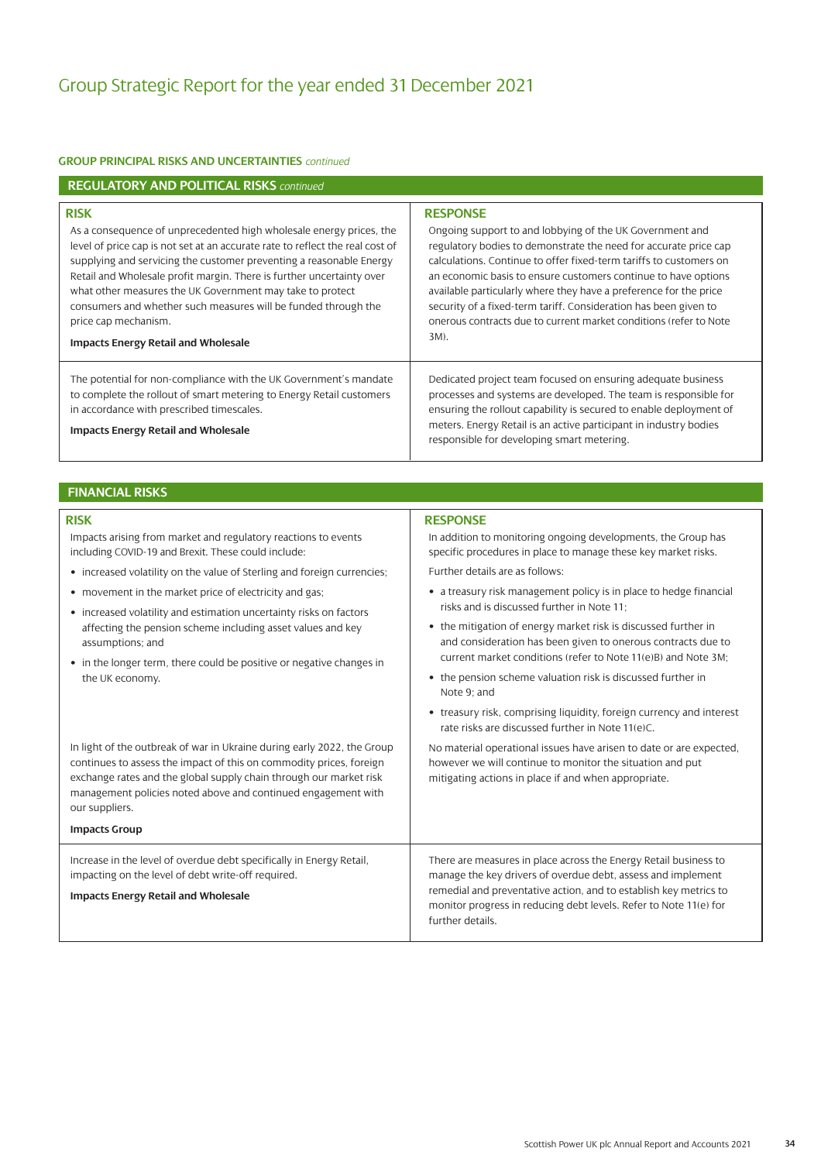#### **GROUP PRINCIPAL RISKS AND UNCERTAINTIES** *continued*

| <b>REGULATORY AND POLITICAL RISKS continued</b>                                                                                                                                                                                                                                                                                                                                                                                                                                                                          |                                                                                                                                                                                                                                                                                                                                                                                                                                                                                                               |
|--------------------------------------------------------------------------------------------------------------------------------------------------------------------------------------------------------------------------------------------------------------------------------------------------------------------------------------------------------------------------------------------------------------------------------------------------------------------------------------------------------------------------|---------------------------------------------------------------------------------------------------------------------------------------------------------------------------------------------------------------------------------------------------------------------------------------------------------------------------------------------------------------------------------------------------------------------------------------------------------------------------------------------------------------|
| <b>RISK</b><br>As a consequence of unprecedented high wholesale energy prices, the<br>level of price cap is not set at an accurate rate to reflect the real cost of<br>supplying and servicing the customer preventing a reasonable Energy<br>Retail and Wholesale profit margin. There is further uncertainty over<br>what other measures the UK Government may take to protect<br>consumers and whether such measures will be funded through the<br>price cap mechanism.<br><b>Impacts Energy Retail and Wholesale</b> | <b>RESPONSE</b><br>Ongoing support to and lobbying of the UK Government and<br>regulatory bodies to demonstrate the need for accurate price cap<br>calculations. Continue to offer fixed-term tariffs to customers on<br>an economic basis to ensure customers continue to have options<br>available particularly where they have a preference for the price<br>security of a fixed-term tariff. Consideration has been given to<br>onerous contracts due to current market conditions (refer to Note<br>3M). |
| The potential for non-compliance with the UK Government's mandate<br>to complete the rollout of smart metering to Energy Retail customers<br>in accordance with prescribed timescales.<br><b>Impacts Energy Retail and Wholesale</b>                                                                                                                                                                                                                                                                                     | Dedicated project team focused on ensuring adequate business<br>processes and systems are developed. The team is responsible for<br>ensuring the rollout capability is secured to enable deployment of<br>meters. Energy Retail is an active participant in industry bodies<br>responsible for developing smart metering.                                                                                                                                                                                     |

#### **FINANCIAL RISKS**

Impacts arising from market and regulatory reactions to events including COVID-19 and Brexit. These could include:

- increased volatility on the value of Sterling and foreign currencies;
- movement in the market price of electricity and gas;
- increased volatility and estimation uncertainty risks on factors affecting the pension scheme including asset values and key assumptions; and
- in the longer term, there could be positive or negative changes in the UK economy.

In light of the outbreak of war in Ukraine during early 2022, the Group continues to assess the impact of this on commodity prices, foreign exchange rates and the global supply chain through our market risk management policies noted above and continued engagement with our suppliers.

**Impacts Group** Increase in the level of overdue debt specifically in Energy Retail, impacting on the level of debt write-off required. **Impacts Energy Retail and Wholesale** There are measures in place across the Energy Retail business to manage the key drivers of overdue debt, assess and implement remedial and preventative action, and to establish key metrics to monitor progress in reducing debt levels. Refer to Note 11(e) for

further details.

#### **RISK RISK RESPONSE**

In addition to monitoring ongoing developments, the Group has specific procedures in place to manage these key market risks.

Further details are as follows:

- a treasury risk management policy is in place to hedge financial risks and is discussed further in Note 11;
- the mitigation of energy market risk is discussed further in and consideration has been given to onerous contracts due to current market conditions (refer to Note 11(e)B) and Note 3M;
- the pension scheme valuation risk is discussed further in Note 9; and
- treasury risk, comprising liquidity, foreign currency and interest rate risks are discussed further in Note 11(e)C.

No material operational issues have arisen to date or are expected, however we will continue to monitor the situation and put mitigating actions in place if and when appropriate.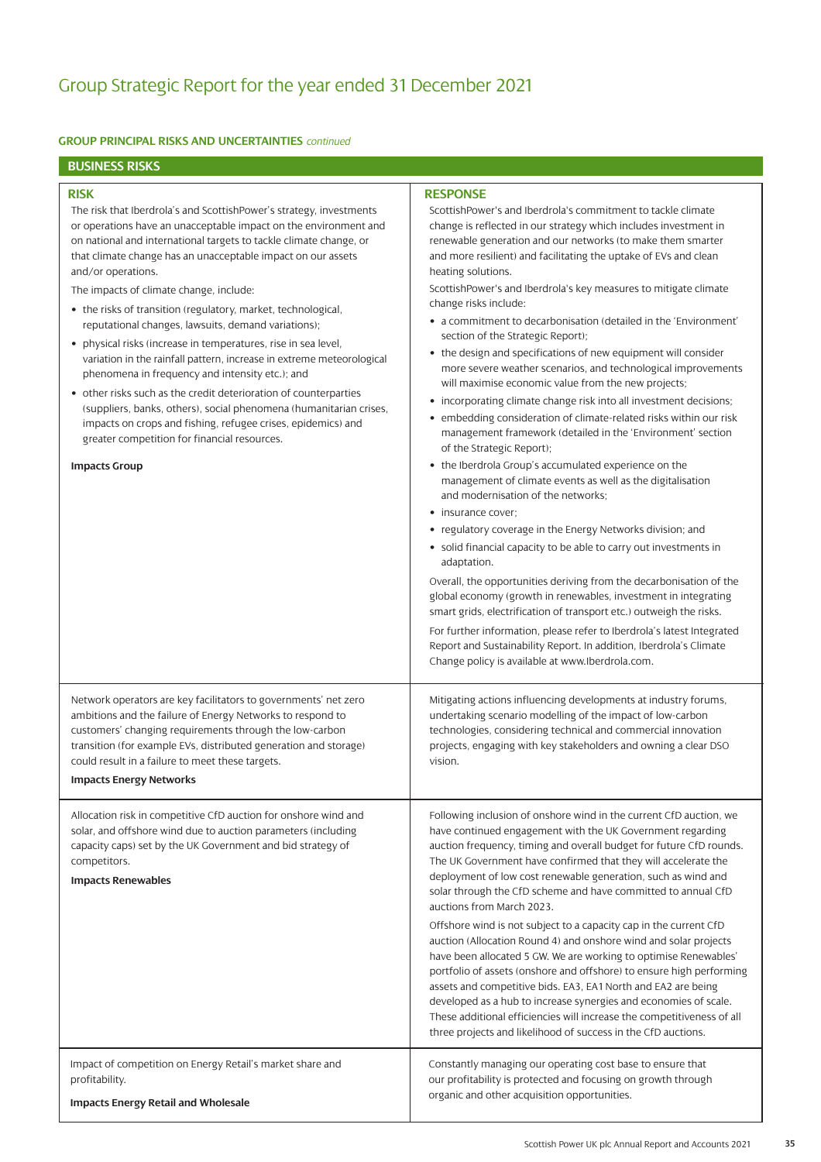## Group Strategic Report for the year ended 31 December 2021

### **GROUP PRINCIPAL RISKS AND UNCERTAINTIES** *continued*

### **BUSINESS RISKS**

### **RISK**

The risk that Iberdrola's and ScottishPower's strategy, investments or operations have an unacceptable impact on the environment and on national and international targets to tackle climate change, or that climate change has an unacceptable impact on our assets and/or operations.

The impacts of climate change, include:

- the risks of transition (regulatory, market, technological, reputational changes, lawsuits, demand variations);
- physical risks (increase in temperatures, rise in sea level, variation in the rainfall pattern, increase in extreme meteorological phenomena in frequency and intensity etc.); and
- other risks such as the credit deterioration of counterparties (suppliers, banks, others), social phenomena (humanitarian crises, impacts on crops and fishing, refugee crises, epidemics) and greater competition for financial resources.

#### **Impacts Group**

### **RESPONSE**

ScottishPower's and Iberdrola's commitment to tackle climate change is reflected in our strategy which includes investment in renewable generation and our networks (to make them smarter and more resilient) and facilitating the uptake of EVs and clean heating solutions.

ScottishPower's and Iberdrola's key measures to mitigate climate change risks include:

- a commitment to decarbonisation (detailed in the 'Environment' section of the Strategic Report);
- the design and specifications of new equipment will consider more severe weather scenarios, and technological improvements will maximise economic value from the new projects;
- incorporating climate change risk into all investment decisions;
- embedding consideration of climate-related risks within our risk management framework (detailed in the 'Environment' section of the Strategic Report);
- the Iberdrola Group's accumulated experience on the management of climate events as well as the digitalisation and modernisation of the networks;
- insurance cover:
- regulatory coverage in the Energy Networks division; and
- solid financial capacity to be able to carry out investments in adaptation.

Overall, the opportunities deriving from the decarbonisation of the global economy (growth in renewables, investment in integrating smart grids, electrification of transport etc.) outweigh the risks. For further information, please refer to Iberdrola's latest Integrated Report and Sustainability Report. In addition, Iberdrola's Climate Change policy is available a[t www.Iberdrola.com.](https://www.iberdrola.com/)

Network operators are key facilitators to governments' net zero ambitions and the failure of Energy Networks to respond to customers' changing requirements through the low-carbon transition (for example EVs, distributed generation and storage) could result in a failure to meet these targets.

**Impacts Energy Networks**

Allocation risk in competitive CfD auction for onshore wind and solar, and offshore wind due to auction parameters (including capacity caps) set by the UK Government and bid strategy of competitors.

#### **Impacts Renewables**

Impact of competition on Energy Retail's market share and profitability.

**Impacts Energy Retail and Wholesale**

Mitigating actions influencing developments at industry forums, undertaking scenario modelling of the impact of low-carbon technologies, considering technical and commercial innovation projects, engaging with key stakeholders and owning a clear DSO vision.

Following inclusion of onshore wind in the current CfD auction, we have continued engagement with the UK Government regarding auction frequency, timing and overall budget for future CfD rounds. The UK Government have confirmed that they will accelerate the deployment of low cost renewable generation, such as wind and solar through the CfD scheme and have committed to annual CfD auctions from March 2023.

Offshore wind is not subject to a capacity cap in the current CfD auction (Allocation Round 4) and onshore wind and solar projects have been allocated 5 GW. We are working to optimise Renewables' portfolio of assets (onshore and offshore) to ensure high performing assets and competitive bids. EA3, EA1 North and EA2 are being developed as a hub to increase synergies and economies of scale. These additional efficiencies will increase the competitiveness of all three projects and likelihood of success in the CfD auctions.

Constantly managing our operating cost base to ensure that our profitability is protected and focusing on growth through organic and other acquisition opportunities.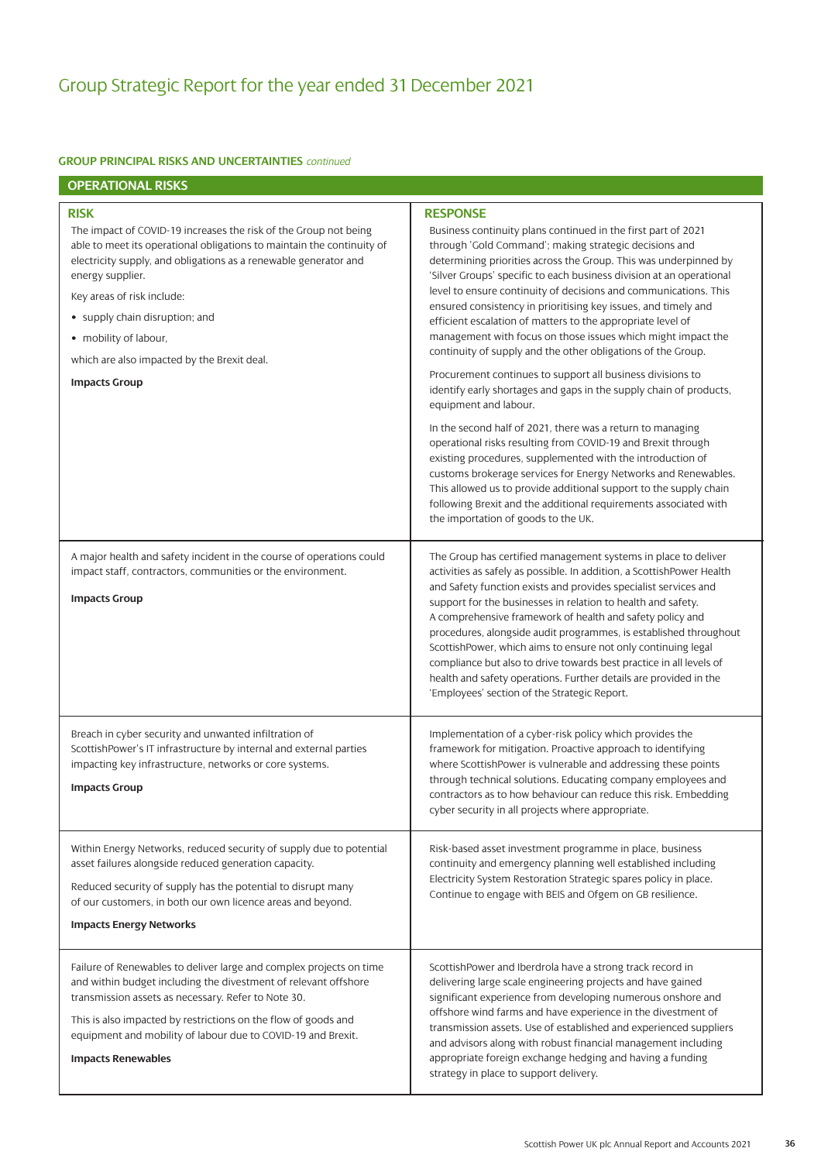| <b>OPERATIONAL RISKS</b>                                                                                                                                                                                                                                                                                                                                                                                          |                                                                                                                                                                                                                                                                                                                                                                                                                                                                                                                                                                                                                                                                                                                                                                                                                                                                                                                                                                                                                                                                                                                                                                                                                                        |
|-------------------------------------------------------------------------------------------------------------------------------------------------------------------------------------------------------------------------------------------------------------------------------------------------------------------------------------------------------------------------------------------------------------------|----------------------------------------------------------------------------------------------------------------------------------------------------------------------------------------------------------------------------------------------------------------------------------------------------------------------------------------------------------------------------------------------------------------------------------------------------------------------------------------------------------------------------------------------------------------------------------------------------------------------------------------------------------------------------------------------------------------------------------------------------------------------------------------------------------------------------------------------------------------------------------------------------------------------------------------------------------------------------------------------------------------------------------------------------------------------------------------------------------------------------------------------------------------------------------------------------------------------------------------|
| <b>RISK</b><br>The impact of COVID-19 increases the risk of the Group not being<br>able to meet its operational obligations to maintain the continuity of<br>electricity supply, and obligations as a renewable generator and<br>energy supplier.<br>Key areas of risk include:<br>• supply chain disruption; and<br>• mobility of labour,<br>which are also impacted by the Brexit deal.<br><b>Impacts Group</b> | <b>RESPONSE</b><br>Business continuity plans continued in the first part of 2021<br>through 'Gold Command'; making strategic decisions and<br>determining priorities across the Group. This was underpinned by<br>'Silver Groups' specific to each business division at an operational<br>level to ensure continuity of decisions and communications. This<br>ensured consistency in prioritising key issues, and timely and<br>efficient escalation of matters to the appropriate level of<br>management with focus on those issues which might impact the<br>continuity of supply and the other obligations of the Group.<br>Procurement continues to support all business divisions to<br>identify early shortages and gaps in the supply chain of products,<br>equipment and labour.<br>In the second half of 2021, there was a return to managing<br>operational risks resulting from COVID-19 and Brexit through<br>existing procedures, supplemented with the introduction of<br>customs brokerage services for Energy Networks and Renewables.<br>This allowed us to provide additional support to the supply chain<br>following Brexit and the additional requirements associated with<br>the importation of goods to the UK. |
| A major health and safety incident in the course of operations could<br>impact staff, contractors, communities or the environment.<br><b>Impacts Group</b>                                                                                                                                                                                                                                                        | The Group has certified management systems in place to deliver<br>activities as safely as possible. In addition, a ScottishPower Health<br>and Safety function exists and provides specialist services and<br>support for the businesses in relation to health and safety.<br>A comprehensive framework of health and safety policy and<br>procedures, alongside audit programmes, is established throughout<br>ScottishPower, which aims to ensure not only continuing legal<br>compliance but also to drive towards best practice in all levels of<br>health and safety operations. Further details are provided in the<br>'Employees' section of the Strategic Report.                                                                                                                                                                                                                                                                                                                                                                                                                                                                                                                                                              |
| Breach in cyber security and unwanted infiltration of<br>ScottishPower's IT infrastructure by internal and external parties<br>impacting key infrastructure, networks or core systems.<br><b>Impacts Group</b>                                                                                                                                                                                                    | Implementation of a cyber-risk policy which provides the<br>framework for mitigation. Proactive approach to identifying<br>where ScottishPower is vulnerable and addressing these points<br>through technical solutions. Educating company employees and<br>contractors as to how behaviour can reduce this risk. Embedding<br>cyber security in all projects where appropriate.                                                                                                                                                                                                                                                                                                                                                                                                                                                                                                                                                                                                                                                                                                                                                                                                                                                       |
| Within Energy Networks, reduced security of supply due to potential<br>asset failures alongside reduced generation capacity.<br>Reduced security of supply has the potential to disrupt many<br>of our customers, in both our own licence areas and beyond.<br><b>Impacts Energy Networks</b>                                                                                                                     | Risk-based asset investment programme in place, business<br>continuity and emergency planning well established including<br>Electricity System Restoration Strategic spares policy in place.<br>Continue to engage with BEIS and Ofgem on GB resilience.                                                                                                                                                                                                                                                                                                                                                                                                                                                                                                                                                                                                                                                                                                                                                                                                                                                                                                                                                                               |
| Failure of Renewables to deliver large and complex projects on time<br>and within budget including the divestment of relevant offshore<br>transmission assets as necessary. Refer to Note 30.                                                                                                                                                                                                                     | ScottishPower and Iberdrola have a strong track record in<br>delivering large scale engineering projects and have gained<br>significant experience from developing numerous onshore and                                                                                                                                                                                                                                                                                                                                                                                                                                                                                                                                                                                                                                                                                                                                                                                                                                                                                                                                                                                                                                                |

This is also impacted by restrictions on the flow of goods and equipment and mobility of labour due to COVID-19 and Brexit.

### **Impacts Renewables**

significant experience from developing numerous onshore and offshore wind farms and have experience in the divestment of transmission assets. Use of established and experienced suppliers and advisors along with robust financial management including appropriate foreign exchange hedging and having a funding strategy in place to support delivery.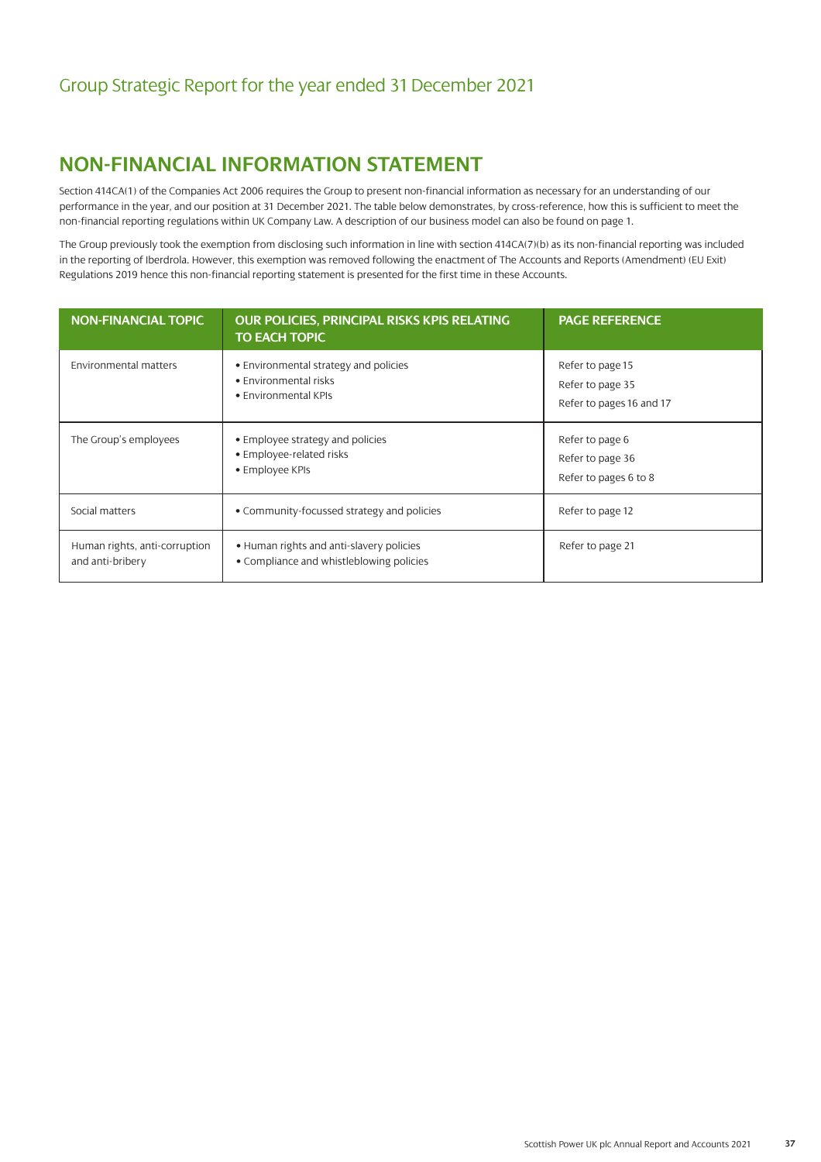# **NON-FINANCIAL INFORMATION STATEMENT**

Section 414CA(1) of the Companies Act 2006 requires the Group to present non-financial information as necessary for an understanding of our performance in the year, and our position at 31 December 2021. The table below demonstrates, by cross-reference, how this is sufficient to meet the non-financial reporting regulations within UK Company Law. A description of our business model can also be found on page 1.

The Group previously took the exemption from disclosing such information in line with section 414CA(7)(b) as its non-financial reporting was included in the reporting of Iberdrola. However, this exemption was removed following the enactment of The Accounts and Reports (Amendment) (EU Exit) Regulations 2019 hence this non-financial reporting statement is presented for the first time in these Accounts.

| <b>NON-FINANCIAL TOPIC</b>                        | <b>OUR POLICIES, PRINCIPAL RISKS KPIS RELATING</b><br><b>TO EACH TOPIC</b>             | <b>PAGE REFERENCE</b>                                            |
|---------------------------------------------------|----------------------------------------------------------------------------------------|------------------------------------------------------------------|
| <b>Environmental matters</b>                      | • Environmental strategy and policies<br>• Environmental risks<br>• Environmental KPIs | Refer to page 15<br>Refer to page 35<br>Refer to pages 16 and 17 |
| The Group's employees                             | • Employee strategy and policies<br>• Employee-related risks<br>• Employee KPIs        | Refer to page 6<br>Refer to page 36<br>Refer to pages 6 to 8     |
| Social matters                                    | • Community-focussed strategy and policies                                             | Refer to page 12                                                 |
| Human rights, anti-corruption<br>and anti-bribery | • Human rights and anti-slavery policies<br>• Compliance and whistleblowing policies   | Refer to page 21                                                 |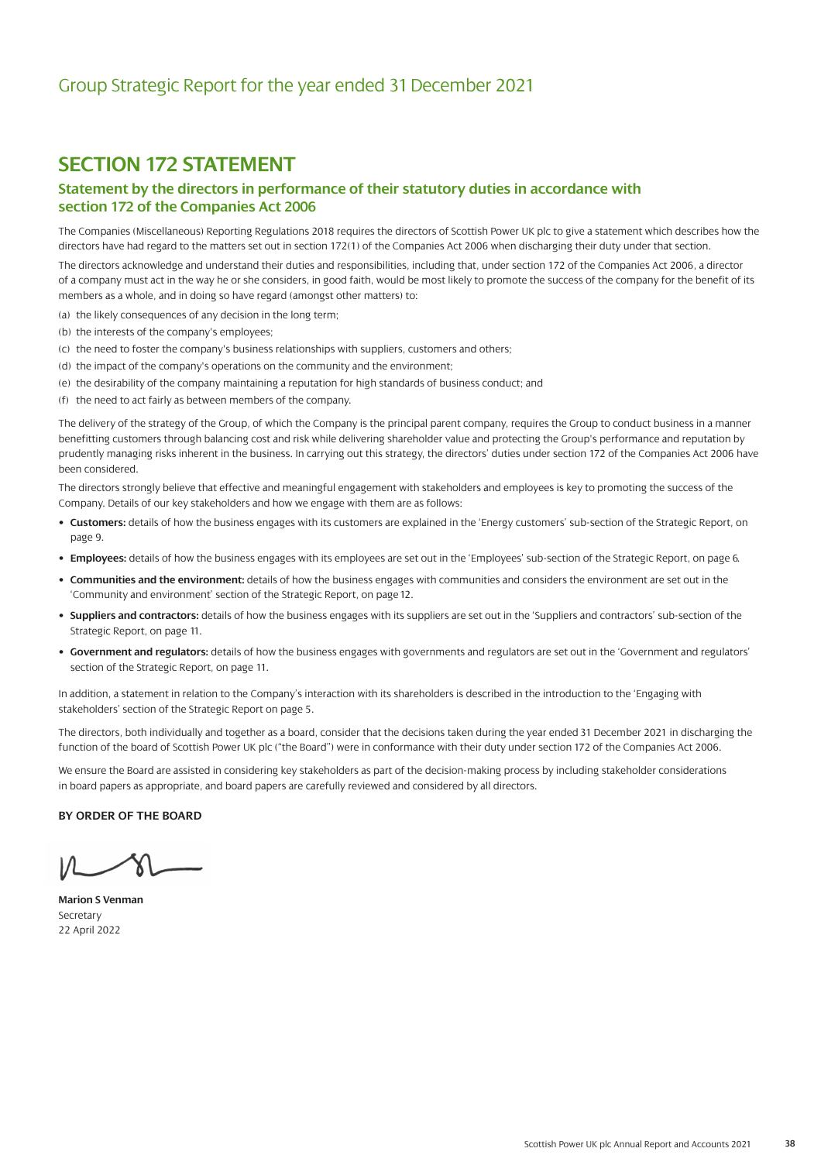## **SECTION 172 STATEMENT**

### **Statement by the directors in performance of their statutory duties in accordance with section 172 of the Companies Act 2006**

The Companies (Miscellaneous) Reporting Regulations 2018 requires the directors of Scottish Power UK plc to give a statement which describes how the directors have had regard to the matters set out in section 172(1) of the Companies Act 2006 when discharging their duty under that section.

The directors acknowledge and understand their duties and responsibilities, including that, under section 172 of the Companies Act 2006, a director of a company must act in the way he or she considers, in good faith, would be most likely to promote the success of the company for the benefit of its members as a whole, and in doing so have regard (amongst other matters) to:

- (a) the likely consequences of any decision in the long term;
- (b) the interests of the company's employees;
- (c) the need to foster the company's business relationships with suppliers, customers and others;
- (d) the impact of the company's operations on the community and the environment;
- (e) the desirability of the company maintaining a reputation for high standards of business conduct; and
- (f) the need to act fairly as between members of the company.

The delivery of the strategy of the Group, of which the Company is the principal parent company, requires the Group to conduct business in a manner benefitting customers through balancing cost and risk while delivering shareholder value and protecting the Group's performance and reputation by prudently managing risks inherent in the business. In carrying out this strategy, the directors' duties under section 172 of the Companies Act 2006 have been considered.

The directors strongly believe that effective and meaningful engagement with stakeholders and employees is key to promoting the success of the Company. Details of our key stakeholders and how we engage with them are as follows:

- **Customers:** details of how the business engages with its customers are explained in the 'Energy customers' sub-section of the Strategic Report, on page 9.
- **Employees:** details of how the business engages with its employees are set out in the 'Employees' sub-section of the Strategic Report, on page 6.
- **Communities and the environment:** details of how the business engages with communities and considers the environment are set out in the 'Community and environment' section of the Strategic Report, on page 12.
- **Suppliers and contractors:** details of how the business engages with its suppliers are set out in the 'Suppliers and contractors' sub-section of the Strategic Report, on page 11.
- **Government and regulators:** details of how the business engages with governments and regulators are set out in the 'Government and regulators' section of the Strategic Report, on page 11.

In addition, a statement in relation to the Company's interaction with its shareholders is described in the introduction to the 'Engaging with stakeholders' section of the Strategic Report on page 5.

The directors, both individually and together as a board, consider that the decisions taken during the year ended 31 December 2021 in discharging the function of the board of Scottish Power UK plc ("the Board") were in conformance with their duty under section 172 of the Companies Act 2006.

We ensure the Board are assisted in considering key stakeholders as part of the decision-making process by including stakeholder considerations in board papers as appropriate, and board papers are carefully reviewed and considered by all directors.

### **BY ORDER OF THE BOARD**

**Marion S Venman** Secretary 22 April 2022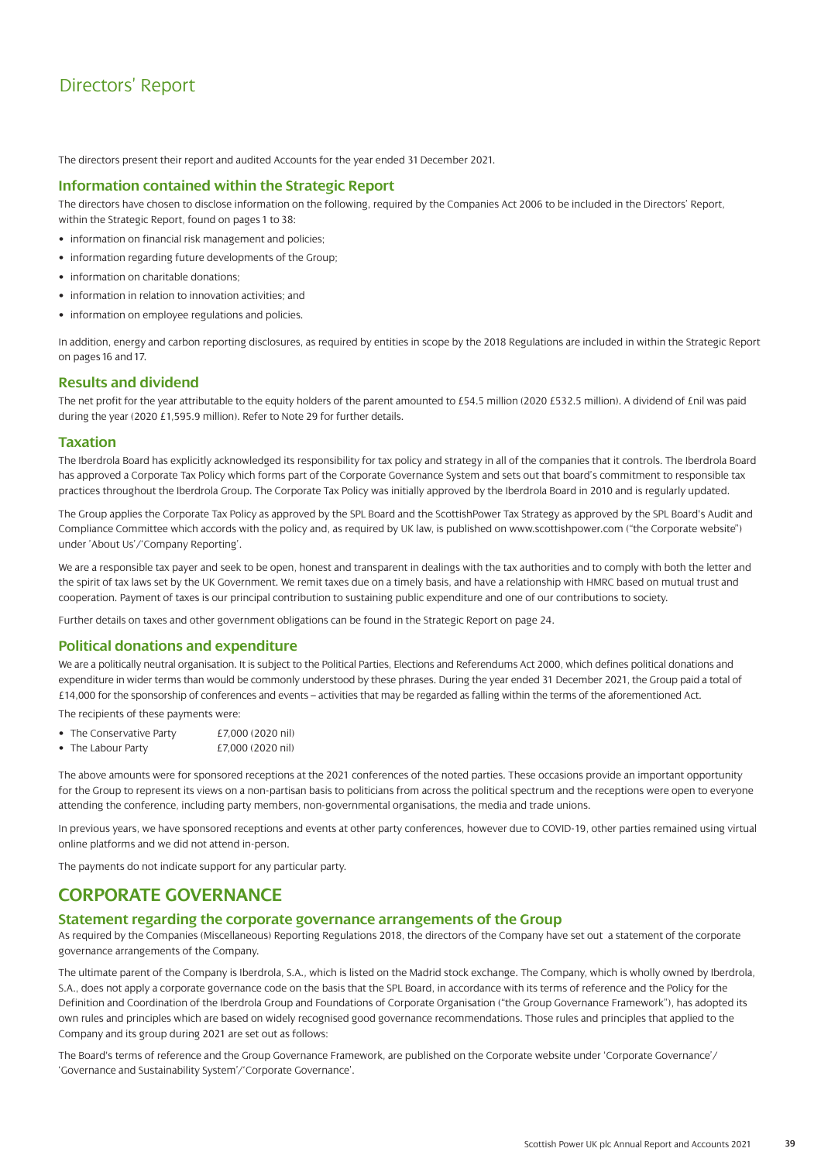The directors present their report and audited Accounts for the year ended 31 December 2021.

### **Information contained within the Strategic Report**

The directors have chosen to disclose information on the following, required by the Companies Act 2006 to be included in the Directors' Report, within the Strategic Report, found on pages 1 to 38:

- information on financial risk management and policies;
- information regarding future developments of the Group;
- information on charitable donations;
- information in relation to innovation activities; and
- information on employee regulations and policies.

In addition, energy and carbon reporting disclosures, as required by entities in scope by the 2018 Regulations are included in within the Strategic Report on pages 16 and 17.

### **Results and dividend**

The net profit for the year attributable to the equity holders of the parent amounted to £54.5 million (2020 £532.5 million). A dividend of £nil was paid during the year (2020 £1,595.9 million). Refer to Note 29 for further details.

### **Taxation**

The Iberdrola Board has explicitly acknowledged its responsibility for tax policy and strategy in all of the companies that it controls. The Iberdrola Board has approved a Corporate Tax Policy which forms part of the Corporate Governance System and sets out that board's commitment to responsible tax practices throughout the Iberdrola Group. The Corporate Tax Policy was initially approved by the Iberdrola Board in 2010 and is regularly updated.

The Group applies the Corporate Tax Policy as approved by the SPL Board and the ScottishPower Tax Strategy as approved by the SPL Board's Audit and Compliance Committee which accords with the policy and, as required by UK law, is published o[n www.scottishpower.com \(](https://www.scottishpower.com/)"the Corporate website") under 'About Us'/'Company Reporting'.

We are a responsible tax payer and seek to be open, honest and transparent in dealings with the tax authorities and to comply with both the letter and the spirit of tax laws set by the UK Government. We remit taxes due on a timely basis, and have a relationship with HMRC based on mutual trust and cooperation. Payment of taxes is our principal contribution to sustaining public expenditure and one of our contributions to society.

Further details on taxes and other government obligations can be found in the Strategic Report on page 24.

### **Political donations and expenditure**

We are a politically neutral organisation. It is subject to the Political Parties, Elections and Referendums Act 2000, which defines political donations and expenditure in wider terms than would be commonly understood by these phrases. During the year ended 31 December 2021, the Group paid a total of £14,000 for the sponsorship of conferences and events – activities that may be regarded as falling within the terms of the aforementioned Act.

The recipients of these payments were:

- The Conservative Party  $E7,000$  (2020 nil)
- The Labour Party  $E7,000$  (2020 nil)

The above amounts were for sponsored receptions at the 2021 conferences of the noted parties. These occasions provide an important opportunity for the Group to represent its views on a non-partisan basis to politicians from across the political spectrum and the receptions were open to everyone attending the conference, including party members, non-governmental organisations, the media and trade unions.

In previous years, we have sponsored receptions and events at other party conferences, however due to COVID-19, other parties remained using virtual online platforms and we did not attend in-person.

The payments do not indicate support for any particular party.

## **CORPORATE GOVERNANCE**

### **Statement regarding the corporate governance arrangements of the Group**

As required by the Companies (Miscellaneous) Reporting Regulations 2018, the directors of the Company have set out a statement of the corporate governance arrangements of the Company.

The ultimate parent of the Company is Iberdrola, S.A., which is listed on the Madrid stock exchange. The Company, which is wholly owned by Iberdrola, S.A., does not apply a corporate governance code on the basis that the SPL Board, in accordance with its terms of reference and the Policy for the Definition and Coordination of the Iberdrola Group and Foundations of Corporate Organisation ("the Group Governance Framework"), has adopted its own rules and principles which are based on widely recognised good governance recommendations. Those rules and principles that applied to the Company and its group during 2021 are set out as follows:

The Board's terms of reference and the Group Governance Framework, are published on the Corporate website under 'Corporate Governance'/ 'Governance and Sustainability System'/'Corporate Governance'.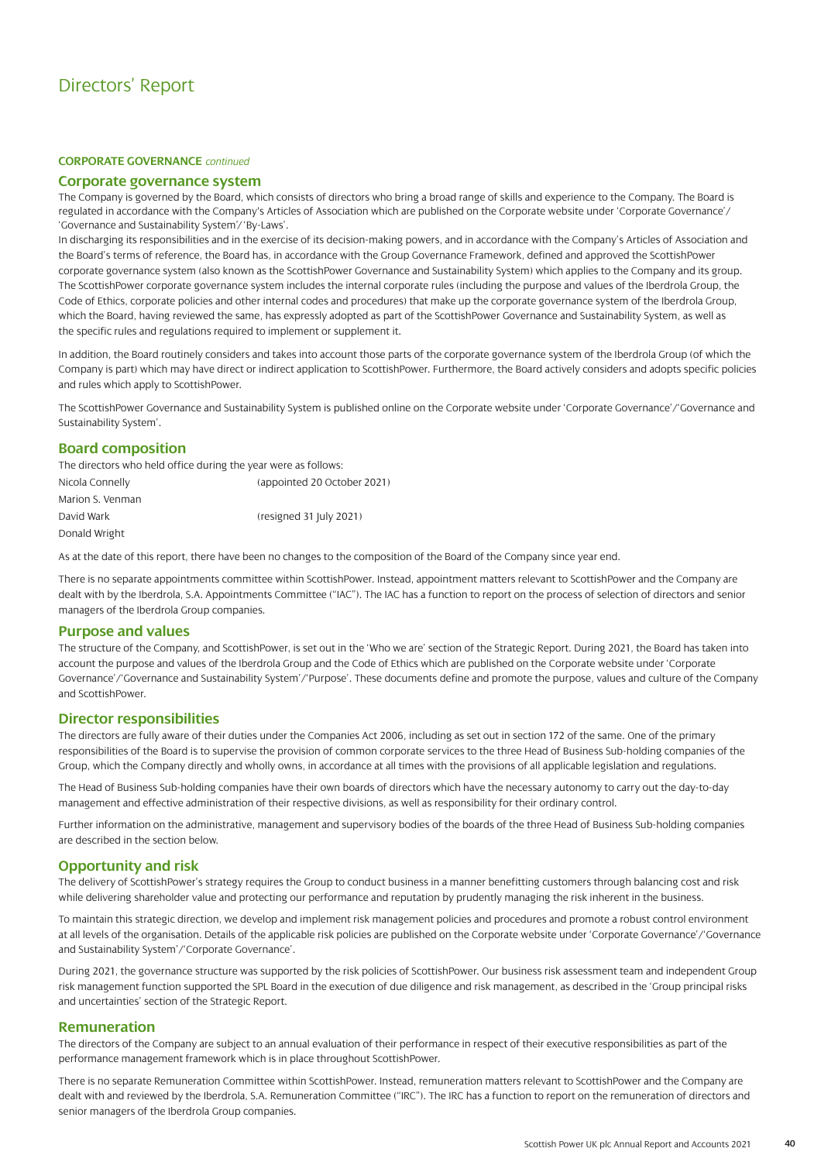### **CORPORATE GOVERNANCE** *continued*

### **Corporate governance system**

The Company is governed by the Board, which consists of directors who bring a broad range of skills and experience to the Company. The Board is regulated in accordance with the Company's Articles of Association which are published on the Corporate website under 'Corporate Governance'/ 'Governance and Sustainability System'/ 'By-Laws'.

In discharging its responsibilities and in the exercise of its decision-making powers, and in accordance with the Company's Articles of Association and the Board's terms of reference, the Board has, in accordance with the Group Governance Framework, defined and approved the ScottishPower corporate governance system (also known as the ScottishPower Governance and Sustainability System) which applies to the Company and its group. The ScottishPower corporate governance system includes the internal corporate rules (including the purpose and values of the Iberdrola Group, the Code of Ethics, corporate policies and other internal codes and procedures) that make up the corporate governance system of the Iberdrola Group, which the Board, having reviewed the same, has expressly adopted as part of the ScottishPower Governance and Sustainability System, as well as the specific rules and regulations required to implement or supplement it.

In addition, the Board routinely considers and takes into account those parts of the corporate governance system of the Iberdrola Group (of which the Company is part) which may have direct or indirect application to ScottishPower. Furthermore, the Board actively considers and adopts specific policies and rules which apply to ScottishPower.

The ScottishPower Governance and Sustainability System is published online on the Corporate website under 'Corporate Governance'/'Governance and Sustainability System'.

### **Board composition**

The directors who held office during the year were as follows:

| Nicola Connelly  | (appointed 20 October 2021) |
|------------------|-----------------------------|
| Marion S. Venman |                             |
| David Wark       | (resigned 31 July 2021)     |
| Donald Wright    |                             |

As at the date of this report, there have been no changes to the composition of the Board of the Company since year end.

There is no separate appointments committee within ScottishPower. Instead, appointment matters relevant to ScottishPower and the Company are dealt with by the Iberdrola, S.A. Appointments Committee ("IAC"). The IAC has a function to report on the process of selection of directors and senior managers of the Iberdrola Group companies.

### **Purpose and values**

The structure of the Company, and ScottishPower, is set out in the 'Who we are' section of the Strategic Report. During 2021, the Board has taken into account the purpose and values of the Iberdrola Group and the Code of Ethics which are published on the Corporate website under 'Corporate Governance'/'Governance and Sustainability System'/'Purpose'. These documents define and promote the purpose, values and culture of the Company and ScottishPower.

### **Director responsibilities**

The directors are fully aware of their duties under the Companies Act 2006, including as set out in section 172 of the same. One of the primary responsibilities of the Board is to supervise the provision of common corporate services to the three Head of Business Sub-holding companies of the Group, which the Company directly and wholly owns, in accordance at all times with the provisions of all applicable legislation and regulations.

The Head of Business Sub-holding companies have their own boards of directors which have the necessary autonomy to carry out the day-to-day management and effective administration of their respective divisions, as well as responsibility for their ordinary control.

Further information on the administrative, management and supervisory bodies of the boards of the three Head of Business Sub-holding companies are described in the section below.

### **Opportunity and risk**

The delivery of ScottishPower's strategy requires the Group to conduct business in a manner benefitting customers through balancing cost and risk while delivering shareholder value and protecting our performance and reputation by prudently managing the risk inherent in the business.

To maintain this strategic direction, we develop and implement risk management policies and procedures and promote a robust control environment at all levels of the organisation. Details of the applicable risk policies are published on the Corporate website under 'Corporate Governance'/'Governance and Sustainability System'/'Corporate Governance'.

During 2021, the governance structure was supported by the risk policies of ScottishPower. Our business risk assessment team and independent Group risk management function supported the SPL Board in the execution of due diligence and risk management, as described in the 'Group principal risks and uncertainties' section of the Strategic Report.

### **Remuneration**

The directors of the Company are subject to an annual evaluation of their performance in respect of their executive responsibilities as part of the performance management framework which is in place throughout ScottishPower.

There is no separate Remuneration Committee within ScottishPower. Instead, remuneration matters relevant to ScottishPower and the Company are dealt with and reviewed by the Iberdrola, S.A. Remuneration Committee ("IRC"). The IRC has a function to report on the remuneration of directors and senior managers of the Iberdrola Group companies.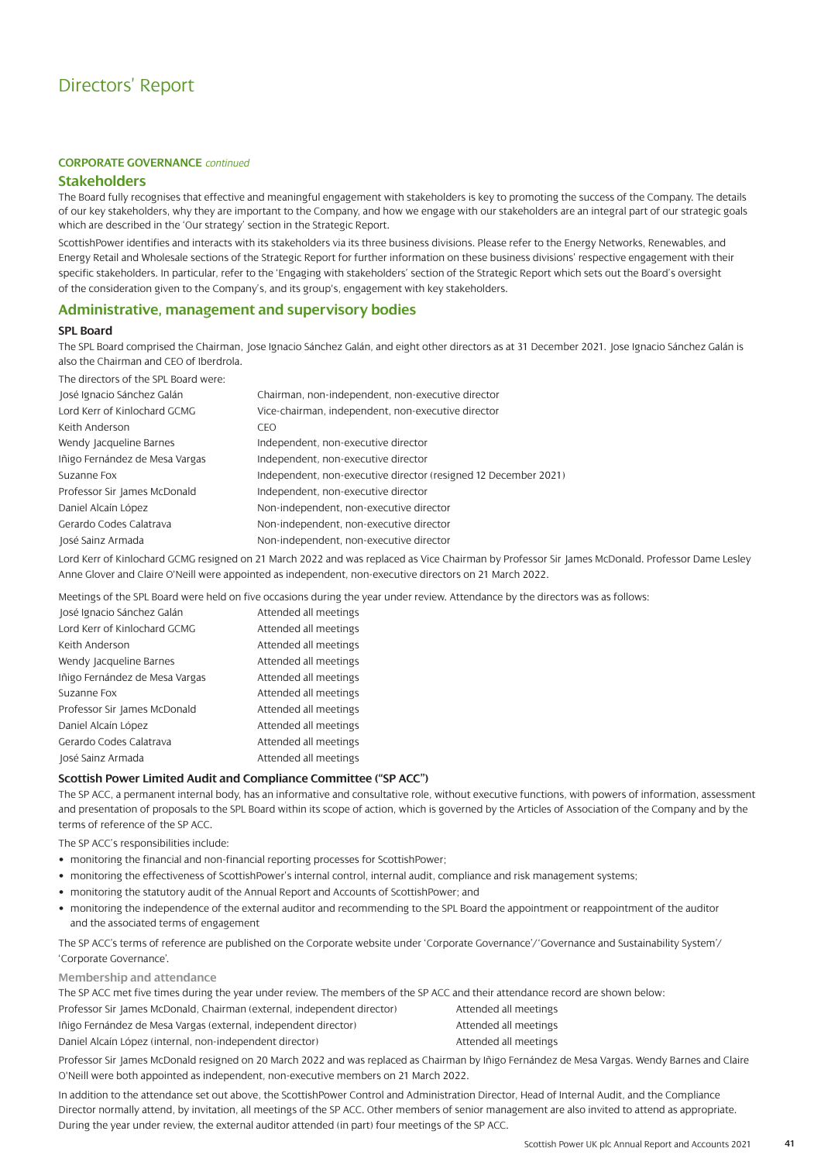### **CORPORATE GOVERNANCE** *continued*

### **Stakeholders**

The Board fully recognises that effective and meaningful engagement with stakeholders is key to promoting the success of the Company. The details of our key stakeholders, why they are important to the Company, and how we engage with our stakeholders are an integral part of our strategic goals which are described in the 'Our strategy' section in the Strategic Report.

ScottishPower identifies and interacts with its stakeholders via its three business divisions. Please refer to the Energy Networks, Renewables, and Energy Retail and Wholesale sections of the Strategic Report for further information on these business divisions' respective engagement with their specific stakeholders. In particular, refer to the 'Engaging with stakeholders' section of the Strategic Report which sets out the Board's oversight of the consideration given to the Company's, and its group's, engagement with key stakeholders.

### **Administrative, management and supervisory bodies**

### **SPL Board**

The SPL Board comprised the Chairman, Jose Ignacio Sánchez Galán, and eight other directors as at 31 December 2021. Jose Ignacio Sánchez Galán is also the Chairman and CEO of Iberdrola.

The directors of the SPL Board were:

| José Ignacio Sánchez Galán     | Chairman, non-independent, non-executive director               |
|--------------------------------|-----------------------------------------------------------------|
| Lord Kerr of Kinlochard GCMG   | Vice-chairman, independent, non-executive director              |
| Keith Anderson                 | CEO.                                                            |
| Wendy Jacqueline Barnes        | Independent, non-executive director                             |
| Iñigo Fernández de Mesa Vargas | Independent, non-executive director                             |
| Suzanne Fox                    | Independent, non-executive director (resigned 12 December 2021) |
| Professor Sir James McDonald   | Independent, non-executive director                             |
| Daniel Alcaín López            | Non-independent, non-executive director                         |
| Gerardo Codes Calatrava        | Non-independent, non-executive director                         |
| José Sainz Armada              | Non-independent, non-executive director                         |
|                                |                                                                 |

Lord Kerr of Kinlochard GCMG resigned on 21 March 2022 and was replaced as Vice Chairman by Professor Sir James McDonald. Professor Dame Lesley Anne Glover and Claire O'Neill were appointed as independent, non-executive directors on 21 March 2022.

Meetings of the SPL Board were held on five occasions during the year under review. Attendance by the directors was as follows:

| José Ignacio Sánchez Galán     | Attended all meetings |
|--------------------------------|-----------------------|
| Lord Kerr of Kinlochard GCMG   | Attended all meetings |
| Keith Anderson                 | Attended all meetings |
| Wendy Jacqueline Barnes        | Attended all meetings |
| Iñigo Fernández de Mesa Vargas | Attended all meetings |
| Suzanne Fox                    | Attended all meetings |
| Professor Sir James McDonald   | Attended all meetings |
| Daniel Alcaín López            | Attended all meetings |
| Gerardo Codes Calatrava        | Attended all meetings |
| José Sainz Armada              | Attended all meetings |

### **Scottish Power Limited Audit and Compliance Committee ("SP ACC")**

The SP ACC, a permanent internal body, has an informative and consultative role, without executive functions, with powers of information, assessment and presentation of proposals to the SPL Board within its scope of action, which is governed by the Articles of Association of the Company and by the terms of reference of the SP ACC.

The SP ACC's responsibilities include:

- monitoring the financial and non-financial reporting processes for ScottishPower;
- monitoring the effectiveness of ScottishPower's internal control, internal audit, compliance and risk management systems;
- monitoring the statutory audit of the Annual Report and Accounts of ScottishPower; and
- monitoring the independence of the external auditor and recommending to the SPL Board the appointment or reappointment of the auditor and the associated terms of engagement

The SP ACC's terms of reference are published on the Corporate website under 'Corporate Governance'/'Governance and Sustainability System'/ 'Corporate Governance'.

**Membership and attendance**

The SP ACC met five times during the year under review. The members of the SP ACC and their attendance record are shown below:

| Professor Sir James McDonald, Chairman (external, independent director) | Attended all meetings |
|-------------------------------------------------------------------------|-----------------------|
| lñigo Fernández de Mesa Vargas (external, independent director)         | Attended all meetings |
| Daniel Alcaín López (internal, non-independent director)                | Attended all meetings |

Professor Sir James McDonald resigned on 20 March 2022 and was replaced as Chairman by Iñigo Fernández de Mesa Vargas. Wendy Barnes and Claire O'Neill were both appointed as independent, non-executive members on 21 March 2022.

In addition to the attendance set out above, the ScottishPower Control and Administration Director, Head of Internal Audit, and the Compliance Director normally attend, by invitation, all meetings of the SP ACC. Other members of senior management are also invited to attend as appropriate. During the year under review, the external auditor attended (in part) four meetings of the SP ACC.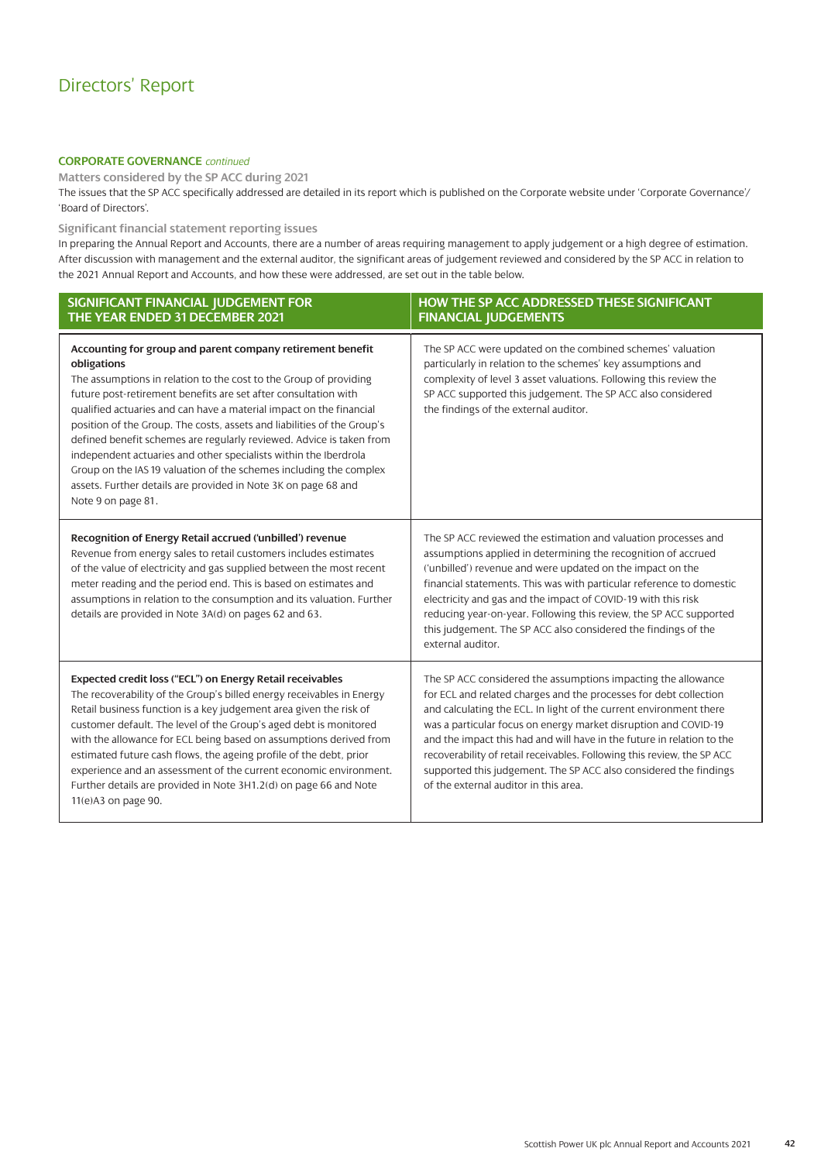### **CORPORATE GOVERNANCE** *continued*

**Matters considered by the SP ACC during 2021** The issues that the SP ACC specifically addressed are detailed in its report which is published on the Corporate website under 'Corporate Governance'/ 'Board of Directors'.

### **Significant financial statement reporting issues**

In preparing the Annual Report and Accounts, there are a number of areas requiring management to apply judgement or a high degree of estimation. After discussion with management and the external auditor, the significant areas of judgement reviewed and considered by the SP ACC in relation to the 2021 Annual Report and Accounts, and how these were addressed, are set out in the table below.

| SIGNIFICANT FINANCIAL JUDGEMENT FOR<br>THE YEAR ENDED 31 DECEMBER 2021                                                                                                                                                                                                                                                                                                                                                                                                                                                                                                                                                                                                        | HOW THE SP ACC ADDRESSED THESE SIGNIFICANT<br><b>FINANCIAL JUDGEMENTS</b>                                                                                                                                                                                                                                                                                                                                                                                                                                                                      |
|-------------------------------------------------------------------------------------------------------------------------------------------------------------------------------------------------------------------------------------------------------------------------------------------------------------------------------------------------------------------------------------------------------------------------------------------------------------------------------------------------------------------------------------------------------------------------------------------------------------------------------------------------------------------------------|------------------------------------------------------------------------------------------------------------------------------------------------------------------------------------------------------------------------------------------------------------------------------------------------------------------------------------------------------------------------------------------------------------------------------------------------------------------------------------------------------------------------------------------------|
| Accounting for group and parent company retirement benefit<br>obligations<br>The assumptions in relation to the cost to the Group of providing<br>future post-retirement benefits are set after consultation with<br>qualified actuaries and can have a material impact on the financial<br>position of the Group. The costs, assets and liabilities of the Group's<br>defined benefit schemes are regularly reviewed. Advice is taken from<br>independent actuaries and other specialists within the Iberdrola<br>Group on the IAS 19 valuation of the schemes including the complex<br>assets. Further details are provided in Note 3K on page 68 and<br>Note 9 on page 81. | The SP ACC were updated on the combined schemes' valuation<br>particularly in relation to the schemes' key assumptions and<br>complexity of level 3 asset valuations. Following this review the<br>SP ACC supported this judgement. The SP ACC also considered<br>the findings of the external auditor.                                                                                                                                                                                                                                        |
| Recognition of Energy Retail accrued ('unbilled') revenue<br>Revenue from energy sales to retail customers includes estimates<br>of the value of electricity and gas supplied between the most recent<br>meter reading and the period end. This is based on estimates and<br>assumptions in relation to the consumption and its valuation. Further<br>details are provided in Note 3A(d) on pages 62 and 63.                                                                                                                                                                                                                                                                  | The SP ACC reviewed the estimation and valuation processes and<br>assumptions applied in determining the recognition of accrued<br>('unbilled') revenue and were updated on the impact on the<br>financial statements. This was with particular reference to domestic<br>electricity and gas and the impact of COVID-19 with this risk<br>reducing year-on-year. Following this review, the SP ACC supported<br>this judgement. The SP ACC also considered the findings of the<br>external auditor.                                            |
| Expected credit loss ("ECL") on Energy Retail receivables<br>The recoverability of the Group's billed energy receivables in Energy<br>Retail business function is a key judgement area given the risk of<br>customer default. The level of the Group's aged debt is monitored<br>with the allowance for ECL being based on assumptions derived from<br>estimated future cash flows, the ageing profile of the debt, prior<br>experience and an assessment of the current economic environment.<br>Further details are provided in Note 3H1.2(d) on page 66 and Note<br>11(e)A3 on page 90.                                                                                    | The SP ACC considered the assumptions impacting the allowance<br>for ECL and related charges and the processes for debt collection<br>and calculating the ECL. In light of the current environment there<br>was a particular focus on energy market disruption and COVID-19<br>and the impact this had and will have in the future in relation to the<br>recoverability of retail receivables. Following this review, the SP ACC<br>supported this judgement. The SP ACC also considered the findings<br>of the external auditor in this area. |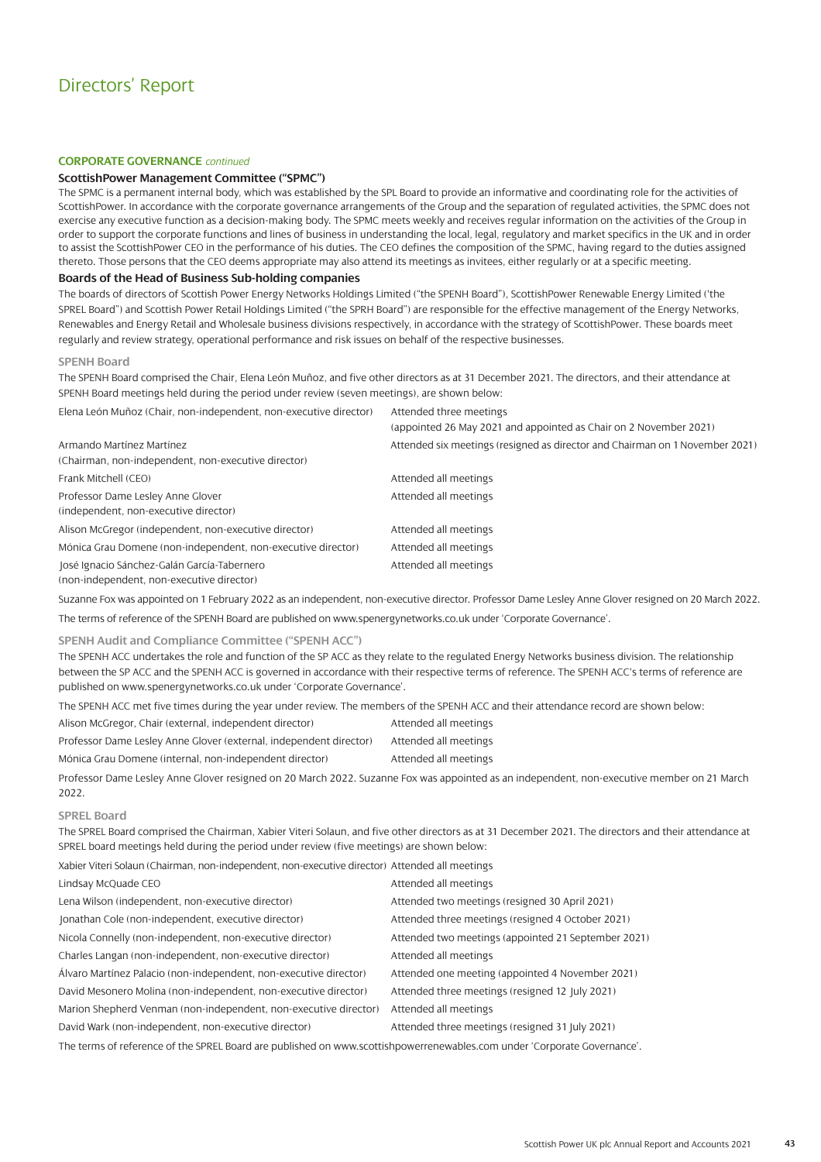### **CORPORATE GOVERNANCE** *continued*

### **ScottishPower Management Committee ("SPMC")**

The SPMC is a permanent internal body, which was established by the SPL Board to provide an informative and coordinating role for the activities of ScottishPower. In accordance with the corporate governance arrangements of the Group and the separation of regulated activities, the SPMC does not exercise any executive function as a decision-making body. The SPMC meets weekly and receives regular information on the activities of the Group in order to support the corporate functions and lines of business in understanding the local, legal, regulatory and market specifics in the UK and in order to assist the ScottishPower CEO in the performance of his duties. The CEO defines the composition of the SPMC, having regard to the duties assigned thereto. Those persons that the CEO deems appropriate may also attend its meetings as invitees, either regularly or at a specific meeting.

### **Boards of the Head of Business Sub-holding companies**

The boards of directors of Scottish Power Energy Networks Holdings Limited ("the SPENH Board"), ScottishPower Renewable Energy Limited ('the SPREL Board") and Scottish Power Retail Holdings Limited ("the SPRH Board") are responsible for the effective management of the Energy Networks, Renewables and Energy Retail and Wholesale business divisions respectively, in accordance with the strategy of ScottishPower. These boards meet regularly and review strategy, operational performance and risk issues on behalf of the respective businesses.

#### **SPENH Board**

The SPENH Board comprised the Chair, Elena León Muñoz, and five other directors as at 31 December 2021. The directors, and their attendance at SPENH Board meetings held during the period under review (seven meetings), are shown below:

Elena León Muñoz (Chair, non-independent, non-executive director) Attended three meetings

(appointed 26 May 2021 and appointed as Chair on 2 November 2021) Armando Martínez Martínez Attended six meetings (resigned as director and Chairman on 1 November 2021) (Chairman, non-independent, non-executive director) Frank Mitchell (CEO) and a settlement of the Mitchell (CEO) and Attended all meetings Professor Dame Lesley Anne Glover Attended all meetings (independent, non-executive director) Alison McGregor (independent, non-executive director) Attended all meetings Mónica Grau Domene (non-independent, non-executive director) Attended all meetings

José Ignacio Sánchez-Galán García-Tabernero **Actes and Attended all meetings** Attended all meetings

(non-independent, non-executive director)

Suzanne Fox was appointed on 1 February 2022 as an independent, non-executive director. Professor Dame Lesley Anne Glover resigned on 20 March 2022. The terms of reference of the SPENH Board are published o[n www.spenergynetworks.co.uk under 'Corporate Governance'.](https://www.spenergynetworks.co.uk/pages/corporate_governance.aspx)

### **SPENH Audit and Compliance Committee ("SPENH ACC")**

The SPENH ACC undertakes the role and function of the SP ACC as they relate to the regulated Energy Networks business division. The relationship between the SP ACC and the SPENH ACC is governed in accordance with their respective terms of reference. The SPENH ACC's terms of reference are published o[n www.spenergynetworks.co.uk under 'Corporate Governance'.](https://www.spenergynetworks.co.uk/pages/corporate_governance.aspx)

The SPENH ACC met five times during the year under review. The members of the SPENH ACC and their attendance record are shown below:

Alison McGregor, Chair (external, independent director) Attended all meetings Professor Dame Lesley Anne Glover (external, independent director) Attended all meetings

Mónica Grau Domene (internal, non-independent director) Attended all meetings

Professor Dame Lesley Anne Glover resigned on 20 March 2022. Suzanne Fox was appointed as an independent, non-executive member on 21 March 2022.

### **SPREL Board**

The SPREL Board comprised the Chairman, Xabier Viteri Solaun, and five other directors as at 31 December 2021. The directors and their attendance at SPREL board meetings held during the period under review (five meetings) are shown below:

Xabier Viteri Solaun (Chairman, non-independent, non-executive director) Attended all meetings

| Lindsay McQuade CEO                                               | Attended all meetings                               |
|-------------------------------------------------------------------|-----------------------------------------------------|
| Lena Wilson (independent, non-executive director)                 | Attended two meetings (resigned 30 April 2021)      |
| Jonathan Cole (non-independent, executive director)               | Attended three meetings (resigned 4 October 2021)   |
| Nicola Connelly (non-independent, non-executive director)         | Attended two meetings (appointed 21 September 2021) |
| Charles Langan (non-independent, non-executive director)          | Attended all meetings                               |
| Álvaro Martínez Palacio (non-independent, non-executive director) | Attended one meeting (appointed 4 November 2021)    |
| David Mesonero Molina (non-independent, non-executive director)   | Attended three meetings (resigned 12 July 2021)     |
| Marion Shepherd Venman (non-independent, non-executive director)  | Attended all meetings                               |
| David Wark (non-independent, non-executive director)              | Attended three meetings (resigned 31 July 2021)     |
|                                                                   |                                                     |

The terms of reference of the SPREL Board are published o[n www.scottishpowerrenewables.com under 'Corporate Governance'.](https://www.scottishpowerrenewables.com/pages/corporate_governance.aspx)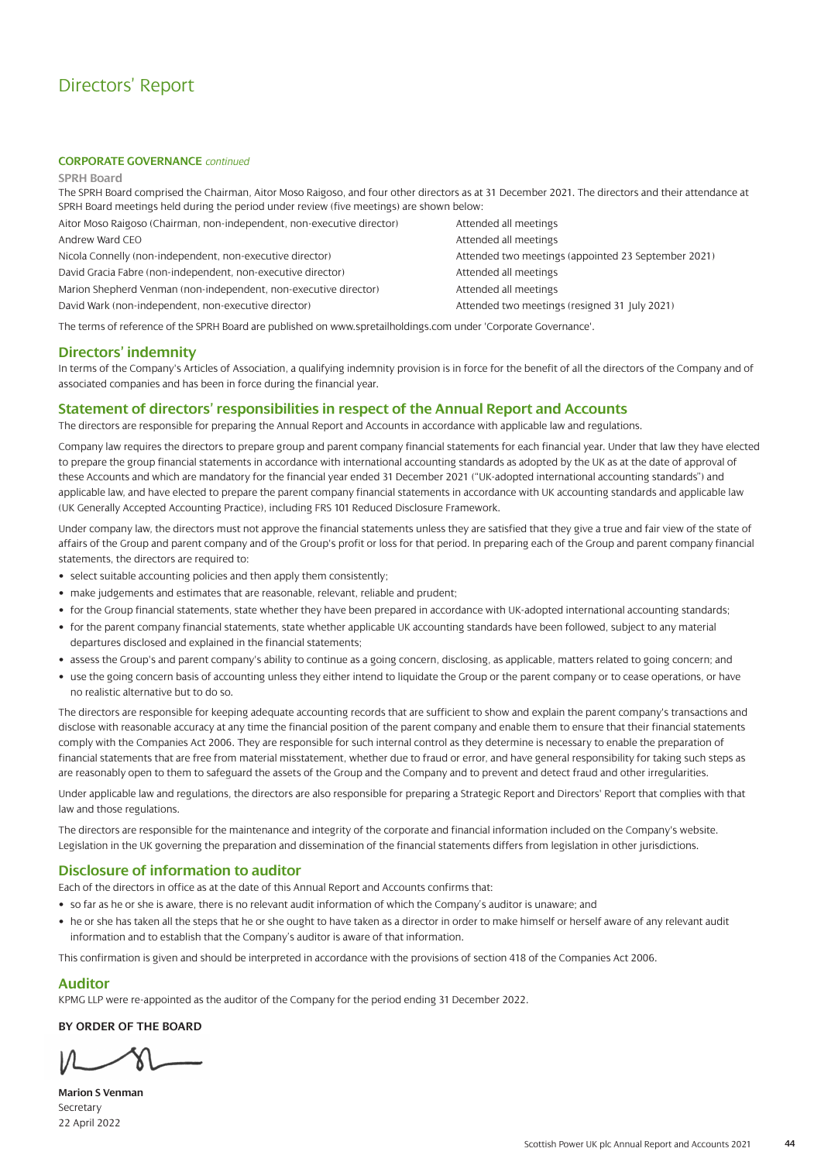### **CORPORATE GOVERNANCE** *continued*

#### **SPRH Board**

The SPRH Board comprised the Chairman, Aitor Moso Raigoso, and four other directors as at 31 December 2021. The directors and their attendance at SPRH Board meetings held during the period under review (five meetings) are shown below:

| Aitor Moso Raigoso (Chairman, non-independent, non-executive director) | A              |
|------------------------------------------------------------------------|----------------|
| Andrew Ward CEO                                                        | $\overline{A}$ |
| Nicola Connelly (non-independent, non-executive director)              | A              |
| David Gracia Fabre (non-independent, non-executive director)           | $\overline{A}$ |
| Marion Shepherd Venman (non-independent, non-executive director)       | $\overline{A}$ |
| David Wark (non-independent, non-executive director)                   | $\overline{A}$ |
|                                                                        |                |

Attended all meetings ttended all meetings Ittended two meetings (appointed 23 September 2021) ttended all meetings ttended all meetings ttended two meetings (resigned 31 July 2021)

The terms of reference of the SPRH Board are published o[n www.spretailholdings.com under 'Corporate Governance'.](https://www.spretailholdings.com/corporate-governance)

### **Directors' indemnity**

In terms of the Company's Articles of Association, a qualifying indemnity provision is in force for the benefit of all the directors of the Company and of associated companies and has been in force during the financial year.

### **Statement of directors' responsibilities in respect of the Annual Report and Accounts**

The directors are responsible for preparing the Annual Report and Accounts in accordance with applicable law and regulations.

Company law requires the directors to prepare group and parent company financial statements for each financial year. Under that law they have elected to prepare the group financial statements in accordance with international accounting standards as adopted by the UK as at the date of approval of these Accounts and which are mandatory for the financial year ended 31 December 2021 ("UK-adopted international accounting standards") and applicable law, and have elected to prepare the parent company financial statements in accordance with UK accounting standards and applicable law (UK Generally Accepted Accounting Practice), including FRS 101 Reduced Disclosure Framework.

Under company law, the directors must not approve the financial statements unless they are satisfied that they give a true and fair view of the state of affairs of the Group and parent company and of the Group's profit or loss for that period. In preparing each of the Group and parent company financial statements, the directors are required to:

- select suitable accounting policies and then apply them consistently;
- make judgements and estimates that are reasonable, relevant, reliable and prudent;
- for the Group financial statements, state whether they have been prepared in accordance with UK-adopted international accounting standards;
- for the parent company financial statements, state whether applicable UK accounting standards have been followed, subject to any material departures disclosed and explained in the financial statements;
- assess the Group's and parent company's ability to continue as a going concern, disclosing, as applicable, matters related to going concern; and
- use the going concern basis of accounting unless they either intend to liquidate the Group or the parent company or to cease operations, or have no realistic alternative but to do so.

The directors are responsible for keeping adequate accounting records that are sufficient to show and explain the parent company's transactions and disclose with reasonable accuracy at any time the financial position of the parent company and enable them to ensure that their financial statements comply with the Companies Act 2006. They are responsible for such internal control as they determine is necessary to enable the preparation of financial statements that are free from material misstatement, whether due to fraud or error, and have general responsibility for taking such steps as are reasonably open to them to safeguard the assets of the Group and the Company and to prevent and detect fraud and other irregularities.

Under applicable law and regulations, the directors are also responsible for preparing a Strategic Report and Directors' Report that complies with that law and those regulations.

The directors are responsible for the maintenance and integrity of the corporate and financial information included on the Company's website. Legislation in the UK governing the preparation and dissemination of the financial statements differs from legislation in other jurisdictions.

### **Disclosure of information to auditor**

Each of the directors in office as at the date of this Annual Report and Accounts confirms that:

- so far as he or she is aware, there is no relevant audit information of which the Company's auditor is unaware; and
- he or she has taken all the steps that he or she ought to have taken as a director in order to make himself or herself aware of any relevant audit information and to establish that the Company's auditor is aware of that information.

This confirmation is given and should be interpreted in accordance with the provisions of section 418 of the Companies Act 2006.

### **Auditor**

KPMG LLP were re-appointed as the auditor of the Company for the period ending 31 December 2022.

### **BY ORDER OF THE BOARD**

**Marion S Venman Secretary** 22 April 2022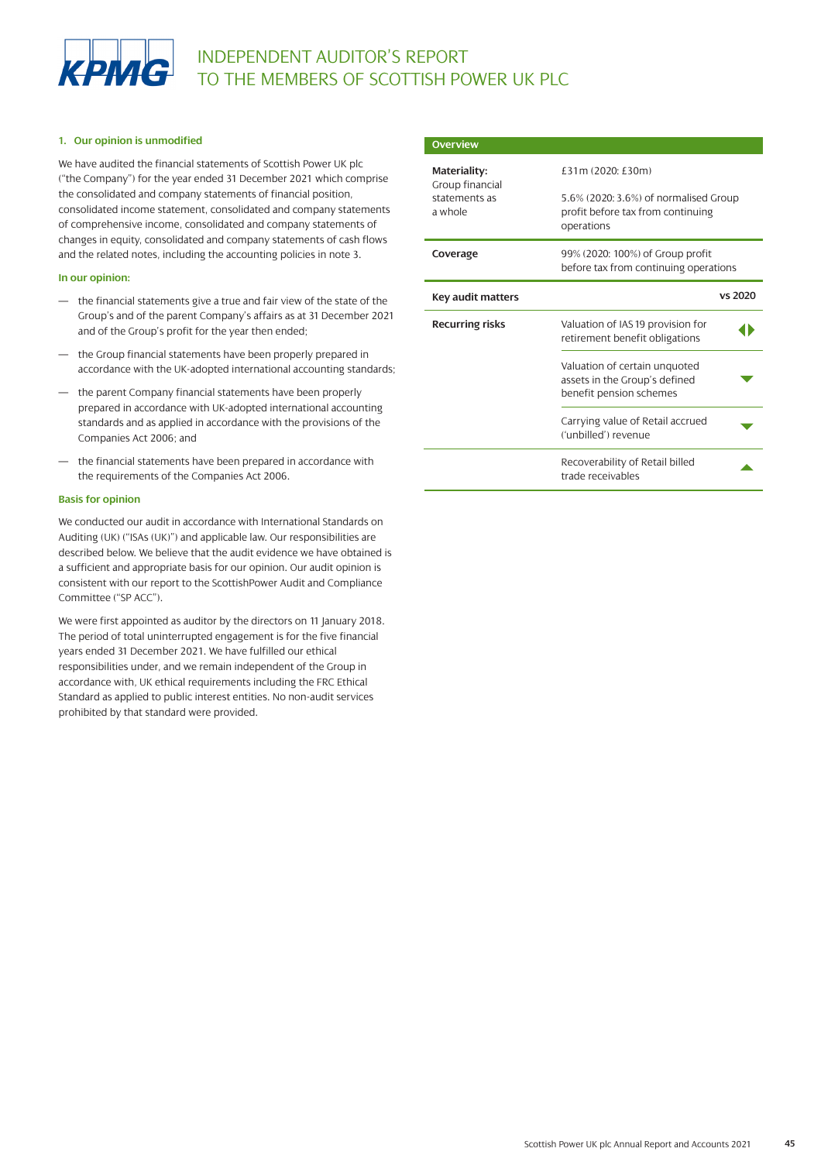

### **1. Our opinion is unmodified**

We have audited the financial statements of Scottish Power UK plc ("the Company") for the year ended 31 December 2021 which comprise the consolidated and company statements of financial position, consolidated income statement, consolidated and company statements of comprehensive income, consolidated and company statements of changes in equity, consolidated and company statements of cash flows and the related notes, including the accounting policies in note 3.

### **In our opinion:**

- the financial statements give a true and fair view of the state of the Group's and of the parent Company's affairs as at 31 December 2021 and of the Group's profit for the year then ended;
- the Group financial statements have been properly prepared in accordance with the UK-adopted international accounting standards;
- the parent Company financial statements have been properly prepared in accordance with UK-adopted international accounting standards and as applied in accordance with the provisions of the Companies Act 2006; and
- the financial statements have been prepared in accordance with the requirements of the Companies Act 2006.

### **Basis for opinion**

We conducted our audit in accordance with International Standards on Auditing (UK) ("ISAs (UK)") and applicable law. Our responsibilities are described below. We believe that the audit evidence we have obtained is a sufficient and appropriate basis for our opinion. Our audit opinion is consistent with our report to the ScottishPower Audit and Compliance Committee ("SP ACC").

We were first appointed as auditor by the directors on 11 January 2018. The period of total uninterrupted engagement is for the five financial years ended 31 December 2021. We have fulfilled our ethical responsibilities under, and we remain independent of the Group in accordance with, UK ethical requirements including the FRC Ethical Standard as applied to public interest entities. No non-audit services prohibited by that standard were provided.

| <b>Overview</b>                 |                                                                                           |
|---------------------------------|-------------------------------------------------------------------------------------------|
| Materiality:<br>Group financial | £31m (2020: £30m)                                                                         |
| statements as<br>a whole        | 5.6% (2020: 3.6%) of normalised Group<br>profit before tax from continuing<br>operations  |
| Coverage                        | 99% (2020: 100%) of Group profit<br>before tax from continuing operations                 |
| <b>Key audit matters</b>        | vs 2020                                                                                   |
| <b>Recurring risks</b>          | Valuation of IAS 19 provision for<br>retirement benefit obligations                       |
|                                 | Valuation of certain unquoted<br>assets in the Group's defined<br>benefit pension schemes |
|                                 | Carrying value of Retail accrued<br>('unbilled') revenue                                  |
|                                 | Recoverability of Retail billed<br>trade receivables                                      |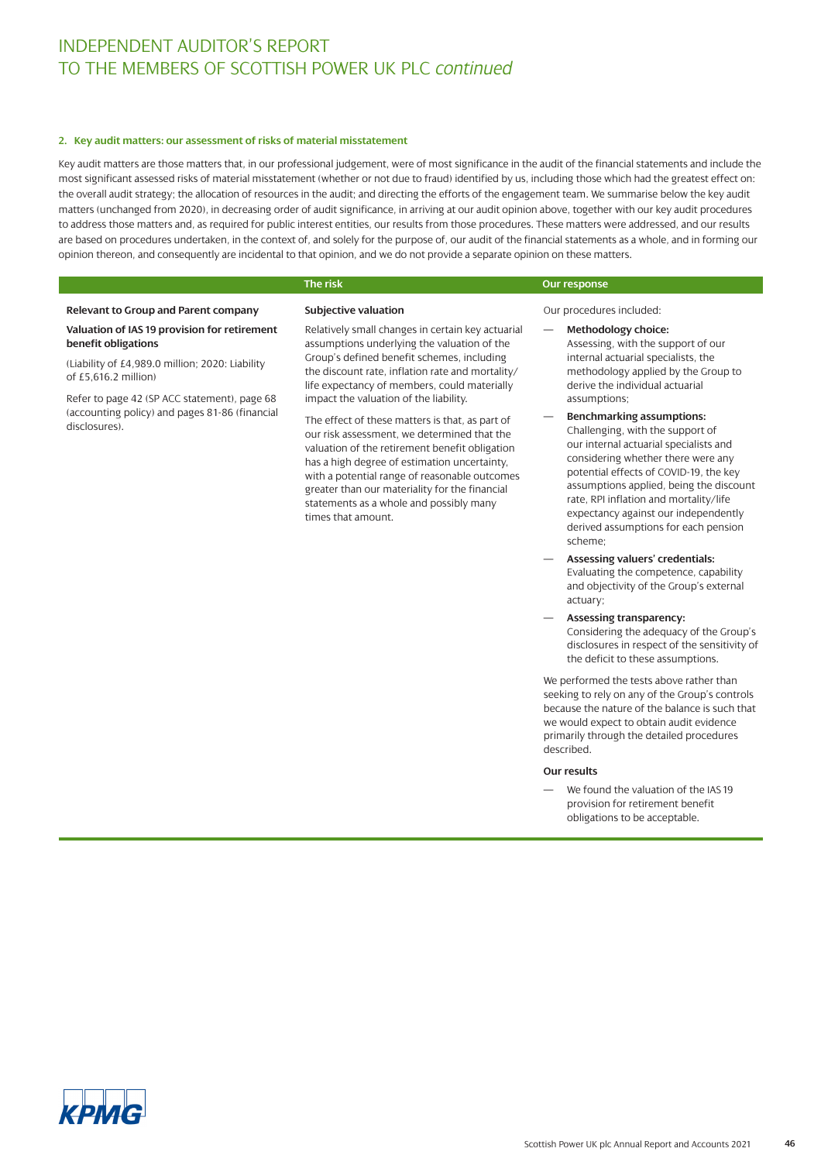#### **2. Key audit matters: our assessment of risks of material misstatement**

Key audit matters are those matters that, in our professional judgement, were of most significance in the audit of the financial statements and include the most significant assessed risks of material misstatement (whether or not due to fraud) identified by us, including those which had the greatest effect on: the overall audit strategy; the allocation of resources in the audit; and directing the efforts of the engagement team. We summarise below the key audit matters (unchanged from 2020), in decreasing order of audit significance, in arriving at our audit opinion above, together with our key audit procedures to address those matters and, as required for public interest entities, our results from those procedures. These matters were addressed, and our results are based on procedures undertaken, in the context of, and solely for the purpose of, our audit of the financial statements as a whole, and in forming our opinion thereon, and consequently are incidental to that opinion, and we do not provide a separate opinion on these matters.

**Subjective valuation**

### **Relevant to Group and Parent company**

### **Valuation of IAS 19 provision for retirement benefit obligations**

(Liability of £4,989.0 million; 2020: Liability of  $£5,616.2$  million)

Refer to page 42 (SP ACC statement), page 68 (accounting policy) and pages 81-86 (financial disclosures).

Relatively small changes in certain key actuarial assumptions underlying the valuation of the Group's defined benefit schemes, including the discount rate, inflation rate and mortality/ life expectancy of members, could materially impact the valuation of the liability.

The effect of these matters is that, as part of our risk assessment, we determined that the valuation of the retirement benefit obligation has a high degree of estimation uncertainty, with a potential range of reasonable outcomes greater than our materiality for the financial statements as a whole and possibly many times that amount.

### **The risk Our response**

Our procedures included:

- **Methodology choice:** Assessing, with the support of our internal actuarial specialists, the methodology applied by the Group to derive the individual actuarial assumptions;
- **Benchmarking assumptions:** Challenging, with the support of our internal actuarial specialists and considering whether there were any potential effects of COVID-19, the key assumptions applied, being the discount rate, RPI inflation and mortality/life expectancy against our independently derived assumptions for each pension scheme;
- **Assessing valuers' credentials:** Evaluating the competence, capability and objectivity of the Group's external actuary;
- **Assessing transparency:** Considering the adequacy of the Group's disclosures in respect of the sensitivity of the deficit to these assumptions.

We performed the tests above rather than seeking to rely on any of the Group's controls because the nature of the balance is such that we would expect to obtain audit evidence primarily through the detailed procedures described.

### **Our results**

We found the valuation of the IAS 19 provision for retirement benefit obligations to be acceptable.

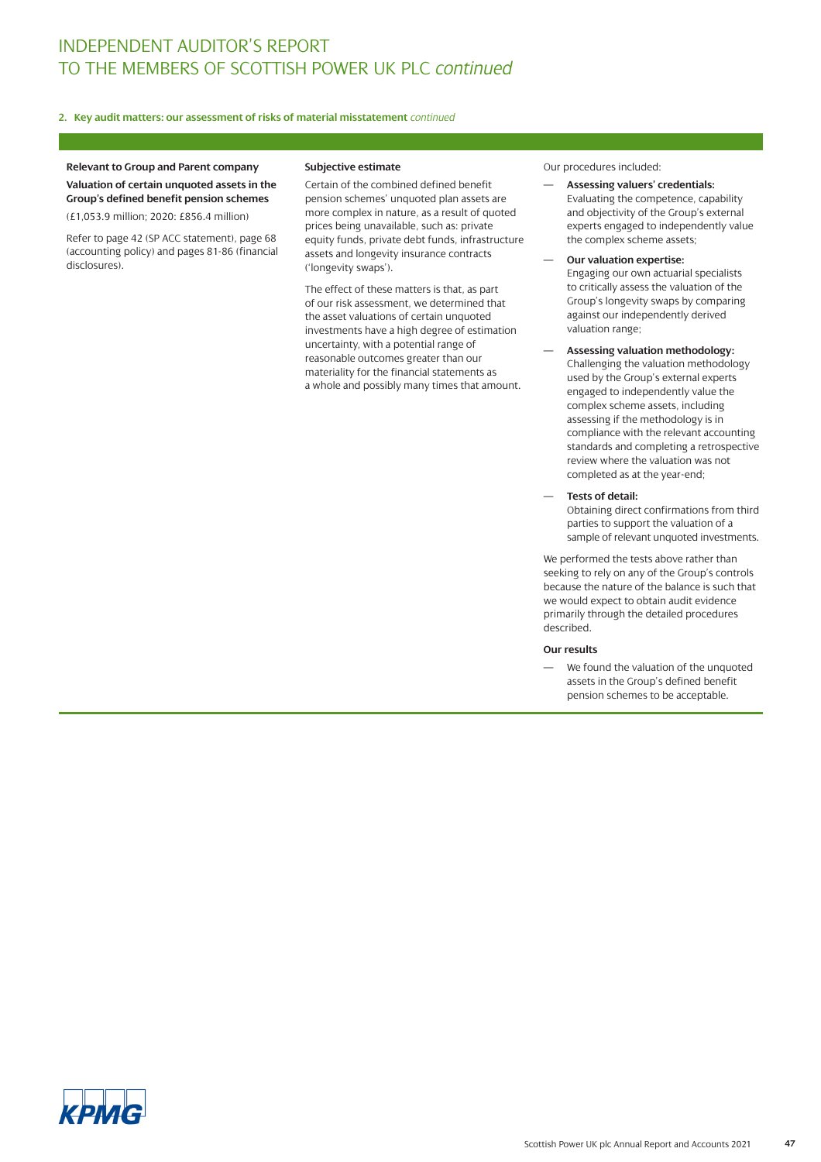### **2. Key audit matters: our assessment of risks of material misstatement** *continued*

### **Relevant to Group and Parent company Valuation of certain unquoted assets in the Group's defined benefit pension schemes**

(£1,053.9 million; 2020: £856.4 million)

Refer to page 42 (SP ACC statement), page 68 (accounting policy) and pages 81-86 (financial disclosures).

### **Subjective estimate**

Certain of the combined defined benefit pension schemes' unquoted plan assets are more complex in nature, as a result of quoted prices being unavailable, such as: private equity funds, private debt funds, infrastructure assets and longevity insurance contracts ('longevity swaps').

The effect of these matters is that, as part of our risk assessment, we determined that the asset valuations of certain unquoted investments have a high degree of estimation uncertainty, with a potential range of reasonable outcomes greater than our materiality for the financial statements as a whole and possibly many times that amount. Our procedures included:

- **Assessing valuers' credentials:** Evaluating the competence, capability and objectivity of the Group's external experts engaged to independently value the complex scheme assets;
- **Our valuation expertise:** Engaging our own actuarial specialists to critically assess the valuation of the Group's longevity swaps by comparing against our independently derived valuation range;
- **Assessing valuation methodology:** Challenging the valuation methodology used by the Group's external experts engaged to independently value the complex scheme assets, including assessing if the methodology is in compliance with the relevant accounting standards and completing a retrospective review where the valuation was not completed as at the year-end;
- **Tests of detail:**
	- Obtaining direct confirmations from third parties to support the valuation of a sample of relevant unquoted investments.

We performed the tests above rather than seeking to rely on any of the Group's controls because the nature of the balance is such that we would expect to obtain audit evidence primarily through the detailed procedures described.

### **Our results**

We found the valuation of the unquoted assets in the Group's defined benefit pension schemes to be acceptable.

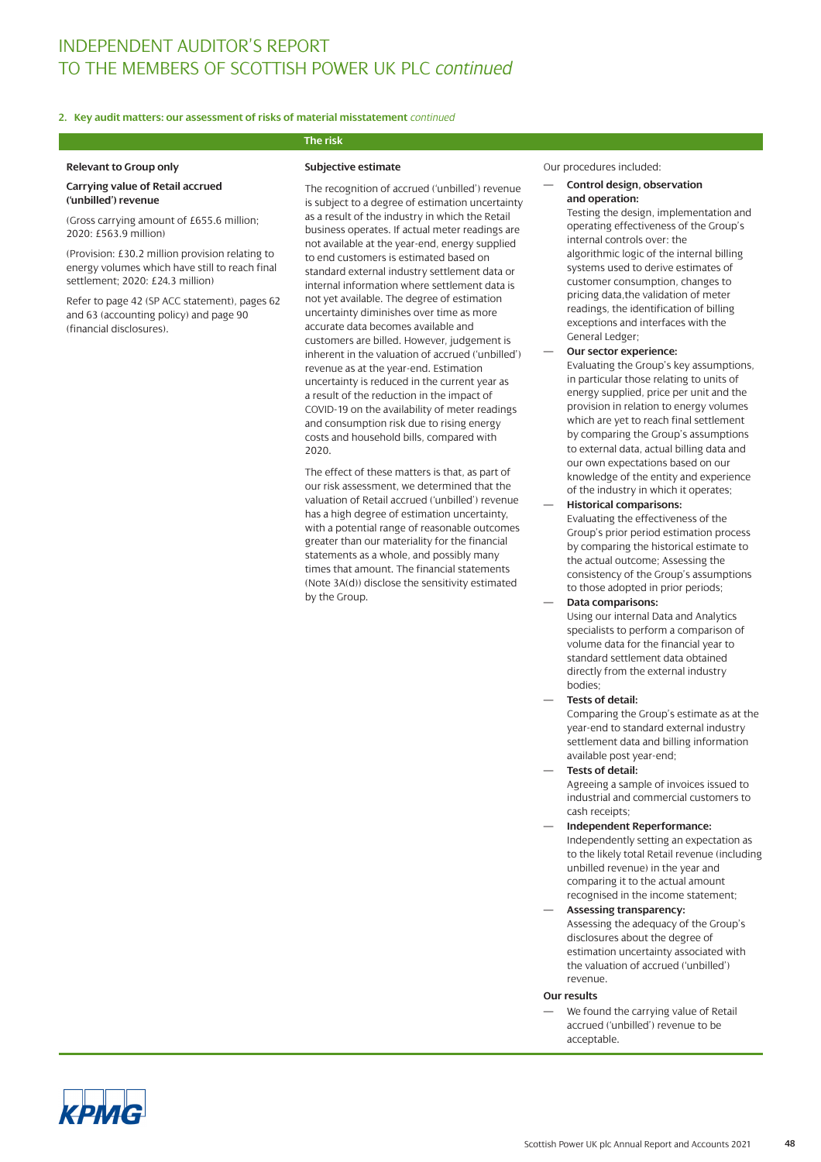### **2. Key audit matters: our assessment of risks of material misstatement** *continued*

### **Relevant to Group only**

#### **Carrying value of Retail accrued ('unbilled') revenue**

(Gross carrying amount of £655.6 million; 2020: £563.9 million)

(Provision: £30.2 million provision relating to energy volumes which have still to reach final settlement; 2020: £24.3 million)

Refer to page 42 (SP ACC statement), pages 62 and 63 (accounting policy) and page 90 (financial disclosures).

### **Subjective estimate**

**The risk**

The recognition of accrued ('unbilled') revenue is subject to a degree of estimation uncertainty as a result of the industry in which the Retail business operates. If actual meter readings are not available at the year-end, energy supplied to end customers is estimated based on standard external industry settlement data or internal information where settlement data is not yet available. The degree of estimation uncertainty diminishes over time as more accurate data becomes available and customers are billed. However, judgement is inherent in the valuation of accrued ('unbilled') revenue as at the year-end. Estimation uncertainty is reduced in the current year as a result of the reduction in the impact of COVID-19 on the availability of meter readings and consumption risk due to rising energy costs and household bills, compared with 2020.

The effect of these matters is that, as part of our risk assessment, we determined that the valuation of Retail accrued ('unbilled') revenue has a high degree of estimation uncertainty, with a potential range of reasonable outcomes greater than our materiality for the financial statements as a whole, and possibly many times that amount. The financial statements (Note 3A(d)) disclose the sensitivity estimated by the Group.

- Our procedures included:
- **Control design, observation and operation:**

Testing the design, implementation and operating effectiveness of the Group's internal controls over: the algorithmic logic of the internal billing systems used to derive estimates of customer consumption, changes to pricing data,the validation of meter readings, the identification of billing exceptions and interfaces with the General Ledger;

- **Our sector experience:** Evaluating the Group's key assumptions, in particular those relating to units of energy supplied, price per unit and the provision in relation to energy volumes which are yet to reach final settlement by comparing the Group's assumptions to external data, actual billing data and our own expectations based on our knowledge of the entity and experience of the industry in which it operates;
- **Historical comparisons:** Evaluating the effectiveness of the Group's prior period estimation process by comparing the historical estimate to the actual outcome; Assessing the consistency of the Group's assumptions to those adopted in prior periods;
- **Data comparisons:** Using our internal Data and Analytics specialists to perform a comparison of volume data for the financial year to standard settlement data obtained directly from the external industry bodies;
- **Tests of detail:**

Comparing the Group's estimate as at the year-end to standard external industry settlement data and billing information available post year-end;

— **Tests of detail:** Agreeing a sample of invoices issued to

industrial and commercial customers to cash receipts;

- **Independent Reperformance:** Independently setting an expectation as to the likely total Retail revenue (including unbilled revenue) in the year and comparing it to the actual amount recognised in the income statement;
- **Assessing transparency:** Assessing the adequacy of the Group's disclosures about the degree of estimation uncertainty associated with the valuation of accrued ('unbilled') revenue.

### **Our results**

We found the carrying value of Retail accrued ('unbilled') revenue to be acceptable.

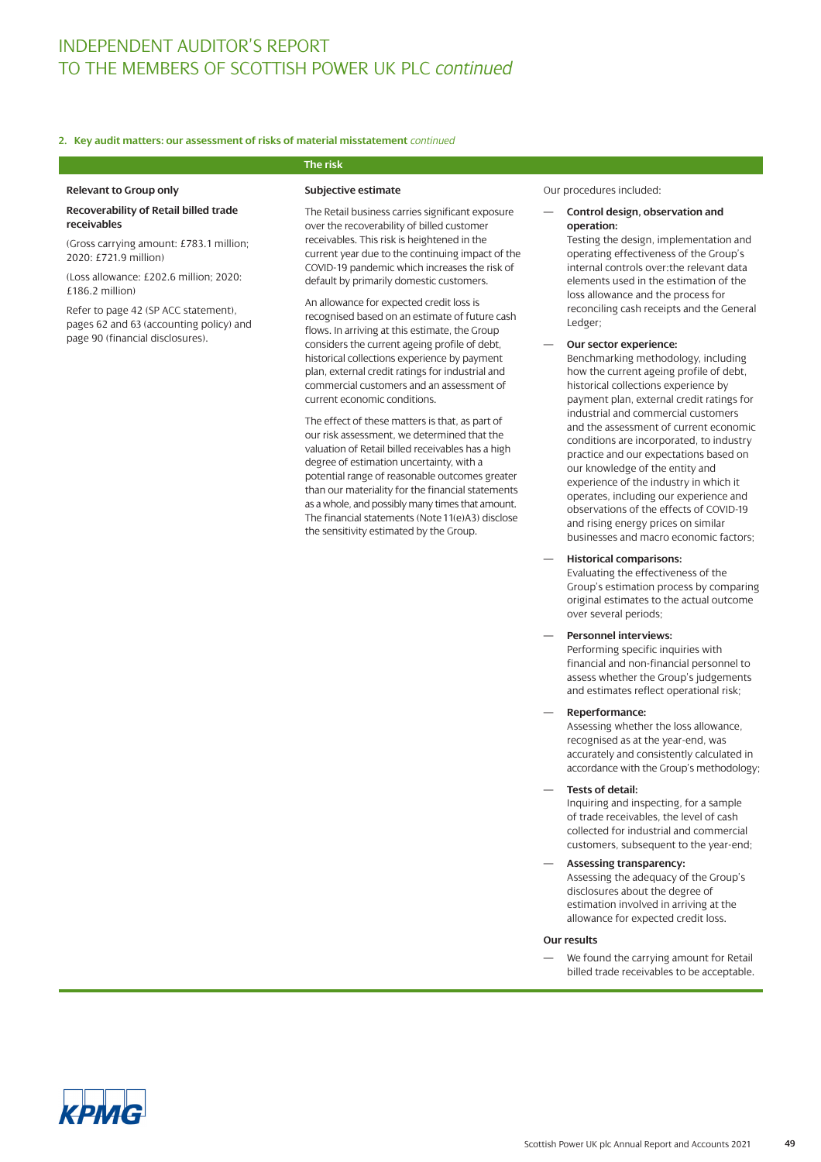### **2. Key audit matters: our assessment of risks of material misstatement** *continued*

### **Relevant to Group only**

### **Recoverability of Retail billed trade receivables**

(Gross carrying amount: £783.1 million; 2020: £721.9 million)

(Loss allowance: £202.6 million; 2020: £186.2 million)

Refer to page 42 (SP ACC statement), pages 62 and 63 (accounting policy) and page 90 (financial disclosures).

## **The risk**

### **Subjective estimate**

The Retail business carries significant exposure over the recoverability of billed customer receivables. This risk is heightened in the current year due to the continuing impact of the COVID-19 pandemic which increases the risk of default by primarily domestic customers.

An allowance for expected credit loss is recognised based on an estimate of future cash flows. In arriving at this estimate, the Group considers the current ageing profile of debt, historical collections experience by payment plan, external credit ratings for industrial and commercial customers and an assessment of current economic conditions.

The effect of these matters is that, as part of our risk assessment, we determined that the valuation of Retail billed receivables has a high degree of estimation uncertainty, with a potential range of reasonable outcomes greater than our materiality for the financial statements as a whole, and possibly many times that amount. The financial statements (Note 11(e)A3) disclose the sensitivity estimated by the Group.

Our procedures included:

### — **Control design, observation and operation:**

Testing the design, implementation and operating effectiveness of the Group's internal controls over:the relevant data elements used in the estimation of the loss allowance and the process for reconciling cash receipts and the General Ledger;

### — **Our sector experience:**

Benchmarking methodology, including how the current ageing profile of debt, historical collections experience by payment plan, external credit ratings for industrial and commercial customers and the assessment of current economic conditions are incorporated, to industry practice and our expectations based on our knowledge of the entity and experience of the industry in which it operates, including our experience and observations of the effects of COVID-19 and rising energy prices on similar businesses and macro economic factors;

### — **Historical comparisons:**

Evaluating the effectiveness of the Group's estimation process by comparing original estimates to the actual outcome over several periods;

### — **Personnel interviews:**

Performing specific inquiries with financial and non-financial personnel to assess whether the Group's judgements and estimates reflect operational risk;

— **Reperformance:**

Assessing whether the loss allowance, recognised as at the year-end, was accurately and consistently calculated in accordance with the Group's methodology;

— **Tests of detail:**

Inquiring and inspecting, for a sample of trade receivables, the level of cash collected for industrial and commercial customers, subsequent to the year-end;

— **Assessing transparency:** Assessing the adequacy of the Group's disclosures about the degree of estimation involved in arriving at the allowance for expected credit loss.

#### **Our results**

We found the carrying amount for Retail billed trade receivables to be acceptable.

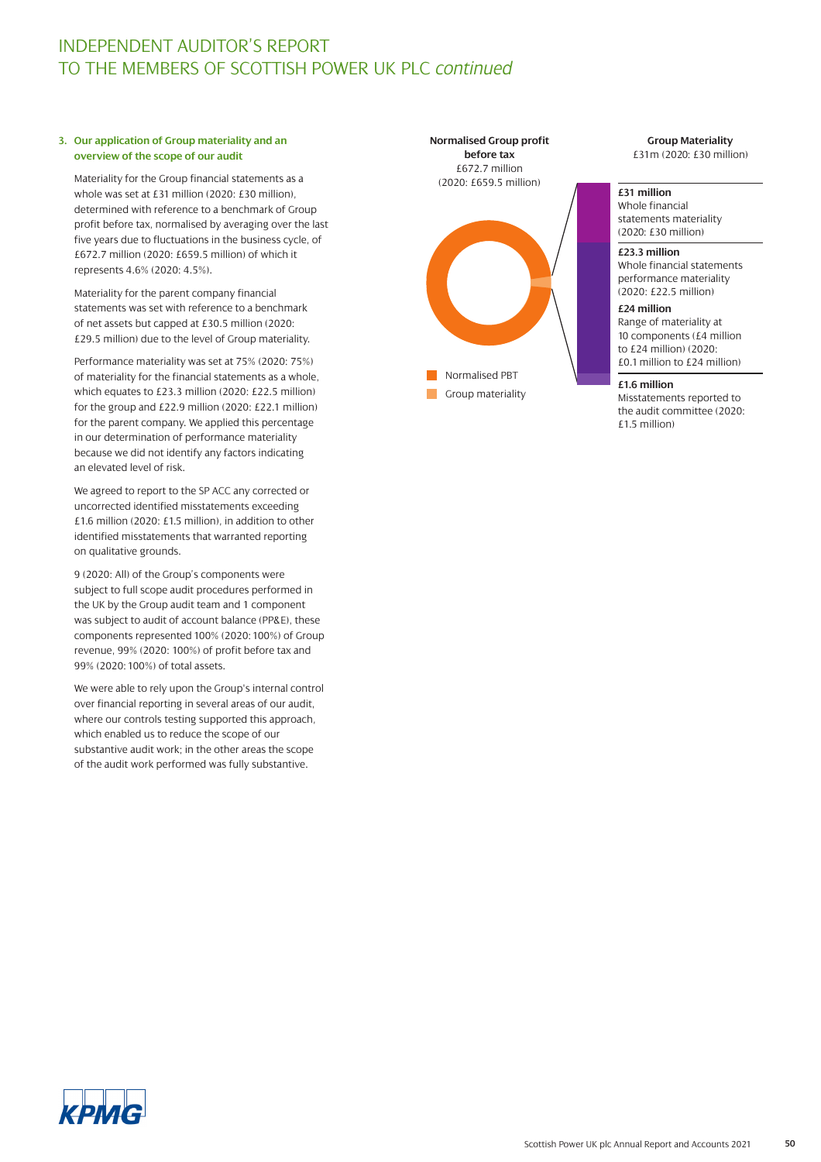### **3. Our application of Group materiality and an overview of the scope of our audit**

Materiality for the Group financial statements as a whole was set at £31 million (2020: £30 million), determined with reference to a benchmark of Group profit before tax, normalised by averaging over the last five years due to fluctuations in the business cycle, of £672.7 million (2020: £659.5 million) of which it represents 4.6% (2020: 4.5%).

Materiality for the parent company financial statements was set with reference to a benchmark of net assets but capped at £30.5 million (2020: £29.5 million) due to the level of Group materiality.

Performance materiality was set at 75% (2020: 75%) of materiality for the financial statements as a whole, which equates to £23.3 million (2020: £22.5 million) for the group and £22.9 million (2020: £22.1 million) for the parent company. We applied this percentage in our determination of performance materiality because we did not identify any factors indicating an elevated level of risk.

We agreed to report to the SP ACC any corrected or uncorrected identified misstatements exceeding £1.6 million (2020: £1.5 million), in addition to other identified misstatements that warranted reporting on qualitative grounds.

9 (2020: All) of the Group's components were subject to full scope audit procedures performed in the UK by the Group audit team and 1 component was subject to audit of account balance (PP&E), these components represented 100% (2020: 100%) of Group revenue, 99% (2020: 100%) of profit before tax and 99% (2020: 100%) of total assets.

We were able to rely upon the Group's internal control over financial reporting in several areas of our audit, where our controls testing supported this approach, which enabled us to reduce the scope of our substantive audit work; in the other areas the scope of the audit work performed was fully substantive.



**Group Materiality** £31m (2020: £30 million)

### **£31 million**

Whole financial statements materiality (2020: £30 million)

#### **£23.3 million**

Whole financial statements performance materiality (2020: £22.5 million)

### **£24 million**

Range of materiality at 10 components (£4 million to £24 million) (2020: £0.1 million to £24 million)

### **£1.6 million**

Misstatements reported to the audit committee (2020: £1.5 million)

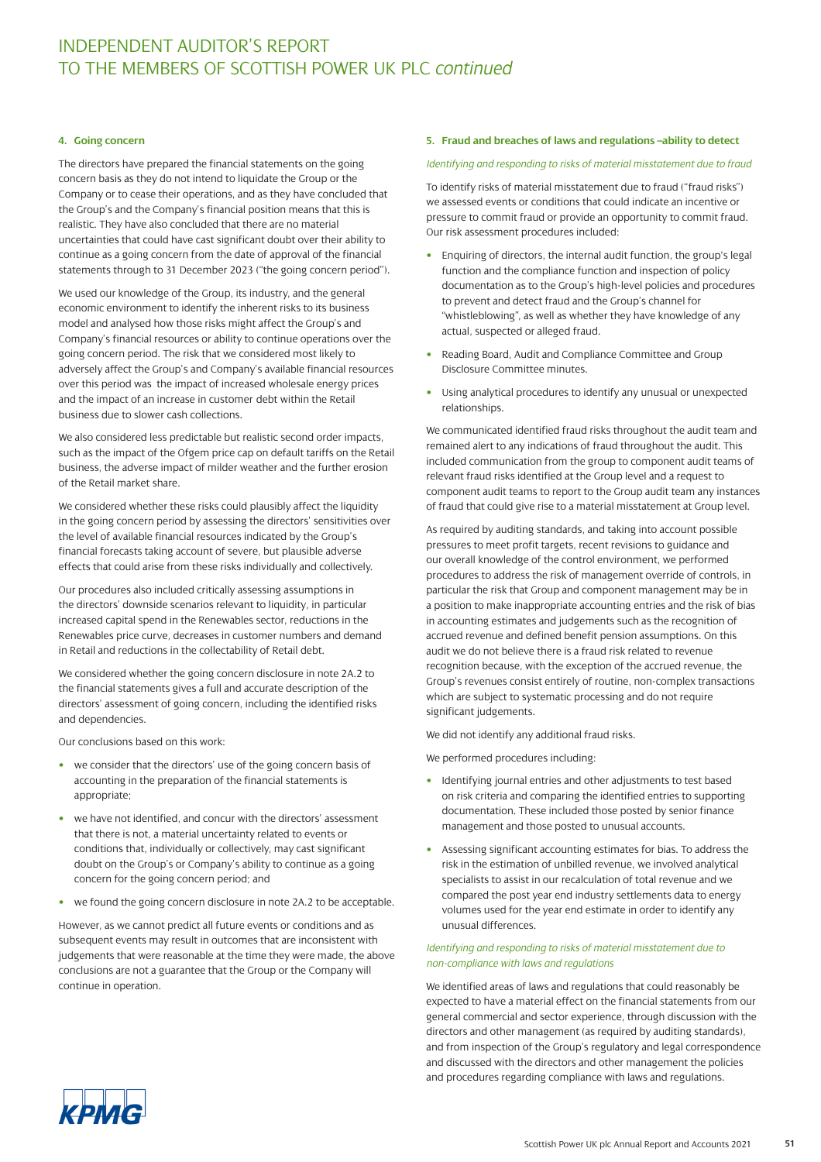### **4. Going concern**

The directors have prepared the financial statements on the going concern basis as they do not intend to liquidate the Group or the Company or to cease their operations, and as they have concluded that the Group's and the Company's financial position means that this is realistic. They have also concluded that there are no material uncertainties that could have cast significant doubt over their ability to continue as a going concern from the date of approval of the financial statements through to 31 December 2023 ("the going concern period").

We used our knowledge of the Group, its industry, and the general economic environment to identify the inherent risks to its business model and analysed how those risks might affect the Group's and Company's financial resources or ability to continue operations over the going concern period. The risk that we considered most likely to adversely affect the Group's and Company's available financial resources over this period was the impact of increased wholesale energy prices and the impact of an increase in customer debt within the Retail business due to slower cash collections.

We also considered less predictable but realistic second order impacts, such as the impact of the Ofgem price cap on default tariffs on the Retail business, the adverse impact of milder weather and the further erosion of the Retail market share.

We considered whether these risks could plausibly affect the liquidity in the going concern period by assessing the directors' sensitivities over the level of available financial resources indicated by the Group's financial forecasts taking account of severe, but plausible adverse effects that could arise from these risks individually and collectively.

Our procedures also included critically assessing assumptions in the directors' downside scenarios relevant to liquidity, in particular increased capital spend in the Renewables sector, reductions in the Renewables price curve, decreases in customer numbers and demand in Retail and reductions in the collectability of Retail debt.

We considered whether the going concern disclosure in note 2A.2 to the financial statements gives a full and accurate description of the directors' assessment of going concern, including the identified risks and dependencies.

Our conclusions based on this work:

- we consider that the directors' use of the going concern basis of accounting in the preparation of the financial statements is appropriate;
- we have not identified, and concur with the directors' assessment that there is not, a material uncertainty related to events or conditions that, individually or collectively, may cast significant doubt on the Group's or Company's ability to continue as a going concern for the going concern period; and
- we found the going concern disclosure in note 2A.2 to be acceptable.

However, as we cannot predict all future events or conditions and as subsequent events may result in outcomes that are inconsistent with judgements that were reasonable at the time they were made, the above conclusions are not a guarantee that the Group or the Company will continue in operation.

### **5. Fraud and breaches of laws and regulations –ability to detect**

### *Identifying and responding to risks of material misstatement due to fraud*

To identify risks of material misstatement due to fraud ("fraud risks") we assessed events or conditions that could indicate an incentive or pressure to commit fraud or provide an opportunity to commit fraud. Our risk assessment procedures included:

- Enquiring of directors, the internal audit function, the group's legal function and the compliance function and inspection of policy documentation as to the Group's high-level policies and procedures to prevent and detect fraud and the Group's channel for "whistleblowing", as well as whether they have knowledge of any actual, suspected or alleged fraud.
- Reading Board, Audit and Compliance Committee and Group Disclosure Committee minutes.
- Using analytical procedures to identify any unusual or unexpected relationships.

We communicated identified fraud risks throughout the audit team and remained alert to any indications of fraud throughout the audit. This included communication from the group to component audit teams of relevant fraud risks identified at the Group level and a request to component audit teams to report to the Group audit team any instances of fraud that could give rise to a material misstatement at Group level.

As required by auditing standards, and taking into account possible pressures to meet profit targets, recent revisions to guidance and our overall knowledge of the control environment, we performed procedures to address the risk of management override of controls, in particular the risk that Group and component management may be in a position to make inappropriate accounting entries and the risk of bias in accounting estimates and judgements such as the recognition of accrued revenue and defined benefit pension assumptions. On this audit we do not believe there is a fraud risk related to revenue recognition because, with the exception of the accrued revenue, the Group's revenues consist entirely of routine, non-complex transactions which are subject to systematic processing and do not require significant judgements.

We did not identify any additional fraud risks.

We performed procedures including:

- Identifying journal entries and other adjustments to test based on risk criteria and comparing the identified entries to supporting documentation. These included those posted by senior finance management and those posted to unusual accounts.
- Assessing significant accounting estimates for bias. To address the risk in the estimation of unbilled revenue, we involved analytical specialists to assist in our recalculation of total revenue and we compared the post year end industry settlements data to energy volumes used for the year end estimate in order to identify any unusual differences.

### *Identifying and responding to risks of material misstatement due to non-compliance with laws and regulations*

We identified areas of laws and regulations that could reasonably be expected to have a material effect on the financial statements from our general commercial and sector experience, through discussion with the directors and other management (as required by auditing standards), and from inspection of the Group's regulatory and legal correspondence and discussed with the directors and other management the policies and procedures regarding compliance with laws and regulations.

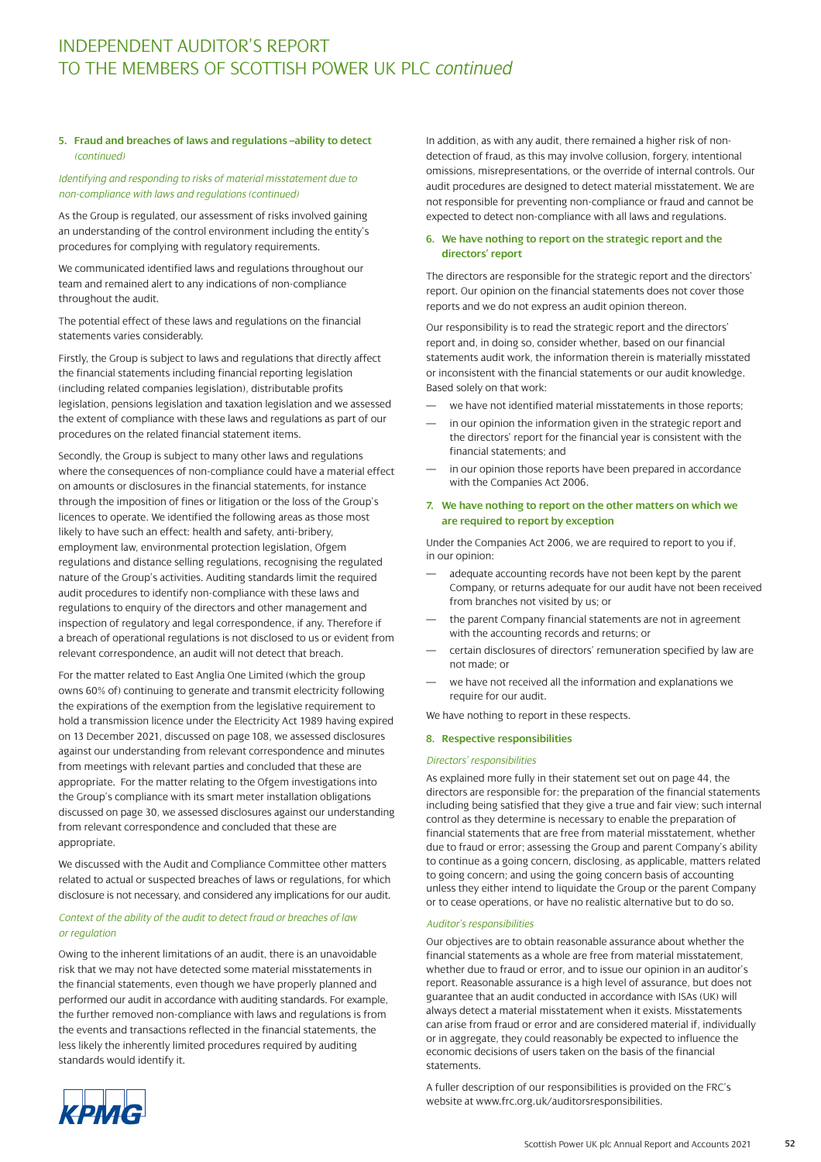### **5. Fraud and breaches of laws and regulations –ability to detect** *(continued)*

### *Identifying and responding to risks of material misstatement due to non-compliance with laws and regulations (continued)*

As the Group is regulated, our assessment of risks involved gaining an understanding of the control environment including the entity's procedures for complying with regulatory requirements.

We communicated identified laws and regulations throughout our team and remained alert to any indications of non-compliance throughout the audit.

The potential effect of these laws and regulations on the financial statements varies considerably.

Firstly, the Group is subject to laws and regulations that directly affect the financial statements including financial reporting legislation (including related companies legislation), distributable profits legislation, pensions legislation and taxation legislation and we assessed the extent of compliance with these laws and regulations as part of our procedures on the related financial statement items.

Secondly, the Group is subject to many other laws and regulations where the consequences of non-compliance could have a material effect on amounts or disclosures in the financial statements, for instance through the imposition of fines or litigation or the loss of the Group's licences to operate. We identified the following areas as those most likely to have such an effect: health and safety, anti-bribery, employment law, environmental protection legislation, Ofgem regulations and distance selling regulations, recognising the regulated nature of the Group's activities. Auditing standards limit the required audit procedures to identify non-compliance with these laws and regulations to enquiry of the directors and other management and inspection of regulatory and legal correspondence, if any. Therefore if a breach of operational regulations is not disclosed to us or evident from relevant correspondence, an audit will not detect that breach.

For the matter related to East Anglia One Limited (which the group owns 60% of) continuing to generate and transmit electricity following the expirations of the exemption from the legislative requirement to hold a transmission licence under the Electricity Act 1989 having expired on 13 December 2021, discussed on page 108, we assessed disclosures against our understanding from relevant correspondence and minutes from meetings with relevant parties and concluded that these are appropriate. For the matter relating to the Ofgem investigations into the Group's compliance with its smart meter installation obligations discussed on page 30, we assessed disclosures against our understanding from relevant correspondence and concluded that these are appropriate.

We discussed with the Audit and Compliance Committee other matters related to actual or suspected breaches of laws or regulations, for which disclosure is not necessary, and considered any implications for our audit.

### *Context of the ability of the audit to detect fraud or breaches of law or regulation*

Owing to the inherent limitations of an audit, there is an unavoidable risk that we may not have detected some material misstatements in the financial statements, even though we have properly planned and performed our audit in accordance with auditing standards. For example, the further removed non-compliance with laws and regulations is from the events and transactions reflected in the financial statements, the less likely the inherently limited procedures required by auditing standards would identify it.

In addition, as with any audit, there remained a higher risk of nondetection of fraud, as this may involve collusion, forgery, intentional omissions, misrepresentations, or the override of internal controls. Our audit procedures are designed to detect material misstatement. We are not responsible for preventing non-compliance or fraud and cannot be expected to detect non-compliance with all laws and regulations.

### **6. We have nothing to report on the strategic report and the directors' report**

The directors are responsible for the strategic report and the directors' report. Our opinion on the financial statements does not cover those reports and we do not express an audit opinion thereon.

Our responsibility is to read the strategic report and the directors' report and, in doing so, consider whether, based on our financial statements audit work, the information therein is materially misstated or inconsistent with the financial statements or our audit knowledge. Based solely on that work:

- we have not identified material misstatements in those reports;
- in our opinion the information given in the strategic report and the directors' report for the financial year is consistent with the financial statements; and
- in our opinion those reports have been prepared in accordance with the Companies Act 2006.

### **7. We have nothing to report on the other matters on which we are required to report by exception**

Under the Companies Act 2006, we are required to report to you if, in our opinion:

- adequate accounting records have not been kept by the parent Company, or returns adequate for our audit have not been received from branches not visited by us; or
- the parent Company financial statements are not in agreement with the accounting records and returns; or
- certain disclosures of directors' remuneration specified by law are not made; or
- we have not received all the information and explanations we require for our audit.

We have nothing to report in these respects.

### **8. Respective responsibilities**

#### *Directors' responsibilities*

As explained more fully in their statement set out on page 44, the directors are responsible for: the preparation of the financial statements including being satisfied that they give a true and fair view; such internal control as they determine is necessary to enable the preparation of financial statements that are free from material misstatement, whether due to fraud or error; assessing the Group and parent Company's ability to continue as a going concern, disclosing, as applicable, matters related to going concern; and using the going concern basis of accounting unless they either intend to liquidate the Group or the parent Company or to cease operations, or have no realistic alternative but to do so.

### *Auditor's responsibilities*

Our objectives are to obtain reasonable assurance about whether the financial statements as a whole are free from material misstatement, whether due to fraud or error, and to issue our opinion in an auditor's report. Reasonable assurance is a high level of assurance, but does not guarantee that an audit conducted in accordance with ISAs (UK) will always detect a material misstatement when it exists. Misstatements can arise from fraud or error and are considered material if, individually or in aggregate, they could reasonably be expected to influence the economic decisions of users taken on the basis of the financial statements.

A fuller description of our responsibilities is provided on the FRC's website at www.frc.org.uk/auditorsresponsibilities.

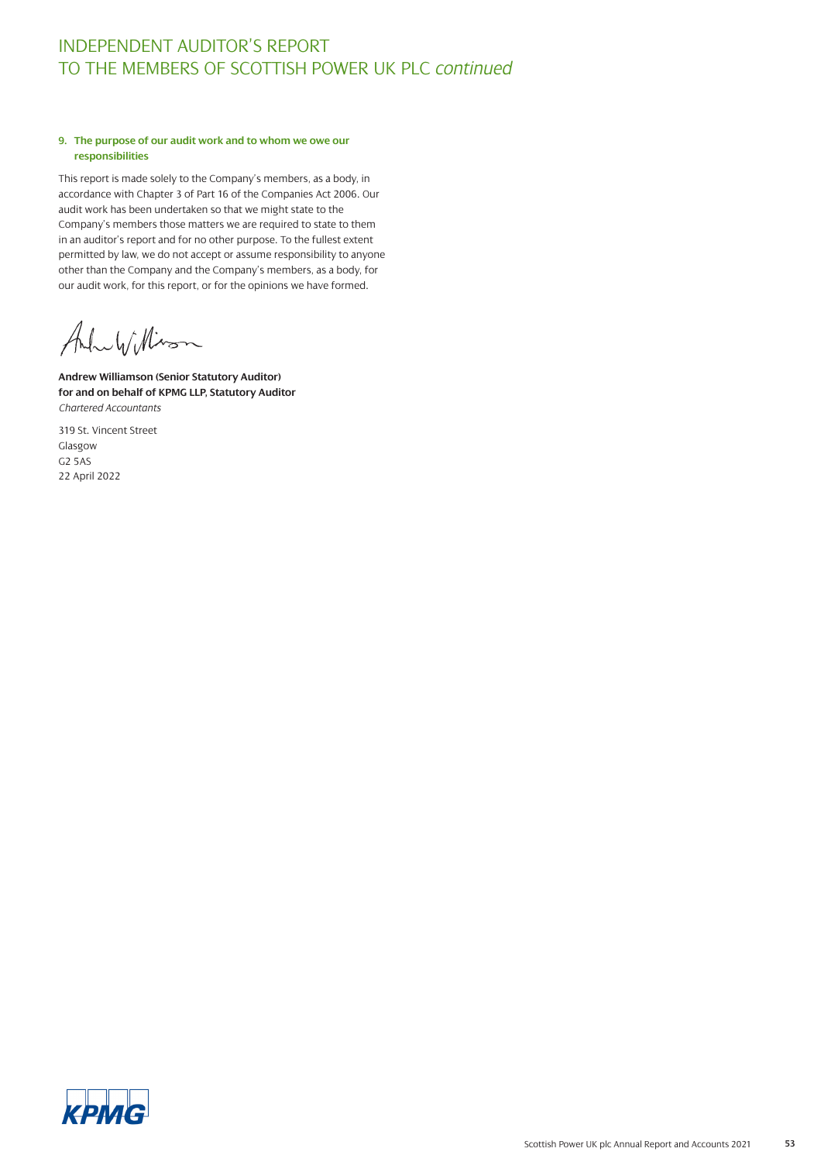### **9. The purpose of our audit work and to whom we owe our responsibilities**

This report is made solely to the Company's members, as a body, in accordance with Chapter 3 of Part 16 of the Companies Act 2006. Our audit work has been undertaken so that we might state to the Company's members those matters we are required to state to them in an auditor's report and for no other purpose. To the fullest extent permitted by law, we do not accept or assume responsibility to anyone other than the Company and the Company's members, as a body, for our audit work, for this report, or for the opinions we have formed.

AluWillism

**Andrew Williamson (Senior Statutory Auditor) for and on behalf of KPMG LLP, Statutory Auditor** *Chartered Accountants* 

319 St. Vincent Street Glasgow G2 5AS 22 April 2022

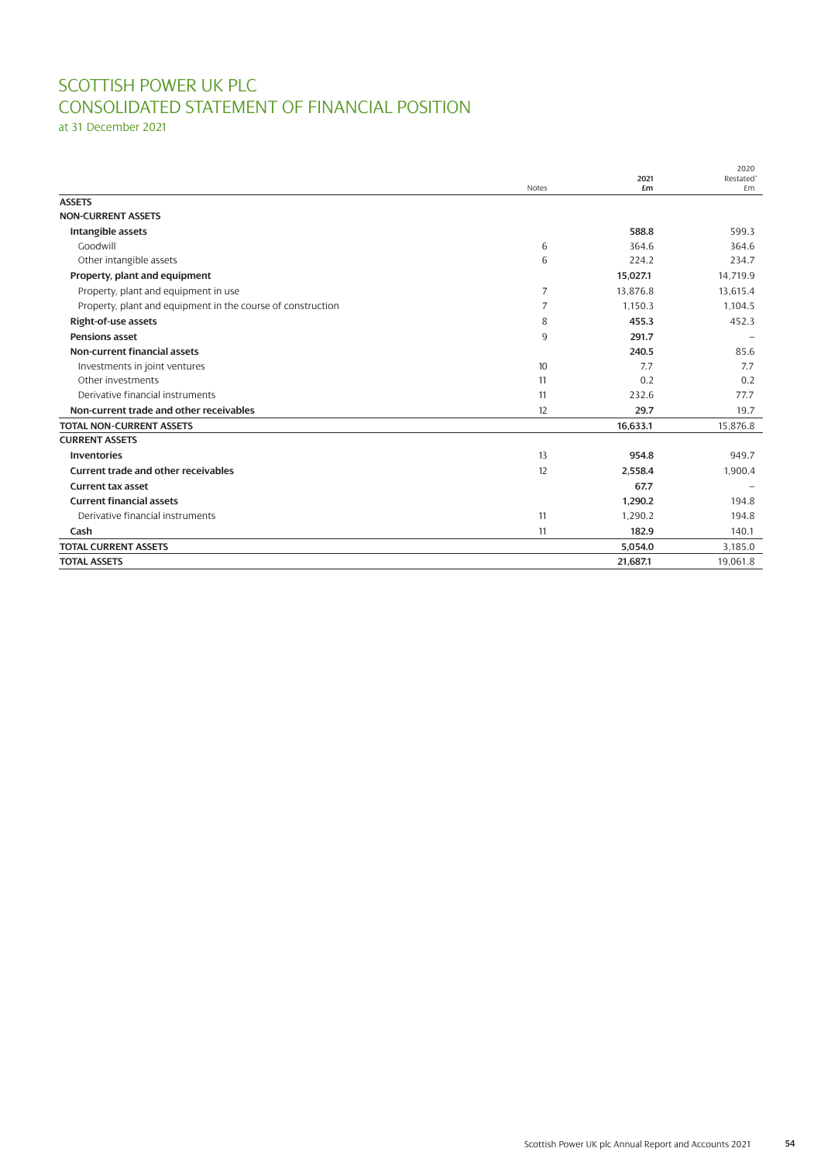# SCOTTISH POWER UK PLC CONSOLIDATED STATEMENT OF FINANCIAL POSITION

at 31 December 2021

|                                                             |                |            | 2020                        |
|-------------------------------------------------------------|----------------|------------|-----------------------------|
|                                                             | <b>Notes</b>   | 2021<br>£m | Restated <sup>®</sup><br>£m |
| <b>ASSETS</b>                                               |                |            |                             |
| <b>NON-CURRENT ASSETS</b>                                   |                |            |                             |
| Intangible assets                                           |                | 588.8      | 599.3                       |
| Goodwill                                                    | 6              | 364.6      | 364.6                       |
| Other intangible assets                                     | 6              | 224.2      | 234.7                       |
| Property, plant and equipment                               |                | 15,027.1   | 14,719.9                    |
| Property, plant and equipment in use                        | $\overline{7}$ | 13,876.8   | 13,615.4                    |
| Property, plant and equipment in the course of construction | $\overline{7}$ | 1,150.3    | 1.104.5                     |
| Right-of-use assets                                         | 8              | 455.3      | 452.3                       |
| <b>Pensions asset</b>                                       | 9              | 291.7      |                             |
| <b>Non-current financial assets</b>                         |                | 240.5      | 85.6                        |
| Investments in joint ventures                               | 10             | 7.7        | 7.7                         |
| Other investments                                           | 11             | 0.2        | 0.2                         |
| Derivative financial instruments                            | 11             | 232.6      | 77.7                        |
| Non-current trade and other receivables                     | 12             | 29.7       | 19.7                        |
| <b>TOTAL NON-CURRENT ASSETS</b>                             |                | 16,633.1   | 15,876.8                    |
| <b>CURRENT ASSETS</b>                                       |                |            |                             |
| <b>Inventories</b>                                          | 13             | 954.8      | 949.7                       |
| <b>Current trade and other receivables</b>                  | 12             | 2,558.4    | 1,900.4                     |
| <b>Current tax asset</b>                                    |                | 67.7       |                             |
| <b>Current financial assets</b>                             |                | 1,290.2    | 194.8                       |
| Derivative financial instruments                            | 11             | 1,290.2    | 194.8                       |
| Cash                                                        | 11             | 182.9      | 140.1                       |
| <b>TOTAL CURRENT ASSETS</b>                                 |                | 5,054.0    | 3,185.0                     |
| <b>TOTAL ASSETS</b>                                         |                | 21,687.1   | 19,061.8                    |
|                                                             |                |            |                             |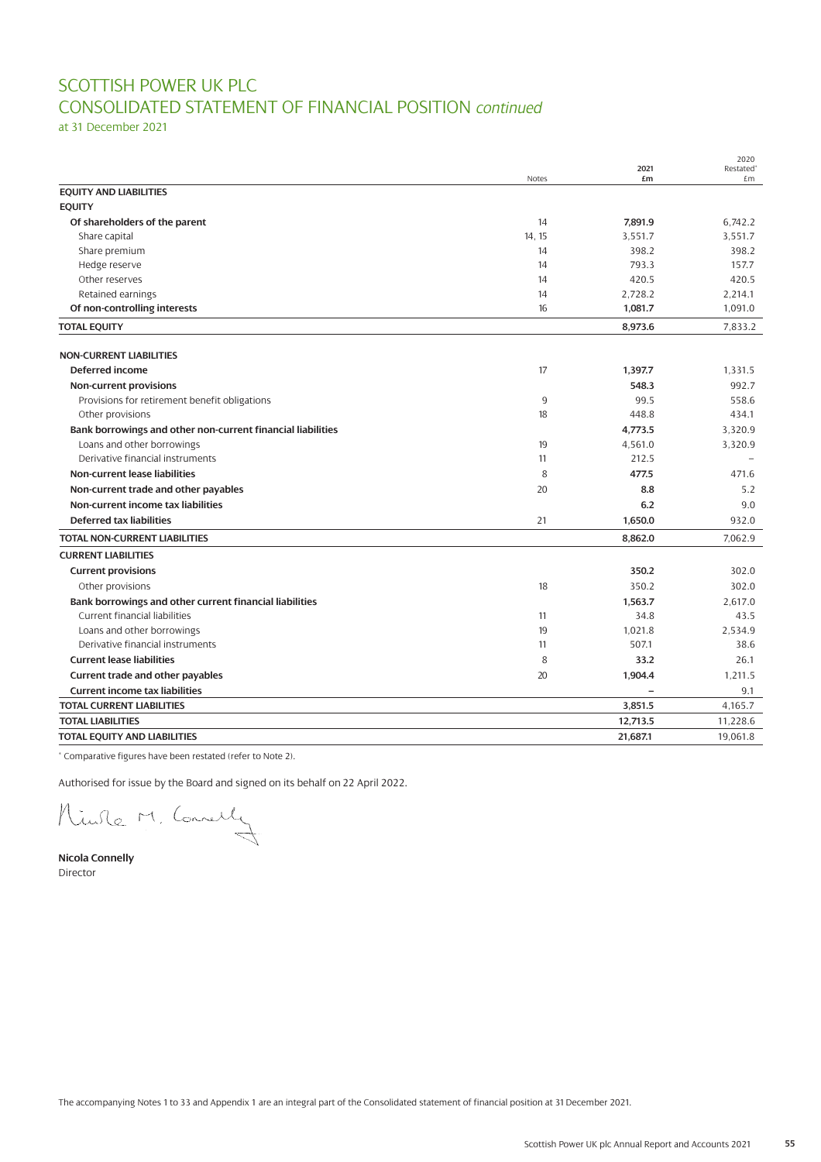## SCOTTISH POWER UK PLC CONSOLIDATED STATEMENT OF FINANCIAL POSITION *continued*

at 31 December 2021

|                                                             |              | 2021                     | 2020<br>Restated <sup>®</sup> |
|-------------------------------------------------------------|--------------|--------------------------|-------------------------------|
|                                                             | <b>Notes</b> | £m                       | £m                            |
| <b>EQUITY AND LIABILITIES</b>                               |              |                          |                               |
| <b>EQUITY</b>                                               |              |                          |                               |
| Of shareholders of the parent                               | 14           | 7,891.9                  | 6.742.2                       |
| Share capital                                               | 14.15        | 3.551.7                  | 3.551.7                       |
| Share premium                                               | 14           | 398.2                    | 398.2                         |
| Hedge reserve                                               | 14           | 793.3                    | 157.7                         |
| Other reserves                                              | 14           | 420.5                    | 420.5                         |
| Retained earnings                                           | 14           | 2,728.2                  | 2,214.1                       |
| Of non-controlling interests                                | 16           | 1,081.7                  | 1,091.0                       |
| <b>TOTAL EQUITY</b>                                         |              | 8,973.6                  | 7,833.2                       |
| <b>NON-CURRENT LIABILITIES</b>                              |              |                          |                               |
| Deferred income                                             | 17           | 1,397.7                  | 1,331.5                       |
| Non-current provisions                                      |              | 548.3                    | 992.7                         |
| Provisions for retirement benefit obligations               | 9            | 99.5                     | 558.6                         |
| Other provisions                                            | 18           | 448.8                    | 434.1                         |
| Bank borrowings and other non-current financial liabilities |              | 4,773.5                  | 3.320.9                       |
| Loans and other borrowings                                  | 19           | 4,561.0                  | 3,320.9                       |
| Derivative financial instruments                            | 11           | 212.5                    |                               |
| Non-current lease liabilities                               | 8            | 477.5                    | 471.6                         |
| Non-current trade and other payables                        | 20           | 8.8                      | 5.2                           |
| Non-current income tax liabilities                          |              | 6.2                      | 9.0                           |
| <b>Deferred tax liabilities</b>                             | 21           | 1,650.0                  | 932.0                         |
| <b>TOTAL NON-CURRENT LIABILITIES</b>                        |              | 8,862.0                  | 7.062.9                       |
| <b>CURRENT LIABILITIES</b>                                  |              |                          |                               |
| <b>Current provisions</b>                                   |              | 350.2                    | 302.0                         |
| Other provisions                                            | 18           | 350.2                    | 302.0                         |
| Bank borrowings and other current financial liabilities     |              | 1,563.7                  | 2,617.0                       |
| Current financial liabilities                               | 11           | 34.8                     | 43.5                          |
| Loans and other borrowings                                  | 19           | 1.021.8                  | 2.534.9                       |
| Derivative financial instruments                            | 11           | 507.1                    | 38.6                          |
| <b>Current lease liabilities</b>                            | 8            | 33.2                     | 26.1                          |
| Current trade and other payables                            | 20           | 1,904.4                  | 1,211.5                       |
| <b>Current income tax liabilities</b>                       |              | $\overline{\phantom{0}}$ | 9.1                           |
| <b>TOTAL CURRENT LIABILITIES</b>                            |              | 3,851.5                  | 4,165.7                       |
| <b>TOTAL LIABILITIES</b>                                    |              | 12,713.5                 | 11,228.6                      |
| TOTAL EQUITY AND LIABILITIES                                |              | 21,687.1                 | 19,061.8                      |
|                                                             |              |                          |                               |

\* Comparative figures have been restated (refer to Note 2).

Authorised for issue by the Board and signed on its behalf on 22 April 2022.

Minile M. Connelly

**Nicola Connelly** Director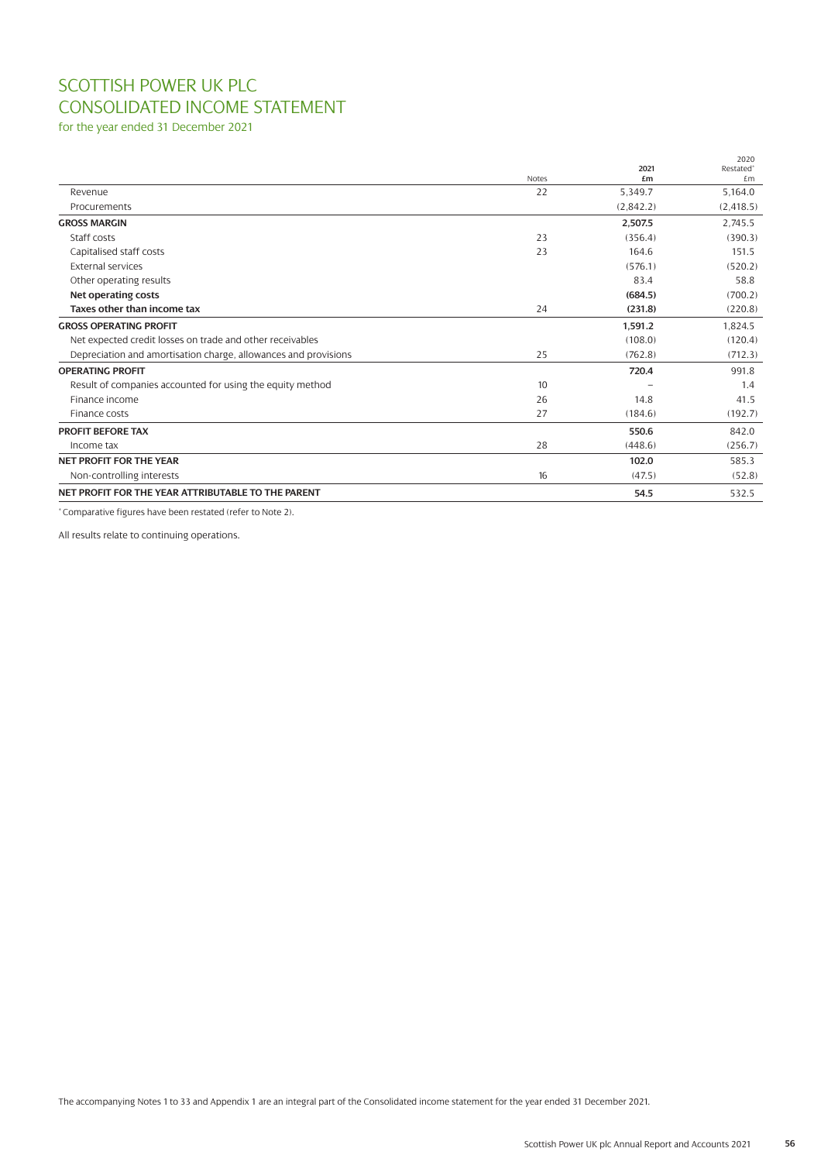## SCOTTISH POWER UK PLC CONSOLIDATED INCOME STATEMENT

for the year ended 31 December 2021

|                                                                 |              |            | 2020                        |
|-----------------------------------------------------------------|--------------|------------|-----------------------------|
|                                                                 | <b>Notes</b> | 2021<br>£m | Restated <sup>®</sup><br>£m |
| Revenue                                                         | 22           | 5,349.7    | 5,164.0                     |
| Procurements                                                    |              | (2.842.2)  | (2, 418.5)                  |
| <b>GROSS MARGIN</b>                                             |              | 2.507.5    | 2.745.5                     |
| Staff costs                                                     | 23           | (356.4)    | (390.3)                     |
| Capitalised staff costs                                         | 23           | 164.6      | 151.5                       |
| <b>External services</b>                                        |              | (576.1)    | (520.2)                     |
| Other operating results                                         |              | 83.4       | 58.8                        |
| Net operating costs                                             |              | (684.5)    | (700.2)                     |
| Taxes other than income tax                                     | 24           | (231.8)    | (220.8)                     |
| <b>GROSS OPERATING PROFIT</b>                                   |              | 1,591.2    | 1,824.5                     |
| Net expected credit losses on trade and other receivables       |              | (108.0)    | (120.4)                     |
| Depreciation and amortisation charge, allowances and provisions | 25           | (762.8)    | (712.3)                     |
| <b>OPERATING PROFIT</b>                                         |              | 720.4      | 991.8                       |
| Result of companies accounted for using the equity method       | 10           |            | 1.4                         |
| Finance income                                                  | 26           | 14.8       | 41.5                        |
| Finance costs                                                   | 27           | (184.6)    | (192.7)                     |
| <b>PROFIT BEFORE TAX</b>                                        |              | 550.6      | 842.0                       |
| Income tax                                                      | 28           | (448.6)    | (256.7)                     |
| <b>NET PROFIT FOR THE YEAR</b>                                  |              | 102.0      | 585.3                       |
| Non-controlling interests                                       | 16           | (47.5)     | (52.8)                      |
| NET PROFIT FOR THE YEAR ATTRIBUTABLE TO THE PARENT              |              | 54.5       | 532.5                       |

\* Comparative figures have been restated (refer to Note 2).

All results relate to continuing operations.

The accompanying Notes 1 to 33 and Appendix 1 are an integral part of the Consolidated income statement for the year ended 31 December 2021.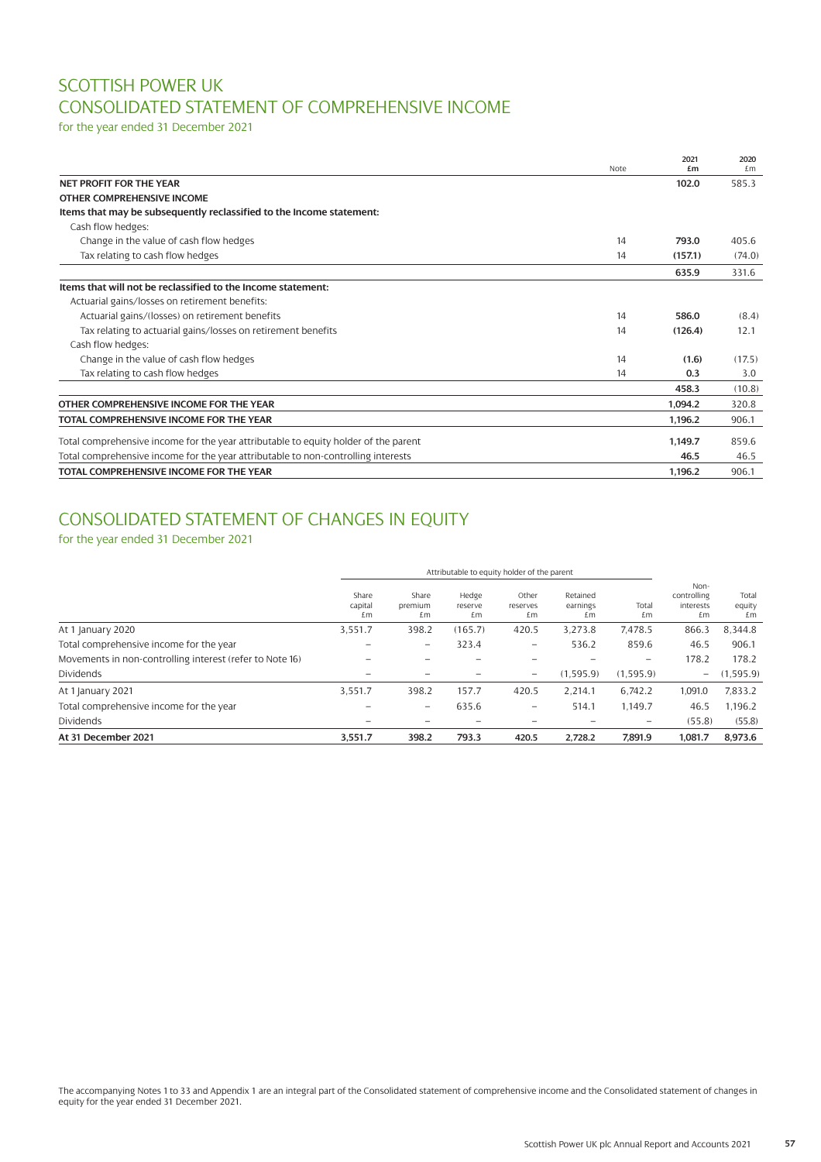## SCOTTISH POWER UK CONSOLIDATED STATEMENT OF COMPREHENSIVE INCOME

for the year ended 31 December 2021

|                                                                                     | Note | 2021<br>£m | 2020<br>£m |
|-------------------------------------------------------------------------------------|------|------------|------------|
| NET PROFIT FOR THE YEAR                                                             |      | 102.0      | 585.3      |
| <b>OTHER COMPREHENSIVE INCOME</b>                                                   |      |            |            |
| Items that may be subsequently reclassified to the Income statement:                |      |            |            |
| Cash flow hedges:                                                                   |      |            |            |
| Change in the value of cash flow hedges                                             | 14   | 793.0      | 405.6      |
| Tax relating to cash flow hedges                                                    | 14   | (157.1)    | (74.0)     |
|                                                                                     |      | 635.9      | 331.6      |
| Items that will not be reclassified to the Income statement:                        |      |            |            |
| Actuarial gains/losses on retirement benefits:                                      |      |            |            |
| Actuarial gains/(losses) on retirement benefits                                     | 14   | 586.0      | (8.4)      |
| Tax relating to actuarial gains/losses on retirement benefits                       | 14   | (126.4)    | 12.1       |
| Cash flow hedges:                                                                   |      |            |            |
| Change in the value of cash flow hedges                                             | 14   | (1.6)      | (17.5)     |
| Tax relating to cash flow hedges                                                    | 14   | 0.3        | 3.0        |
|                                                                                     |      | 458.3      | (10.8)     |
| OTHER COMPREHENSIVE INCOME FOR THE YEAR                                             |      | 1,094.2    | 320.8      |
| TOTAL COMPREHENSIVE INCOME FOR THE YEAR                                             |      | 1.196.2    | 906.1      |
| Total comprehensive income for the year attributable to equity holder of the parent |      | 1.149.7    | 859.6      |
| Total comprehensive income for the year attributable to non-controlling interests   |      | 46.5       | 46.5       |
| TOTAL COMPREHENSIVE INCOME FOR THE YEAR                                             |      | 1.196.2    | 906.1      |

## CONSOLIDATED STATEMENT OF CHANGES IN EQUITY

### for the year ended 31 December 2021

|                                                          | Attributable to equity holder of the parent |                        |                        |                          |                            |                          |                                        |                       |
|----------------------------------------------------------|---------------------------------------------|------------------------|------------------------|--------------------------|----------------------------|--------------------------|----------------------------------------|-----------------------|
|                                                          | Share<br>capital<br>£m                      | Share<br>premium<br>£m | Hedge<br>reserve<br>£m | Other<br>reserves<br>£m  | Retained<br>earnings<br>£m | Total<br>£m              | Non-<br>controlling<br>interests<br>£m | Total<br>equity<br>£m |
| At 1 January 2020                                        | 3,551.7                                     | 398.2                  | (165.7)                | 420.5                    | 3.273.8                    | 7,478.5                  | 866.3                                  | 8,344.8               |
| Total comprehensive income for the year                  |                                             |                        | 323.4                  | $\qquad \qquad -$        | 536.2                      | 859.6                    | 46.5                                   | 906.1                 |
| Movements in non-controlling interest (refer to Note 16) |                                             |                        |                        |                          |                            | $\overline{\phantom{0}}$ | 178.2                                  | 178.2                 |
| <b>Dividends</b>                                         |                                             |                        |                        | $\qquad \qquad -$        | (1,595.9)                  | (1, 595.9)               | $\overline{\phantom{0}}$               | (1,595.9)             |
| At 1 January 2021                                        | 3,551.7                                     | 398.2                  | 157.7                  | 420.5                    | 2.214.1                    | 6.742.2                  | 1.091.0                                | 7,833.2               |
| Total comprehensive income for the year                  |                                             |                        | 635.6                  | $\overline{\phantom{m}}$ | 514.1                      | 1.149.7                  | 46.5                                   | 1.196.2               |
| <b>Dividends</b>                                         |                                             |                        |                        |                          |                            |                          | (55.8)                                 | (55.8)                |
| At 31 December 2021                                      | 3.551.7                                     | 398.2                  | 793.3                  | 420.5                    | 2.728.2                    | 7.891.9                  | 1.081.7                                | 8,973.6               |

The accompanying Notes 1 to 33 and Appendix 1 are an integral part of the Consolidated statement of comprehensive income and the Consolidated statement of changes in equity for the year ended 31 December 2021.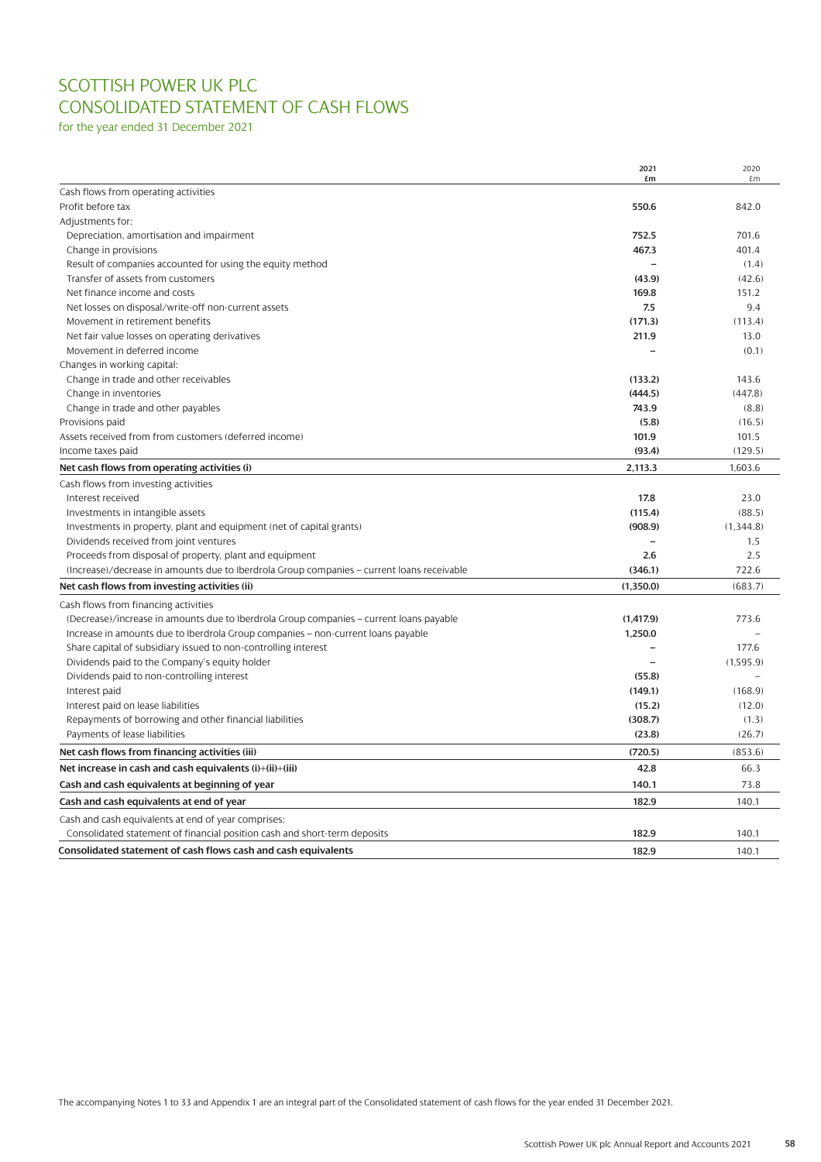## SCOTTISH POWER UK PLC CONSOLIDATED STATEMENT OF CASH FLOWS

for the year ended 31 December 2021

|                                                                                            | 2021<br>£m        | 2020<br>£m |
|--------------------------------------------------------------------------------------------|-------------------|------------|
| Cash flows from operating activities                                                       |                   |            |
| Profit before tax                                                                          | 550.6             | 842.0      |
| Adjustments for:                                                                           |                   |            |
| Depreciation, amortisation and impairment                                                  | 752.5             | 701.6      |
| Change in provisions                                                                       | 467.3             | 401.4      |
| Result of companies accounted for using the equity method                                  |                   | (1.4)      |
| Transfer of assets from customers                                                          | (43.9)            | (42.6)     |
| Net finance income and costs                                                               | 169.8             | 151.2      |
| Net losses on disposal/write-off non-current assets                                        | 7.5               | 9.4        |
| Movement in retirement benefits                                                            | (171.3)           | (113.4)    |
| Net fair value losses on operating derivatives                                             | 211.9             | 13.0       |
| Movement in deferred income                                                                |                   | (0.1)      |
| Changes in working capital:                                                                |                   |            |
| Change in trade and other receivables                                                      | (133.2)           | 143.6      |
| Change in inventories                                                                      | (444.5)           | (447.8)    |
| Change in trade and other payables                                                         | 743.9             | (8.8)      |
| Provisions paid                                                                            | (5.8)             | (16.5)     |
| Assets received from from customers (deferred income)                                      | 101.9             | 101.5      |
| Income taxes paid                                                                          | (93.4)            | (129.5)    |
| Net cash flows from operating activities (i)                                               | 2,113.3           | 1,603.6    |
| Cash flows from investing activities                                                       |                   |            |
| Interest received                                                                          | 17.8              | 23.0       |
| Investments in intangible assets                                                           | (115.4)           | (88.5)     |
| Investments in property, plant and equipment (net of capital grants)                       | (908.9)           | (1.344.8)  |
| Dividends received from joint ventures                                                     | $\qquad \qquad -$ | 1.5        |
| Proceeds from disposal of property, plant and equipment                                    | 2.6               | 2.5        |
| (Increase)/decrease in amounts due to Iberdrola Group companies – current loans receivable | (346.1)           | 722.6      |
| Net cash flows from investing activities (ii)                                              | (1,350.0)         | (683.7)    |
| Cash flows from financing activities                                                       |                   |            |
| (Decrease)/increase in amounts due to Iberdrola Group companies - current loans payable    | (1,417.9)         | 773.6      |
|                                                                                            | 1,250.0           |            |
| Increase in amounts due to Iberdrola Group companies – non-current loans payable           |                   | 177.6      |
| Share capital of subsidiary issued to non-controlling interest                             |                   | (1,595.9)  |
| Dividends paid to the Company's equity holder                                              | (55.8)            |            |
| Dividends paid to non-controlling interest<br>Interest paid                                | (149.1)           | (168.9)    |
| Interest paid on lease liabilities                                                         | (15.2)            | (12.0)     |
| Repayments of borrowing and other financial liabilities                                    | (308.7)           | (1.3)      |
| Payments of lease liabilities                                                              | (23.8)            | (26.7)     |
|                                                                                            |                   |            |
| Net cash flows from financing activities (iii)                                             | (720.5)           | (853.6)    |
| Net increase in cash and cash equivalents (i)+(ii)+(iii)                                   | 42.8              | 66.3       |
| Cash and cash equivalents at beginning of year                                             | 140.1             | 73.8       |
| Cash and cash equivalents at end of year                                                   | 182.9             | 140.1      |
| Cash and cash equivalents at end of year comprises:                                        |                   |            |
| Consolidated statement of financial position cash and short-term deposits                  | 182.9             | 140.1      |
| Consolidated statement of cash flows cash and cash equivalents                             | 182.9             | 140.1      |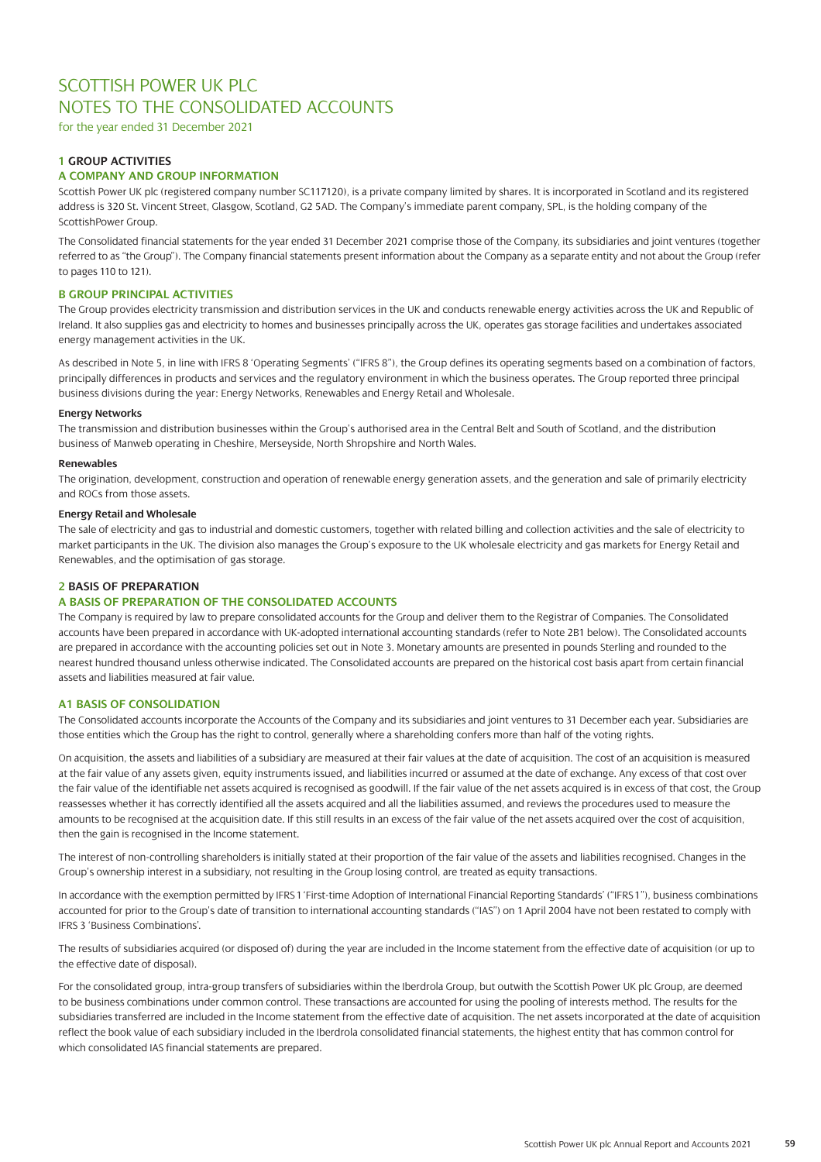for the year ended 31 December 2021

### **1 GROUP ACTIVITIES**

### **A COMPANY AND GROUP INFORMATION**

Scottish Power UK plc (registered company number SC117120), is a private company limited by shares. It is incorporated in Scotland and its registered address is 320 St. Vincent Street, Glasgow, Scotland, G2 5AD. The Company's immediate parent company, SPL, is the holding company of the ScottishPower Group.

The Consolidated financial statements for the year ended 31 December 2021 comprise those of the Company, its subsidiaries and joint ventures (together referred to as "the Group"). The Company financial statements present information about the Company as a separate entity and not about the Group (refer to pages 110 to 121).

### **B GROUP PRINCIPAL ACTIVITIES**

The Group provides electricity transmission and distribution services in the UK and conducts renewable energy activities across the UK and Republic of Ireland. It also supplies gas and electricity to homes and businesses principally across the UK, operates gas storage facilities and undertakes associated energy management activities in the UK.

As described in Note 5, in line with IFRS 8 'Operating Segments' ("IFRS 8"), the Group defines its operating segments based on a combination of factors, principally differences in products and services and the regulatory environment in which the business operates. The Group reported three principal business divisions during the year: Energy Networks, Renewables and Energy Retail and Wholesale.

### **Energy Networks**

The transmission and distribution businesses within the Group's authorised area in the Central Belt and South of Scotland, and the distribution business of Manweb operating in Cheshire, Merseyside, North Shropshire and North Wales.

### **Renewables**

The origination, development, construction and operation of renewable energy generation assets, and the generation and sale of primarily electricity and ROCs from those assets.

### **Energy Retail and Wholesale**

The sale of electricity and gas to industrial and domestic customers, together with related billing and collection activities and the sale of electricity to market participants in the UK. The division also manages the Group's exposure to the UK wholesale electricity and gas markets for Energy Retail and Renewables, and the optimisation of gas storage.

### **2 BASIS OF PREPARATION**

### **A BASIS OF PREPARATION OF THE CONSOLIDATED ACCOUNTS**

The Company is required by law to prepare consolidated accounts for the Group and deliver them to the Registrar of Companies. The Consolidated accounts have been prepared in accordance with UK-adopted international accounting standards (refer to Note 2B1 below). The Consolidated accounts are prepared in accordance with the accounting policies set out in Note 3. Monetary amounts are presented in pounds Sterling and rounded to the nearest hundred thousand unless otherwise indicated. The Consolidated accounts are prepared on the historical cost basis apart from certain financial assets and liabilities measured at fair value.

### **A1 BASIS OF CONSOLIDATION**

The Consolidated accounts incorporate the Accounts of the Company and its subsidiaries and joint ventures to 31 December each year. Subsidiaries are those entities which the Group has the right to control, generally where a shareholding confers more than half of the voting rights.

On acquisition, the assets and liabilities of a subsidiary are measured at their fair values at the date of acquisition. The cost of an acquisition is measured at the fair value of any assets given, equity instruments issued, and liabilities incurred or assumed at the date of exchange. Any excess of that cost over the fair value of the identifiable net assets acquired is recognised as goodwill. If the fair value of the net assets acquired is in excess of that cost, the Group reassesses whether it has correctly identified all the assets acquired and all the liabilities assumed, and reviews the procedures used to measure the amounts to be recognised at the acquisition date. If this still results in an excess of the fair value of the net assets acquired over the cost of acquisition, then the gain is recognised in the Income statement.

The interest of non-controlling shareholders is initially stated at their proportion of the fair value of the assets and liabilities recognised. Changes in the Group's ownership interest in a subsidiary, not resulting in the Group losing control, are treated as equity transactions.

In accordance with the exemption permitted by IFRS 1 'First-time Adoption of International Financial Reporting Standards' ("IFRS 1"), business combinations accounted for prior to the Group's date of transition to international accounting standards ("IAS") on 1 April 2004 have not been restated to comply with IFRS 3 'Business Combinations'.

The results of subsidiaries acquired (or disposed of) during the year are included in the Income statement from the effective date of acquisition (or up to the effective date of disposal).

For the consolidated group, intra-group transfers of subsidiaries within the Iberdrola Group, but outwith the Scottish Power UK plc Group, are deemed to be business combinations under common control. These transactions are accounted for using the pooling of interests method. The results for the subsidiaries transferred are included in the Income statement from the effective date of acquisition. The net assets incorporated at the date of acquisition reflect the book value of each subsidiary included in the Iberdrola consolidated financial statements, the highest entity that has common control for which consolidated IAS financial statements are prepared.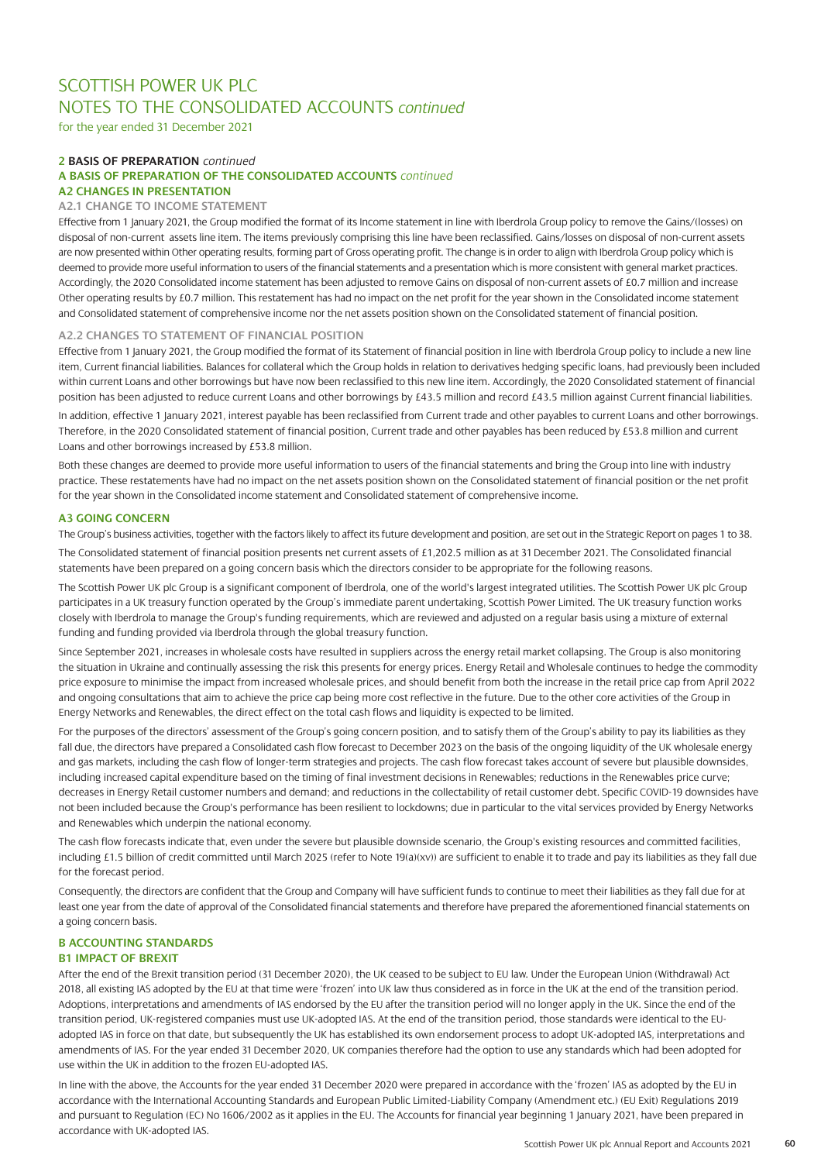for the year ended 31 December 2021

### **2 BASIS OF PREPARATION** *continued* **A BASIS OF PREPARATION OF THE CONSOLIDATED ACCOUNTS** *continued* **A2 CHANGES IN PRESENTATION**

### **A2.1 CHANGE TO INCOME STATEMENT**

Effective from 1 January 2021, the Group modified the format of its Income statement in line with Iberdrola Group policy to remove the Gains/(losses) on disposal of non-current assets line item. The items previously comprising this line have been reclassified. Gains/losses on disposal of non-current assets are now presented within Other operating results, forming part of Gross operating profit. The change is in order to align with Iberdrola Group policy which is deemed to provide more useful information to users of the financial statements and a presentation which is more consistent with general market practices. Accordingly, the 2020 Consolidated income statement has been adjusted to remove Gains on disposal of non-current assets of £0.7 million and increase Other operating results by £0.7 million. This restatement has had no impact on the net profit for the year shown in the Consolidated income statement and Consolidated statement of comprehensive income nor the net assets position shown on the Consolidated statement of financial position.

### **A2.2 CHANGES TO STATEMENT OF FINANCIAL POSITION**

Effective from 1 January 2021, the Group modified the format of its Statement of financial position in line with Iberdrola Group policy to include a new line item, Current financial liabilities. Balances for collateral which the Group holds in relation to derivatives hedging specific loans, had previously been included within current Loans and other borrowings but have now been reclassified to this new line item. Accordingly, the 2020 Consolidated statement of financial position has been adjusted to reduce current Loans and other borrowings by £43.5 million and record £43.5 million against Current financial liabilities.

In addition, effective 1 January 2021, interest payable has been reclassified from Current trade and other payables to current Loans and other borrowings. Therefore, in the 2020 Consolidated statement of financial position, Current trade and other payables has been reduced by £53.8 million and current Loans and other borrowings increased by £53.8 million.

Both these changes are deemed to provide more useful information to users of the financial statements and bring the Group into line with industry practice. These restatements have had no impact on the net assets position shown on the Consolidated statement of financial position or the net profit for the year shown in the Consolidated income statement and Consolidated statement of comprehensive income.

### **A3 GOING CONCERN**

The Group's business activities, together with the factors likely to affect its future development and position, are set out in the Strategic Report on pages 1 to 38. The Consolidated statement of financial position presents net current assets of £1,202.5 million as at 31 December 2021. The Consolidated financial statements have been prepared on a going concern basis which the directors consider to be appropriate for the following reasons.

The Scottish Power UK plc Group is a significant component of Iberdrola, one of the world's largest integrated utilities. The Scottish Power UK plc Group participates in a UK treasury function operated by the Group's immediate parent undertaking, Scottish Power Limited. The UK treasury function works closely with Iberdrola to manage the Group's funding requirements, which are reviewed and adjusted on a regular basis using a mixture of external funding and funding provided via Iberdrola through the global treasury function.

Since September 2021, increases in wholesale costs have resulted in suppliers across the energy retail market collapsing. The Group is also monitoring the situation in Ukraine and continually assessing the risk this presents for energy prices. Energy Retail and Wholesale continues to hedge the commodity price exposure to minimise the impact from increased wholesale prices, and should benefit from both the increase in the retail price cap from April 2022 and ongoing consultations that aim to achieve the price cap being more cost reflective in the future. Due to the other core activities of the Group in Energy Networks and Renewables, the direct effect on the total cash flows and liquidity is expected to be limited.

For the purposes of the directors' assessment of the Group's going concern position, and to satisfy them of the Group's ability to pay its liabilities as they fall due, the directors have prepared a Consolidated cash flow forecast to December 2023 on the basis of the ongoing liquidity of the UK wholesale energy and gas markets, including the cash flow of longer-term strategies and projects. The cash flow forecast takes account of severe but plausible downsides, including increased capital expenditure based on the timing of final investment decisions in Renewables; reductions in the Renewables price curve; decreases in Energy Retail customer numbers and demand; and reductions in the collectability of retail customer debt. Specific COVID-19 downsides have not been included because the Group's performance has been resilient to lockdowns; due in particular to the vital services provided by Energy Networks and Renewables which underpin the national economy.

The cash flow forecasts indicate that, even under the severe but plausible downside scenario, the Group's existing resources and committed facilities, including £1.5 billion of credit committed until March 2025 (refer to Note 19(a)(xv)) are sufficient to enable it to trade and pay its liabilities as they fall due for the forecast period.

Consequently, the directors are confident that the Group and Company will have sufficient funds to continue to meet their liabilities as they fall due for at least one year from the date of approval of the Consolidated financial statements and therefore have prepared the aforementioned financial statements on a going concern basis.

### **B ACCOUNTING STANDARDS B1 IMPACT OF BREXIT**

After the end of the Brexit transition period (31 December 2020), the UK ceased to be subject to EU law. Under the European Union (Withdrawal) Act 2018, all existing IAS adopted by the EU at that time were 'frozen' into UK law thus considered as in force in the UK at the end of the transition period. Adoptions, interpretations and amendments of IAS endorsed by the EU after the transition period will no longer apply in the UK. Since the end of the transition period, UK-registered companies must use UK-adopted IAS. At the end of the transition period, those standards were identical to the EUadopted IAS in force on that date, but subsequently the UK has established its own endorsement process to adopt UK-adopted IAS, interpretations and amendments of IAS. For the year ended 31 December 2020, UK companies therefore had the option to use any standards which had been adopted for use within the UK in addition to the frozen EU-adopted IAS.

In line with the above, the Accounts for the year ended 31 December 2020 were prepared in accordance with the 'frozen' IAS as adopted by the EU in accordance with the International Accounting Standards and European Public Limited-Liability Company (Amendment etc.) (EU Exit) Regulations 2019 and pursuant to Regulation (EC) No 1606/2002 as it applies in the EU. The Accounts for financial year beginning 1 January 2021, have been prepared in accordance with UK-adopted IAS.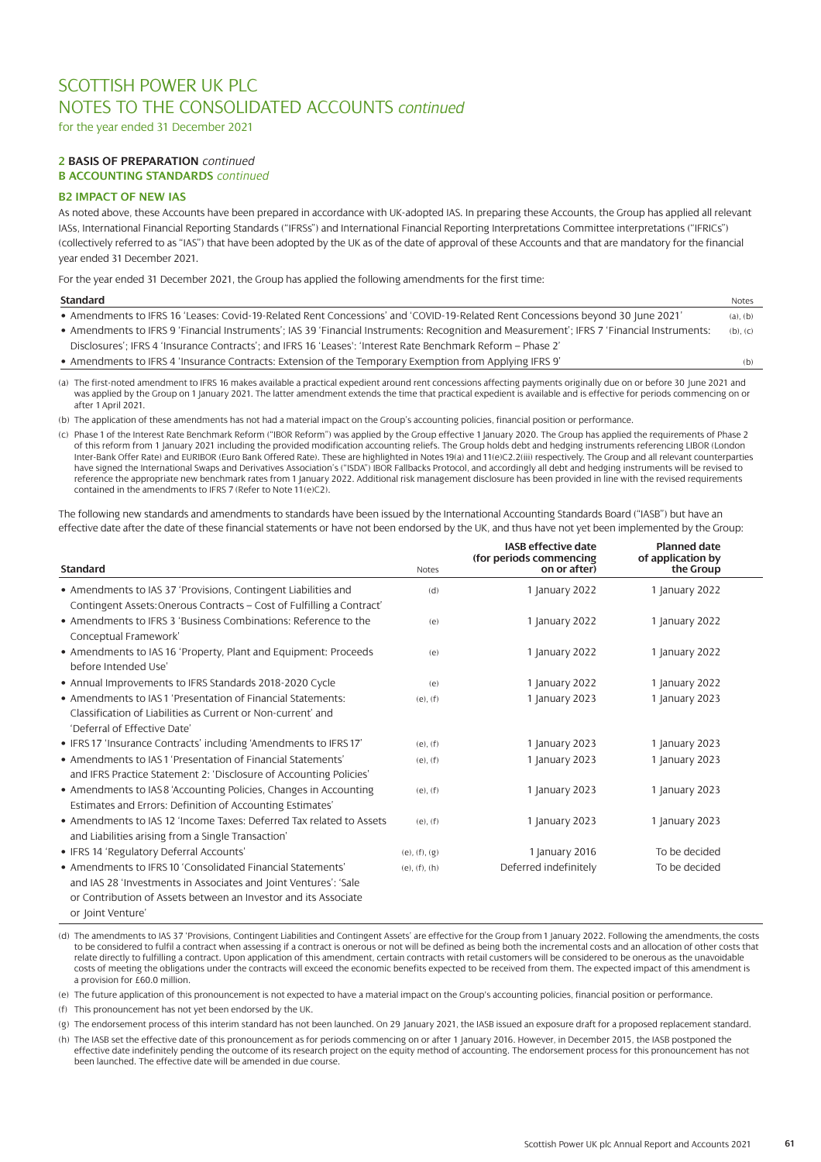for the year ended 31 December 2021

### **2 BASIS OF PREPARATION** *continued*  **B ACCOUNTING STANDARDS** *continued*

### **B2 IMPACT OF NEW IAS**

As noted above, these Accounts have been prepared in accordance with UK-adopted IAS. In preparing these Accounts, the Group has applied all relevant IASs, International Financial Reporting Standards ("IFRSs") and International Financial Reporting Interpretations Committee interpretations ("IFRICs") (collectively referred to as "IAS") that have been adopted by the UK as of the date of approval of these Accounts and that are mandatory for the financial year ended 31 December 2021.

For the year ended 31 December 2021, the Group has applied the following amendments for the first time:

| <b>Standard</b>                                                                                                                             | Notes         |
|---------------------------------------------------------------------------------------------------------------------------------------------|---------------|
| • Amendments to IFRS 16 'Leases: Covid-19-Related Rent Concessions' and 'COVID-19-Related Rent Concessions beyond 30 June 2021'             | $(a)$ . $(b)$ |
| • Amendments to IFRS 9 'Financial Instruments'; IAS 39 'Financial Instruments: Recognition and Measurement'; IFRS 7 'Financial Instruments: | $(b)$ , $(c)$ |
| Disclosures'; IFRS 4 'Insurance Contracts'; and IFRS 16 'Leases': 'Interest Rate Benchmark Reform - Phase 2'                                |               |
| • Amendments to IFRS 4 'Insurance Contracts: Extension of the Temporary Exemption from Applying IFRS 9'                                     | (b)           |

(a) The first-noted amendment to IFRS 16 makes available a practical expedient around rent concessions affecting payments originally due on or before 30 June 2021 and was applied by the Group on 1January 2021. The latter amendment extends the time that practical expedient is available and is effective for periods commencing on or after 1 April 2021.

(b) The application of these amendments has not had a material impact on the Group's accounting policies, financial position or performance.

(c) Phase 1 of the Interest Rate Benchmark Reform ("IBOR Reform") was applied by the Group effective 1 January 2020. The Group has applied the requirements of Phase 2 of this reform from 1 January 2021 including the provided modification accounting reliefs. The Group holds debt and hedging instruments referencing LIBOR (London Inter-Bank Offer Rate) and EURIBOR (Euro Bank Offered Rate). These are highlighted in Notes 19(a) and 11(e)C2.2(iii) respectively. The Group and all relevant counterparties have signed the International Swaps and Derivatives Association's ("ISDA") IBOR Fallbacks Protocol, and accordingly all debt and hedging instruments will be revised to reference the appropriate new benchmark rates from 1 January 2022. Additional risk management disclosure has been provided in line with the revised requirements contained in the amendments to IFRS 7 (Refer to Note 11(e)C2).

The following new standards and amendments to standards have been issued by the International Accounting Standards Board ("IASB") but have an effective date after the date of these financial statements or have not been endorsed by the UK, and thus have not yet been implemented by the Group:

| <b>Standard</b>                                                                                                                                                                                                         | <b>Notes</b>          | <b>IASB effective date</b><br>(for periods commencing<br>on or after) | <b>Planned date</b><br>of application by<br>the Group |  |
|-------------------------------------------------------------------------------------------------------------------------------------------------------------------------------------------------------------------------|-----------------------|-----------------------------------------------------------------------|-------------------------------------------------------|--|
| • Amendments to IAS 37 'Provisions, Contingent Liabilities and<br>Contingent Assets: Onerous Contracts - Cost of Fulfilling a Contract'                                                                                 | (d)                   | 1 January 2022                                                        | 1 January 2022                                        |  |
| • Amendments to IFRS 3 'Business Combinations: Reference to the<br>Conceptual Framework'                                                                                                                                | (e)                   | 1 January 2022                                                        | 1 January 2022                                        |  |
| • Amendments to IAS 16 'Property, Plant and Equipment: Proceeds<br>before Intended Use'                                                                                                                                 | (e)                   | 1 January 2022                                                        | 1 January 2022                                        |  |
| • Annual Improvements to IFRS Standards 2018-2020 Cycle                                                                                                                                                                 | (e)                   | 1 January 2022                                                        | 1 January 2022                                        |  |
| • Amendments to IAS1 'Presentation of Financial Statements:<br>Classification of Liabilities as Current or Non-current' and<br>'Deferral of Effective Date'                                                             | $(e)$ , $(f)$         | 1 January 2023                                                        | 1 January 2023                                        |  |
| • IFRS 17 'Insurance Contracts' including 'Amendments to IFRS 17'                                                                                                                                                       | $(e)$ , $(f)$         | 1 January 2023                                                        | 1 January 2023                                        |  |
| • Amendments to IAS1 'Presentation of Financial Statements'<br>and IFRS Practice Statement 2: 'Disclosure of Accounting Policies'                                                                                       | $(e)$ , $(f)$         | 1 January 2023                                                        | 1 January 2023                                        |  |
| • Amendments to IAS8 'Accounting Policies, Changes in Accounting<br>Estimates and Errors: Definition of Accounting Estimates'                                                                                           | $(e)$ , $(f)$         | 1 January 2023                                                        | 1 January 2023                                        |  |
| • Amendments to IAS 12 'Income Taxes: Deferred Tax related to Assets<br>and Liabilities arising from a Single Transaction'                                                                                              | $(e)$ , $(f)$         | 1 January 2023                                                        | 1 January 2023                                        |  |
| • IFRS 14 'Regulatory Deferral Accounts'                                                                                                                                                                                | $(e)$ , $(f)$ , $(g)$ | 1 January 2016                                                        | To be decided                                         |  |
| • Amendments to IFRS 10 'Consolidated Financial Statements'<br>and IAS 28 'Investments in Associates and Joint Ventures': 'Sale<br>or Contribution of Assets between an Investor and its Associate<br>or Joint Venture' | $(e)$ , $(f)$ , $(h)$ | Deferred indefinitely                                                 | To be decided                                         |  |

(d) The amendments to IAS 37 'Provisions, Contingent Liabilities and Contingent Assets' are effective for the Group from 1 January 2022. Following the amendments, the costs to be considered to fulfil a contract when assessing if a contract is onerous or not will be defined as being both the incremental costs and an allocation of other costs that relate directly to fulfilling a contract. Upon application of this amendment, certain contracts with retail customers will be considered to be onerous as the unavoidable costs of meeting the obligations under the contracts will exceed the economic benefits expected to be received from them. The expected impact of this amendment is a provision for £60.0 million.

(e) The future application of this pronouncement is not expected to have a material impact on the Group's accounting policies, financial position or performance.

(f) This pronouncement has not yet been endorsed by the UK.

(g) The endorsement process of this interim standard has not been launched. On 29 January 2021, the IASB issued an exposure draft for a proposed replacement standard.

(h) The IASB set the effective date of this pronouncement as for periods commencing on or after 1 January 2016. However, in December 2015, the IASB postponed the effective date indefinitely pending the outcome of its research project on the equity method of accounting. The endorsement process for this pronouncement has not been launched. The effective date will be amended in due course.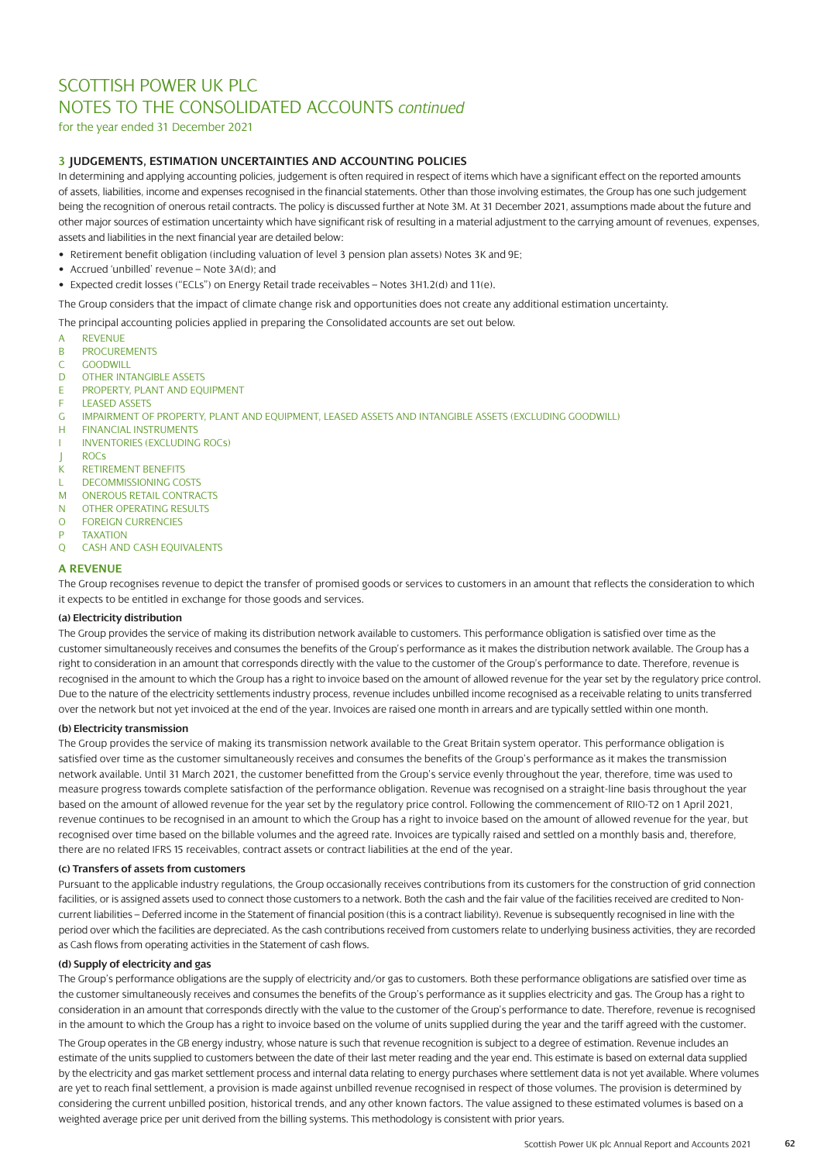for the year ended 31 December 2021

### **3 JUDGEMENTS, ESTIMATION UNCERTAINTIES AND ACCOUNTING POLICIES**

In determining and applying accounting policies, judgement is often required in respect of items which have a significant effect on the reported amounts of assets, liabilities, income and expenses recognised in the financial statements. Other than those involving estimates, the Group has one such judgement being the recognition of onerous retail contracts. The policy is discussed further at Note 3M. At 31 December 2021, assumptions made about the future and other major sources of estimation uncertainty which have significant risk of resulting in a material adjustment to the carrying amount of revenues, expenses, assets and liabilities in the next financial year are detailed below:

- Retirement benefit obligation (including valuation of level 3 pension plan assets) Notes 3K and 9E;
- Accrued 'unbilled' revenue Note 3A(d); and
- Expected credit losses ("ECLs") on Energy Retail trade receivables Notes 3H1.2(d) and 11(e).

The Group considers that the impact of climate change risk and opportunities does not create any additional estimation uncertainty.

The principal accounting policies applied in preparing the Consolidated accounts are set out below.

- A REVENUE
- B PROCUREMENTS
- C GOODWILL
- D OTHER INTANGIBLE ASSETS
- E PROPERTY, PLANT AND EQUIPMENT
- F LEASED ASSETS
- G IMPAIRMENT OF PROPERTY, PLANT AND EQUIPMENT, LEASED ASSETS AND INTANGIBLE ASSETS (EXCLUDING GOODWILL)<br>H FINANCIAL INSTRUMENTS
- **FINANCIAL INSTRUMENTS**
- I INVENTORIES (EXCLUDING ROCs)
- J ROCs
- K RETIREMENT BENEFITS
- L DECOMMISSIONING COSTS
- M ONEROUS RETAIL CONTRACTS
- N OTHER OPERATING RESULTS
- O FOREIGN CURRENCIES
- **TAXATION**
- Q CASH AND CASH EQUIVALENTS

#### **A REVENUE**

The Group recognises revenue to depict the transfer of promised goods or services to customers in an amount that reflects the consideration to which it expects to be entitled in exchange for those goods and services.

### **(a) Electricity distribution**

The Group provides the service of making its distribution network available to customers. This performance obligation is satisfied over time as the customer simultaneously receives and consumes the benefits of the Group's performance as it makes the distribution network available. The Group has a right to consideration in an amount that corresponds directly with the value to the customer of the Group's performance to date. Therefore, revenue is recognised in the amount to which the Group has a right to invoice based on the amount of allowed revenue for the year set by the regulatory price control. Due to the nature of the electricity settlements industry process, revenue includes unbilled income recognised as a receivable relating to units transferred over the network but not yet invoiced at the end of the year. Invoices are raised one month in arrears and are typically settled within one month.

### **(b) Electricity transmission**

The Group provides the service of making its transmission network available to the Great Britain system operator. This performance obligation is satisfied over time as the customer simultaneously receives and consumes the benefits of the Group's performance as it makes the transmission network available. Until 31 March 2021, the customer benefitted from the Group's service evenly throughout the year, therefore, time was used to measure progress towards complete satisfaction of the performance obligation. Revenue was recognised on a straight-line basis throughout the year based on the amount of allowed revenue for the year set by the regulatory price control. Following the commencement of RIIO-T2 on 1 April 2021, revenue continues to be recognised in an amount to which the Group has a right to invoice based on the amount of allowed revenue for the year, but recognised over time based on the billable volumes and the agreed rate. Invoices are typically raised and settled on a monthly basis and, therefore, there are no related IFRS 15 receivables, contract assets or contract liabilities at the end of the year.

### **(c) Transfers of assets from customers**

Pursuant to the applicable industry regulations, the Group occasionally receives contributions from its customers for the construction of grid connection facilities, or is assigned assets used to connect those customers to a network. Both the cash and the fair value of the facilities received are credited to Noncurrent liabilities – Deferred income in the Statement of financial position (this is a contract liability). Revenue is subsequently recognised in line with the period over which the facilities are depreciated. As the cash contributions received from customers relate to underlying business activities, they are recorded as Cash flows from operating activities in the Statement of cash flows.

### **(d) Supply of electricity and gas**

The Group's performance obligations are the supply of electricity and/or gas to customers. Both these performance obligations are satisfied over time as the customer simultaneously receives and consumes the benefits of the Group's performance as it supplies electricity and gas. The Group has a right to consideration in an amount that corresponds directly with the value to the customer of the Group's performance to date. Therefore, revenue is recognised in the amount to which the Group has a right to invoice based on the volume of units supplied during the year and the tariff agreed with the customer. The Group operates in the GB energy industry, whose nature is such that revenue recognition is subject to a degree of estimation. Revenue includes an estimate of the units supplied to customers between the date of their last meter reading and the year end. This estimate is based on external data supplied by the electricity and gas market settlement process and internal data relating to energy purchases where settlement data is not yet available. Where volumes are yet to reach final settlement, a provision is made against unbilled revenue recognised in respect of those volumes. The provision is determined by considering the current unbilled position, historical trends, and any other known factors. The value assigned to these estimated volumes is based on a weighted average price per unit derived from the billing systems. This methodology is consistent with prior years.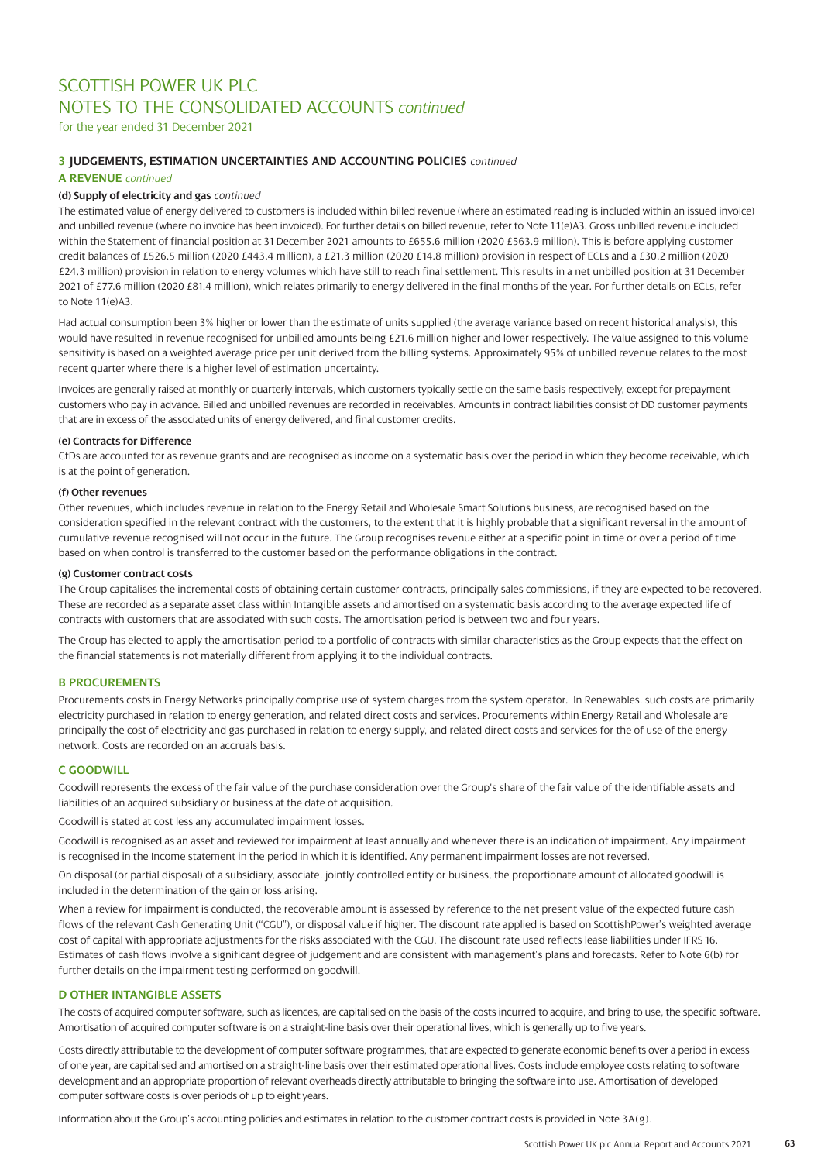for the year ended 31 December 2021

### **3 JUDGEMENTS, ESTIMATION UNCERTAINTIES AND ACCOUNTING POLICIES** *continued*

### **A REVENUE** *continued*

### **(d) Supply of electricity and gas** *continued*

The estimated value of energy delivered to customers is included within billed revenue (where an estimated reading is included within an issued invoice) and unbilled revenue (where no invoice has been invoiced). For further details on billed revenue, refer to Note 11(e)A3. Gross unbilled revenue included within the Statement of financial position at 31 December 2021 amounts to £655.6 million (2020 £563.9 million). This is before applying customer credit balances of £526.5 million (2020 £443.4 million), a £21.3 million (2020 £14.8 million) provision in respect of ECLs and a £30.2 million (2020 £24.3 million) provision in relation to energy volumes which have still to reach final settlement. This results in a net unbilled position at 31 December 2021 of £77.6 million (2020 £81.4 million), which relates primarily to energy delivered in the final months of the year. For further details on ECLs, refer to Note 11(e)A3.

Had actual consumption been 3% higher or lower than the estimate of units supplied (the average variance based on recent historical analysis), this would have resulted in revenue recognised for unbilled amounts being £21.6 million higher and lower respectively. The value assigned to this volume sensitivity is based on a weighted average price per unit derived from the billing systems. Approximately 95% of unbilled revenue relates to the most recent quarter where there is a higher level of estimation uncertainty.

Invoices are generally raised at monthly or quarterly intervals, which customers typically settle on the same basis respectively, except for prepayment customers who pay in advance. Billed and unbilled revenues are recorded in receivables. Amounts in contract liabilities consist of DD customer payments that are in excess of the associated units of energy delivered, and final customer credits.

### **(e) Contracts for Difference**

CfDs are accounted for as revenue grants and are recognised as income on a systematic basis over the period in which they become receivable, which is at the point of generation.

### **(f) Other revenues**

Other revenues, which includes revenue in relation to the Energy Retail and Wholesale Smart Solutions business, are recognised based on the consideration specified in the relevant contract with the customers, to the extent that it is highly probable that a significant reversal in the amount of cumulative revenue recognised will not occur in the future. The Group recognises revenue either at a specific point in time or over a period of time based on when control is transferred to the customer based on the performance obligations in the contract.

#### **(g) Customer contract costs**

The Group capitalises the incremental costs of obtaining certain customer contracts, principally sales commissions, if they are expected to be recovered. These are recorded as a separate asset class within Intangible assets and amortised on a systematic basis according to the average expected life of contracts with customers that are associated with such costs. The amortisation period is between two and four years.

The Group has elected to apply the amortisation period to a portfolio of contracts with similar characteristics as the Group expects that the effect on the financial statements is not materially different from applying it to the individual contracts.

### **B PROCUREMENTS**

Procurements costs in Energy Networks principally comprise use of system charges from the system operator. In Renewables, such costs are primarily electricity purchased in relation to energy generation, and related direct costs and services. Procurements within Energy Retail and Wholesale are principally the cost of electricity and gas purchased in relation to energy supply, and related direct costs and services for the of use of the energy network. Costs are recorded on an accruals basis.

### **C GOODWILL**

Goodwill represents the excess of the fair value of the purchase consideration over the Group's share of the fair value of the identifiable assets and liabilities of an acquired subsidiary or business at the date of acquisition.

Goodwill is stated at cost less any accumulated impairment losses.

Goodwill is recognised as an asset and reviewed for impairment at least annually and whenever there is an indication of impairment. Any impairment is recognised in the Income statement in the period in which it is identified. Any permanent impairment losses are not reversed.

On disposal (or partial disposal) of a subsidiary, associate, jointly controlled entity or business, the proportionate amount of allocated goodwill is included in the determination of the gain or loss arising.

When a review for impairment is conducted, the recoverable amount is assessed by reference to the net present value of the expected future cash flows of the relevant Cash Generating Unit ("CGU"), or disposal value if higher. The discount rate applied is based on ScottishPower's weighted average cost of capital with appropriate adjustments for the risks associated with the CGU. The discount rate used reflects lease liabilities under IFRS 16. Estimates of cash flows involve a significant degree of judgement and are consistent with management's plans and forecasts. Refer to Note 6(b) for further details on the impairment testing performed on goodwill.

### **D OTHER INTANGIBLE ASSETS**

The costs of acquired computer software, such as licences, are capitalised on the basis of the costs incurred to acquire, and bring to use, the specific software. Amortisation of acquired computer software is on a straight-line basis over their operational lives, which is generally up to five years.

Costs directly attributable to the development of computer software programmes, that are expected to generate economic benefits over a period in excess of one year, are capitalised and amortised on a straight-line basis over their estimated operational lives. Costs include employee costs relating to software development and an appropriate proportion of relevant overheads directly attributable to bringing the software into use. Amortisation of developed computer software costs is over periods of up to eight years.

Information about the Group's accounting policies and estimates in relation to the customer contract costs is provided in Note 3A(g).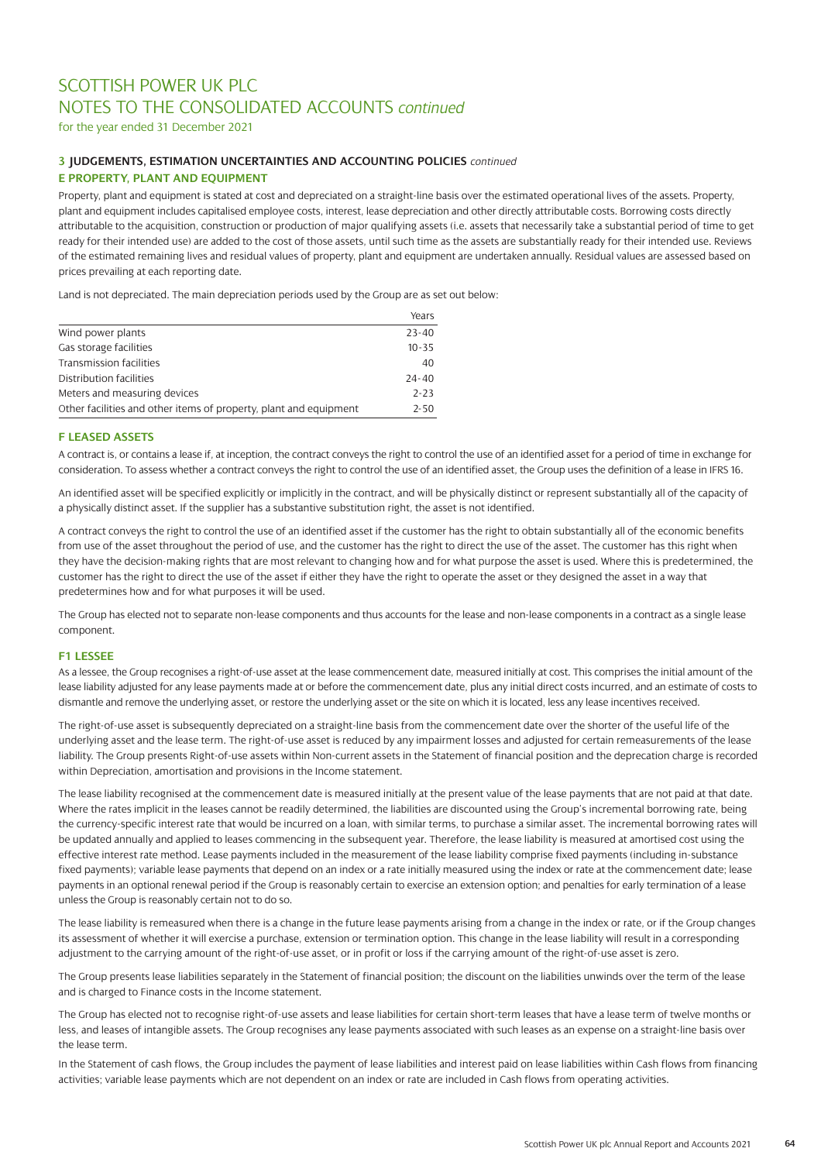for the year ended 31 December 2021

### **3 JUDGEMENTS, ESTIMATION UNCERTAINTIES AND ACCOUNTING POLICIES** *continued* **E PROPERTY, PLANT AND EQUIPMENT**

Property, plant and equipment is stated at cost and depreciated on a straight-line basis over the estimated operational lives of the assets. Property, plant and equipment includes capitalised employee costs, interest, lease depreciation and other directly attributable costs. Borrowing costs directly attributable to the acquisition, construction or production of major qualifying assets (i.e. assets that necessarily take a substantial period of time to get ready for their intended use) are added to the cost of those assets, until such time as the assets are substantially ready for their intended use. Reviews of the estimated remaining lives and residual values of property, plant and equipment are undertaken annually. Residual values are assessed based on prices prevailing at each reporting date.

Land is not depreciated. The main depreciation periods used by the Group are as set out below:

|                                                                   | Years     |
|-------------------------------------------------------------------|-----------|
| Wind power plants                                                 | $23 - 40$ |
| Gas storage facilities                                            | $10 - 35$ |
| Transmission facilities                                           | 40        |
| Distribution facilities                                           | $24 - 40$ |
| Meters and measuring devices                                      | $2 - 23$  |
| Other facilities and other items of property, plant and equipment | $2 - 50$  |

### **F LEASED ASSETS**

A contract is, or contains a lease if, at inception, the contract conveys the right to control the use of an identified asset for a period of time in exchange for consideration. To assess whether a contract conveys the right to control the use of an identified asset, the Group uses the definition of a lease in IFRS 16.

An identified asset will be specified explicitly or implicitly in the contract, and will be physically distinct or represent substantially all of the capacity of a physically distinct asset. If the supplier has a substantive substitution right, the asset is not identified.

A contract conveys the right to control the use of an identified asset if the customer has the right to obtain substantially all of the economic benefits from use of the asset throughout the period of use, and the customer has the right to direct the use of the asset. The customer has this right when they have the decision-making rights that are most relevant to changing how and for what purpose the asset is used. Where this is predetermined, the customer has the right to direct the use of the asset if either they have the right to operate the asset or they designed the asset in a way that predetermines how and for what purposes it will be used.

The Group has elected not to separate non-lease components and thus accounts for the lease and non-lease components in a contract as a single lease component.

### **F1 LESSEE**

As a lessee, the Group recognises a right-of-use asset at the lease commencement date, measured initially at cost. This comprises the initial amount of the lease liability adjusted for any lease payments made at or before the commencement date, plus any initial direct costs incurred, and an estimate of costs to dismantle and remove the underlying asset, or restore the underlying asset or the site on which it is located, less any lease incentives received.

The right-of-use asset is subsequently depreciated on a straight-line basis from the commencement date over the shorter of the useful life of the underlying asset and the lease term. The right-of-use asset is reduced by any impairment losses and adjusted for certain remeasurements of the lease liability. The Group presents Right-of-use assets within Non-current assets in the Statement of financial position and the deprecation charge is recorded within Depreciation, amortisation and provisions in the Income statement.

The lease liability recognised at the commencement date is measured initially at the present value of the lease payments that are not paid at that date. Where the rates implicit in the leases cannot be readily determined, the liabilities are discounted using the Group's incremental borrowing rate, being the currency-specific interest rate that would be incurred on a loan, with similar terms, to purchase a similar asset. The incremental borrowing rates will be updated annually and applied to leases commencing in the subsequent year. Therefore, the lease liability is measured at amortised cost using the effective interest rate method. Lease payments included in the measurement of the lease liability comprise fixed payments (including in-substance fixed payments); variable lease payments that depend on an index or a rate initially measured using the index or rate at the commencement date; lease payments in an optional renewal period if the Group is reasonably certain to exercise an extension option; and penalties for early termination of a lease unless the Group is reasonably certain not to do so.

The lease liability is remeasured when there is a change in the future lease payments arising from a change in the index or rate, or if the Group changes its assessment of whether it will exercise a purchase, extension or termination option. This change in the lease liability will result in a corresponding adjustment to the carrying amount of the right-of-use asset, or in profit or loss if the carrying amount of the right-of-use asset is zero.

The Group presents lease liabilities separately in the Statement of financial position; the discount on the liabilities unwinds over the term of the lease and is charged to Finance costs in the Income statement.

The Group has elected not to recognise right-of-use assets and lease liabilities for certain short-term leases that have a lease term of twelve months or less, and leases of intangible assets. The Group recognises any lease payments associated with such leases as an expense on a straight-line basis over the lease term.

In the Statement of cash flows, the Group includes the payment of lease liabilities and interest paid on lease liabilities within Cash flows from financing activities; variable lease payments which are not dependent on an index or rate are included in Cash flows from operating activities.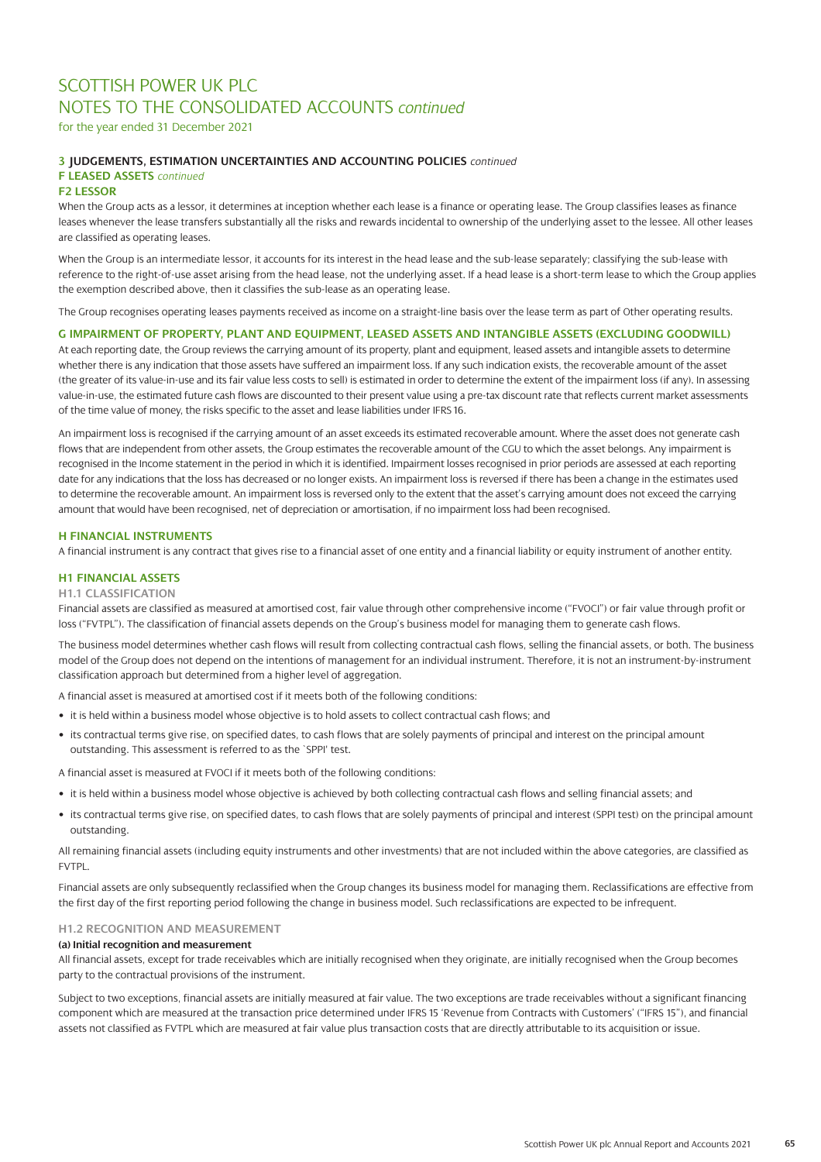for the year ended 31 December 2021

### **3 JUDGEMENTS, ESTIMATION UNCERTAINTIES AND ACCOUNTING POLICIES** *continued*

## **F LEASED ASSETS** *continued*

### **F2 LESSOR**

When the Group acts as a lessor, it determines at inception whether each lease is a finance or operating lease. The Group classifies leases as finance leases whenever the lease transfers substantially all the risks and rewards incidental to ownership of the underlying asset to the lessee. All other leases are classified as operating leases.

When the Group is an intermediate lessor, it accounts for its interest in the head lease and the sub-lease separately; classifying the sub-lease with reference to the right-of-use asset arising from the head lease, not the underlying asset. If a head lease is a short-term lease to which the Group applies the exemption described above, then it classifies the sub-lease as an operating lease.

The Group recognises operating leases payments received as income on a straight-line basis over the lease term as part of Other operating results.

### **G IMPAIRMENT OF PROPERTY, PLANT AND EQUIPMENT, LEASED ASSETS AND INTANGIBLE ASSETS (EXCLUDING GOODWILL)**

At each reporting date, the Group reviews the carrying amount of its property, plant and equipment, leased assets and intangible assets to determine whether there is any indication that those assets have suffered an impairment loss. If any such indication exists, the recoverable amount of the asset (the greater of its value-in-use and its fair value less costs to sell) is estimated in order to determine the extent of the impairment loss (if any). In assessing value-in-use, the estimated future cash flows are discounted to their present value using a pre-tax discount rate that reflects current market assessments of the time value of money, the risks specific to the asset and lease liabilities under IFRS 16.

An impairment loss is recognised if the carrying amount of an asset exceeds its estimated recoverable amount. Where the asset does not generate cash flows that are independent from other assets, the Group estimates the recoverable amount of the CGU to which the asset belongs. Any impairment is recognised in the Income statement in the period in which it is identified. Impairment losses recognised in prior periods are assessed at each reporting date for any indications that the loss has decreased or no longer exists. An impairment loss is reversed if there has been a change in the estimates used to determine the recoverable amount. An impairment loss is reversed only to the extent that the asset's carrying amount does not exceed the carrying amount that would have been recognised, net of depreciation or amortisation, if no impairment loss had been recognised.

### **H FINANCIAL INSTRUMENTS**

A financial instrument is any contract that gives rise to a financial asset of one entity and a financial liability or equity instrument of another entity.

### **H1 FINANCIAL ASSETS**

### **H1.1 CLASSIFICATION**

Financial assets are classified as measured at amortised cost, fair value through other comprehensive income ("FVOCI") or fair value through profit or loss ("FVTPL"). The classification of financial assets depends on the Group's business model for managing them to generate cash flows.

The business model determines whether cash flows will result from collecting contractual cash flows, selling the financial assets, or both. The business model of the Group does not depend on the intentions of management for an individual instrument. Therefore, it is not an instrument-by-instrument classification approach but determined from a higher level of aggregation.

A financial asset is measured at amortised cost if it meets both of the following conditions:

- it is held within a business model whose objective is to hold assets to collect contractual cash flows; and
- its contractual terms give rise, on specified dates, to cash flows that are solely payments of principal and interest on the principal amount outstanding. This assessment is referred to as the `SPPI' test.

A financial asset is measured at FVOCI if it meets both of the following conditions:

- it is held within a business model whose objective is achieved by both collecting contractual cash flows and selling financial assets; and
- its contractual terms give rise, on specified dates, to cash flows that are solely payments of principal and interest (SPPI test) on the principal amount outstanding.

All remaining financial assets (including equity instruments and other investments) that are not included within the above categories, are classified as FVTPL.

Financial assets are only subsequently reclassified when the Group changes its business model for managing them. Reclassifications are effective from the first day of the first reporting period following the change in business model. Such reclassifications are expected to be infrequent.

### **H1.2 RECOGNITION AND MEASUREMENT**

### **(a) Initial recognition and measurement**

All financial assets, except for trade receivables which are initially recognised when they originate, are initially recognised when the Group becomes party to the contractual provisions of the instrument.

Subject to two exceptions, financial assets are initially measured at fair value. The two exceptions are trade receivables without a significant financing component which are measured at the transaction price determined under IFRS 15 'Revenue from Contracts with Customers' ("IFRS 15"), and financial assets not classified as FVTPL which are measured at fair value plus transaction costs that are directly attributable to its acquisition or issue.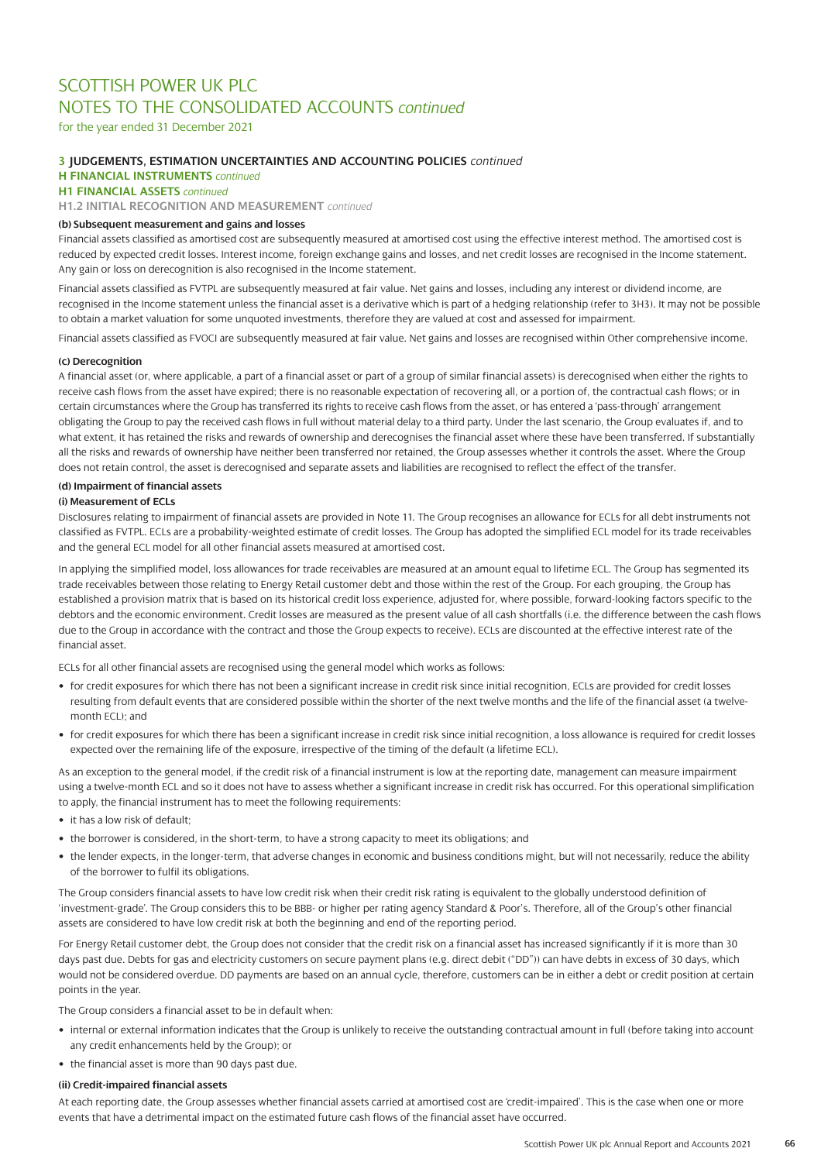for the year ended 31 December 2021

### **3 JUDGEMENTS, ESTIMATION UNCERTAINTIES AND ACCOUNTING POLICIES** *continued*

**H FINANCIAL INSTRUMENTS** *continued* 

**H1 FINANCIAL ASSETS** *continued* 

**H1.2 INITIAL RECOGNITION AND MEASUREMENT** *continued* 

### **(b) Subsequent measurement and gains and losses**

Financial assets classified as amortised cost are subsequently measured at amortised cost using the effective interest method. The amortised cost is reduced by expected credit losses. Interest income, foreign exchange gains and losses, and net credit losses are recognised in the Income statement. Any gain or loss on derecognition is also recognised in the Income statement.

Financial assets classified as FVTPL are subsequently measured at fair value. Net gains and losses, including any interest or dividend income, are recognised in the Income statement unless the financial asset is a derivative which is part of a hedging relationship (refer to 3H3). It may not be possible to obtain a market valuation for some unquoted investments, therefore they are valued at cost and assessed for impairment.

Financial assets classified as FVOCI are subsequently measured at fair value. Net gains and losses are recognised within Other comprehensive income.

### **(c) Derecognition**

A financial asset (or, where applicable, a part of a financial asset or part of a group of similar financial assets) is derecognised when either the rights to receive cash flows from the asset have expired; there is no reasonable expectation of recovering all, or a portion of, the contractual cash flows; or in certain circumstances where the Group has transferred its rights to receive cash flows from the asset, or has entered a 'pass-through' arrangement obligating the Group to pay the received cash flows in full without material delay to a third party. Under the last scenario, the Group evaluates if, and to what extent, it has retained the risks and rewards of ownership and derecognises the financial asset where these have been transferred. If substantially all the risks and rewards of ownership have neither been transferred nor retained, the Group assesses whether it controls the asset. Where the Group does not retain control, the asset is derecognised and separate assets and liabilities are recognised to reflect the effect of the transfer.

### **(d) Impairment of financial assets**

### **(i) Measurement of ECLs**

Disclosures relating to impairment of financial assets are provided in Note 11. The Group recognises an allowance for ECLs for all debt instruments not classified as FVTPL. ECLs are a probability-weighted estimate of credit losses. The Group has adopted the simplified ECL model for its trade receivables and the general ECL model for all other financial assets measured at amortised cost.

In applying the simplified model, loss allowances for trade receivables are measured at an amount equal to lifetime ECL. The Group has segmented its trade receivables between those relating to Energy Retail customer debt and those within the rest of the Group. For each grouping, the Group has established a provision matrix that is based on its historical credit loss experience, adjusted for, where possible, forward-looking factors specific to the debtors and the economic environment. Credit losses are measured as the present value of all cash shortfalls (i.e. the difference between the cash flows due to the Group in accordance with the contract and those the Group expects to receive). ECLs are discounted at the effective interest rate of the financial asset.

ECLs for all other financial assets are recognised using the general model which works as follows:

- for credit exposures for which there has not been a significant increase in credit risk since initial recognition, ECLs are provided for credit losses resulting from default events that are considered possible within the shorter of the next twelve months and the life of the financial asset (a twelvemonth ECL); and
- for credit exposures for which there has been a significant increase in credit risk since initial recognition, a loss allowance is required for credit losses expected over the remaining life of the exposure, irrespective of the timing of the default (a lifetime ECL).

As an exception to the general model, if the credit risk of a financial instrument is low at the reporting date, management can measure impairment using a twelve-month ECL and so it does not have to assess whether a significant increase in credit risk has occurred. For this operational simplification to apply, the financial instrument has to meet the following requirements:

- it has a low risk of default;
- the borrower is considered, in the short-term, to have a strong capacity to meet its obligations; and
- the lender expects, in the longer-term, that adverse changes in economic and business conditions might, but will not necessarily, reduce the ability of the borrower to fulfil its obligations.

The Group considers financial assets to have low credit risk when their credit risk rating is equivalent to the globally understood definition of 'investment-grade'. The Group considers this to be BBB- or higher per rating agency Standard & Poor's. Therefore, all of the Group's other financial assets are considered to have low credit risk at both the beginning and end of the reporting period.

For Energy Retail customer debt, the Group does not consider that the credit risk on a financial asset has increased significantly if it is more than 30 days past due. Debts for gas and electricity customers on secure payment plans (e.g. direct debit ("DD")) can have debts in excess of 30 days, which would not be considered overdue. DD payments are based on an annual cycle, therefore, customers can be in either a debt or credit position at certain points in the year.

The Group considers a financial asset to be in default when:

- internal or external information indicates that the Group is unlikely to receive the outstanding contractual amount in full (before taking into account any credit enhancements held by the Group); or
- the financial asset is more than 90 days past due.

### **(ii) Credit-impaired financial assets**

At each reporting date, the Group assesses whether financial assets carried at amortised cost are 'credit-impaired'. This is the case when one or more events that have a detrimental impact on the estimated future cash flows of the financial asset have occurred.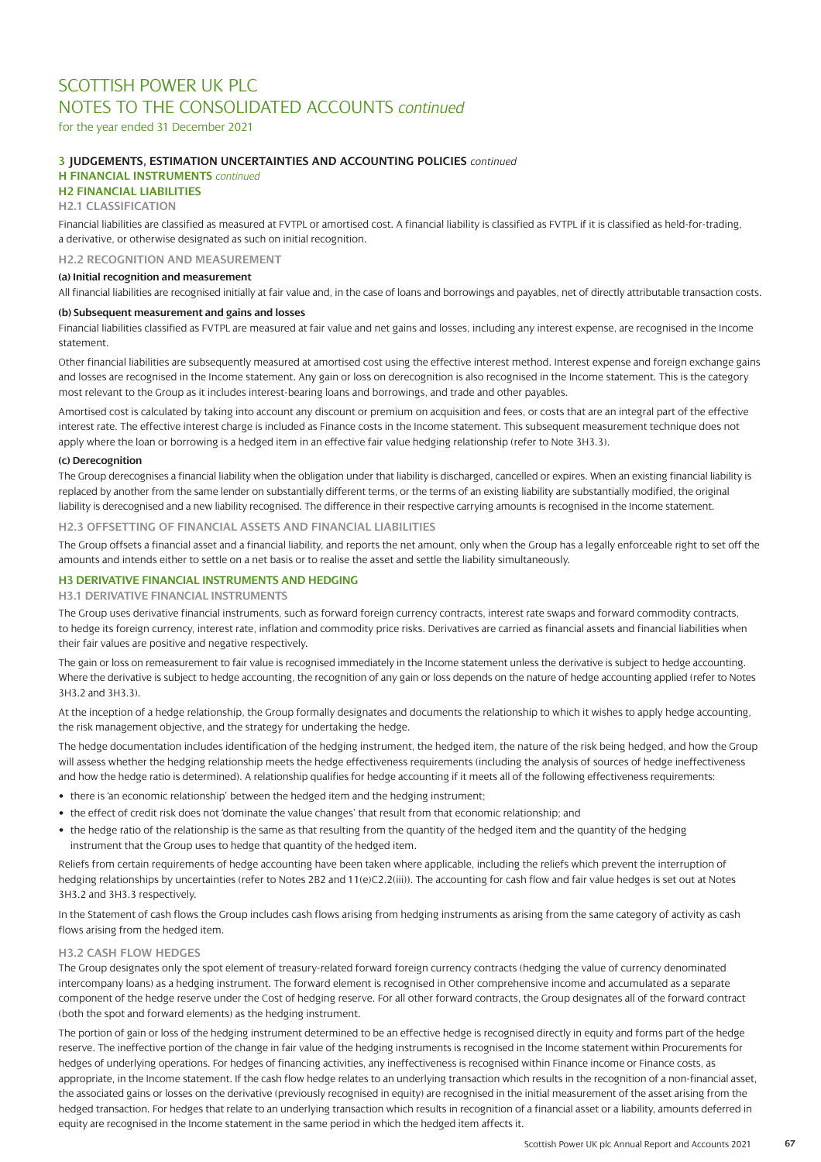for the year ended 31 December 2021

### **3 JUDGEMENTS, ESTIMATION UNCERTAINTIES AND ACCOUNTING POLICIES** *continued*

## **H FINANCIAL INSTRUMENTS** *continued*

## **H2 FINANCIAL LIABILITIES**

### **H2.1 CLASSIFICATION**

Financial liabilities are classified as measured at FVTPL or amortised cost. A financial liability is classified as FVTPL if it is classified as held-for-trading, a derivative, or otherwise designated as such on initial recognition.

**H2.2 RECOGNITION AND MEASUREMENT**

### **(a) Initial recognition and measurement**

All financial liabilities are recognised initially at fair value and, in the case of loans and borrowings and payables, net of directly attributable transaction costs.

### **(b) Subsequent measurement and gains and losses**

Financial liabilities classified as FVTPL are measured at fair value and net gains and losses, including any interest expense, are recognised in the Income statement.

Other financial liabilities are subsequently measured at amortised cost using the effective interest method. Interest expense and foreign exchange gains and losses are recognised in the Income statement. Any gain or loss on derecognition is also recognised in the Income statement. This is the category most relevant to the Group as it includes interest-bearing loans and borrowings, and trade and other payables.

Amortised cost is calculated by taking into account any discount or premium on acquisition and fees, or costs that are an integral part of the effective interest rate. The effective interest charge is included as Finance costs in the Income statement. This subsequent measurement technique does not apply where the loan or borrowing is a hedged item in an effective fair value hedging relationship (refer to Note 3H3.3).

### **(c) Derecognition**

The Group derecognises a financial liability when the obligation under that liability is discharged, cancelled or expires. When an existing financial liability is replaced by another from the same lender on substantially different terms, or the terms of an existing liability are substantially modified, the original liability is derecognised and a new liability recognised. The difference in their respective carrying amounts is recognised in the Income statement.

### **H2.3 OFFSETTING OF FINANCIAL ASSETS AND FINANCIAL LIABILITIES**

The Group offsets a financial asset and a financial liability, and reports the net amount, only when the Group has a legally enforceable right to set off the amounts and intends either to settle on a net basis or to realise the asset and settle the liability simultaneously.

### **H3 DERIVATIVE FINANCIAL INSTRUMENTS AND HEDGING**

**H3.1 DERIVATIVE FINANCIAL INSTRUMENTS**

The Group uses derivative financial instruments, such as forward foreign currency contracts, interest rate swaps and forward commodity contracts, to hedge its foreign currency, interest rate, inflation and commodity price risks. Derivatives are carried as financial assets and financial liabilities when their fair values are positive and negative respectively.

The gain or loss on remeasurement to fair value is recognised immediately in the Income statement unless the derivative is subject to hedge accounting. Where the derivative is subject to hedge accounting, the recognition of any gain or loss depends on the nature of hedge accounting applied (refer to Notes 3H3.2 and 3H3.3).

At the inception of a hedge relationship, the Group formally designates and documents the relationship to which it wishes to apply hedge accounting, the risk management objective, and the strategy for undertaking the hedge.

The hedge documentation includes identification of the hedging instrument, the hedged item, the nature of the risk being hedged, and how the Group will assess whether the hedging relationship meets the hedge effectiveness requirements (including the analysis of sources of hedge ineffectiveness and how the hedge ratio is determined). A relationship qualifies for hedge accounting if it meets all of the following effectiveness requirements:

- there is 'an economic relationship' between the hedged item and the hedging instrument;
- the effect of credit risk does not 'dominate the value changes' that result from that economic relationship; and
- the hedge ratio of the relationship is the same as that resulting from the quantity of the hedged item and the quantity of the hedging instrument that the Group uses to hedge that quantity of the hedged item.

Reliefs from certain requirements of hedge accounting have been taken where applicable, including the reliefs which prevent the interruption of hedging relationships by uncertainties (refer to Notes 2B2 and 11(e)C2.2(iii)). The accounting for cash flow and fair value hedges is set out at Notes 3H3.2 and 3H3.3 respectively.

In the Statement of cash flows the Group includes cash flows arising from hedging instruments as arising from the same category of activity as cash flows arising from the hedged item.

### **H3.2 CASH FLOW HEDGES**

The Group designates only the spot element of treasury-related forward foreign currency contracts (hedging the value of currency denominated intercompany loans) as a hedging instrument. The forward element is recognised in Other comprehensive income and accumulated as a separate component of the hedge reserve under the Cost of hedging reserve. For all other forward contracts, the Group designates all of the forward contract (both the spot and forward elements) as the hedging instrument.

The portion of gain or loss of the hedging instrument determined to be an effective hedge is recognised directly in equity and forms part of the hedge reserve. The ineffective portion of the change in fair value of the hedging instruments is recognised in the Income statement within Procurements for hedges of underlying operations. For hedges of financing activities, any ineffectiveness is recognised within Finance income or Finance costs, as appropriate, in the Income statement. If the cash flow hedge relates to an underlying transaction which results in the recognition of a non-financial asset, the associated gains or losses on the derivative (previously recognised in equity) are recognised in the initial measurement of the asset arising from the hedged transaction. For hedges that relate to an underlying transaction which results in recognition of a financial asset or a liability, amounts deferred in equity are recognised in the Income statement in the same period in which the hedged item affects it.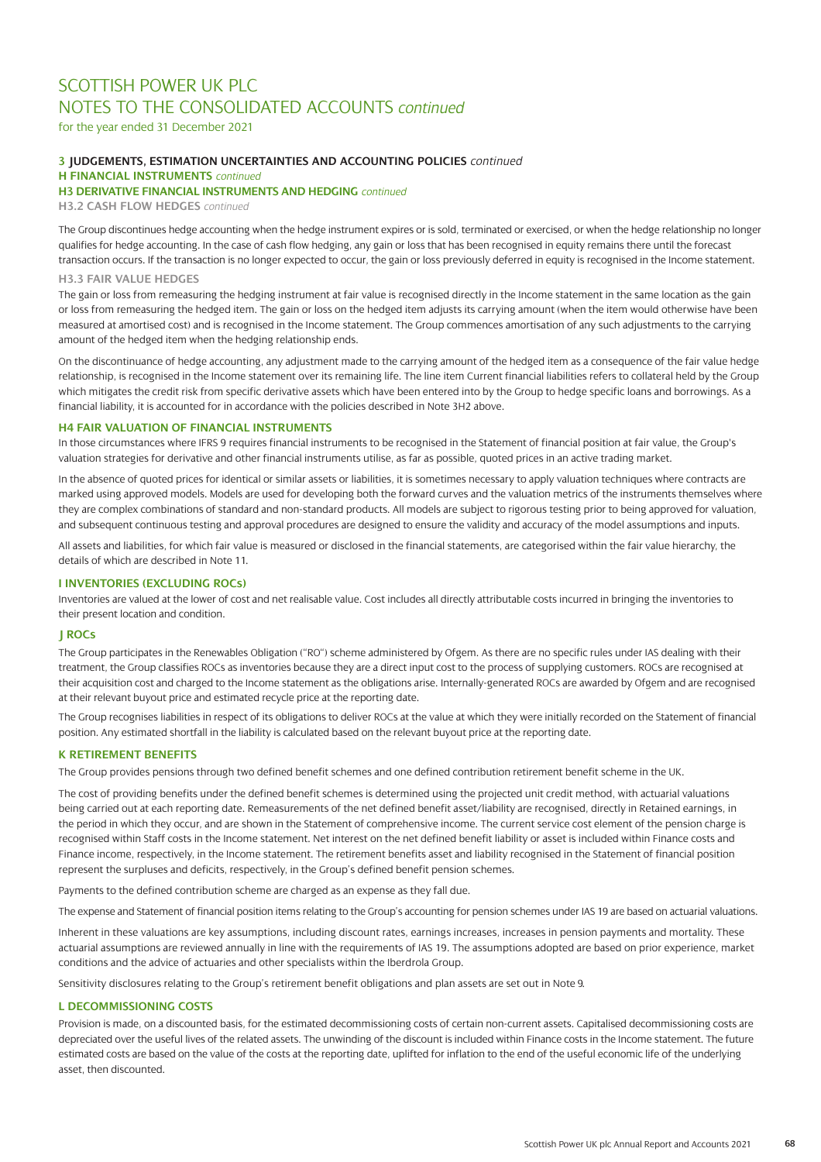for the year ended 31 December 2021

### **3 JUDGEMENTS, ESTIMATION UNCERTAINTIES AND ACCOUNTING POLICIES** *continued*

**H FINANCIAL INSTRUMENTS** *continued*

### **H3 DERIVATIVE FINANCIAL INSTRUMENTS AND HEDGING** *continued*

**H3.2 CASH FLOW HEDGES** *continued*

The Group discontinues hedge accounting when the hedge instrument expires or is sold, terminated or exercised, or when the hedge relationship no longer qualifies for hedge accounting. In the case of cash flow hedging, any gain or loss that has been recognised in equity remains there until the forecast transaction occurs. If the transaction is no longer expected to occur, the gain or loss previously deferred in equity is recognised in the Income statement.

### **H3.3 FAIR VALUE HEDGES**

The gain or loss from remeasuring the hedging instrument at fair value is recognised directly in the Income statement in the same location as the gain or loss from remeasuring the hedged item. The gain or loss on the hedged item adjusts its carrying amount (when the item would otherwise have been measured at amortised cost) and is recognised in the Income statement. The Group commences amortisation of any such adjustments to the carrying amount of the hedged item when the hedging relationship ends.

On the discontinuance of hedge accounting, any adjustment made to the carrying amount of the hedged item as a consequence of the fair value hedge relationship, is recognised in the Income statement over its remaining life. The line item Current financial liabilities refers to collateral held by the Group which mitigates the credit risk from specific derivative assets which have been entered into by the Group to hedge specific loans and borrowings. As a financial liability, it is accounted for in accordance with the policies described in Note 3H2 above.

### **H4 FAIR VALUATION OF FINANCIAL INSTRUMENTS**

In those circumstances where IFRS 9 requires financial instruments to be recognised in the Statement of financial position at fair value, the Group's valuation strategies for derivative and other financial instruments utilise, as far as possible, quoted prices in an active trading market.

In the absence of quoted prices for identical or similar assets or liabilities, it is sometimes necessary to apply valuation techniques where contracts are marked using approved models. Models are used for developing both the forward curves and the valuation metrics of the instruments themselves where they are complex combinations of standard and non-standard products. All models are subject to rigorous testing prior to being approved for valuation, and subsequent continuous testing and approval procedures are designed to ensure the validity and accuracy of the model assumptions and inputs.

All assets and liabilities, for which fair value is measured or disclosed in the financial statements, are categorised within the fair value hierarchy, the details of which are described in Note 11.

### **I INVENTORIES (EXCLUDING ROCs)**

Inventories are valued at the lower of cost and net realisable value. Cost includes all directly attributable costs incurred in bringing the inventories to their present location and condition.

### **J ROCs**

The Group participates in the Renewables Obligation ("RO") scheme administered by Ofgem. As there are no specific rules under IAS dealing with their treatment, the Group classifies ROCs as inventories because they are a direct input cost to the process of supplying customers. ROCs are recognised at their acquisition cost and charged to the Income statement as the obligations arise. Internally-generated ROCs are awarded by Ofgem and are recognised at their relevant buyout price and estimated recycle price at the reporting date.

The Group recognises liabilities in respect of its obligations to deliver ROCs at the value at which they were initially recorded on the Statement of financial position. Any estimated shortfall in the liability is calculated based on the relevant buyout price at the reporting date.

### **K RETIREMENT BENEFITS**

The Group provides pensions through two defined benefit schemes and one defined contribution retirement benefit scheme in the UK.

The cost of providing benefits under the defined benefit schemes is determined using the projected unit credit method, with actuarial valuations being carried out at each reporting date. Remeasurements of the net defined benefit asset/liability are recognised, directly in Retained earnings, in the period in which they occur, and are shown in the Statement of comprehensive income. The current service cost element of the pension charge is recognised within Staff costs in the Income statement. Net interest on the net defined benefit liability or asset is included within Finance costs and Finance income, respectively, in the Income statement. The retirement benefits asset and liability recognised in the Statement of financial position represent the surpluses and deficits, respectively, in the Group's defined benefit pension schemes.

Payments to the defined contribution scheme are charged as an expense as they fall due.

The expense and Statement of financial position items relating to the Group's accounting for pension schemes under IAS 19 are based on actuarial valuations.

Inherent in these valuations are key assumptions, including discount rates, earnings increases, increases in pension payments and mortality. These actuarial assumptions are reviewed annually in line with the requirements of IAS 19. The assumptions adopted are based on prior experience, market conditions and the advice of actuaries and other specialists within the Iberdrola Group.

Sensitivity disclosures relating to the Group's retirement benefit obligations and plan assets are set out in Note 9.

### **L DECOMMISSIONING COSTS**

Provision is made, on a discounted basis, for the estimated decommissioning costs of certain non-current assets. Capitalised decommissioning costs are depreciated over the useful lives of the related assets. The unwinding of the discount is included within Finance costs in the Income statement. The future estimated costs are based on the value of the costs at the reporting date, uplifted for inflation to the end of the useful economic life of the underlying asset, then discounted.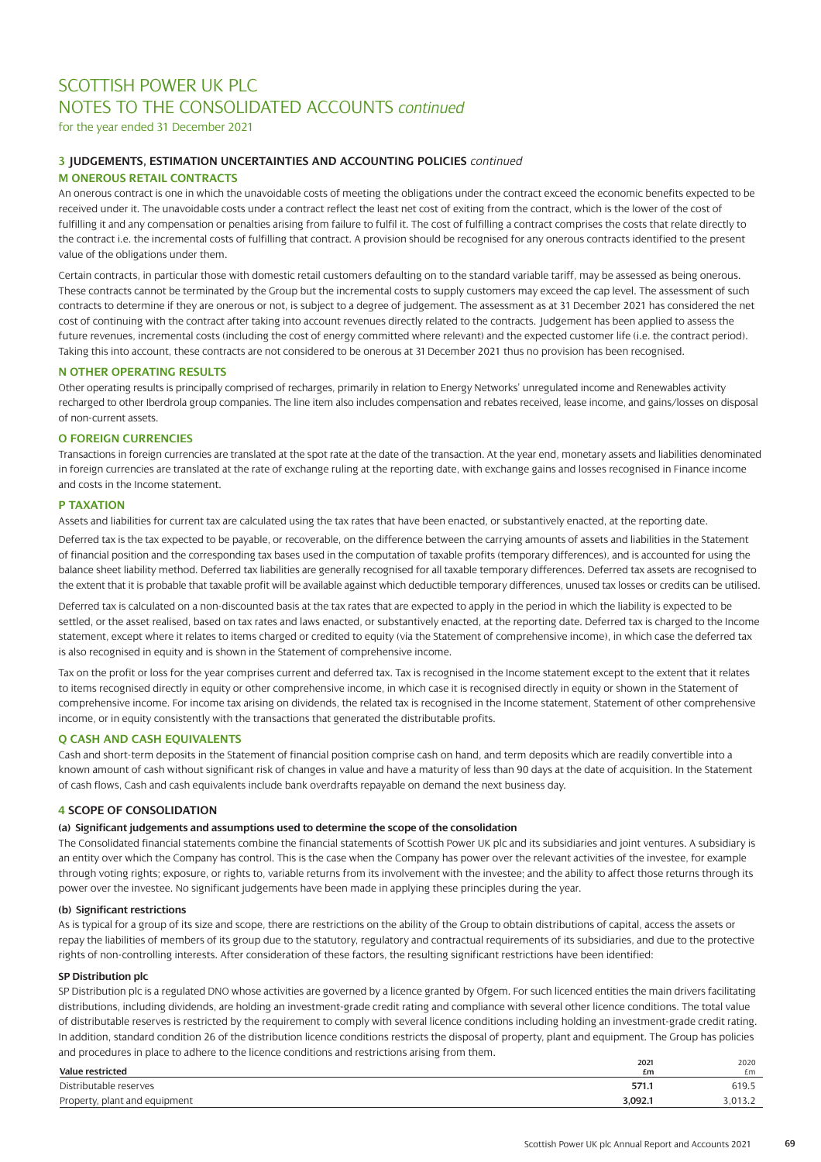for the year ended 31 December 2021

### **3 JUDGEMENTS, ESTIMATION UNCERTAINTIES AND ACCOUNTING POLICIES** *continued*

### **M ONEROUS RETAIL CONTRACTS**

An onerous contract is one in which the unavoidable costs of meeting the obligations under the contract exceed the economic benefits expected to be received under it. The unavoidable costs under a contract reflect the least net cost of exiting from the contract, which is the lower of the cost of fulfilling it and any compensation or penalties arising from failure to fulfil it. The cost of fulfilling a contract comprises the costs that relate directly to the contract i.e. the incremental costs of fulfilling that contract. A provision should be recognised for any onerous contracts identified to the present value of the obligations under them.

Certain contracts, in particular those with domestic retail customers defaulting on to the standard variable tariff, may be assessed as being onerous. These contracts cannot be terminated by the Group but the incremental costs to supply customers may exceed the cap level. The assessment of such contracts to determine if they are onerous or not, is subject to a degree of judgement. The assessment as at 31 December 2021 has considered the net cost of continuing with the contract after taking into account revenues directly related to the contracts. Judgement has been applied to assess the future revenues, incremental costs (including the cost of energy committed where relevant) and the expected customer life (i.e. the contract period). Taking this into account, these contracts are not considered to be onerous at 31 December 2021 thus no provision has been recognised.

### **N OTHER OPERATING RESULTS**

Other operating results is principally comprised of recharges, primarily in relation to Energy Networks' unregulated income and Renewables activity recharged to other Iberdrola group companies. The line item also includes compensation and rebates received, lease income, and gains/losses on disposal of non-current assets.

### **O FOREIGN CURRENCIES**

Transactions in foreign currencies are translated at the spot rate at the date of the transaction. At the year end, monetary assets and liabilities denominated in foreign currencies are translated at the rate of exchange ruling at the reporting date, with exchange gains and losses recognised in Finance income and costs in the Income statement.

### **P TAXATION**

Assets and liabilities for current tax are calculated using the tax rates that have been enacted, or substantively enacted, at the reporting date.

Deferred tax is the tax expected to be payable, or recoverable, on the difference between the carrying amounts of assets and liabilities in the Statement of financial position and the corresponding tax bases used in the computation of taxable profits (temporary differences), and is accounted for using the balance sheet liability method. Deferred tax liabilities are generally recognised for all taxable temporary differences. Deferred tax assets are recognised to the extent that it is probable that taxable profit will be available against which deductible temporary differences, unused tax losses or credits can be utilised.

Deferred tax is calculated on a non-discounted basis at the tax rates that are expected to apply in the period in which the liability is expected to be settled, or the asset realised, based on tax rates and laws enacted, or substantively enacted, at the reporting date. Deferred tax is charged to the Income statement, except where it relates to items charged or credited to equity (via the Statement of comprehensive income), in which case the deferred tax is also recognised in equity and is shown in the Statement of comprehensive income.

Tax on the profit or loss for the year comprises current and deferred tax. Tax is recognised in the Income statement except to the extent that it relates to items recognised directly in equity or other comprehensive income, in which case it is recognised directly in equity or shown in the Statement of comprehensive income. For income tax arising on dividends, the related tax is recognised in the Income statement, Statement of other comprehensive income, or in equity consistently with the transactions that generated the distributable profits.

### **Q CASH AND CASH EQUIVALENTS**

Cash and short-term deposits in the Statement of financial position comprise cash on hand, and term deposits which are readily convertible into a known amount of cash without significant risk of changes in value and have a maturity of less than 90 days at the date of acquisition. In the Statement of cash flows, Cash and cash equivalents include bank overdrafts repayable on demand the next business day.

### **4 SCOPE OF CONSOLIDATION**

### **(a) Significant judgements and assumptions used to determine the scope of the consolidation**

The Consolidated financial statements combine the financial statements of Scottish Power UK plc and its subsidiaries and joint ventures. A subsidiary is an entity over which the Company has control. This is the case when the Company has power over the relevant activities of the investee, for example through voting rights; exposure, or rights to, variable returns from its involvement with the investee; and the ability to affect those returns through its power over the investee. No significant judgements have been made in applying these principles during the year.

### **(b) Significant restrictions**

As is typical for a group of its size and scope, there are restrictions on the ability of the Group to obtain distributions of capital, access the assets or repay the liabilities of members of its group due to the statutory, regulatory and contractual requirements of its subsidiaries, and due to the protective rights of non-controlling interests. After consideration of these factors, the resulting significant restrictions have been identified:

### **SP Distribution plc**

SP Distribution plc is a regulated DNO whose activities are governed by a licence granted by Ofgem. For such licenced entities the main drivers facilitating distributions, including dividends, are holding an investment-grade credit rating and compliance with several other licence conditions. The total value of distributable reserves is restricted by the requirement to comply with several licence conditions including holding an investment-grade credit rating. In addition, standard condition 26 of the distribution licence conditions restricts the disposal of property, plant and equipment. The Group has policies and procedures in place to adhere to the licence conditions and restrictions arising from them.

|                                    | 2021    | 2020    |
|------------------------------------|---------|---------|
| Value restricted                   | £m      | £m      |
| Distributable reserves             | 571.1   | 619.5   |
| , plant and equipment<br>Property, | 3.092.1 | 3,013.2 |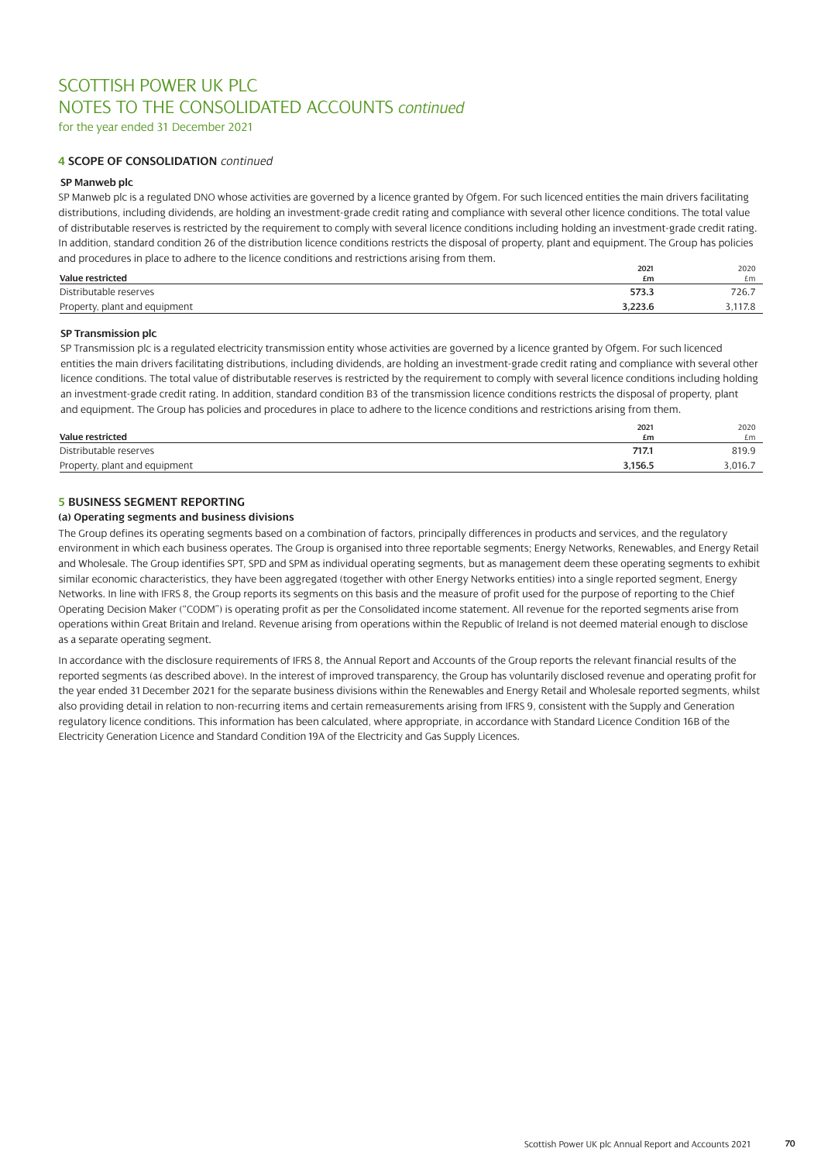for the year ended 31 December 2021

### **4 SCOPE OF CONSOLIDATION** *continued*

### **SP Manweb plc**

SP Manweb plc is a regulated DNO whose activities are governed by a licence granted by Ofgem. For such licenced entities the main drivers facilitating distributions, including dividends, are holding an investment-grade credit rating and compliance with several other licence conditions. The total value of distributable reserves is restricted by the requirement to comply with several licence conditions including holding an investment-grade credit rating. In addition, standard condition 26 of the distribution licence conditions restricts the disposal of property, plant and equipment. The Group has policies and procedures in place to adhere to the licence conditions and restrictions arising from them.

| Value restricted              | 2021<br>£m | 2020<br>£m |
|-------------------------------|------------|------------|
| Distributable reserves        | 573.3      | 726.7      |
| Property, plant and equipment | 3.223.6    | .117.8     |

### **SP Transmission plc**

SP Transmission plc is a regulated electricity transmission entity whose activities are governed by a licence granted by Ofgem. For such licenced entities the main drivers facilitating distributions, including dividends, are holding an investment-grade credit rating and compliance with several other licence conditions. The total value of distributable reserves is restricted by the requirement to comply with several licence conditions including holding an investment-grade credit rating. In addition, standard condition B3 of the transmission licence conditions restricts the disposal of property, plant and equipment. The Group has policies and procedures in place to adhere to the licence conditions and restrictions arising from them.

| Value restricted              | 2021<br>£m | 2020<br>£m |
|-------------------------------|------------|------------|
| Distributable reserves        | 717.1      | 819.9      |
| Property, plant and equipment | 3,156.5    | 3.016.7    |

### **5 BUSINESS SEGMENT REPORTING**

### **(a) Operating segments and business divisions**

The Group defines its operating segments based on a combination of factors, principally differences in products and services, and the regulatory environment in which each business operates. The Group is organised into three reportable segments; Energy Networks, Renewables, and Energy Retail and Wholesale. The Group identifies SPT, SPD and SPM as individual operating segments, but as management deem these operating segments to exhibit similar economic characteristics, they have been aggregated (together with other Energy Networks entities) into a single reported segment, Energy Networks. In line with IFRS 8, the Group reports its segments on this basis and the measure of profit used for the purpose of reporting to the Chief Operating Decision Maker ("CODM") is operating profit as per the Consolidated income statement. All revenue for the reported segments arise from operations within Great Britain and Ireland. Revenue arising from operations within the Republic of Ireland is not deemed material enough to disclose as a separate operating segment.

In accordance with the disclosure requirements of IFRS 8, the Annual Report and Accounts of the Group reports the relevant financial results of the reported segments (as described above). In the interest of improved transparency, the Group has voluntarily disclosed revenue and operating profit for the year ended 31 December 2021 for the separate business divisions within the Renewables and Energy Retail and Wholesale reported segments, whilst also providing detail in relation to non-recurring items and certain remeasurements arising from IFRS 9, consistent with the Supply and Generation regulatory licence conditions. This information has been calculated, where appropriate, in accordance with Standard Licence Condition 16B of the Electricity Generation Licence and Standard Condition 19A of the Electricity and Gas Supply Licences.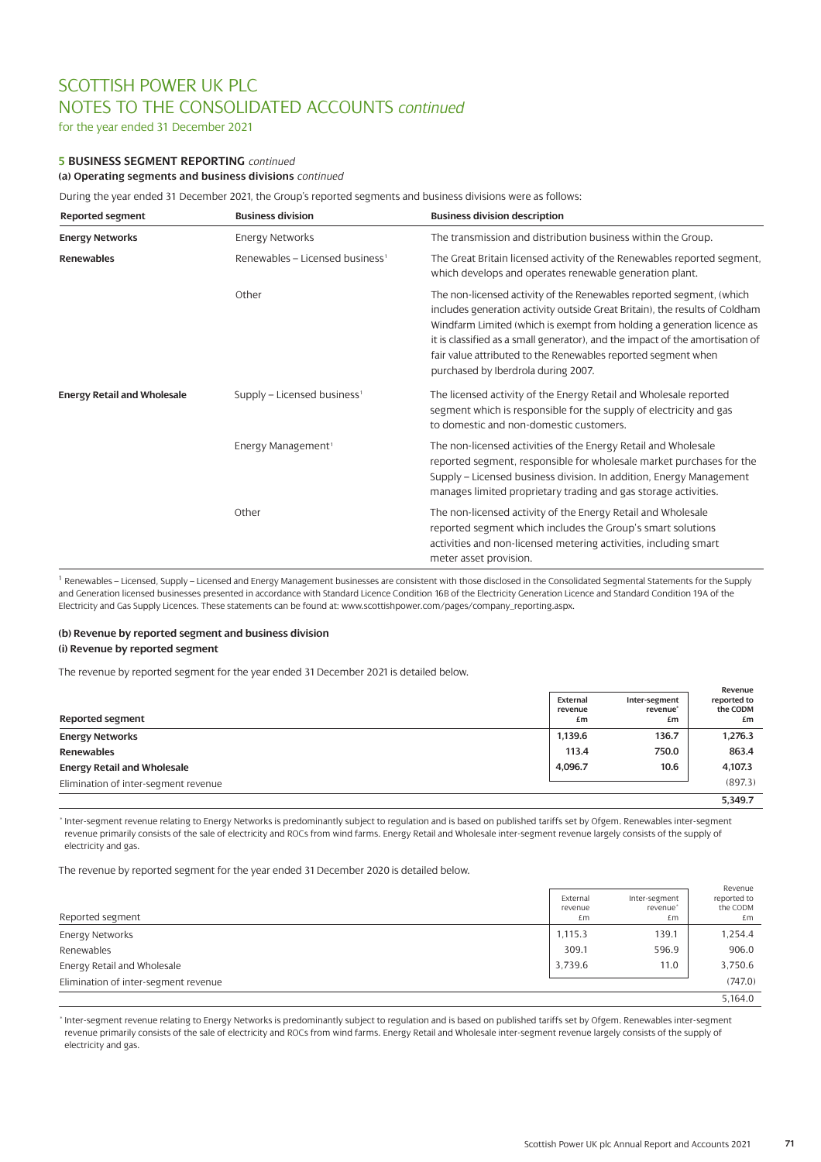for the year ended 31 December 2021

# **5 BUSINESS SEGMENT REPORTING** *continued*

**(a) Operating segments and business divisions** *continued*

During the year ended 31 December 2021, the Group's reported segments and business divisions were as follows:

| <b>Reported segment</b>            |                                                                                                                         | <b>Business division description</b>                                                                                                                                                                                                                                                                                                                                                                                   |
|------------------------------------|-------------------------------------------------------------------------------------------------------------------------|------------------------------------------------------------------------------------------------------------------------------------------------------------------------------------------------------------------------------------------------------------------------------------------------------------------------------------------------------------------------------------------------------------------------|
| <b>Energy Networks</b>             | <b>Energy Networks</b>                                                                                                  | The transmission and distribution business within the Group.                                                                                                                                                                                                                                                                                                                                                           |
| <b>Renewables</b>                  | Renewables – Licensed business <sup>1</sup>                                                                             | The Great Britain licensed activity of the Renewables reported segment,<br>which develops and operates renewable generation plant.                                                                                                                                                                                                                                                                                     |
|                                    | <b>Business division</b><br>Other<br>Supply - Licensed business <sup>1</sup><br>Energy Management <sup>1</sup><br>Other | The non-licensed activity of the Renewables reported segment, (which<br>includes generation activity outside Great Britain), the results of Coldham<br>Windfarm Limited (which is exempt from holding a generation licence as<br>it is classified as a small generator), and the impact of the amortisation of<br>fair value attributed to the Renewables reported segment when<br>purchased by Iberdrola during 2007. |
| <b>Energy Retail and Wholesale</b> |                                                                                                                         | The licensed activity of the Energy Retail and Wholesale reported<br>segment which is responsible for the supply of electricity and gas<br>to domestic and non-domestic customers.                                                                                                                                                                                                                                     |
|                                    |                                                                                                                         | The non-licensed activities of the Energy Retail and Wholesale<br>reported segment, responsible for wholesale market purchases for the<br>Supply – Licensed business division. In addition, Energy Management<br>manages limited proprietary trading and gas storage activities.                                                                                                                                       |
|                                    |                                                                                                                         | The non-licensed activity of the Energy Retail and Wholesale<br>reported segment which includes the Group's smart solutions<br>activities and non-licensed metering activities, including smart<br>meter asset provision.                                                                                                                                                                                              |

<sup>1</sup> Renewables – Licensed, Supply – Licensed and Energy Management businesses are consistent with those disclosed in the Consolidated Segmental Statements for the Supply and Generation licensed businesses presented in accordance with Standard Licence Condition 16B of the Electricity Generation Licence and Standard Condition 19A of the Electricity and Gas Supply Licences. These statements can be found a[t: www.scottishpower.com/pages/company\\_reporting.aspx.](https://www.scottishpower.com/pages/companyreporting.aspx)

# **(b) Revenue by reported segment and business division**

#### **(i) Revenue by reported segment**

The revenue by reported segment for the year ended 31 December 2021 is detailed below.

| Reported segment                     | External<br>revenue<br>£m | Inter-segment<br>revenue*<br>£m | Revenue<br>reported to<br>the CODM<br>£m |
|--------------------------------------|---------------------------|---------------------------------|------------------------------------------|
| <b>Energy Networks</b>               | 1,139.6                   | 136.7                           | 1.276.3                                  |
| <b>Renewables</b>                    | 113.4                     | 750.0                           | 863.4                                    |
| <b>Energy Retail and Wholesale</b>   | 4,096.7                   | 10.6                            | 4,107.3                                  |
| Elimination of inter-segment revenue |                           |                                 | (897.3)                                  |
|                                      |                           |                                 | 5,349.7                                  |

\* Inter-segment revenue relating to Energy Networks is predominantly subject to regulation and is based on published tariffs set by Ofgem. Renewables inter-segment revenue primarily consists of the sale of electricity and ROCs from wind farms. Energy Retail and Wholesale inter-segment revenue largely consists of the supply of electricity and gas.

The revenue by reported segment for the year ended 31 December 2020 is detailed below.

| Reported segment                     | External<br>revenue<br>£m | Inter-segment<br>revenue <sup>*</sup><br>£m | Revenue<br>reported to<br>the CODM<br>£m |
|--------------------------------------|---------------------------|---------------------------------------------|------------------------------------------|
| <b>Energy Networks</b>               | 1,115.3                   | 139.1                                       | 1,254.4                                  |
| Renewables                           | 309.1                     | 596.9                                       | 906.0                                    |
| Energy Retail and Wholesale          | 3.739.6                   | 11.0                                        | 3,750.6                                  |
| Elimination of inter-segment revenue |                           |                                             | (747.0)                                  |
|                                      |                           |                                             | 5.164.0                                  |

\* Inter-segment revenue relating to Energy Networks is predominantly subject to regulation and is based on published tariffs set by Ofgem. Renewables inter-segment revenue primarily consists of the sale of electricity and ROCs from wind farms. Energy Retail and Wholesale inter-segment revenue largely consists of the supply of electricity and gas.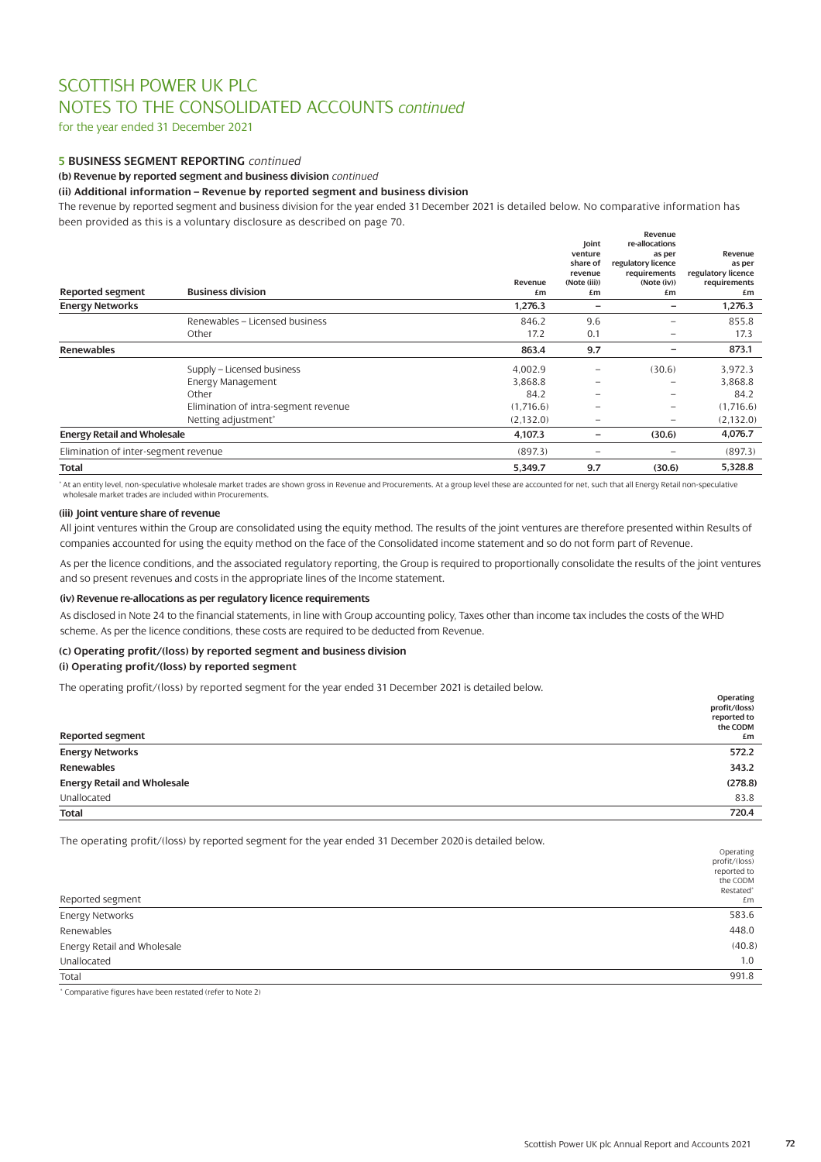for the year ended 31 December 2021

### **5 BUSINESS SEGMENT REPORTING** *continued*

**(b) Revenue by reported segment and business division** *continued*

### **(ii) Additional information – Revenue by reported segment and business division**

The revenue by reported segment and business division for the year ended 31 December 2021 is detailed below. No comparative information has been provided as this is a voluntary disclosure as described on page 70.

|                                      |                                      |            |                          | Revenue<br>re-allocations          |                              |
|--------------------------------------|--------------------------------------|------------|--------------------------|------------------------------------|------------------------------|
|                                      |                                      |            | Joint<br>venture         |                                    | Revenue                      |
|                                      |                                      |            | share of                 | as per                             |                              |
|                                      |                                      |            | revenue                  | regulatory licence<br>requirements | as per<br>regulatory licence |
|                                      |                                      | Revenue    | (Note (iii))             | (Note (iv))                        | requirements                 |
| <b>Reported segment</b>              | <b>Business division</b>             | £m         | £m                       | £m                                 | £m                           |
| <b>Energy Networks</b>               |                                      | 1,276.3    | $\overline{\phantom{a}}$ | -                                  | 1,276.3                      |
|                                      | Renewables - Licensed business       | 846.2      | 9.6                      | $\overline{\phantom{0}}$           | 855.8                        |
|                                      | Other                                | 17.2       | 0.1                      | $\overline{\phantom{0}}$           | 17.3                         |
| <b>Renewables</b>                    |                                      | 863.4      | 9.7                      | -                                  | 873.1                        |
|                                      | Supply - Licensed business           | 4,002.9    | -                        | (30.6)                             | 3,972.3                      |
|                                      | Energy Management                    | 3,868.8    | $\overline{\phantom{0}}$ | $\overline{\phantom{0}}$           | 3,868.8                      |
|                                      | Other                                | 84.2       | $\overline{\phantom{m}}$ | $\overline{\phantom{m}}$           | 84.2                         |
|                                      | Elimination of intra-segment revenue | (1,716.6)  | $\overline{\phantom{0}}$ | $\overline{\phantom{0}}$           | (1,716.6)                    |
|                                      | Netting adjustment*                  | (2, 132.0) | $\qquad \qquad$          | $\overline{\phantom{0}}$           | (2, 132.0)                   |
| <b>Energy Retail and Wholesale</b>   |                                      | 4,107.3    | $\qquad \qquad -$        | (30.6)                             | 4,076.7                      |
| Elimination of inter-segment revenue |                                      | (897.3)    | $\overline{\phantom{0}}$ | $\overline{\phantom{0}}$           | (897.3)                      |
| <b>Total</b>                         |                                      | 5,349.7    | 9.7                      | (30.6)                             | 5,328.8                      |

\* At an entity level, non-speculative wholesale market trades are shown gross in Revenue and Procurements. At a group level these are accounted for net, such that all Energy Retail non-speculative wholesale market trades are included within Procurements.

### **(iii) Joint venture share of revenue**

All joint ventures within the Group are consolidated using the equity method. The results of the joint ventures are therefore presented within Results of companies accounted for using the equity method on the face of the Consolidated income statement and so do not form part of Revenue.

As per the licence conditions, and the associated regulatory reporting, the Group is required to proportionally consolidate the results of the joint ventures and so present revenues and costs in the appropriate lines of the Income statement.

### **(iv) Revenue re-allocations as per regulatory licence requirements**

As disclosed in Note 24 to the financial statements, in line with Group accounting policy, Taxes other than income tax includes the costs of the WHD scheme. As per the licence conditions, these costs are required to be deducted from Revenue.

### **(c) Operating profit/(loss) by reported segment and business division**

# **(i) Operating profit/(loss) by reported segment**

The operating profit/(loss) by reported segment for the year ended 31 December 2021 is detailed below.

| <b>Reported segment</b>            | Operating<br>profit/(loss)<br>reported to<br>the CODM<br>£m |
|------------------------------------|-------------------------------------------------------------|
| <b>Energy Networks</b>             | 572.2                                                       |
| Renewables                         | 343.2                                                       |
| <b>Energy Retail and Wholesale</b> | (278.8)                                                     |
| Unallocated                        | 83.8                                                        |
| <b>Total</b>                       | 720.4                                                       |

The operating profit/(loss) by reported segment for the year ended 31 December 2020 is detailed below.

|                             | Operating     |
|-----------------------------|---------------|
|                             | profit/(loss) |
|                             | reported to   |
|                             | the CODM      |
|                             | Restated*     |
| Reported segment            | £m            |
| <b>Energy Networks</b>      | 583.6         |
| Renewables                  | 448.0         |
| Energy Retail and Wholesale | (40.8)        |
| Unallocated                 | 1.0           |
| Total                       | 991.8         |
|                             |               |

\* Comparative figures have been restated (refer to Note 2)

**Operating**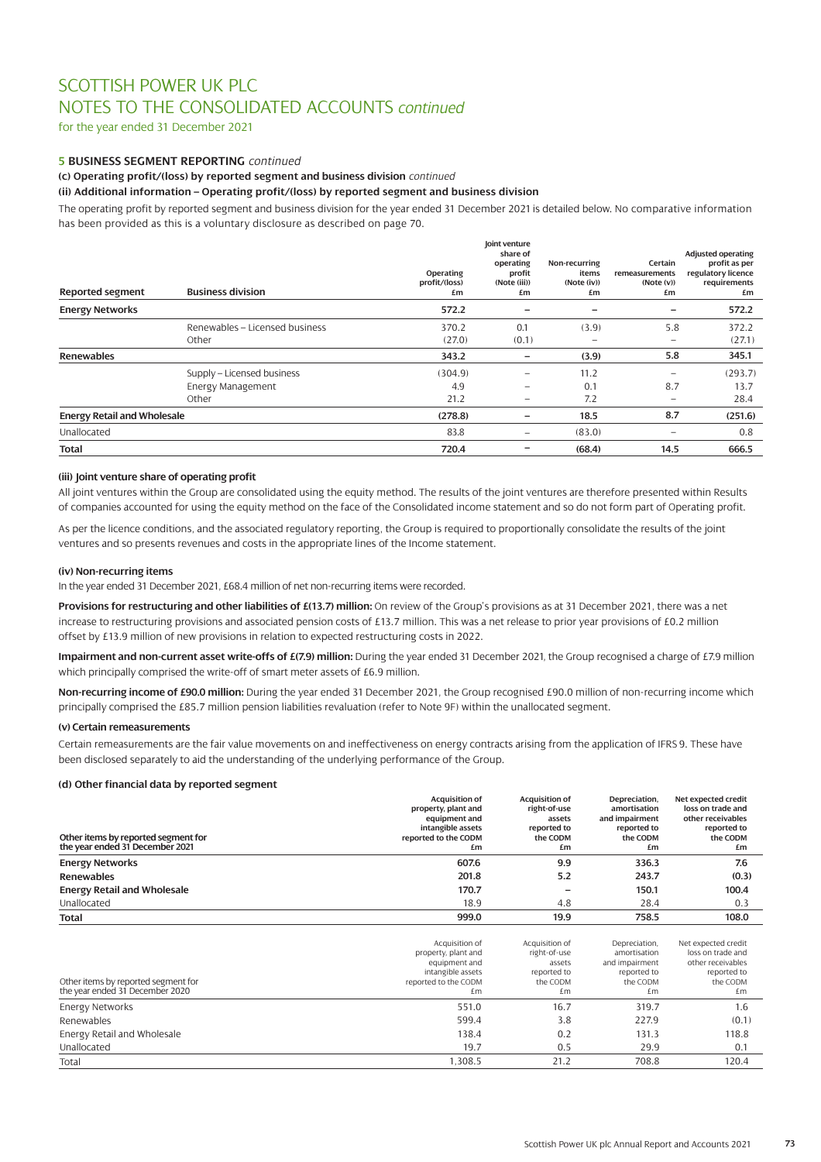for the year ended 31 December 2021

# **5 BUSINESS SEGMENT REPORTING** *continued*

**(c) Operating profit/(loss) by reported segment and business division** *continued*

### **(ii) Additional information – Operating profit/(loss) by reported segment and business division**

The operating profit by reported segment and business division for the year ended 31 December 2021 is detailed below. No comparative information has been provided as this is a voluntary disclosure as described on page 70.

| <b>Reported segment</b>            | <b>Business division</b>       | Operating<br>profit/(loss)<br>£m | Joint venture<br>share of<br>operating<br>profit<br>(Note (iii))<br>£m | Non-recurring<br>items<br>(Note (iv))<br>£m | Certain<br>remeasurements<br>(Note (v))<br>£m | <b>Adjusted operating</b><br>profit as per<br>regulatory licence<br>requirements<br>£m |
|------------------------------------|--------------------------------|----------------------------------|------------------------------------------------------------------------|---------------------------------------------|-----------------------------------------------|----------------------------------------------------------------------------------------|
| <b>Energy Networks</b>             |                                | 572.2                            | $\qquad \qquad$                                                        | -                                           | -                                             | 572.2                                                                                  |
|                                    | Renewables - Licensed business | 370.2                            | 0.1                                                                    | (3.9)                                       | 5.8                                           | 372.2                                                                                  |
|                                    | Other                          | (27.0)                           | (0.1)                                                                  | $\overline{\phantom{0}}$                    | $\overline{\phantom{m}}$                      | (27.1)                                                                                 |
| <b>Renewables</b>                  |                                | 343.2                            | $\overline{\phantom{0}}$                                               | (3.9)                                       | 5.8                                           | 345.1                                                                                  |
|                                    | Supply - Licensed business     | (304.9)                          |                                                                        | 11.2                                        | $\overline{\phantom{0}}$                      | (293.7)                                                                                |
|                                    | <b>Energy Management</b>       | 4.9                              | -                                                                      | 0.1                                         | 8.7                                           | 13.7                                                                                   |
|                                    | Other                          | 21.2                             |                                                                        | 7.2                                         | $\overline{\phantom{m}}$                      | 28.4                                                                                   |
| <b>Energy Retail and Wholesale</b> |                                | (278.8)                          |                                                                        | 18.5                                        | 8.7                                           | (251.6)                                                                                |
| Unallocated                        |                                | 83.8                             |                                                                        | (83.0)                                      |                                               | 0.8                                                                                    |
| <b>Total</b>                       |                                | 720.4                            |                                                                        | (68.4)                                      | 14.5                                          | 666.5                                                                                  |

# **(iii) Joint venture share of operating profit**

All joint ventures within the Group are consolidated using the equity method. The results of the joint ventures are therefore presented within Results of companies accounted for using the equity method on the face of the Consolidated income statement and so do not form part of Operating profit.

As per the licence conditions, and the associated regulatory reporting, the Group is required to proportionally consolidate the results of the joint ventures and so presents revenues and costs in the appropriate lines of the Income statement.

#### **(iv) Non-recurring items**

In the year ended 31 December 2021, £68.4 million of net non-recurring items were recorded.

**Provisions for restructuring and other liabilities of £(13.7) million:** On review of the Group's provisions as at 31 December 2021, there was a net increase to restructuring provisions and associated pension costs of £13.7 million. This was a net release to prior year provisions of £0.2 million offset by £13.9 million of new provisions in relation to expected restructuring costs in 2022.

**Impairment and non-current asset write-offs of £(7.9) million:** During the year ended 31 December 2021, the Group recognised a charge of £7.9 million which principally comprised the write-off of smart meter assets of £6.9 million.

**Non-recurring income of £90.0 million:** During the year ended 31 December 2021, the Group recognised £90.0 million of non-recurring income which principally comprised the £85.7 million pension liabilities revaluation (refer to Note 9F) within the unallocated segment.

#### **(v) Certain remeasurements**

Certain remeasurements are the fair value movements on and ineffectiveness on energy contracts arising from the application of IFRS 9. These have been disclosed separately to aid the understanding of the underlying performance of the Group.

#### **(d) Other financial data by reported segment**

| Other items by reported segment for<br>the year ended 31 December 2021 | <b>Acquisition of</b><br>property, plant and<br>equipment and<br>intangible assets<br>reported to the CODM<br>£m | <b>Acquisition of</b><br>right-of-use<br>assets<br>reported to<br>the CODM<br>£m | Depreciation,<br>amortisation<br>and impairment<br>reported to<br>the CODM<br>£m | Net expected credit<br>loss on trade and<br>other receivables<br>reported to<br>the CODM<br>£m |
|------------------------------------------------------------------------|------------------------------------------------------------------------------------------------------------------|----------------------------------------------------------------------------------|----------------------------------------------------------------------------------|------------------------------------------------------------------------------------------------|
| <b>Energy Networks</b>                                                 | 607.6                                                                                                            | 9.9                                                                              | 336.3                                                                            | 7.6                                                                                            |
| <b>Renewables</b>                                                      | 201.8                                                                                                            | 5.2                                                                              | 243.7                                                                            | (0.3)                                                                                          |
| <b>Energy Retail and Wholesale</b>                                     | 170.7                                                                                                            |                                                                                  | 150.1                                                                            | 100.4                                                                                          |
| Unallocated                                                            | 18.9                                                                                                             | 4.8                                                                              | 28.4                                                                             | 0.3                                                                                            |
| Total                                                                  | 999.0                                                                                                            | 19.9                                                                             | 758.5                                                                            | 108.0                                                                                          |
| Other items by reported segment for<br>the year ended 31 December 2020 | Acquisition of<br>property, plant and<br>equipment and<br>intangible assets<br>reported to the CODM<br>£m        | Acquisition of<br>right-of-use<br>assets<br>reported to<br>the CODM<br>£m        | Depreciation,<br>amortisation<br>and impairment<br>reported to<br>the CODM<br>£m | Net expected credit<br>loss on trade and<br>other receivables<br>reported to<br>the CODM<br>£m |
| Energy Networks                                                        | 551.0                                                                                                            | 16.7                                                                             | 319.7                                                                            | 1.6                                                                                            |
| Renewables                                                             | 599.4                                                                                                            | 3.8                                                                              | 227.9                                                                            | (0.1)                                                                                          |
| Energy Retail and Wholesale                                            | 138.4                                                                                                            | 0.2                                                                              | 131.3                                                                            | 118.8                                                                                          |
| Unallocated                                                            | 19.7                                                                                                             | 0.5                                                                              | 29.9                                                                             | 0.1                                                                                            |

Total 1,308.5 21.2 708.8 120.4 20.4 20.5 21.2 708.8 120.4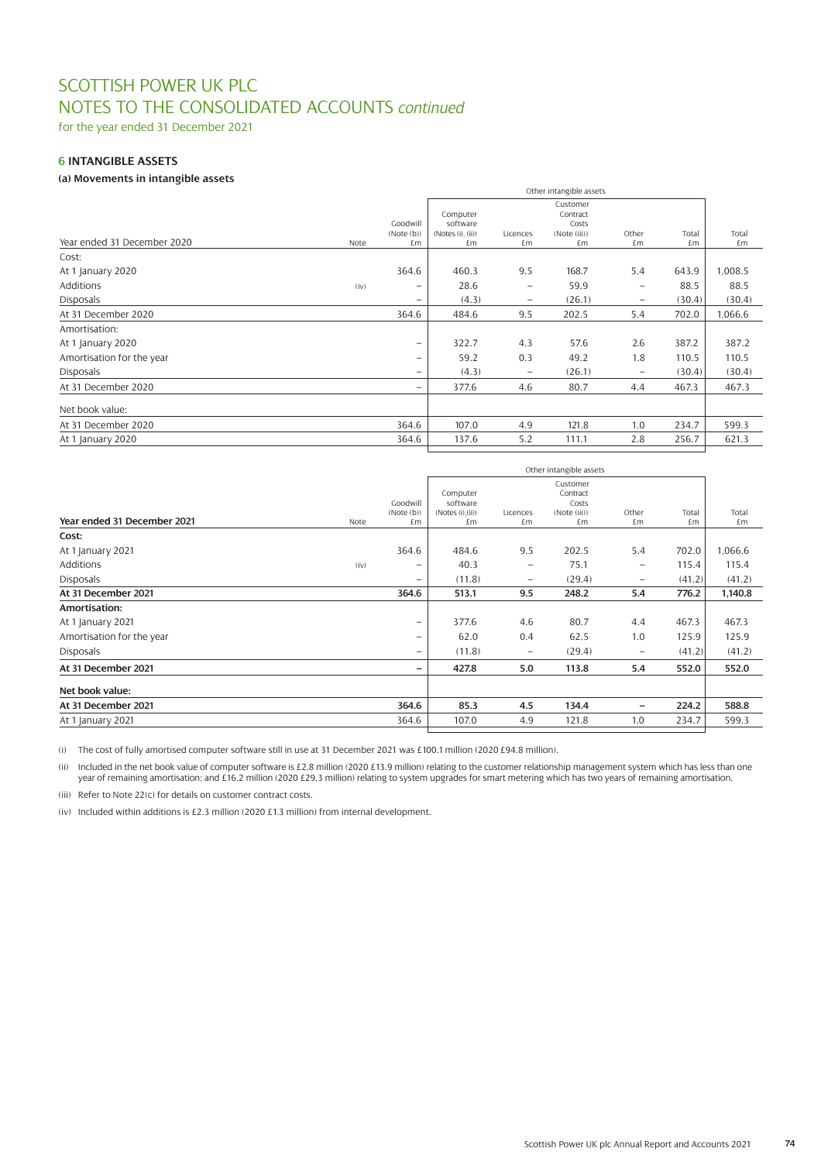for the year ended 31 December 2021

# **6 INTANGIBLE ASSETS**

# **(a) Movements in intangible assets**

|                             |      | Other intangible assets  |                              |                          |                       |                          |        |         |
|-----------------------------|------|--------------------------|------------------------------|--------------------------|-----------------------|--------------------------|--------|---------|
|                             |      |                          |                              |                          | Customer              |                          |        |         |
|                             |      |                          | Computer                     |                          | Contract              |                          |        |         |
|                             |      | Goodwill<br>(Note(b))    | software<br>(Notes(i), (ii)) | Licences                 | Costs<br>(Note (iii)) | Other                    | Total  | Total   |
| Year ended 31 December 2020 | Note | £m                       | £m                           | £m                       | £m                    | £m                       | £m     | £m      |
| Cost:                       |      |                          |                              |                          |                       |                          |        |         |
| At 1 January 2020           |      | 364.6                    | 460.3                        | 9.5                      | 168.7                 | 5.4                      | 643.9  | 1,008.5 |
| <b>Additions</b>            | (iv) | $\overline{\phantom{0}}$ | 28.6                         | $\qquad \qquad \qquad$   | 59.9                  | $\overline{\phantom{0}}$ | 88.5   | 88.5    |
| <b>Disposals</b>            |      | $\overline{\phantom{0}}$ | (4.3)                        | $\overline{\phantom{0}}$ | (26.1)                | $\qquad \qquad -$        | (30.4) | (30.4)  |
| At 31 December 2020         |      | 364.6                    | 484.6                        | 9.5                      | 202.5                 | 5.4                      | 702.0  | 1,066.6 |
| Amortisation:               |      |                          |                              |                          |                       |                          |        |         |
| At 1 January 2020           |      | $\overline{\phantom{m}}$ | 322.7                        | 4.3                      | 57.6                  | 2.6                      | 387.2  | 387.2   |
| Amortisation for the year   |      | $\overline{\phantom{0}}$ | 59.2                         | 0.3                      | 49.2                  | 1.8                      | 110.5  | 110.5   |
| <b>Disposals</b>            |      | $\overline{\phantom{0}}$ | (4.3)                        | $\overline{\phantom{0}}$ | (26.1)                | $\overline{\phantom{0}}$ | (30.4) | (30.4)  |
| At 31 December 2020         |      | $\overline{\phantom{0}}$ | 377.6                        | 4.6                      | 80.7                  | 4.4                      | 467.3  | 467.3   |
| Net book value:             |      |                          |                              |                          |                       |                          |        |         |
| At 31 December 2020         |      | 364.6                    | 107.0                        | 4.9                      | 121.8                 | 1.0                      | 234.7  | 599.3   |
| At 1 January 2020           |      | 364.6                    | 137.6                        | 5.2                      | 111.1                 | 2.8                      | 256.7  | 621.3   |
|                             |      |                          |                              |                          |                       |                          |        |         |

|                             |      |                          |                      | Other intangible assets  |                   |                          |        |         |
|-----------------------------|------|--------------------------|----------------------|--------------------------|-------------------|--------------------------|--------|---------|
|                             |      |                          |                      |                          | Customer          |                          |        |         |
|                             |      | Goodwill                 | Computer<br>software |                          | Contract<br>Costs |                          |        |         |
|                             |      | (Note(b))                | (Notes(i), (ii))     | Licences                 | (Note (iii))      | Other                    | Total  | Total   |
| Year ended 31 December 2021 | Note | £m                       | £m                   | £m                       | £m                | £m                       | £m     | £m      |
| Cost:                       |      |                          |                      |                          |                   |                          |        |         |
| At 1 January 2021           |      | 364.6                    | 484.6                | 9.5                      | 202.5             | 5.4                      | 702.0  | 1,066.6 |
| <b>Additions</b>            | (iv) | $\equiv$                 | 40.3                 | $\overline{\phantom{0}}$ | 75.1              | $\overline{\phantom{m}}$ | 115.4  | 115.4   |
| <b>Disposals</b>            |      | $\overline{\phantom{0}}$ | (11.8)               | $\overline{\phantom{m}}$ | (29.4)            | $\overline{\phantom{m}}$ | (41.2) | (41.2)  |
| At 31 December 2021         |      | 364.6                    | 513.1                | 9.5                      | 248.2             | 5.4                      | 776.2  | 1,140.8 |
| Amortisation:               |      |                          |                      |                          |                   |                          |        |         |
| At 1 January 2021           |      | $\qquad \qquad -$        | 377.6                | 4.6                      | 80.7              | 4.4                      | 467.3  | 467.3   |
| Amortisation for the year   |      | $\overline{\phantom{0}}$ | 62.0                 | 0.4                      | 62.5              | 1.0                      | 125.9  | 125.9   |
| <b>Disposals</b>            |      | $\overline{\phantom{0}}$ | (11.8)               | $\overline{\phantom{m}}$ | (29.4)            | $\overline{\phantom{m}}$ | (41.2) | (41.2)  |
| At 31 December 2021         |      | -                        | 427.8                | 5.0                      | 113.8             | 5.4                      | 552.0  | 552.0   |
| Net book value:             |      |                          |                      |                          |                   |                          |        |         |
| At 31 December 2021         |      | 364.6                    | 85.3                 | 4.5                      | 134.4             | $\qquad \qquad -$        | 224.2  | 588.8   |
| At 1 January 2021           |      | 364.6                    | 107.0                | 4.9                      | 121.8             | 1.0                      | 234.7  | 599.3   |
|                             |      |                          |                      |                          |                   |                          |        |         |

(i) The cost of fully amortised computer software still in use at 31 December 2021 was £100.1 million (2020 £94.8 million).

(ii) Included in the net book value of computer software is £2.8 million (2020 £13.9 million) relating to the customer relationship management system which has less than one year of remaining amortisation; and £16.2 million (2020 £29.3 million) relating to system upgrades for smart metering which has two years of remaining amortisation.

(iii) Refer to Note 22(c) for details on customer contract costs.

(iv) Included within additions is £2.3 million (2020 £1.3 million) from internal development.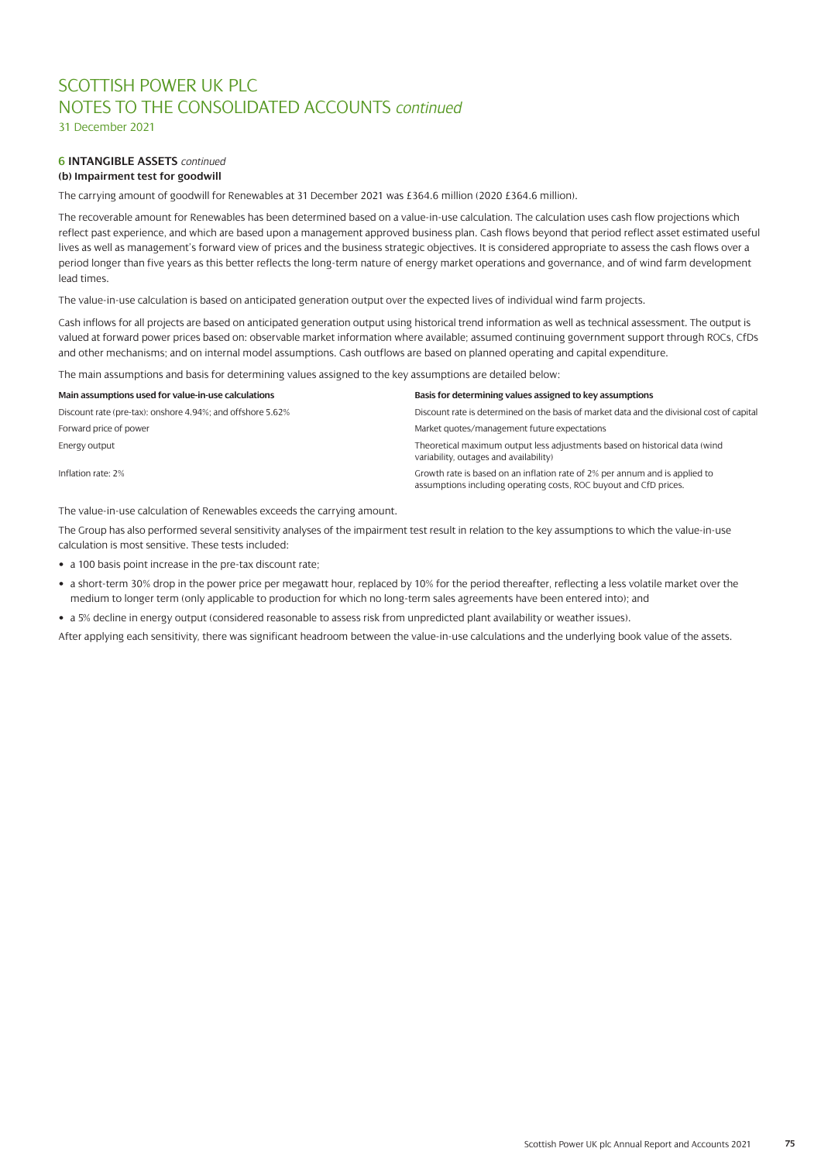31 December 2021

### **6 INTANGIBLE ASSETS** *continued* **(b) Impairment test for goodwill**

The carrying amount of goodwill for Renewables at 31 December 2021 was £364.6 million (2020 £364.6 million).

The recoverable amount for Renewables has been determined based on a value-in-use calculation. The calculation uses cash flow projections which reflect past experience, and which are based upon a management approved business plan. Cash flows beyond that period reflect asset estimated useful lives as well as management's forward view of prices and the business strategic objectives. It is considered appropriate to assess the cash flows over a period longer than five years as this better reflects the long-term nature of energy market operations and governance, and of wind farm development lead times.

The value-in-use calculation is based on anticipated generation output over the expected lives of individual wind farm projects.

Cash inflows for all projects are based on anticipated generation output using historical trend information as well as technical assessment. The output is valued at forward power prices based on: observable market information where available; assumed continuing government support through ROCs, CfDs and other mechanisms; and on internal model assumptions. Cash outflows are based on planned operating and capital expenditure.

The main assumptions and basis for determining values assigned to the key assumptions are detailed below:

| Main assumptions used for value-in-use calculations        | Basis for determining values assigned to key assumptions                                                                                         |
|------------------------------------------------------------|--------------------------------------------------------------------------------------------------------------------------------------------------|
| Discount rate (pre-tax): onshore 4.94%; and offshore 5.62% | Discount rate is determined on the basis of market data and the divisional cost of capital                                                       |
| Forward price of power                                     | Market quotes/management future expectations                                                                                                     |
| Energy output                                              | Theoretical maximum output less adjustments based on historical data (wind<br>variability, outages and availability)                             |
| Inflation rate: 2%                                         | Growth rate is based on an inflation rate of 2% per annum and is applied to<br>assumptions including operating costs, ROC buyout and CfD prices. |

The value-in-use calculation of Renewables exceeds the carrying amount.

The Group has also performed several sensitivity analyses of the impairment test result in relation to the key assumptions to which the value-in-use calculation is most sensitive. These tests included:

- a 100 basis point increase in the pre-tax discount rate;
- a short-term 30% drop in the power price per megawatt hour, replaced by 10% for the period thereafter, reflecting a less volatile market over the medium to longer term (only applicable to production for which no long-term sales agreements have been entered into); and
- a 5% decline in energy output (considered reasonable to assess risk from unpredicted plant availability or weather issues).

After applying each sensitivity, there was significant headroom between the value-in-use calculations and the underlying book value of the assets.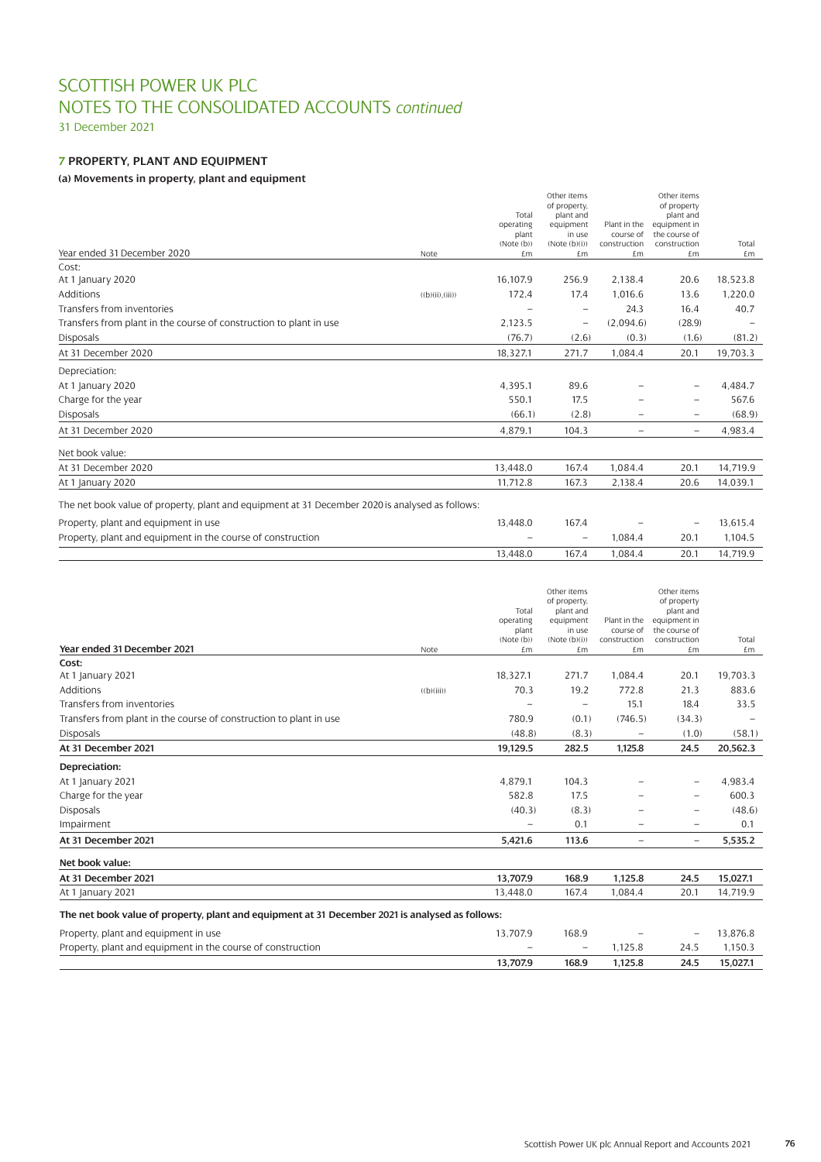31 December 2021

# **7 PROPERTY, PLANT AND EQUIPMENT**

# **(a) Movements in property, plant and equipment**

|                                                                                                 |                  | Total<br>operating<br>plant<br>(Note(b)) | Other items<br>of property,<br>plant and<br>equipment<br>in use<br>(Note(b)(i)) | Plant in the<br>course of<br>construction | Other items<br>of property<br>plant and<br>equipment in<br>the course of<br>construction | Total    |
|-------------------------------------------------------------------------------------------------|------------------|------------------------------------------|---------------------------------------------------------------------------------|-------------------------------------------|------------------------------------------------------------------------------------------|----------|
| Year ended 31 December 2020                                                                     | Note             | £m                                       | £m                                                                              | £m                                        | £m                                                                                       | £m       |
| Cost:                                                                                           |                  |                                          |                                                                                 |                                           |                                                                                          |          |
| At 1 January 2020                                                                               |                  | 16,107.9                                 | 256.9                                                                           | 2,138.4                                   | 20.6                                                                                     | 18,523.8 |
| Additions                                                                                       | ((b)(ii), (iii)) | 172.4                                    | 17.4                                                                            | 1,016.6                                   | 13.6                                                                                     | 1,220.0  |
| Transfers from inventories                                                                      |                  |                                          |                                                                                 | 24.3                                      | 16.4                                                                                     | 40.7     |
| Transfers from plant in the course of construction to plant in use                              |                  | 2,123.5                                  | -                                                                               | (2,094.6)                                 | (28.9)                                                                                   |          |
| <b>Disposals</b>                                                                                |                  | (76.7)                                   | (2.6)                                                                           | (0.3)                                     | (1.6)                                                                                    | (81.2)   |
| At 31 December 2020                                                                             |                  | 18,327.1                                 | 271.7                                                                           | 1,084.4                                   | 20.1                                                                                     | 19,703.3 |
| Depreciation:                                                                                   |                  |                                          |                                                                                 |                                           |                                                                                          |          |
| At 1 January 2020                                                                               |                  | 4,395.1                                  | 89.6                                                                            |                                           |                                                                                          | 4,484.7  |
| Charge for the year                                                                             |                  | 550.1                                    | 17.5                                                                            |                                           | $\qquad \qquad -$                                                                        | 567.6    |
| <b>Disposals</b>                                                                                |                  | (66.1)                                   | (2.8)                                                                           |                                           |                                                                                          | (68.9)   |
| At 31 December 2020                                                                             |                  | 4,879.1                                  | 104.3                                                                           | -                                         | $\overline{\phantom{a}}$                                                                 | 4,983.4  |
| Net book value:                                                                                 |                  |                                          |                                                                                 |                                           |                                                                                          |          |
| At 31 December 2020                                                                             |                  | 13.448.0                                 | 167.4                                                                           | 1.084.4                                   | 20.1                                                                                     | 14,719.9 |
| At 1 January 2020                                                                               |                  | 11,712.8                                 | 167.3                                                                           | 2,138.4                                   | 20.6                                                                                     | 14,039.1 |
| The net book value of property, plant and equipment at 31 December 2020 is analysed as follows: |                  |                                          |                                                                                 |                                           |                                                                                          |          |
| Property, plant and equipment in use                                                            |                  | 13,448.0                                 | 167.4                                                                           |                                           |                                                                                          | 13,615.4 |
| Property, plant and equipment in the course of construction                                     |                  |                                          | $\overline{\phantom{0}}$                                                        | 1,084.4                                   | 20.1                                                                                     | 1,104.5  |
|                                                                                                 |                  | 13,448.0                                 | 167.4                                                                           | 1.084.4                                   | 20.1                                                                                     | 14,719.9 |

|                                                                                                 |            |                          | Other items              |                          | Other items               |          |
|-------------------------------------------------------------------------------------------------|------------|--------------------------|--------------------------|--------------------------|---------------------------|----------|
|                                                                                                 |            |                          | of property,             |                          | of property               |          |
|                                                                                                 |            | Total                    | plant and                | Plant in the             | plant and<br>equipment in |          |
|                                                                                                 |            | operating<br>plant       | equipment<br>in use      | course of                | the course of             |          |
|                                                                                                 |            | (Note(b))                | (Note(b)(i))             | construction             | construction              | Total    |
| Year ended 31 December 2021                                                                     | Note       | £m                       | £m                       | £m                       | £m                        | £m       |
| Cost:                                                                                           |            |                          |                          |                          |                           |          |
| At 1 January 2021                                                                               |            | 18,327.1                 | 271.7                    | 1,084.4                  | 20.1                      | 19,703.3 |
| Additions                                                                                       | ((b)(iii)) | 70.3                     | 19.2                     | 772.8                    | 21.3                      | 883.6    |
| Transfers from inventories                                                                      |            |                          |                          | 15.1                     | 18.4                      | 33.5     |
| Transfers from plant in the course of construction to plant in use                              |            | 780.9                    | (0.1)                    | (746.5)                  | (34.3)                    |          |
| <b>Disposals</b>                                                                                |            | (48.8)                   | (8.3)                    | $\overline{\phantom{0}}$ | (1.0)                     | (58.1)   |
| At 31 December 2021                                                                             |            | 19,129.5                 | 282.5                    | 1,125.8                  | 24.5                      | 20,562.3 |
| Depreciation:                                                                                   |            |                          |                          |                          |                           |          |
| At 1 January 2021                                                                               |            | 4.879.1                  | 104.3                    |                          | $\qquad \qquad -$         | 4.983.4  |
| Charge for the year                                                                             |            | 582.8                    | 17.5                     |                          | $\overline{\phantom{0}}$  | 600.3    |
| <b>Disposals</b>                                                                                |            | (40.3)                   | (8.3)                    |                          | -                         | (48.6)   |
| Impairment                                                                                      |            | $\overline{\phantom{0}}$ | 0.1                      | $\overline{\phantom{0}}$ | $\overline{\phantom{0}}$  | 0.1      |
| At 31 December 2021                                                                             |            | 5,421.6                  | 113.6                    | $\overline{\phantom{0}}$ | $\overline{\phantom{0}}$  | 5,535.2  |
| Net book value:                                                                                 |            |                          |                          |                          |                           |          |
| At 31 December 2021                                                                             |            | 13,707.9                 | 168.9                    | 1,125.8                  | 24.5                      | 15,027.1 |
| At 1 January 2021                                                                               |            | 13,448.0                 | 167.4                    | 1,084.4                  | 20.1                      | 14,719.9 |
| The net book value of property, plant and equipment at 31 December 2021 is analysed as follows: |            |                          |                          |                          |                           |          |
| Property, plant and equipment in use                                                            |            | 13,707.9                 | 168.9                    |                          |                           | 13,876.8 |
| Property, plant and equipment in the course of construction                                     |            |                          | $\overline{\phantom{0}}$ | 1,125.8                  | 24.5                      | 1,150.3  |
|                                                                                                 |            | 13,707.9                 | 168.9                    | 1,125.8                  | 24.5                      | 15,027.1 |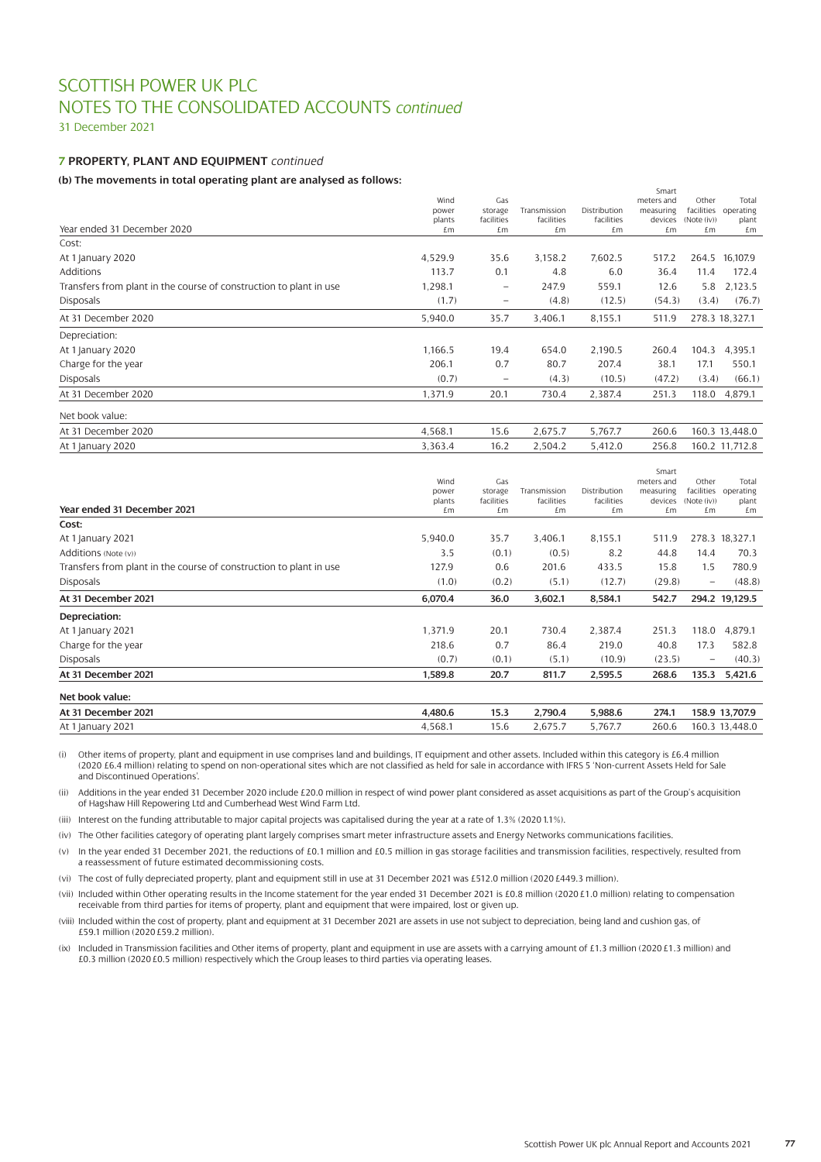31 December 2021

# **7 PROPERTY, PLANT AND EQUIPMENT** *continued*

### **(b) The movements in total operating plant are analysed as follows:**

| (a) 1116 1116 retirented in coloni op erwenig praire are anni joew ao ronomor |         |                   |              |              | Smart      |             |                      |
|-------------------------------------------------------------------------------|---------|-------------------|--------------|--------------|------------|-------------|----------------------|
|                                                                               | Wind    | Gas               |              |              | meters and | Other       | Total                |
|                                                                               | power   | storage           | Transmission | Distribution | measuring  |             | facilities operating |
|                                                                               | plants  | facilities        | facilities   | facilities   | devices    | (Note (iv)) | plant                |
| Year ended 31 December 2020                                                   | £m      | £m                | £m           | £m           | £m         | £m          | £m                   |
| Cost:                                                                         |         |                   |              |              |            |             |                      |
| At 1 January 2020                                                             | 4,529.9 | 35.6              | 3,158.2      | 7,602.5      | 517.2      | 264.5       | 16,107.9             |
| <b>Additions</b>                                                              | 113.7   | 0.1               | 4.8          | 6.0          | 36.4       | 11.4        | 172.4                |
| Transfers from plant in the course of construction to plant in use            | 1,298.1 | $\qquad \qquad -$ | 247.9        | 559.1        | 12.6       | 5.8         | 2,123.5              |
| <b>Disposals</b>                                                              | (1.7)   | $\qquad \qquad -$ | (4.8)        | (12.5)       | (54.3)     | (3.4)       | (76.7)               |
| At 31 December 2020                                                           | 5,940.0 | 35.7              | 3,406.1      | 8,155.1      | 511.9      |             | 278.3 18,327.1       |
| Depreciation:                                                                 |         |                   |              |              |            |             |                      |
| At 1 January 2020                                                             | 1,166.5 | 19.4              | 654.0        | 2,190.5      | 260.4      | 104.3       | 4,395.1              |
| Charge for the year                                                           | 206.1   | 0.7               | 80.7         | 207.4        | 38.1       | 17.1        | 550.1                |
| <b>Disposals</b>                                                              | (0.7)   | $\qquad \qquad -$ | (4.3)        | (10.5)       | (47.2)     | (3.4)       | (66.1)               |
| At 31 December 2020                                                           | 1,371.9 | 20.1              | 730.4        | 2,387.4      | 251.3      | 118.0       | 4,879.1              |
| Net book value:                                                               |         |                   |              |              |            |             |                      |
| At 31 December 2020                                                           | 4,568.1 | 15.6              | 2,675.7      | 5,767.7      | 260.6      |             | 160.3 13,448.0       |
| At 1 January 2020                                                             | 3,363.4 | 16.2              | 2,504.2      | 5,412.0      | 256.8      |             | 160.2 11,712.8       |
|                                                                               |         |                   |              |              |            |             |                      |

|                                                                    |              |                  |                  |                  | Smart         |                          |                |
|--------------------------------------------------------------------|--------------|------------------|------------------|------------------|---------------|--------------------------|----------------|
|                                                                    | Wind         | Gas              |                  |                  | meters and    | Other                    | Total          |
|                                                                    | power        | storage          | Transmission     | Distribution     | measuring     | facilities               | operating      |
| Year ended 31 December 2021                                        | plants<br>£m | facilities<br>£m | facilities<br>£m | facilities<br>£m | devices<br>£m | (Note (iv))<br>£m        | plant<br>£m    |
|                                                                    |              |                  |                  |                  |               |                          |                |
| Cost:                                                              |              |                  |                  |                  |               |                          |                |
| At 1 January 2021                                                  | 5,940.0      | 35.7             | 3,406.1          | 8,155.1          | 511.9         |                          | 278.3 18,327.1 |
| Additions (Note (y))                                               | 3.5          | (0.1)            | (0.5)            | 8.2              | 44.8          | 14.4                     | 70.3           |
| Transfers from plant in the course of construction to plant in use | 127.9        | 0.6              | 201.6            | 433.5            | 15.8          | 1.5                      | 780.9          |
| <b>Disposals</b>                                                   | (1.0)        | (0.2)            | (5.1)            | (12.7)           | (29.8)        | $\overline{\phantom{0}}$ | (48.8)         |
| At 31 December 2021                                                | 6,070.4      | 36.0             | 3,602.1          | 8,584.1          | 542.7         |                          | 294.2 19,129.5 |
| Depreciation:                                                      |              |                  |                  |                  |               |                          |                |
| At 1 January 2021                                                  | 1,371.9      | 20.1             | 730.4            | 2,387.4          | 251.3         | 118.0                    | 4,879.1        |
| Charge for the year                                                | 218.6        | 0.7              | 86.4             | 219.0            | 40.8          | 17.3                     | 582.8          |
| <b>Disposals</b>                                                   | (0.7)        | (0.1)            | (5.1)            | (10.9)           | (23.5)        | $\qquad \qquad -$        | (40.3)         |
| At 31 December 2021                                                | 1,589.8      | 20.7             | 811.7            | 2,595.5          | 268.6         | 135.3                    | 5,421.6        |
| Net book value:                                                    |              |                  |                  |                  |               |                          |                |
| At 31 December 2021                                                | 4,480.6      | 15.3             | 2,790.4          | 5,988.6          | 274.1         |                          | 158.9 13,707.9 |
| At 1 January 2021                                                  | 4,568.1      | 15.6             | 2,675.7          | 5,767.7          | 260.6         |                          | 160.3 13,448.0 |

(i) Other items of property, plant and equipment in use comprises land and buildings, IT equipment and other assets. Included within this category is £6.4 million (2020 £6.4 million) relating to spend on non-operational sites which are not classified as held for sale in accordance with IFRS 5 'Non-current Assets Held for Sale

and Discontinued Operations'. (ii) Additions in the year ended 31 December 2020 include £20.0 million in respect of wind power plant considered as asset acquisitions as part of the Group's acquisition of Hagshaw Hill Repowering Ltd and Cumberhead West Wind Farm Ltd.

(iii) Interest on the funding attributable to major capital projects was capitalised during the year at a rate of 1.3% (2020 1.1%).

(iv) The Other facilities category of operating plant largely comprises smart meter infrastructure assets and Energy Networks communications facilities.

(v) In the year ended 31 December 2021, the reductions of £0.1 million and £0.5 million in gas storage facilities and transmission facilities, respectively, resulted from a reassessment of future estimated decommissioning costs.

(vi) The cost of fully depreciated property, plant and equipment still in use at 31 December 2021 was £512.0 million (2020 £449.3 million).

(vii) Included within Other operating results in the Income statement for the year ended 31 December 2021 is £0.8 million (2020 £1.0 million) relating to compensation receivable from third parties for items of property, plant and equipment that were impaired, lost or given up.

(viii) Included within the cost of property, plant and equipment at 31 December 2021 are assets in use not subject to depreciation, being land and cushion gas, of £59.1 million (2020 £59.2 million).

(ix) Included in Transmission facilities and Other items of property, plant and equipment in use are assets with a carrying amount of £1.3 million (2020 £1.3 million) and £0.3 million (2020 £0.5 million) respectively which the Group leases to third parties via operating leases.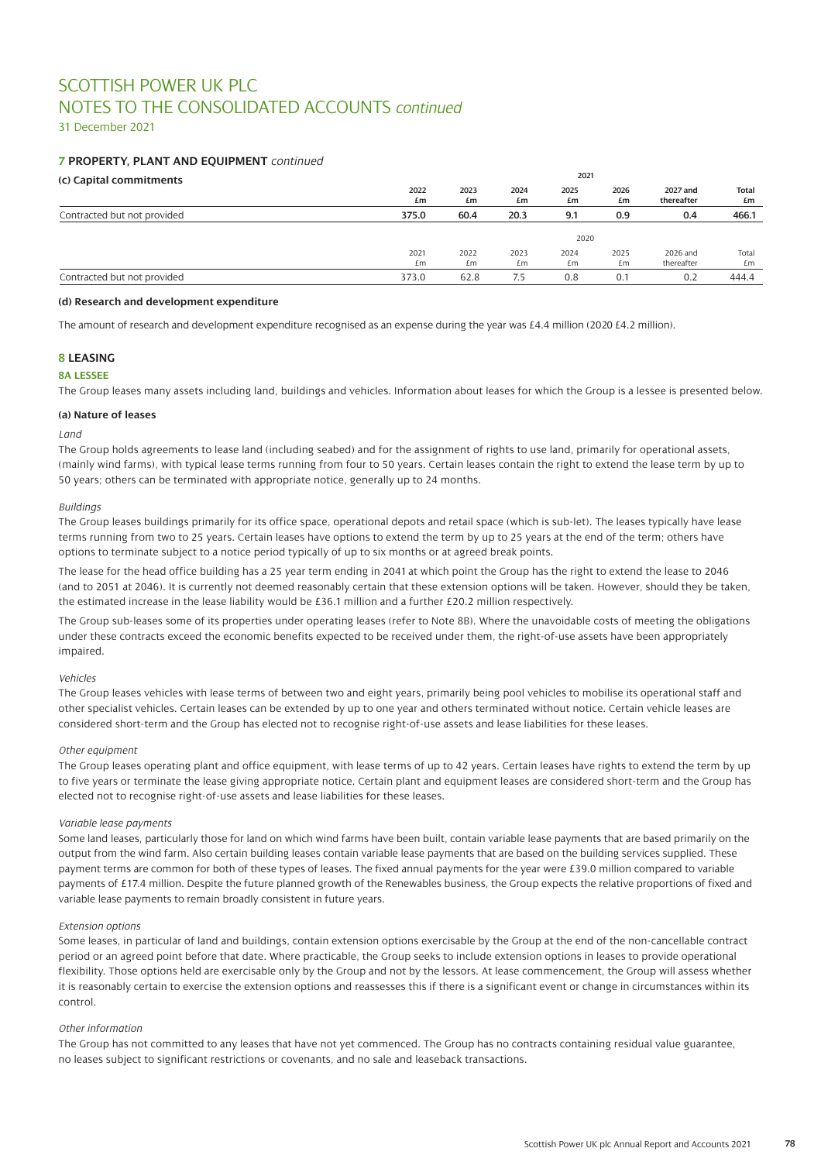31 December 2021

# **7 PROPERTY, PLANT AND EQUIPMENT** *continued*

# **(c) Capital commitments**

| (C) Capital Commitments     |       |      |      |      |      |            |              |
|-----------------------------|-------|------|------|------|------|------------|--------------|
|                             | 2022  | 2023 | 2024 | 2025 | 2026 | 2027 and   | <b>Total</b> |
|                             | £m    | £m   | £m   | £m   | £m   | thereafter | £m           |
| Contracted but not provided | 375.0 | 60.4 | 20.3 | 9.1  | 0.9  | 0.4        | 466.1        |
|                             |       |      |      |      |      |            |              |
|                             |       |      |      | 2020 |      |            |              |
|                             | 2021  | 2022 | 2023 | 2024 | 2025 | 2026 and   | Total        |
|                             | £m    | £m   | £m   | £m   | £m   | thereafter | £m           |
| Contracted but not provided | 373.0 | 62.8 | 7.5  | 0.8  | 0.1  | 0.2        | 444.4        |
|                             |       |      |      |      |      |            |              |

**2021**

#### **(d) Research and development expenditure**

The amount of research and development expenditure recognised as an expense during the year was £4.4 million (2020 £4.2 million).

# **8 LEASING**

### **8A LESSEE**

The Group leases many assets including land, buildings and vehicles. Information about leases for which the Group is a lessee is presented below.

### **(a) Nature of leases**

### *Land*

The Group holds agreements to lease land (including seabed) and for the assignment of rights to use land, primarily for operational assets, (mainly wind farms), with typical lease terms running from four to 50 years. Certain leases contain the right to extend the lease term by up to 50 years; others can be terminated with appropriate notice, generally up to 24 months.

### *Buildings*

The Group leases buildings primarily for its office space, operational depots and retail space (which is sub-let). The leases typically have lease terms running from two to 25 years. Certain leases have options to extend the term by up to 25 years at the end of the term; others have options to terminate subject to a notice period typically of up to six months or at agreed break points.

The lease for the head office building has a 25 year term ending in 2041 at which point the Group has the right to extend the lease to 2046 (and to 2051 at 2046). It is currently not deemed reasonably certain that these extension options will be taken. However, should they be taken, the estimated increase in the lease liability would be £36.1 million and a further £20.2 million respectively.

The Group sub-leases some of its properties under operating leases (refer to Note 8B). Where the unavoidable costs of meeting the obligations under these contracts exceed the economic benefits expected to be received under them, the right-of-use assets have been appropriately impaired.

### *Vehicles*

The Group leases vehicles with lease terms of between two and eight years, primarily being pool vehicles to mobilise its operational staff and other specialist vehicles. Certain leases can be extended by up to one year and others terminated without notice. Certain vehicle leases are considered short-term and the Group has elected not to recognise right-of-use assets and lease liabilities for these leases.

### *Other equipment*

The Group leases operating plant and office equipment, with lease terms of up to 42 years. Certain leases have rights to extend the term by up to five years or terminate the lease giving appropriate notice. Certain plant and equipment leases are considered short-term and the Group has elected not to recognise right-of-use assets and lease liabilities for these leases.

### *Variable lease payments*

Some land leases, particularly those for land on which wind farms have been built, contain variable lease payments that are based primarily on the output from the wind farm. Also certain building leases contain variable lease payments that are based on the building services supplied. These payment terms are common for both of these types of leases. The fixed annual payments for the year were £39.0 million compared to variable payments of £17.4 million. Despite the future planned growth of the Renewables business, the Group expects the relative proportions of fixed and variable lease payments to remain broadly consistent in future years.

### *Extension options*

Some leases, in particular of land and buildings, contain extension options exercisable by the Group at the end of the non-cancellable contract period or an agreed point before that date. Where practicable, the Group seeks to include extension options in leases to provide operational flexibility. Those options held are exercisable only by the Group and not by the lessors. At lease commencement, the Group will assess whether it is reasonably certain to exercise the extension options and reassesses this if there is a significant event or change in circumstances within its control.

#### *Other information*

The Group has not committed to any leases that have not yet commenced. The Group has no contracts containing residual value guarantee, no leases subject to significant restrictions or covenants, and no sale and leaseback transactions.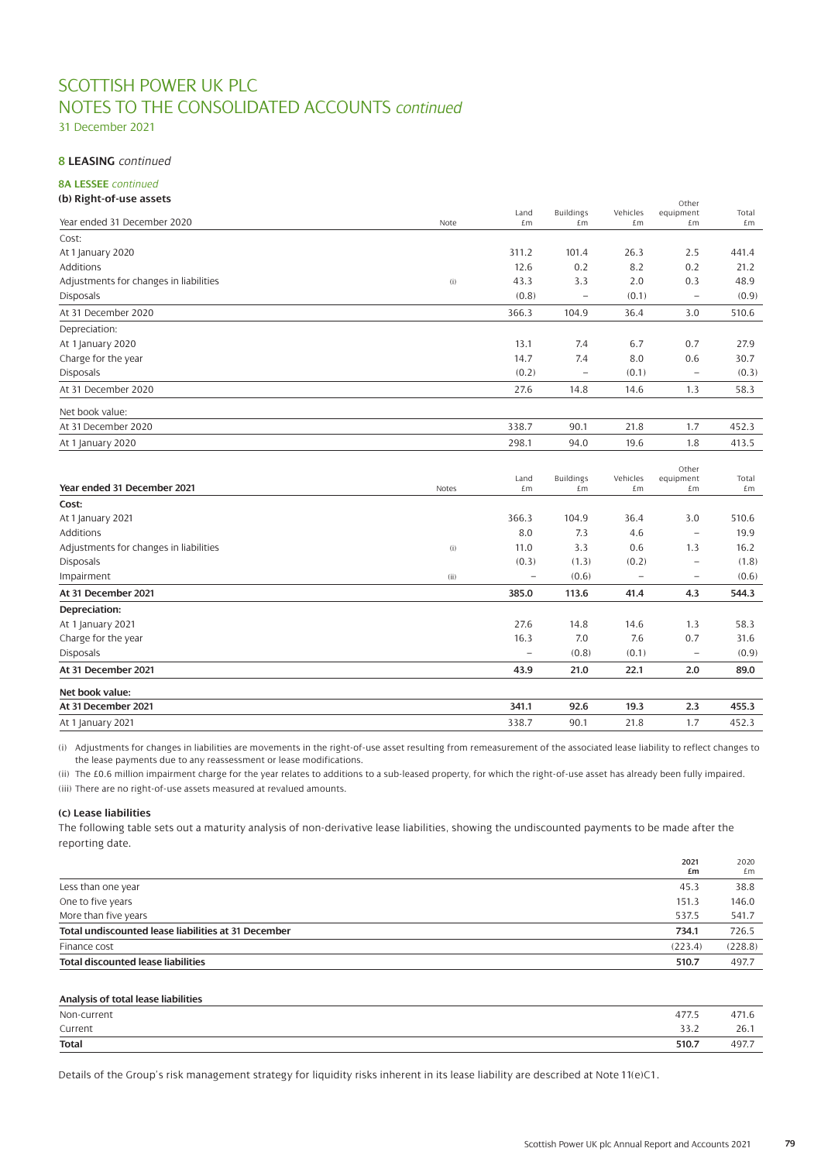31 December 2021

# **8 LEASING** *continued*

# **8A LESSEE** *continued*

### **(b) Right-of-use assets**  $\alpha$

|                                        |       | Land           | <b>Buildings</b>       | Vehicles                 | ULIEI                    | Total       |
|----------------------------------------|-------|----------------|------------------------|--------------------------|--------------------------|-------------|
| Year ended 31 December 2020            | Note  | £m             | £m                     | £m                       | equipment<br>£m          | £m          |
| Cost:                                  |       |                |                        |                          |                          |             |
| At 1 January 2020                      |       | 311.2          | 101.4                  | 26.3                     | 2.5                      | 441.4       |
| Additions                              |       | 12.6           | 0.2                    | 8.2                      | 0.2                      | 21.2        |
| Adjustments for changes in liabilities | (i)   | 43.3           | 3.3                    | 2.0                      | 0.3                      | 48.9        |
| <b>Disposals</b>                       |       | (0.8)          |                        | (0.1)                    | $\qquad \qquad -$        | (0.9)       |
| At 31 December 2020                    |       | 366.3          | 104.9                  | 36.4                     | 3.0                      | 510.6       |
| Depreciation:                          |       |                |                        |                          |                          |             |
| At 1 January 2020                      |       | 13.1           | 7.4                    | 6.7                      | 0.7                      | 27.9        |
| Charge for the year                    |       | 14.7           | 7.4                    | 8.0                      | 0.6                      | 30.7        |
| <b>Disposals</b>                       |       | (0.2)          |                        | (0.1)                    | $\overline{\phantom{0}}$ | (0.3)       |
| At 31 December 2020                    |       | 27.6           | 14.8                   | 14.6                     | 1.3                      | 58.3        |
| Net book value:                        |       |                |                        |                          |                          |             |
| At 31 December 2020                    |       | 338.7          | 90.1                   | 21.8                     | 1.7                      | 452.3       |
| At 1 January 2020                      |       | 298.1          | 94.0                   | 19.6                     | 1.8                      | 413.5       |
| Year ended 31 December 2021            | Notes | Land<br>£m     | <b>Buildings</b><br>£m | Vehicles<br>£m           | Other<br>equipment<br>£m | Total<br>£m |
| Cost:                                  |       |                |                        |                          |                          |             |
| At 1 January 2021                      |       | 366.3          | 104.9                  | 36.4                     | 3.0                      | 510.6       |
| Additions                              |       | 8.0            | 7.3                    | 4.6                      | $\overline{a}$           | 19.9        |
| Adjustments for changes in liabilities | (i)   | 11.0           | 3.3                    | 0.6                      | 1.3                      | 16.2        |
| <b>Disposals</b>                       |       | (0.3)          | (1.3)                  | (0.2)                    | $\overline{\phantom{0}}$ | (1.8)       |
| Impairment                             | (ii)  | $\overline{a}$ | (0.6)                  | $\overline{\phantom{a}}$ | $\overline{\phantom{0}}$ | (0.6)       |
| At 31 December 2021                    |       | 385.0          | 113.6                  | 41.4                     | 4.3                      | 544.3       |
| Depreciation:                          |       |                |                        |                          |                          |             |
| At 1 January 2021                      |       | 27.6           | 14.8                   | 14.6                     | 1.3                      | 58.3        |
| Charge for the year                    |       | 16.3           | 7.0                    | 7.6                      | 0.7                      | 31.6        |
| <b>Disposals</b>                       |       |                | (0.8)                  | (0.1)                    | $\overline{\phantom{a}}$ | (0.9)       |
| At 31 December 2021                    |       | 43.9           | 21.0                   | 22.1                     | 2.0                      | 89.0        |
| Net book value:                        |       |                |                        |                          |                          |             |
| At 31 December 2021                    |       | 341.1          | 92.6                   | 19.3                     | 2.3                      | 455.3       |
| At 1 January 2021                      |       | 338.7          | 90.1                   | 21.8                     | 1.7                      | 452.3       |

(i) Adjustments for changes in liabilities are movements in the right-of-use asset resulting from remeasurement of the associated lease liability to reflect changes to the lease payments due to any reassessment or lease modifications.

(ii) The £0.6 million impairment charge for the year relates to additions to a sub-leased property, for which the right-of-use asset has already been fully impaired. (iii) There are no right-of-use assets measured at revalued amounts.

### **(c) Lease liabilities**

The following table sets out a maturity analysis of non-derivative lease liabilities, showing the undiscounted payments to be made after the reporting date.

|                                                     | 2021<br>£m | 2020<br>£m |
|-----------------------------------------------------|------------|------------|
| Less than one year                                  | 45.3       | 38.8       |
| One to five years                                   | 151.3      | 146.0      |
| More than five years                                | 537.5      | 541.7      |
| Total undiscounted lease liabilities at 31 December | 734.1      | 726.5      |
| Finance cost                                        | (223.4)    | (228.8)    |
| <b>Total discounted lease liabilities</b>           | 510.7      | 497.7      |

# **Analysis of total lease liabilities** Non-current 477.5 471.6 Current 33.2 26.1 **Total 510.7** 497.7

Details of the Group's risk management strategy for liquidity risks inherent in its lease liability are described at Note 11(e)C1.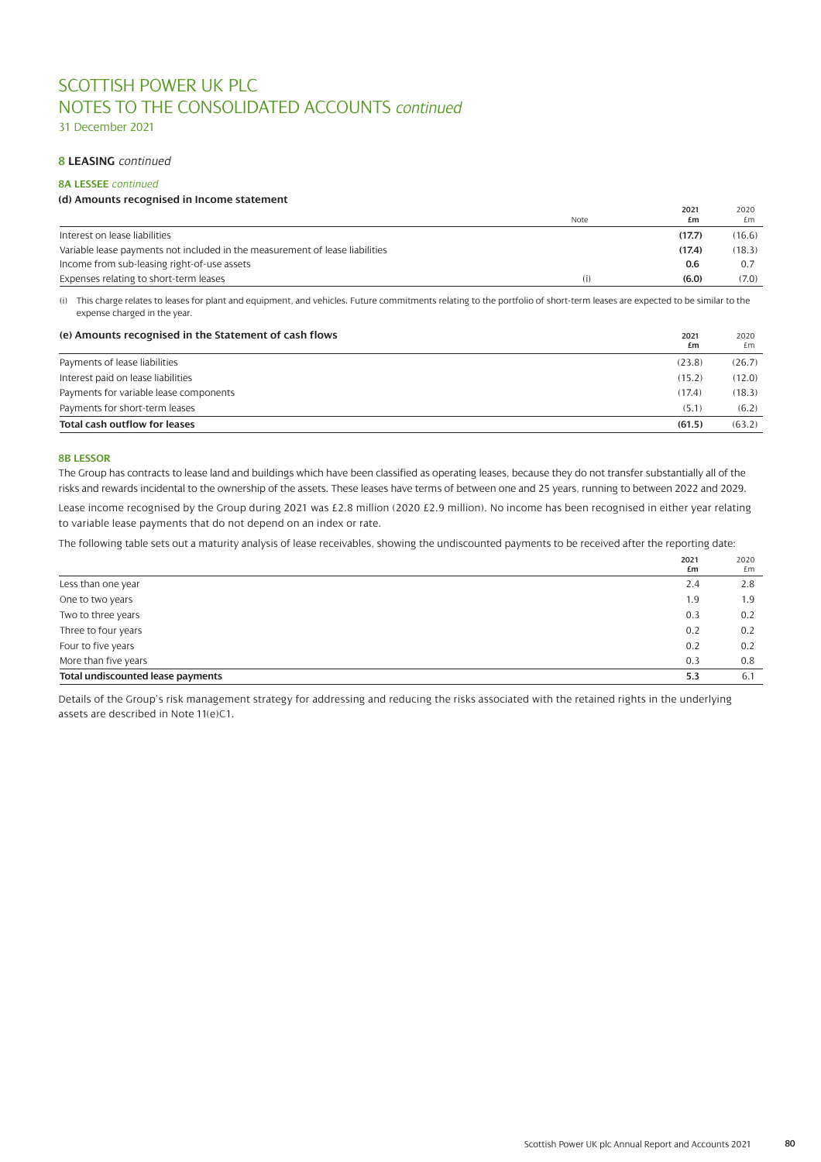31 December 2021

# **8 LEASING** *continued*

# **8A LESSEE** *continued*

### **(d) Amounts recognised in Income statement**

|                                                                              | Note | 2021<br>£m | 2020<br>£m |
|------------------------------------------------------------------------------|------|------------|------------|
| Interest on lease liabilities                                                |      | (17.7)     | (16.6)     |
| Variable lease payments not included in the measurement of lease liabilities |      | (17.4)     | (18.3)     |
| Income from sub-leasing right-of-use assets                                  |      | 0.6        | 0.7        |
| Expenses relating to short-term leases                                       | (i)  | (6.0)      | (7.0)      |

(i) This charge relates to leases for plant and equipment, and vehicles. Future commitments relating to the portfolio of short-term leases are expected to be similar to the expense charged in the year.

| (e) Amounts recognised in the Statement of cash flows | 2021<br>£m | 2020<br>£m |
|-------------------------------------------------------|------------|------------|
| Payments of lease liabilities                         | (23.8)     | (26.7)     |
| Interest paid on lease liabilities                    | (15.2)     | (12.0)     |
| Payments for variable lease components                | (17.4)     | (18.3)     |
| Payments for short-term leases                        | (5.1)      | (6.2)      |
| <b>Total cash outflow for leases</b>                  | (61.5)     | (63.2)     |

#### **8B LESSOR**

The Group has contracts to lease land and buildings which have been classified as operating leases, because they do not transfer substantially all of the risks and rewards incidental to the ownership of the assets. These leases have terms of between one and 25 years, running to between 2022 and 2029.

Lease income recognised by the Group during 2021 was £2.8 million (2020 £2.9 million). No income has been recognised in either year relating to variable lease payments that do not depend on an index or rate.

The following table sets out a maturity analysis of lease receivables, showing the undiscounted payments to be received after the reporting date:

|                                   | 2021<br>£m | 2020<br>£m |
|-----------------------------------|------------|------------|
| Less than one year                | 2.4        | 2.8        |
| One to two years                  | 1.9        | 1.9        |
| Two to three years                | 0.3        | 0.2        |
| Three to four years               | 0.2        | 0.2        |
| Four to five years                | 0.2        | 0.2        |
| More than five years              | 0.3        | 0.8        |
| Total undiscounted lease payments | 5.3        | 6.1        |

Details of the Group's risk management strategy for addressing and reducing the risks associated with the retained rights in the underlying assets are described in Note 11(e)C1.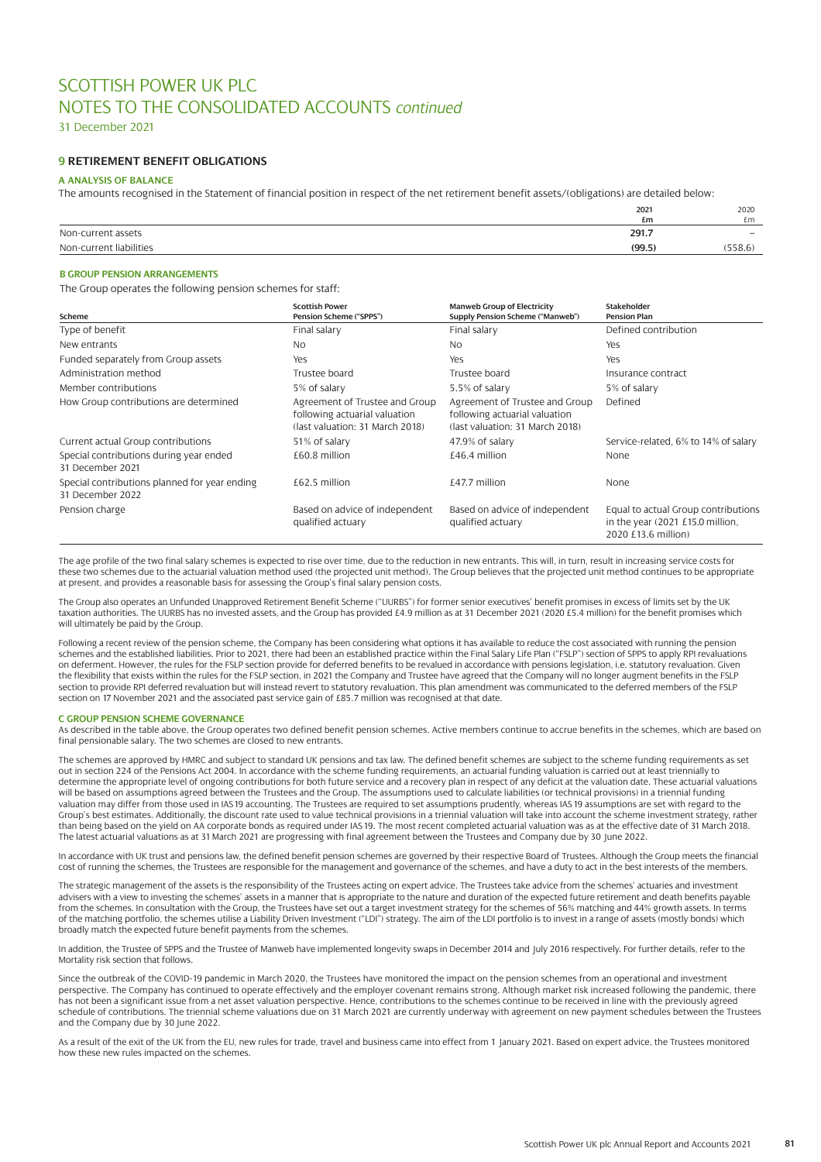31 December 2021

# **9 RETIREMENT BENEFIT OBLIGATIONS**

### **A ANALYSIS OF BALANCE**

The amounts recognised in the Statement of financial position in respect of the net retirement benefit assets/(obligations) are detailed below:

|                         | 2021<br>£m | 2020<br>£m               |
|-------------------------|------------|--------------------------|
| Non-current assets      | 291.7      | $\overline{\phantom{a}}$ |
| Non-current liabilities | (99.5)     | (558.6)                  |

### **B GROUP PENSION ARRANGEMENTS**

The Group operates the following pension schemes for staff:

| Scheme                                                            | <b>Scottish Power</b><br>Pension Scheme ("SPPS")                                                   | <b>Manweb Group of Electricity</b><br>Supply Pension Scheme ("Manweb")                             | Stakeholder<br><b>Pension Plan</b>                                                             |
|-------------------------------------------------------------------|----------------------------------------------------------------------------------------------------|----------------------------------------------------------------------------------------------------|------------------------------------------------------------------------------------------------|
| Type of benefit                                                   | Final salary                                                                                       | Final salary                                                                                       | Defined contribution                                                                           |
| New entrants                                                      | N <sub>O</sub>                                                                                     | N <sub>O</sub>                                                                                     | Yes                                                                                            |
| Funded separately from Group assets                               | Yes                                                                                                | Yes                                                                                                | Yes                                                                                            |
| Administration method                                             | Trustee board                                                                                      | Trustee board                                                                                      | Insurance contract                                                                             |
| Member contributions                                              | 5% of salary                                                                                       | 5.5% of salary                                                                                     | 5% of salary                                                                                   |
| How Group contributions are determined                            | Agreement of Trustee and Group<br>following actuarial valuation<br>(last valuation: 31 March 2018) | Agreement of Trustee and Group<br>following actuarial valuation<br>(last valuation: 31 March 2018) | Defined                                                                                        |
| Current actual Group contributions                                | 51% of salary                                                                                      | 47.9% of salary                                                                                    | Service-related, 6% to 14% of salary                                                           |
| Special contributions during year ended<br>31 December 2021       | £60.8 million                                                                                      | £46.4 million                                                                                      | None                                                                                           |
| Special contributions planned for year ending<br>31 December 2022 | £62.5 million                                                                                      | $£47.7$ million                                                                                    | None                                                                                           |
| Pension charge                                                    | Based on advice of independent<br>qualified actuary                                                | Based on advice of independent<br>qualified actuary                                                | Equal to actual Group contributions<br>in the year (2021 £15.0 million,<br>2020 £13.6 million) |

The age profile of the two final salary schemes is expected to rise over time, due to the reduction in new entrants. This will, in turn, result in increasing service costs for these two schemes due to the actuarial valuation method used (the projected unit method). The Group believes that the projected unit method continues to be appropriate at present, and provides a reasonable basis for assessing the Group's final salary pension costs.

The Group also operates an Unfunded Unapproved Retirement Benefit Scheme ("UURBS") for former senior executives' benefit promises in excess of limits set by the UK taxation authorities. The UURBS has no invested assets, and the Group has provided £4.9 million as at 31 December 2021 (2020 £5.4 million) for the benefit promises which will ultimately be paid by the Group.

Following a recent review of the pension scheme, the Company has been considering what options it has available to reduce the cost associated with running the pension schemes and the established liabilities. Prior to 2021, there had been an established practice within the Final Salary Life Plan ("FSLP") section of SPPS to apply RPI revaluations on deferment. However, the rules for the FSLP section provide for deferred benefits to be revalued in accordance with pensions legislation, i.e. statutory revaluation. Given the flexibility that exists within the rules for the FSLP section, in 2021 the Company and Trustee have agreed that the Company will no longer augment benefits in the FSLP section to provide RPI deferred revaluation but will instead revert to statutory revaluation. This plan amendment was communicated to the deferred members of the FSLP section on 17 November 2021 and the associated past service gain of £85.7 million was recognised at that date.

#### **C GROUP PENSION SCHEME GOVERNANCE**

As described in the table above, the Group operates two defined benefit pension schemes. Active members continue to accrue benefits in the schemes, which are based on final pensionable salary. The two schemes are closed to new entrants.

The schemes are approved by HMRC and subject to standard UK pensions and tax law. The defined benefit schemes are subject to the scheme funding requirements as set out in section 224 of the Pensions Act 2004. In accordance with the scheme funding requirements, an actuarial funding valuation is carried out at least triennially to determine the appropriate level of ongoing contributions for both future service and a recovery plan in respect of any deficit at the valuation date. These actuarial valuations will be based on assumptions agreed between the Trustees and the Group. The assumptions used to calculate liabilities (or technical provisions) in a triennial funding valuation may differ from those used in IAS19 accounting. The Trustees are required to set assumptions prudently, whereas IAS 19 assumptions are set with regard to the Group's best estimates. Additionally, the discount rate used to value technical provisions in a triennial valuation will take into account the scheme investment strategy, rather than being based on the yield on AA corporate bonds as required under IAS 19. The most recent completed actuarial valuation was as at the effective date of 31 March 2018. The latest actuarial valuations as at 31 March 2021 are progressing with final agreement between the Trustees and Company due by 30 June 2022.

In accordance with UK trust and pensions law, the defined benefit pension schemes are governed by their respective Board of Trustees. Although the Group meets the financial cost of running the schemes, the Trustees are responsible for the management and governance of the schemes, and have a duty to act in the best interests of the members.

The strategic management of the assets is the responsibility of the Trustees acting on expert advice. The Trustees take advice from the schemes' actuaries and investment advisers with a view to investing the schemes' assets in a manner that is appropriate to the nature and duration of the expected future retirement and death benefits payable from the schemes. In consultation with the Group, the Trustees have set out a target investment strategy for the schemes of 56% matching and 44% growth assets. In terms of the matching portfolio, the schemes utilise a Liability Driven Investment ("LDI") strategy. The aim of the LDI portfolio is to invest in a range of assets (mostly bonds) which broadly match the expected future benefit payments from the schemes.

In addition, the Trustee of SPPS and the Trustee of Manweb have implemented longevity swaps in December 2014 and July 2016 respectively. For further details, refer to the Mortality risk section that follows.

Since the outbreak of the COVID-19 pandemic in March 2020, the Trustees have monitored the impact on the pension schemes from an operational and investment perspective. The Company has continued to operate effectively and the employer covenant remains strong. Although market risk increased following the pandemic, there has not been a significant issue from a net asset valuation perspective. Hence, contributions to the schemes continue to be received in line with the previously agreed schedule of contributions. The triennial scheme valuations due on 31 March 2021 are currently underway with agreement on new payment schedules between the Trustees and the Company due by 30 June 2022.

As a result of the exit of the UK from the EU, new rules for trade, travel and business came into effect from 1 January 2021. Based on expert advice, the Trustees monitored how these new rules impacted on the schemes.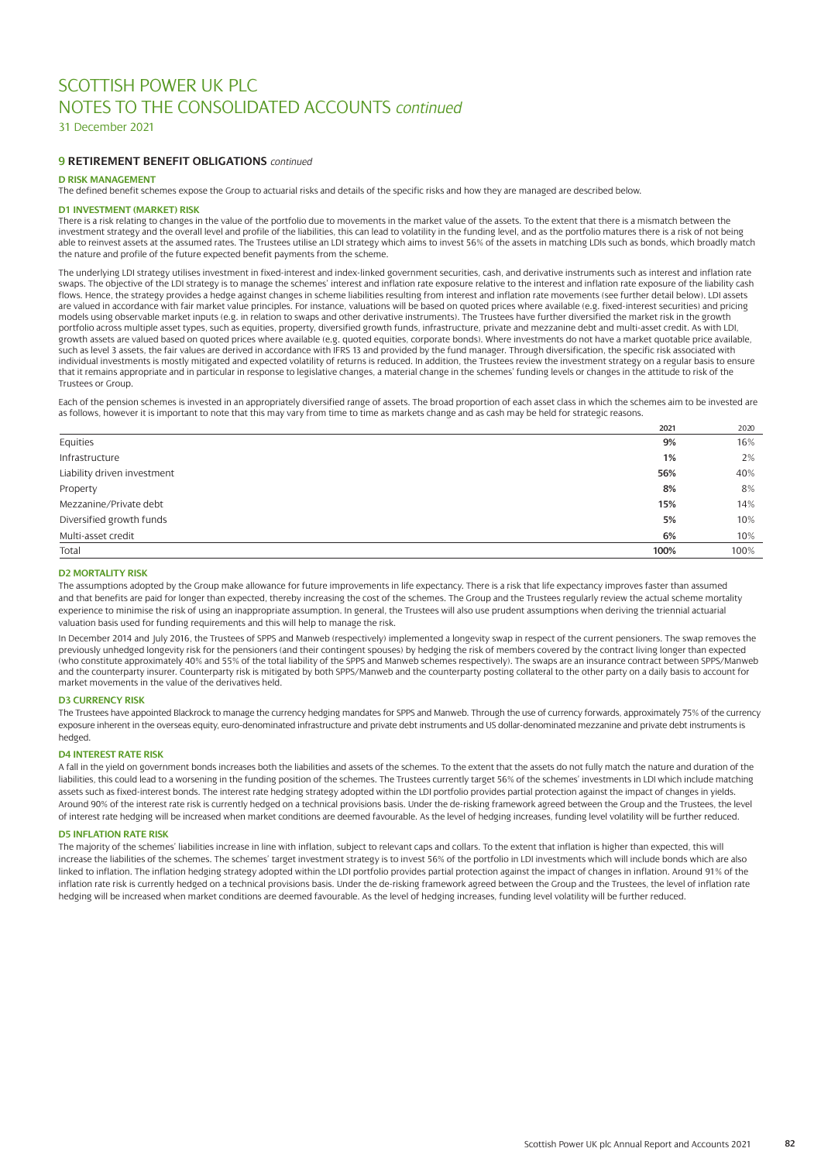31 December 2021

# **9 RETIREMENT BENEFIT OBLIGATIONS** *continued*

### **D RISK MANAGEMENT**

The defined benefit schemes expose the Group to actuarial risks and details of the specific risks and how they are managed are described below.

#### **D1 INVESTMENT (MARKET) RISK**

There is a risk relating to changes in the value of the portfolio due to movements in the market value of the assets. To the extent that there is a mismatch between the investment strategy and the overall level and profile of the liabilities, this can lead to volatility in the funding level, and as the portfolio matures there is a risk of not being able to reinvest assets at the assumed rates. The Trustees utilise an LDI strategy which aims to invest 56% of the assets in matching LDIs such as bonds, which broadly match the nature and profile of the future expected benefit payments from the scheme.

The underlying LDI strategy utilises investment in fixed-interest and index-linked government securities, cash, and derivative instruments such as interest and inflation rate swaps. The objective of the LDI strategy is to manage the schemes' interest and inflation rate exposure relative to the interest and inflation rate exposure of the liability cash flows. Hence, the strategy provides a hedge against changes in scheme liabilities resulting from interest and inflation rate movements (see further detail below). LDI assets are valued in accordance with fair market value principles. For instance, valuations will be based on quoted prices where available (e.g. fixed-interest securities) and pricing models using observable market inputs (e.g. in relation to swaps and other derivative instruments). The Trustees have further diversified the market risk in the growth portfolio across multiple asset types, such as equities, property, diversified growth funds, infrastructure, private and mezzanine debt and multi-asset credit. As with LDI, growth assets are valued based on quoted prices where available (e.g. quoted equities, corporate bonds). Where investments do not have a market quotable price available, such as level 3 assets, the fair values are derived in accordance with IFRS 13 and provided by the fund manager. Through diversification, the specific risk associated with<br>individual investments is mostly mitigated and exp that it remains appropriate and in particular in response to legislative changes, a material change in the schemes' funding levels or changes in the attitude to risk of the Trustees or Group.

Each of the pension schemes is invested in an appropriately diversified range of assets. The broad proportion of each asset class in which the schemes aim to be invested are as follows, however it is important to note that this may vary from time to time as markets change and as cash may be held for strategic reasons.

|                             | 2021 | 2020 |
|-----------------------------|------|------|
| Equities                    | 9%   | 16%  |
| Infrastructure              | 1%   | 2%   |
| Liability driven investment | 56%  | 40%  |
| Property                    | 8%   | 8%   |
| Mezzanine/Private debt      | 15%  | 14%  |
| Diversified growth funds    | 5%   | 10%  |
| Multi-asset credit          | 6%   | 10%  |
| Total                       | 100% | 100% |

#### **D2 MORTALITY RISK**

The assumptions adopted by the Group make allowance for future improvements in life expectancy. There is a risk that life expectancy improves faster than assumed and that benefits are paid for longer than expected, thereby increasing the cost of the schemes. The Group and the Trustees regularly review the actual scheme mortality experience to minimise the risk of using an inappropriate assumption. In general, the Trustees will also use prudent assumptions when deriving the triennial actuarial valuation basis used for funding requirements and this will help to manage the risk.

In December 2014 and July 2016, the Trustees of SPPS and Manweb (respectively) implemented a longevity swap in respect of the current pensioners. The swap removes the previously unhedged longevity risk for the pensioners (and their contingent spouses) by hedging the risk of members covered by the contract living longer than expected (who constitute approximately 40% and 55% of the total liability of the SPPS and Manweb schemes respectively). The swaps are an insurance contract between SPPS/Manweb and the counterparty insurer. Counterparty risk is mitigated by both SPPS/Manweb and the counterparty posting collateral to the other party on a daily basis to account for market movements in the value of the derivatives held.

### **D3 CURRENCY RISK**

The Trustees have appointed Blackrock to manage the currency hedging mandates for SPPS and Manweb. Through the use of currency forwards, approximately 75% of the currency exposure inherent in the overseas equity, euro-denominated infrastructure and private debt instruments and US dollar-denominated mezzanine and private debt instruments is hedged.

#### **D4 INTEREST RATE RISK**

A fall in the yield on government bonds increases both the liabilities and assets of the schemes. To the extent that the assets do not fully match the nature and duration of the liabilities, this could lead to a worsening in the funding position of the schemes. The Trustees currently target 56% of the schemes' investments in LDI which include matching assets such as fixed-interest bonds. The interest rate hedging strategy adopted within the LDI portfolio provides partial protection against the impact of changes in yields. Around 90% of the interest rate risk is currently hedged on a technical provisions basis. Under the de-risking framework agreed between the Group and the Trustees, the level of interest rate hedging will be increased when market conditions are deemed favourable. As the level of hedging increases, funding level volatility will be further reduced.

#### **D5 INFLATION RATE RISK**

The majority of the schemes' liabilities increase in line with inflation, subject to relevant caps and collars. To the extent that inflation is higher than expected, this will increase the liabilities of the schemes. The schemes' target investment strategy is to invest 56% of the portfolio in LDI investments which will include bonds which are also linked to inflation. The inflation hedging strategy adopted within the LDI portfolio provides partial protection against the impact of changes in inflation. Around 91% of the inflation rate risk is currently hedged on a technical provisions basis. Under the de-risking framework agreed between the Group and the Trustees, the level of inflation rate hedging will be increased when market conditions are deemed favourable. As the level of hedging increases, funding level volatility will be further reduced.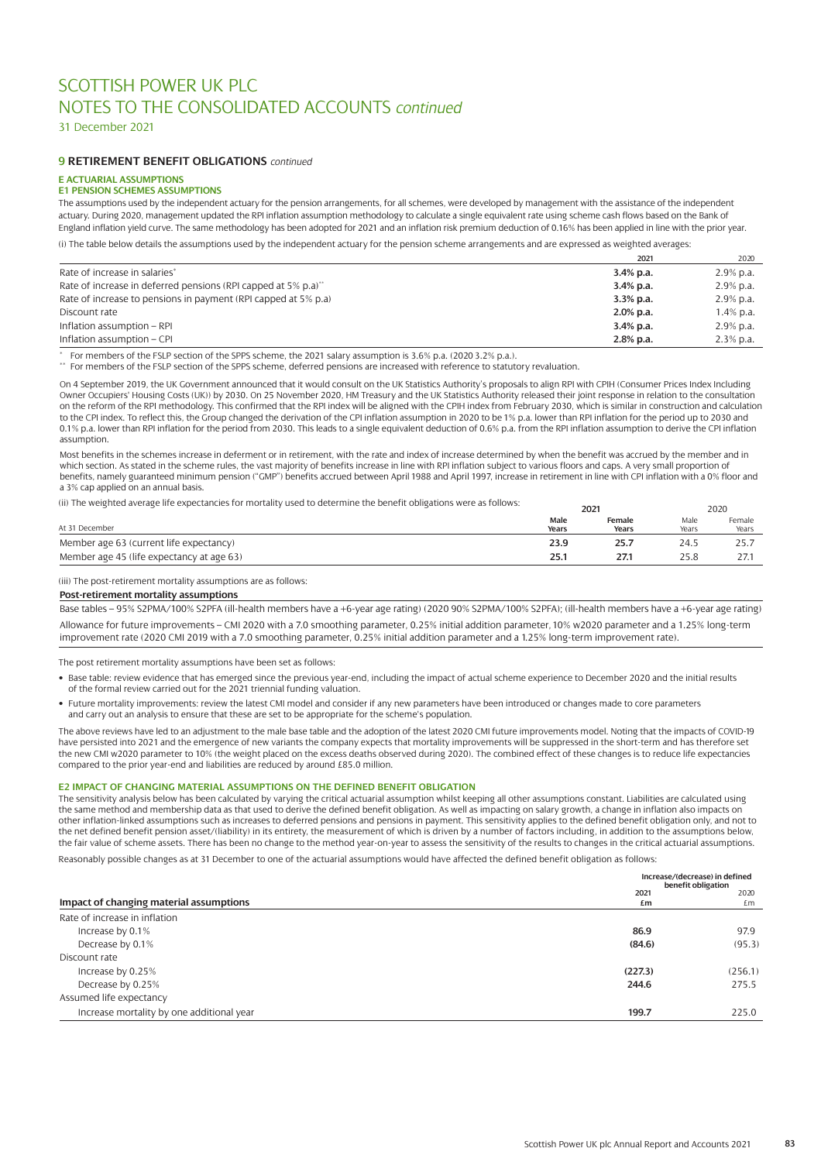31 December 2021

### **9 RETIREMENT BENEFIT OBLIGATIONS** *continued*

# **E ACTUARIAL ASSUMPTIONS**

# **E1 PENSION SCHEMES ASSUMPTIONS**

The assumptions used by the independent actuary for the pension arrangements, for all schemes, were developed by management with the assistance of the independent actuary. During 2020, management updated the RPI inflation assumption methodology to calculate a single equivalent rate using scheme cash flows based on the Bank of England inflation yield curve. The same methodology has been adopted for 2021 and an inflation risk premium deduction of 0.16% has been applied in line with the prior year.

(i) The table below details the assumptions used by the independent actuary for the pension scheme arrangements and are expressed as weighted averages:

|                                                                | 2021         | 2020         |
|----------------------------------------------------------------|--------------|--------------|
| Rate of increase in salaries*                                  | $3.4\%$ p.a. | $2.9\%$ p.a. |
| Rate of increase in deferred pensions (RPI capped at 5% p.a)** | $3.4\%$ p.a. | $2.9\%$ p.a. |
| Rate of increase to pensions in payment (RPI capped at 5% p.a) | $3.3\%$ p.a. | $2.9\%$ p.a. |
| Discount rate                                                  | $2.0\%$ p.a. | 1.4% p.a.    |
| Inflation assumption - RPI                                     | $3.4\%$ p.a. | $2.9\%$ p.a. |
| Inflation assumption – CPI                                     | 2.8% p.a.    | $2.3\%$ p.a. |

\* For members of the FSLP section of the SPPS scheme, the 2021 salary assumption is 3.6% p.a. (2020 3.2% p.a.).

For members of the FSLP section of the SPPS scheme, deferred pensions are increased with reference to statutory revaluation.

On 4 September 2019, the UK Government announced that it would consult on the UK Statistics Authority's proposals to align RPI with CPIH (Consumer Prices Index Including Owner Occupiers' Housing Costs (UK)) by 2030. On 25 November 2020, HM Treasury and the UK Statistics Authority released their joint response in relation to the consultation on the reform of the RPI methodology. This confirmed that the RPI index will be aligned with the CPIH index from February 2030, which is similar in construction and calculation to the CPI index. To reflect this, the Group changed the derivation of the CPI inflation assumption in 2020 to be 1% p.a. lower than RPI inflation for the period up to 2030 and 0.1% p.a. lower than RPI inflation for the period from 2030. This leads to a single equivalent deduction of 0.6% p.a. from the RPI inflation assumption to derive the CPI inflation assumption.

Most benefits in the schemes increase in deferment or in retirement, with the rate and index of increase determined by when the benefit was accrued by the member and in which section. As stated in the scheme rules, the vast majority of benefits increase in line with RPI inflation subject to various floors and caps. A very small proportion of benefits, namely guaranteed minimum pension ("GMP") benefits accrued between April 1988 and April 1997, increase in retirement in line with CPI inflation with a 0% floor and a 3% cap applied on an annual basis.

(ii) The weighted average life expectancies for mortality used to determine the benefit obligations were as follows:

|                                           | 2021          |                 | 2020          |                 |  |
|-------------------------------------------|---------------|-----------------|---------------|-----------------|--|
| At 31 December                            | Male<br>Years | Female<br>Years | Male<br>Years | Female<br>Years |  |
| Member age 63 (current life expectancy)   | 23.9          | 25.7            | 24.5          | 25.,            |  |
| Member age 45 (life expectancy at age 63) | 25.1          | 27.1            | 25.8          | 21.1            |  |

(iii) The post-retirement mortality assumptions are as follows:

#### **Post-retirement mortality assumptions**

Base tables – 95% S2PMA/100% S2PFA (ill-health members have a +6-year age rating) (2020 90% S2PMA/100% S2PFA); (ill-health members have a +6-year age rating) Allowance for future improvements – CMI 2020 with a 7.0 smoothing parameter, 0.25% initial addition parameter, 10% w2020 parameter and a 1.25% long-term improvement rate (2020 CMI 2019 with a 7.0 smoothing parameter, 0.25% initial addition parameter and a 1.25% long-term improvement rate).

The post retirement mortality assumptions have been set as follows:

- Base table: review evidence that has emerged since the previous year-end, including the impact of actual scheme experience to December 2020 and the initial results of the formal review carried out for the 2021 triennial funding valuation.
- Future mortality improvements: review the latest CMI model and consider if any new parameters have been introduced or changes made to core parameters and carry out an analysis to ensure that these are set to be appropriate for the scheme's population.

The above reviews have led to an adjustment to the male base table and the adoption of the latest 2020 CMI future improvements model. Noting that the impacts of COVID-19 have persisted into 2021 and the emergence of new variants the company expects that mortality improvements will be suppressed in the short-term and has therefore set the new CMI w2020 parameter to 10% (the weight placed on the excess deaths observed during 2020). The combined effect of these changes is to reduce life expectancies compared to the prior year-end and liabilities are reduced by around £85.0 million.

#### **E2 IMPACT OF CHANGING MATERIAL ASSUMPTIONS ON THE DEFINED BENEFIT OBLIGATION**

The sensitivity analysis below has been calculated by varying the critical actuarial assumption whilst keeping all other assumptions constant. Liabilities are calculated using the same method and membership data as that used to derive the defined benefit obligation. As well as impacting on salary growth, a change in inflation also impacts on other inflation-linked assumptions such as increases to deferred pensions and pensions in payment. This sensitivity applies to the defined benefit obligation only, and not to the net defined benefit pension asset/(liability) in its entirety, the measurement of which is driven by a number of factors including, in addition to the assumptions below, the fair value of scheme assets. There has been no change to the method year-on-year to assess the sensitivity of the results to changes in the critical actuarial assumptions.

Reasonably possible changes as at 31 December to one of the actuarial assumptions would have affected the defined benefit obligation as follows:

|                                           |            | Increase/(decrease) in defined<br>benefit obligation |  |  |
|-------------------------------------------|------------|------------------------------------------------------|--|--|
| Impact of changing material assumptions   | 2021<br>£m | 2020<br>£m                                           |  |  |
| Rate of increase in inflation             |            |                                                      |  |  |
| Increase by 0.1%                          | 86.9       | 97.9                                                 |  |  |
| Decrease by 0.1%                          | (84.6)     | (95.3)                                               |  |  |
| Discount rate                             |            |                                                      |  |  |
| Increase by 0.25%                         | (227.3)    | (256.1)                                              |  |  |
| Decrease by 0.25%                         | 244.6      | 275.5                                                |  |  |
| Assumed life expectancy                   |            |                                                      |  |  |
| Increase mortality by one additional year | 199.7      | 225.0                                                |  |  |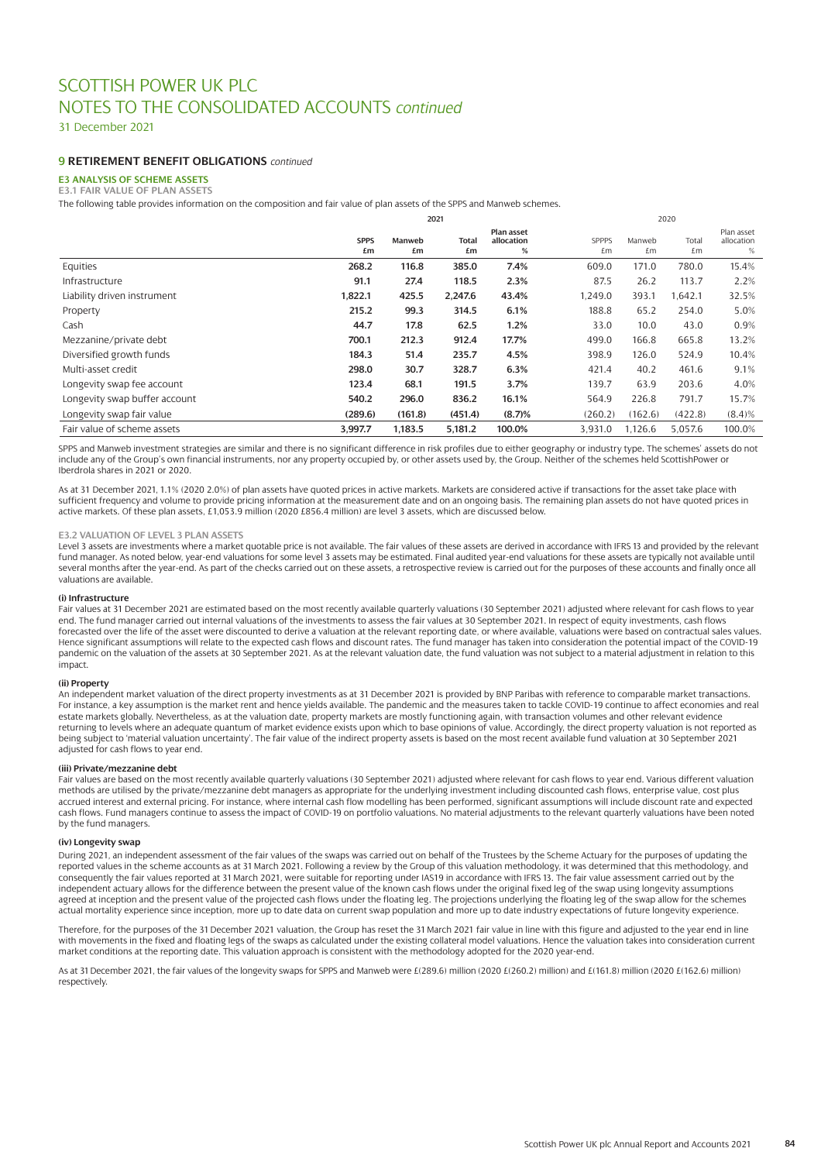31 December 2021

# **9 RETIREMENT BENEFIT OBLIGATIONS** *continued*

# **E3 ANALYSIS OF SCHEME ASSETS**

**E3.1 FAIR VALUE OF PLAN ASSETS**

The following table provides information on the composition and fair value of plan assets of the SPPS and Manweb schemes.

|                               | 2021              |              |             |                               | 2020               |              |             |                               |
|-------------------------------|-------------------|--------------|-------------|-------------------------------|--------------------|--------------|-------------|-------------------------------|
|                               | <b>SPPS</b><br>£m | Manweb<br>£m | Total<br>£m | Plan asset<br>allocation<br>% | <b>SPPPS</b><br>£m | Manweb<br>£m | Total<br>£m | Plan asset<br>allocation<br>% |
| Equities                      | 268.2             | 116.8        | 385.0       | 7.4%                          | 609.0              | 171.0        | 780.0       | 15.4%                         |
| Infrastructure                | 91.1              | 27.4         | 118.5       | 2.3%                          | 87.5               | 26.2         | 113.7       | 2.2%                          |
| Liability driven instrument   | 1,822.1           | 425.5        | 2,247.6     | 43.4%                         | 1,249.0            | 393.1        | 1,642.1     | 32.5%                         |
| Property                      | 215.2             | 99.3         | 314.5       | 6.1%                          | 188.8              | 65.2         | 254.0       | 5.0%                          |
| Cash                          | 44.7              | 17.8         | 62.5        | 1.2%                          | 33.0               | 10.0         | 43.0        | 0.9%                          |
| Mezzanine/private debt        | 700.1             | 212.3        | 912.4       | 17.7%                         | 499.0              | 166.8        | 665.8       | 13.2%                         |
| Diversified growth funds      | 184.3             | 51.4         | 235.7       | 4.5%                          | 398.9              | 126.0        | 524.9       | 10.4%                         |
| Multi-asset credit            | 298.0             | 30.7         | 328.7       | 6.3%                          | 421.4              | 40.2         | 461.6       | 9.1%                          |
| Longevity swap fee account    | 123.4             | 68.1         | 191.5       | 3.7%                          | 139.7              | 63.9         | 203.6       | 4.0%                          |
| Longevity swap buffer account | 540.2             | 296.0        | 836.2       | 16.1%                         | 564.9              | 226.8        | 791.7       | 15.7%                         |
| Longevity swap fair value     | (289.6)           | (161.8)      | (451.4)     | (8.7)%                        | (260.2)            | (162.6)      | (422.8)     | $(8.4)\%$                     |
| Fair value of scheme assets   | 3,997.7           | 1,183.5      | 5,181.2     | 100.0%                        | 3,931.0            | 1,126.6      | 5,057.6     | 100.0%                        |

SPPS and Manweb investment strategies are similar and there is no significant difference in risk profiles due to either geography or industry type. The schemes' assets do not include any of the Group's own financial instruments, nor any property occupied by, or other assets used by, the Group. Neither of the schemes held ScottishPower or Iberdrola shares in 2021 or 2020.

As at 31 December 2021, 1.1% (2020, 2.0%) of plan assets have quoted prices in active markets. Markets are considered active if transactions for the asset take place with sufficient frequency and volume to provide pricing information at the measurement date and on an ongoing basis. The remaining plan assets do not have quoted prices in active markets. Of these plan assets, £1,053.9 million (2020 £856.4 million) are level 3 assets, which are discussed below.

#### **E3.2 VALUATION OF LEVEL 3 PLAN ASSETS**

Level 3 assets are investments where a market quotable price is not available. The fair values of these assets are derived in accordance with IFRS 13 and provided by the relevant fund manager. As noted below, year-end valuations for some level 3 assets may be estimated. Final audited year-end valuations for these assets are typically not available until several months after the year-end. As part of the checks carried out on these assets, a retrospective review is carried out for the purposes of these accounts and finally once all valuations are available.

#### **(i) Infrastructure**

Fair values at 31 December 2021 are estimated based on the most recently available quarterly valuations (30 September 2021) adjusted where relevant for cash flows to year end. The fund manager carried out internal valuations of the investments to assess the fair values at 30 September 2021. In respect of equity investments, cash flows forecasted over the life of the asset were discounted to derive a valuation at the relevant reporting date, or where available, valuations were based on contractual sales values. Hence significant assumptions will relate to the expected cash flows and discount rates. The fund manager has taken into consideration the potential impact of the COVID-19 pandemic on the valuation of the assets at 30 September 2021. As at the relevant valuation date, the fund valuation was not subject to a material adjustment in relation to this impact.

#### **(ii) Property**

An independent market valuation of the direct property investments as at 31 December 2021 is provided by BNP Paribas with reference to comparable market transactions. For instance, a key assumption is the market rent and hence yields available. The pandemic and the measures taken to tackle COVID-19 continue to affect economies and real estate markets globally. Nevertheless, as at the valuation date, property markets are mostly functioning again, with transaction volumes and other relevant evidence returning to levels where an adequate quantum of market evidence exists upon which to base opinions of value. Accordingly, the direct property valuation is not reported as being subject to 'material valuation uncertainty'. The fair value of the indirect property assets is based on the most recent available fund valuation at 30 September 2021 adjusted for cash flows to year end.

#### **(iii) Private/mezzanine debt**

Fair values are based on the most recently available quarterly valuations (30 September 2021) adjusted where relevant for cash flows to year end. Various different valuation methods are utilised by the private/mezzanine debt managers as appropriate for the underlying investment including discounted cash flows, enterprise value, cost plus accrued interest and external pricing. For instance, where internal cash flow modelling has been performed, significant assumptions will include discount rate and expected cash flows. Fund managers continue to assess the impact of COVID-19 on portfolio valuations. No material adjustments to the relevant quarterly valuations have been noted by the fund managers.

#### **(iv) Longevity swap**

During 2021, an independent assessment of the fair values of the swaps was carried out on behalf of the Trustees by the Scheme Actuary for the purposes of updating the reported values in the scheme accounts as at 31 March 2021. Following a review by the Group of this valuation methodology, it was determined that this methodology, and consequently the fair values reported at 31 March 2021, were suitable for reporting under IAS19 in accordance with IFRS 13. The fair value assessment carried out by the independent actuary allows for the difference between the present value of the known cash flows under the original fixed leg of the swap using longevity assumptions agreed at inception and the present value of the projected cash flows under the floating leg. The projections underlying the floating leg of the swap allow for the schemes actual mortality experience since inception, more up to date data on current swap population and more up to date industry expectations of future longevity experience.

Therefore, for the purposes of the 31 December 2021 valuation, the Group has reset the 31 March 2021 fair value in line with this figure and adjusted to the year end in line with movements in the fixed and floating legs of the swaps as calculated under the existing collateral model valuations. Hence the valuation takes into consideration current market conditions at the reporting date. This valuation approach is consistent with the methodology adopted for the 2020 year-end.

As at 31 December 2021, the fair values of the longevity swaps for SPPS and Manweb were £(289.6) million (2020 £(260.2) million) and £(161.8) million (2020 £(162.6) million) respectively.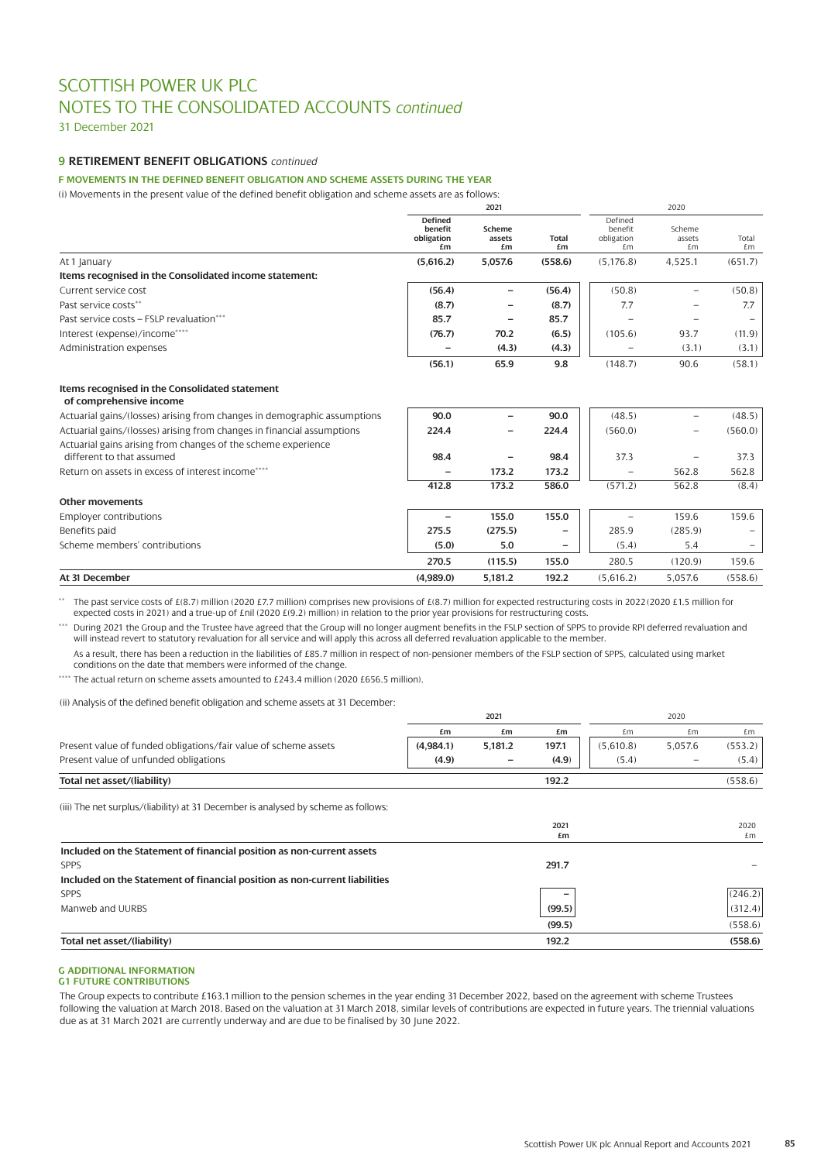31 December 2021

# **9 RETIREMENT BENEFIT OBLIGATIONS** *continued*

**F MOVEMENTS IN THE DEFINED BENEFIT OBLIGATION AND SCHEME ASSETS DURING THE YEAR**

(i) Movements in the present value of the defined benefit obligation and scheme assets are as follows:

|                                                                           | 2021                                          |                          |                    | 2020                                   |                          |                          |  |
|---------------------------------------------------------------------------|-----------------------------------------------|--------------------------|--------------------|----------------------------------------|--------------------------|--------------------------|--|
|                                                                           | <b>Defined</b><br>benefit<br>obligation<br>£m | Scheme<br>assets<br>£m   | <b>Total</b><br>£m | Defined<br>benefit<br>obligation<br>£m | Scheme<br>assets<br>£m   | Total<br>£m              |  |
| At 1 January                                                              | (5,616.2)                                     | 5,057.6                  | (558.6)            | (5, 176.8)                             | 4,525.1                  | (651.7)                  |  |
| Items recognised in the Consolidated income statement:                    |                                               |                          |                    |                                        |                          |                          |  |
| Current service cost                                                      | (56.4)                                        | $\overline{\phantom{0}}$ | (56.4)             | (50.8)                                 | $\overline{\phantom{0}}$ | (50.8)                   |  |
| Past service costs**                                                      | (8.7)                                         |                          | (8.7)              | 7.7                                    |                          | 7.7                      |  |
| Past service costs - FSLP revaluation***                                  | 85.7                                          | $\overline{\phantom{0}}$ | 85.7               |                                        | $\overline{\phantom{0}}$ | $\qquad \qquad -$        |  |
| Interest (expense)/income****                                             | (76.7)                                        | 70.2                     | (6.5)              | (105.6)                                | 93.7                     | (11.9)                   |  |
| Administration expenses                                                   |                                               | (4.3)                    | (4.3)              |                                        | (3.1)                    | (3.1)                    |  |
|                                                                           | (56.1)                                        | 65.9                     | 9.8                | (148.7)                                | 90.6                     | (58.1)                   |  |
| Items recognised in the Consolidated statement<br>of comprehensive income |                                               |                          |                    |                                        |                          |                          |  |
| Actuarial gains/(losses) arising from changes in demographic assumptions  | 90.0                                          |                          | 90.0               | (48.5)                                 | $\overline{\phantom{0}}$ | (48.5)                   |  |
| Actuarial gains/(losses) arising from changes in financial assumptions    | 224.4                                         | $\overline{\phantom{0}}$ | 224.4              | (560.0)                                | $\qquad \qquad -$        | (560.0)                  |  |
| Actuarial gains arising from changes of the scheme experience             |                                               |                          |                    |                                        |                          |                          |  |
| different to that assumed                                                 | 98.4                                          |                          | 98.4               | 37.3                                   |                          | 37.3                     |  |
| Return on assets in excess of interest income****                         |                                               | 173.2                    | 173.2              |                                        | 562.8                    | 562.8                    |  |
|                                                                           | 412.8                                         | 173.2                    | 586.0              | (571.2)                                | 562.8                    | (8.4)                    |  |
| <b>Other movements</b>                                                    |                                               |                          |                    |                                        |                          |                          |  |
| Employer contributions                                                    |                                               | 155.0                    | 155.0              |                                        | 159.6                    | 159.6                    |  |
| Benefits paid                                                             | 275.5                                         | (275.5)                  | $\qquad \qquad -$  | 285.9                                  | (285.9)                  | $\overline{\phantom{m}}$ |  |
| Scheme members' contributions                                             | (5.0)                                         | 5.0                      | $\qquad \qquad -$  | (5.4)                                  | 5.4                      |                          |  |
|                                                                           | 270.5                                         | (115.5)                  | 155.0              | 280.5                                  | (120.9)                  | 159.6                    |  |
| At 31 December                                                            | (4,989.0)                                     | 5,181.2                  | 192.2              | (5,616.2)                              | 5,057.6                  | (558.6)                  |  |

\*\* The past service costs of £(8.7) million (2020 £7.7 million) comprises new provisions of £(8.7) million for expected restructuring costs in 2022 (2020 £1.5 million for expected costs in 2021) and a true-up of £nil (2020 £(9.2) million) in relation to the prior year provisions for restructuring costs.

\*\*\* During 2021 the Group and the Trustee have agreed that the Group will no longer augment benefits in the FSLP section of SPPS to provide RPI deferred revaluation and will instead revert to statutory revaluation for all service and will apply this across all deferred revaluation applicable to the member.

As a result, there has been a reduction in the liabilities of £85.7 million in respect of non-pensioner members of the FSLP section of SPPS, calculated using market conditions on the date that members were informed of the change.

\*\*\*\* The actual return on scheme assets amounted to £243.4 million (2020 £656.5 million).

#### (ii) Analysis of the defined benefit obligation and scheme assets at 31 December:

|                                                                                    | 2021      |         |            | 2020      |                          |            |
|------------------------------------------------------------------------------------|-----------|---------|------------|-----------|--------------------------|------------|
|                                                                                    | £m        | £m      | £m         | £m        | £m                       | £m         |
| Present value of funded obligations/fair value of scheme assets                    | (4,984.1) | 5,181.2 | 197.1      | (5,610.8) | 5,057.6                  | (553.2)    |
| Present value of unfunded obligations                                              | (4.9)     |         | (4.9)      | (5.4)     | $\overline{\phantom{0}}$ | (5.4)      |
| Total net asset/(liability)                                                        |           |         | 192.2      |           |                          | (558.6)    |
| (iii) The net surplus/(liability) at 31 December is analysed by scheme as follows: |           |         |            |           |                          |            |
|                                                                                    |           |         | 2021<br>£m |           |                          | 2020<br>£m |
| Included on the Statement of financial position as non-current assets              |           |         |            |           |                          |            |
| <b>SPPS</b>                                                                        |           |         | 291.7      |           |                          |            |
| Included on the Statement of financial position as non-current liabilities         |           |         |            |           |                          |            |
| <b>SPPS</b>                                                                        |           |         |            |           |                          | (246.2)    |
| Manweb and UURBS                                                                   |           |         | (99.5)     |           |                          | (312.4)    |
|                                                                                    |           |         | (99.5)     |           |                          | (558.6)    |
| Total net asset/(liability)                                                        |           |         | 192.2      |           |                          | (558.6)    |

# **G ADDITIONAL INFORMATION**

#### **G1 FUTURE CONTRIBUTIONS**

The Group expects to contribute £163.1 million to the pension schemes in the year ending 31 December 2022, based on the agreement with scheme Trustees following the valuation at March 2018. Based on the valuation at 31 March 2018, similar levels of contributions are expected in future years. The triennial valuations due as at 31 March 2021 are currently underway and are due to be finalised by 30 June 2022.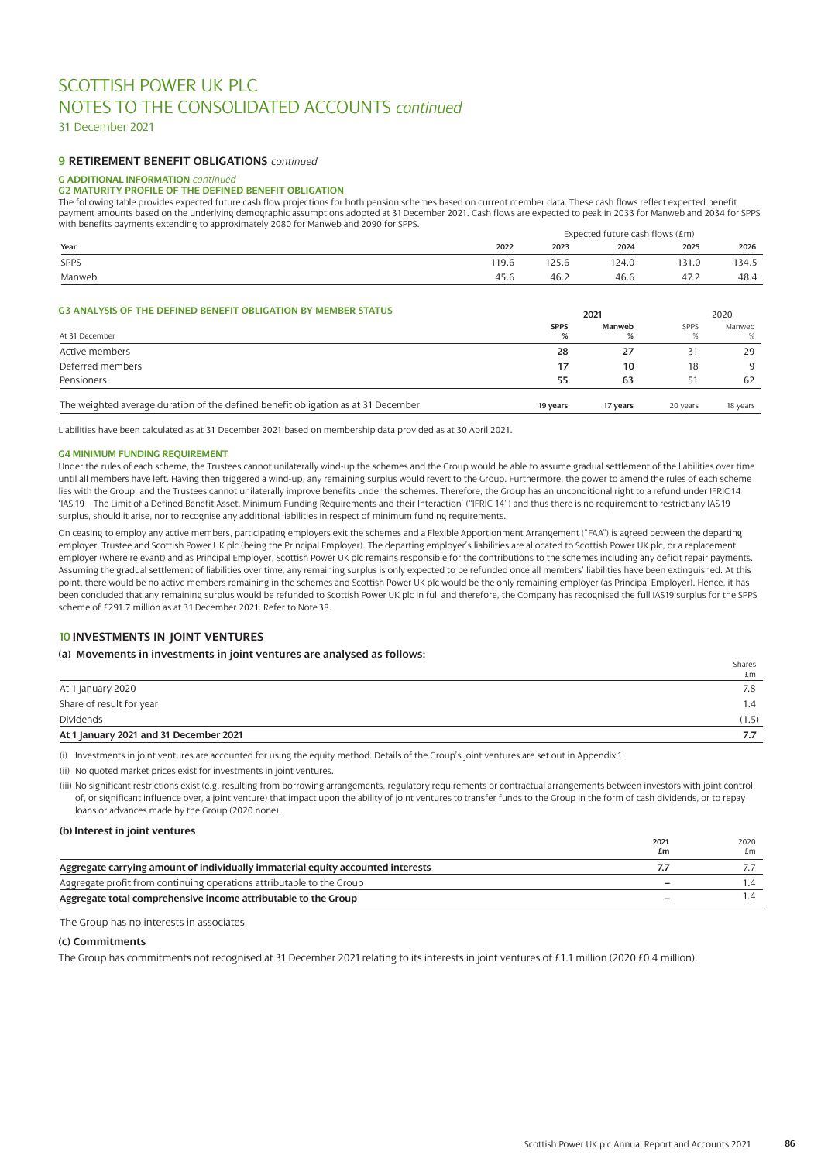31 December 2021

### **9 RETIREMENT BENEFIT OBLIGATIONS** *continued*

### **G ADDITIONAL INFORMATION** *continued*

**G2 MATURITY PROFILE OF THE DEFINED BENEFIT OBLIGATION** 

The following table provides expected future cash flow projections for both pension schemes based on current member data. These cash flows reflect expected benefit payment amounts based on the underlying demographic assumptions adopted at 31 December 2021. Cash flows are expected to peak in 2033 for Manweb and 2034 for SPPS with benefits payments extending to approximately 2080 for Manweb and 2090 for SPPS.

|             |       | Expected future cash flows $(fm)$ |       |       |       |
|-------------|-------|-----------------------------------|-------|-------|-------|
| Year        | 2022  | 2023                              | 2024  | 2025  | 2026  |
| <b>SPPS</b> | 119.6 | 125.6                             | 124.0 | 131.0 | 134.5 |
| Manweb      | 45.6  | 46.2                              | 46.6  | 47.2  | 48.4  |

### **G3 ANALYSIS OF THE DEFINED BENEFIT OBLIGATION BY MEMBER STATUS**

| <b>US ANALISIS OF THE DEFINED DENEFTI ODLIGATION DT MEMDEN STATUS</b>             |             | 2021     |             |          |  |
|-----------------------------------------------------------------------------------|-------------|----------|-------------|----------|--|
|                                                                                   | <b>SPPS</b> | Manweb   | <b>SPPS</b> | Manweb   |  |
| At 31 December                                                                    | %           |          |             | %        |  |
| Active members                                                                    | 28          | 27       |             | 29       |  |
| Deferred members                                                                  | 17          | 10       | 18          | Q        |  |
| Pensioners                                                                        | 55          | 63       | 51          | 62       |  |
| The weighted average duration of the defined benefit obligation as at 31 December | 19 years    | 17 years | 20 years    | 18 years |  |

Liabilities have been calculated as at 31 December 2021 based on membership data provided as at 30 April 2021.

#### **G4 MINIMUM FUNDING REQUIREMENT**

Under the rules of each scheme, the Trustees cannot unilaterally wind-up the schemes and the Group would be able to assume gradual settlement of the liabilities over time until all members have left. Having then triggered a wind-up, any remaining surplus would revert to the Group. Furthermore, the power to amend the rules of each scheme lies with the Group, and the Trustees cannot unilaterally improve benefits under the schemes. Therefore, the Group has an unconditional right to a refund under IFRIC 14 'IAS 19 – The Limit of a Defined Benefit Asset, Minimum Funding Requirements and their Interaction' ("IFRIC 14") and thus there is no requirement to restrict any IAS 19 surplus, should it arise, nor to recognise any additional liabilities in respect of minimum funding requirements.

On ceasing to employ any active members, participating employers exit the schemes and a Flexible Apportionment Arrangement ("FAA") is agreed between the departing employer, Trustee and Scottish Power UK plc (being the Principal Employer). The departing employer's liabilities are allocated to Scottish Power UK plc, or a replacement employer (where relevant) and as Principal Employer, Scottish Power UK plc remains responsible for the contributions to the schemes including any deficit repair payments. Assuming the gradual settlement of liabilities over time, any remaining surplus is only expected to be refunded once all members' liabilities have been extinguished. At this point, there would be no active members remaining in the schemes and Scottish Power UK plc would be the only remaining employer (as Principal Employer). Hence, it has been concluded that any remaining surplus would be refunded to Scottish Power UK plc in full and therefore, the Company has recognised the full IAS19 surplus for the SPPS scheme of £291.7 million as at 31 December 2021. Refer to Note 38.

### **10 INVESTMENTS IN JOINT VENTURES**

#### **(a) Movements in investments in joint ventures are analysed as follows:**

|                                        | Shares<br>£m |
|----------------------------------------|--------------|
| At 1 January 2020                      | 7.8          |
| Share of result for year               | 1.4          |
| Dividends                              | (1.5)        |
| At 1 January 2021 and 31 December 2021 |              |

(i) Investments in joint ventures are accounted for using the equity method. Details of the Group's joint ventures are set out in Appendix 1.

(ii) No quoted market prices exist for investments in joint ventures.

(iii) No significant restrictions exist (e.g. resulting from borrowing arrangements, regulatory requirements or contractual arrangements between investors with joint control of, or significant influence over, a joint venture) that impact upon the ability of joint ventures to transfer funds to the Group in the form of cash dividends, or to repay loans or advances made by the Group (2020 none).

#### **(b) Interest in joint ventures**

|                                                                                 | 2021<br>£m | 2020<br>£m |
|---------------------------------------------------------------------------------|------------|------------|
| Aggregate carrying amount of individually immaterial equity accounted interests |            |            |
| Aggregate profit from continuing operations attributable to the Group           |            | IД         |
| Aggregate total comprehensive income attributable to the Group                  |            |            |

The Group has no interests in associates.

### **(c) Commitments**

The Group has commitments not recognised at 31 December 2021 relating to its interests in joint ventures of £1.1 million (2020 £0.4 million).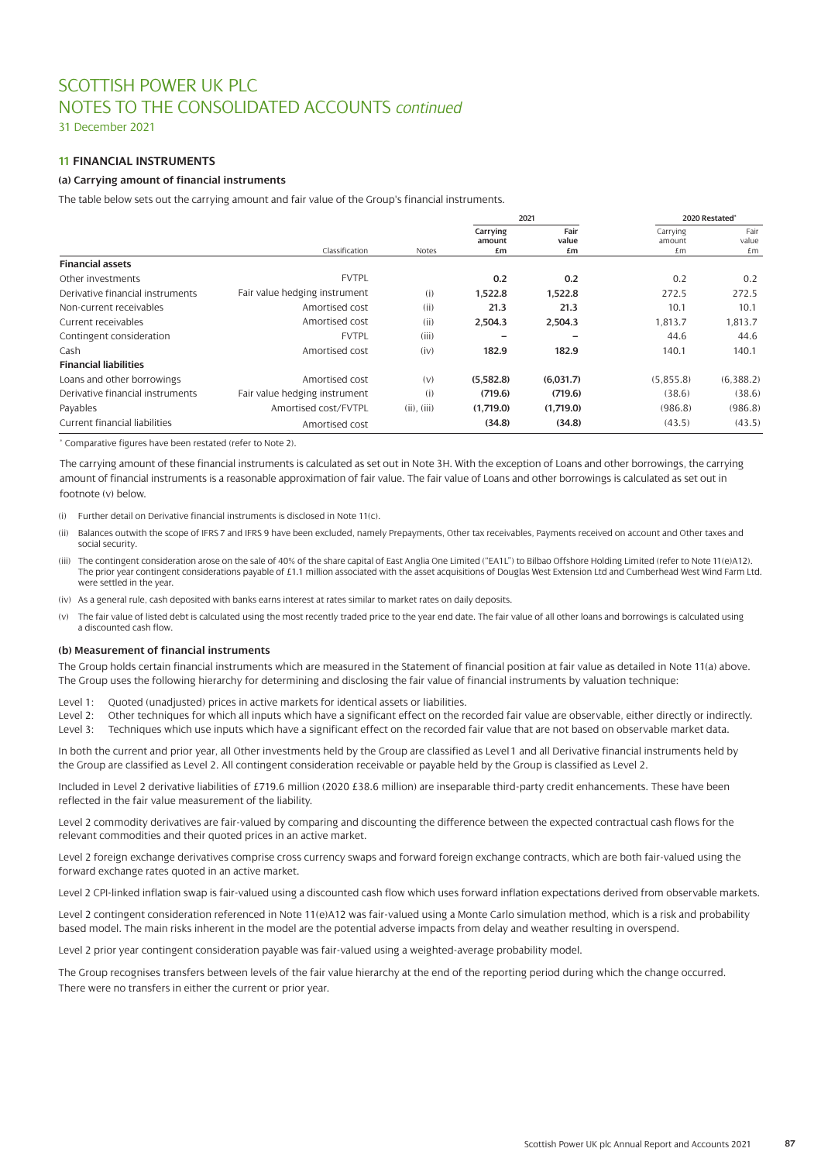31 December 2021

# **11 FINANCIAL INSTRUMENTS**

### **(a) Carrying amount of financial instruments**

The table below sets out the carrying amount and fair value of the Group's financial instruments.

|                                      |                               |                  |                          | 2021                |                          | 2020 Restated*      |
|--------------------------------------|-------------------------------|------------------|--------------------------|---------------------|--------------------------|---------------------|
|                                      | Classification                | Notes            | Carrying<br>amount<br>£m | Fair<br>value<br>£m | Carrying<br>amount<br>£m | Fair<br>value<br>£m |
| <b>Financial assets</b>              |                               |                  |                          |                     |                          |                     |
| Other investments                    | <b>FVTPL</b>                  |                  | 0.2                      | 0.2                 | 0.2                      | 0.2                 |
| Derivative financial instruments     | Fair value hedging instrument | (i)              | 1,522.8                  | 1,522.8             | 272.5                    | 272.5               |
| Non-current receivables              | Amortised cost                | (ii)             | 21.3                     | 21.3                | 10.1                     | 10.1                |
| Current receivables                  | Amortised cost                | (ii)             | 2,504.3                  | 2,504.3             | 1,813.7                  | 1,813.7             |
| Contingent consideration             | <b>FVTPL</b>                  | (iii)            |                          |                     | 44.6                     | 44.6                |
| Cash                                 | Amortised cost                | (iv)             | 182.9                    | 182.9               | 140.1                    | 140.1               |
| <b>Financial liabilities</b>         |                               |                  |                          |                     |                          |                     |
| Loans and other borrowings           | Amortised cost                | (v)              | (5,582.8)                | (6.031.7)           | (5,855.8)                | (6,388.2)           |
| Derivative financial instruments     | Fair value hedging instrument | (i)              | (719.6)                  | (719.6)             | (38.6)                   | (38.6)              |
| Payables                             | Amortised cost/FVTPL          | $(ii)$ , $(iii)$ | (1.719.0)                | (1,719.0)           | (986.8)                  | (986.8)             |
| <b>Current financial liabilities</b> | Amortised cost                |                  | (34.8)                   | (34.8)              | (43.5)                   | (43.5)              |

\* Comparative figures have been restated (refer to Note 2).

The carrying amount of these financial instruments is calculated as set out in Note 3H. With the exception of Loans and other borrowings, the carrying amount of financial instruments is a reasonable approximation of fair value. The fair value of Loans and other borrowings is calculated as set out in footnote (v) below.

(i) Further detail on Derivative financial instruments is disclosed in Note 11(c).

- (ii) Balances outwith the scope of IFRS 7 and IFRS 9 have been excluded, namely Prepayments, Other tax receivables, Payments received on account and Other taxes and social security.
- (iii) The contingent consideration arose on the sale of 40% of the share capital of East Anglia One Limited ("EA1L") to Bilbao Offshore Holding Limited (refer to Note 11(e)A12). The prior year contingent considerations payable of £1.1 million associated with the asset acquisitions of Douglas West Extension Ltd and Cumberhead West Wind Farm Ltd. were settled in the year.
- (iv) As a general rule, cash deposited with banks earns interest at rates similar to market rates on daily deposits.
- (v) The fair value of listed debt is calculated using the most recently traded price to the year end date. The fair value of all other loans and borrowings is calculated using a discounted cash flow.

### **(b) Measurement of financial instruments**

The Group holds certain financial instruments which are measured in the Statement of financial position at fair value as detailed in Note 11(a) above. The Group uses the following hierarchy for determining and disclosing the fair value of financial instruments by valuation technique:

Level 1: Quoted (unadjusted) prices in active markets for identical assets or liabilities.

Level 2: Other techniques for which all inputs which have a significant effect on the recorded fair value are observable, either directly or indirectly. Level 3: Techniques which use inputs which have a significant effect on the recorded fair value that are not based on observable market data.

In both the current and prior year, all Other investments held by the Group are classified as Level 1 and all Derivative financial instruments held by the Group are classified as Level 2. All contingent consideration receivable or payable held by the Group is classified as Level 2.

Included in Level 2 derivative liabilities of £719.6 million (2020 £38.6 million) are inseparable third-party credit enhancements. These have been reflected in the fair value measurement of the liability.

Level 2 commodity derivatives are fair-valued by comparing and discounting the difference between the expected contractual cash flows for the relevant commodities and their quoted prices in an active market.

Level 2 foreign exchange derivatives comprise cross currency swaps and forward foreign exchange contracts, which are both fair-valued using the forward exchange rates quoted in an active market.

Level 2 CPI-linked inflation swap is fair-valued using a discounted cash flow which uses forward inflation expectations derived from observable markets.

Level 2 contingent consideration referenced in Note 11(e)A12 was fair-valued using a Monte Carlo simulation method, which is a risk and probability based model. The main risks inherent in the model are the potential adverse impacts from delay and weather resulting in overspend.

Level 2 prior year contingent consideration payable was fair-valued using a weighted-average probability model.

The Group recognises transfers between levels of the fair value hierarchy at the end of the reporting period during which the change occurred. There were no transfers in either the current or prior year.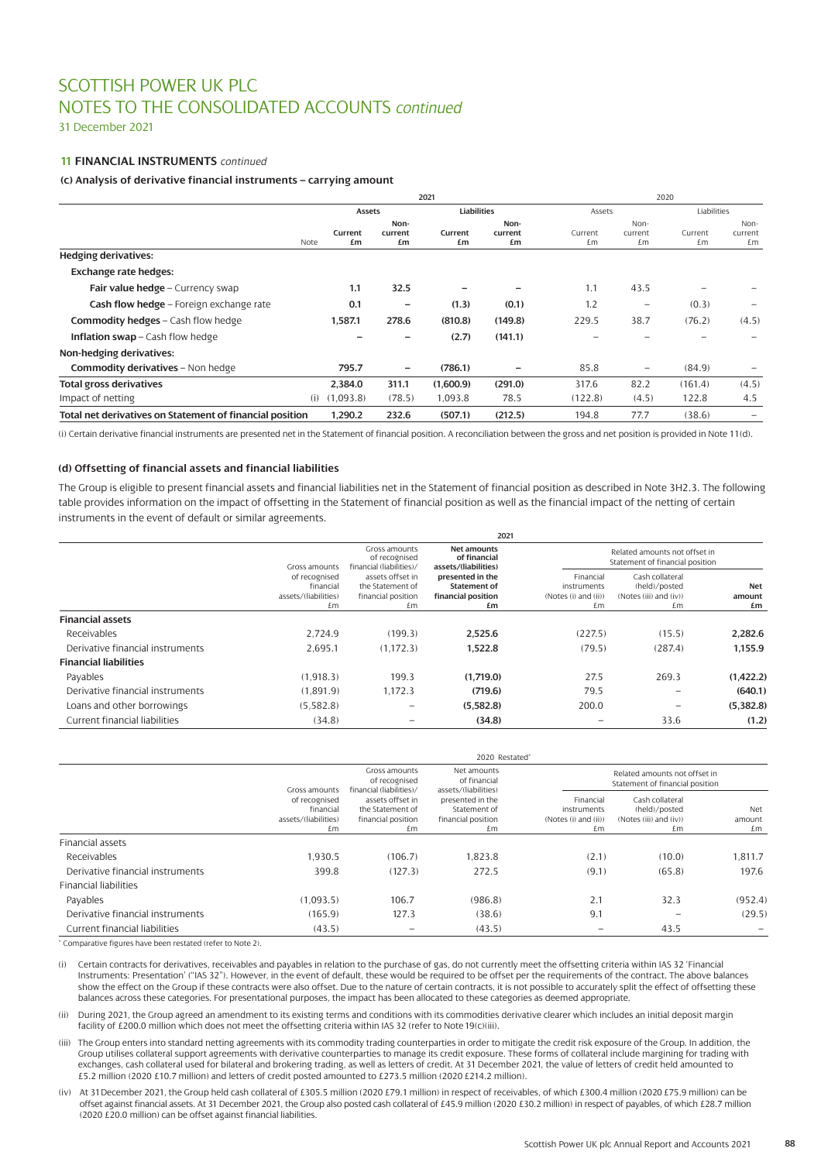31 December 2021

# **11 FINANCIAL INSTRUMENTS** *continued*

### **(c) Analysis of derivative financial instruments – carrying amount**

|                                                          |      |               |                       | 2021          |                       |               | 2020                            |               |                          |  |
|----------------------------------------------------------|------|---------------|-----------------------|---------------|-----------------------|---------------|---------------------------------|---------------|--------------------------|--|
|                                                          |      | Assets        |                       | Liabilities   |                       | Assets        |                                 | Liabilities   |                          |  |
|                                                          | Note | Current<br>£m | Non-<br>current<br>£m | Current<br>£m | Non-<br>current<br>£m | Current<br>£m | Non-<br>current<br>£m           | Current<br>£m | Non-<br>current<br>£m    |  |
| <b>Hedging derivatives:</b>                              |      |               |                       |               |                       |               |                                 |               |                          |  |
| <b>Exchange rate hedges:</b>                             |      |               |                       |               |                       |               |                                 |               |                          |  |
| Fair value hedge - Currency swap                         |      | 1.1           | 32.5                  |               |                       | 1.1           | 43.5                            |               |                          |  |
| Cash flow hedge - Foreign exchange rate                  |      | 0.1           | $\qquad \qquad$       | (1.3)         | (0.1)                 | 1.2           | $\hspace{0.1mm}-\hspace{0.1mm}$ | (0.3)         | $\overline{\phantom{0}}$ |  |
| <b>Commodity hedges - Cash flow hedge</b>                |      | 1,587.1       | 278.6                 | (810.8)       | (149.8)               | 229.5         | 38.7                            | (76.2)        | (4.5)                    |  |
| <b>Inflation swap</b> – Cash flow hedge                  |      |               |                       | (2.7)         | (141.1)               |               |                                 |               |                          |  |
| Non-hedging derivatives:                                 |      |               |                       |               |                       |               |                                 |               |                          |  |
| <b>Commodity derivatives - Non hedge</b>                 |      | 795.7         | $\qquad \qquad$       | (786.1)       |                       | 85.8          | $\qquad \qquad \qquad$          | (84.9)        |                          |  |
| <b>Total gross derivatives</b>                           |      | 2.384.0       | 311.1                 | (1,600.9)     | (291.0)               | 317.6         | 82.2                            | (161.4)       | (4.5)                    |  |
| Impact of netting                                        | (i)  | (1,093.8)     | (78.5)                | 1,093.8       | 78.5                  | (122.8)       | (4.5)                           | 122.8         | 4.5                      |  |
| Total net derivatives on Statement of financial position |      | 1.290.2       | 232.6                 | (507.1)       | (212.5)               | 194.8         | 77.7                            | (38.6)        | $\overline{\phantom{0}}$ |  |

(i) Certain derivative financial instruments are presented net in the Statement of financial position. A reconciliation between the gross and net position is provided in Note 11(d).

### **(d) Offsetting of financial assets and financial liabilities**

The Group is eligible to present financial assets and financial liabilities net in the Statement of financial position as described in Note 3H2.3. The following table provides information on the impact of offsetting in the Statement of financial position as well as the financial impact of the netting of certain instruments in the event of default or similar agreements.

| Gross amounts<br>of recognised                             | Net amounts<br>of financial                                   |                                                  | Related amounts not offset in                              |                                 |
|------------------------------------------------------------|---------------------------------------------------------------|--------------------------------------------------|------------------------------------------------------------|---------------------------------|
| assets offset in<br>the Statement of<br>financial position | presented in the<br><b>Statement of</b><br>financial position | Financial<br>instruments<br>(Notes (i) and (ii)) | Cash collateral<br>(held)/posted<br>(Notes (iii) and (iv)) | <b>Net</b><br>amount            |
| £m                                                         | £m                                                            | £m                                               | £m                                                         | £m                              |
|                                                            |                                                               |                                                  |                                                            |                                 |
| (199.3)                                                    | 2.525.6                                                       | (227.5)                                          | (15.5)                                                     | 2.282.6                         |
| (1.172.3)                                                  | 1.522.8                                                       | (79.5)                                           | (287.4)                                                    | 1.155.9                         |
|                                                            |                                                               |                                                  |                                                            |                                 |
| 199.3                                                      | (1.719.0)                                                     | 27.5                                             | 269.3                                                      | (1,422.2)                       |
| 1.172.3                                                    | (719.6)                                                       | 79.5                                             | $\overline{\phantom{0}}$                                   | (640.1)                         |
| $\overline{\phantom{a}}$                                   | (5.582.8)                                                     | 200.0                                            | $\overline{\phantom{0}}$                                   | (5,382.8)                       |
|                                                            | (34.8)                                                        |                                                  | 33.6                                                       | (1.2)                           |
|                                                            | financial (liabilities)/                                      | 2021<br>assets/(liabilities)                     |                                                            | Statement of financial position |

|                                  | 2020 Restated*                                           |                                                                                                                                                                                                       |                                                        |                                                                  |                                                                  |         |  |  |
|----------------------------------|----------------------------------------------------------|-------------------------------------------------------------------------------------------------------------------------------------------------------------------------------------------------------|--------------------------------------------------------|------------------------------------------------------------------|------------------------------------------------------------------|---------|--|--|
|                                  |                                                          | Gross amounts<br>of recognised                                                                                                                                                                        | Net amounts<br>of financial                            |                                                                  | Related amounts not offset in<br>Statement of financial position |         |  |  |
|                                  | of recognised<br>financial<br>assets/(liabilities)<br>£m | financial (liabilities)/<br>assets/(liabilities)<br>Gross amounts<br>assets offset in<br>presented in the<br>Statement of<br>the Statement of<br>financial position<br>financial position<br>£m<br>£m | Financial<br>instruments<br>(Notes (i) and (ii))<br>£m | Cash collateral<br>(held)/posted<br>(Notes (iii) and (iv))<br>£m | Net<br>amount<br>£m                                              |         |  |  |
| <b>Financial assets</b>          |                                                          |                                                                                                                                                                                                       |                                                        |                                                                  |                                                                  |         |  |  |
| Receivables                      | 1.930.5                                                  | (106.7)                                                                                                                                                                                               | 1.823.8                                                | (2.1)                                                            | (10.0)                                                           | 1.811.7 |  |  |
| Derivative financial instruments | 399.8                                                    | (127.3)                                                                                                                                                                                               | 272.5                                                  | (9.1)                                                            | (65.8)                                                           | 197.6   |  |  |
| <b>Financial liabilities</b>     |                                                          |                                                                                                                                                                                                       |                                                        |                                                                  |                                                                  |         |  |  |
| Payables                         | (1.093.5)                                                | 106.7                                                                                                                                                                                                 | (986.8)                                                | 2.1                                                              | 32.3                                                             | (952.4) |  |  |
| Derivative financial instruments | (165.9)                                                  | 127.3                                                                                                                                                                                                 | (38.6)                                                 | 9.1                                                              |                                                                  | (29.5)  |  |  |
| Current financial liabilities    | (43.5)                                                   |                                                                                                                                                                                                       | (43.5)                                                 |                                                                  | 43.5                                                             |         |  |  |

\* Comparative figures have been restated (refer to Note 2).

(i) Certain contracts for derivatives, receivables and payables in relation to the purchase of gas, do not currently meet the offsetting criteria within IAS 32 'Financial Instruments: Presentation' ("IAS 32"). However, in the event of default, these would be required to be offset per the requirements of the contract. The above balances show the effect on the Group if these contracts were also offset. Due to the nature of certain contracts, it is not possible to accurately split the effect of offsetting these balances across these categories. For presentational purposes, the impact has been allocated to these categories as deemed appropriate.

(ii) During 2021, the Group agreed an amendment to its existing terms and conditions with its commodities derivative clearer which includes an initial deposit margin facility of £200.0 million which does not meet the offsetting criteria within IAS 32 (refer to Note 19(c)(iii).

- (iii) The Group enters into standard netting agreements with its commodity trading counterparties in order to mitigate the credit risk exposure of the Group. In addition, the Group utilises collateral support agreements with derivative counterparties to manage its credit exposure. These forms of collateral include margining for trading with exchanges, cash collateral used for bilateral and brokering trading, as well as letters of credit. At 31 December 2021, the value of letters of credit held amounted to £5.2 million (2020 £10.7 million) and letters of credit posted amounted to £273.5 million (2020 £214.2 million).
- (iv) At 31December 2021, the Group held cash collateral of £305.5 million (2020 £79.1 million) in respect of receivables, of which £300.4 million (2020 £75.9 million) can be offset against financial assets. At 31 December 2021, the Group also posted cash collateral of £45.9 million (2020 £30.2 million) in respect of payables, of which £28.7 million (2020 £20.0 million) can be offset against financial liabilities.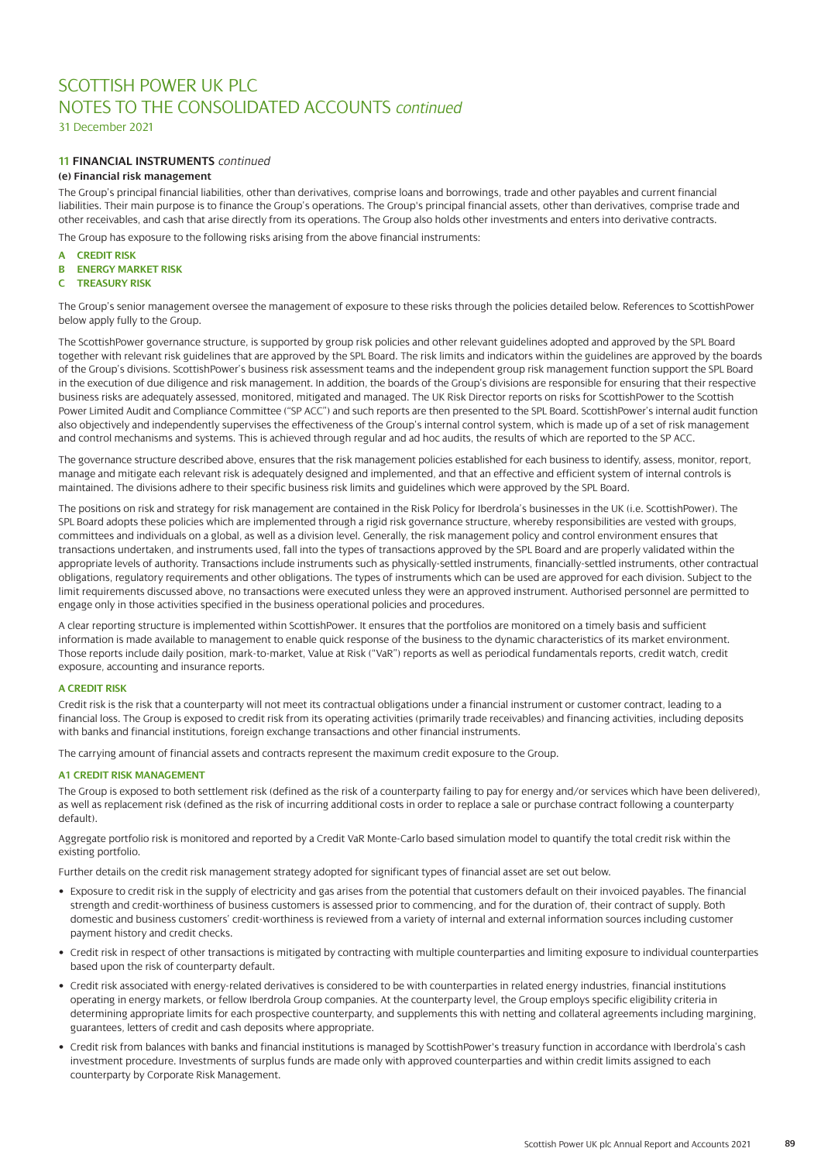31 December 2021

# **11 FINANCIAL INSTRUMENTS** *continued*

# **(e) Financial risk management**

The Group's principal financial liabilities, other than derivatives, comprise loans and borrowings, trade and other payables and current financial liabilities. Their main purpose is to finance the Group's operations. The Group's principal financial assets, other than derivatives, comprise trade and other receivables, and cash that arise directly from its operations. The Group also holds other investments and enters into derivative contracts. The Group has exposure to the following risks arising from the above financial instruments:

- **A CREDIT RISK**
- **B ENERGY MARKET RISK**
- **C TREASURY RISK**

The Group's senior management oversee the management of exposure to these risks through the policies detailed below. References to ScottishPower below apply fully to the Group.

The ScottishPower governance structure, is supported by group risk policies and other relevant guidelines adopted and approved by the SPL Board together with relevant risk guidelines that are approved by the SPL Board. The risk limits and indicators within the guidelines are approved by the boards of the Group's divisions. ScottishPower's business risk assessment teams and the independent group risk management function support the SPL Board in the execution of due diligence and risk management. In addition, the boards of the Group's divisions are responsible for ensuring that their respective business risks are adequately assessed, monitored, mitigated and managed. The UK Risk Director reports on risks for ScottishPower to the Scottish Power Limited Audit and Compliance Committee ("SP ACC") and such reports are then presented to the SPL Board. ScottishPower's internal audit function also objectively and independently supervises the effectiveness of the Group's internal control system, which is made up of a set of risk management and control mechanisms and systems. This is achieved through regular and ad hoc audits, the results of which are reported to the SP ACC.

The governance structure described above, ensures that the risk management policies established for each business to identify, assess, monitor, report, manage and mitigate each relevant risk is adequately designed and implemented, and that an effective and efficient system of internal controls is maintained. The divisions adhere to their specific business risk limits and guidelines which were approved by the SPL Board.

The positions on risk and strategy for risk management are contained in the Risk Policy for Iberdrola's businesses in the UK (i.e. ScottishPower). The SPL Board adopts these policies which are implemented through a rigid risk governance structure, whereby responsibilities are vested with groups, committees and individuals on a global, as well as a division level. Generally, the risk management policy and control environment ensures that transactions undertaken, and instruments used, fall into the types of transactions approved by the SPL Board and are properly validated within the appropriate levels of authority. Transactions include instruments such as physically-settled instruments, financially-settled instruments, other contractual obligations, regulatory requirements and other obligations. The types of instruments which can be used are approved for each division. Subject to the limit requirements discussed above, no transactions were executed unless they were an approved instrument. Authorised personnel are permitted to engage only in those activities specified in the business operational policies and procedures.

A clear reporting structure is implemented within ScottishPower. It ensures that the portfolios are monitored on a timely basis and sufficient information is made available to management to enable quick response of the business to the dynamic characteristics of its market environment. Those reports include daily position, mark-to-market, Value at Risk ("VaR") reports as well as periodical fundamentals reports, credit watch, credit exposure, accounting and insurance reports.

#### **A CREDIT RISK**

Credit risk is the risk that a counterparty will not meet its contractual obligations under a financial instrument or customer contract, leading to a financial loss. The Group is exposed to credit risk from its operating activities (primarily trade receivables) and financing activities, including deposits with banks and financial institutions, foreign exchange transactions and other financial instruments.

The carrying amount of financial assets and contracts represent the maximum credit exposure to the Group.

### **A1 CREDIT RISK MANAGEMENT**

The Group is exposed to both settlement risk (defined as the risk of a counterparty failing to pay for energy and/or services which have been delivered), as well as replacement risk (defined as the risk of incurring additional costs in order to replace a sale or purchase contract following a counterparty default).

Aggregate portfolio risk is monitored and reported by a Credit VaR Monte-Carlo based simulation model to quantify the total credit risk within the existing portfolio.

Further details on the credit risk management strategy adopted for significant types of financial asset are set out below.

- Exposure to credit risk in the supply of electricity and gas arises from the potential that customers default on their invoiced payables. The financial strength and credit-worthiness of business customers is assessed prior to commencing, and for the duration of, their contract of supply. Both domestic and business customers' credit-worthiness is reviewed from a variety of internal and external information sources including customer payment history and credit checks.
- Credit risk in respect of other transactions is mitigated by contracting with multiple counterparties and limiting exposure to individual counterparties based upon the risk of counterparty default.
- Credit risk associated with energy-related derivatives is considered to be with counterparties in related energy industries, financial institutions operating in energy markets, or fellow Iberdrola Group companies. At the counterparty level, the Group employs specific eligibility criteria in determining appropriate limits for each prospective counterparty, and supplements this with netting and collateral agreements including margining, guarantees, letters of credit and cash deposits where appropriate.
- Credit risk from balances with banks and financial institutions is managed by ScottishPower's treasury function in accordance with Iberdrola's cash investment procedure. Investments of surplus funds are made only with approved counterparties and within credit limits assigned to each counterparty by Corporate Risk Management.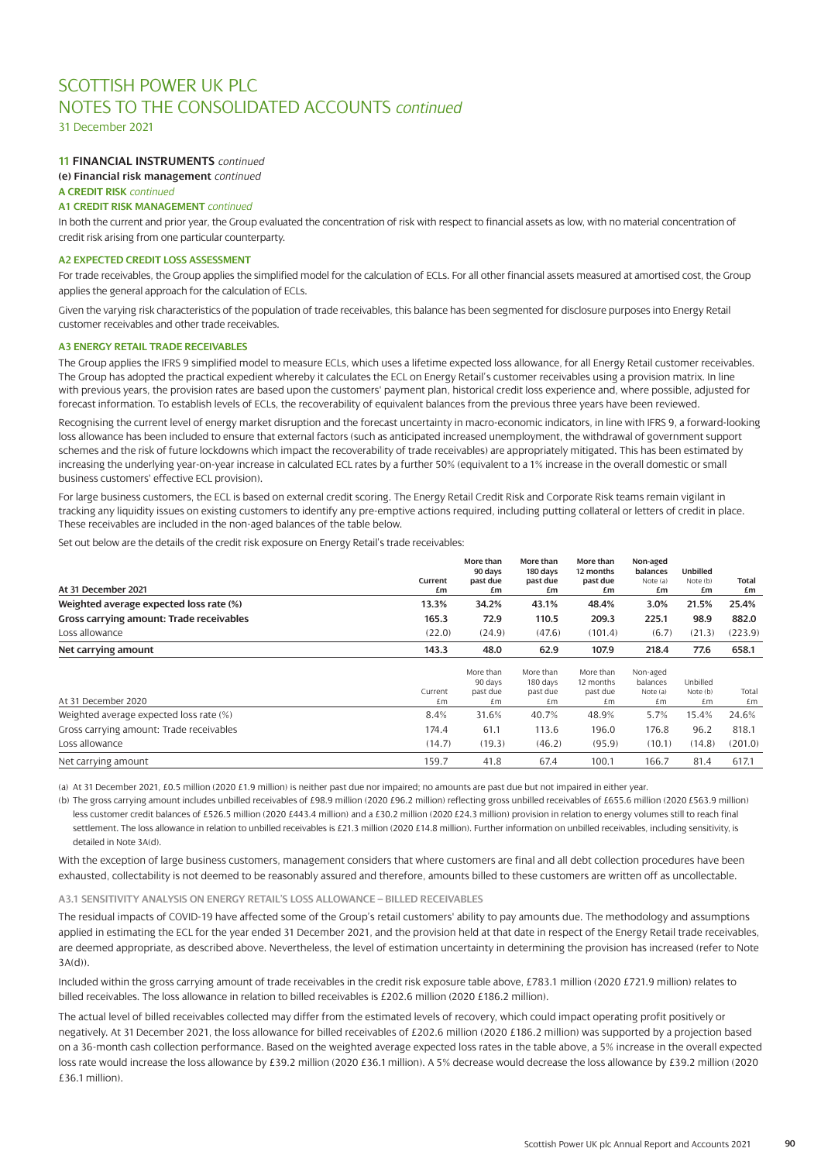31 December 2021

# **11 FINANCIAL INSTRUMENTS** *continued*

**(e) Financial risk management** *continued*

### **A CREDIT RISK** *continued*

**A1 CREDIT RISK MANAGEMENT** *continued*

In both the current and prior year, the Group evaluated the concentration of risk with respect to financial assets as low, with no material concentration of credit risk arising from one particular counterparty.

### **A2 EXPECTED CREDIT LOSS ASSESSMENT**

For trade receivables, the Group applies the simplified model for the calculation of ECLs. For all other financial assets measured at amortised cost, the Group applies the general approach for the calculation of ECLs.

Given the varying risk characteristics of the population of trade receivables, this balance has been segmented for disclosure purposes into Energy Retail customer receivables and other trade receivables.

### **A3 ENERGY RETAIL TRADE RECEIVABLES**

The Group applies the IFRS 9 simplified model to measure ECLs, which uses a lifetime expected loss allowance, for all Energy Retail customer receivables. The Group has adopted the practical expedient whereby it calculates the ECL on Energy Retail's customer receivables using a provision matrix. In line with previous years, the provision rates are based upon the customers' payment plan, historical credit loss experience and, where possible, adjusted for forecast information. To establish levels of ECLs, the recoverability of equivalent balances from the previous three years have been reviewed.

Recognising the current level of energy market disruption and the forecast uncertainty in macro-economic indicators, in line with IFRS 9, a forward-looking loss allowance has been included to ensure that external factors (such as anticipated increased unemployment, the withdrawal of government support schemes and the risk of future lockdowns which impact the recoverability of trade receivables) are appropriately mitigated. This has been estimated by increasing the underlying year-on-year increase in calculated ECL rates by a further 50% (equivalent to a 1% increase in the overall domestic or small business customers' effective ECL provision).

For large business customers, the ECL is based on external credit scoring. The Energy Retail Credit Risk and Corporate Risk teams remain vigilant in tracking any liquidity issues on existing customers to identify any pre-emptive actions required, including putting collateral or letters of credit in place. These receivables are included in the non-aged balances of the table below.

Set out below are the details of the credit risk exposure on Energy Retail's trade receivables:

|                                          |               | More than<br>90 days | More than<br>180 days | More than<br>12 months | Non-aged<br>balances | Unbilled       |             |
|------------------------------------------|---------------|----------------------|-----------------------|------------------------|----------------------|----------------|-------------|
| At 31 December 2021                      | Current<br>£m | past due<br>£m       | past due<br>£m        | past due<br>£m         | Note (a)<br>£m       | Note (b)<br>£m | Total<br>£m |
| Weighted average expected loss rate (%)  | 13.3%         | 34.2%                | 43.1%                 | 48.4%                  | 3.0%                 | 21.5%          | 25.4%       |
| Gross carrying amount: Trade receivables | 165.3         | 72.9                 | 110.5                 | 209.3                  | 225.1                | 98.9           | 882.0       |
| Loss allowance                           | (22.0)        | (24.9)               | (47.6)                | (101.4)                | (6.7)                | (21.3)         | (223.9)     |
| Net carrying amount                      | 143.3         | 48.0                 | 62.9                  | 107.9                  | 218.4                | 77.6           | 658.1       |
|                                          |               | More than            | More than             | More than              | Non-aged             |                |             |
|                                          |               | 90 days              | 180 days              | 12 months              | balances             | Unbilled       |             |
|                                          | Current       | past due             | past due              | past due               | Note (a)             | Note (b)       | Total       |
| At 31 December 2020                      | £m            | £m                   | £m                    | £m                     | £m                   | £m             | £m          |
| Weighted average expected loss rate (%)  | 8.4%          | 31.6%                | 40.7%                 | 48.9%                  | 5.7%                 | 15.4%          | 24.6%       |
| Gross carrying amount: Trade receivables | 174.4         | 61.1                 | 113.6                 | 196.0                  | 176.8                | 96.2           | 818.1       |
| Loss allowance                           | (14.7)        | (19.3)               | (46.2)                | (95.9)                 | (10.1)               | (14.8)         | (201.0)     |
| Net carrying amount                      | 159.7         | 41.8                 | 67.4                  | 100.1                  | 166.7                | 81.4           | 617.1       |

(a) At 31 December 2021, £0.5 million (2020 £1.9 million) is neither past due nor impaired; no amounts are past due but not impaired in either year.

(b) The gross carrying amount includes unbilled receivables of £98.9 million (2020 £96.2 million) reflecting gross unbilled receivables of £655.6 million (2020 £563.9 million) less customer credit balances of £526.5 million (2020 £443.4 million) and a £30.2 million (2020 £24.3 million) provision in relation to energy volumes still to reach final settlement. The loss allowance in relation to unbilled receivables is £21.3 million (2020 £14.8 million). Further information on unbilled receivables, including sensitivity, is detailed in Note 3A(d).

With the exception of large business customers, management considers that where customers are final and all debt collection procedures have been exhausted, collectability is not deemed to be reasonably assured and therefore, amounts billed to these customers are written off as uncollectable.

### **A3.1 SENSITIVITY ANALYSIS ON ENERGY RETAIL'S LOSS ALLOWANCE – BILLED RECEIVABLES**

The residual impacts of COVID-19 have affected some of the Group's retail customers' ability to pay amounts due. The methodology and assumptions applied in estimating the ECL for the year ended 31 December 2021, and the provision held at that date in respect of the Energy Retail trade receivables, are deemed appropriate, as described above. Nevertheless, the level of estimation uncertainty in determining the provision has increased (refer to Note 3A(d)).

Included within the gross carrying amount of trade receivables in the credit risk exposure table above, £783.1 million (2020 £721.9 million) relates to billed receivables. The loss allowance in relation to billed receivables is £202.6 million (2020 £186.2 million).

The actual level of billed receivables collected may differ from the estimated levels of recovery, which could impact operating profit positively or negatively. At 31 December 2021, the loss allowance for billed receivables of £202.6 million (2020 £186.2 million) was supported by a projection based on a 36-month cash collection performance. Based on the weighted average expected loss rates in the table above, a 5% increase in the overall expected loss rate would increase the loss allowance by £39.2 million (2020 £36.1 million). A 5% decrease would decrease the loss allowance by £39.2 million (2020 £36.1 million).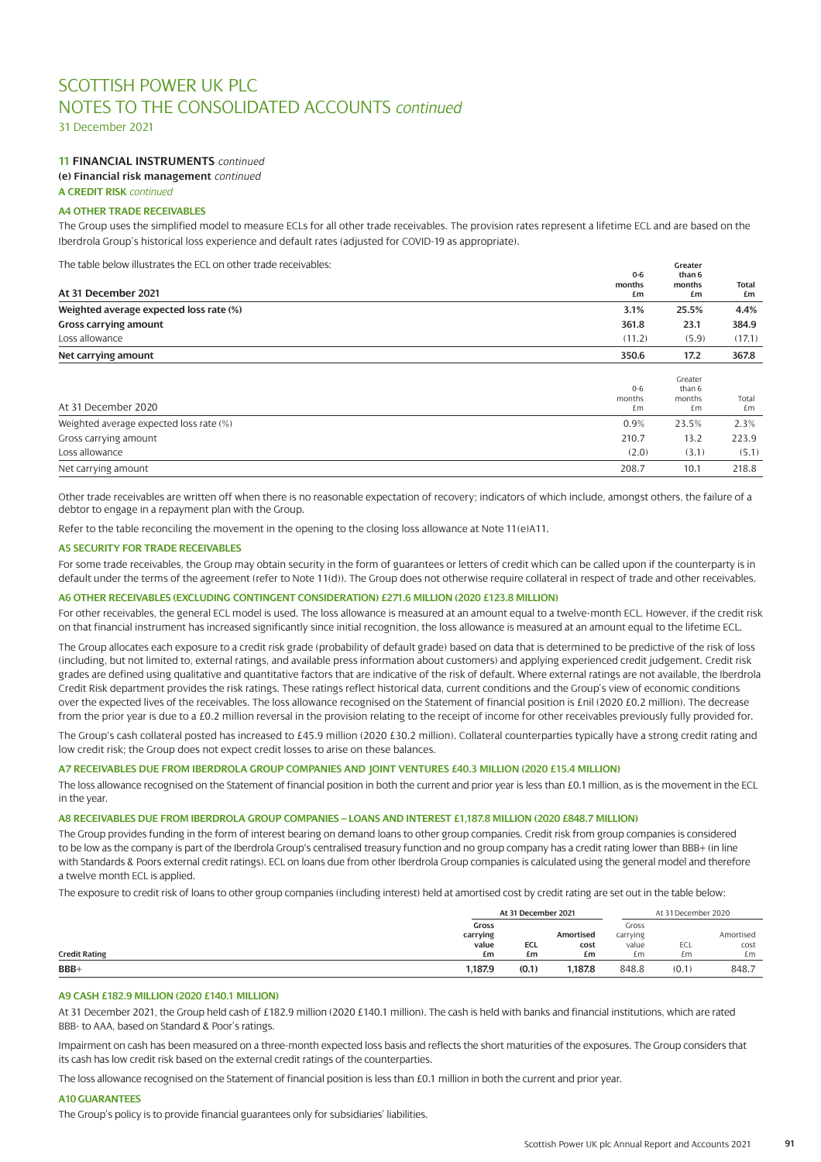31 December 2021

# **11 FINANCIAL INSTRUMENTS** *continued*

**(e) Financial risk management** *continued*

# **A CREDIT RISK** *continued*

### **A4 OTHER TRADE RECEIVABLES**

The Group uses the simplified model to measure ECLs for all other trade receivables. The provision rates represent a lifetime ECL and are based on the Iberdrola Group's historical loss experience and default rates (adjusted for COVID-19 as appropriate).

The table below illustrates the ECL on other trade receivables: **Greater**

|                                         | $0 - 6$                 | than 6                            |                    |
|-----------------------------------------|-------------------------|-----------------------------------|--------------------|
| At 31 December 2021                     | months<br>£m            | months<br>£m                      | <b>Total</b><br>£m |
| Weighted average expected loss rate (%) | 3.1%                    | 25.5%                             | 4.4%               |
| <b>Gross carrying amount</b>            | 361.8                   | 23.1                              | 384.9              |
| Loss allowance                          | (11.2)                  | (5.9)                             | (17.1)             |
| Net carrying amount                     | 350.6                   | 17.2                              | 367.8              |
| At 31 December 2020                     | $0 - 6$<br>months<br>£m | Greater<br>than 6<br>months<br>£m | Total<br>£m        |
| Weighted average expected loss rate (%) | 0.9%                    | 23.5%                             | 2.3%               |
| Gross carrying amount                   | 210.7                   | 13.2                              | 223.9              |
| Loss allowance                          | (2.0)                   | (3.1)                             | (5.1)              |
| Net carrying amount                     | 208.7                   | 10.1                              | 218.8              |

Other trade receivables are written off when there is no reasonable expectation of recovery; indicators of which include, amongst others, the failure of a debtor to engage in a repayment plan with the Group.

Refer to the table reconciling the movement in the opening to the closing loss allowance at Note 11(e)A11.

#### **A5 SECURITY FOR TRADE RECEIVABLES**

For some trade receivables, the Group may obtain security in the form of guarantees or letters of credit which can be called upon if the counterparty is in default under the terms of the agreement (refer to Note 11(d)). The Group does not otherwise require collateral in respect of trade and other receivables.

### **A6 OTHER RECEIVABLES (EXCLUDING CONTINGENT CONSIDERATION) £271.6 MILLION (2020 £123.8 MILLION)**

For other receivables, the general ECL model is used. The loss allowance is measured at an amount equal to a twelve-month ECL. However, if the credit risk on that financial instrument has increased significantly since initial recognition, the loss allowance is measured at an amount equal to the lifetime ECL.

The Group allocates each exposure to a credit risk grade (probability of default grade) based on data that is determined to be predictive of the risk of loss (including, but not limited to, external ratings, and available press information about customers) and applying experienced credit judgement. Credit risk grades are defined using qualitative and quantitative factors that are indicative of the risk of default. Where external ratings are not available, the Iberdrola Credit Risk department provides the risk ratings. These ratings reflect historical data, current conditions and the Group's view of economic conditions over the expected lives of the receivables. The loss allowance recognised on the Statement of financial position is £nil (2020 £0.2 million). The decrease from the prior year is due to a £0.2 million reversal in the provision relating to the receipt of income for other receivables previously fully provided for.

The Group's cash collateral posted has increased to £45.9 million (2020 £30.2 million). Collateral counterparties typically have a strong credit rating and low credit risk; the Group does not expect credit losses to arise on these balances.

#### **A7 RECEIVABLES DUE FROM IBERDROLA GROUP COMPANIES AND JOINT VENTURES £40.3 MILLION (2020 £15.4 MILLION)**

The loss allowance recognised on the Statement of financial position in both the current and prior year is less than £0.1 million, as is the movement in the ECL in the year.

#### **A8 RECEIVABLES DUE FROM IBERDROLA GROUP COMPANIES – LOANS AND INTEREST £1,187.8 MILLION (2020 £848.7 MILLION)**

The Group provides funding in the form of interest bearing on demand loans to other group companies. Credit risk from group companies is considered to be low as the company is part of the Iberdrola Group's centralised treasury function and no group company has a credit rating lower than BBB+ (in line with Standards & Poors external credit ratings). ECL on loans due from other Iberdrola Group companies is calculated using the general model and therefore a twelve month ECL is applied.

The exposure to credit risk of loans to other group companies (including interest) held at amortised cost by credit rating are set out in the table below:

|                      | At 31 December 2021 |       |           | At 31 December 2020 |       |           |
|----------------------|---------------------|-------|-----------|---------------------|-------|-----------|
|                      | Gross               |       |           | Gross               |       |           |
|                      | carrying            |       | Amortised | carrying            |       | Amortised |
|                      | value               | ECL   | cost      | value               | ECL   | cost      |
| <b>Credit Rating</b> | £m                  | £m    | £m        | £m                  | £m    | £m        |
| $BBB+$               | 1.187.9             | (0.1) | .187.8    | 848.8               | (0.1) | 848.7     |

#### **A9 CASH £182.9 MILLION (2020 £140.1 MILLION)**

At 31 December 2021, the Group held cash of £182.9 million (2020 £140.1 million). The cash is held with banks and financial institutions, which are rated BBB- to AAA, based on Standard & Poor's ratings.

Impairment on cash has been measured on a three-month expected loss basis and reflects the short maturities of the exposures. The Group considers that its cash has low credit risk based on the external credit ratings of the counterparties.

The loss allowance recognised on the Statement of financial position is less than £0.1 million in both the current and prior year.

### **A10 GUARANTEES**

The Group's policy is to provide financial guarantees only for subsidiaries' liabilities.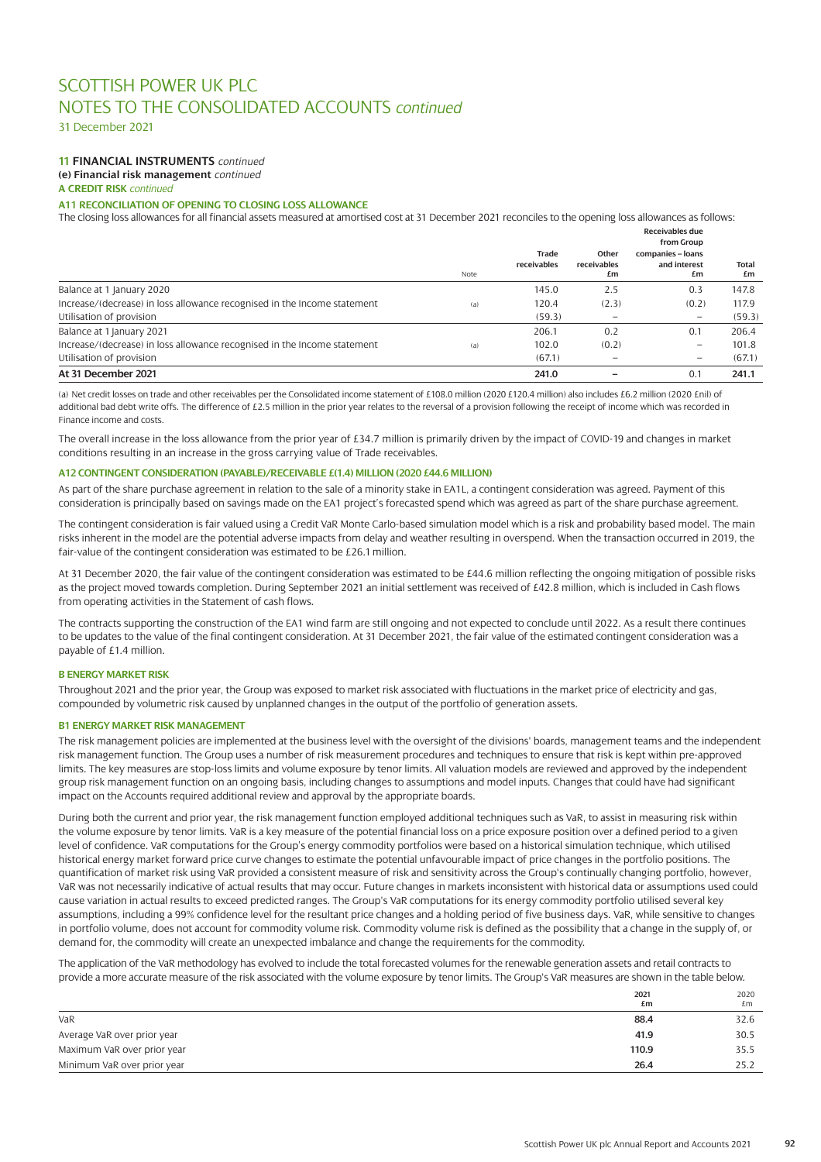31 December 2021

# **11 FINANCIAL INSTRUMENTS** *continued*

**(e) Financial risk management** *continued*

**A CREDIT RISK** *continued*

# **A11 RECONCILIATION OF OPENING TO CLOSING LOSS ALLOWANCE**

The closing loss allowances for all financial assets measured at amortised cost at 31 December 2021 reconciles to the opening loss allowances as follows:

|                                                                          |      |                      |                            | Receivables due                                       |                    |
|--------------------------------------------------------------------------|------|----------------------|----------------------------|-------------------------------------------------------|--------------------|
|                                                                          | Note | Trade<br>receivables | Other<br>receivables<br>£m | from Group<br>companies - loans<br>and interest<br>£m | <b>Total</b><br>£m |
| Balance at 1 January 2020                                                |      | 145.0                | 2.5                        | 0.3                                                   | 147.8              |
| Increase/(decrease) in loss allowance recognised in the Income statement | (a)  | 120.4                | (2.3)                      | (0.2)                                                 | 117.9              |
| Utilisation of provision                                                 |      | (59.3)               |                            | $\qquad \qquad -$                                     | (59.3)             |
| Balance at 1 January 2021                                                |      | 206.1                | 0.2                        | 0.1                                                   | 206.4              |
| Increase/(decrease) in loss allowance recognised in the Income statement | (a)  | 102.0                | (0.2)                      | $\qquad \qquad -$                                     | 101.8              |
| Utilisation of provision                                                 |      | (67.1)               |                            |                                                       | (67.1)             |
| At 31 December 2021                                                      |      | 241.0                |                            | 0.1                                                   | 241.1              |

(a) Net credit losses on trade and other receivables per the Consolidated income statement of £108.0 million (2020 £120.4 million) also includes £6.2 million (2020 £nil) of additional bad debt write offs. The difference of £2.5 million in the prior year relates to the reversal of a provision following the receipt of income which was recorded in Finance income and costs.

The overall increase in the loss allowance from the prior year of £34.7 million is primarily driven by the impact of COVID-19 and changes in market conditions resulting in an increase in the gross carrying value of Trade receivables.

#### **A12 CONTINGENT CONSIDERATION (PAYABLE)/RECEIVABLE £(1.4) MILLION (2020 £44.6 MILLION)**

As part of the share purchase agreement in relation to the sale of a minority stake in EA1L, a contingent consideration was agreed. Payment of this consideration is principally based on savings made on the EA1 project's forecasted spend which was agreed as part of the share purchase agreement.

The contingent consideration is fair valued using a Credit VaR Monte Carlo-based simulation model which is a risk and probability based model. The main risks inherent in the model are the potential adverse impacts from delay and weather resulting in overspend. When the transaction occurred in 2019, the fair-value of the contingent consideration was estimated to be £26.1 million.

At 31 December 2020, the fair value of the contingent consideration was estimated to be £44.6 million reflecting the ongoing mitigation of possible risks as the project moved towards completion. During September 2021 an initial settlement was received of £42.8 million, which is included in Cash flows from operating activities in the Statement of cash flows.

The contracts supporting the construction of the EA1 wind farm are still ongoing and not expected to conclude until 2022. As a result there continues to be updates to the value of the final contingent consideration. At 31 December 2021, the fair value of the estimated contingent consideration was a payable of £1.4 million.

### **B ENERGY MARKET RISK**

Throughout 2021 and the prior year, the Group was exposed to market risk associated with fluctuations in the market price of electricity and gas, compounded by volumetric risk caused by unplanned changes in the output of the portfolio of generation assets.

### **B1 ENERGY MARKET RISK MANAGEMENT**

The risk management policies are implemented at the business level with the oversight of the divisions' boards, management teams and the independent risk management function. The Group uses a number of risk measurement procedures and techniques to ensure that risk is kept within pre-approved limits. The key measures are stop-loss limits and volume exposure by tenor limits. All valuation models are reviewed and approved by the independent group risk management function on an ongoing basis, including changes to assumptions and model inputs. Changes that could have had significant impact on the Accounts required additional review and approval by the appropriate boards.

During both the current and prior year, the risk management function employed additional techniques such as VaR, to assist in measuring risk within the volume exposure by tenor limits. VaR is a key measure of the potential financial loss on a price exposure position over a defined period to a given level of confidence. VaR computations for the Group's energy commodity portfolios were based on a historical simulation technique, which utilised historical energy market forward price curve changes to estimate the potential unfavourable impact of price changes in the portfolio positions. The quantification of market risk using VaR provided a consistent measure of risk and sensitivity across the Group's continually changing portfolio, however, VaR was not necessarily indicative of actual results that may occur. Future changes in markets inconsistent with historical data or assumptions used could cause variation in actual results to exceed predicted ranges. The Group's VaR computations for its energy commodity portfolio utilised several key assumptions, including a 99% confidence level for the resultant price changes and a holding period of five business days. VaR, while sensitive to changes in portfolio volume, does not account for commodity volume risk. Commodity volume risk is defined as the possibility that a change in the supply of, or demand for, the commodity will create an unexpected imbalance and change the requirements for the commodity.

The application of the VaR methodology has evolved to include the total forecasted volumes for the renewable generation assets and retail contracts to provide a more accurate measure of the risk associated with the volume exposure by tenor limits. The Group's VaR measures are shown in the table below.

|                             | 2021  | 2020 |
|-----------------------------|-------|------|
|                             | £m    | £m   |
| VaR                         | 88.4  | 32.6 |
| Average VaR over prior year | 41.9  | 30.5 |
| Maximum VaR over prior year | 110.9 | 35.5 |
| Minimum VaR over prior year | 26.4  | 25.2 |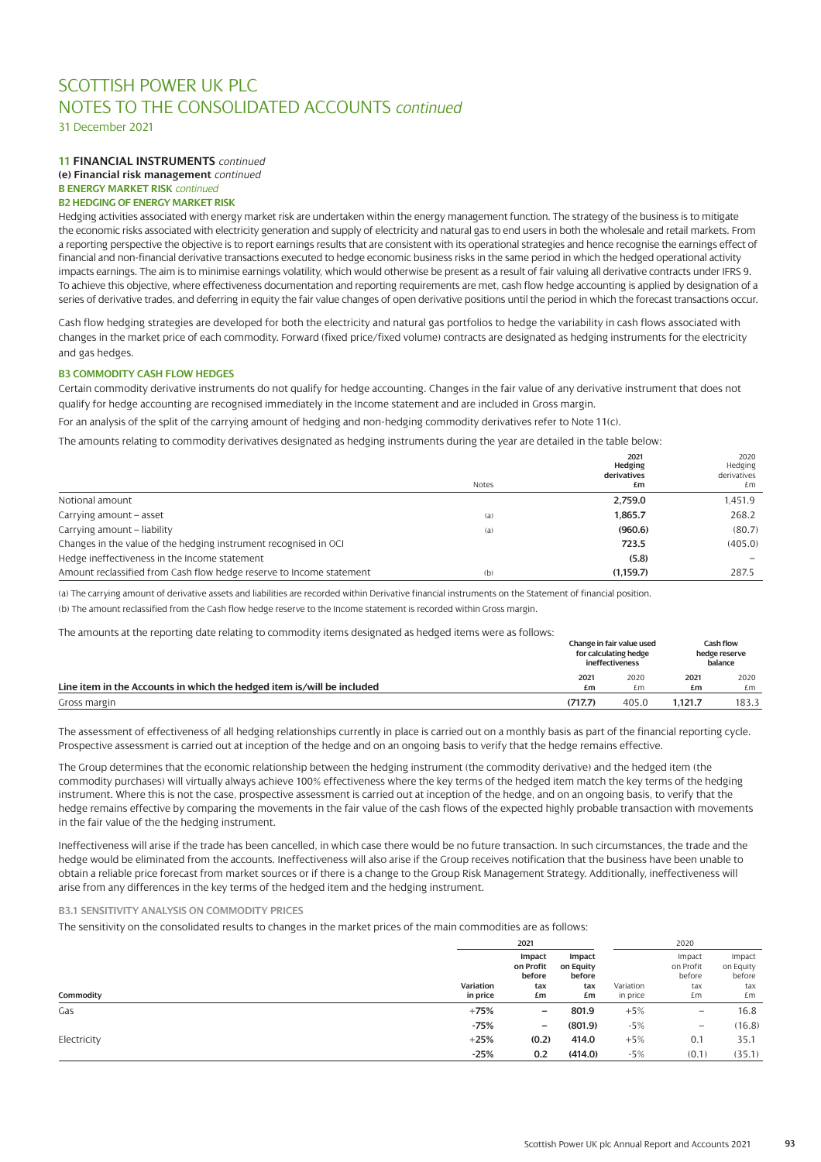31 December 2021

### **11 FINANCIAL INSTRUMENTS** *continued* **(e) Financial risk management** *continued*

**B ENERGY MARKET RISK** *continued*

# **B2 HEDGING OF ENERGY MARKET RISK**

Hedging activities associated with energy market risk are undertaken within the energy management function. The strategy of the business is to mitigate the economic risks associated with electricity generation and supply of electricity and natural gas to end users in both the wholesale and retail markets. From a reporting perspective the objective is to report earnings results that are consistent with its operational strategies and hence recognise the earnings effect of financial and non-financial derivative transactions executed to hedge economic business risks in the same period in which the hedged operational activity impacts earnings. The aim is to minimise earnings volatility, which would otherwise be present as a result of fair valuing all derivative contracts under IFRS 9. To achieve this objective, where effectiveness documentation and reporting requirements are met, cash flow hedge accounting is applied by designation of a series of derivative trades, and deferring in equity the fair value changes of open derivative positions until the period in which the forecast transactions occur.

Cash flow hedging strategies are developed for both the electricity and natural gas portfolios to hedge the variability in cash flows associated with changes in the market price of each commodity. Forward (fixed price/fixed volume) contracts are designated as hedging instruments for the electricity and gas hedges.

### **B3 COMMODITY CASH FLOW HEDGES**

Certain commodity derivative instruments do not qualify for hedge accounting. Changes in the fair value of any derivative instrument that does not qualify for hedge accounting are recognised immediately in the Income statement and are included in Gross margin.

For an analysis of the split of the carrying amount of hedging and non-hedging commodity derivatives refer to Note 11(c).

The amounts relating to commodity derivatives designated as hedging instruments during the year are detailed in the table below:

|                                                                      | Notes | 2021<br>Hedging<br>derivatives<br>£m | 2020<br>Hedging<br>derivatives<br>£m |
|----------------------------------------------------------------------|-------|--------------------------------------|--------------------------------------|
| Notional amount                                                      |       | 2.759.0                              | 1.451.9                              |
| Carrying amount - asset                                              | (a)   | 1.865.7                              | 268.2                                |
| Carrying amount - liability                                          | (a)   | (960.6)                              | (80.7)                               |
| Changes in the value of the hedging instrument recognised in OCI     |       | 723.5                                | (405.0)                              |
| Hedge ineffectiveness in the Income statement                        |       | (5.8)                                |                                      |
| Amount reclassified from Cash flow hedge reserve to Income statement | (b)   | (1.159.7)                            | 287.5                                |

(a) The carrying amount of derivative assets and liabilities are recorded within Derivative financial instruments on the Statement of financial position. (b) The amount reclassified from the Cash flow hedge reserve to the Income statement is recorded within Gross margin.

The amounts at the reporting date relating to commodity items designated as hedged items were as follows:

| THE amounts at the reporting date relating to commodity items designated as neuged items were as rollows. |            | Change in fair value used<br>for calculating hedge<br>ineffectiveness |            | Cash flow<br>hedge reserve<br>balance |  |
|-----------------------------------------------------------------------------------------------------------|------------|-----------------------------------------------------------------------|------------|---------------------------------------|--|
| Line item in the Accounts in which the hedged item is/will be included                                    | 2021<br>£m | 2020<br>£m                                                            | 2021<br>£m | 2020<br>£m                            |  |
| Gross margin                                                                                              | (717.7)    | 405.0                                                                 | 1.121.7    | 183.3                                 |  |

The assessment of effectiveness of all hedging relationships currently in place is carried out on a monthly basis as part of the financial reporting cycle. Prospective assessment is carried out at inception of the hedge and on an ongoing basis to verify that the hedge remains effective.

The Group determines that the economic relationship between the hedging instrument (the commodity derivative) and the hedged item (the commodity purchases) will virtually always achieve 100% effectiveness where the key terms of the hedged item match the key terms of the hedging instrument. Where this is not the case, prospective assessment is carried out at inception of the hedge, and on an ongoing basis, to verify that the hedge remains effective by comparing the movements in the fair value of the cash flows of the expected highly probable transaction with movements in the fair value of the the hedging instrument.

Ineffectiveness will arise if the trade has been cancelled, in which case there would be no future transaction. In such circumstances, the trade and the hedge would be eliminated from the accounts. Ineffectiveness will also arise if the Group receives notification that the business have been unable to obtain a reliable price forecast from market sources or if there is a change to the Group Risk Management Strategy. Additionally, ineffectiveness will arise from any differences in the key terms of the hedged item and the hedging instrument.

### **B3.1 SENSITIVITY ANALYSIS ON COMMODITY PRICES**

The sensitivity on the consolidated results to changes in the market prices of the main commodities are as follows:

|             | 2021      |                               |                               |           | 2020                          |                               |
|-------------|-----------|-------------------------------|-------------------------------|-----------|-------------------------------|-------------------------------|
|             |           | Impact<br>on Profit<br>before | Impact<br>on Equity<br>before |           | Impact<br>on Profit<br>before | Impact<br>on Equity<br>before |
|             | Variation | tax                           | tax                           | Variation | tax                           | tax                           |
| Commodity   | in price  | £m                            | £m                            | in price  | £m                            | £m                            |
| Gas         | $+75%$    | $\overline{\phantom{m}}$      | 801.9                         | $+5%$     | $\qquad \qquad$               | 16.8                          |
|             | $-75%$    | $\qquad \qquad -$             | (801.9)                       | $-5%$     | $\qquad \qquad =$             | (16.8)                        |
| Electricity | $+25%$    | (0.2)                         | 414.0                         | $+5%$     | 0.1                           | 35.1                          |
|             | $-25%$    | 0.2                           | (414.0)                       | $-5%$     | (0.1)                         | (35.1)                        |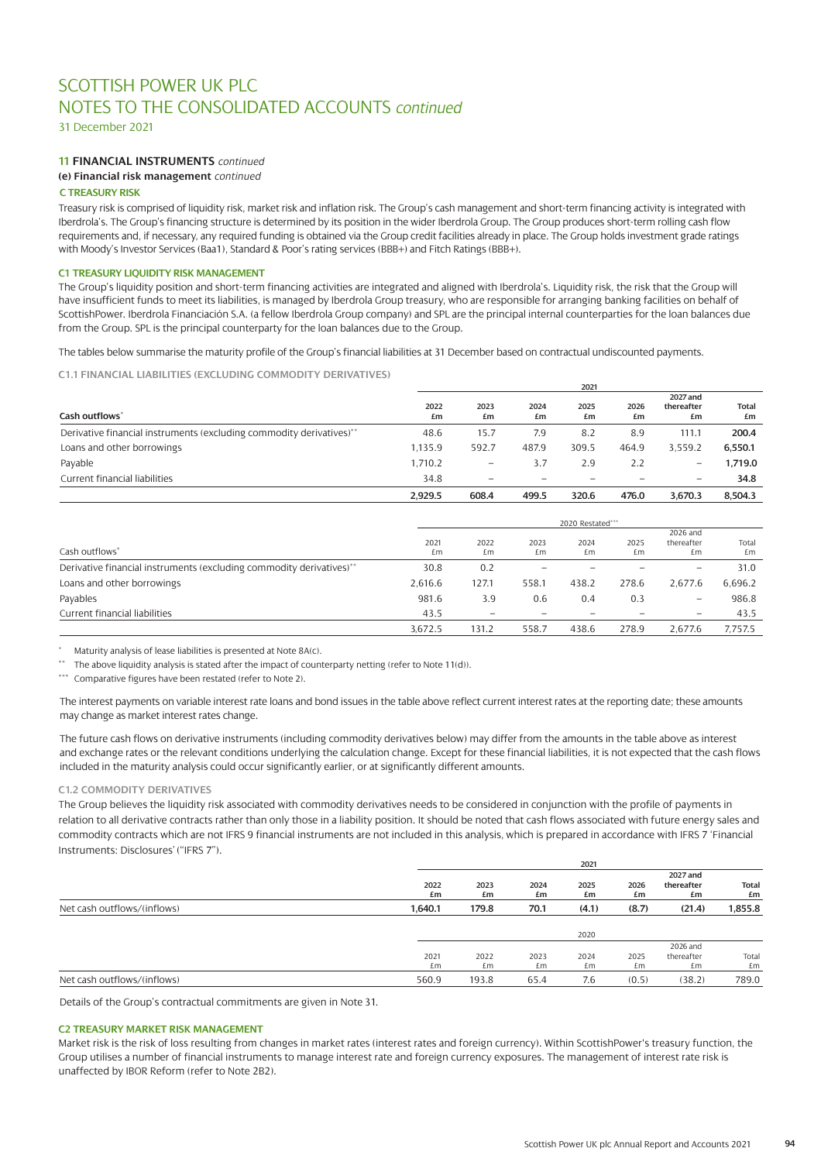31 December 2021

# **11 FINANCIAL INSTRUMENTS** *continued*

**(e) Financial risk management** *continued*

### **C TREASURY RISK**

Treasury risk is comprised of liquidity risk, market risk and inflation risk. The Group's cash management and short-term financing activity is integrated with Iberdrola's. The Group's financing structure is determined by its position in the wider Iberdrola Group. The Group produces short-term rolling cash flow requirements and, if necessary, any required funding is obtained via the Group credit facilities already in place. The Group holds investment grade ratings with Moody's Investor Services (Baa1), Standard & Poor's rating services (BBB+) and Fitch Ratings (BBB+).

### **C1 TREASURY LIQUIDITY RISK MANAGEMENT**

The Group's liquidity position and short-term financing activities are integrated and aligned with Iberdrola's. Liquidity risk, the risk that the Group will have insufficient funds to meet its liabilities, is managed by Iberdrola Group treasury, who are responsible for arranging banking facilities on behalf of ScottishPower. Iberdrola Financiación S.A. (a fellow Iberdrola Group company) and SPL are the principal internal counterparties for the loan balances due from the Group. SPL is the principal counterparty for the loan balances due to the Group.

The tables below summarise the maturity profile of the Group's financial liabilities at 31 December based on contractual undiscounted payments.

**C1.1 FINANCIAL LIABILITIES (EXCLUDING COMMODITY DERIVATIVES)**

|                                                                      | ZUZI       |                          |            |                   |            |                              |                    |  |
|----------------------------------------------------------------------|------------|--------------------------|------------|-------------------|------------|------------------------------|--------------------|--|
| Cash outflows <sup>*</sup>                                           | 2022<br>£m | 2023<br>£m               | 2024<br>£m | 2025<br>£m        | 2026<br>£m | 2027 and<br>thereafter<br>£m | <b>Total</b><br>£m |  |
| Derivative financial instruments (excluding commodity derivatives)** | 48.6       | 15.7                     | 7.9        | 8.2               | 8.9        | 111.1                        | 200.4              |  |
| Loans and other borrowings                                           | 1.135.9    | 592.7                    | 487.9      | 309.5             | 464.9      | 3.559.2                      | 6.550.1            |  |
| Payable                                                              | 1.710.2    | $\qquad \qquad -$        | 3.7        | 2.9               | 2.2        | $\qquad \qquad -$            | 1.719.0            |  |
| Current financial liabilities                                        | 34.8       | $\overline{\phantom{0}}$ |            | $\qquad \qquad -$ | $\equiv$   | $\qquad \qquad -$            | 34.8               |  |
|                                                                      | 2.929.5    | 608.4                    | 499.5      | 320.6             | 476.0      | 3.670.3                      | 8.504.3            |  |

**2021**

|                                                                      | 2020 Restated*** |            |            |                          |            |                              |             |  |
|----------------------------------------------------------------------|------------------|------------|------------|--------------------------|------------|------------------------------|-------------|--|
| Cash outflows <sup>*</sup>                                           | 2021<br>£m       | 2022<br>£m | 2023<br>£m | 2024<br>£m               | 2025<br>£m | 2026 and<br>thereafter<br>£m | Total<br>£m |  |
| Derivative financial instruments (excluding commodity derivatives)** | 30.8             | 0.2        |            |                          |            | $\qquad \qquad -$            | 31.0        |  |
| Loans and other borrowings                                           | 2.616.6          | 127.1      | 558.1      | 438.2                    | 278.6      | 2.677.6                      | 6,696.2     |  |
| Payables                                                             | 981.6            | 3.9        | 0.6        | 0.4                      | 0.3        | $\qquad \qquad -$            | 986.8       |  |
| Current financial liabilities                                        | 43.5             |            |            | $\overline{\phantom{0}}$ |            | $\overline{\phantom{0}}$     | 43.5        |  |
|                                                                      | 3.672.5          | 131.2      | 558.7      | 438.6                    | 278.9      | 2.677.6                      | 7.757.5     |  |

Maturity analysis of lease liabilities is presented at Note 8A(c).

\*\* The above liquidity analysis is stated after the impact of counterparty netting (refer to Note 11(d)).

\*\*\* Comparative figures have been restated (refer to Note 2).

The interest payments on variable interest rate loans and bond issues in the table above reflect current interest rates at the reporting date; these amounts may change as market interest rates change.

The future cash flows on derivative instruments (including commodity derivatives below) may differ from the amounts in the table above as interest and exchange rates or the relevant conditions underlying the calculation change. Except for these financial liabilities, it is not expected that the cash flows included in the maturity analysis could occur significantly earlier, or at significantly different amounts.

### **C1.2 COMMODITY DERIVATIVES**

The Group believes the liquidity risk associated with commodity derivatives needs to be considered in conjunction with the profile of payments in relation to all derivative contracts rather than only those in a liability position. It should be noted that cash flows associated with future energy sales and commodity contracts which are not IFRS 9 financial instruments are not included in this analysis, which is prepared in accordance with IFRS 7 'Financial Instruments: Disclosures' ("IFRS 7").

|                             |            |            |            | 2021       |            |                              |                    |
|-----------------------------|------------|------------|------------|------------|------------|------------------------------|--------------------|
|                             | 2022<br>£m | 2023<br>£m | 2024<br>£m | 2025<br>£m | 2026<br>£m | 2027 and<br>thereafter<br>£m | <b>Total</b><br>£m |
| Net cash outflows/(inflows) | 1.640.1    | 179.8      | 70.1       | (4.1)      | (8.7)      | (21.4)                       | 1,855.8            |
|                             |            |            |            |            |            |                              |                    |
|                             |            |            |            | 2020       |            |                              |                    |
|                             |            |            |            |            |            | 2026 and                     |                    |
|                             | 2021       | 2022       | 2023       | 2024       | 2025       | thereafter                   | Total              |
|                             | £m.        | £m         | £m         | £m         | £m         | £m                           | £m                 |
| Net cash outflows/(inflows) | 560.9      | 193.8      | 65.4       | 7.6        | (0.5)      | (38.2)                       | 789.0              |

Details of the Group's contractual commitments are given in Note 31.

#### **C2 TREASURY MARKET RISK MANAGEMENT**

Market risk is the risk of loss resulting from changes in market rates (interest rates and foreign currency). Within ScottishPower's treasury function, the Group utilises a number of financial instruments to manage interest rate and foreign currency exposures. The management of interest rate risk is unaffected by IBOR Reform (refer to Note 2B2).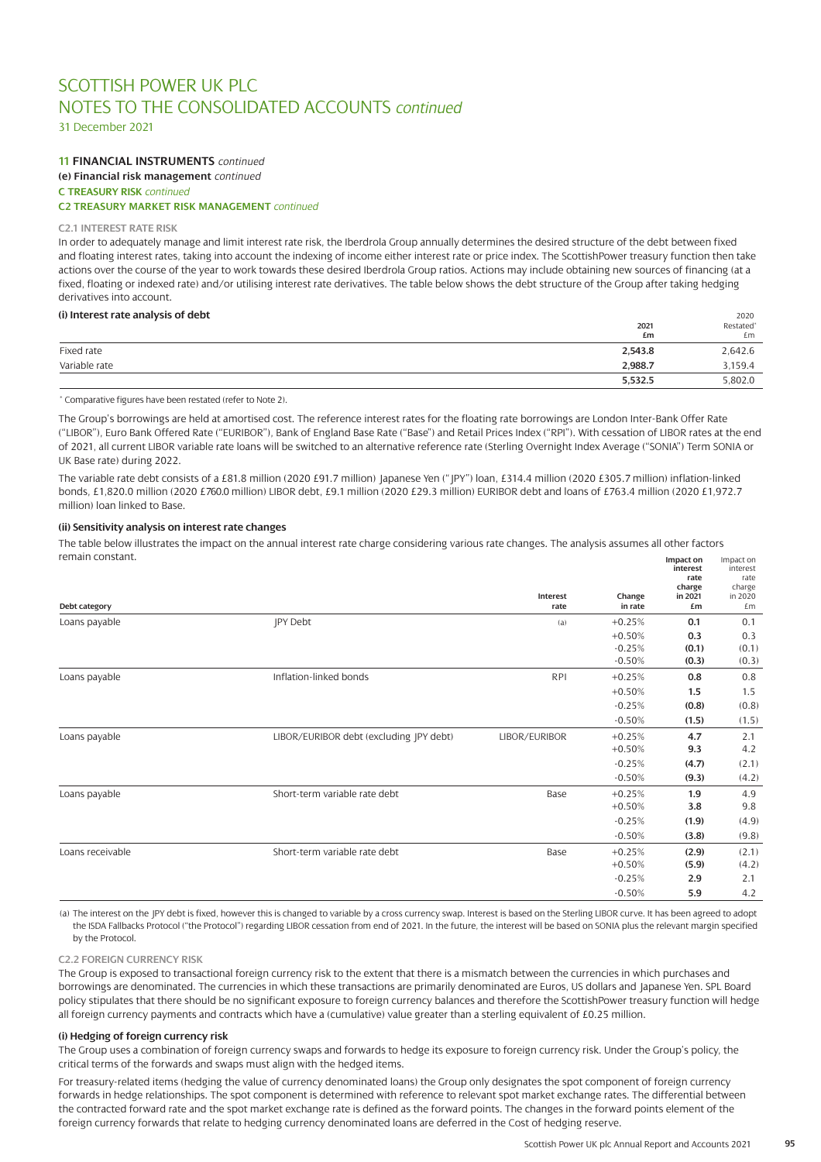31 December 2021

# **11 FINANCIAL INSTRUMENTS** *continued* **(e) Financial risk management** *continued* **C TREASURY RISK** *continued*

# **C2 TREASURY MARKET RISK MANAGEMENT** *continued*

### **C2.1 INTEREST RATE RISK**

In order to adequately manage and limit interest rate risk, the Iberdrola Group annually determines the desired structure of the debt between fixed and floating interest rates, taking into account the indexing of income either interest rate or price index. The ScottishPower treasury function then take actions over the course of the year to work towards these desired Iberdrola Group ratios. Actions may include obtaining new sources of financing (at a fixed, floating or indexed rate) and/or utilising interest rate derivatives. The table below shows the debt structure of the Group after taking hedging derivatives into account.

### **(i) Interest rate analysis of debt** 2020

| $\alpha$ and $\beta$ and $\beta$ and $\beta$ and $\beta$ and $\beta$ | 2021<br>£m | LULU<br>Restated <sup>®</sup><br>£m |
|----------------------------------------------------------------------|------------|-------------------------------------|
| Fixed rate                                                           | 2,543.8    | 2,642.6                             |
| Variable rate                                                        | 2,988.7    | 3,159.4                             |
|                                                                      | 5,532.5    | 5,802.0                             |

\* Comparative figures have been restated (refer to Note 2).

The Group's borrowings are held at amortised cost. The reference interest rates for the floating rate borrowings are London Inter-Bank Offer Rate ("LIBOR"), Euro Bank Offered Rate ("EURIBOR"), Bank of England Base Rate ("Base") and Retail Prices Index ("RPI"). With cessation of LIBOR rates at the end of 2021, all current LIBOR variable rate loans will be switched to an alternative reference rate (Sterling Overnight Index Average ("SONIA") Term SONIA or UK Base rate) during 2022.

The variable rate debt consists of a £81.8 million (2020 £91.7 million) Japanese Yen ("JPY") loan, £314.4 million (2020 £305.7 million) inflation-linked bonds, £1,820.0 million (2020 £760.0 million) LIBOR debt, £9.1 million (2020 £29.3 million) EURIBOR debt and loans of £763.4 million (2020 £1,972.7 million) loan linked to Base.

### **(ii) Sensitivity analysis on interest rate changes**

The table below illustrates the impact on the annual interest rate charge considering various rate changes. The analysis assumes all other factors remain constant. **Impact on** Impact on

| Debt category    |                                         | Interest<br>rate | Change<br>in rate | interest<br>rate<br>charge<br>in 2021<br>£m | interest<br>rate<br>charge<br>in 2020<br>£m |
|------------------|-----------------------------------------|------------------|-------------------|---------------------------------------------|---------------------------------------------|
| Loans payable    | <b>IPY Debt</b>                         | (a)              | $+0.25%$          | 0.1                                         | 0.1                                         |
|                  |                                         |                  | $+0.50%$          | 0.3                                         | 0.3                                         |
|                  |                                         |                  | $-0.25%$          | (0.1)                                       | (0.1)                                       |
|                  |                                         |                  | $-0.50%$          | (0.3)                                       | (0.3)                                       |
| Loans payable    | Inflation-linked bonds                  | <b>RPI</b>       | $+0.25%$          | 0.8                                         | 0.8                                         |
|                  |                                         |                  | $+0.50%$          | 1.5                                         | 1.5                                         |
|                  |                                         |                  | $-0.25%$          | (0.8)                                       | (0.8)                                       |
|                  |                                         |                  | $-0.50%$          | (1.5)                                       | (1.5)                                       |
| Loans payable    | LIBOR/EURIBOR debt (excluding JPY debt) | LIBOR/EURIBOR    | $+0.25%$          | 4.7                                         | 2.1                                         |
|                  |                                         |                  | $+0.50%$          | 9.3                                         | 4.2                                         |
|                  |                                         |                  | $-0.25%$          | (4.7)                                       | (2.1)                                       |
|                  |                                         |                  | $-0.50%$          | (9.3)                                       | (4.2)                                       |
| Loans payable    | Short-term variable rate debt           | Base             | $+0.25%$          | 1.9                                         | 4.9                                         |
|                  |                                         |                  | $+0.50%$          | 3.8                                         | 9.8                                         |
|                  |                                         |                  | $-0.25%$          | (1.9)                                       | (4.9)                                       |
|                  |                                         |                  | $-0.50%$          | (3.8)                                       | (9.8)                                       |
| Loans receivable | Short-term variable rate debt           | Base             | $+0.25%$          | (2.9)                                       | (2.1)                                       |
|                  |                                         |                  | $+0.50%$          | (5.9)                                       | (4.2)                                       |
|                  |                                         |                  | $-0.25%$          | 2.9                                         | 2.1                                         |
|                  |                                         |                  | $-0.50%$          | 5.9                                         | 4.2                                         |

(a) The interest on the JPY debt is fixed, however this is changed to variable by a cross currency swap. Interest is based on the Sterling LIBOR curve. It has been agreed to adopt the ISDA Fallbacks Protocol ("the Protocol") regarding LIBOR cessation from end of 2021. In the future, the interest will be based on SONIA plus the relevant margin specified by the Protocol.

### **C2.2 FOREIGN CURRENCY RISK**

The Group is exposed to transactional foreign currency risk to the extent that there is a mismatch between the currencies in which purchases and borrowings are denominated. The currencies in which these transactions are primarily denominated are Euros, US dollars and Japanese Yen. SPL Board policy stipulates that there should be no significant exposure to foreign currency balances and therefore the ScottishPower treasury function will hedge all foreign currency payments and contracts which have a (cumulative) value greater than a sterling equivalent of £0.25 million.

#### **(i) Hedging of foreign currency risk**

The Group uses a combination of foreign currency swaps and forwards to hedge its exposure to foreign currency risk. Under the Group's policy, the critical terms of the forwards and swaps must align with the hedged items.

For treasury-related items (hedging the value of currency denominated loans) the Group only designates the spot component of foreign currency forwards in hedge relationships. The spot component is determined with reference to relevant spot market exchange rates. The differential between the contracted forward rate and the spot market exchange rate is defined as the forward points. The changes in the forward points element of the foreign currency forwards that relate to hedging currency denominated loans are deferred in the Cost of hedging reserve.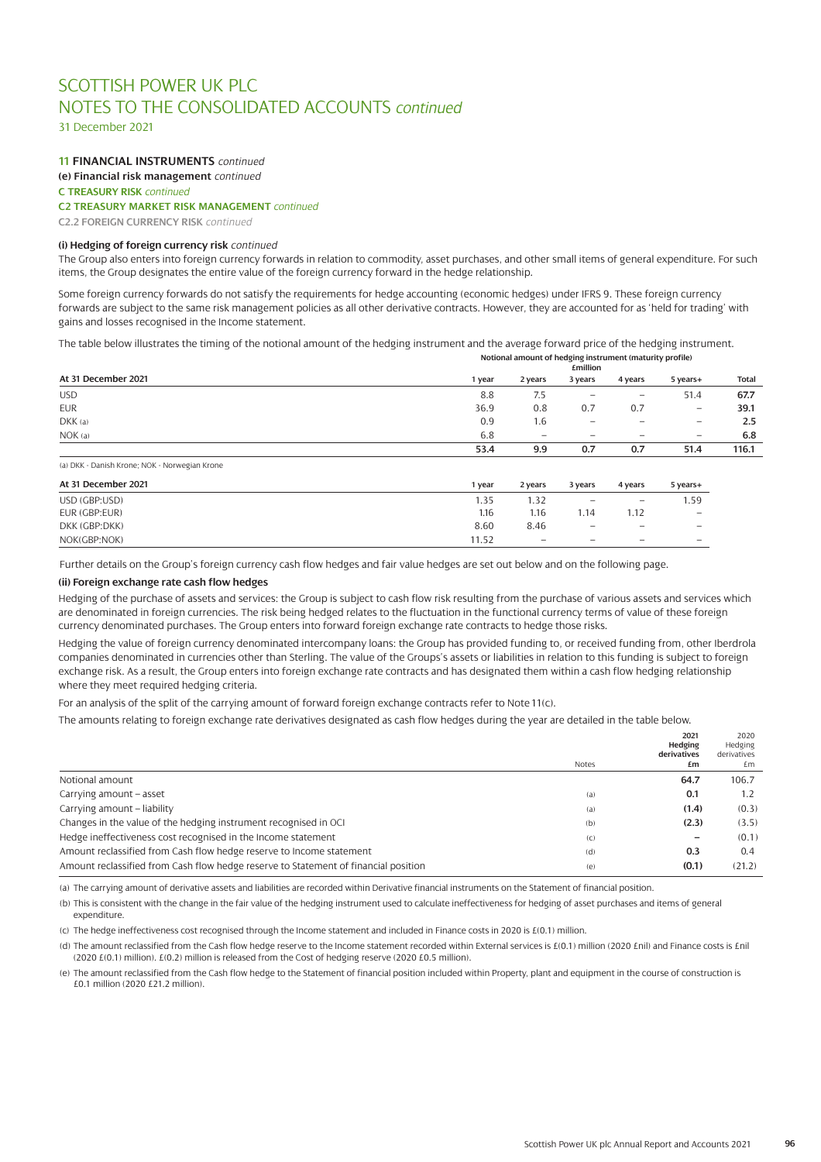31 December 2021

# **11 FINANCIAL INSTRUMENTS** *continued*

**(e) Financial risk management** *continued*

**C TREASURY RISK** *continued* 

# **C2 TREASURY MARKET RISK MANAGEMENT** *continued*

**C2.2 FOREIGN CURRENCY RISK** *continued*

### **(i) Hedging of foreign currency risk** *continued*

The Group also enters into foreign currency forwards in relation to commodity, asset purchases, and other small items of general expenditure. For such items, the Group designates the entire value of the foreign currency forward in the hedge relationship.

Some foreign currency forwards do not satisfy the requirements for hedge accounting (economic hedges) under IFRS 9. These foreign currency forwards are subject to the same risk management policies as all other derivative contracts. However, they are accounted for as 'held for trading' with gains and losses recognised in the Income statement.

The table below illustrates the timing of the notional amount of the hedging instrument and the average forward price of the hedging instrument.

|                     | Notional amount of hedging instrument (maturity profile)<br><b>£million</b> |                                                                                         |                                 |                 |                   |              |
|---------------------|-----------------------------------------------------------------------------|-----------------------------------------------------------------------------------------|---------------------------------|-----------------|-------------------|--------------|
| At 31 December 2021 | year                                                                        | 2 years                                                                                 | 3 years                         | 4 years         | 5 years+          | <b>Total</b> |
| <b>USD</b>          | 8.8                                                                         | 7.5                                                                                     | $\qquad \qquad$                 | $\qquad \qquad$ | 51.4              | 67.7         |
| <b>EUR</b>          | 36.9                                                                        | 0.8                                                                                     | 0.7                             | 0.7             | $\qquad \qquad -$ | 39.1         |
| DKK(a)              | 0.9                                                                         | 1.6                                                                                     | $\hspace{0.1mm}-\hspace{0.1mm}$ | $\qquad \qquad$ | -                 | 2.5          |
| NOK(a)              | 6.8                                                                         | $\overline{\phantom{m}}$<br>$\qquad \qquad =$<br>$\qquad \qquad -$<br>$\qquad \qquad -$ | 6.8                             |                 |                   |              |
|                     | 53.4                                                                        | 9.9                                                                                     | 0.7                             | 0.7             | 51.4              | 116.1        |

(a) DKK - Danish Krone; NOK - Norwegian Krone

| At 31 December 2021 | l year | 2 years                  | 3 years                  | 4 years                  | 5 years+                 |
|---------------------|--------|--------------------------|--------------------------|--------------------------|--------------------------|
| USD (GBP:USD)       | l.35   | 1.32                     | $\overline{\phantom{m}}$ | $\overline{\phantom{m}}$ | 1.59                     |
| EUR (GBP:EUR)       | 1.16   | 1.16                     | 1.14                     | 1.12                     | $\overline{\phantom{m}}$ |
| DKK (GBP:DKK)       | 8.60   | 8.46                     | $\overline{\phantom{m}}$ |                          |                          |
| NOK(GBP:NOK)        | 11.52  | $\overline{\phantom{0}}$ | $\qquad \qquad$          | $\overline{\phantom{m}}$ | $\overline{\phantom{0}}$ |

Further details on the Group's foreign currency cash flow hedges and fair value hedges are set out below and on the following page.

### **(ii) Foreign exchange rate cash flow hedges**

Hedging of the purchase of assets and services: the Group is subject to cash flow risk resulting from the purchase of various assets and services which are denominated in foreign currencies. The risk being hedged relates to the fluctuation in the functional currency terms of value of these foreign currency denominated purchases. The Group enters into forward foreign exchange rate contracts to hedge those risks.

Hedging the value of foreign currency denominated intercompany loans: the Group has provided funding to, or received funding from, other Iberdrola companies denominated in currencies other than Sterling. The value of the Groups's assets or liabilities in relation to this funding is subject to foreign exchange risk. As a result, the Group enters into foreign exchange rate contracts and has designated them within a cash flow hedging relationship where they meet required hedging criteria.

For an analysis of the split of the carrying amount of forward foreign exchange contracts refer to Note 11(c).

The amounts relating to foreign exchange rate derivatives designated as cash flow hedges during the year are detailed in the table below.

|                                                                                     | <b>Notes</b> | 2021<br>Hedging<br>derivatives<br>£m | 2020<br>Hedging<br>derivatives<br>£m |
|-------------------------------------------------------------------------------------|--------------|--------------------------------------|--------------------------------------|
| Notional amount                                                                     |              | 64.7                                 | 106.7                                |
| Carrying amount - asset                                                             | (a)          | 0.1                                  | 1.2                                  |
| Carrying amount - liability                                                         | (a)          | (1.4)                                | (0.3)                                |
| Changes in the value of the hedging instrument recognised in OCI                    | (b)          | (2.3)                                | (3.5)                                |
| Hedge ineffectiveness cost recognised in the Income statement                       | (C)          | $\overline{\phantom{0}}$             | (0.1)                                |
| Amount reclassified from Cash flow hedge reserve to Income statement                | (d)          | 0.3                                  | 0.4                                  |
| Amount reclassified from Cash flow hedge reserve to Statement of financial position | (e)          | (0.1)                                | (21.2)                               |

(a) The carrying amount of derivative assets and liabilities are recorded within Derivative financial instruments on the Statement of financial position.

(b) This is consistent with the change in the fair value of the hedging instrument used to calculate ineffectiveness for hedging of asset purchases and items of general expenditure.

(c) The hedge ineffectiveness cost recognised through the Income statement and included in Finance costs in 2020 is £(0.1) million.

(d) The amount reclassified from the Cash flow hedge reserve to the Income statement recorded within External services is £(0.1) million (2020 £nil) and Finance costs is £nil (2020 £(0.1) million). £(0.2) million is released from the Cost of hedging reserve (2020 £0.5 million).

(e) The amount reclassified from the Cash flow hedge to the Statement of financial position included within Property, plant and equipment in the course of construction is £0.1 million (2020 £21.2 million).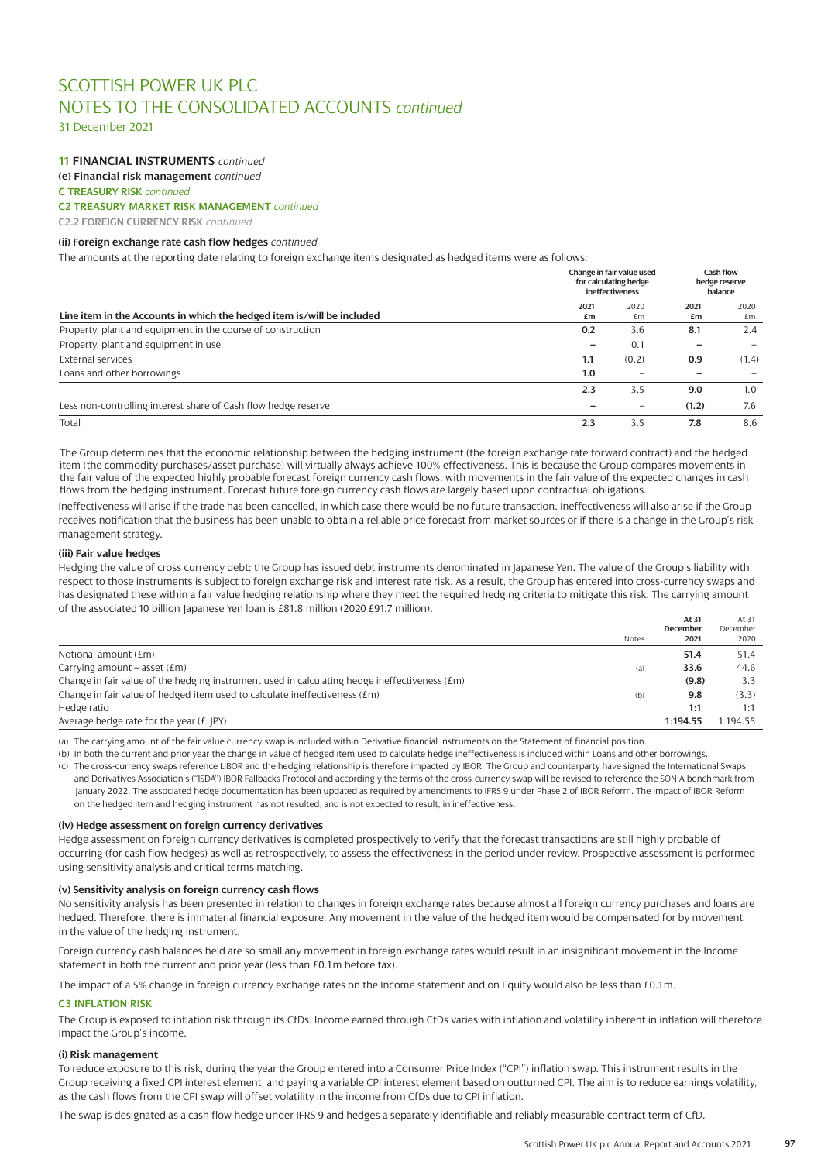31 December 2021

# **11 FINANCIAL INSTRUMENTS** *continued*

**(e) Financial risk management** *continued*

**C TREASURY RISK** *continued* 

# **C2 TREASURY MARKET RISK MANAGEMENT** *continued*

**C2.2 FOREIGN CURRENCY RISK** *continued*

### **(ii) Foreign exchange rate cash flow hedges** *continued*

The amounts at the reporting date relating to foreign exchange items designated as hedged items were as follows:

|                                                                        |            | Change in fair value used<br>for calculating hedge<br>ineffectiveness |            | Cash flow<br>hedge reserve<br>balance |  |
|------------------------------------------------------------------------|------------|-----------------------------------------------------------------------|------------|---------------------------------------|--|
| Line item in the Accounts in which the hedged item is/will be included | 2021<br>£m | 2020<br>£m                                                            | 2021<br>£m | 2020<br>£m                            |  |
| Property, plant and equipment in the course of construction            | 0.2        | 3.6                                                                   | 8.1        | 2.4                                   |  |
| Property, plant and equipment in use                                   |            | 0.1                                                                   |            |                                       |  |
| External services                                                      | 1.1        | (0.2)                                                                 | 0.9        | (1.4)                                 |  |
| Loans and other borrowings                                             | 1.0        |                                                                       |            |                                       |  |
|                                                                        | 2.3        | 3.5                                                                   | 9.0        | 1.0                                   |  |
| Less non-controlling interest share of Cash flow hedge reserve         |            | $\overline{\phantom{m}}$                                              | (1.2)      | 7.6                                   |  |
| Total                                                                  | 2.3        | 3.5                                                                   | 7.8        | 8.6                                   |  |

The Group determines that the economic relationship between the hedging instrument (the foreign exchange rate forward contract) and the hedged item (the commodity purchases/asset purchase) will virtually always achieve 100% effectiveness. This is because the Group compares movements in the fair value of the expected highly probable forecast foreign currency cash flows, with movements in the fair value of the expected changes in cash flows from the hedging instrument. Forecast future foreign currency cash flows are largely based upon contractual obligations.

Ineffectiveness will arise if the trade has been cancelled, in which case there would be no future transaction. Ineffectiveness will also arise if the Group receives notification that the business has been unable to obtain a reliable price forecast from market sources or if there is a change in the Group's risk management strategy.

### **(iii) Fair value hedges**

Hedging the value of cross currency debt: the Group has issued debt instruments denominated in Japanese Yen. The value of the Group's liability with respect to those instruments is subject to foreign exchange risk and interest rate risk. As a result, the Group has entered into cross-currency swaps and has designated these within a fair value hedging relationship where they meet the required hedging criteria to mitigate this risk. The carrying amount of the associated 10 billion Japanese Yen loan is £81.8 million (2020 £91.7 million).

|                                                                                                 |              | At 31    | At 31    |
|-------------------------------------------------------------------------------------------------|--------------|----------|----------|
|                                                                                                 |              | December | December |
|                                                                                                 | <b>Notes</b> | 2021     | 2020     |
| Notional amount $(\text{Em})$                                                                   |              | 51.4     | 51.4     |
| Carrying amount – asset $(Em)$                                                                  | (a)          | 33.6     | 44.6     |
| Change in fair value of the hedging instrument used in calculating hedge ineffectiveness $(Em)$ |              | (9.8)    | 3.3      |
| Change in fair value of hedged item used to calculate ineffectiveness (£m)                      | (b)          | 9.8      | (3.3)    |
| Hedge ratio                                                                                     |              | 1:1      | 1:1      |
| Average hedge rate for the year $(E:  PY)$                                                      |              | 1:194.55 | 1:194.55 |

(a) The carrying amount of the fair value currency swap is included within Derivative financial instruments on the Statement of financial position.

(b) In both the current and prior year the change in value of hedged item used to calculate hedge ineffectiveness is included within Loans and other borrowings.

(c) The cross-currency swaps reference LIBOR and the hedging relationship is therefore impacted by IBOR. The Group and counterparty have signed the International Swaps and Derivatives Association's ("ISDA") IBOR Fallbacks Protocol and accordingly the terms of the cross-currency swap will be revised to reference the SONIA benchmark from January 2022. The associated hedge documentation has been updated as required by amendments to IFRS 9 under Phase 2 of IBOR Reform. The impact of IBOR Reform on the hedged item and hedging instrument has not resulted, and is not expected to result, in ineffectiveness.

### **(iv) Hedge assessment on foreign currency derivatives**

Hedge assessment on foreign currency derivatives is completed prospectively to verify that the forecast transactions are still highly probable of occurring (for cash flow hedges) as well as retrospectively, to assess the effectiveness in the period under review. Prospective assessment is performed using sensitivity analysis and critical terms matching.

#### **(v) Sensitivity analysis on foreign currency cash flows**

No sensitivity analysis has been presented in relation to changes in foreign exchange rates because almost all foreign currency purchases and loans are hedged. Therefore, there is immaterial financial exposure. Any movement in the value of the hedged item would be compensated for by movement in the value of the hedging instrument.

Foreign currency cash balances held are so small any movement in foreign exchange rates would result in an insignificant movement in the Income statement in both the current and prior year (less than £0.1m before tax).

The impact of a 5% change in foreign currency exchange rates on the Income statement and on Equity would also be less than £0.1m.

### **C3 INFLATION RISK**

The Group is exposed to inflation risk through its CfDs. Income earned through CfDs varies with inflation and volatility inherent in inflation will therefore impact the Group's income.

### **(i) Risk management**

To reduce exposure to this risk, during the year the Group entered into a Consumer Price Index ("CPI") inflation swap. This instrument results in the Group receiving a fixed CPI interest element, and paying a variable CPI interest element based on outturned CPI. The aim is to reduce earnings volatility, as the cash flows from the CPI swap will offset volatility in the income from CfDs due to CPI inflation.

The swap is designated as a cash flow hedge under IFRS 9 and hedges a separately identifiable and reliably measurable contract term of CfD.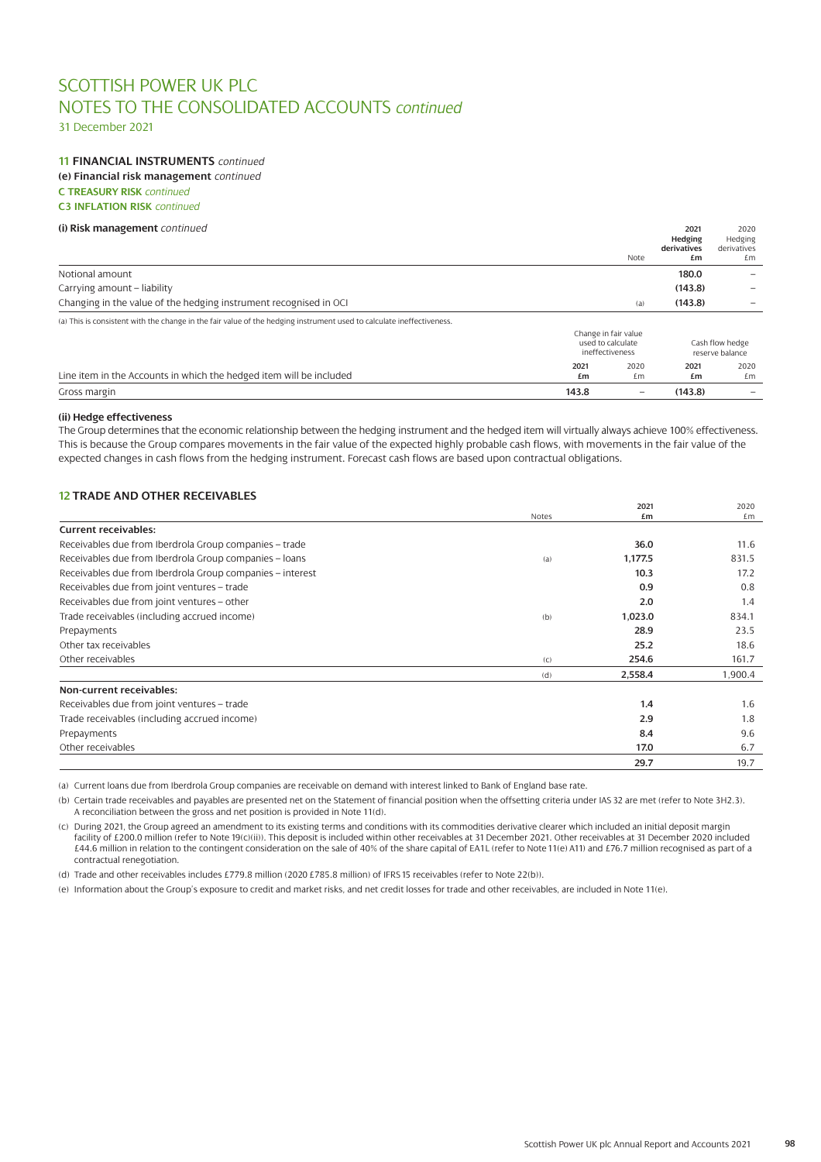31 December 2021

### **11 FINANCIAL INSTRUMENTS** *continued* **(e) Financial risk management** *continued*

**C TREASURY RISK** *continued* 

**C3 INFLATION RISK** *continued*

| (i) Risk management continued                                                                                         |                 |                                           |                        | 2020<br>Hedging |
|-----------------------------------------------------------------------------------------------------------------------|-----------------|-------------------------------------------|------------------------|-----------------|
|                                                                                                                       |                 |                                           | Hedging<br>derivatives | derivatives     |
|                                                                                                                       |                 | Note                                      | £m                     | £m              |
| Notional amount                                                                                                       |                 |                                           | 180.0                  |                 |
| Carrying amount – liability                                                                                           |                 |                                           | (143.8)                |                 |
| Changing in the value of the hedging instrument recognised in OCI                                                     |                 | (a)                                       | (143.8)                |                 |
| (a) This is consistent with the change in the fair value of the hedging instrument used to calculate ineffectiveness. |                 |                                           |                        |                 |
|                                                                                                                       |                 | Change in fair value<br>used to calculate |                        | Cash flow hedge |
|                                                                                                                       | ineffectiveness |                                           |                        | reserve balance |
| Line item in the Accounts in which the hedged item will be included                                                   | 2021<br>£m      | 2020<br>£m                                | 2021<br>£m             | 2020<br>£m      |
| Gross margin                                                                                                          | 143.8           | $\overline{\phantom{0}}$                  | (143.8)                |                 |
|                                                                                                                       |                 |                                           |                        |                 |

# **(ii) Hedge effectiveness**

The Group determines that the economic relationship between the hedging instrument and the hedged item will virtually always achieve 100% effectiveness. This is because the Group compares movements in the fair value of the expected highly probable cash flows, with movements in the fair value of the expected changes in cash flows from the hedging instrument. Forecast cash flows are based upon contractual obligations.

# **12 TRADE AND OTHER RECEIVABLES**

|                                                           | Notes | 2021<br>£m | 2020<br>£m |
|-----------------------------------------------------------|-------|------------|------------|
| <b>Current receivables:</b>                               |       |            |            |
| Receivables due from Iberdrola Group companies - trade    |       | 36.0       | 11.6       |
| Receivables due from Iberdrola Group companies - loans    | (a)   | 1,177.5    | 831.5      |
| Receivables due from Iberdrola Group companies - interest |       | 10.3       | 17.2       |
| Receivables due from joint ventures - trade               |       | 0.9        | 0.8        |
| Receivables due from joint ventures - other               |       | 2.0        | 1.4        |
| Trade receivables (including accrued income)              | (b)   | 1,023.0    | 834.1      |
| Prepayments                                               |       | 28.9       | 23.5       |
| Other tax receivables                                     |       | 25.2       | 18.6       |
| Other receivables                                         | (C)   | 254.6      | 161.7      |
|                                                           | (d)   | 2,558.4    | 1,900.4    |
| Non-current receivables:                                  |       |            |            |
| Receivables due from joint ventures - trade               |       | 1.4        | 1.6        |
| Trade receivables (including accrued income)              |       | 2.9        | 1.8        |
| Prepayments                                               |       | 8.4        | 9.6        |
| Other receivables                                         |       | 17.0       | 6.7        |
|                                                           |       | 29.7       | 19.7       |

(a) Current loans due from Iberdrola Group companies are receivable on demand with interest linked to Bank of England base rate.

(b) Certain trade receivables and payables are presented net on the Statement of financial position when the offsetting criteria under IAS 32 are met (refer to Note 3H2.3). A reconciliation between the gross and net position is provided in Note 11(d).

(c) During 2021, the Group agreed an amendment to its existing terms and conditions with its commodities derivative clearer which included an initial deposit margin facility of £200.0 million (refer to Note 19(c)(ii)). This deposit is included within other receivables at 31 December 2021. Other receivables at 31 December 2020 included £44.6 million in relation to the contingent consideration on the sale of 40% of the share capital of EA1L (refer to Note 11(e) A11) and £76.7 million recognised as part of a contractual renegotiation.

(d) Trade and other receivables includes £779.8 million (2020 £785.8 million) of IFRS 15 receivables (refer to Note 22(b)).

(e) Information about the Group's exposure to credit and market risks, and net credit losses for trade and other receivables, are included in Note 11(e).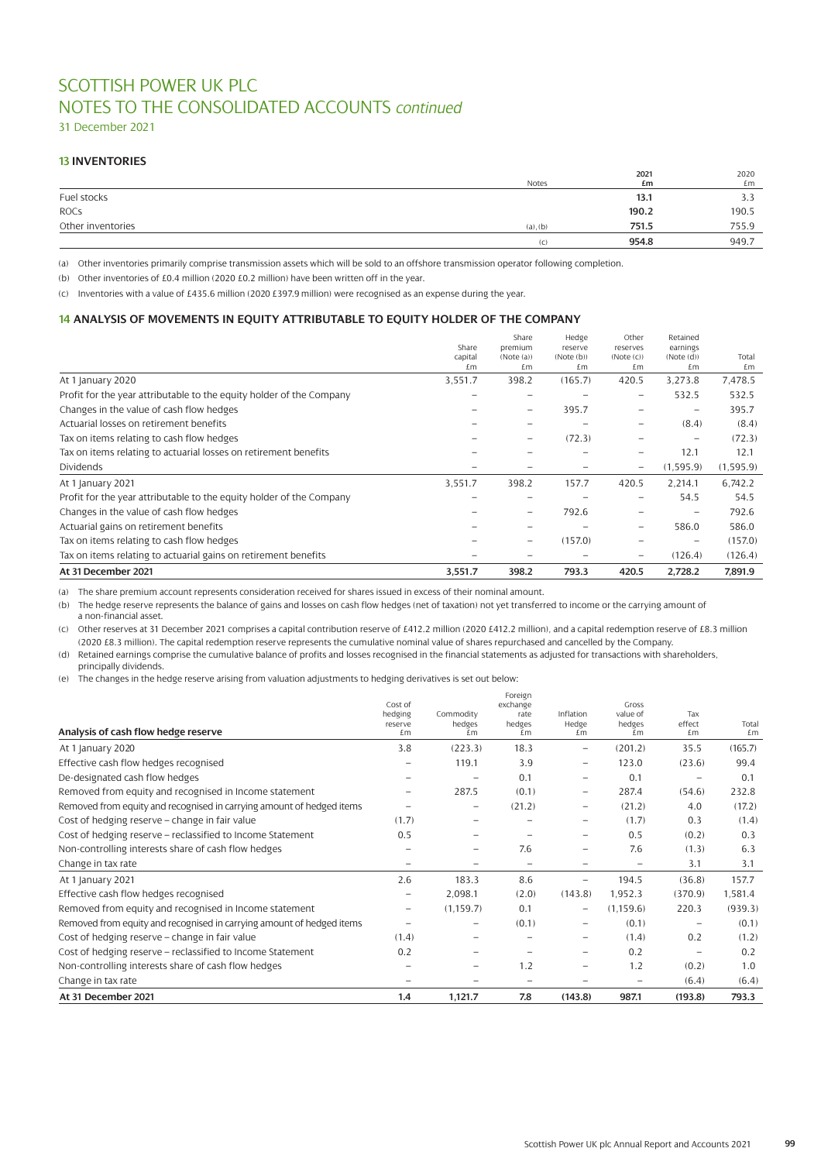31 December 2021

# **13 INVENTORIES**

|                   |               | 2021  | 2020  |
|-------------------|---------------|-------|-------|
|                   | Notes         | £m    | £m    |
| Fuel stocks       |               | 13.1  | 3.3   |
| <b>ROCS</b>       |               | 190.2 | 190.5 |
| Other inventories | $(a)$ , $(b)$ | 751.5 | 755.9 |
|                   | (C)           | 954.8 | 949.7 |

(a) Other inventories primarily comprise transmission assets which will be sold to an offshore transmission operator following completion.

(b) Other inventories of £0.4 million (2020 £0.2 million) have been written off in the year.

(c) Inventories with a value of £435.6 million (2020 £397.9 million) were recognised as an expense during the year.

# **14 ANALYSIS OF MOVEMENTS IN EQUITY ATTRIBUTABLE TO EQUITY HOLDER OF THE COMPANY**

| At 31 December 2021                                                  | 3,551.7       | 398.2                    | 793.3            | 420.5                    | 2,728.2                                 | 7,891.9     |
|----------------------------------------------------------------------|---------------|--------------------------|------------------|--------------------------|-----------------------------------------|-------------|
| Tax on items relating to actuarial gains on retirement benefits      |               |                          |                  | $\overline{\phantom{0}}$ | (126.4)                                 | (126.4)     |
| Tax on items relating to cash flow hedges                            |               | $\overline{\phantom{0}}$ | (157.0)          |                          | $\equiv$                                | (157.0)     |
| Actuarial gains on retirement benefits                               |               |                          |                  | $\equiv$                 | 586.0                                   | 586.0       |
| Changes in the value of cash flow hedges                             |               | $\overline{\phantom{0}}$ | 792.6            |                          |                                         | 792.6       |
| Profit for the year attributable to the equity holder of the Company |               |                          |                  |                          | 54.5                                    | 54.5        |
| At 1 January 2021                                                    | 3,551.7       | 398.2                    | 157.7            | 420.5                    | 2.214.1                                 | 6,742.2     |
| <b>Dividends</b>                                                     |               |                          |                  | $\overline{\phantom{0}}$ | (1, 595.9)                              | (1,595.9)   |
| Tax on items relating to actuarial losses on retirement benefits     |               |                          |                  | -                        | 12.1                                    | 12.1        |
| Tax on items relating to cash flow hedges                            |               |                          | (72.3)           |                          |                                         | (72.3)      |
| Actuarial losses on retirement benefits                              |               | $\overline{\phantom{m}}$ |                  | -                        | (8.4)                                   | (8.4)       |
| Changes in the value of cash flow hedges                             |               |                          | 395.7            |                          | $\qquad \qquad \  \  \, -\qquad \qquad$ | 395.7       |
| Profit for the year attributable to the equity holder of the Company |               |                          |                  | -                        | 532.5                                   | 532.5       |
| At 1 January 2020                                                    | 3,551.7       | 398.2                    | (165.7)          | 420.5                    | 3.273.8                                 | 7,478.5     |
|                                                                      | capital<br>£m | (Note (a))<br>£m         | (Note(b))<br>£m  | (Note (c))<br>£m         | (Note(d))<br>£m                         | Total<br>£m |
|                                                                      | Share         | Share<br>premium         | Hedge<br>reserve | Other<br>reserves        | Retained<br>earnings                    |             |
|                                                                      |               |                          |                  |                          |                                         |             |

(a) The share premium account represents consideration received for shares issued in excess of their nominal amount.

(b) The hedge reserve represents the balance of gains and losses on cash flow hedges (net of taxation) not yet transferred to income or the carrying amount of a non-financial asset.

(c) Other reserves at 31 December 2021 comprises a capital contribution reserve of £412.2 million (2020 £412.2 million), and a capital redemption reserve of £8.3 million (2020 £8.3 million). The capital redemption reserve represents the cumulative nominal value of shares repurchased and cancelled by the Company.

(d) Retained earnings comprise the cumulative balance of profits and losses recognised in the financial statements as adjusted for transactions with shareholders, principally dividends.

(e) The changes in the hedge reserve arising from valuation adjustments to hedging derivatives is set out below:

|                                                                       |                          |                          | Foreign                  |                          |                    |                          |         |
|-----------------------------------------------------------------------|--------------------------|--------------------------|--------------------------|--------------------------|--------------------|--------------------------|---------|
|                                                                       | Cost of                  |                          | exchange                 |                          | Gross              |                          |         |
|                                                                       | hedging<br>reserve       | Commodity<br>hedges      | rate<br>hedges           | Inflation<br>Hedge       | value of<br>hedges | Tax<br>effect            | Total   |
| Analysis of cash flow hedge reserve                                   | £m                       | £m                       | £m                       | £m                       | £m                 | £m                       | £m      |
| At 1 January 2020                                                     | 3.8                      | (223.3)                  | 18.3                     | $\overline{\phantom{0}}$ | (201.2)            | 35.5                     | (165.7) |
| Effective cash flow hedges recognised                                 |                          | 119.1                    | 3.9                      | $\qquad \qquad -$        | 123.0              | (23.6)                   | 99.4    |
| De-designated cash flow hedges                                        | $\qquad \qquad \qquad$   | $\overline{\phantom{0}}$ | 0.1                      |                          | 0.1                | $\overline{\phantom{0}}$ | 0.1     |
| Removed from equity and recognised in Income statement                |                          | 287.5                    | (0.1)                    |                          | 287.4              | (54.6)                   | 232.8   |
| Removed from equity and recognised in carrying amount of hedged items |                          | $\overline{\phantom{0}}$ | (21.2)                   | $\overline{\phantom{0}}$ | (21.2)             | 4.0                      | (17.2)  |
| Cost of hedging reserve - change in fair value                        | (1.7)                    |                          |                          | $\overline{\phantom{0}}$ | (1.7)              | 0.3                      | (1.4)   |
| Cost of hedging reserve - reclassified to Income Statement            | 0.5                      |                          |                          |                          | 0.5                | (0.2)                    | 0.3     |
| Non-controlling interests share of cash flow hedges                   |                          | -                        | 7.6                      |                          | 7.6                | (1.3)                    | 6.3     |
| Change in tax rate                                                    | $\overline{\phantom{0}}$ |                          | $\overline{\phantom{0}}$ |                          |                    | 3.1                      | 3.1     |
| At 1 January 2021                                                     | 2.6                      | 183.3                    | 8.6                      | $\overline{\phantom{0}}$ | 194.5              | (36.8)                   | 157.7   |
| Effective cash flow hedges recognised                                 | $\qquad \qquad \qquad$   | 2,098.1                  | (2.0)                    | (143.8)                  | 1,952.3            | (370.9)                  | 1,581.4 |
| Removed from equity and recognised in Income statement                | $\qquad \qquad -$        | (1, 159.7)               | 0.1                      | $\overline{\phantom{0}}$ | (1, 159.6)         | 220.3                    | (939.3) |
| Removed from equity and recognised in carrying amount of hedged items | $\overline{\phantom{0}}$ | $\overline{\phantom{0}}$ | (0.1)                    | $\overline{\phantom{0}}$ | (0.1)              |                          | (0.1)   |
| Cost of hedging reserve - change in fair value                        | (1.4)                    |                          |                          |                          | (1.4)              | 0.2                      | (1.2)   |
| Cost of hedging reserve - reclassified to Income Statement            | 0.2                      |                          |                          | $\overline{\phantom{0}}$ | 0.2                | $\overline{\phantom{0}}$ | 0.2     |
| Non-controlling interests share of cash flow hedges                   |                          | $\overline{\phantom{0}}$ | 1.2                      |                          | 1.2                | (0.2)                    | 1.0     |
| Change in tax rate                                                    |                          |                          |                          |                          |                    | (6.4)                    | (6.4)   |
| At 31 December 2021                                                   | 1.4                      | 1,121.7                  | 7.8                      | (143.8)                  | 987.1              | (193.8)                  | 793.3   |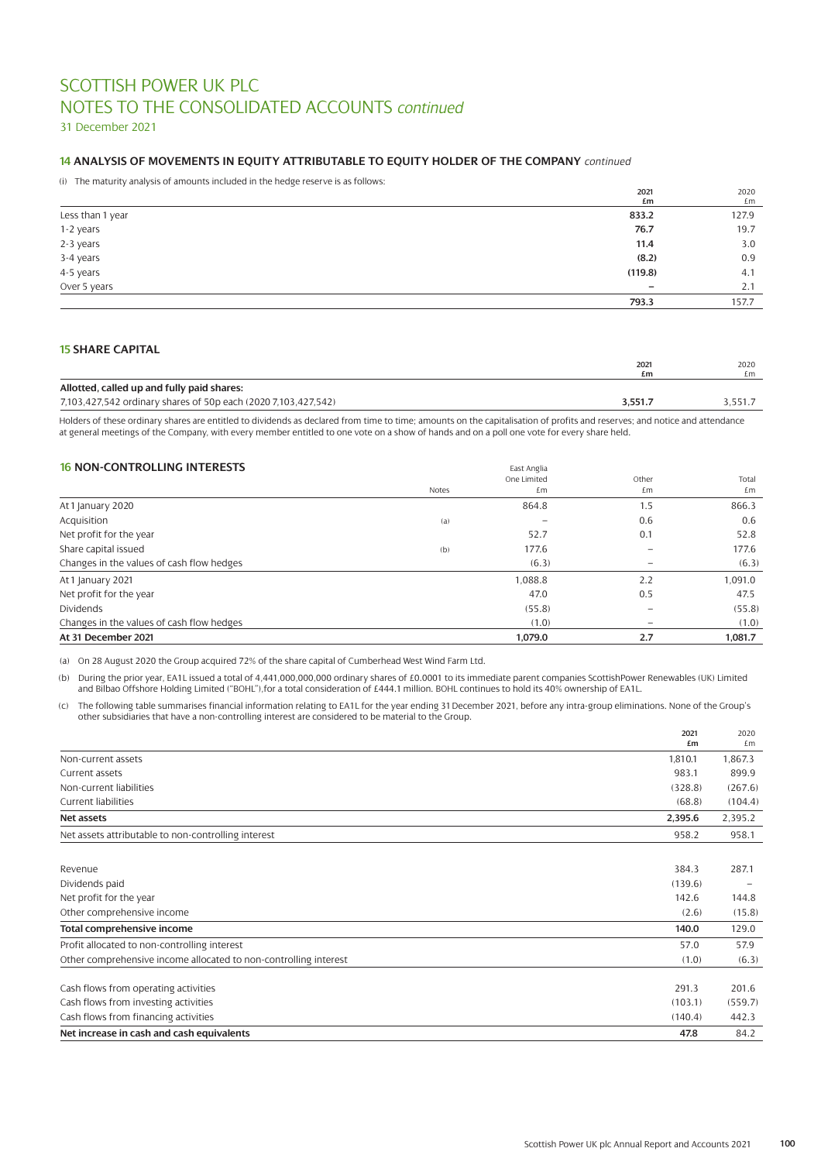31 December 2021

# **14 ANALYSIS OF MOVEMENTS IN EQUITY ATTRIBUTABLE TO EQUITY HOLDER OF THE COMPANY** *continued*

(i) The maturity analysis of amounts included in the hedge reserve is as follows:

|                  | 2021    | 2020  |
|------------------|---------|-------|
|                  | £m      | £m    |
| Less than 1 year | 833.2   | 127.9 |
| 1-2 years        | 76.7    | 19.7  |
| 2-3 years        | 11.4    | 3.0   |
| 3-4 years        | (8.2)   | 0.9   |
| 4-5 years        | (119.8) | 4.1   |
| Over 5 years     | -       | 2.1   |
|                  | 793.3   | 157.7 |

# **15 SHARE CAPITAL**

|                                                                | 2021  | 2020    |
|----------------------------------------------------------------|-------|---------|
|                                                                | £m    | £m      |
| Allotted, called up and fully paid shares:                     |       |         |
| 7,103,427,542 ordinary shares of 50p each (2020 7,103,427,542) | 3.551 | 3.551.7 |

Holders of these ordinary shares are entitled to dividends as declared from time to time; amounts on the capitalisation of profits and reserves; and notice and attendance at general meetings of the Company, with every member entitled to one vote on a show of hands and on a poll one vote for every share held.

# **16 NON-CONTROLLING INTERESTS**

|       | One Limited | Other                    | Total   |
|-------|-------------|--------------------------|---------|
| Notes | £m          | £m                       | £m      |
|       | 864.8       | 1.5                      | 866.3   |
| (a)   |             | 0.6                      | 0.6     |
|       | 52.7        | 0.1                      | 52.8    |
| (b)   | 177.6       |                          | 177.6   |
|       | (6.3)       |                          | (6.3)   |
|       | 1,088.8     | 2.2                      | 1,091.0 |
|       | 47.0        | 0.5                      | 47.5    |
|       | (55.8)      |                          | (55.8)  |
|       | (1.0)       | $\overline{\phantom{m}}$ | (1.0)   |
|       | 1.079.0     | 2.7                      | 1.081.7 |
|       |             | Edst Anglid              |         |

(a) On 28 August 2020 the Group acquired 72% of the share capital of Cumberhead West Wind Farm Ltd.

(b) During the prior year, EA1L issued a total of 4,441,000,000,000 ordinary shares of £0.0001 to its immediate parent companies ScottishPower Renewables (UK) Limited and Bilbao Offshore Holding Limited ("BOHL"),for a total consideration of £444.1 million. BOHL continues to hold its 40% ownership of EA1L.

(c) The following table summarises financial information relating to EA1L for the year ending 31 December 2021, before any intra-group eliminations. None of the Group's other subsidiaries that have a non-controlling interest are considered to be material to the Group.

|                                                                  | 2021<br>£m | 2020<br>£m |
|------------------------------------------------------------------|------------|------------|
| Non-current assets                                               | 1,810.1    | 1,867.3    |
| Current assets                                                   | 983.1      | 899.9      |
| Non-current liabilities                                          | (328.8)    | (267.6)    |
| Current liabilities                                              | (68.8)     | (104.4)    |
| Net assets                                                       | 2,395.6    | 2,395.2    |
| Net assets attributable to non-controlling interest              | 958.2      | 958.1      |
| Revenue                                                          | 384.3      | 287.1      |
| Dividends paid                                                   | (139.6)    |            |
| Net profit for the year                                          | 142.6      | 144.8      |
| Other comprehensive income                                       | (2.6)      | (15.8)     |
| Total comprehensive income                                       | 140.0      | 129.0      |
| Profit allocated to non-controlling interest                     | 57.0       | 57.9       |
| Other comprehensive income allocated to non-controlling interest | (1.0)      | (6.3)      |
| Cash flows from operating activities                             | 291.3      | 201.6      |
| Cash flows from investing activities                             | (103.1)    | (559.7)    |
| Cash flows from financing activities                             | (140.4)    | 442.3      |
| Net increase in cash and cash equivalents                        | 47.8       | 84.2       |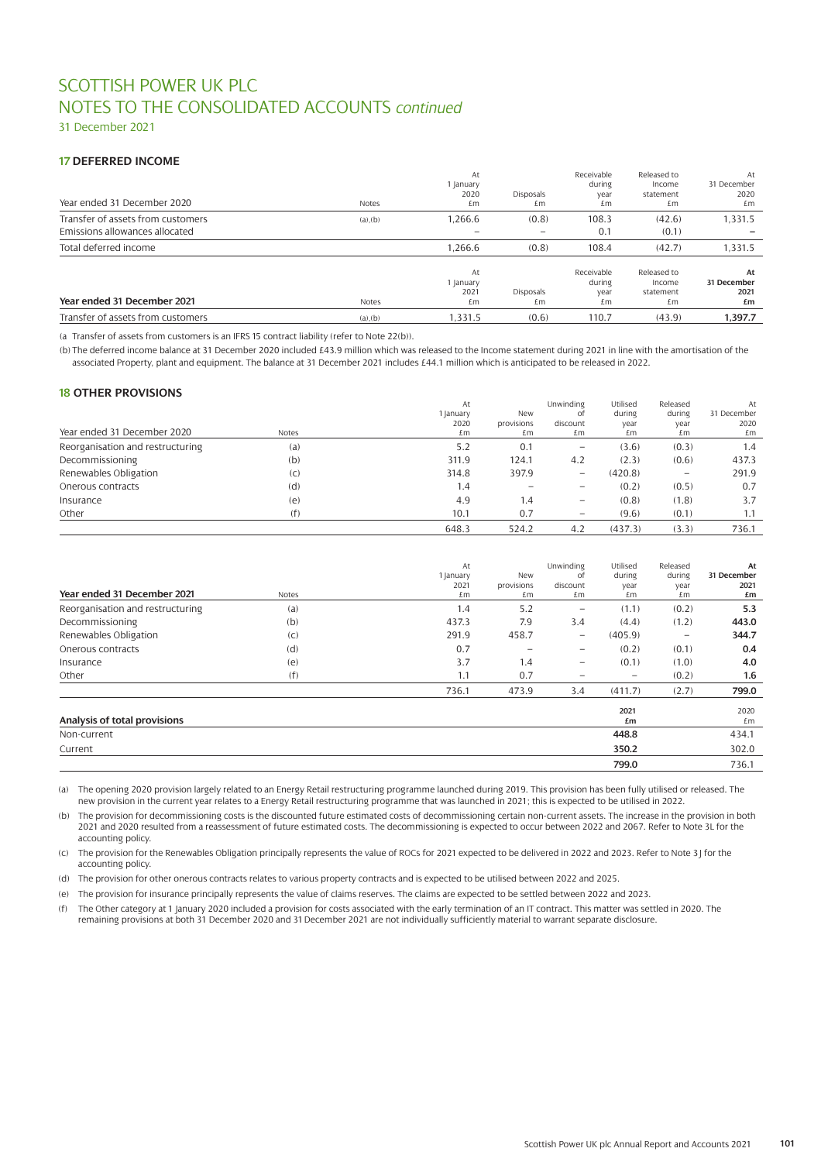31 December 2021

# **17 DEFERRED INCOME**

| Year ended 31 December 2020                                         | Notes  | At<br>1 January<br>2020<br>£m       | Disposals<br>£m        | Receivable<br>during<br>year<br>£m | Released to<br>Income<br>statement<br>£m | At<br>31 December<br>2020<br>£m |
|---------------------------------------------------------------------|--------|-------------------------------------|------------------------|------------------------------------|------------------------------------------|---------------------------------|
| Transfer of assets from customers<br>Emissions allowances allocated | (a)(b) | 1,266.6<br>$\overline{\phantom{a}}$ | (0.8)                  | 108.3<br>0.1                       | (42.6)<br>(0.1)                          | 1,331.5                         |
| Total deferred income                                               |        | 1,266.6                             | (0.8)                  | 108.4                              | (42.7)                                   | 1,331.5                         |
| Year ended 31 December 2021                                         | Notes  | At<br>1 January<br>2021<br>£m       | <b>Disposals</b><br>£m | Receivable<br>during<br>year<br>£m | Released to<br>Income<br>statement<br>£m | At<br>31 December<br>2021<br>£m |
| Transfer of assets from customers                                   | (a)(b) | 1.331.5                             | (0.6)                  | 110.7                              | (43.9)                                   | 1.397.7                         |

(a Transfer of assets from customers is an IFRS 15 contract liability (refer to Note 22(b)).

(b) The deferred income balance at 31 December 2020 included £43.9 million which was released to the Income statement during 2021 in line with the amortisation of the associated Property, plant and equipment. The balance at 31 December 2021 includes £44.1 million which is anticipated to be released in 2022.

# **18 OTHER PROVISIONS**

|                                  |       | At        |            | Unwinding                | Utilised | Released | At          |
|----------------------------------|-------|-----------|------------|--------------------------|----------|----------|-------------|
|                                  |       | 1 January | New        | οt                       | during   | during   | 31 December |
|                                  |       | 2020      | provisions | discount                 | year     | year     | 2020        |
| Year ended 31 December 2020      | Notes | £m        | £m         | £m                       | £m       | £m       | £m          |
| Reorganisation and restructuring | (a)   | 5.2       | 0.1        | $\qquad \qquad -$        | (3.6)    | (0.3)    | 1.4         |
| Decommissioning                  | (b)   | 311.9     | 124.1      | 4.2                      | (2.3)    | (0.6)    | 437.3       |
| Renewables Obligation            | (C)   | 314.8     | 397.9      | $\qquad \qquad -$        | (420.8)  |          | 291.9       |
| Onerous contracts                | (d)   | 1.4       |            | $\overline{\phantom{m}}$ | (0.2)    | (0.5)    | 0.7         |
| Insurance                        | (e)   | 4.9       | 1.4        | $\qquad \qquad -$        | (0.8)    | (1.8)    | 3.7         |
| Other                            | (f)   | 10.1      | 0.7        | $\qquad \qquad -$        | (9.6)    | (0.1)    | 1.1         |
|                                  |       | 648.3     | 524.2      | 4.2                      | (437.3)  | (3.3)    | 736.1       |

| Year ended 31 December 2021      | Notes | At<br>1 January<br>2021<br>£m | <b>New</b><br>provisions<br>£m | Unwinding<br>of<br>discount<br>£m | Utilised<br>during<br>year<br>£m | Released<br>during<br>year<br>£m | At<br>31 December<br>2021<br>£m |
|----------------------------------|-------|-------------------------------|--------------------------------|-----------------------------------|----------------------------------|----------------------------------|---------------------------------|
| Reorganisation and restructuring | (a)   | 1.4                           | 5.2                            | $\overline{\phantom{m}}$          | (1.1)                            | (0.2)                            | 5.3                             |
| Decommissioning                  | (b)   | 437.3                         | 7.9                            | 3.4                               | (4.4)                            | (1.2)                            | 443.0                           |
| Renewables Obligation            | (C)   | 291.9                         | 458.7                          | $\overline{\phantom{m}}$          | (405.9)                          | $\overline{\phantom{0}}$         | 344.7                           |
| Onerous contracts                | (d)   | 0.7                           |                                | $\overline{\phantom{0}}$          | (0.2)                            | (0.1)                            | 0.4                             |
| Insurance                        | (e)   | 3.7                           | 1.4                            | $\overline{\phantom{0}}$          | (0.1)                            | (1.0)                            | 4.0                             |
| Other                            | (f)   | 1.1                           | 0.7                            |                                   | $\qquad \qquad -$                | (0.2)                            | 1.6                             |
|                                  |       | 736.1                         | 473.9                          | 3.4                               | (411.7)                          | (2.7)                            | 799.0                           |
| Analysis of total provisions     |       |                               |                                |                                   | 2021<br>£m                       |                                  | 2020<br>£m                      |
| Non-current                      |       |                               |                                |                                   | 448.8                            |                                  | 434.1                           |
| Current                          |       |                               |                                |                                   | 350.2                            |                                  | 302.0                           |
|                                  |       |                               |                                |                                   | 799.0                            |                                  | 736.1                           |

(a) The opening 2020 provision largely related to an Energy Retail restructuring programme launched during 2019. This provision has been fully utilised or released. The new provision in the current year relates to a Energy Retail restructuring programme that was launched in 2021; this is expected to be utilised in 2022.

(b) The provision for decommissioning costs is the discounted future estimated costs of decommissioning certain non-current assets. The increase in the provision in both 2021 and 2020 resulted from a reassessment of future estimated costs. The decommissioning is expected to occur between 2022 and 2067. Refer to Note 3L for the accounting policy.

(c) The provision for the Renewables Obligation principally represents the value of ROCs for 2021 expected to be delivered in 2022 and 2023. Refer to Note 3J for the accounting policy.

(d) The provision for other onerous contracts relates to various property contracts and is expected to be utilised between 2022 and 2025.

(e) The provision for insurance principally represents the value of claims reserves. The claims are expected to be settled between 2022 and 2023.

(f) The Other category at 1 January 2020 included a provision for costs associated with the early termination of an IT contract. This matter was settled in 2020. The remaining provisions at both 31 December 2020 and 31 December 2021 are not individually sufficiently material to warrant separate disclosure.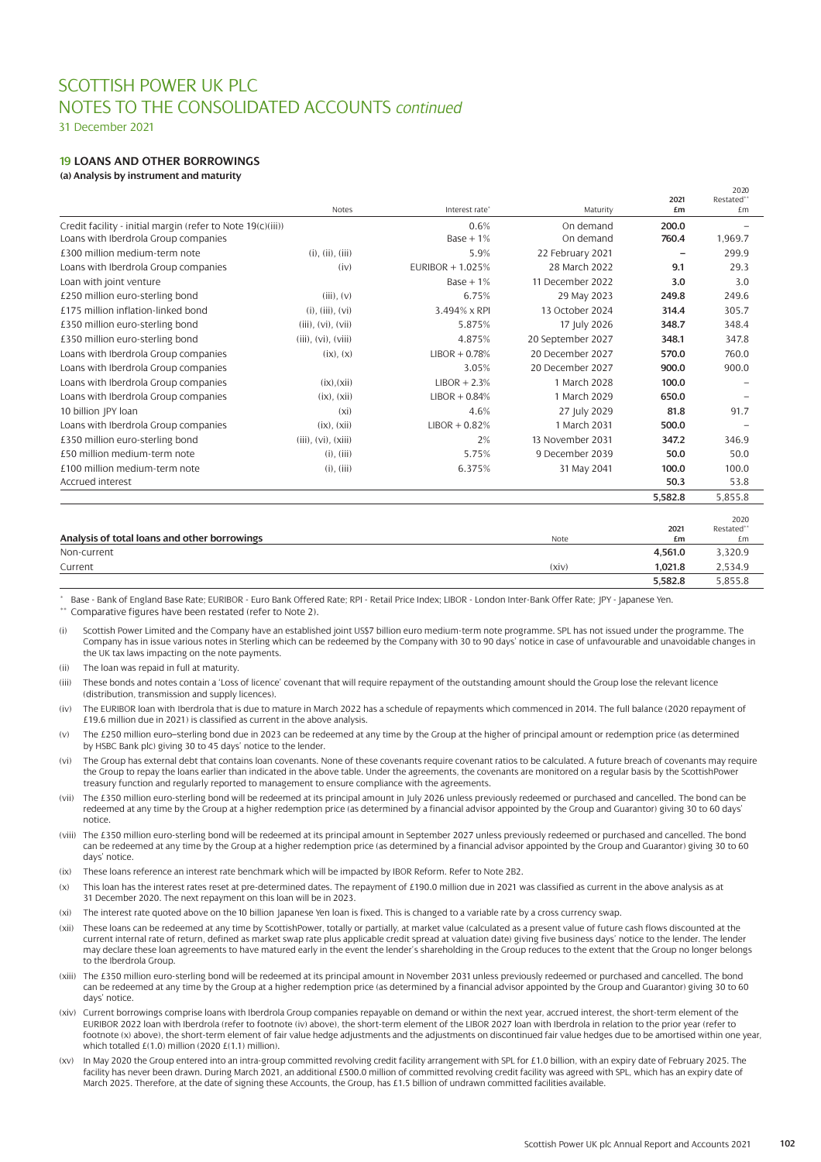31 December 2021

# **19 LOANS AND OTHER BORROWINGS**

**(a) Analysis by instrument and maturity** 

|                                                             |                             |                  |                   |                          | 2020              |
|-------------------------------------------------------------|-----------------------------|------------------|-------------------|--------------------------|-------------------|
|                                                             | <b>Notes</b>                | Interest rate*   | Maturity          | 2021<br>£m               | Restated**<br>f.m |
| Credit facility - initial margin (refer to Note 19(c)(iii)) |                             | 0.6%             | On demand         | 200.0                    |                   |
| Loans with Iberdrola Group companies                        |                             | $Base + 1%$      | On demand         | 760.4                    | 1.969.7           |
| £300 million medium-term note                               | $(i)$ , $(ii)$ , $(iii)$    | 5.9%             | 22 February 2021  | $\overline{\phantom{0}}$ | 299.9             |
| Loans with Iberdrola Group companies                        | (iv)                        | EURIBOR + 1.025% | 28 March 2022     | 9.1                      | 29.3              |
| Loan with joint venture                                     |                             | $Base + 1%$      | 11 December 2022  | 3.0                      | 3.0               |
| £250 million euro-sterling bond                             | $(iii)$ , $(v)$             | 6.75%            | 29 May 2023       | 249.8                    | 249.6             |
| £175 million inflation-linked bond                          | $(i)$ , $(iii)$ , $(vi)$    | 3.494% x RPI     | 13 October 2024   | 314.4                    | 305.7             |
| £350 million euro-sterling bond                             | $(iii)$ , $(vi)$ , $(vii)$  | 5.875%           | 17 July 2026      | 348.7                    | 348.4             |
| £350 million euro-sterling bond                             | $(iii)$ , $(vi)$ , $(viii)$ | 4.875%           | 20 September 2027 | 348.1                    | 347.8             |
| Loans with Iberdrola Group companies                        | (ix), (x)                   | $LIBOR + 0.78%$  | 20 December 2027  | 570.0                    | 760.0             |
| Loans with Iberdrola Group companies                        |                             | 3.05%            | 20 December 2027  | 900.0                    | 900.0             |
| Loans with Iberdrola Group companies                        | $(ix)$ . $(xii)$            | $LIBOR + 2.3%$   | 1 March 2028      | 100.0                    |                   |
| Loans with Iberdrola Group companies                        | (ix), (xii)                 | $LIBOR + 0.84%$  | 1 March 2029      | 650.0                    |                   |
| 10 billion JPY loan                                         | (x <sub>i</sub> )           | 4.6%             | 27 July 2029      | 81.8                     | 91.7              |
| Loans with Iberdrola Group companies                        | $(ix)$ . $(xii)$            | $LIBOR + 0.82%$  | 1 March 2031      | 500.0                    |                   |
| £350 million euro-sterling bond                             | $(iii)$ , $(vi)$ , $(xiii)$ | 2%               | 13 November 2031  | 347.2                    | 346.9             |
| £50 million medium-term note                                | $(i)$ , $(iii)$             | 5.75%            | 9 December 2039   | 50.0                     | 50.0              |
| £100 million medium-term note                               | $(i)$ , $(iii)$             | 6.375%           | 31 May 2041       | 100.0                    | 100.0             |
| <b>Accrued interest</b>                                     |                             |                  |                   | 50.3                     | 53.8              |
|                                                             |                             |                  |                   | 5,582.8                  | 5,855.8           |
|                                                             |                             |                  |                   |                          | 2020              |
|                                                             |                             |                  |                   | 2021                     | Restated**        |
| Analysis of total loans and other borrowings                |                             |                  | Note              | £m                       | £m                |
| Non-current                                                 |                             |                  |                   | 4,561.0                  | 3,320.9           |
| Current                                                     |                             |                  | (xiv)             | 1,021.8                  | 2,534.9           |
|                                                             |                             |                  |                   | 5,582.8                  | 5.855.8           |

Base - Bank of England Base Rate; EURIBOR - Euro Bank Offered Rate; RPI - Retail Price Index; LIBOR - London Inter-Bank Offer Rate; JPY - Japanese Yen. Comparative figures have been restated (refer to Note 2).

Scottish Power Limited and the Company have an established joint US\$7 billion euro medium-term note programme. SPL has not issued under the programme. The Company has in issue various notes in Sterling which can be redeemed by the Company with 30 to 90 days' notice in case of unfavourable and unavoidable changes in the UK tax laws impacting on the note payments.

(ii) The loan was repaid in full at maturity.

(iii) These bonds and notes contain a 'Loss of licence' covenant that will require repayment of the outstanding amount should the Group lose the relevant licence (distribution, transmission and supply licences).

(iv) The EURIBOR loan with Iberdrola that is due to mature in March 2022 has a schedule of repayments which commenced in 2014. The full balance (2020 repayment of £19.6 million due in 2021) is classified as current in the above analysis.

(v) The £250 million euro–sterling bond due in 2023 can be redeemed at any time by the Group at the higher of principal amount or redemption price (as determined by HSBC Bank plc) giving 30 to 45 days' notice to the lender.

(vi) The Group has external debt that contains loan covenants. None of these covenants require covenant ratios to be calculated. A future breach of covenants may require the Group to repay the loans earlier than indicated in the above table. Under the agreements, the covenants are monitored on a regular basis by the ScottishPower treasury function and regularly reported to management to ensure compliance with the agreements.

(vii) The £350 million euro-sterling bond will be redeemed at its principal amount in July 2026 unless previously redeemed or purchased and cancelled. The bond can be redeemed at any time by the Group at a higher redemption price (as determined by a financial advisor appointed by the Group and Guarantor) giving 30 to 60 days' notice.

(viii) The £350 million euro-sterling bond will be redeemed at its principal amount in September 2027 unless previously redeemed or purchased and cancelled. The bond can be redeemed at any time by the Group at a higher redemption price (as determined by a financial advisor appointed by the Group and Guarantor) giving 30 to 60 days' notice.

- (ix) These loans reference an interest rate benchmark which will be impacted by IBOR Reform. Refer to Note 2B2.
- (x) This loan has the interest rates reset at pre-determined dates. The repayment of £190.0 million due in 2021 was classified as current in the above analysis as at 31 December 2020. The next repayment on this loan will be in 2023.

The interest rate quoted above on the 10 billion Japanese Yen loan is fixed. This is changed to a variable rate by a cross currency swap.

- (xii) These loans can be redeemed at any time by ScottishPower, totally or partially, at market value (calculated as a present value of future cash flows discounted at the current internal rate of return, defined as market swap rate plus applicable credit spread at valuation date) giving five business days' notice to the lender. The lender may declare these loan agreements to have matured early in the event the lender's shareholding in the Group reduces to the extent that the Group no longer belongs to the Iberdrola Group.
- (xiii) The £350 million euro-sterling bond will be redeemed at its principal amount in November 2031 unless previously redeemed or purchased and cancelled. The bond can be redeemed at any time by the Group at a higher redemption price (as determined by a financial advisor appointed by the Group and Guarantor) giving 30 to 60 days' notice.
- (xiv) Current borrowings comprise loans with Iberdrola Group companies repayable on demand or within the next year, accrued interest, the short-term element of the EURIBOR 2022 loan with Iberdrola (refer to footnote (iv) above), the short-term element of the LIBOR 2027 loan with Iberdrola in relation to the prior year (refer to footnote (x) above), the short-term element of fair value hedge adjustments and the adjustments on discontinued fair value hedges due to be amortised within one year, which totalled  $E(1.0)$  million (2020  $E(1.1)$  million).
- (xv) In May 2020 the Group entered into an intra-group committed revolving credit facility arrangement with SPL for £1.0 billion, with an expiry date of February 2025. The facility has never been drawn. During March 2021, an additional £500.0 million of committed revolving credit facility was agreed with SPL, which has an expiry date of March 2025. Therefore, at the date of signing these Accounts, the Group, has £1.5 billion of undrawn committed facilities available.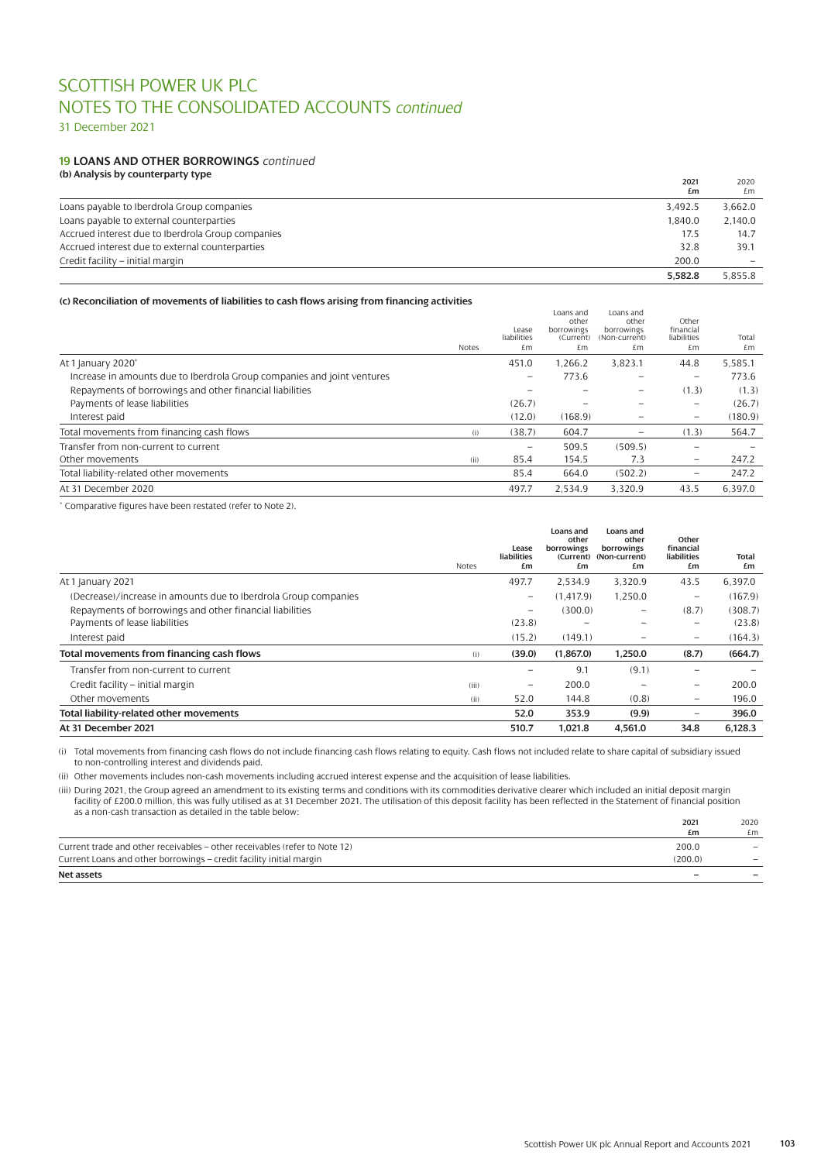31 December 2021

#### **19 LOANS AND OTHER BORROWINGS** *continued* **(b) Analysis by counterparty type**

| (b) Analysis by Counterparty type                 | 2021<br>£m | 2020<br>£m |
|---------------------------------------------------|------------|------------|
| Loans payable to Iberdrola Group companies        | 3.492.5    | 3,662.0    |
| Loans payable to external counterparties          | 1.840.0    | 2,140.0    |
| Accrued interest due to Iberdrola Group companies | 17.5       | 14.7       |
| Accrued interest due to external counterparties   | 32.8       | 39.1       |
| Credit facility – initial margin                  | 200.0      |            |
|                                                   | 5.582.8    | 5.855.8    |

### **(c) Reconciliation of movements of liabilities to cash flows arising from financing activities**

|                                                                         | Notes | Lease<br>liabilities<br>£m | Loans and<br>other<br>borrowings<br>(Current)<br>£m | Loans and<br>other<br>borrowings<br>(Non-current)<br>£m | Other<br>financial<br>liabilities<br>£m | Total<br>£m |
|-------------------------------------------------------------------------|-------|----------------------------|-----------------------------------------------------|---------------------------------------------------------|-----------------------------------------|-------------|
| At 1 January 2020*                                                      |       | 451.0                      | 1.266.2                                             | 3,823.1                                                 | 44.8                                    | 5,585.1     |
| Increase in amounts due to Iberdrola Group companies and joint ventures |       | $\overline{\phantom{m}}$   | 773.6                                               |                                                         |                                         | 773.6       |
| Repayments of borrowings and other financial liabilities                |       |                            |                                                     |                                                         | (1.3)                                   | (1.3)       |
| Payments of lease liabilities                                           |       | (26.7)                     |                                                     |                                                         | $\equiv$                                | (26.7)      |
| Interest paid                                                           |       | (12.0)                     | (168.9)                                             |                                                         | $\overline{\phantom{0}}$                | (180.9)     |
| Total movements from financing cash flows                               | (i)   | (38.7)                     | 604.7                                               | $\overline{\phantom{0}}$                                | (1.3)                                   | 564.7       |
| Transfer from non-current to current                                    |       | $\overline{\phantom{0}}$   | 509.5                                               | (509.5)                                                 | $\overline{\phantom{0}}$                |             |
| Other movements                                                         | (ii)  | 85.4                       | 154.5                                               | 7.3                                                     | $\qquad \qquad -$                       | 247.2       |
| Total liability-related other movements                                 |       | 85.4                       | 664.0                                               | (502.2)                                                 | $\qquad \qquad -$                       | 247.2       |
| At 31 December 2020                                                     |       | 497.7                      | 2.534.9                                             | 3.320.9                                                 | 43.5                                    | 6.397.0     |
|                                                                         |       |                            |                                                     |                                                         |                                         |             |

\* Comparative figures have been restated (refer to Note 2).

|                                                                 | <b>Notes</b> | Lease<br>liabilities<br>£m | Loans and<br>other<br>borrowings<br>£m | <b>Loans</b> and<br>other<br>borrowings<br>(Current) (Non-current)<br>£m | Other<br>financial<br><b>liabilities</b><br>£m | Total<br>£m |
|-----------------------------------------------------------------|--------------|----------------------------|----------------------------------------|--------------------------------------------------------------------------|------------------------------------------------|-------------|
| At 1 January 2021                                               |              | 497.7                      | 2.534.9                                | 3,320.9                                                                  | 43.5                                           | 6,397.0     |
| (Decrease)/increase in amounts due to Iberdrola Group companies |              | $\overline{\phantom{0}}$   | (1.417.9)                              | 1,250.0                                                                  | -                                              | (167.9)     |
| Repayments of borrowings and other financial liabilities        |              | $\overline{\phantom{0}}$   | (300.0)                                | $\overline{\phantom{0}}$                                                 | (8.7)                                          | (308.7)     |
| Payments of lease liabilities                                   |              | (23.8)                     |                                        |                                                                          | $\overline{\phantom{0}}$                       | (23.8)      |
| Interest paid                                                   |              | (15.2)                     | (149.1)                                |                                                                          | $\qquad \qquad -$                              | (164.3)     |
| Total movements from financing cash flows                       | (i)          | (39.0)                     | (1,867.0)                              | 1,250.0                                                                  | (8.7)                                          | (664.7)     |
| Transfer from non-current to current                            |              | -                          | 9.1                                    | (9.1)                                                                    |                                                |             |
| Credit facility - initial margin                                | (iii)        | $\qquad \qquad \qquad$     | 200.0                                  |                                                                          | -                                              | 200.0       |
| Other movements                                                 | (ii)         | 52.0                       | 144.8                                  | (0.8)                                                                    | $\qquad \qquad -$                              | 196.0       |
| Total liability-related other movements                         |              | 52.0                       | 353.9                                  | (9.9)                                                                    | -                                              | 396.0       |
| At 31 December 2021                                             |              | 510.7                      | 1.021.8                                | 4.561.0                                                                  | 34.8                                           | 6.128.3     |

(i) Total movements from financing cash flows do not include financing cash flows relating to equity. Cash flows not included relate to share capital of subsidiary issued to non-controlling interest and dividends paid.

(ii) Other movements includes non-cash movements including accrued interest expense and the acquisition of lease liabilities.

(iii) During 2021, the Group agreed an amendment to its existing terms and conditions with its commodities derivative clearer which included an initial deposit margin facility of £200.0 million, this was fully utilised as at 31 December 2021. The utilisation of this deposit facility has been reflected in the Statement of financial position as a non-cash transaction as detailed in the table below:

|                                                                            | 2021    | 2020                     |
|----------------------------------------------------------------------------|---------|--------------------------|
|                                                                            | £m      | f.m.                     |
| Current trade and other receivables - other receivables (refer to Note 12) | 200.0   | $\overline{\phantom{0}}$ |
| Current Loans and other borrowings – credit facility initial margin        | (200.0) |                          |
| Net assets                                                                 | -       |                          |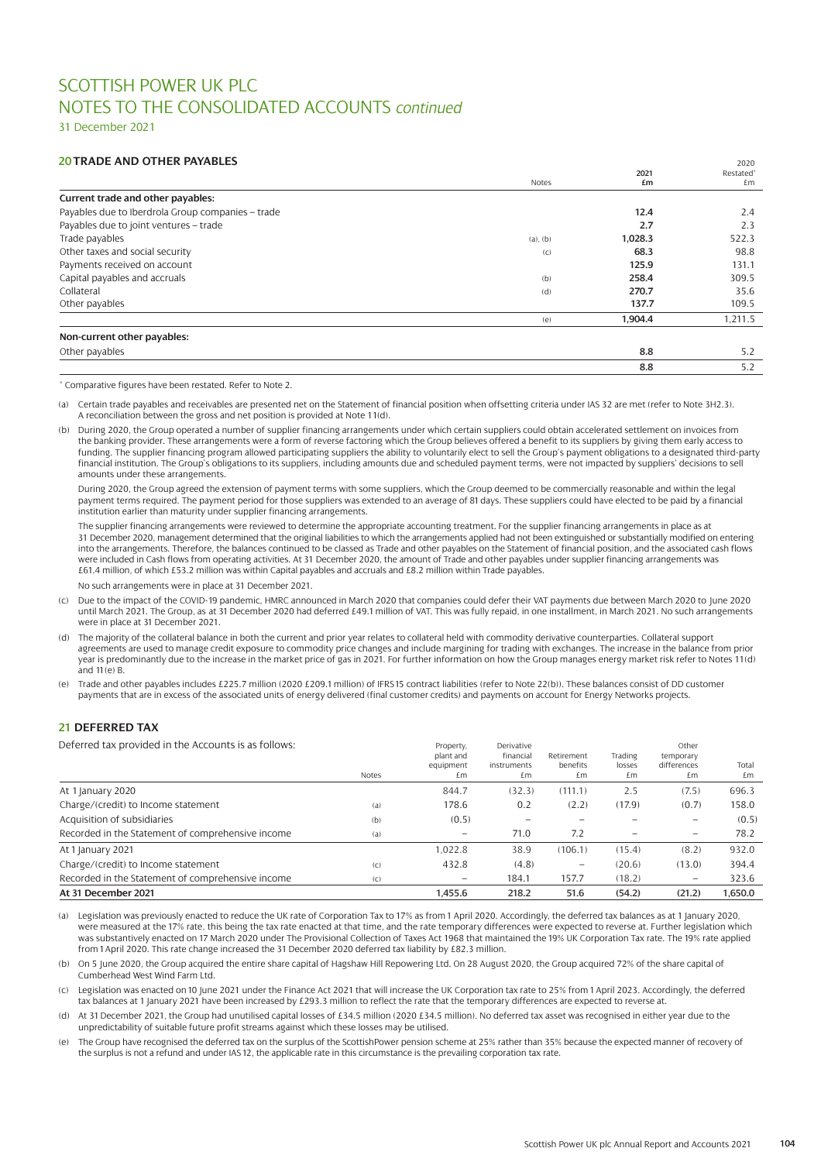31 December 2021

# **20 TRADE AND OTHER PAYABLES**

| <b>20 TRADE AND OTHER PAYABLES</b>                |               |         | 2020      |
|---------------------------------------------------|---------------|---------|-----------|
|                                                   |               | 2021    | Restated* |
|                                                   | Notes         | £m      | £m        |
| Current trade and other payables:                 |               |         |           |
| Payables due to Iberdrola Group companies - trade |               | 12.4    | 2.4       |
| Payables due to joint ventures - trade            |               | 2.7     | 2.3       |
| Trade payables                                    | $(a)$ , $(b)$ | 1,028.3 | 522.3     |
| Other taxes and social security                   | (C)           | 68.3    | 98.8      |
| Payments received on account                      |               | 125.9   | 131.1     |
| Capital payables and accruals                     | (b)           | 258.4   | 309.5     |
| Collateral                                        | (d)           | 270.7   | 35.6      |
| Other payables                                    |               | 137.7   | 109.5     |
|                                                   | (e)           | 1,904.4 | 1,211.5   |
| Non-current other payables:                       |               |         |           |
| Other payables                                    |               | 8.8     | 5.2       |
|                                                   |               | 8.8     | 5.2       |

\* Comparative figures have been restated. Refer to Note 2.

- (a) Certain trade payables and receivables are presented net on the Statement of financial position when offsetting criteria under IAS 32 are met (refer to Note 3H2.3). A reconciliation between the gross and net position is provided at Note 11(d).
- (b) During 2020, the Group operated a number of supplier financing arrangements under which certain suppliers could obtain accelerated settlement on invoices from the banking provider. These arrangements were a form of reverse factoring which the Group believes offered a benefit to its suppliers by giving them early access to funding. The supplier financing program allowed participating suppliers the ability to voluntarily elect to sell the Group's payment obligations to a designated third-party financial institution. The Group's obligations to its suppliers, including amounts due and scheduled payment terms, were not impacted by suppliers' decisions to sell amounts under these arrangements.

During 2020, the Group agreed the extension of payment terms with some suppliers, which the Group deemed to be commercially reasonable and within the legal payment terms required. The payment period for those suppliers was extended to an average of 81 days. These suppliers could have elected to be paid by a financial institution earlier than maturity under supplier financing arrangements.

The supplier financing arrangements were reviewed to determine the appropriate accounting treatment. For the supplier financing arrangements in place as at 31 December 2020, management determined that the original liabilities to which the arrangements applied had not been extinguished or substantially modified on entering into the arrangements. Therefore, the balances continued to be classed as Trade and other payables on the Statement of financial position, and the associated cash flows were included in Cash flows from operating activities. At 31 December 2020, the amount of Trade and other payables under supplier financing arrangements was £61.4 million, of which £53.2 million was within Capital payables and accruals and £8.2 million within Trade payables.

No such arrangements were in place at 31 December 2021.

- (c) Due to the impact of the COVID-19 pandemic, HMRC announced in March 2020 that companies could defer their VAT payments due between March 2020 to June 2020 until March 2021. The Group, as at 31 December 2020 had deferred £49.1 million of VAT. This was fully repaid, in one installment, in March 2021. No such arrangements were in place at 31 December 2021.
- (d) The majority of the collateral balance in both the current and prior year relates to collateral held with commodity derivative counterparties. Collateral support agreements are used to manage credit exposure to commodity price changes and include margining for trading with exchanges. The increase in the balance from prior year is predominantly due to the increase in the market price of gas in 2021. For further information on how the Group manages energy market risk refer to Notes 11 (d) and  $11(e)$  B.
- (e) Trade and other payables includes £225.7 million (2020 £209.1 million) of IFRS15 contract liabilities (refer to Note 22(b)). These balances consist of DD customer payments that are in excess of the associated units of energy delivered (final customer credits) and payments on account for Energy Networks projects.

# **21 DEFERRED TAX**

Deferred tax provided in the Accounts is as follows:

| DUTULUU taa providud in the Autounts is as follows. |       | FIUDEILY,<br>plant and<br>equipment | DEINGLIVE<br>financial<br>instruments | Retirement<br>benefits   | Trading<br>losses | VUICI<br>temporary<br>differences | Total   |
|-----------------------------------------------------|-------|-------------------------------------|---------------------------------------|--------------------------|-------------------|-----------------------------------|---------|
|                                                     | Notes | £m                                  | £m                                    | £m                       | £m                | £m                                | £m      |
| At 1 January 2020                                   |       | 844.7                               | (32.3)                                | (111.1)                  | 2.5               | (7.5)                             | 696.3   |
| Charge/(credit) to Income statement                 | (a)   | 178.6                               | 0.2                                   | (2.2)                    | (17.9)            | (0.7)                             | 158.0   |
| Acquisition of subsidiaries                         | (b)   | (0.5)                               |                                       |                          |                   |                                   | (0.5)   |
| Recorded in the Statement of comprehensive income   | (a)   | $\qquad \qquad \qquad$              | 71.0                                  | 7.2                      |                   | $\qquad \qquad -$                 | 78.2    |
| At 1 January 2021                                   |       | 1.022.8                             | 38.9                                  | (106.1)                  | (15.4)            | (8.2)                             | 932.0   |
| Charge/(credit) to Income statement                 | (C)   | 432.8                               | (4.8)                                 | $\overline{\phantom{0}}$ | (20.6)            | (13.0)                            | 394.4   |
| Recorded in the Statement of comprehensive income   | (C)   | $\overline{\phantom{m}}$            | 184.1                                 | 157.7                    | (18.2)            | $\overline{\phantom{m}}$          | 323.6   |
| At 31 December 2021                                 |       | 1.455.6                             | 218.2                                 | 51.6                     | (54.2)            | (21.2)                            | 1.650.0 |

(a) Legislation was previously enacted to reduce the UK rate of Corporation Tax to 17% as from 1 April 2020. Accordingly, the deferred tax balances as at 1 January 2020, were measured at the 17% rate, this being the tax rate enacted at that time, and the rate temporary differences were expected to reverse at. Further legislation which was substantively enacted on 17 March 2020 under The Provisional Collection of Taxes Act 1968 that maintained the 19% UK Corporation Tax rate. The 19% rate applied from 1April 2020. This rate change increased the 31 December 2020 deferred tax liability by £82.3 million.

(b) On 5 June 2020, the Group acquired the entire share capital of Hagshaw Hill Repowering Ltd. On 28 August 2020, the Group acquired 72% of the share capital of Cumberhead West Wind Farm Ltd.

(c) Legislation was enacted on 10 June 2021 under the Finance Act 2021 that will increase the UK Corporation tax rate to 25% from 1 April 2023. Accordingly, the deferred tax balances at 1January 2021 have been increased by £293.3 million to reflect the rate that the temporary differences are expected to reverse at.

- (d) At 31 December 2021, the Group had unutilised capital losses of £34.5 million (2020 £34.5 million). No deferred tax asset was recognised in either year due to the unpredictability of suitable future profit streams against which these losses may be utilised.
- The Group have recognised the deferred tax on the surplus of the ScottishPower pension scheme at 25% rather than 35% because the expected manner of recovery of the surplus is not a refund and under IAS 12, the applicable rate in this circumstance is the prevailing corporation tax rate.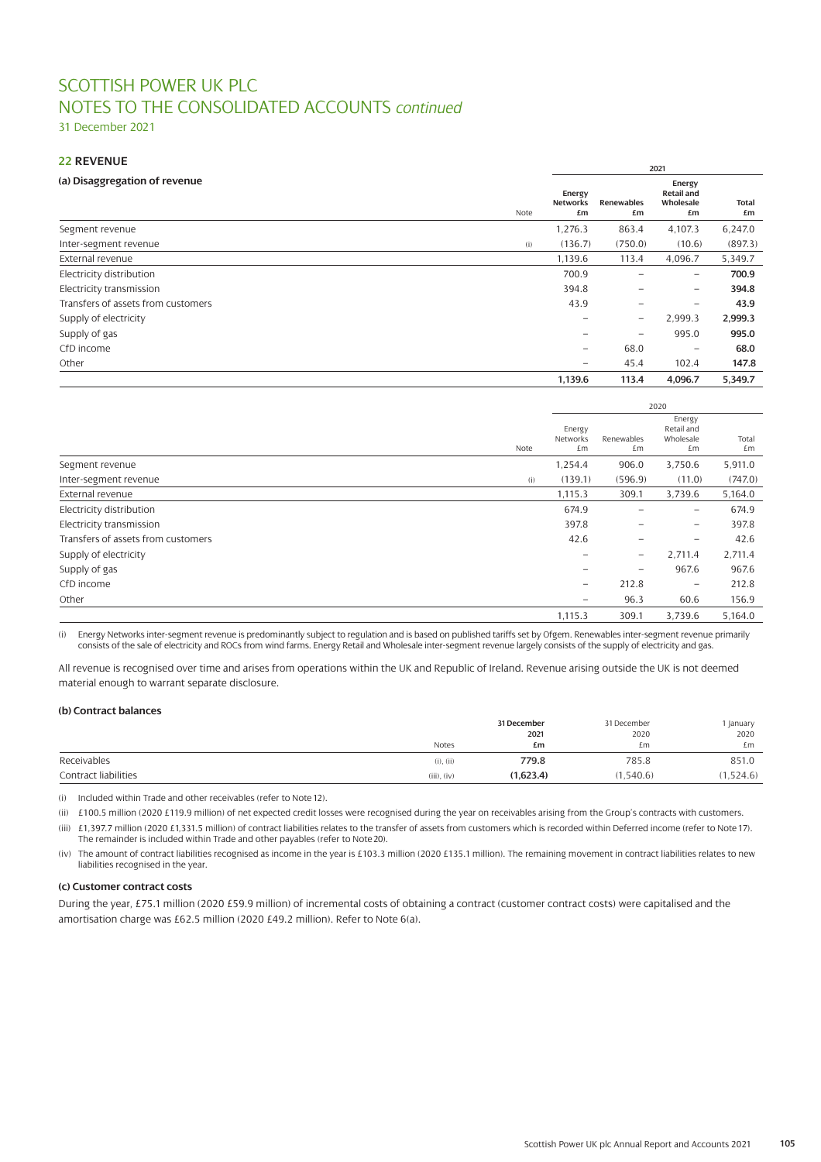31 December 2021

# **22 REVENUE**

|                                    |      |                          |                          | 2021                                           |                    |
|------------------------------------|------|--------------------------|--------------------------|------------------------------------------------|--------------------|
| (a) Disaggregation of revenue      | Note | Energy<br>Networks<br>£m | Renewables<br>£m         | Energy<br><b>Retail and</b><br>Wholesale<br>£m | <b>Total</b><br>£m |
| Segment revenue                    |      | 1,276.3                  | 863.4                    | 4,107.3                                        | 6,247.0            |
| Inter-segment revenue              | (i)  | (136.7)                  | (750.0)                  | (10.6)                                         | (897.3)            |
| External revenue                   |      | 1,139.6                  | 113.4                    | 4,096.7                                        | 5,349.7            |
| Electricity distribution           |      | 700.9                    |                          | $\overline{\phantom{m}}$                       | 700.9              |
| Electricity transmission           |      | 394.8                    |                          | $\overline{\phantom{m}}$                       | 394.8              |
| Transfers of assets from customers |      | 43.9                     | $\qquad \qquad \qquad$   | -                                              | 43.9               |
| Supply of electricity              |      |                          | $\overline{\phantom{0}}$ | 2,999.3                                        | 2,999.3            |
| Supply of gas                      |      |                          | $\overline{\phantom{0}}$ | 995.0                                          | 995.0              |
| CfD income                         |      | $\equiv$                 | 68.0                     | $\overline{\phantom{m}}$                       | 68.0               |
| Other                              |      | $\qquad \qquad -$        | 45.4                     | 102.4                                          | 147.8              |
|                                    |      | 1,139.6                  | 113.4                    | 4,096.7                                        | 5,349.7            |

|                                    |      |                          |                          | 2020                                    |             |
|------------------------------------|------|--------------------------|--------------------------|-----------------------------------------|-------------|
|                                    | Note | Energy<br>Networks<br>£m | Renewables<br>£m         | Energy<br>Retail and<br>Wholesale<br>£m | Total<br>£m |
| Segment revenue                    |      | 1,254.4                  | 906.0                    | 3,750.6                                 | 5,911.0     |
| Inter-segment revenue              | (i)  | (139.1)                  | (596.9)                  | (11.0)                                  | (747.0)     |
| External revenue                   |      | 1,115.3                  | 309.1                    | 3,739.6                                 | 5,164.0     |
| Electricity distribution           |      | 674.9                    |                          | $\overline{\phantom{m}}$                | 674.9       |
| Electricity transmission           |      | 397.8                    |                          | $\overline{\phantom{m}}$                | 397.8       |
| Transfers of assets from customers |      | 42.6                     | $\qquad \qquad \qquad$   | $\overline{\phantom{m}}$                | 42.6        |
| Supply of electricity              |      |                          | $\overline{\phantom{0}}$ | 2,711.4                                 | 2,711.4     |
| Supply of gas                      |      |                          | $\overline{\phantom{0}}$ | 967.6                                   | 967.6       |
| CfD income                         |      | $\equiv$                 | 212.8                    | $\overline{\phantom{m}}$                | 212.8       |
| Other                              |      | $\qquad \qquad =$        | 96.3                     | 60.6                                    | 156.9       |
|                                    |      | 1,115.3                  | 309.1                    | 3,739.6                                 | 5,164.0     |

(i) Energy Networks inter-segment revenue is predominantly subject to regulation and is based on published tariffs set by Ofgem. Renewables inter-segment revenue primarily consists of the sale of electricity and ROCs from wind farms. Energy Retail and Wholesale inter-segment revenue largely consists of the supply of electricity and gas.

All revenue is recognised over time and arises from operations within the UK and Republic of Ireland. Revenue arising outside the UK is not deemed material enough to warrant separate disclosure.

### **(b) Contract balances**

|                      |                  | 31 December | 31 December | l January |
|----------------------|------------------|-------------|-------------|-----------|
|                      |                  | 2021        | 2020        | 2020      |
|                      | <b>Notes</b>     | £m          | £m          | £m        |
| Receivables          | $(i)$ , $(ii)$   | 779.8       | 785.8       | 851.0     |
| Contract liabilities | $(iii)$ , $(iv)$ | (1,623.4)   | (1, 540.6)  | 1,524.6)  |

(i) Included within Trade and other receivables (refer to Note 12).

(ii) £100.5 million (2020 £119.9 million) of net expected credit losses were recognised during the year on receivables arising from the Group's contracts with customers.

(iii) £1,397.7 million (2020 £1,331.5 million) of contract liabilities relates to the transfer of assets from customers which is recorded within Deferred income (refer to Note 17). The remainder is included within Trade and other payables (refer to Note 20).

(iv) The amount of contract liabilities recognised as income in the year is £103.3 million (2020 £135.1 million). The remaining movement in contract liabilities relates to new liabilities recognised in the year.

### **(c) Customer contract costs**

During the year, £75.1 million (2020 £59.9 million) of incremental costs of obtaining a contract (customer contract costs) were capitalised and the amortisation charge was £62.5 million (2020 £49.2 million). Refer to Note 6(a).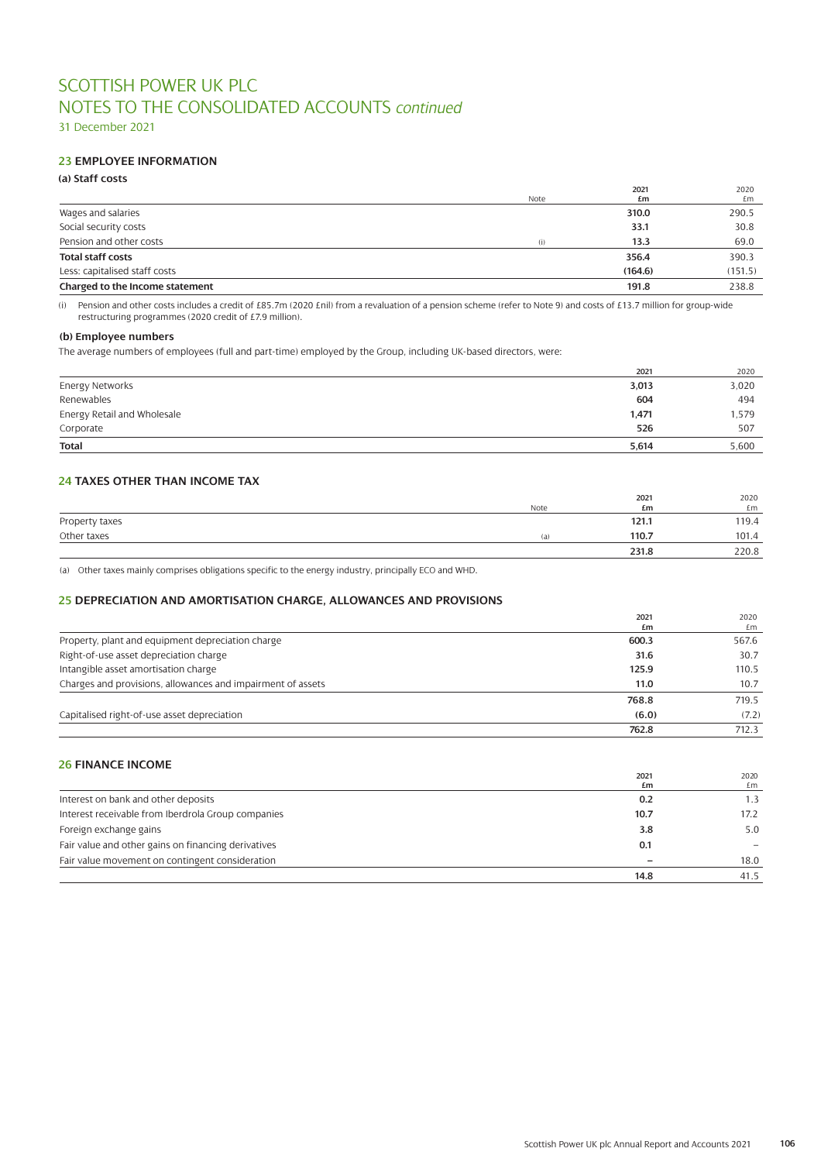31 December 2021

# **23 EMPLOYEE INFORMATION**

# **(a) Staff costs**

|                                 |      | 2021    | 2020    |
|---------------------------------|------|---------|---------|
|                                 | Note | £m      | £m      |
| Wages and salaries              |      | 310.0   | 290.5   |
| Social security costs           |      | 33.1    | 30.8    |
| Pension and other costs         | (i)  | 13.3    | 69.0    |
| <b>Total staff costs</b>        |      | 356.4   | 390.3   |
| Less: capitalised staff costs   |      | (164.6) | (151.5) |
| Charged to the Income statement |      | 191.8   | 238.8   |

(i) Pension and other costs includes a credit of £85.7m (2020 £nil) from a revaluation of a pension scheme (refer to Note 9) and costs of £13.7 million for group-wide restructuring programmes (2020 credit of £7.9 million).

### **(b) Employee numbers**

The average numbers of employees (full and part-time) employed by the Group, including UK-based directors, were:

|                             | 2021  | 2020  |
|-----------------------------|-------|-------|
| Energy Networks             | 3,013 | 3,020 |
| Renewables                  | 604   | 494   |
| Energy Retail and Wholesale | 1,471 | 1,579 |
| Corporate                   | 526   | 507   |
| <b>Total</b>                | 5.614 | 5,600 |

# **24 TAXES OTHER THAN INCOME TAX**

|                |      | 2021  | 2020  |
|----------------|------|-------|-------|
|                | Note | £m    | £m    |
| Property taxes |      | 121.1 | 119.4 |
| Other taxes    | (a)  | 110.7 | 101.4 |
|                |      | 231.8 | 220.8 |

(a) Other taxes mainly comprises obligations specific to the energy industry, principally ECO and WHD.

# **25 DEPRECIATION AND AMORTISATION CHARGE, ALLOWANCES AND PROVISIONS**

|                                                             | 2021  | 2020  |
|-------------------------------------------------------------|-------|-------|
|                                                             | £m    | £m    |
| Property, plant and equipment depreciation charge           | 600.3 | 567.6 |
| Right-of-use asset depreciation charge                      | 31.6  | 30.7  |
| Intangible asset amortisation charge                        | 125.9 | 110.5 |
| Charges and provisions, allowances and impairment of assets | 11.0  | 10.7  |
|                                                             | 768.8 | 719.5 |
| Capitalised right-of-use asset depreciation                 | (6.0) | (7.2) |
|                                                             | 762.8 | 712.3 |

# **26 FINANCE INCOME**

|                                                     | 2021 | 2020 |
|-----------------------------------------------------|------|------|
|                                                     | £m   | £m   |
| Interest on bank and other deposits                 | 0.2  | 1.3  |
| Interest receivable from Iberdrola Group companies  | 10.7 | 17.2 |
| Foreign exchange gains                              | 3.8  | 5.0  |
| Fair value and other gains on financing derivatives | 0.1  |      |
| Fair value movement on contingent consideration     |      | 18.0 |
|                                                     | 14.8 | 41.5 |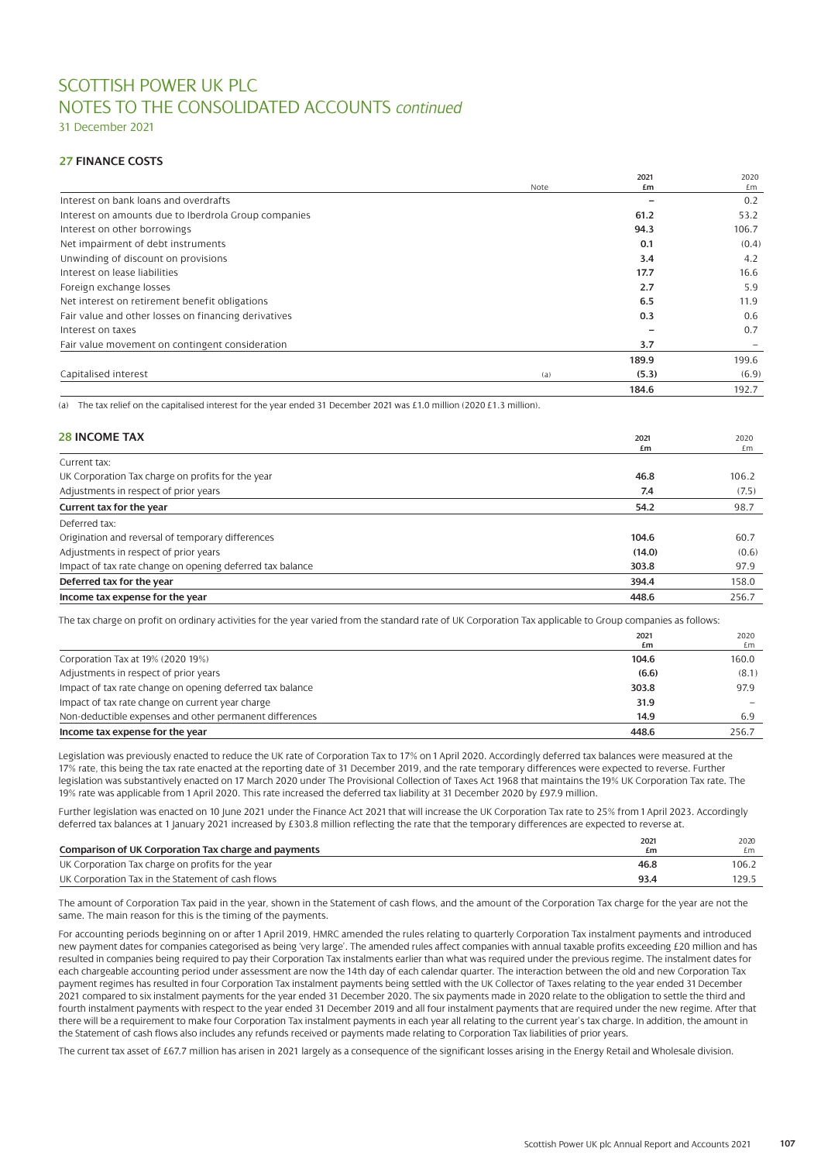# SCOTTISH POWER UK PLC NOTES TO THE CONSOLIDATED ACCOUNTS *continued*

31 December 2021

## **27 FINANCE COSTS**

|                                                      |      | 2021  | 2020  |
|------------------------------------------------------|------|-------|-------|
|                                                      | Note | £m    | £m    |
| Interest on bank loans and overdrafts                |      |       | 0.2   |
| Interest on amounts due to Iberdrola Group companies |      | 61.2  | 53.2  |
| Interest on other borrowings                         |      | 94.3  | 106.7 |
| Net impairment of debt instruments                   |      | 0.1   | (0.4) |
| Unwinding of discount on provisions                  |      | 3.4   | 4.2   |
| Interest on lease liabilities                        |      | 17.7  | 16.6  |
| Foreign exchange losses                              |      | 2.7   | 5.9   |
| Net interest on retirement benefit obligations       |      | 6.5   | 11.9  |
| Fair value and other losses on financing derivatives |      | 0.3   | 0.6   |
| Interest on taxes                                    |      |       | 0.7   |
| Fair value movement on contingent consideration      |      | 3.7   |       |
|                                                      |      | 189.9 | 199.6 |
| Capitalised interest                                 | (a)  | (5.3) | (6.9) |
|                                                      |      | 184.6 | 192.7 |

(a) The tax relief on the capitalised interest for the year ended 31 December 2021 was £1.0 million (2020 £1.3 million).

| <b>28 INCOME TAX</b>                                      | 2021   | 2020  |
|-----------------------------------------------------------|--------|-------|
|                                                           | £m     | £m    |
| Current tax:                                              |        |       |
| UK Corporation Tax charge on profits for the year         | 46.8   | 106.2 |
| Adjustments in respect of prior years                     | 7.4    | (7.5) |
| Current tax for the year                                  | 54.2   | 98.7  |
| Deferred tax:                                             |        |       |
| Origination and reversal of temporary differences         | 104.6  | 60.7  |
| Adjustments in respect of prior years                     | (14.0) | (0.6) |
| Impact of tax rate change on opening deferred tax balance | 303.8  | 97.9  |
| Deferred tax for the year                                 | 394.4  | 158.0 |
| Income tax expense for the year                           | 448.6  | 256.7 |
|                                                           |        |       |

The tax charge on profit on ordinary activities for the year varied from the standard rate of UK Corporation Tax applicable to Group companies as follows:

|                                                           | 2021  | 2020  |
|-----------------------------------------------------------|-------|-------|
|                                                           | £m    | £m    |
| Corporation Tax at 19% (2020 19%)                         | 104.6 | 160.0 |
| Adjustments in respect of prior years                     | (6.6) | (8.1) |
| Impact of tax rate change on opening deferred tax balance | 303.8 | 97.9  |
| Impact of tax rate change on current year charge          | 31.9  |       |
| Non-deductible expenses and other permanent differences   | 14.9  | 6.9   |
| Income tax expense for the year                           | 448.6 | 256.7 |

Legislation was previously enacted to reduce the UK rate of Corporation Tax to 17% on 1 April 2020. Accordingly deferred tax balances were measured at the 17% rate, this being the tax rate enacted at the reporting date of 31 December 2019, and the rate temporary differences were expected to reverse. Further legislation was substantively enacted on 17 March 2020 under The Provisional Collection of Taxes Act 1968 that maintains the 19% UK Corporation Tax rate. The 19% rate was applicable from 1 April 2020. This rate increased the deferred tax liability at 31 December 2020 by £97.9 million.

Further legislation was enacted on 10 June 2021 under the Finance Act 2021 that will increase the UK Corporation Tax rate to 25% from 1April 2023. Accordingly deferred tax balances at 1 January 2021 increased by £303.8 million reflecting the rate that the temporary differences are expected to reverse at.

| Comparison of UK Corporation Tax charge and payments | 2021<br>£m | 2020<br>f.m. |
|------------------------------------------------------|------------|--------------|
| UK Corporation Tax charge on profits for the year    | 46.8       | 106.2        |
| UK Corporation Tax in the Statement of cash flows    | 93.4       | 129.5        |

The amount of Corporation Tax paid in the year, shown in the Statement of cash flows, and the amount of the Corporation Tax charge for the year are not the same. The main reason for this is the timing of the payments.

For accounting periods beginning on or after 1 April 2019, HMRC amended the rules relating to quarterly Corporation Tax instalment payments and introduced new payment dates for companies categorised as being 'very large'. The amended rules affect companies with annual taxable profits exceeding £20 million and has resulted in companies being required to pay their Corporation Tax instalments earlier than what was required under the previous regime. The instalment dates for each chargeable accounting period under assessment are now the 14th day of each calendar quarter. The interaction between the old and new Corporation Tax payment regimes has resulted in four Corporation Tax instalment payments being settled with the UK Collector of Taxes relating to the year ended 31 December 2021 compared to six instalment payments for the year ended 31 December 2020. The six payments made in 2020 relate to the obligation to settle the third and fourth instalment payments with respect to the year ended 31 December 2019 and all four instalment payments that are required under the new regime. After that there will be a requirement to make four Corporation Tax instalment payments in each year all relating to the current year's tax charge. In addition, the amount in the Statement of cash flows also includes any refunds received or payments made relating to Corporation Tax liabilities of prior years.

The current tax asset of £67.7 million has arisen in 2021 largely as a consequence of the significant losses arising in the Energy Retail and Wholesale division.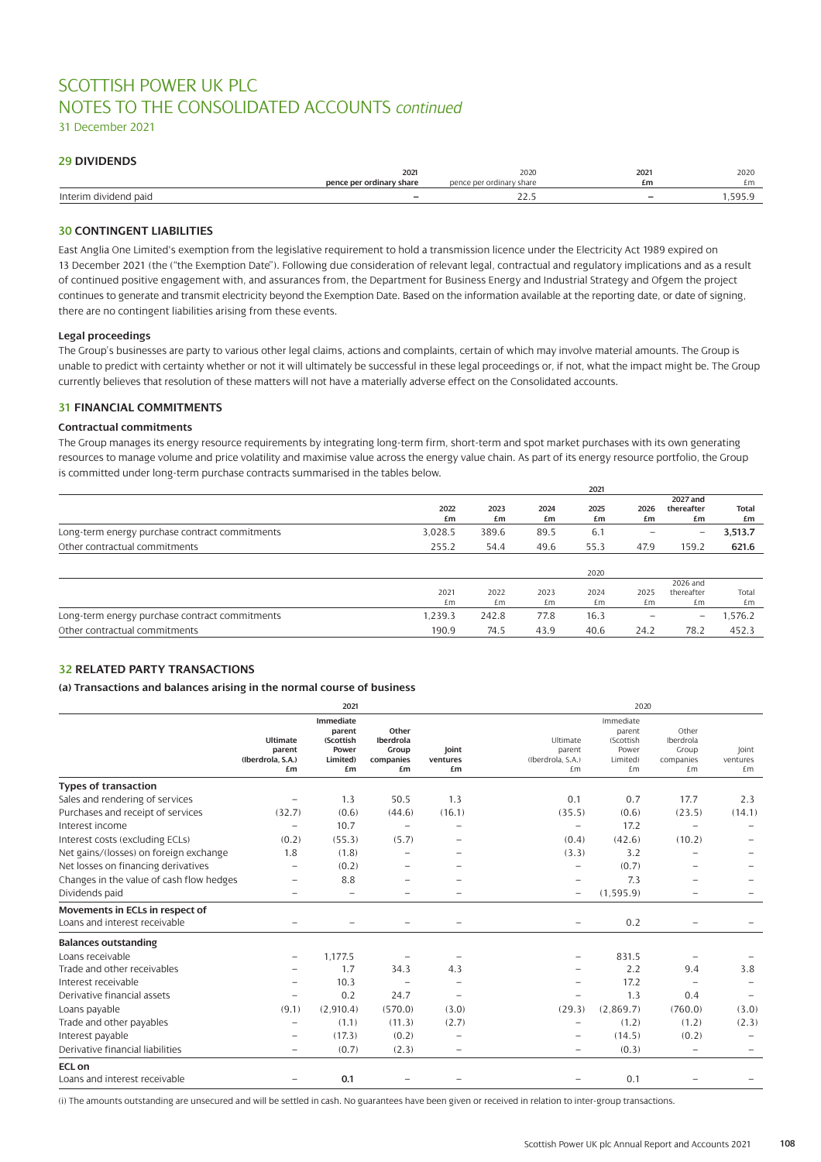# SCOTTISH POWER UK PLC NOTES TO THE CONSOLIDATED ACCOUNTS *continued*

31 December 2021

# **29 DIVIDENDS**

|                                   | 2021                     | 2020              | 2021                     | 2020       |
|-----------------------------------|--------------------------|-------------------|--------------------------|------------|
|                                   | pence per ordinary share | dinaru<br>: share | £m                       | £m         |
| Interim<br>vidend paid<br>$\cdot$ |                          | <u>_ _ . _</u>    | $\overline{\phantom{0}}$ | <b>EQE</b> |

## **30 CONTINGENT LIABILITIES**

East Anglia One Limited's exemption from the legislative requirement to hold a transmission licence under the Electricity Act 1989 expired on 13 December 2021 (the ("the Exemption Date"). Following due consideration of relevant legal, contractual and regulatory implications and as a result of continued positive engagement with, and assurances from, the Department for Business Energy and Industrial Strategy and Ofgem the project continues to generate and transmit electricity beyond the Exemption Date. Based on the information available at the reporting date, or date of signing, there are no contingent liabilities arising from these events.

### **Legal proceedings**

The Group's businesses are party to various other legal claims, actions and complaints, certain of which may involve material amounts. The Group is unable to predict with certainty whether or not it will ultimately be successful in these legal proceedings or, if not, what the impact might be. The Group currently believes that resolution of these matters will not have a materially adverse effect on the Consolidated accounts.

### **31 FINANCIAL COMMITMENTS**

### **Contractual commitments**

The Group manages its energy resource requirements by integrating long-term firm, short-term and spot market purchases with its own generating resources to manage volume and price volatility and maximise value across the energy value chain. As part of its energy resource portfolio, the Group is committed under long-term purchase contracts summarised in the tables below.

|            |            |            | 2021       |            |                          |                    |
|------------|------------|------------|------------|------------|--------------------------|--------------------|
|            |            |            |            |            | 2027 and                 |                    |
| 2022<br>£m | 2023<br>£m | 2024<br>£m | 2025<br>£m | 2026<br>£m | thereafter<br>£m         | <b>Total</b><br>£m |
| 3,028.5    | 389.6      | 89.5       | 6.1        | -          | $\overline{\phantom{0}}$ | 3,513.7            |
| 255.2      | 54.4       | 49.6       | 55.3       | 47.9       | 159.2                    | 621.6              |
|            |            |            |            |            |                          |                    |
|            |            |            | 2020       |            |                          |                    |
|            |            |            |            |            | 2026 and                 |                    |
| 2021       | 2022       | 2023       | 2024       | 2025       | thereafter               | Total              |
| £m         | £m         | £m         | £m         | £m         | £m                       | £m                 |
| 1.239.3    | 242.8      | 77.8       | 16.3       |            | $\qquad \qquad -$        | 1,576.2            |
| 190.9      | 74.5       | 43.9       | 40.6       | 24.2       | 78.2                     | 452.3              |
|            |            |            |            |            |                          |                    |

### **32 RELATED PARTY TRANSACTIONS**

### **(a) Transactions and balances arising in the normal course of business**

|                                          | 2021                                          |                                                             |                                                |                          |                                               |                                                             |                                                | 2020                     |  |  |
|------------------------------------------|-----------------------------------------------|-------------------------------------------------------------|------------------------------------------------|--------------------------|-----------------------------------------------|-------------------------------------------------------------|------------------------------------------------|--------------------------|--|--|
|                                          | Ultimate<br>parent<br>(Iberdrola, S.A.)<br>£m | Immediate<br>parent<br>(Scottish<br>Power<br>Limited)<br>£m | Other<br>Iberdrola<br>Group<br>companies<br>£m | Joint<br>ventures<br>£m  | Ultimate<br>parent<br>(Iberdrola, S.A.)<br>£m | Immediate<br>parent<br>(Scottish<br>Power<br>Limited)<br>£m | Other<br>Iberdrola<br>Group<br>companies<br>£m | Joint<br>ventures<br>£m  |  |  |
| <b>Types of transaction</b>              |                                               |                                                             |                                                |                          |                                               |                                                             |                                                |                          |  |  |
| Sales and rendering of services          | $\overline{\phantom{0}}$                      | 1.3                                                         | 50.5                                           | 1.3                      | 0.1                                           | 0.7                                                         | 17.7                                           | 2.3                      |  |  |
| Purchases and receipt of services        | (32.7)                                        | (0.6)                                                       | (44.6)                                         | (16.1)                   | (35.5)                                        | (0.6)                                                       | (23.5)                                         | (14.1)                   |  |  |
| Interest income                          | $\overline{\phantom{0}}$                      | 10.7                                                        | $\qquad \qquad -$                              | $\qquad \qquad -$        | $\overline{\phantom{m}}$                      | 17.2                                                        | $\overline{\phantom{0}}$                       | $\overline{\phantom{0}}$ |  |  |
| Interest costs (excluding ECLs)          | (0.2)                                         | (55.3)                                                      | (5.7)                                          |                          | (0.4)                                         | (42.6)                                                      | (10.2)                                         |                          |  |  |
| Net gains/(losses) on foreign exchange   | 1.8                                           | (1.8)                                                       | $\overline{\phantom{0}}$                       |                          | (3.3)                                         | 3.2                                                         |                                                |                          |  |  |
| Net losses on financing derivatives      | $\overline{a}$                                | (0.2)                                                       | $\overline{\phantom{0}}$                       |                          |                                               | (0.7)                                                       |                                                |                          |  |  |
| Changes in the value of cash flow hedges | $\overline{\phantom{0}}$                      | 8.8                                                         |                                                |                          |                                               | 7.3                                                         |                                                |                          |  |  |
| Dividends paid                           |                                               |                                                             |                                                | $\overline{\phantom{0}}$ | $\overline{\phantom{0}}$                      | (1, 595.9)                                                  |                                                |                          |  |  |
| Movements in ECLs in respect of          |                                               |                                                             |                                                |                          |                                               |                                                             |                                                |                          |  |  |
| Loans and interest receivable            |                                               |                                                             |                                                |                          |                                               | 0.2                                                         |                                                |                          |  |  |
| <b>Balances outstanding</b>              |                                               |                                                             |                                                |                          |                                               |                                                             |                                                |                          |  |  |
| Loans receivable                         |                                               | 1,177.5                                                     |                                                |                          |                                               | 831.5                                                       |                                                |                          |  |  |
| Trade and other receivables              |                                               | 1.7                                                         | 34.3                                           | 4.3                      |                                               | 2.2                                                         | 9.4                                            | 3.8                      |  |  |
| Interest receivable                      |                                               | 10.3                                                        |                                                |                          |                                               | 17.2                                                        |                                                |                          |  |  |
| Derivative financial assets              | $\overline{\phantom{0}}$                      | 0.2                                                         | 24.7                                           | $\overline{\phantom{0}}$ |                                               | 1.3                                                         | 0.4                                            |                          |  |  |
| Loans payable                            | (9.1)                                         | (2,910.4)                                                   | (570.0)                                        | (3.0)                    | (29.3)                                        | (2,869.7)                                                   | (760.0)                                        | (3.0)                    |  |  |
| Trade and other payables                 | $\overline{\phantom{0}}$                      | (1.1)                                                       | (11.3)                                         | (2.7)                    | $\qquad \qquad -$                             | (1.2)                                                       | (1.2)                                          | (2.3)                    |  |  |
| Interest payable                         | $\overline{\phantom{0}}$                      | (17.3)                                                      | (0.2)                                          | $\qquad \qquad -$        |                                               | (14.5)                                                      | (0.2)                                          |                          |  |  |
| Derivative financial liabilities         | $\overline{\phantom{0}}$                      | (0.7)                                                       | (2.3)                                          | $\qquad \qquad -$        | $\overline{\phantom{0}}$                      | (0.3)                                                       | $\overline{a}$                                 |                          |  |  |
| <b>ECL on</b>                            |                                               |                                                             |                                                |                          |                                               |                                                             |                                                |                          |  |  |
| Loans and interest receivable            |                                               | 0.1                                                         |                                                |                          | $\overline{\phantom{0}}$                      | 0.1                                                         |                                                |                          |  |  |

(i) The amounts outstanding are unsecured and will be settled in cash. No guarantees have been given or received in relation to inter-group transactions.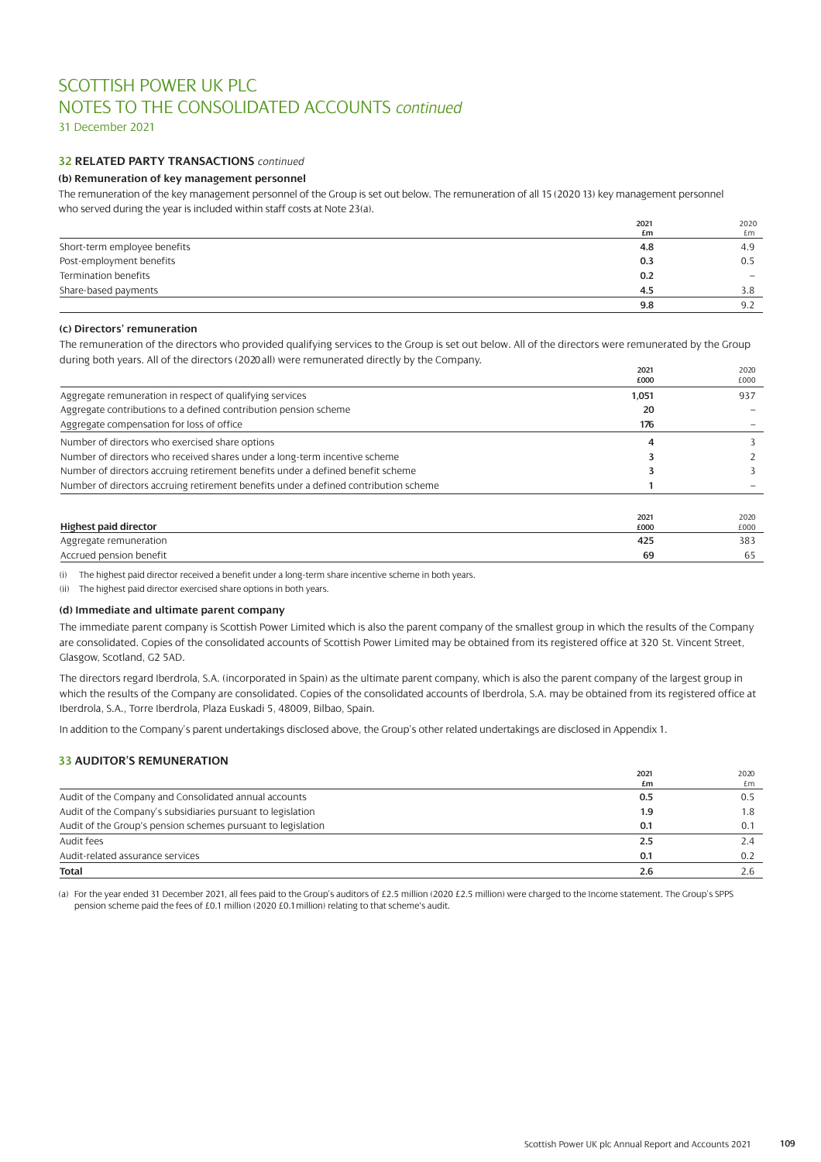# SCOTTISH POWER UK PLC NOTES TO THE CONSOLIDATED ACCOUNTS *continued*

31 December 2021

## **32 RELATED PARTY TRANSACTIONS** *continued*

### **(b) Remuneration of key management personnel**

The remuneration of the key management personnel of the Group is set out below. The remuneration of all 15 (2020 13) key management personnel who served during the year is included within staff costs at Note 23(a).

|                              | 2021 | 2020            |
|------------------------------|------|-----------------|
|                              | £m   | £m              |
| Short-term employee benefits | 4.8  | 4.9             |
| Post-employment benefits     | 0.3  | 0.5             |
| Termination benefits         | 0.2  | $\qquad \qquad$ |
| Share-based payments         | 4.5  | 3.8             |
|                              | 9.8  | 9.2             |

### **(c) Directors' remuneration**

The remuneration of the directors who provided qualifying services to the Group is set out below. All of the directors were remunerated by the Group during both years. All of the directors (2020 all) were remunerated directly by the Company.

|                                                                                      | 2021<br>£000 | 2020<br>£000 |
|--------------------------------------------------------------------------------------|--------------|--------------|
| Aggregate remuneration in respect of qualifying services                             | 1,051        | 937          |
| Aggregate contributions to a defined contribution pension scheme                     | 20           |              |
| Aggregate compensation for loss of office                                            | 176          |              |
| Number of directors who exercised share options                                      | 4            |              |
| Number of directors who received shares under a long-term incentive scheme           |              |              |
| Number of directors accruing retirement benefits under a defined benefit scheme      |              |              |
| Number of directors accruing retirement benefits under a defined contribution scheme |              |              |
| <b>Highest paid director</b>                                                         | 2021         | 2020         |
|                                                                                      | £000         | £000         |
| Aggregate remuneration                                                               | 425          | 383          |
| Accrued pension benefit                                                              | 69           | 65           |

(i) The highest paid director received a benefit under a long-term share incentive scheme in both years.

(ii) The highest paid director exercised share options in both years.

### **(d) Immediate and ultimate parent company**

The immediate parent company is Scottish Power Limited which is also the parent company of the smallest group in which the results of the Company are consolidated. Copies of the consolidated accounts of Scottish Power Limited may be obtained from its registered office at 320 St. Vincent Street, Glasgow, Scotland, G2 5AD.

The directors regard Iberdrola, S.A. (incorporated in Spain) as the ultimate parent company, which is also the parent company of the largest group in which the results of the Company are consolidated. Copies of the consolidated accounts of Iberdrola, S.A. may be obtained from its registered office at Iberdrola, S.A., Torre Iberdrola, Plaza Euskadi 5, 48009, Bilbao, Spain.

In addition to the Company's parent undertakings disclosed above, the Group's other related undertakings are disclosed in Appendix 1.

### **33 AUDITOR'S REMUNERATION**

|                                                              | 2021 | 2020 |
|--------------------------------------------------------------|------|------|
|                                                              | £m   | £m   |
| Audit of the Company and Consolidated annual accounts        | 0.5  | 0.5  |
| Audit of the Company's subsidiaries pursuant to legislation  | 1.9  | 1.8  |
| Audit of the Group's pension schemes pursuant to legislation | 0.1  | 0.1  |
| Audit fees                                                   | 2.5  | 2.4  |
| Audit-related assurance services                             | 0.1  | 0.2  |
| <b>Total</b>                                                 | 2.6  |      |

(a) For the year ended 31 December 2021, all fees paid to the Group's auditors of £2.5 million (2020 £2.5 million) were charged to the Income statement. The Group's SPPS pension scheme paid the fees of £0.1 million (2020 £0.1 million) relating to that scheme's audit.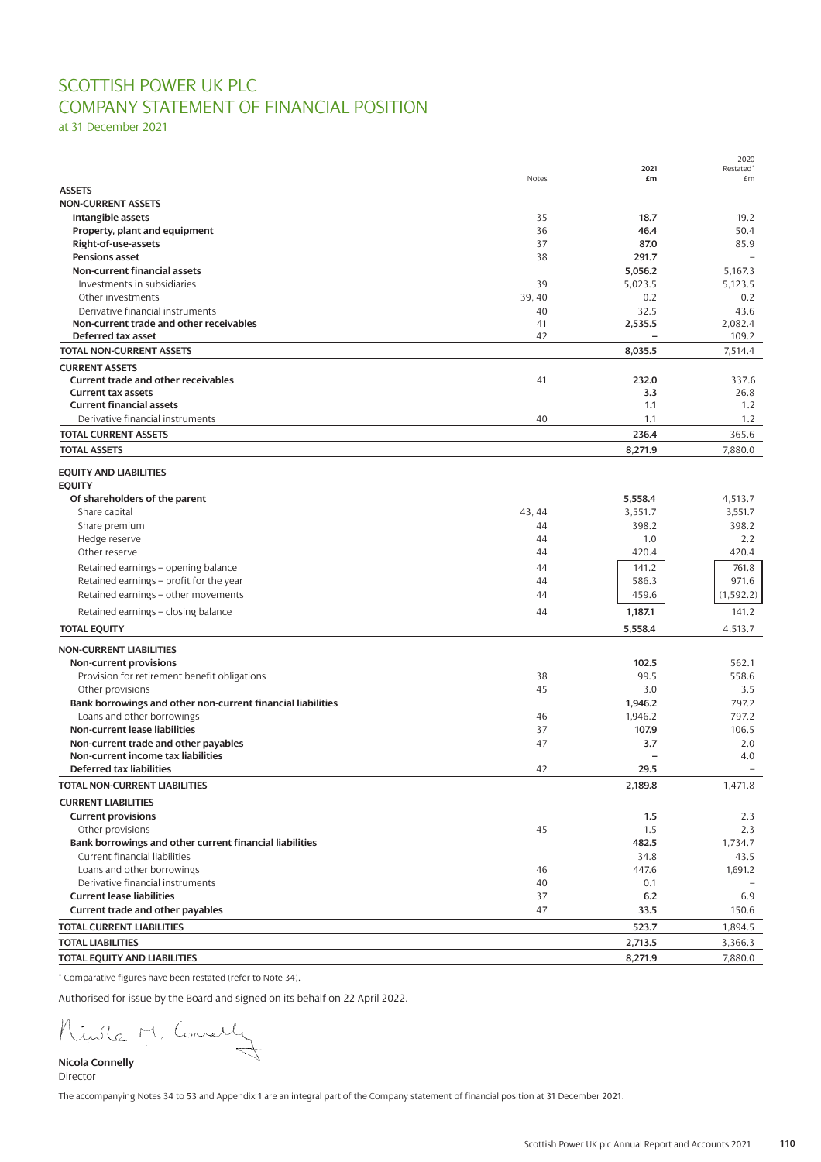# SCOTTISH POWER UK PLC COMPANY STATEMENT OF FINANCIAL POSITION

at 31 December 2021

|                                                             | Notes  | 2021<br>£m | ZUZU<br>Restated <sup>*</sup><br>£m |
|-------------------------------------------------------------|--------|------------|-------------------------------------|
| <b>ASSETS</b>                                               |        |            |                                     |
| <b>NON-CURRENT ASSETS</b>                                   |        |            |                                     |
| Intangible assets                                           | 35     | 18.7       | 19.2                                |
| Property, plant and equipment                               | 36     | 46.4       | 50.4                                |
| Right-of-use-assets                                         | 37     | 87.0       | 85.9                                |
| <b>Pensions asset</b>                                       | 38     | 291.7      |                                     |
| <b>Non-current financial assets</b>                         |        | 5,056.2    | 5.167.3                             |
| Investments in subsidiaries                                 | 39     | 5,023.5    | 5,123.5                             |
| Other investments                                           | 39, 40 | 0.2        | 0.2                                 |
| Derivative financial instruments                            | 40     | 32.5       | 43.6                                |
| Non-current trade and other receivables                     | 41     | 2,535.5    | 2,082.4                             |
| Deferred tax asset                                          | 42     |            | 109.2                               |
| <b>TOTAL NON-CURRENT ASSETS</b>                             |        | 8,035.5    | 7.514.4                             |
| <b>CURRENT ASSETS</b>                                       |        |            |                                     |
| Current trade and other receivables                         | 41     | 232.0      | 337.6                               |
| <b>Current tax assets</b>                                   |        | 3.3        | 26.8                                |
| <b>Current financial assets</b>                             |        | 1.1        | 1.2                                 |
| Derivative financial instruments                            | 40     | 1.1        | 1.2                                 |
| <b>TOTAL CURRENT ASSETS</b>                                 |        | 236.4      | 365.6                               |
| <b>TOTAL ASSETS</b>                                         |        | 8,271.9    | 7,880.0                             |
| <b>EQUITY AND LIABILITIES</b>                               |        |            |                                     |
| <b>EOUITY</b>                                               |        |            |                                     |
| Of shareholders of the parent                               |        | 5,558.4    | 4.513.7                             |
| Share capital                                               | 43.44  | 3,551.7    | 3,551.7                             |
| Share premium                                               | 44     | 398.2      | 398.2                               |
| Hedge reserve                                               | 44     | 1.0        | 2.2                                 |
| Other reserve                                               | 44     | 420.4      | 420.4                               |
|                                                             |        |            |                                     |
| Retained earnings - opening balance                         | 44     | 141.2      | 761.8                               |
| Retained earnings - profit for the year                     | 44     | 586.3      | 971.6                               |
| Retained earnings - other movements                         | 44     | 459.6      | (1, 592.2)                          |
| Retained earnings - closing balance                         | 44     | 1,187.1    | 141.2                               |
| <b>TOTAL EQUITY</b>                                         |        | 5,558.4    | 4,513.7                             |
| <b>NON-CURRENT LIABILITIES</b>                              |        |            |                                     |
| Non-current provisions                                      |        | 102.5      | 562.1                               |
| Provision for retirement benefit obligations                | 38     | 99.5       | 558.6                               |
| Other provisions                                            | 45     | 3.0        | 3.5                                 |
| Bank borrowings and other non-current financial liabilities |        | 1,946.2    | 797.2                               |
| Loans and other borrowings                                  | 46     | 1,946.2    | 797.2                               |
| Non-current lease liabilities                               | 37     | 107.9      | 106.5                               |
| Non-current trade and other payables                        | 47     | 3.7        | 2.0                                 |
| Non-current income tax liabilities                          |        |            | 4.0                                 |
| <b>Deferred tax liabilities</b>                             | 42     | 29.5       | $\overline{\phantom{0}}$            |
| TOTAL NON-CURRENT LIABILITIES                               |        | 2,189.8    | 1,471.8                             |
| <b>CURRENT LIABILITIES</b>                                  |        |            |                                     |
| <b>Current provisions</b>                                   |        | 1.5        | 2.3                                 |
| Other provisions                                            | 45     | 1.5        | 2.3                                 |
| Bank borrowings and other current financial liabilities     |        | 482.5      | 1,734.7                             |
| Current financial liabilities                               |        | 34.8       | 43.5                                |
| Loans and other borrowings                                  | 46     | 447.6      | 1,691.2                             |
| Derivative financial instruments                            | 40     | 0.1        |                                     |
| <b>Current lease liabilities</b>                            | 37     | 6.2        | 6.9                                 |
| Current trade and other payables                            | 47     | 33.5       | 150.6                               |
| <b>TOTAL CURRENT LIABILITIES</b>                            |        | 523.7      | 1,894.5                             |
| <b>TOTAL LIABILITIES</b>                                    |        | 2,713.5    | 3,366.3                             |
| TOTAL EQUITY AND LIABILITIES                                |        | 8,271.9    | 7,880.0                             |
|                                                             |        |            |                                     |

\* Comparative figures have been restated (refer to Note 34).

Authorised for issue by the Board and signed on its behalf on 22 April 2022.<br>
And Connelly

**Nicola Connelly** Director

The accompanying Notes 34 to 53 and Appendix 1 are an integral part of the Company statement of financial position at 31 December 2021.

 $2020$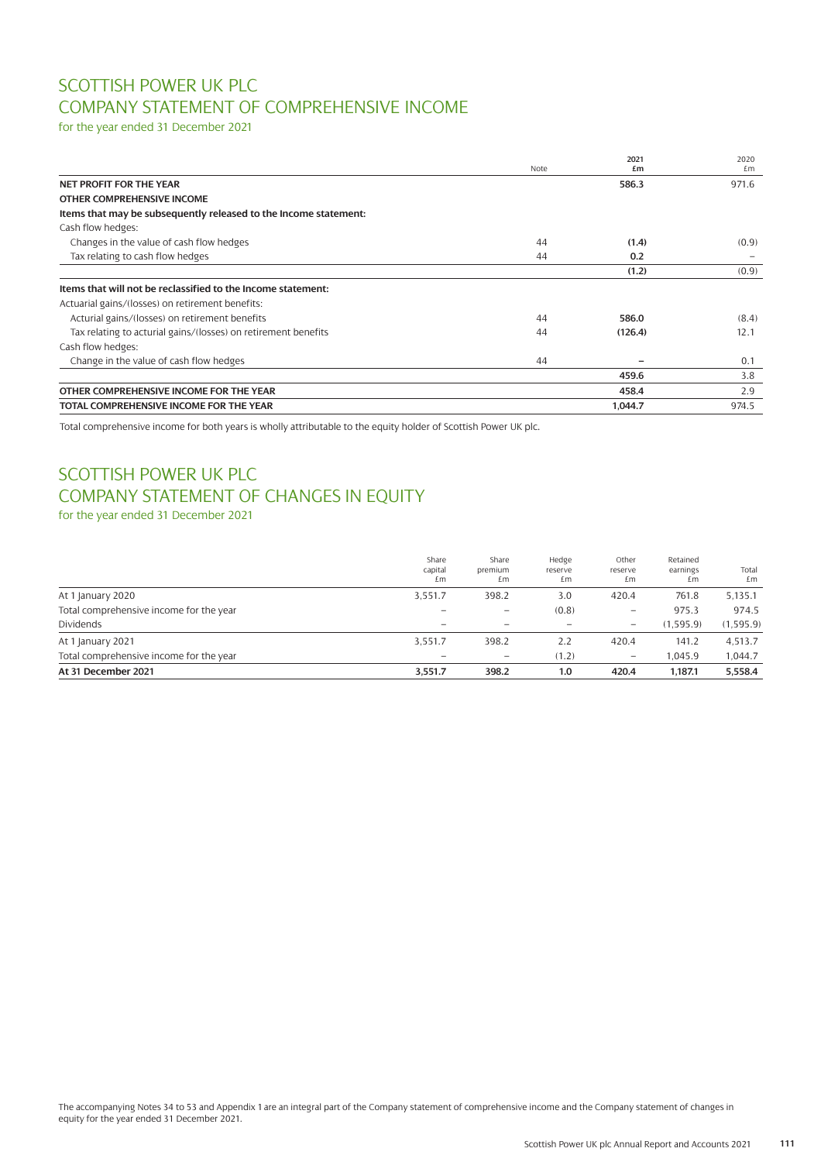# SCOTTISH POWER UK PLC COMPANY STATEMENT OF COMPREHENSIVE INCOME

for the year ended 31 December 2021

|                                                                  | Note | 2021<br>£m | 2020<br>£m |
|------------------------------------------------------------------|------|------------|------------|
| <b>NET PROFIT FOR THE YEAR</b>                                   |      | 586.3      | 971.6      |
| OTHER COMPREHENSIVE INCOME                                       |      |            |            |
| Items that may be subsequently released to the Income statement: |      |            |            |
| Cash flow hedges:                                                |      |            |            |
| Changes in the value of cash flow hedges                         | 44   | (1.4)      | (0.9)      |
| Tax relating to cash flow hedges                                 | 44   | 0.2        |            |
|                                                                  |      | (1.2)      | (0.9)      |
| Items that will not be reclassified to the Income statement:     |      |            |            |
| Actuarial gains/(losses) on retirement benefits:                 |      |            |            |
| Acturial gains/(losses) on retirement benefits                   | 44   | 586.0      | (8.4)      |
| Tax relating to acturial gains/(losses) on retirement benefits   | 44   | (126.4)    | 12.1       |
| Cash flow hedges:                                                |      |            |            |
| Change in the value of cash flow hedges                          | 44   |            | 0.1        |
|                                                                  |      | 459.6      | 3.8        |
| OTHER COMPREHENSIVE INCOME FOR THE YEAR                          |      | 458.4      | 2.9        |
| TOTAL COMPREHENSIVE INCOME FOR THE YEAR                          |      | 1,044.7    | 974.5      |

Total comprehensive income for both years is wholly attributable to the equity holder of Scottish Power UK plc.

# SCOTTISH POWER UK PLC COMPANY STATEMENT OF CHANGES IN EQUITY

for the year ended 31 December 2021

| At 31 December 2021                     | 3,551.7                  | 398.2                    | 1.0                    | 420.4                  | 1.187.1                    | 5,558.4     |
|-----------------------------------------|--------------------------|--------------------------|------------------------|------------------------|----------------------------|-------------|
| Total comprehensive income for the year | $\overline{\phantom{m}}$ | $\overline{\phantom{m}}$ | (1.2)                  | $\qquad \qquad -$      | 1.045.9                    | 1.044.7     |
| At 1 January 2021                       | 3,551.7                  | 398.2                    | 2.2                    | 420.4                  | 141.2                      | 4,513.7     |
| Dividends                               |                          |                          |                        | -                      | (1.595.9)                  | (1,595.9)   |
| Total comprehensive income for the year | $\overline{\phantom{m}}$ | $\overline{\phantom{m}}$ | (0.8)                  | $\qquad \qquad -$      | 975.3                      | 974.5       |
| At 1 January 2020                       | 3.551.7                  | 398.2                    | 3.0                    | 420.4                  | 761.8                      | 5,135.1     |
|                                         | Share<br>capital<br>£m   | Share<br>premium<br>£m   | Hedge<br>reserve<br>£m | Other<br>reserve<br>£m | Retained<br>earnings<br>£m | Total<br>£m |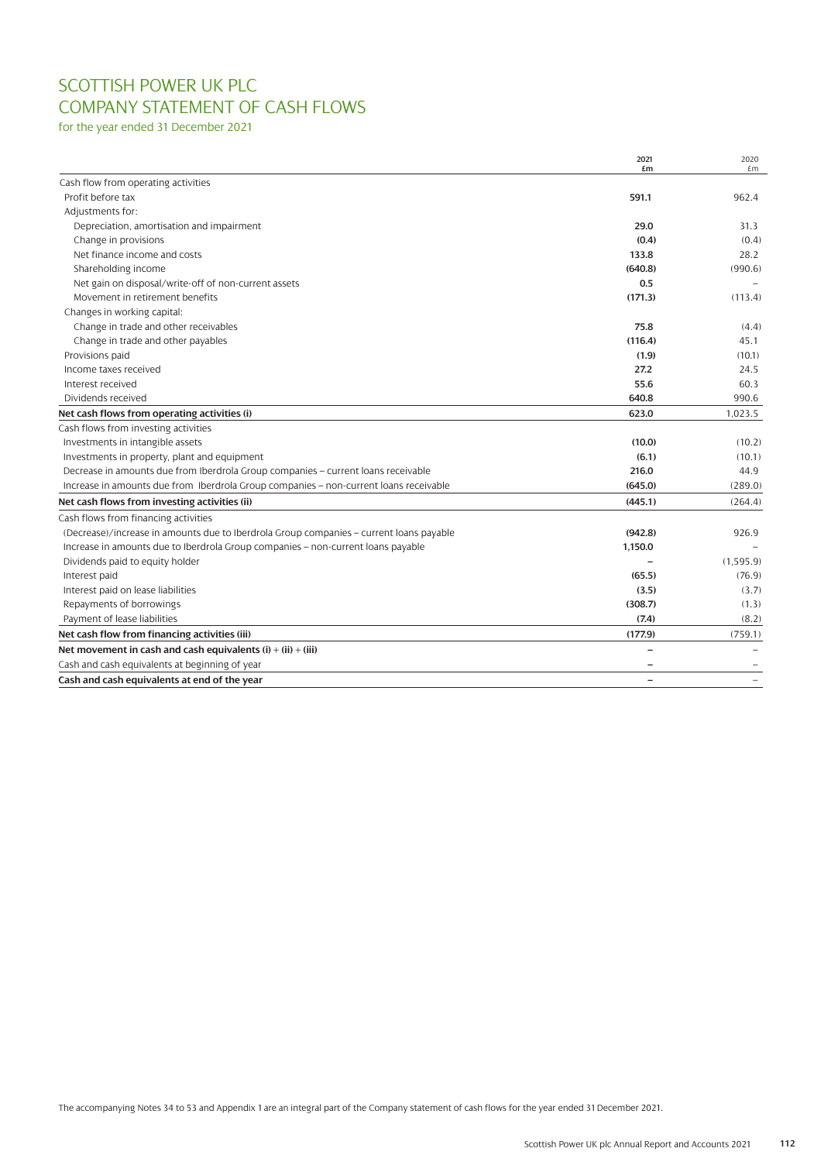# SCOTTISH POWER UK PLC COMPANY STATEMENT OF CASH FLOWS

for the year ended 31 December 2021

|                                                                                         | 2021<br>£m | 2020<br>£m |
|-----------------------------------------------------------------------------------------|------------|------------|
| Cash flow from operating activities                                                     |            |            |
| Profit before tax                                                                       | 591.1      | 962.4      |
| Adjustments for:                                                                        |            |            |
| Depreciation, amortisation and impairment                                               | 29.0       | 31.3       |
| Change in provisions                                                                    | (0.4)      | (0.4)      |
| Net finance income and costs                                                            | 133.8      | 28.2       |
| Shareholding income                                                                     | (640.8)    | (990.6)    |
| Net gain on disposal/write-off of non-current assets                                    | 0.5        |            |
| Movement in retirement benefits                                                         | (171.3)    | (113.4)    |
| Changes in working capital:                                                             |            |            |
| Change in trade and other receivables                                                   | 75.8       | (4.4)      |
| Change in trade and other payables                                                      | (116.4)    | 45.1       |
| Provisions paid                                                                         | (1.9)      | (10.1)     |
| Income taxes received                                                                   | 27.2       | 24.5       |
| Interest received                                                                       | 55.6       | 60.3       |
| Dividends received                                                                      | 640.8      | 990.6      |
| Net cash flows from operating activities (i)                                            | 623.0      | 1,023.5    |
| Cash flows from investing activities                                                    |            |            |
| Investments in intangible assets                                                        | (10.0)     | (10.2)     |
| Investments in property, plant and equipment                                            | (6.1)      | (10.1)     |
| Decrease in amounts due from Iberdrola Group companies - current loans receivable       | 216.0      | 44.9       |
| Increase in amounts due from Iberdrola Group companies - non-current loans receivable   | (645.0)    | (289.0)    |
| Net cash flows from investing activities (ii)                                           | (445.1)    | (264.4)    |
| Cash flows from financing activities                                                    |            |            |
| (Decrease)/increase in amounts due to Iberdrola Group companies - current loans payable | (942.8)    | 926.9      |
| Increase in amounts due to Iberdrola Group companies - non-current loans payable        | 1.150.0    |            |
| Dividends paid to equity holder                                                         |            | (1.595.9)  |
| Interest paid                                                                           | (65.5)     | (76.9)     |
| Interest paid on lease liabilities                                                      | (3.5)      | (3.7)      |
| Repayments of borrowings                                                                | (308.7)    | (1.3)      |
| Payment of lease liabilities                                                            | (7.4)      | (8.2)      |
| Net cash flow from financing activities (iii)                                           | (177.9)    | (759.1)    |
| Net movement in cash and cash equivalents $(i) + (ii) + (iii)$                          |            |            |
| Cash and cash equivalents at beginning of year                                          |            |            |
| Cash and cash equivalents at end of the year                                            | -          |            |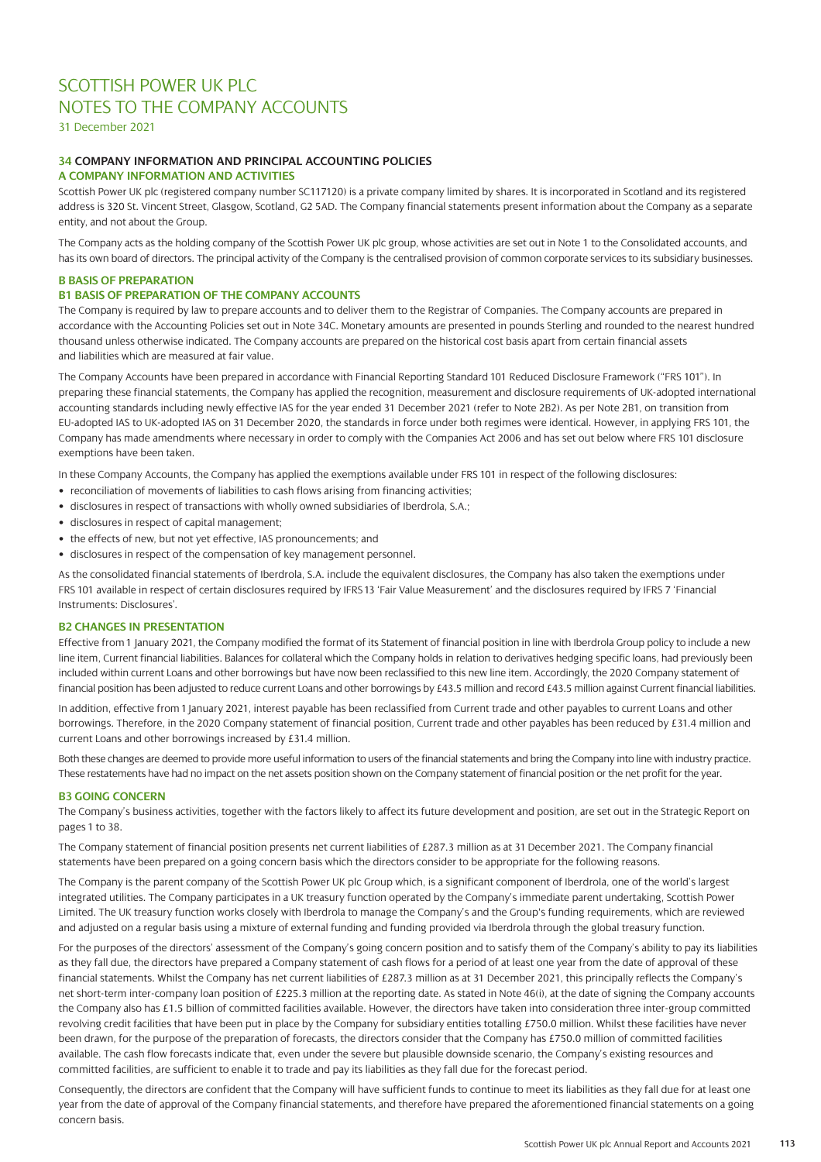31 December 2021

# **34 COMPANY INFORMATION AND PRINCIPAL ACCOUNTING POLICIES**

### **A COMPANY INFORMATION AND ACTIVITIES**

Scottish Power UK plc (registered company number SC117120) is a private company limited by shares. It is incorporated in Scotland and its registered address is 320 St. Vincent Street, Glasgow, Scotland, G2 5AD. The Company financial statements present information about the Company as a separate entity, and not about the Group.

The Company acts as the holding company of the Scottish Power UK plc group, whose activities are set out in Note 1 to the Consolidated accounts, and has its own board of directors. The principal activity of the Company is the centralised provision of common corporate services to its subsidiary businesses.

## **B BASIS OF PREPARATION**

# **B1 BASIS OF PREPARATION OF THE COMPANY ACCOUNTS**

The Company is required by law to prepare accounts and to deliver them to the Registrar of Companies. The Company accounts are prepared in accordance with the Accounting Policies set out in Note 34C. Monetary amounts are presented in pounds Sterling and rounded to the nearest hundred thousand unless otherwise indicated. The Company accounts are prepared on the historical cost basis apart from certain financial assets and liabilities which are measured at fair value.

The Company Accounts have been prepared in accordance with Financial Reporting Standard 101 Reduced Disclosure Framework ("FRS 101"). In preparing these financial statements, the Company has applied the recognition, measurement and disclosure requirements of UK-adopted international accounting standards including newly effective IAS for the year ended 31 December 2021 (refer to Note 2B2). As per Note 2B1, on transition from EU-adopted IAS to UK-adopted IAS on 31 December 2020, the standards in force under both regimes were identical. However, in applying FRS 101, the Company has made amendments where necessary in order to comply with the Companies Act 2006 and has set out below where FRS 101 disclosure exemptions have been taken.

In these Company Accounts, the Company has applied the exemptions available under FRS 101 in respect of the following disclosures:

- reconciliation of movements of liabilities to cash flows arising from financing activities;
- disclosures in respect of transactions with wholly owned subsidiaries of Iberdrola, S.A.;
- disclosures in respect of capital management;
- the effects of new, but not yet effective, IAS pronouncements; and
- disclosures in respect of the compensation of key management personnel.

As the consolidated financial statements of Iberdrola, S.A. include the equivalent disclosures, the Company has also taken the exemptions under FRS 101 available in respect of certain disclosures required by IFRS 13 'Fair Value Measurement' and the disclosures required by IFRS 7 'Financial Instruments: Disclosures'.

### **B2 CHANGES IN PRESENTATION**

Effective from 1 January 2021, the Company modified the format of its Statement of financial position in line with Iberdrola Group policy to include a new line item, Current financial liabilities. Balances for collateral which the Company holds in relation to derivatives hedging specific loans, had previously been included within current Loans and other borrowings but have now been reclassified to this new line item. Accordingly, the 2020 Company statement of financial position has been adjusted to reduce current Loans and other borrowings by £43.5 million and record £43.5 million against Current financial liabilities.

In addition, effective from 1January 2021, interest payable has been reclassified from Current trade and other payables to current Loans and other borrowings. Therefore, in the 2020 Company statement of financial position, Current trade and other payables has been reduced by £31.4 million and current Loans and other borrowings increased by £31.4 million.

Both these changes are deemed to provide more useful information to users of the financial statements and bring the Company into line with industry practice. These restatements have had no impact on the net assets position shown on the Company statement of financial position or the net profit for the year.

### **B3 GOING CONCERN**

The Company's business activities, together with the factors likely to affect its future development and position, are set out in the Strategic Report on pages 1 to 38.

The Company statement of financial position presents net current liabilities of £287.3 million as at 31 December 2021. The Company financial statements have been prepared on a going concern basis which the directors consider to be appropriate for the following reasons.

The Company is the parent company of the Scottish Power UK plc Group which, is a significant component of Iberdrola, one of the world's largest integrated utilities. The Company participates in a UK treasury function operated by the Company's immediate parent undertaking, Scottish Power Limited. The UK treasury function works closely with Iberdrola to manage the Company's and the Group's funding requirements, which are reviewed and adjusted on a regular basis using a mixture of external funding and funding provided via Iberdrola through the global treasury function.

For the purposes of the directors' assessment of the Company's going concern position and to satisfy them of the Company's ability to pay its liabilities as they fall due, the directors have prepared a Company statement of cash flows for a period of at least one year from the date of approval of these financial statements. Whilst the Company has net current liabilities of £287.3 million as at 31 December 2021, this principally reflects the Company's net short-term inter-company loan position of £225.3 million at the reporting date. As stated in Note 46(i), at the date of signing the Company accounts the Company also has £1.5 billion of committed facilities available. However, the directors have taken into consideration three inter-group committed revolving credit facilities that have been put in place by the Company for subsidiary entities totalling £750.0 million. Whilst these facilities have never been drawn, for the purpose of the preparation of forecasts, the directors consider that the Company has £750.0 million of committed facilities available. The cash flow forecasts indicate that, even under the severe but plausible downside scenario, the Company's existing resources and committed facilities, are sufficient to enable it to trade and pay its liabilities as they fall due for the forecast period.

Consequently, the directors are confident that the Company will have sufficient funds to continue to meet its liabilities as they fall due for at least one year from the date of approval of the Company financial statements, and therefore have prepared the aforementioned financial statements on a going concern basis.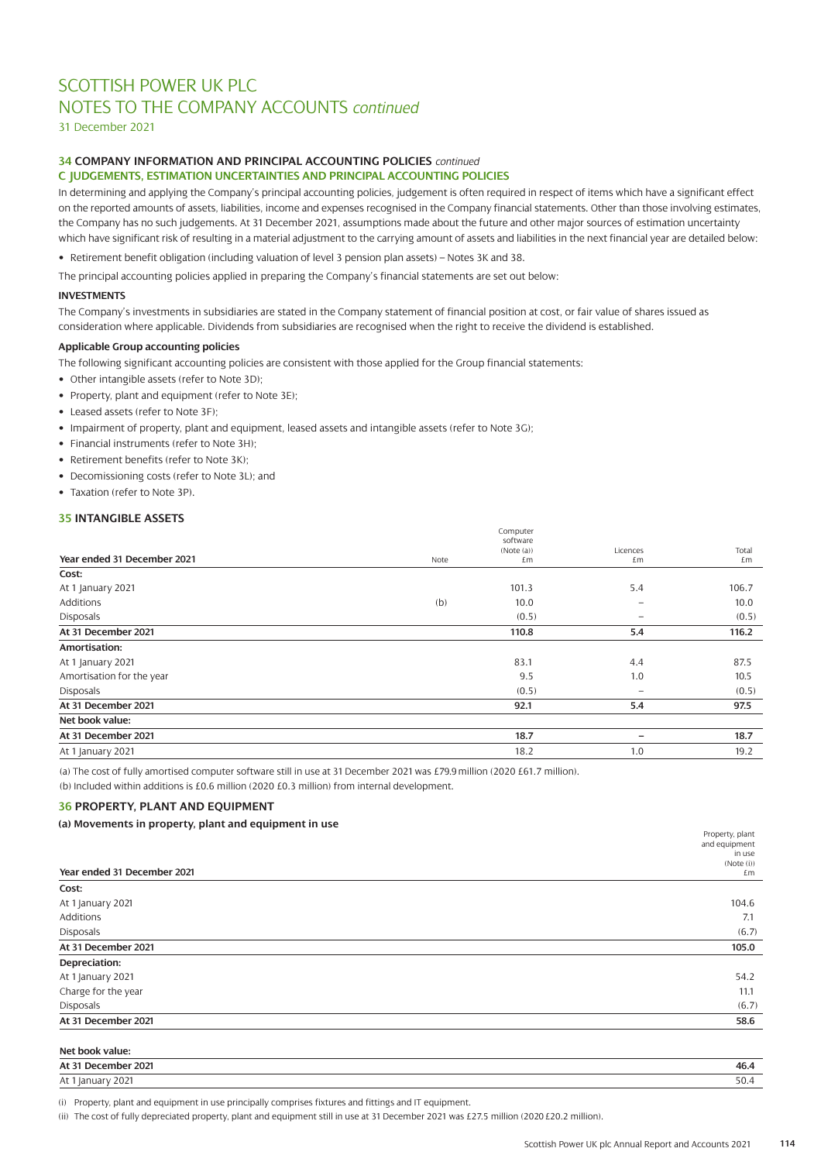31 December 2021

# **34 COMPANY INFORMATION AND PRINCIPAL ACCOUNTING POLICIES** *continued*

# **C JUDGEMENTS, ESTIMATION UNCERTAINTIES AND PRINCIPAL ACCOUNTING POLICIES**

In determining and applying the Company's principal accounting policies, judgement is often required in respect of items which have a significant effect on the reported amounts of assets, liabilities, income and expenses recognised in the Company financial statements. Other than those involving estimates, the Company has no such judgements. At 31 December 2021, assumptions made about the future and other major sources of estimation uncertainty which have significant risk of resulting in a material adjustment to the carrying amount of assets and liabilities in the next financial year are detailed below:

• Retirement benefit obligation (including valuation of level 3 pension plan assets) – Notes 3K and 38.

The principal accounting policies applied in preparing the Company's financial statements are set out below:

### **INVESTMENTS**

The Company's investments in subsidiaries are stated in the Company statement of financial position at cost, or fair value of shares issued as consideration where applicable. Dividends from subsidiaries are recognised when the right to receive the dividend is established.

### **Applicable Group accounting policies**

The following significant accounting policies are consistent with those applied for the Group financial statements:

- Other intangible assets (refer to Note 3D);
- Property, plant and equipment (refer to Note 3E);
- Leased assets (refer to Note 3F);
- Impairment of property, plant and equipment, leased assets and intangible assets (refer to Note 3G);
- Financial instruments (refer to Note 3H);
- Retirement benefits (refer to Note 3K);
- Decomissioning costs (refer to Note 3L); and
- Taxation (refer to Note 3P).

### **35 INTANGIBLE ASSETS**

|                             |      | Computer   |                          |       |
|-----------------------------|------|------------|--------------------------|-------|
|                             |      | software   |                          |       |
|                             |      | (Note (a)) | Licences                 | Total |
| Year ended 31 December 2021 | Note | £m         | £m                       | £m    |
| Cost:                       |      |            |                          |       |
| At 1 January 2021           |      | 101.3      | 5.4                      | 106.7 |
| <b>Additions</b>            | (b)  | 10.0       | $\overline{\phantom{0}}$ | 10.0  |
| Disposals                   |      | (0.5)      | $\qquad \qquad \qquad$   | (0.5) |
| At 31 December 2021         |      | 110.8      | 5.4                      | 116.2 |
| Amortisation:               |      |            |                          |       |
| At 1 January 2021           |      | 83.1       | 4.4                      | 87.5  |
| Amortisation for the year   |      | 9.5        | 1.0                      | 10.5  |
| Disposals                   |      | (0.5)      |                          | (0.5) |
| At 31 December 2021         |      | 92.1       | 5.4                      | 97.5  |
| Net book value:             |      |            |                          |       |
| At 31 December 2021         |      | 18.7       | $\overline{\phantom{0}}$ | 18.7  |
| At 1 January 2021           |      | 18.2       | 1.0                      | 19.2  |
|                             |      |            |                          |       |

(a) The cost of fully amortised computer software still in use at 31 December 2021 was £79.9 million (2020 £61.7 million).

(b) Included within additions is £0.6 million (2020 £0.3 million) from internal development.

## **36 PROPERTY, PLANT AND EQUIPMENT**

### **(a) Movements in property, plant and equipment in use**

| .                           | Property, plant<br>and equipment |
|-----------------------------|----------------------------------|
|                             | in use                           |
| Year ended 31 December 2021 | (Note (i))<br>£m                 |
| Cost:                       |                                  |
| At 1 January 2021           | 104.6                            |
| Additions                   | 7.1                              |
| <b>Disposals</b>            | (6.7)                            |
| At 31 December 2021         | 105.0                            |
| Depreciation:               |                                  |
| At 1 January 2021           | 54.2                             |
| Charge for the year         | 11.1                             |
| Disposals                   | (6.7)                            |
| At 31 December 2021         | 58.6                             |
| Net book value:             |                                  |
| At 31 December 2021         | 46.4                             |

At 1 January 2021 50.4

(i) Property, plant and equipment in use principally comprises fixtures and fittings and IT equipment.

(ii) The cost of fully depreciated property, plant and equipment still in use at 31 December 2021 was £27.5 million (2020 £20.2 million).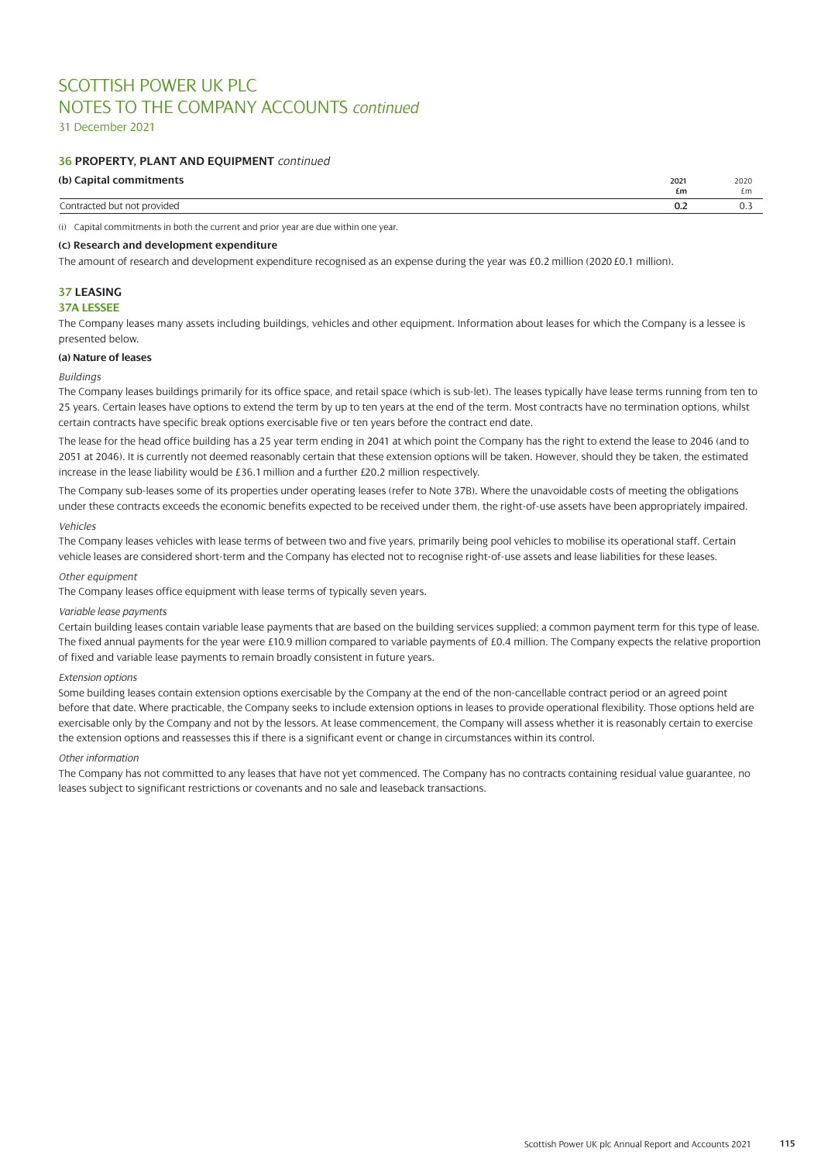31 December 2021

### **36 PROPERTY, PLANT AND EQUIPMENT** *continued*

### **(b) Capital commitments 2021** 2020

| $\omega$ , capital communication | $-0-1$ | 2020 |
|----------------------------------|--------|------|
|                                  | £m     | £m   |
| ‴∩nt∟<br>/idec<br>'NF.<br>.      | v.∠    |      |
|                                  |        |      |

(i) Capital commitments in both the current and prior year are due within one year.

### **(c) Research and development expenditure**

The amount of research and development expenditure recognised as an expense during the year was £0.2 million (2020 £0.1 million).

# **37 LEASING**

## **37A LESSEE**

The Company leases many assets including buildings, vehicles and other equipment. Information about leases for which the Company is a lessee is presented below.

### **(a) Nature of leases**

### *Buildings*

The Company leases buildings primarily for its office space, and retail space (which is sub-let). The leases typically have lease terms running from ten to 25 years. Certain leases have options to extend the term by up to ten years at the end of the term. Most contracts have no termination options, whilst certain contracts have specific break options exercisable five or ten years before the contract end date.

The lease for the head office building has a 25 year term ending in 2041 at which point the Company has the right to extend the lease to 2046 (and to 2051 at 2046). It is currently not deemed reasonably certain that these extension options will be taken. However, should they be taken, the estimated increase in the lease liability would be £36.1 million and a further £20.2 million respectively.

The Company sub-leases some of its properties under operating leases (refer to Note 37B). Where the unavoidable costs of meeting the obligations under these contracts exceeds the economic benefits expected to be received under them, the right-of-use assets have been appropriately impaired.

### *Vehicles*

The Company leases vehicles with lease terms of between two and five years, primarily being pool vehicles to mobilise its operational staff. Certain vehicle leases are considered short-term and the Company has elected not to recognise right-of-use assets and lease liabilities for these leases.

### *Other equipment*

The Company leases office equipment with lease terms of typically seven years.

#### *Variable lease payments*

Certain building leases contain variable lease payments that are based on the building services supplied; a common payment term for this type of lease. The fixed annual payments for the year were £10.9 million compared to variable payments of £0.4 million. The Company expects the relative proportion of fixed and variable lease payments to remain broadly consistent in future years.

### *Extension options*

Some building leases contain extension options exercisable by the Company at the end of the non-cancellable contract period or an agreed point before that date. Where practicable, the Company seeks to include extension options in leases to provide operational flexibility. Those options held are exercisable only by the Company and not by the lessors. At lease commencement, the Company will assess whether it is reasonably certain to exercise the extension options and reassesses this if there is a significant event or change in circumstances within its control.

#### *Other information*

The Company has not committed to any leases that have not yet commenced. The Company has no contracts containing residual value guarantee, no leases subject to significant restrictions or covenants and no sale and leaseback transactions.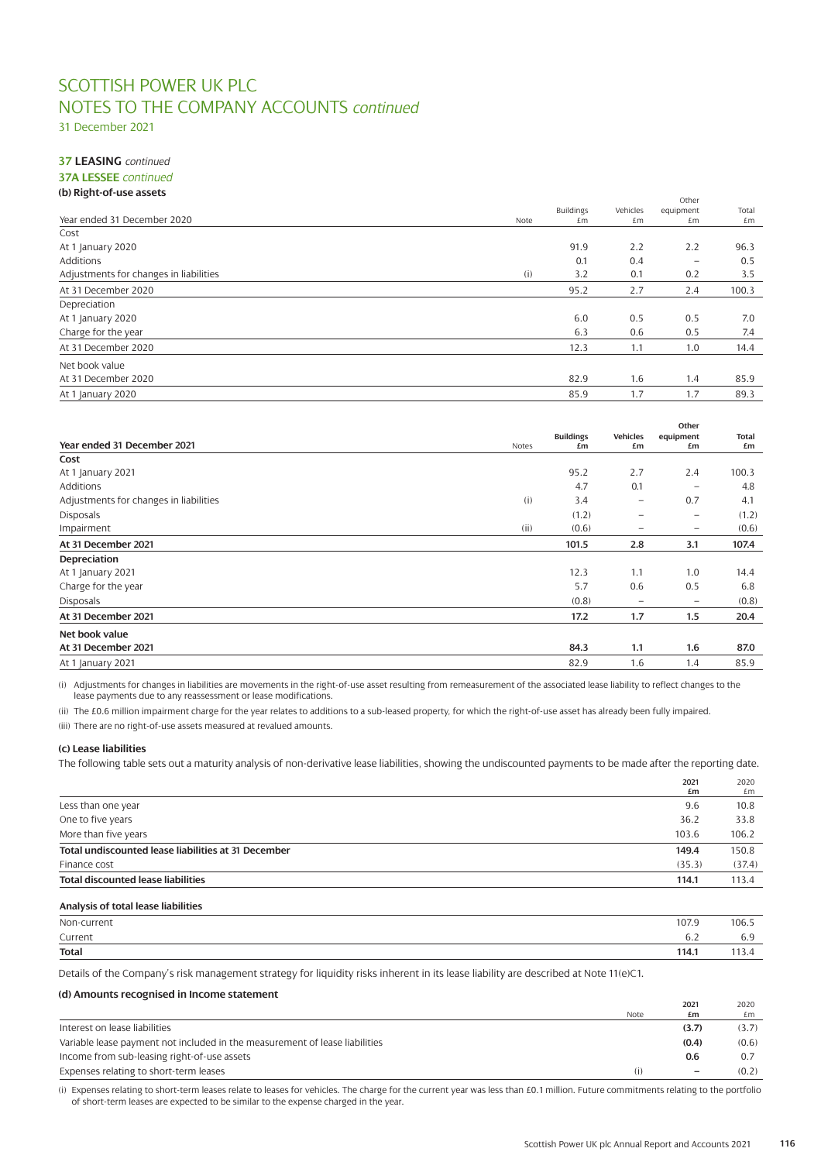31 December 2021

### **37 LEASING** *continued* **37A LESSEE** *continued*

| ັ                                      |      |                        |                | Other                    |             |
|----------------------------------------|------|------------------------|----------------|--------------------------|-------------|
| Year ended 31 December 2020            | Note | <b>Buildings</b><br>£m | Vehicles<br>£m | equipment<br>£m          | Total<br>£m |
| Cost                                   |      |                        |                |                          |             |
| At 1 January 2020                      |      | 91.9                   | 2.2            | 2.2                      | 96.3        |
| Additions                              |      | 0.1                    | 0.4            | $\overline{\phantom{0}}$ | 0.5         |
| Adjustments for changes in liabilities | (i)  | 3.2                    | 0.1            | 0.2                      | 3.5         |
| At 31 December 2020                    |      | 95.2                   | 2.7            | 2.4                      | 100.3       |
| Depreciation                           |      |                        |                |                          |             |
| At 1 January 2020                      |      | 6.0                    | 0.5            | 0.5                      | 7.0         |
| Charge for the year                    |      | 6.3                    | 0.6            | 0.5                      | 7.4         |
| At 31 December 2020                    |      | 12.3                   | 1.1            | 1.0                      | 14.4        |
| Net book value                         |      |                        |                |                          |             |
| At 31 December 2020                    |      | 82.9                   | 1.6            | 1.4                      | 85.9        |
| At 1 January 2020                      |      | 85.9                   | 1.7            | 1.7                      | 89.3        |
|                                        |      |                        |                |                          |             |

|                                        |       |                        |                          | Other                    |             |
|----------------------------------------|-------|------------------------|--------------------------|--------------------------|-------------|
| Year ended 31 December 2021            | Notes | <b>Buildings</b><br>£m | Vehicles<br>£m           | equipment<br>£m          | Total<br>£m |
| Cost                                   |       |                        |                          |                          |             |
| At 1 January 2021                      |       | 95.2                   | 2.7                      | 2.4                      | 100.3       |
| <b>Additions</b>                       |       | 4.7                    | 0.1                      | $\overline{\phantom{m}}$ | 4.8         |
| Adjustments for changes in liabilities | (i)   | 3.4                    | $\overline{\phantom{0}}$ | 0.7                      | 4.1         |
| <b>Disposals</b>                       |       | (1.2)                  | $\overline{\phantom{0}}$ | -                        | (1.2)       |
| Impairment                             | (ii)  | (0.6)                  | $\equiv$                 | $\qquad \qquad -$        | (0.6)       |
| At 31 December 2021                    |       | 101.5                  | 2.8                      | 3.1                      | 107.4       |
| Depreciation                           |       |                        |                          |                          |             |
| At 1 January 2021                      |       | 12.3                   | 1.1                      | 1.0                      | 14.4        |
| Charge for the year                    |       | 5.7                    | 0.6                      | 0.5                      | 6.8         |
| Disposals                              |       | (0.8)                  |                          | $\overline{\phantom{0}}$ | (0.8)       |
| At 31 December 2021                    |       | 17.2                   | 1.7                      | 1.5                      | 20.4        |
| Net book value                         |       |                        |                          |                          |             |
| At 31 December 2021                    |       | 84.3                   | 1.1                      | 1.6                      | 87.0        |
| At 1 January 2021                      |       | 82.9                   | 1.6                      | 1.4                      | 85.9        |

(i) Adjustments for changes in liabilities are movements in the right-of-use asset resulting from remeasurement of the associated lease liability to reflect changes to the lease payments due to any reassessment or lease modifications.

(ii) The £0.6 million impairment charge for the year relates to additions to a sub-leased property, for which the right-of-use asset has already been fully impaired.

(iii) There are no right-of-use assets measured at revalued amounts.

### **(c) Lease liabilities**

The following table sets out a maturity analysis of non-derivative lease liabilities, showing the undiscounted payments to be made after the reporting date.

|                                                     | 2021<br>£m | 2020<br>£m |
|-----------------------------------------------------|------------|------------|
| Less than one year                                  | 9.6        | 10.8       |
| One to five years                                   | 36.2       | 33.8       |
| More than five years                                | 103.6      | 106.2      |
| Total undiscounted lease liabilities at 31 December | 149.4      | 150.8      |
| Finance cost                                        | (35.3)     | (37.4)     |
| <b>Total discounted lease liabilities</b>           | 114.1      | 113.4      |

### **Analysis of total lease liabilities**

| Non-current  | 107.9         | 106.5                |
|--------------|---------------|----------------------|
| Current      | $\sim$<br>v.z | $\sim$ $\sim$<br>6.Y |
| <b>Total</b> | 114.1         | . 4                  |
|              |               |                      |

Details of the Company's risk management strategy for liquidity risks inherent in its lease liability are described at Note 11(e)C1.

### **(d) Amounts recognised in Income statement 2021** 2020 Note **£m** £m Interest on lease liabilities **(3.7)** (3.7) Variable lease payment not included in the measurement of lease liabilities **(0.4)** (0.6) Income from sub-leasing right-of-use assets **0.6** 0.7 Expenses relating to short-term leases (i) **–** (0.2)

(i) Expenses relating to short-term leases relate to leases for vehicles. The charge for the current year was less than £0.1 million. Future commitments relating to the portfolio of short-term leases are expected to be similar to the expense charged in the year.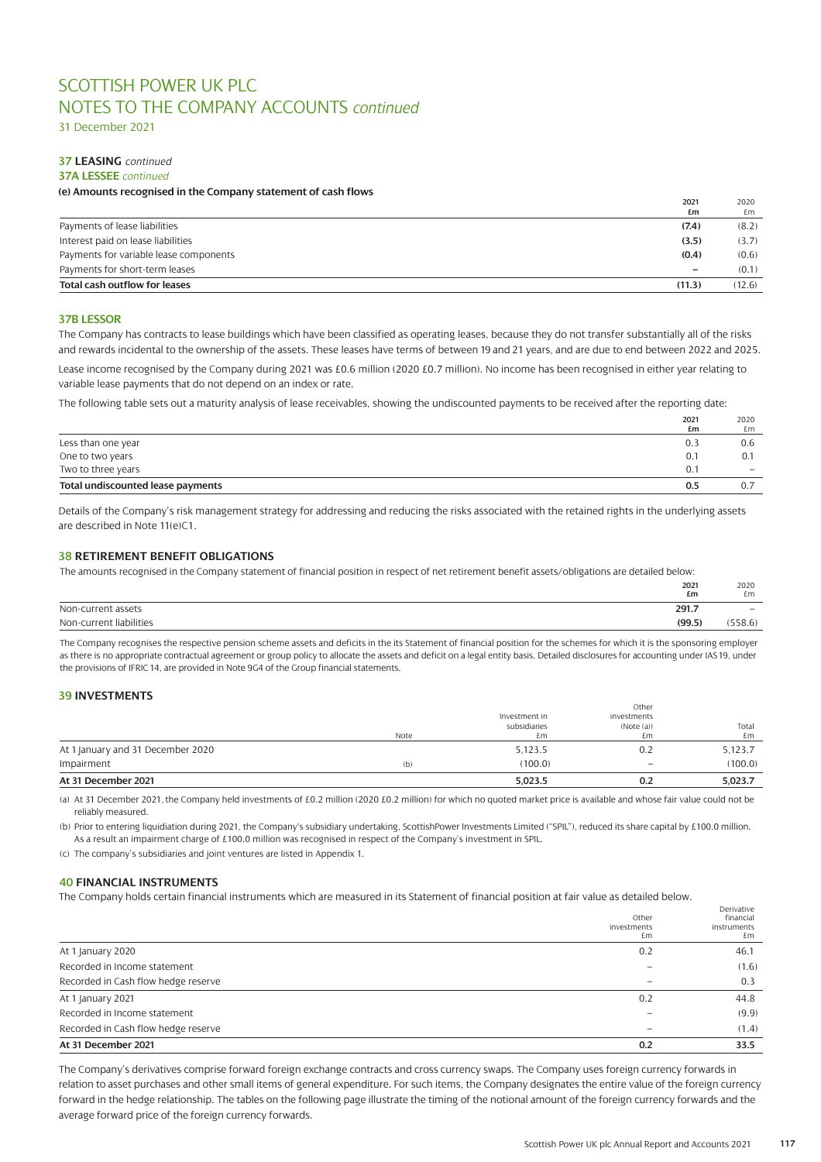31 December 2021

# **37 LEASING** *continued*

### **37A LESSEE** *continued*

## **(e) Amounts recognised in the Company statement of cash flows**

|                                        | 2021<br>£m                   | 2020<br>£m |
|----------------------------------------|------------------------------|------------|
| Payments of lease liabilities          | (7.4)                        | (8.2)      |
| Interest paid on lease liabilities     | (3.5)                        | (3.7)      |
| Payments for variable lease components | (0.4)                        | (0.6)      |
| Payments for short-term leases         | $\qquad \qquad \blacksquare$ | (0.1)      |
| Total cash outflow for leases          | (11.3)                       | (12.6)     |

### **37B LESSOR**

The Company has contracts to lease buildings which have been classified as operating leases, because they do not transfer substantially all of the risks and rewards incidental to the ownership of the assets. These leases have terms of between 19 and 21 years, and are due to end between 2022 and 2025.

Lease income recognised by the Company during 2021 was £0.6 million (2020 £0.7 million). No income has been recognised in either year relating to variable lease payments that do not depend on an index or rate.

The following table sets out a maturity analysis of lease receivables, showing the undiscounted payments to be received after the reporting date:

|                                   | 2021 | 2020              |
|-----------------------------------|------|-------------------|
|                                   | £m   | £m                |
| Less than one year                | 0.3  | 0.6               |
| One to two years                  | 0.1  | 0.1               |
| Two to three years                | 0.1  | $\qquad \qquad -$ |
| Total undiscounted lease payments | 0.5  | 0.:               |
|                                   |      |                   |

Details of the Company's risk management strategy for addressing and reducing the risks associated with the retained rights in the underlying assets are described in Note 11(e)C1.

### **38 RETIREMENT BENEFIT OBLIGATIONS**

The amounts recognised in the Company statement of financial position in respect of net retirement benefit assets/obligations are detailed below:

|                         | 2021<br>£m | 2020<br>£m               |
|-------------------------|------------|--------------------------|
| Non-current assets      | 291.7      | $\overline{\phantom{0}}$ |
| Non-current liabilities | (99.5)     | 558.6                    |
|                         |            |                          |

The Company recognises the respective pension scheme assets and deficits in the its Statement of financial position for the schemes for which it is the sponsoring employer as there is no appropriate contractual agreement or group policy to allocate the assets and deficit on a legal entity basis. Detailed disclosures for accounting under IAS 19, under the provisions of IFRIC 14, are provided in Note 9G4 of the Group financial statements.

### **39 INVESTMENTS**

| At 31 December 2021               |      | 5,023.5       | 0.2         | 5,023.7 |
|-----------------------------------|------|---------------|-------------|---------|
| Impairment                        | (b)  | (100.0)       |             | (100.0) |
| At 1 January and 31 December 2020 |      | 5,123.5       | 0.2         | 5.123.7 |
|                                   | Note | £m            | £m          | £m      |
|                                   |      | subsidiaries  | (Note (a))  | Total   |
|                                   |      | Investment in | investments |         |
|                                   |      |               | Other       |         |

(a) At 31 December 2021, the Company held investments of £0.2 million (2020 £0.2 million) for which no quoted market price is available and whose fair value could not be reliably measured.

(b) Prior to entering liquidiation during 2021, the Company's subsidiary undertaking, ScottishPower Investments Limited ("SPIL"), reduced its share capital by £100.0 million. As a result an impairment charge of £100.0 million was recognised in respect of the Company's investment in SPIL.

(c) The company's subsidiaries and joint ventures are listed in Appendix 1.

### **40 FINANCIAL INSTRUMENTS**

The Company holds certain financial instruments which are measured in its Statement of financial position at fair value as detailed below.

|                                     |                          | Derivative        |
|-------------------------------------|--------------------------|-------------------|
|                                     | Other                    | financial         |
|                                     | investments<br>£m        | instruments<br>£m |
| At 1 January 2020                   | 0.2                      | 46.1              |
| Recorded in Income statement        |                          | (1.6)             |
| Recorded in Cash flow hedge reserve |                          | 0.3               |
| At 1 January 2021                   | 0.2                      | 44.8              |
| Recorded in Income statement        |                          | (9.9)             |
| Recorded in Cash flow hedge reserve | $\overline{\phantom{0}}$ | (1.4)             |
| At 31 December 2021                 | 0.2                      | 33.5              |

The Company's derivatives comprise forward foreign exchange contracts and cross currency swaps. The Company uses foreign currency forwards in relation to asset purchases and other small items of general expenditure. For such items, the Company designates the entire value of the foreign currency forward in the hedge relationship. The tables on the following page illustrate the timing of the notional amount of the foreign currency forwards and the average forward price of the foreign currency forwards.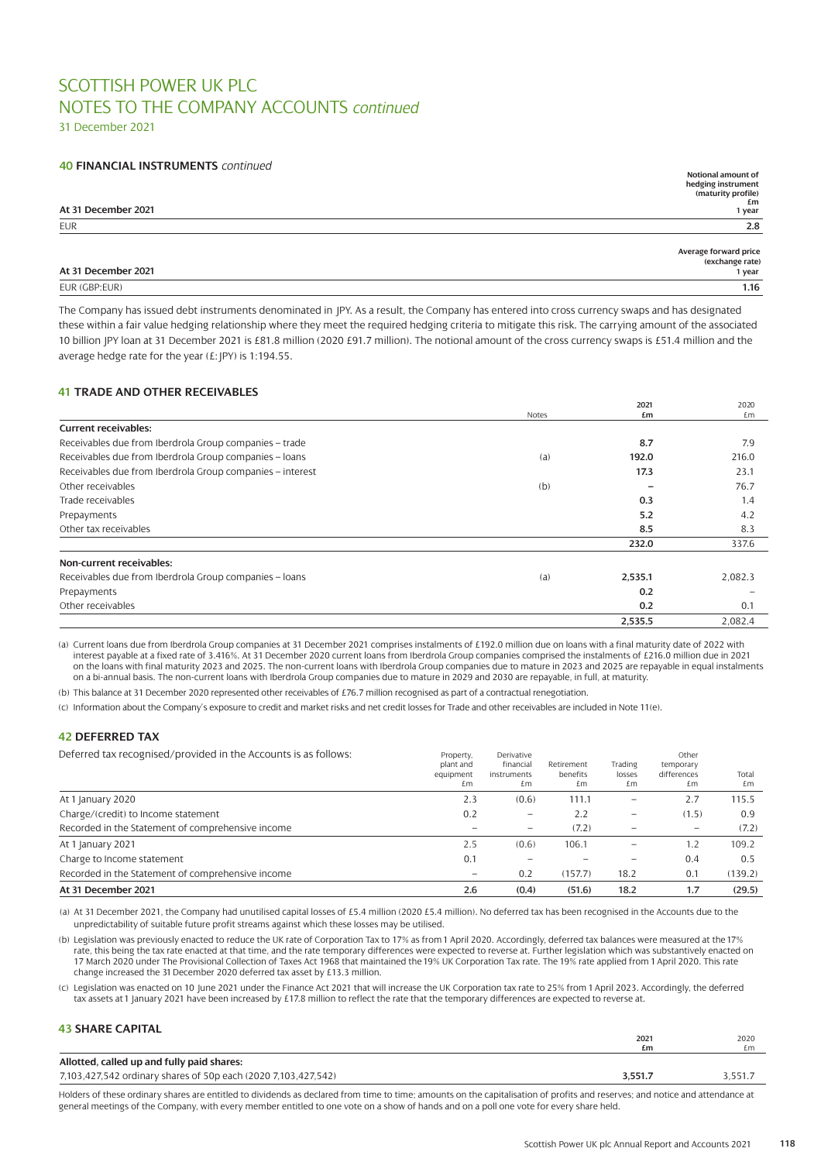31 December 2021

### **40 FINANCIAL INSTRUMENTS** *continued*

|                     | Notional amount of                       |
|---------------------|------------------------------------------|
|                     | hedging instrument<br>(maturity profile) |
|                     |                                          |
| At 31 December 2021 | £m                                       |
|                     | 1 year                                   |
| <b>EUR</b>          | 2.8                                      |
|                     |                                          |
|                     | Average forward price<br>(exchange rate) |
| At 31 December 2021 |                                          |
|                     | 1 year                                   |
| EUR (GBP:EUR)       | 1.16                                     |

The Company has issued debt instruments denominated in JPY. As a result, the Company has entered into cross currency swaps and has designated these within a fair value hedging relationship where they meet the required hedging criteria to mitigate this risk. The carrying amount of the associated 10 billion JPY loan at 31 December 2021 is £81.8 million (2020 £91.7 million). The notional amount of the cross currency swaps is £51.4 million and the average hedge rate for the year  $(E:|PY)$  is 1:194.55.

# **41 TRADE AND OTHER RECEIVABLES**

|                                                           |       | 2021    | 2020    |
|-----------------------------------------------------------|-------|---------|---------|
|                                                           | Notes | £m      | £m      |
| <b>Current receivables:</b>                               |       |         |         |
| Receivables due from Iberdrola Group companies - trade    |       | 8.7     | 7.9     |
| Receivables due from Iberdrola Group companies - loans    | (a)   | 192.0   | 216.0   |
| Receivables due from Iberdrola Group companies - interest |       | 17.3    | 23.1    |
| Other receivables                                         | (b)   |         | 76.7    |
| Trade receivables                                         |       | 0.3     | 1.4     |
| Prepayments                                               |       | 5.2     | 4.2     |
| Other tax receivables                                     |       | 8.5     | 8.3     |
|                                                           |       | 232.0   | 337.6   |
| Non-current receivables:                                  |       |         |         |
| Receivables due from Iberdrola Group companies - loans    | (a)   | 2,535.1 | 2,082.3 |
| Prepayments                                               |       | 0.2     |         |
| Other receivables                                         |       | 0.2     | 0.1     |
|                                                           |       | 2,535.5 | 2.082.4 |

(a) Current loans due from Iberdrola Group companies at 31 December 2021 comprises instalments of £192.0 million due on loans with a final maturity date of 2022 with interest payable at a fixed rate of 3.416%. At 31 December 2020 current loans from Iberdrola Group companies comprised the instalments of £216.0 million due in 2021 on the loans with final maturity 2023 and 2025. The non-current loans with Iberdrola Group companies due to mature in 2023 and 2025 are repayable in equal instalments on a bi-annual basis. The non-current loans with Iberdrola Group companies due to mature in 2029 and 2030 are repayable, in full, at maturity.

(b) This balance at 31 December 2020 represented other receivables of £76.7 million recognised as part of a contractual renegotiation.

(c) Information about the Company's exposure to credit and market risks and net credit losses for Trade and other receivables are included in Note 11(e).

### **42 DEFERRED TAX**

| Deferred tax recognised/provided in the Accounts is as follows: | Property,<br>plant and<br>equipment<br>£m | Derivative<br>financial<br>instruments<br>£m | Retirement<br>benefits<br>£m | Trading<br>losses<br>£m  | Other<br>temporary<br>differences<br>£m | Total<br>£m |
|-----------------------------------------------------------------|-------------------------------------------|----------------------------------------------|------------------------------|--------------------------|-----------------------------------------|-------------|
| At 1 January 2020                                               | 2.3                                       | (0.6)                                        | 111.1                        |                          | 2.7                                     | 115.5       |
| Charge/(credit) to Income statement                             | 0.2                                       | $\qquad \qquad -$                            | 2.2                          | $\overline{\phantom{0}}$ | (1.5)                                   | 0.9         |
| Recorded in the Statement of comprehensive income               |                                           |                                              | (7.2)                        |                          |                                         | (7.2)       |
| At 1 January 2021                                               | 2.5                                       | (0.6)                                        | 106.1                        |                          | 1.2                                     | 109.2       |
| Charge to Income statement                                      | 0.1                                       |                                              |                              |                          | 0.4                                     | 0.5         |
| Recorded in the Statement of comprehensive income               | $\qquad \qquad -$                         | 0.2                                          | (157.7)                      | 18.2                     | 0.1                                     | (139.2)     |
| At 31 December 2021                                             | 2.6                                       | (0.4)                                        | (51.6)                       | 18.2                     | 1.7                                     | (29.5)      |

(a) At 31 December 2021, the Company had unutilised capital losses of £5.4 million (2020 £5.4 million). No deferred tax has been recognised in the Accounts due to the unpredictability of suitable future profit streams against which these losses may be utilised.

(b) Legislation was previously enacted to reduce the UK rate of Corporation Tax to 17% as from 1 April 2020. Accordingly, deferred tax balances were measured at the 17% rate, this being the tax rate enacted at that time, and the rate temporary differences were expected to reverse at. Further legislation which was substantively enacted on 17 March 2020 under The Provisional Collection of Taxes Act 1968 that maintained the 19% UK Corporation Tax rate. The 19% rate applied from 1 April 2020. This rate change increased the 31 December 2020 deferred tax asset by £13.3 million.

(c) Legislation was enacted on 10 June 2021 under the Finance Act 2021 that will increase the UK Corporation tax rate to 25% from 1 April 2023. Accordingly, the deferred tax assets at 1 January 2021 have been increased by £17.8 million to reflect the rate that the temporary differences are expected to reverse at.

#### **43 SHARE CAPITAL**

|                                                                | $202^{\circ}$<br>£m | 2020<br>£m |
|----------------------------------------------------------------|---------------------|------------|
| Allotted, called up and fully paid shares:                     |                     |            |
| 7,103,427,542 ordinary shares of 50p each (2020 7,103,427,542) | 3.551               | .551.      |

Holders of these ordinary shares are entitled to dividends as declared from time to time; amounts on the capitalisation of profits and reserves; and notice and attendance at general meetings of the Company, with every member entitled to one vote on a show of hands and on a poll one vote for every share held.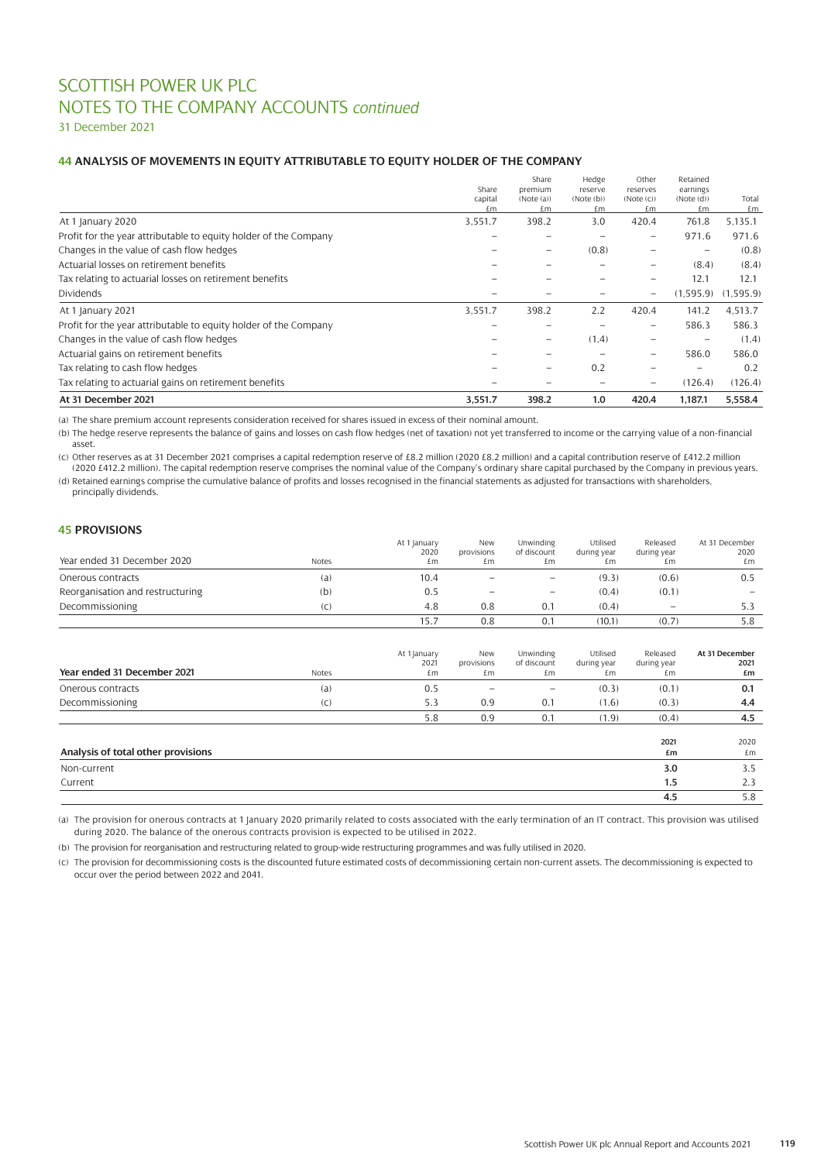31 December 2021

### **44 ANALYSIS OF MOVEMENTS IN EQUITY ATTRIBUTABLE TO EQUITY HOLDER OF THE COMPANY**

| At 31 December 2021                                              | 3,551.7          | 398.2                    | 1.0                  | 420.4                    | 1,187.1               | 5,558.4   |
|------------------------------------------------------------------|------------------|--------------------------|----------------------|--------------------------|-----------------------|-----------|
| Tax relating to actuarial gains on retirement benefits           |                  |                          |                      | -                        | (126.4)               | (126.4)   |
| Tax relating to cash flow hedges                                 |                  |                          | 0.2                  |                          |                       | 0.2       |
| Actuarial gains on retirement benefits                           |                  |                          |                      | $\overline{\phantom{0}}$ | 586.0                 | 586.0     |
| Changes in the value of cash flow hedges                         |                  | -                        | (1.4)                | -                        |                       | (1.4)     |
| Profit for the year attributable to equity holder of the Company |                  |                          |                      | $\overline{\phantom{0}}$ | 586.3                 | 586.3     |
| At 1 January 2021                                                | 3,551.7          | 398.2                    | 2.2                  | 420.4                    | 141.2                 | 4,513.7   |
| <b>Dividends</b>                                                 |                  |                          |                      | $\qquad \qquad \qquad$   | (1.595.9)             | (1,595.9) |
| Tax relating to actuarial losses on retirement benefits          |                  |                          |                      |                          | 12.1                  | 12.1      |
| Actuarial losses on retirement benefits                          |                  |                          |                      | $\qquad \qquad \qquad$   | (8.4)                 | (8.4)     |
| Changes in the value of cash flow hedges                         |                  | $\overline{\phantom{0}}$ | (0.8)                | -                        |                       | (0.8)     |
| Profit for the year attributable to equity holder of the Company |                  |                          |                      | $\overline{\phantom{0}}$ | 971.6                 | 971.6     |
| At 1 January 2020                                                | 3,551.7          | 398.2                    | 3.0                  | 420.4                    | 761.8                 | 5,135.1   |
|                                                                  | £m               | £m                       | £m                   | £m                       | £m                    | £m        |
|                                                                  | Share<br>capital | premium<br>(Note (a))    | reserve<br>(Note(b)) | reserves<br>(Note (c))   | earnings<br>(Note(d)) | Total     |
|                                                                  |                  | Share                    | Hedge                | Other                    | Retained              |           |

(a) The share premium account represents consideration received for shares issued in excess of their nominal amount.

(b) The hedge reserve represents the balance of gains and losses on cash flow hedges (net of taxation) not yet transferred to income or the carrying value of a non-financial asset.

(c) Other reserves as at 31 December 2021 comprises a capital redemption reserve of £8.2 million (2020 £8.2 million) and a capital contribution reserve of £412.2 million (2020 £412.2 million). The capital redemption reserve comprises the nominal value of the Company's ordinary share capital purchased by the Company in previous years.

(d) Retained earnings comprise the cumulative balance of profits and losses recognised in the financial statements as adjusted for transactions with shareholders, principally dividends.

### **45 PROVISIONS**

| Year ended 31 December 2020      | <b>Notes</b> | At 1 January<br>2020<br>£m | New<br>provisions<br>£m. | Unwinding<br>of discount<br>£m | Utilised<br>during year<br>£m | Released<br>during year<br>£m | At 31 December<br>2020<br>£m |
|----------------------------------|--------------|----------------------------|--------------------------|--------------------------------|-------------------------------|-------------------------------|------------------------------|
| Onerous contracts                | (a)          | 10.4                       | $\qquad \qquad -$        | $\overline{\phantom{m}}$       | (9.3)                         | (0.6)                         | 0.5                          |
| Reorganisation and restructuring | (b)          | 0.5                        |                          |                                | (0.4)                         | (0.1)                         |                              |
| Decommissioning                  | (C)          | 4.8                        | 0.8                      | 0.1                            | (0.4)                         | $\overline{\phantom{m}}$      | 5.3                          |
|                                  |              |                            | 0.8                      | 0.1                            | (10.1)                        | (0.7)                         | 5.8                          |

| Year ended 31 December 2021        | Notes | At 1 January<br>2021<br>£m | <b>New</b><br>provisions<br>£m | Unwinding<br>of discount<br>£m | Utilised<br>during year<br>£m | Released<br>during year<br>£m | At 31 December<br>2021<br>£m |
|------------------------------------|-------|----------------------------|--------------------------------|--------------------------------|-------------------------------|-------------------------------|------------------------------|
| Onerous contracts                  | (a)   | 0.5                        | $\qquad \qquad$                | $\overline{\phantom{m}}$       | (0.3)                         | (0.1)                         | 0.1                          |
| Decommissioning                    | (C)   | 5.3                        | 0.9                            | 0.1                            | (1.6)                         | (0.3)                         | 4.4                          |
|                                    |       | 5.8                        | 0.9                            | 0.1                            | (1.9)                         | (0.4)                         | 4.5                          |
| Analysis of total other provisions |       |                            |                                |                                |                               | 2021<br>£m                    | 2020<br>£m                   |
| Non-current                        |       |                            |                                |                                |                               | 3.0                           | 3.5                          |
| Current                            |       |                            |                                |                                |                               | 1.5                           | 2.3                          |
|                                    |       |                            |                                |                                |                               | 4.5                           | 5.8                          |

(a) The provision for onerous contracts at 1January 2020 primarily related to costs associated with the early termination of an IT contract. This provision was utilised during 2020. The balance of the onerous contracts provision is expected to be utilised in 2022.

(b) The provision for reorganisation and restructuring related to group-wide restructuring programmes and was fully utilised in 2020.

(c) The provision for decommissioning costs is the discounted future estimated costs of decommissioning certain non-current assets. The decommissioning is expected to occur over the period between 2022 and 2041.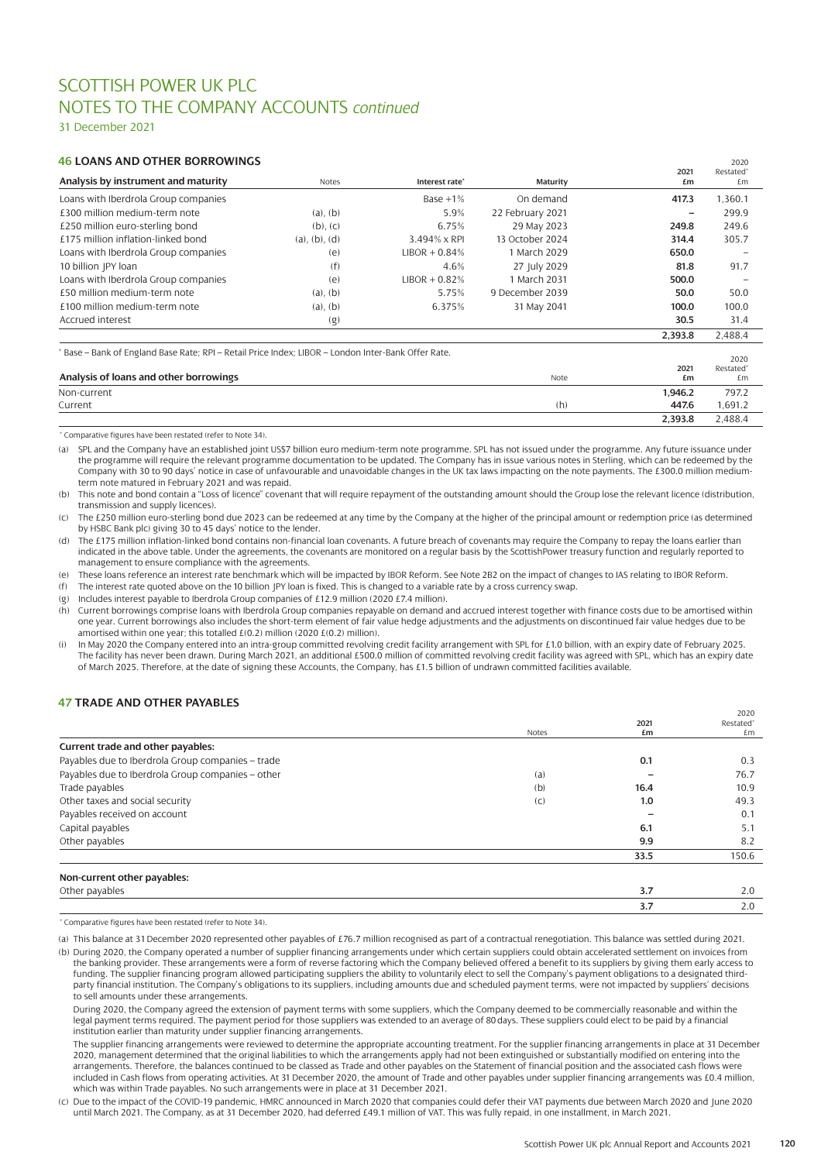31 December 2021

### **46 LOANS AND OTHER BORROWINGS** <sup>2020</sup>

| Analysis by instrument and maturity                                                               | Notes         | Interest rate*  | <b>Maturity</b>  | 2021<br>£m | Restated <sup>®</sup><br>£m   |
|---------------------------------------------------------------------------------------------------|---------------|-----------------|------------------|------------|-------------------------------|
| Loans with Iberdrola Group companies                                                              |               | Base $+1\%$     | On demand        | 417.3      | 1,360.1                       |
| £300 million medium-term note                                                                     | $(a)$ , $(b)$ | 5.9%            | 22 February 2021 | -          | 299.9                         |
| £250 million euro-sterling bond                                                                   | $(b)$ , $(c)$ | 6.75%           | 29 May 2023      | 249.8      | 249.6                         |
| £175 million inflation-linked bond                                                                | (a), (b), (d) | 3.494% x RPI    | 13 October 2024  | 314.4      | 305.7                         |
| Loans with Iberdrola Group companies                                                              | (e)           | $LIBOR + 0.84%$ | 1 March 2029     | 650.0      |                               |
| 10 billion JPY loan                                                                               | (f)           | 4.6%            | 27 July 2029     | 81.8       | 91.7                          |
| Loans with Iberdrola Group companies                                                              | (e)           | $LIBOR + 0.82%$ | 1 March 2031     | 500.0      |                               |
| £50 million medium-term note                                                                      | $(a)$ , $(b)$ | 5.75%           | 9 December 2039  | 50.0       | 50.0                          |
| £100 million medium-term note                                                                     | $(a)$ , $(b)$ | 6.375%          | 31 May 2041      | 100.0      | 100.0                         |
| Accrued interest                                                                                  | (g)           |                 |                  | 30.5       | 31.4                          |
|                                                                                                   |               |                 |                  | 2,393.8    | 2,488.4                       |
| Base - Bank of England Base Rate; RPI - Retail Price Index; LIBOR - London Inter-Bank Offer Rate. |               |                 |                  |            |                               |
|                                                                                                   |               |                 |                  | 2021       | 2020<br>Restated <sup>®</sup> |
| Analysis of loans and other borrowings                                                            |               |                 | Note             | £m         | £m                            |
| Non-current                                                                                       |               |                 |                  | 1.946.2    | 797.2                         |

| Non-current |     | 1.946.2 | 797.2   |
|-------------|-----|---------|---------|
| Current     | (h) | 447.6   | .691.2  |
|             |     | 2,393.8 | 2,488.4 |

\* Comparative figures have been restated (refer to Note 34).

(a) SPL and the Company have an established joint US\$7 billion euro medium-term note programme. SPL has not issued under the programme. Any future issuance under the programme will require the relevant programme documentation to be updated. The Company has in issue various notes in Sterling, which can be redeemed by the Company with 30 to 90 days' notice in case of unfavourable and unavoidable changes in the UK tax laws impacting on the note payments. The £300.0 million mediumterm note matured in February 2021 and was repaid.

(b) This note and bond contain a "Loss of licence" covenant that will require repayment of the outstanding amount should the Group lose the relevant licence (distribution, transmission and supply licences).

(c) The £250 million euro-sterling bond due 2023 can be redeemed at any time by the Company at the higher of the principal amount or redemption price (as determined by HSBC Bank plc) giving 30 to 45 days' notice to the lender.

(d) The £175 million inflation-linked bond contains non-financial loan covenants. A future breach of covenants may require the Company to repay the loans earlier than indicated in the above table. Under the agreements, the covenants are monitored on a regular basis by the ScottishPower treasury function and regularly reported to management to ensure compliance with the agreements.

(e) These loans reference an interest rate benchmark which will be impacted by IBOR Reform. See Note 2B2 on the impact of changes to IAS relating to IBOR Reform.

(f) The interest rate quoted above on the 10 billion JPY loan is fixed. This is changed to a variable rate by a cross currency swap.

(g) Includes interest payable to Iberdrola Group companies of £12.9 million (2020 £7.4 million).

(h) Current borrowings comprise loans with Iberdrola Group companies repayable on demand and accrued interest together with finance costs due to be amortised within one year. Current borrowings also includes the short-term element of fair value hedge adjustments and the adjustments on discontinued fair value hedges due to be amortised within one year; this totalled  $E(0.2)$  million (2020  $E(0.2)$  million).

(i) In May 2020 the Company entered into an intra-group committed revolving credit facility arrangement with SPL for £1.0 billion, with an expiry date of February 2025. The facility has never been drawn. During March 2021, an additional £500.0 million of committed revolving credit facility was agreed with SPL, which has an expiry date of March 2025. Therefore, at the date of signing these Accounts, the Company, has £1.5 billion of undrawn committed facilities available.

## **47 TRADE AND OTHER PAYABLES**

|                                                   |       |      | 2020                  |
|---------------------------------------------------|-------|------|-----------------------|
|                                                   |       | 2021 | Restated <sup>®</sup> |
|                                                   | Notes | £m   | £m                    |
| Current trade and other payables:                 |       |      |                       |
| Payables due to Iberdrola Group companies - trade |       | 0.1  | 0.3                   |
| Payables due to Iberdrola Group companies - other | (a)   |      | 76.7                  |
| Trade payables                                    | (b)   | 16.4 | 10.9                  |
| Other taxes and social security                   | (C)   | 1.0  | 49.3                  |
| Payables received on account                      |       |      | 0.1                   |
| Capital payables                                  |       | 6.1  | 5.1                   |
| Other payables                                    |       | 9.9  | 8.2                   |
|                                                   |       | 33.5 | 150.6                 |
| Non-current other payables:                       |       |      |                       |
| Othor payables                                    |       | 27   | $\Omega$              |

| Othe |  |
|------|--|
|      |  |

\* Comparative figures have been restated (refer to Note 34).

(a) This balance at 31 December 2020 represented other payables of £76.7 million recognised as part of a contractual renegotiation. This balance was settled during 2021. (b) During 2020, the Company operated a number of supplier financing arrangements under which certain suppliers could obtain accelerated settlement on invoices from the banking provider. These arrangements were a form of reverse factoring which the Company believed offered a benefit to its suppliers by giving them early access to funding. The supplier financing program allowed participating suppliers the ability to voluntarily elect to sell the Company's payment obligations to a designated third-<br>party financial institution. The Company's obligatio to sell amounts under these arrangements.

During 2020, the Company agreed the extension of payment terms with some suppliers, which the Company deemed to be commercially reasonable and within the legal payment terms required. The payment period for those suppliers was extended to an average of 80 days. These suppliers could elect to be paid by a financial institution earlier than maturity under supplier financing arrangements.

The supplier financing arrangements were reviewed to determine the appropriate accounting treatment. For the supplier financing arrangements in place at 31 December<br>2020, management determined that the original liabilities arrangements. Therefore, the balances continued to be classed as Trade and other payables on the Statement of financial position and the associated cash flows were included in Cash flows from operating activities. At 31 December 2020, the amount of Trade and other payables under supplier financing arrangements was £0.4 million, which was within Trade payables. No such arrangements were in place at 31 December 2021.

(c) Due to the impact of the COVID-19 pandemic, HMRC announced in March 2020 that companies could defer their VAT payments due between March 2020 and June 2020 until March 2021. The Company, as at 31 December 2020, had deferred £49.1 million of VAT. This was fully repaid, in one installment, in March 2021.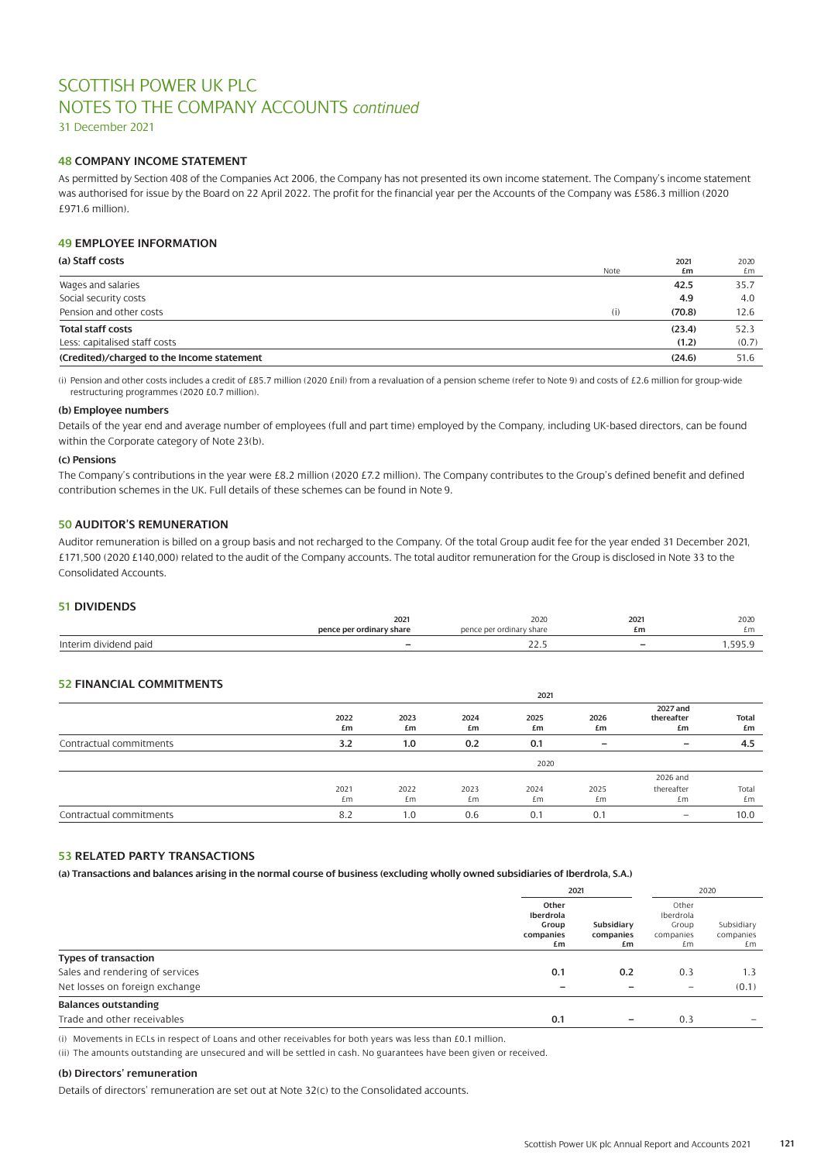31 December 2021

### **48 COMPANY INCOME STATEMENT**

As permitted by Section 408 of the Companies Act 2006, the Company has not presented its own income statement. The Company's income statement was authorised for issue by the Board on 22 April 2022. The profit for the financial year per the Accounts of the Company was £586.3 million (2020 £971.6 million).

### **49 EMPLOYEE INFORMATION**

| (a) Staff costs                            | Note | 2021<br>£m | 2020<br>£m |
|--------------------------------------------|------|------------|------------|
| Wages and salaries                         |      | 42.5       | 35.7       |
| Social security costs                      |      | 4.9        | 4.0        |
| Pension and other costs                    | (i)  | (70.8)     | 12.6       |
| <b>Total staff costs</b>                   |      | (23.4)     | 52.3       |
| Less: capitalised staff costs              |      | (1.2)      | (0.7)      |
| (Credited)/charged to the Income statement |      | (24.6)     | 51.6       |

(i) Pension and other costs includes a credit of £85.7 million (2020 £nil) from a revaluation of a pension scheme (refer to Note 9) and costs of £2.6 million for group-wide restructuring programmes (2020 £0.7 million).

### **(b) Employee numbers**

Details of the year end and average number of employees (full and part time) employed by the Company, including UK-based directors, can be found within the Corporate category of Note 23(b).

#### **(c) Pensions**

The Company's contributions in the year were £8.2 million (2020 £7.2 million). The Company contributes to the Group's defined benefit and defined contribution schemes in the UK. Full details of these schemes can be found in Note 9.

## **50 AUDITOR'S REMUNERATION**

Auditor remuneration is billed on a group basis and not recharged to the Company. Of the total Group audit fee for the year ended 31 December 2021, £171,500 (2020 £140,000) related to the audit of the Company accounts. The total auditor remuneration for the Group is disclosed in Note 33 to the Consolidated Accounts.

### **51 DIVIDENDS**

|                 | 2021                     | 2020                     | 2021                     | 2020  |
|-----------------|--------------------------|--------------------------|--------------------------|-------|
|                 | pence per ordinary share | pence per ordinary share | £m                       |       |
| Interin<br>paid | -                        | <u>__.J</u>              | $\overline{\phantom{0}}$ | r o r |

### **52 FINANCIAL COMMITMENTS**

|                         | 2021       |            |            |            |                 |                              |                    |
|-------------------------|------------|------------|------------|------------|-----------------|------------------------------|--------------------|
|                         | 2022<br>£m | 2023<br>£m | 2024<br>£m | 2025<br>£m | 2026<br>£m      | 2027 and<br>thereafter<br>£m | <b>Total</b><br>£m |
| Contractual commitments | 3.2        | 1.0        | 0.2        | 0.1        | $\qquad \qquad$ | $\overline{\phantom{0}}$     | 4.5                |
|                         |            |            |            | 2020       |                 |                              |                    |
|                         |            |            |            |            |                 | 2026 and                     |                    |
|                         | 2021<br>£m | 2022<br>£m | 2023<br>£m | 2024<br>£m | 2025<br>£m      | thereafter<br>£m             | Total<br>£m        |
| Contractual commitments | 8.2        | 1.0        | 0.6        | 0.1        | 0.1             | $\qquad \qquad -$            | 10.0               |

### **53 RELATED PARTY TRANSACTIONS**

**(a) Transactions and balances arising in the normal course of business (excluding wholly owned subsidiaries of Iberdrola, S.A.)**

|                                 |                                                | 2021                          |                                                | 2020                          |
|---------------------------------|------------------------------------------------|-------------------------------|------------------------------------------------|-------------------------------|
|                                 | Other<br>Iberdrola<br>Group<br>companies<br>£m | Subsidiary<br>companies<br>£m | Other<br>Iberdrola<br>Group<br>companies<br>£m | Subsidiary<br>companies<br>£m |
| <b>Types of transaction</b>     |                                                |                               |                                                |                               |
| Sales and rendering of services | 0.1                                            | 0.2                           | 0.3                                            | 1.3                           |
| Net losses on foreign exchange  | $\overline{\phantom{0}}$                       |                               | $\overline{\phantom{m}}$                       | (0.1)                         |
| <b>Balances outstanding</b>     |                                                |                               |                                                |                               |
| Trade and other receivables     | 0.1                                            |                               | 0.3                                            |                               |

(i) Movements in ECLs in respect of Loans and other receivables for both years was less than £0.1 million.

(ii) The amounts outstanding are unsecured and will be settled in cash. No guarantees have been given or received.

### **(b) Directors' remuneration**

Details of directors' remuneration are set out at Note 32(c) to the Consolidated accounts.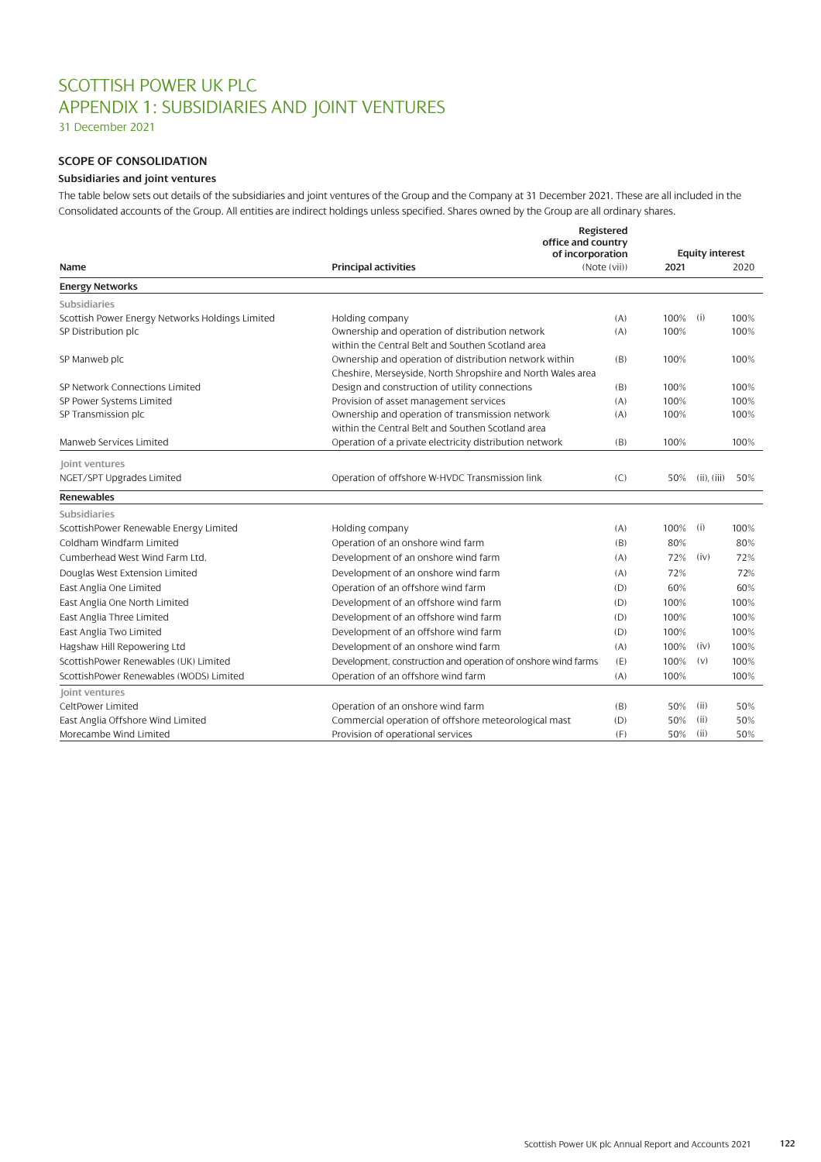# SCOTTISH POWER UK PLC APPENDIX 1: SUBSIDIARIES AND JOINT VENTURES

31 December 2021

# **SCOPE OF CONSOLIDATION**

### **Subsidiaries and joint ventures**

The table below sets out details of the subsidiaries and joint ventures of the Group and the Company at 31 December 2021. These are all included in the Consolidated accounts of the Group. All entities are indirect holdings unless specified. Shares owned by the Group are all ordinary shares.

| of incorporation<br><b>Equity interest</b><br><b>Principal activities</b><br>(Note (vii))<br>2021<br>Name<br><b>Energy Networks</b><br><b>Subsidiaries</b><br>Scottish Power Energy Networks Holdings Limited<br>100%<br>(i)<br>Holding company<br>(A)<br>Ownership and operation of distribution network<br>SP Distribution plc<br>100%<br>(A)<br>within the Central Belt and Southen Scotland area<br>Ownership and operation of distribution network within<br>(B)<br>100%<br>SP Manweb plc<br>Cheshire, Merseyside, North Shropshire and North Wales area<br>Design and construction of utility connections<br>SP Network Connections Limited<br>(B)<br>100%<br>Provision of asset management services<br>SP Power Systems Limited<br>100%<br>(A)<br>Ownership and operation of transmission network<br>100%<br>SP Transmission plc<br>(A)<br>within the Central Belt and Southen Scotland area<br>Operation of a private electricity distribution network<br>Manweb Services Limited<br>(B)<br>100%<br>Joint ventures<br>NGET/SPT Upgrades Limited<br>Operation of offshore W-HVDC Transmission link<br>(C)<br>50%<br>$(ii)$ , $(iii)$<br><b>Renewables</b><br>Subsidiaries<br>ScottishPower Renewable Energy Limited<br>100%<br>(i)<br>Holding company<br>(A)<br>Coldham Windfarm Limited<br>Operation of an onshore wind farm<br>(B)<br>80% | 2020<br>100%<br>100% |
|----------------------------------------------------------------------------------------------------------------------------------------------------------------------------------------------------------------------------------------------------------------------------------------------------------------------------------------------------------------------------------------------------------------------------------------------------------------------------------------------------------------------------------------------------------------------------------------------------------------------------------------------------------------------------------------------------------------------------------------------------------------------------------------------------------------------------------------------------------------------------------------------------------------------------------------------------------------------------------------------------------------------------------------------------------------------------------------------------------------------------------------------------------------------------------------------------------------------------------------------------------------------------------------------------------------------------------------------------|----------------------|
|                                                                                                                                                                                                                                                                                                                                                                                                                                                                                                                                                                                                                                                                                                                                                                                                                                                                                                                                                                                                                                                                                                                                                                                                                                                                                                                                                    |                      |
|                                                                                                                                                                                                                                                                                                                                                                                                                                                                                                                                                                                                                                                                                                                                                                                                                                                                                                                                                                                                                                                                                                                                                                                                                                                                                                                                                    |                      |
|                                                                                                                                                                                                                                                                                                                                                                                                                                                                                                                                                                                                                                                                                                                                                                                                                                                                                                                                                                                                                                                                                                                                                                                                                                                                                                                                                    |                      |
|                                                                                                                                                                                                                                                                                                                                                                                                                                                                                                                                                                                                                                                                                                                                                                                                                                                                                                                                                                                                                                                                                                                                                                                                                                                                                                                                                    |                      |
|                                                                                                                                                                                                                                                                                                                                                                                                                                                                                                                                                                                                                                                                                                                                                                                                                                                                                                                                                                                                                                                                                                                                                                                                                                                                                                                                                    |                      |
|                                                                                                                                                                                                                                                                                                                                                                                                                                                                                                                                                                                                                                                                                                                                                                                                                                                                                                                                                                                                                                                                                                                                                                                                                                                                                                                                                    |                      |
|                                                                                                                                                                                                                                                                                                                                                                                                                                                                                                                                                                                                                                                                                                                                                                                                                                                                                                                                                                                                                                                                                                                                                                                                                                                                                                                                                    | 100%                 |
|                                                                                                                                                                                                                                                                                                                                                                                                                                                                                                                                                                                                                                                                                                                                                                                                                                                                                                                                                                                                                                                                                                                                                                                                                                                                                                                                                    |                      |
|                                                                                                                                                                                                                                                                                                                                                                                                                                                                                                                                                                                                                                                                                                                                                                                                                                                                                                                                                                                                                                                                                                                                                                                                                                                                                                                                                    | 100%                 |
|                                                                                                                                                                                                                                                                                                                                                                                                                                                                                                                                                                                                                                                                                                                                                                                                                                                                                                                                                                                                                                                                                                                                                                                                                                                                                                                                                    | 100%                 |
|                                                                                                                                                                                                                                                                                                                                                                                                                                                                                                                                                                                                                                                                                                                                                                                                                                                                                                                                                                                                                                                                                                                                                                                                                                                                                                                                                    | 100%                 |
|                                                                                                                                                                                                                                                                                                                                                                                                                                                                                                                                                                                                                                                                                                                                                                                                                                                                                                                                                                                                                                                                                                                                                                                                                                                                                                                                                    |                      |
|                                                                                                                                                                                                                                                                                                                                                                                                                                                                                                                                                                                                                                                                                                                                                                                                                                                                                                                                                                                                                                                                                                                                                                                                                                                                                                                                                    | 100%                 |
|                                                                                                                                                                                                                                                                                                                                                                                                                                                                                                                                                                                                                                                                                                                                                                                                                                                                                                                                                                                                                                                                                                                                                                                                                                                                                                                                                    |                      |
|                                                                                                                                                                                                                                                                                                                                                                                                                                                                                                                                                                                                                                                                                                                                                                                                                                                                                                                                                                                                                                                                                                                                                                                                                                                                                                                                                    | 50%                  |
|                                                                                                                                                                                                                                                                                                                                                                                                                                                                                                                                                                                                                                                                                                                                                                                                                                                                                                                                                                                                                                                                                                                                                                                                                                                                                                                                                    |                      |
|                                                                                                                                                                                                                                                                                                                                                                                                                                                                                                                                                                                                                                                                                                                                                                                                                                                                                                                                                                                                                                                                                                                                                                                                                                                                                                                                                    |                      |
|                                                                                                                                                                                                                                                                                                                                                                                                                                                                                                                                                                                                                                                                                                                                                                                                                                                                                                                                                                                                                                                                                                                                                                                                                                                                                                                                                    | 100%                 |
|                                                                                                                                                                                                                                                                                                                                                                                                                                                                                                                                                                                                                                                                                                                                                                                                                                                                                                                                                                                                                                                                                                                                                                                                                                                                                                                                                    | 80%                  |
| Cumberhead West Wind Farm Ltd.<br>Development of an onshore wind farm<br>72%<br>(iv)<br>(A)                                                                                                                                                                                                                                                                                                                                                                                                                                                                                                                                                                                                                                                                                                                                                                                                                                                                                                                                                                                                                                                                                                                                                                                                                                                        | 72%                  |
| Development of an onshore wind farm<br>72%<br>Douglas West Extension Limited<br>(A)                                                                                                                                                                                                                                                                                                                                                                                                                                                                                                                                                                                                                                                                                                                                                                                                                                                                                                                                                                                                                                                                                                                                                                                                                                                                | 72%                  |
| Operation of an offshore wind farm<br>East Anglia One Limited<br>(D)<br>60%                                                                                                                                                                                                                                                                                                                                                                                                                                                                                                                                                                                                                                                                                                                                                                                                                                                                                                                                                                                                                                                                                                                                                                                                                                                                        | 60%                  |
| East Anglia One North Limited<br>Development of an offshore wind farm<br>100%<br>(D)                                                                                                                                                                                                                                                                                                                                                                                                                                                                                                                                                                                                                                                                                                                                                                                                                                                                                                                                                                                                                                                                                                                                                                                                                                                               | 100%                 |
| Development of an offshore wind farm<br>East Anglia Three Limited<br>100%<br>(D)                                                                                                                                                                                                                                                                                                                                                                                                                                                                                                                                                                                                                                                                                                                                                                                                                                                                                                                                                                                                                                                                                                                                                                                                                                                                   | 100%                 |
| Development of an offshore wind farm<br>East Anglia Two Limited<br>100%<br>(D)                                                                                                                                                                                                                                                                                                                                                                                                                                                                                                                                                                                                                                                                                                                                                                                                                                                                                                                                                                                                                                                                                                                                                                                                                                                                     | 100%                 |
| (iv)<br>Hagshaw Hill Repowering Ltd<br>Development of an onshore wind farm<br>(A)<br>100%                                                                                                                                                                                                                                                                                                                                                                                                                                                                                                                                                                                                                                                                                                                                                                                                                                                                                                                                                                                                                                                                                                                                                                                                                                                          | 100%                 |
| ScottishPower Renewables (UK) Limited<br>(E)<br>Development, construction and operation of onshore wind farms<br>100%<br>(v)                                                                                                                                                                                                                                                                                                                                                                                                                                                                                                                                                                                                                                                                                                                                                                                                                                                                                                                                                                                                                                                                                                                                                                                                                       | 100%                 |
| ScottishPower Renewables (WODS) Limited<br>Operation of an offshore wind farm<br>(A)<br>100%                                                                                                                                                                                                                                                                                                                                                                                                                                                                                                                                                                                                                                                                                                                                                                                                                                                                                                                                                                                                                                                                                                                                                                                                                                                       | 100%                 |
| Joint ventures                                                                                                                                                                                                                                                                                                                                                                                                                                                                                                                                                                                                                                                                                                                                                                                                                                                                                                                                                                                                                                                                                                                                                                                                                                                                                                                                     |                      |
| CeltPower Limited<br>Operation of an onshore wind farm<br>(B)<br>50%<br>(ii)                                                                                                                                                                                                                                                                                                                                                                                                                                                                                                                                                                                                                                                                                                                                                                                                                                                                                                                                                                                                                                                                                                                                                                                                                                                                       | 50%                  |
| East Anglia Offshore Wind Limited<br>Commercial operation of offshore meteorological mast<br>(ii)<br>(D)<br>50%                                                                                                                                                                                                                                                                                                                                                                                                                                                                                                                                                                                                                                                                                                                                                                                                                                                                                                                                                                                                                                                                                                                                                                                                                                    | 50%                  |
| Provision of operational services<br>Morecambe Wind Limited<br>(F)<br>50%<br>(ii)                                                                                                                                                                                                                                                                                                                                                                                                                                                                                                                                                                                                                                                                                                                                                                                                                                                                                                                                                                                                                                                                                                                                                                                                                                                                  | 50%                  |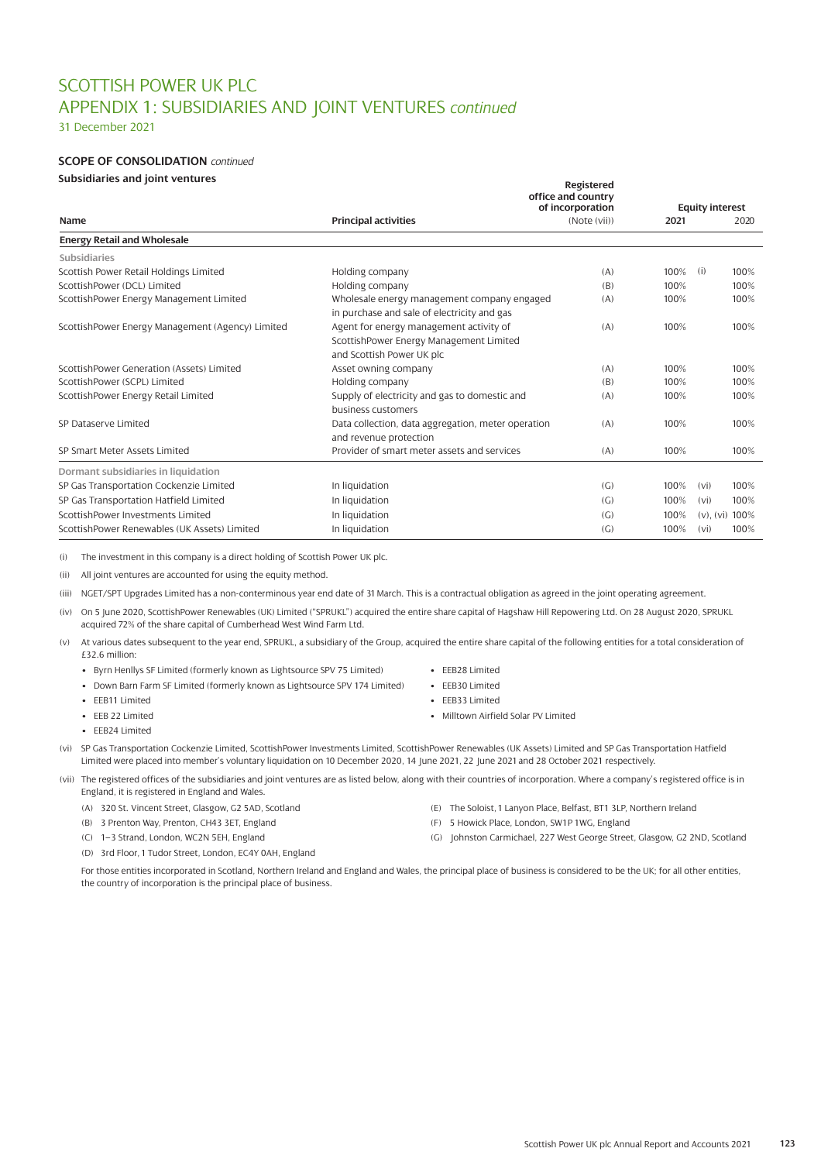# SCOTTISH POWER UK PLC APPENDIX 1: SUBSIDIARIES AND JOINT VENTURES *continued*

31 December 2021

## **SCOPE OF CONSOLIDATION** *continued*

### **Subsidiaries and joint ventures**

|                                                  |                                                                                                                 | Registered<br>office and country |      |                           |  |  |
|--------------------------------------------------|-----------------------------------------------------------------------------------------------------------------|----------------------------------|------|---------------------------|--|--|
|                                                  |                                                                                                                 | of incorporation                 |      | <b>Equity interest</b>    |  |  |
| Name                                             | <b>Principal activities</b>                                                                                     | (Note (vii))                     | 2021 | 2020                      |  |  |
| <b>Energy Retail and Wholesale</b>               |                                                                                                                 |                                  |      |                           |  |  |
| Subsidiaries                                     |                                                                                                                 |                                  |      |                           |  |  |
| Scottish Power Retail Holdings Limited           | Holding company                                                                                                 | (A)                              | 100% | (i)<br>100%               |  |  |
| ScottishPower (DCL) Limited                      | Holding company                                                                                                 | (B)                              | 100% | 100%                      |  |  |
| ScottishPower Energy Management Limited          | Wholesale energy management company engaged<br>in purchase and sale of electricity and gas                      | (A)                              | 100% | 100%                      |  |  |
| ScottishPower Energy Management (Agency) Limited | Agent for energy management activity of<br>ScottishPower Energy Management Limited<br>and Scottish Power UK plc | (A)                              | 100% | 100%                      |  |  |
| ScottishPower Generation (Assets) Limited        | Asset owning company                                                                                            | (A)                              | 100% | 100%                      |  |  |
| ScottishPower (SCPL) Limited                     | Holding company                                                                                                 | (B)                              | 100% | 100%                      |  |  |
| ScottishPower Energy Retail Limited              | Supply of electricity and gas to domestic and<br>business customers                                             | (A)                              | 100% | 100%                      |  |  |
| SP Dataserve Limited                             | Data collection, data aggregation, meter operation<br>and revenue protection                                    | (A)                              | 100% | 100%                      |  |  |
| SP Smart Meter Assets Limited                    | Provider of smart meter assets and services                                                                     | (A)                              | 100% | 100%                      |  |  |
| Dormant subsidiaries in liquidation              |                                                                                                                 |                                  |      |                           |  |  |
| SP Gas Transportation Cockenzie Limited          | In liquidation                                                                                                  | (C <sub>1</sub> )                | 100% | 100%<br>(v <sub>i</sub> ) |  |  |
| SP Gas Transportation Hatfield Limited           | In liquidation                                                                                                  | (G)                              | 100% | 100%<br>(vi)              |  |  |
| ScottishPower Investments Limited                | In liquidation                                                                                                  | (C <sub>1</sub> )                | 100% | $(v)$ , $(vi)$ 100%       |  |  |
| ScottishPower Renewables (UK Assets) Limited     | In liquidation                                                                                                  | (G)                              | 100% | 100%<br>(v <sub>i</sub> ) |  |  |

(i) The investment in this company is a direct holding of Scottish Power UK plc.

(ii) All joint ventures are accounted for using the equity method.

(iii) NGET/SPT Upgrades Limited has a non-conterminous year end date of 31 March. This is a contractual obligation as agreed in the joint operating agreement.

(iv) On 5 June 2020, ScottishPower Renewables (UK) Limited ("SPRUKL") acquired the entire share capital of Hagshaw Hill Repowering Ltd. On 28 August 2020, SPRUKL acquired 72% of the share capital of Cumberhead West Wind Farm Ltd.

- (v) At various dates subsequent to the year end, SPRUKL, a subsidiary of the Group, acquired the entire share capital of the following entities for a total consideration of £32.6 million:
	- Byrn Henllys SF Limited (formerly known as Lightsource SPV 75 Limited)
	- Down Barn Farm SF Limited (formerly known as Lightsource SPV 174 Limited)
	- EEB11 Limited
	- EEB 22 Limited
	- EEB24 Limited
- EEB28 Limited
- EEB30 Limited
- EEB33 Limited
- Milltown Airfield Solar PV Limited
- (vi) SP Gas Transportation Cockenzie Limited, ScottishPower Investments Limited, ScottishPower Renewables (UK Assets) Limited and SP Gas Transportation Hatfield Limited were placed into member's voluntary liquidation on 10 December 2020, 14 June 2021, 22 June 2021 and 28 October 2021 respectively.

(vii) The registered offices of the subsidiaries and joint ventures are as listed below, along with their countries of incorporation. Where a company's registered office is in England, it is registered in England and Wales.

- (A) 320 St. Vincent Street, Glasgow, G2 5AD, Scotland
- (B) 3 Prenton Way, Prenton, CH43 3ET, England
- (C) 1–3 Strand, London, WC2N 5EH, England
- (D) 3rd Floor, 1 Tudor Street, London, EC4Y 0AH, England
- (E) The Soloist, 1 Lanyon Place, Belfast, BT1 3LP, Northern Ireland
- (F) 5 Howick Place, London, SW1P 1WG, England
- (G) Johnston Carmichael, 227 West George Street, Glasgow, G2 2ND, Scotland

For those entities incorporated in Scotland, Northern Ireland and England and Wales, the principal place of business is considered to be the UK; for all other entities, the country of incorporation is the principal place of business.